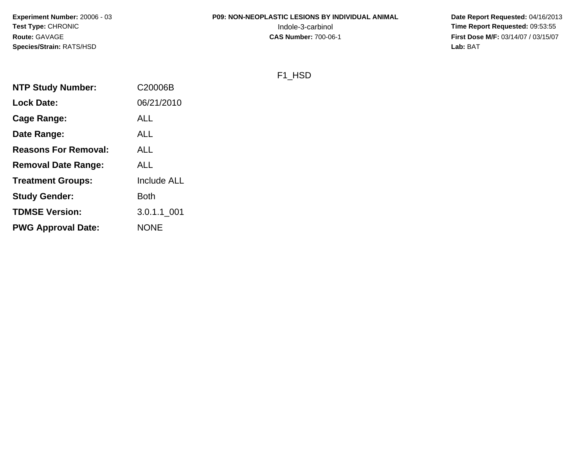# **P09: NON-NEOPLASTIC LESIONS BY INDIVIDUAL ANIMAL**

 **Date Report Requested:** 04/16/2013 Indole-3-carbinol **Time Report Requested:** 09:53:55 **First Dose M/F:** 03/14/07 / 03/15/07<br>Lab: BAT **Lab:** BAT

#### F1\_HSD

| C20006B            |
|--------------------|
| 06/21/2010         |
| <b>ALL</b>         |
| <b>ALL</b>         |
| ALL                |
| <b>ALL</b>         |
| <b>Include ALL</b> |
| Both               |
| 3.0.1.1 001        |
| <b>NONE</b>        |
|                    |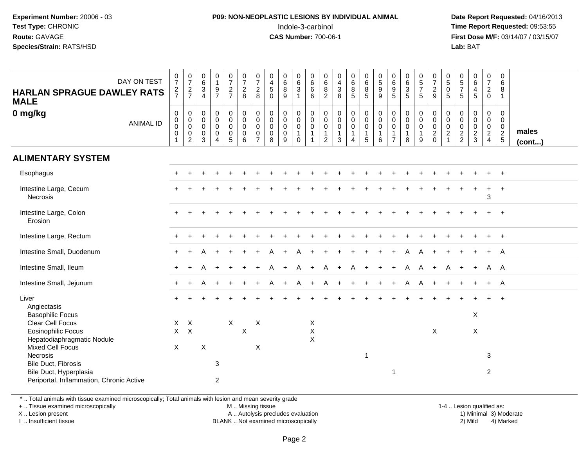#### **P09: NON-NEOPLASTIC LESIONS BY INDIVIDUAL ANIMAL**Indole-3-carbinol **Time Report Requested:** 09:53:55

 **Date Report Requested:** 04/16/2013 **First Dose M/F:** 03/14/07 / 03/15/07<br>**Lab: BAT Lab:** BAT

| DAY ON TEST<br><b>HARLAN SPRAGUE DAWLEY RATS</b><br><b>MALE</b>                           | $\frac{0}{7}$<br>$\frac{2}{7}$                          | $\frac{0}{7}$<br>$rac{2}{7}$                                              | $\begin{array}{c} 0 \\ 6 \end{array}$<br>$\ensuremath{\mathsf{3}}$<br>$\overline{4}$ | $\begin{smallmatrix}0\\1\end{smallmatrix}$<br>$\frac{9}{7}$                    | $\frac{0}{7}$<br>$\frac{2}{7}$                      | $\frac{0}{7}$<br>$\frac{2}{8}$                            | $\frac{0}{7}$<br>$\sqrt{2}$<br>8                                        | $\pmb{0}$<br>$\overline{4}$<br>$\overline{5}$<br>$\Omega$                    | $_6^0$<br>$\bf 8$<br>9                              | $_{6}^{\rm 0}$<br>$\mathbf{3}$<br>$\mathbf{1}$                                      | $\begin{array}{c} 0 \\ 6 \end{array}$<br>$\,6\,$<br>6 | 0<br>$\,6\,$<br>$\frac{8}{2}$                                           | $_4^{\rm 0}$<br>$_8^3$                                                    | $\begin{array}{c} 0 \\ 6 \end{array}$<br>$\bf 8$<br>5                       | $\begin{array}{c} 0 \\ 6 \end{array}$<br>8<br>$5\phantom{.0}$    | $\begin{array}{c} 0 \\ 5 \end{array}$<br>$\boldsymbol{9}$<br>9 | $\begin{array}{c} 0 \\ 6 \end{array}$<br>$\boldsymbol{9}$<br>5                      | $_6^0$<br>$\mathbf{3}$<br>5                | $\begin{array}{c} 0 \\ 5 \end{array}$<br>$\overline{7}$<br>5   | $\frac{0}{7}$<br>$\frac{2}{9}$                                   | $\begin{array}{c} 0 \\ 5 \end{array}$<br>$\pmb{0}$<br>5 | $\begin{array}{c} 0 \\ 5 \\ 7 \end{array}$<br>5  | $_{6}^{\rm 0}$<br>$\overline{4}$<br>$\overline{5}$       | $\begin{array}{c} 0 \\ 7 \end{array}$<br>$\overline{2}$<br>$\mathbf 0$ | 0<br>6<br>8<br>1                                                  |                       |
|-------------------------------------------------------------------------------------------|---------------------------------------------------------|---------------------------------------------------------------------------|--------------------------------------------------------------------------------------|--------------------------------------------------------------------------------|-----------------------------------------------------|-----------------------------------------------------------|-------------------------------------------------------------------------|------------------------------------------------------------------------------|-----------------------------------------------------|-------------------------------------------------------------------------------------|-------------------------------------------------------|-------------------------------------------------------------------------|---------------------------------------------------------------------------|-----------------------------------------------------------------------------|------------------------------------------------------------------|----------------------------------------------------------------|-------------------------------------------------------------------------------------|--------------------------------------------|----------------------------------------------------------------|------------------------------------------------------------------|---------------------------------------------------------|--------------------------------------------------|----------------------------------------------------------|------------------------------------------------------------------------|-------------------------------------------------------------------|-----------------------|
| 0 mg/kg<br><b>ANIMAL ID</b>                                                               | $\pmb{0}$<br>$\pmb{0}$<br>$\mathbf 0$<br>$\pmb{0}$<br>1 | $\mathbf 0$<br>$\mathsf{O}$<br>$\mathsf{O}\xspace$<br>0<br>$\overline{2}$ | $\mathbf 0$<br>$\mathbf 0$<br>$\mathbf 0$<br>$\mathbf 0$<br>3                        | $\pmb{0}$<br>$\pmb{0}$<br>$\mathbf 0$<br>$\mathbf 0$<br>$\boldsymbol{\Lambda}$ | $\mathbf 0$<br>$\mathbf 0$<br>0<br>$\mathbf 0$<br>5 | $\mathbf 0$<br>$\pmb{0}$<br>$\mathbf 0$<br>$\pmb{0}$<br>6 | $\mathbf 0$<br>$\mathbf 0$<br>$\Omega$<br>$\mathbf 0$<br>$\overline{7}$ | $\boldsymbol{0}$<br>$\boldsymbol{0}$<br>$\mathbf 0$<br>$\boldsymbol{0}$<br>8 | 0<br>$\mathbf 0$<br>$\mathbf 0$<br>$\mathbf 0$<br>9 | $\pmb{0}$<br>$\mathsf{O}\xspace$<br>$\ddot{\mathbf{0}}$<br>$\mathbf{1}$<br>$\Omega$ | $\mathbf 0$<br>$\mathbf 0$<br>0<br>$\mathbf{1}$       | $\pmb{0}$<br>$\pmb{0}$<br>$\pmb{0}$<br>$\overline{1}$<br>$\overline{2}$ | $\boldsymbol{0}$<br>$\mathsf{O}\xspace$<br>$\pmb{0}$<br>$\mathbf{1}$<br>3 | $\mathbf 0$<br>$\mathbf 0$<br>$\mathbf 0$<br>$\mathbf{1}$<br>$\overline{4}$ | $\mathbf 0$<br>$\mathbf 0$<br>$\mathbf 0$<br>$\overline{1}$<br>5 | $\pmb{0}$<br>$\mathbf 0$<br>$\mathbf 0$<br>$\overline{1}$<br>6 | $\mathsf{O}\xspace$<br>$\mathbf 0$<br>$\mathbf 0$<br>$\mathbf{1}$<br>$\overline{7}$ | 0<br>$\mathbf 0$<br>0<br>$\mathbf{1}$<br>8 | $\mathbf 0$<br>$\mathbf 0$<br>$\pmb{0}$<br>$\overline{1}$<br>9 | $\pmb{0}$<br>$\mathbf 0$<br>$\mathsf{O}\xspace$<br>$\frac{2}{0}$ | $\mathbf 0$<br>$\mathbf 0$<br>0<br>$\overline{a}$       | $\boldsymbol{0}$<br>$\mathbf 0$<br>$\frac{0}{2}$ | $\mathbf 0$<br>$\mathbf 0$<br>$\pmb{0}$<br>$\frac{2}{3}$ | $\mathbf 0$<br>$\mathbf 0$<br>$\mathbf 0$<br>$\frac{2}{4}$             | $\mathbf 0$<br>$\mathbf{0}$<br>$\mathbf 0$<br>$\overline{2}$<br>5 | males<br>$($ cont $)$ |
| <b>ALIMENTARY SYSTEM</b>                                                                  |                                                         |                                                                           |                                                                                      |                                                                                |                                                     |                                                           |                                                                         |                                                                              |                                                     |                                                                                     |                                                       |                                                                         |                                                                           |                                                                             |                                                                  |                                                                |                                                                                     |                                            |                                                                |                                                                  |                                                         |                                                  |                                                          |                                                                        |                                                                   |                       |
| Esophagus                                                                                 |                                                         |                                                                           |                                                                                      |                                                                                |                                                     |                                                           |                                                                         |                                                                              |                                                     |                                                                                     |                                                       |                                                                         |                                                                           |                                                                             |                                                                  |                                                                |                                                                                     |                                            |                                                                |                                                                  |                                                         |                                                  |                                                          |                                                                        | $+$                                                               |                       |
| Intestine Large, Cecum<br><b>Necrosis</b>                                                 |                                                         |                                                                           |                                                                                      |                                                                                |                                                     |                                                           |                                                                         |                                                                              |                                                     |                                                                                     |                                                       |                                                                         |                                                                           |                                                                             |                                                                  |                                                                |                                                                                     |                                            |                                                                |                                                                  |                                                         |                                                  |                                                          | $\ddot{}$<br>$\mathbf{3}$                                              | $+$                                                               |                       |
| Intestine Large, Colon<br>Erosion                                                         |                                                         |                                                                           |                                                                                      |                                                                                |                                                     |                                                           |                                                                         |                                                                              |                                                     |                                                                                     |                                                       |                                                                         |                                                                           |                                                                             |                                                                  |                                                                |                                                                                     |                                            |                                                                |                                                                  |                                                         |                                                  |                                                          |                                                                        | $+$                                                               |                       |
| Intestine Large, Rectum                                                                   |                                                         |                                                                           |                                                                                      |                                                                                |                                                     |                                                           |                                                                         |                                                                              |                                                     |                                                                                     |                                                       |                                                                         |                                                                           |                                                                             |                                                                  |                                                                |                                                                                     |                                            |                                                                |                                                                  |                                                         |                                                  |                                                          |                                                                        |                                                                   |                       |
| Intestine Small, Duodenum                                                                 |                                                         |                                                                           |                                                                                      |                                                                                |                                                     |                                                           |                                                                         |                                                                              |                                                     |                                                                                     |                                                       |                                                                         |                                                                           |                                                                             |                                                                  |                                                                |                                                                                     |                                            |                                                                |                                                                  |                                                         |                                                  |                                                          |                                                                        | A                                                                 |                       |
| Intestine Small, Ileum                                                                    |                                                         |                                                                           |                                                                                      |                                                                                |                                                     |                                                           |                                                                         |                                                                              |                                                     |                                                                                     |                                                       |                                                                         |                                                                           | A                                                                           |                                                                  |                                                                |                                                                                     | A                                          | A                                                              | $\ddot{}$                                                        |                                                         |                                                  | $\ddot{}$                                                | A A                                                                    |                                                                   |                       |
| Intestine Small, Jejunum                                                                  |                                                         |                                                                           |                                                                                      |                                                                                |                                                     |                                                           |                                                                         |                                                                              |                                                     |                                                                                     |                                                       |                                                                         |                                                                           |                                                                             |                                                                  |                                                                |                                                                                     | А                                          | A                                                              |                                                                  |                                                         |                                                  |                                                          | $+$                                                                    | A                                                                 |                       |
| Liver<br>Angiectasis                                                                      |                                                         |                                                                           |                                                                                      |                                                                                |                                                     |                                                           |                                                                         |                                                                              |                                                     |                                                                                     |                                                       |                                                                         |                                                                           |                                                                             |                                                                  |                                                                |                                                                                     |                                            |                                                                |                                                                  |                                                         |                                                  |                                                          |                                                                        |                                                                   |                       |
| <b>Basophilic Focus</b><br>Clear Cell Focus                                               | X                                                       | $\boldsymbol{\mathsf{X}}$                                                 |                                                                                      |                                                                                | $\mathsf{X}$                                        |                                                           | $\times$                                                                |                                                                              |                                                     |                                                                                     | X                                                     |                                                                         |                                                                           |                                                                             |                                                                  |                                                                |                                                                                     |                                            |                                                                |                                                                  |                                                         |                                                  | X                                                        |                                                                        |                                                                   |                       |
| Eosinophilic Focus<br>Hepatodiaphragmatic Nodule                                          | $\mathsf{X}$                                            | $\mathsf{X}$                                                              |                                                                                      |                                                                                |                                                     | $\boldsymbol{\mathsf{X}}$                                 |                                                                         |                                                                              |                                                     |                                                                                     | $\mathsf X$<br>$\sf X$                                |                                                                         |                                                                           |                                                                             |                                                                  |                                                                |                                                                                     |                                            |                                                                | X                                                                |                                                         |                                                  | $\pmb{\times}$                                           |                                                                        |                                                                   |                       |
| Mixed Cell Focus<br>Necrosis                                                              | X                                                       |                                                                           | $\boldsymbol{\mathsf{X}}$                                                            |                                                                                |                                                     |                                                           | X                                                                       |                                                                              |                                                     |                                                                                     |                                                       |                                                                         |                                                                           |                                                                             | $\overline{\mathbf{1}}$                                          |                                                                |                                                                                     |                                            |                                                                |                                                                  |                                                         |                                                  |                                                          | 3                                                                      |                                                                   |                       |
| Bile Duct, Fibrosis<br>Bile Duct, Hyperplasia<br>Periportal, Inflammation, Chronic Active |                                                         |                                                                           |                                                                                      | 3<br>$\overline{2}$                                                            |                                                     |                                                           |                                                                         |                                                                              |                                                     |                                                                                     |                                                       |                                                                         |                                                                           |                                                                             |                                                                  |                                                                | -1                                                                                  |                                            |                                                                |                                                                  |                                                         |                                                  |                                                          | $\overline{2}$                                                         |                                                                   |                       |

\* .. Total animals with tissue examined microscopically; Total animals with lesion and mean severity grade

+ .. Tissue examined microscopically

X .. Lesion present

I .. Insufficient tissue

M .. Missing tissue

A .. Autolysis precludes evaluation

BLANK .. Not examined microscopically 2) Mild 4) Marked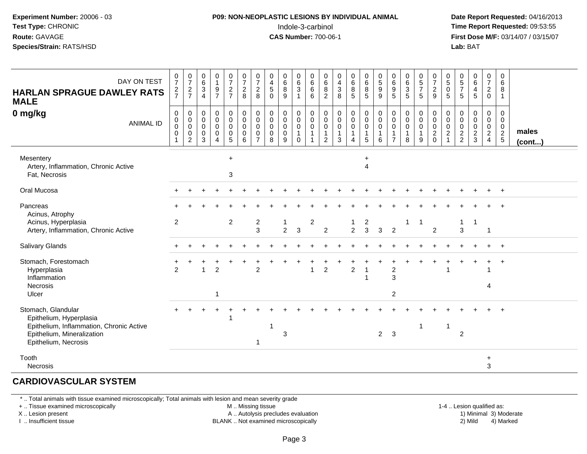#### **P09: NON-NEOPLASTIC LESIONS BY INDIVIDUAL ANIMAL**Indole-3-carbinol **Time Report Requested:** 09:53:55

 **Date Report Requested:** 04/16/2013 **First Dose M/F:** 03/14/07 / 03/15/07<br>**Lab: BAT Lab:** BAT

| DAY ON TEST<br><b>HARLAN SPRAGUE DAWLEY RATS</b><br><b>MALE</b>                                                                                 | $\frac{0}{7}$<br>$\frac{2}{7}$                                      | $\begin{smallmatrix}0\\7\end{smallmatrix}$<br>$\frac{2}{7}$ | $\begin{array}{c} 0 \\ 6 \end{array}$<br>$\frac{3}{4}$                        | $\begin{smallmatrix}0\\1\end{smallmatrix}$<br>$\frac{9}{7}$          | $\begin{smallmatrix}0\\7\end{smallmatrix}$<br>$\frac{2}{7}$              | $\frac{0}{7}$<br>$\frac{2}{8}$                                           | $\frac{0}{7}$<br>$\overline{c}$<br>8                                     | $\begin{array}{c} 0 \\ 4 \\ 5 \end{array}$<br>$\mathbf 0$         | $\begin{matrix}0\6\8\end{matrix}$<br>9          | $_{6}^{\rm 0}$<br>$\ensuremath{\mathsf{3}}$<br>$\overline{1}$ | $\begin{array}{c} 0 \\ 6 \end{array}$<br>$\,6\,$<br>6                | $\begin{matrix} 0 \\ 6 \end{matrix}$<br>8<br>$\overline{2}$     | $\begin{smallmatrix}0\\4\end{smallmatrix}$<br>$\sqrt{3}$<br>8   | 0<br>6<br>8<br>5                                                                    | $0\over 6$<br>$\frac{8}{5}$                                          | $\begin{array}{c} 0 \\ 5 \\ 9 \end{array}$<br>$\boldsymbol{9}$ | 0<br>0<br>0<br>0<br>5                                                   | $\begin{array}{c} 0 \\ 6 \end{array}$<br>$\sqrt{3}$<br>5                       | $\begin{array}{c} 0 \\ 5 \end{array}$<br>$\overline{7}$<br>5 <sup>5</sup> | $\frac{0}{7}$<br>$\frac{2}{9}$                               | $\begin{array}{c} 0 \\ 5 \end{array}$<br>$\pmb{0}$<br>5                                           | $\begin{matrix} 0 \\ 5 \end{matrix}$<br>$\overline{7}$<br>5 | $\begin{array}{c} 0 \\ 6 \end{array}$<br>$\overline{\mathbf{4}}$<br>$\overline{5}$ | $\begin{smallmatrix}0\\7\end{smallmatrix}$<br>$^2_{\rm 0}$ | 0<br>6<br>8<br>$\mathbf{1}$                    |                       |
|-------------------------------------------------------------------------------------------------------------------------------------------------|---------------------------------------------------------------------|-------------------------------------------------------------|-------------------------------------------------------------------------------|----------------------------------------------------------------------|--------------------------------------------------------------------------|--------------------------------------------------------------------------|--------------------------------------------------------------------------|-------------------------------------------------------------------|-------------------------------------------------|---------------------------------------------------------------|----------------------------------------------------------------------|-----------------------------------------------------------------|-----------------------------------------------------------------|-------------------------------------------------------------------------------------|----------------------------------------------------------------------|----------------------------------------------------------------|-------------------------------------------------------------------------|--------------------------------------------------------------------------------|---------------------------------------------------------------------------|--------------------------------------------------------------|---------------------------------------------------------------------------------------------------|-------------------------------------------------------------|------------------------------------------------------------------------------------|------------------------------------------------------------|------------------------------------------------|-----------------------|
| 0 mg/kg<br><b>ANIMAL ID</b>                                                                                                                     | $\boldsymbol{0}$<br>$\pmb{0}$<br>$\pmb{0}$<br>$\boldsymbol{0}$<br>1 | $\pmb{0}$<br>$\mathbf 0$<br>$\pmb{0}$<br>$\mathbf 0$<br>2   | $\mathsf{O}\xspace$<br>$\mathbf 0$<br>$\mathsf{O}\xspace$<br>$\mathbf 0$<br>3 | $\pmb{0}$<br>$\mathsf{O}\xspace$<br>$\ddot{\mathbf{0}}$<br>$\pmb{0}$ | $\mathbf 0$<br>$\mathbf 0$<br>$\pmb{0}$<br>$\mathbf 0$<br>$\overline{5}$ | $\pmb{0}$<br>$\mathbf 0$<br>$\mathbf 0$<br>$\mathbf 0$<br>$6\phantom{1}$ | $\pmb{0}$<br>$\mathbf 0$<br>$\mathbf 0$<br>$\mathbf 0$<br>$\overline{7}$ | $\pmb{0}$<br>$\mathbf 0$<br>$\ddot{\mathbf{0}}$<br>$\pmb{0}$<br>8 | $\pmb{0}$<br>$\overline{0}$<br>$\mathbf 0$<br>9 | 0<br>$\mathbf 0$<br>$\pmb{0}$<br>$\mathbf{1}$<br>$\mathbf 0$  | $\pmb{0}$<br>$\mathsf{O}\xspace$<br>$\boldsymbol{0}$<br>$\mathbf{1}$ | 0<br>$\pmb{0}$<br>$\mathbf 0$<br>$\mathbf{1}$<br>$\overline{2}$ | $\pmb{0}$<br>$\pmb{0}$<br>$\boldsymbol{0}$<br>$\mathbf{1}$<br>3 | $\mathbf 0$<br>$\mathbf 0$<br>$\mathbf 0$<br>$\mathbf{1}$<br>$\boldsymbol{\Lambda}$ | $\pmb{0}$<br>$\mathbf 0$<br>$\mathsf{O}\xspace$<br>$\mathbf{1}$<br>5 | $\pmb{0}$<br>$\pmb{0}$<br>$\pmb{0}$<br>$\mathbf 1$<br>6        | $\pmb{0}$<br>$\pmb{0}$<br>$\pmb{0}$<br>$\overline{1}$<br>$\overline{7}$ | $\mathsf{O}\xspace$<br>$\mathbf 0$<br>$\mathsf{O}\xspace$<br>$\mathbf{1}$<br>8 | $\mathbf 0$<br>$\mathbf 0$<br>$\pmb{0}$<br>1<br>9                         | $\begin{smallmatrix}0\0\0\end{smallmatrix}$<br>$\frac{0}{2}$ | $\pmb{0}$<br>$\mathsf{O}\xspace$<br>$\mathsf{O}\xspace$<br>$\overline{c}$<br>$\blacktriangleleft$ | 0<br>$\mathbf 0$<br>$\mathbf 0$<br>$\frac{2}{2}$            | $\mathbf 0$<br>$\pmb{0}$<br>$\frac{0}{2}$                                          | 0<br>$\mathbf 0$<br>$\frac{0}{2}$                          | 0<br>$\mathbf 0$<br>$\mathbf 0$<br>$rac{2}{5}$ | males<br>$($ cont $)$ |
| Mesentery<br>Artery, Inflammation, Chronic Active<br>Fat, Necrosis                                                                              |                                                                     |                                                             |                                                                               |                                                                      | $\ddot{}$<br>3                                                           |                                                                          |                                                                          |                                                                   |                                                 |                                                               |                                                                      |                                                                 |                                                                 |                                                                                     | $\ddot{}$<br>$\overline{4}$                                          |                                                                |                                                                         |                                                                                |                                                                           |                                                              |                                                                                                   |                                                             |                                                                                    |                                                            |                                                |                       |
| Oral Mucosa                                                                                                                                     |                                                                     |                                                             |                                                                               |                                                                      |                                                                          |                                                                          |                                                                          |                                                                   |                                                 |                                                               |                                                                      |                                                                 |                                                                 |                                                                                     |                                                                      |                                                                |                                                                         |                                                                                |                                                                           |                                                              |                                                                                                   |                                                             |                                                                                    |                                                            | $\ddot{}$                                      |                       |
| Pancreas<br>Acinus, Atrophy                                                                                                                     |                                                                     |                                                             |                                                                               |                                                                      |                                                                          |                                                                          |                                                                          |                                                                   |                                                 |                                                               |                                                                      |                                                                 |                                                                 |                                                                                     |                                                                      |                                                                |                                                                         |                                                                                |                                                                           |                                                              |                                                                                                   |                                                             |                                                                                    |                                                            |                                                |                       |
| Acinus, Hyperplasia<br>Artery, Inflammation, Chronic Active                                                                                     | 2                                                                   |                                                             |                                                                               |                                                                      | 2                                                                        |                                                                          | $\overline{\mathbf{c}}$<br>3                                             |                                                                   | 1<br>$\overline{2}$                             | 3                                                             | $\overline{2}$                                                       | $\overline{2}$                                                  |                                                                 | $\mathbf{1}$<br>$\overline{2}$                                                      | $\overline{a}$<br>$\mathbf{3}$                                       | $\mathbf{3}$                                                   | $\overline{2}$                                                          | $\mathbf{1}$                                                                   | -1                                                                        | $\overline{2}$                                               |                                                                                                   | $\mathbf{1}$<br>3                                           | $\overline{1}$                                                                     | $\mathbf{1}$                                               |                                                |                       |
| <b>Salivary Glands</b>                                                                                                                          |                                                                     |                                                             |                                                                               |                                                                      |                                                                          |                                                                          |                                                                          |                                                                   |                                                 |                                                               |                                                                      |                                                                 |                                                                 |                                                                                     |                                                                      |                                                                |                                                                         |                                                                                |                                                                           |                                                              |                                                                                                   |                                                             |                                                                                    |                                                            | $\ddot{}$                                      |                       |
| Stomach, Forestomach<br>Hyperplasia<br>Inflammation<br><b>Necrosis</b><br>Ulcer                                                                 | $\mathfrak{p}$                                                      |                                                             |                                                                               | $\overline{c}$<br>-1                                                 |                                                                          |                                                                          | $\overline{2}$                                                           |                                                                   |                                                 |                                                               | $\overline{1}$                                                       | $\overline{c}$                                                  |                                                                 | $\overline{2}$                                                                      |                                                                      |                                                                | $\sqrt{2}$<br>$\overline{3}$<br>2                                       |                                                                                |                                                                           |                                                              |                                                                                                   |                                                             |                                                                                    | 4                                                          |                                                |                       |
| Stomach, Glandular<br>Epithelium, Hyperplasia<br>Epithelium, Inflammation, Chronic Active<br>Epithelium, Mineralization<br>Epithelium, Necrosis |                                                                     |                                                             |                                                                               |                                                                      |                                                                          |                                                                          | 1                                                                        |                                                                   | 3                                               |                                                               |                                                                      |                                                                 |                                                                 |                                                                                     |                                                                      | $\overline{2}$                                                 | 3                                                                       |                                                                                | -1                                                                        |                                                              | $\mathbf{1}$                                                                                      | $\overline{2}$                                              |                                                                                    |                                                            |                                                |                       |
| Tooth<br><b>Necrosis</b>                                                                                                                        |                                                                     |                                                             |                                                                               |                                                                      |                                                                          |                                                                          |                                                                          |                                                                   |                                                 |                                                               |                                                                      |                                                                 |                                                                 |                                                                                     |                                                                      |                                                                |                                                                         |                                                                                |                                                                           |                                                              |                                                                                                   |                                                             |                                                                                    | $\ddot{}$<br>3                                             |                                                |                       |

#### **CARDIOVASCULAR SYSTEM**

\* .. Total animals with tissue examined microscopically; Total animals with lesion and mean severity grade

+ .. Tissue examined microscopically

X .. Lesion present

I .. Insufficient tissue

M .. Missing tissue

A .. Autolysis precludes evaluation

BLANK .. Not examined microscopically 2) Mild 4) Marked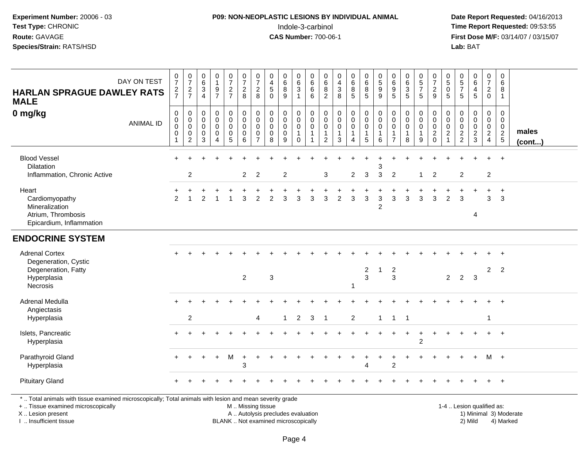#### **P09: NON-NEOPLASTIC LESIONS BY INDIVIDUAL ANIMAL**Indole-3-carbinol **Time Report Requested:** 09:53:55

 **Date Report Requested:** 04/16/2013 **First Dose M/F:** 03/14/07 / 03/15/07<br>**Lab:** BAT **Lab:** BAT

| <b>HARLAN SPRAGUE DAWLEY RATS</b><br><b>MALE</b>                                                                                                                    | DAY ON TEST      | $\frac{0}{7}$<br>$\frac{2}{7}$                                 | $\frac{0}{7}$<br>$\frac{2}{7}$                                                | 0<br>$\,6\,$<br>$\frac{3}{4}$             | $\begin{smallmatrix}0\\1\end{smallmatrix}$<br>$\frac{9}{7}$ | $\mathbf 0$<br>$\overline{7}$<br>$\frac{2}{7}$      | $\frac{0}{7}$<br>$\overline{\mathbf{c}}$<br>8     | $\pmb{0}$<br>$\overline{7}$<br>$\overline{2}$<br>8                       | 0<br>$\overline{\mathbf{4}}$<br>$\mathbf 5$<br>$\Omega$       | 0<br>$\,6\,$<br>$\bf 8$<br>9              | 0<br>$\,6\,$<br>$\mathbf{3}$<br>$\mathbf{1}$ | $\boldsymbol{0}$<br>$\,6\,$<br>$\,6\,$<br>6 | $\mathbf 0$<br>$\,6\,$<br>8<br>2                                    | 0<br>$\overline{\mathbf{4}}$<br>$\sqrt{3}$<br>8      | $\pmb{0}$<br>$\,6\,$<br>8<br>$\overline{5}$                         | 0<br>6<br>8<br>5                                               | $\begin{array}{c} 0 \\ 5 \end{array}$<br>9<br>9 | 0<br>6<br>$\begin{array}{c} 9 \\ 5 \end{array}$         | $\begin{array}{c} 0 \\ 6 \end{array}$<br>$\frac{3}{5}$       | $\begin{array}{c} 0 \\ 5 \end{array}$<br>$\overline{7}$<br>$\sqrt{5}$ | 0<br>$\overline{7}$<br>$\frac{2}{9}$                          | $\pmb{0}$<br>$\sqrt{5}$<br>$\mathbf 0$<br>5                  | 0<br>$\overline{5}$<br>$\overline{7}$<br>5       | $_6^0$<br>4<br>5                             | 0<br>$\boldsymbol{7}$<br>$\overline{c}$<br>$\mathbf 0$              | 0<br>$\,6\,$<br>8<br>$\mathbf{1}$              |                        |
|---------------------------------------------------------------------------------------------------------------------------------------------------------------------|------------------|----------------------------------------------------------------|-------------------------------------------------------------------------------|-------------------------------------------|-------------------------------------------------------------|-----------------------------------------------------|---------------------------------------------------|--------------------------------------------------------------------------|---------------------------------------------------------------|-------------------------------------------|----------------------------------------------|---------------------------------------------|---------------------------------------------------------------------|------------------------------------------------------|---------------------------------------------------------------------|----------------------------------------------------------------|-------------------------------------------------|---------------------------------------------------------|--------------------------------------------------------------|-----------------------------------------------------------------------|---------------------------------------------------------------|--------------------------------------------------------------|--------------------------------------------------|----------------------------------------------|---------------------------------------------------------------------|------------------------------------------------|------------------------|
| 0 mg/kg                                                                                                                                                             | <b>ANIMAL ID</b> | $\mathbf 0$<br>$\mathbf 0$<br>$\mathbf 0$<br>$\mathbf 0$<br>-1 | 0<br>$\boldsymbol{0}$<br>$\mathsf{O}\xspace$<br>$\mathbf 0$<br>$\overline{c}$ | 0<br>$\mathbf 0$<br>0<br>$\mathbf 0$<br>3 | 0<br>$\pmb{0}$<br>0<br>$\pmb{0}$<br>4                       | 0<br>$\mathbf 0$<br>$\mathbf 0$<br>$\mathbf 0$<br>5 | $\pmb{0}$<br>$\mathbf 0$<br>0<br>$\mathbf 0$<br>6 | $\pmb{0}$<br>$\mathbf 0$<br>$\mathbf 0$<br>$\mathbf 0$<br>$\overline{7}$ | $\mathbf 0$<br>$\mathbf 0$<br>$\mathbf 0$<br>$\mathbf 0$<br>8 | 0<br>$\mathbf 0$<br>0<br>$\mathbf 0$<br>9 | 0<br>0<br>0<br>$\mathbf{1}$<br>$\Omega$      | 0<br>$\pmb{0}$<br>0<br>1                    | 0<br>$\mathbf 0$<br>$\mathbf 0$<br>$\overline{1}$<br>$\overline{2}$ | $\mathbf 0$<br>$\mathbf 0$<br>0<br>$\mathbf{1}$<br>3 | $\boldsymbol{0}$<br>$\mathbf 0$<br>$\mathbf 0$<br>$\mathbf{1}$<br>4 | $\mathbf 0$<br>$\mathbf 0$<br>$\mathbf 0$<br>$\mathbf{1}$<br>5 | 0<br>$\mathbf 0$<br>0<br>$\mathbf{1}$<br>6      | 0<br>$\mathbf 0$<br>0<br>$\mathbf{1}$<br>$\overline{7}$ | $\mathbf 0$<br>$\mathbf 0$<br>$\pmb{0}$<br>$\mathbf{1}$<br>8 | $\mathbf 0$<br>$\mathbf 0$<br>$\mathbf 0$<br>$\overline{1}$<br>9      | $\mathbf 0$<br>$\mathbf 0$<br>0<br>$\overline{2}$<br>$\Omega$ | 0<br>$\mathbf 0$<br>$\mathbf 0$<br>$\sqrt{2}$<br>$\mathbf 1$ | 0<br>$\mathbf 0$<br>$\mathbf 0$<br>$\frac{2}{2}$ | 0<br>$\mathbf 0$<br>0<br>$\overline{a}$<br>3 | 0<br>$\mathbf 0$<br>$\mathbf 0$<br>$\overline{2}$<br>$\overline{4}$ | 0<br>$\mathbf 0$<br>$\mathbf 0$<br>$rac{2}{5}$ | males<br>$($ cont $)$  |
| <b>Blood Vessel</b><br>Dilatation<br>Inflammation, Chronic Active                                                                                                   |                  |                                                                | $\overline{2}$                                                                |                                           |                                                             |                                                     | $\overline{2}$                                    | $\overline{2}$                                                           |                                                               | $\overline{2}$                            |                                              |                                             | $\sqrt{3}$                                                          |                                                      | $\overline{2}$                                                      | 3                                                              | 3<br>$\mathbf{3}$                               | $\overline{c}$                                          |                                                              | -1                                                                    | $\overline{2}$                                                |                                                              | $\overline{2}$                                   |                                              | $\overline{2}$                                                      |                                                |                        |
| Heart<br>Cardiomyopathy<br>Mineralization<br>Atrium, Thrombosis<br>Epicardium, Inflammation                                                                         |                  | $\overline{2}$                                                 |                                                                               | 2                                         |                                                             |                                                     | 3                                                 | $\overline{c}$                                                           | 2                                                             | 3                                         | 3                                            | 3                                           | 3                                                                   | $\overline{c}$                                       | 3                                                                   | 3                                                              | $\mathbf{3}$<br>$\overline{c}$                  | 3                                                       | $\sqrt{3}$                                                   | 3                                                                     | 3                                                             | $\overline{2}$                                               | 3                                                | 4                                            | $\ddot{}$<br>3                                                      | $\ddot{}$<br>3                                 |                        |
| <b>ENDOCRINE SYSTEM</b>                                                                                                                                             |                  |                                                                |                                                                               |                                           |                                                             |                                                     |                                                   |                                                                          |                                                               |                                           |                                              |                                             |                                                                     |                                                      |                                                                     |                                                                |                                                 |                                                         |                                                              |                                                                       |                                                               |                                                              |                                                  |                                              |                                                                     |                                                |                        |
| <b>Adrenal Cortex</b><br>Degeneration, Cystic<br>Degeneration, Fatty<br>Hyperplasia<br>Necrosis                                                                     |                  |                                                                |                                                                               |                                           |                                                             |                                                     | $\overline{2}$                                    |                                                                          | $\mathsf 3$                                                   |                                           |                                              |                                             |                                                                     |                                                      | 1                                                                   | $\overline{c}$<br>3                                            | 1                                               | $\overline{2}$<br>3                                     |                                                              |                                                                       |                                                               | $\overline{2}$                                               | $\overline{2}$                                   | $\overline{\mathbf{3}}$                      | $\overline{2}$                                                      | $\overline{2}$                                 |                        |
| Adrenal Medulla<br>Angiectasis<br>Hyperplasia                                                                                                                       |                  |                                                                | $\overline{2}$                                                                |                                           |                                                             |                                                     |                                                   | 4                                                                        |                                                               | $\mathbf{1}$                              | $\overline{2}$                               | 3                                           | $\overline{\mathbf{1}}$                                             |                                                      | 2                                                                   |                                                                | $\mathbf{1}$                                    | $\mathbf{1}$                                            | -1                                                           |                                                                       |                                                               |                                                              |                                                  |                                              |                                                                     |                                                |                        |
| Islets, Pancreatic<br>Hyperplasia                                                                                                                                   |                  |                                                                |                                                                               |                                           |                                                             |                                                     |                                                   |                                                                          |                                                               |                                           |                                              |                                             |                                                                     |                                                      |                                                                     |                                                                |                                                 |                                                         |                                                              | $\overline{2}$                                                        |                                                               |                                                              |                                                  |                                              |                                                                     | $^{+}$                                         |                        |
| Parathyroid Gland<br>Hyperplasia                                                                                                                                    |                  |                                                                |                                                                               |                                           |                                                             | M                                                   | 3                                                 |                                                                          |                                                               |                                           |                                              |                                             |                                                                     |                                                      |                                                                     | 4                                                              |                                                 | $\overline{c}$                                          |                                                              |                                                                       |                                                               |                                                              |                                                  |                                              | M                                                                   | $+$                                            |                        |
| <b>Pituitary Gland</b>                                                                                                                                              |                  |                                                                |                                                                               |                                           |                                                             |                                                     |                                                   |                                                                          |                                                               |                                           |                                              |                                             |                                                                     |                                                      |                                                                     |                                                                |                                                 |                                                         |                                                              |                                                                       |                                                               |                                                              |                                                  |                                              |                                                                     | $\overline{1}$                                 |                        |
| *  Total animals with tissue examined microscopically; Total animals with lesion and mean severity grade<br>+  Tissue examined microscopically<br>X  Lesion present |                  |                                                                |                                                                               |                                           |                                                             |                                                     | M  Missing tissue                                 |                                                                          | A  Autolysis precludes evaluation                             |                                           |                                              |                                             |                                                                     |                                                      |                                                                     |                                                                |                                                 |                                                         |                                                              |                                                                       |                                                               |                                                              | 1-4  Lesion qualified as:                        |                                              |                                                                     |                                                | 1) Minimal 3) Moderate |

I .. Insufficient tissue

BLANK .. Not examined microscopically 2) Mild 4) Marked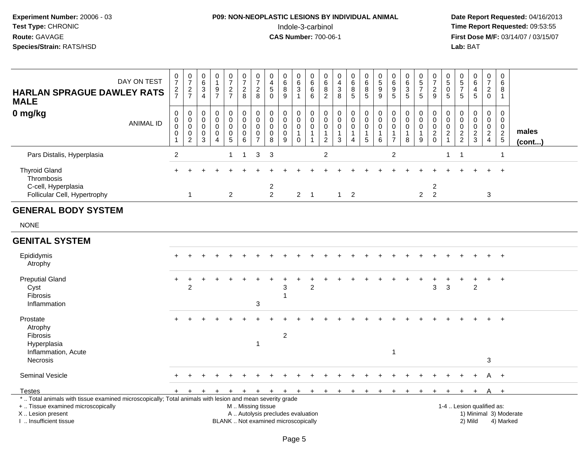### **P09: NON-NEOPLASTIC LESIONS BY INDIVIDUAL ANIMAL**Indole-3-carbinol **Time Report Requested:** 09:53:55

| <b>HARLAN SPRAGUE DAWLEY RATS</b><br><b>MALE</b>                                                                                                                                              | DAY ON TEST      | $\begin{smallmatrix}0\\7\end{smallmatrix}$<br>$rac{2}{7}$                 | $\frac{0}{7}$<br>$\frac{2}{7}$                                   | 0<br>$\,6$<br>3<br>$\overline{4}$                             | $\pmb{0}$<br>$\mathbf{1}$<br>$\boldsymbol{9}$<br>$\overline{7}$            | $\frac{0}{7}$<br>$\frac{2}{7}$            | $\frac{0}{7}$<br>8                                | $\frac{0}{7}$<br>$\overline{c}$<br>8                   | 0<br>$\frac{4}{5}$<br>$\mathbf 0$                                        | $\pmb{0}$<br>$\overline{6}$<br>8<br>9                             | $\mathbf 0$<br>$\,6\,$<br>$\overline{3}$<br>$\mathbf{1}$ | $\pmb{0}$<br>$\,6\,$<br>$\,6\,$<br>6                                                | 0<br>$\begin{array}{c} 6 \\ 8 \end{array}$<br>$\sqrt{2}$  | $\pmb{0}$<br>$\overline{4}$<br>$\overline{3}$<br>8           | $\pmb{0}$<br>$\begin{array}{c} 6 \\ 8 \end{array}$<br>$5\phantom{.0}$ | $\pmb{0}$<br>$\,6\,$<br>8<br>$\overline{5}$                    | $\pmb{0}$<br>$\mathbf 5$<br>$\boldsymbol{9}$<br>9 | $\pmb{0}$<br>$\frac{6}{9}$<br>5                                                   | $\begin{array}{c} 0 \\ 6 \\ 3 \end{array}$<br>5 | $\begin{array}{c} 0 \\ 5 \\ 7 \end{array}$<br>5    | $\frac{0}{7}$<br>$\sqrt{2}$<br>$\boldsymbol{9}$ | $\boldsymbol{0}$<br>$\sqrt{5}$<br>$\pmb{0}$<br>5                              | $\begin{array}{c} 0 \\ 5 \\ 7 \end{array}$<br>5            | 0<br>6<br>$\overline{4}$<br>$5\phantom{.0}$ | $\pmb{0}$<br>$\overline{7}$<br>$\boldsymbol{2}$<br>$\mathbf 0$ | $\mathbf 0$<br>6<br>8<br>$\mathbf{1}$                      |                        |
|-----------------------------------------------------------------------------------------------------------------------------------------------------------------------------------------------|------------------|---------------------------------------------------------------------------|------------------------------------------------------------------|---------------------------------------------------------------|----------------------------------------------------------------------------|-------------------------------------------|---------------------------------------------------|--------------------------------------------------------|--------------------------------------------------------------------------|-------------------------------------------------------------------|----------------------------------------------------------|-------------------------------------------------------------------------------------|-----------------------------------------------------------|--------------------------------------------------------------|-----------------------------------------------------------------------|----------------------------------------------------------------|---------------------------------------------------|-----------------------------------------------------------------------------------|-------------------------------------------------|----------------------------------------------------|-------------------------------------------------|-------------------------------------------------------------------------------|------------------------------------------------------------|---------------------------------------------|----------------------------------------------------------------|------------------------------------------------------------|------------------------|
| 0 mg/kg                                                                                                                                                                                       | <b>ANIMAL ID</b> | $\boldsymbol{0}$<br>$\pmb{0}$<br>$\pmb{0}$<br>$\pmb{0}$<br>$\overline{1}$ | $\mathbf 0$<br>0<br>$\mathbf 0$<br>$\mathbf 0$<br>$\overline{c}$ | $\mathbf 0$<br>$\mathbf 0$<br>$\mathbf 0$<br>$\mathbf 0$<br>3 | $\mathbf 0$<br>$\mathbf 0$<br>$\mathbf 0$<br>$\mathbf 0$<br>$\overline{4}$ | 0<br>0<br>$\mathbf 0$<br>$\mathbf 0$<br>5 | 0<br>$\mathbf 0$<br>$\pmb{0}$<br>$\mathsf 0$<br>6 | $\mathbf 0$<br>0<br>$\mathbf 0$<br>0<br>$\overline{7}$ | $\mathbf 0$<br>0<br>$\mathbf 0$<br>$\mathbf 0$<br>8                      | $\mathbf 0$<br>$\mathsf{O}\xspace$<br>$\pmb{0}$<br>$\pmb{0}$<br>9 | $\mathbf 0$<br>$\mathsf{O}$<br>0<br>$\mathbf 1$<br>0     | $\mathbf 0$<br>$\mathsf{O}\xspace$<br>$\pmb{0}$<br>$\overline{1}$<br>$\overline{1}$ | 0<br>0<br>$\mathbf 0$<br>$\overline{1}$<br>$\overline{2}$ | $\mathbf 0$<br>$\mathbf 0$<br>$\pmb{0}$<br>$\mathbf{1}$<br>3 | 0<br>$\mathsf 0$<br>$\mathsf{O}\xspace$<br>$\mathbf{1}$<br>4          | $\mathbf 0$<br>$\mathbf 0$<br>$\mathbf 0$<br>$\mathbf{1}$<br>5 | 0<br>0<br>$\pmb{0}$<br>$\mathbf{1}$<br>6          | $\mathbf 0$<br>$\mathsf{O}\xspace$<br>$\pmb{0}$<br>$\mathbf{1}$<br>$\overline{7}$ | 0<br>0<br>$\mathbf 0$<br>1<br>8                 | 0<br>$\mathbf 0$<br>$\pmb{0}$<br>$\mathbf{1}$<br>9 | $\mathbf 0$<br>0<br>$\pmb{0}$<br>$\frac{2}{0}$  | $\mathbf 0$<br>$\mathbf 0$<br>$\mathbf 0$<br>$\boldsymbol{2}$<br>$\mathbf{1}$ | $\mathbf 0$<br>$\mathbf 0$<br>$\mathbf 0$<br>$\frac{2}{2}$ | 0<br>0<br>0<br>$\frac{2}{3}$                | $\mathbf 0$<br>$\mathbf 0$<br>$\mathsf 0$<br>$\frac{2}{4}$     | $\mathbf 0$<br>$\mathbf 0$<br>$\mathbf 0$<br>$\frac{2}{5}$ | males<br>(cont)        |
| Pars Distalis, Hyperplasia                                                                                                                                                                    |                  | $\overline{c}$                                                            |                                                                  |                                                               |                                                                            | $\mathbf{1}$                              | $\mathbf{1}$                                      | $\sqrt{3}$                                             | $\mathbf{3}$                                                             |                                                                   |                                                          |                                                                                     | $\boldsymbol{2}$                                          |                                                              |                                                                       |                                                                |                                                   | $\boldsymbol{2}$                                                                  |                                                 |                                                    |                                                 | $\mathbf{1}$                                                                  | $\overline{1}$                                             |                                             |                                                                | 1                                                          |                        |
| <b>Thyroid Gland</b><br>Thrombosis                                                                                                                                                            |                  |                                                                           |                                                                  |                                                               |                                                                            |                                           |                                                   |                                                        |                                                                          |                                                                   |                                                          |                                                                                     |                                                           |                                                              |                                                                       |                                                                |                                                   |                                                                                   |                                                 |                                                    |                                                 |                                                                               |                                                            |                                             |                                                                | $+$                                                        |                        |
| C-cell, Hyperplasia<br>Follicular Cell, Hypertrophy                                                                                                                                           |                  |                                                                           | $\overline{1}$                                                   |                                                               |                                                                            | $\overline{2}$                            |                                                   |                                                        | $\overline{\mathbf{c}}$<br>$\overline{2}$                                |                                                                   | $2 \quad 1$                                              |                                                                                     |                                                           | $1 \quad 2$                                                  |                                                                       |                                                                |                                                   |                                                                                   |                                                 | $\overline{2}$                                     | $\overline{2}$<br>$\overline{2}$                |                                                                               |                                                            |                                             | 3                                                              |                                                            |                        |
| <b>GENERAL BODY SYSTEM</b>                                                                                                                                                                    |                  |                                                                           |                                                                  |                                                               |                                                                            |                                           |                                                   |                                                        |                                                                          |                                                                   |                                                          |                                                                                     |                                                           |                                                              |                                                                       |                                                                |                                                   |                                                                                   |                                                 |                                                    |                                                 |                                                                               |                                                            |                                             |                                                                |                                                            |                        |
| <b>NONE</b>                                                                                                                                                                                   |                  |                                                                           |                                                                  |                                                               |                                                                            |                                           |                                                   |                                                        |                                                                          |                                                                   |                                                          |                                                                                     |                                                           |                                                              |                                                                       |                                                                |                                                   |                                                                                   |                                                 |                                                    |                                                 |                                                                               |                                                            |                                             |                                                                |                                                            |                        |
| <b>GENITAL SYSTEM</b>                                                                                                                                                                         |                  |                                                                           |                                                                  |                                                               |                                                                            |                                           |                                                   |                                                        |                                                                          |                                                                   |                                                          |                                                                                     |                                                           |                                                              |                                                                       |                                                                |                                                   |                                                                                   |                                                 |                                                    |                                                 |                                                                               |                                                            |                                             |                                                                |                                                            |                        |
| Epididymis<br>Atrophy                                                                                                                                                                         |                  |                                                                           |                                                                  |                                                               |                                                                            |                                           |                                                   |                                                        |                                                                          |                                                                   |                                                          |                                                                                     |                                                           |                                                              |                                                                       |                                                                |                                                   |                                                                                   |                                                 |                                                    |                                                 |                                                                               |                                                            |                                             |                                                                | $+$                                                        |                        |
| <b>Preputial Gland</b><br>Cyst<br>Fibrosis<br>Inflammation                                                                                                                                    |                  |                                                                           | $\overline{c}$                                                   |                                                               |                                                                            |                                           |                                                   | 3                                                      |                                                                          | 3                                                                 |                                                          | 2                                                                                   |                                                           |                                                              |                                                                       |                                                                |                                                   |                                                                                   |                                                 |                                                    | 3                                               | $\mathbf{3}$                                                                  |                                                            | $\overline{c}$                              |                                                                | $\div$                                                     |                        |
| Prostate<br>Atrophy<br>Fibrosis<br>Hyperplasia                                                                                                                                                |                  |                                                                           |                                                                  |                                                               |                                                                            |                                           |                                                   | $\mathbf{1}$                                           |                                                                          | $\sqrt{2}$                                                        |                                                          |                                                                                     |                                                           |                                                              |                                                                       |                                                                |                                                   |                                                                                   |                                                 |                                                    |                                                 |                                                                               |                                                            |                                             |                                                                | $\ddot{+}$                                                 |                        |
| Inflammation, Acute<br>Necrosis                                                                                                                                                               |                  |                                                                           |                                                                  |                                                               |                                                                            |                                           |                                                   |                                                        |                                                                          |                                                                   |                                                          |                                                                                     |                                                           |                                                              |                                                                       |                                                                |                                                   | $\mathbf 1$                                                                       |                                                 |                                                    |                                                 |                                                                               |                                                            |                                             | 3                                                              |                                                            |                        |
| <b>Seminal Vesicle</b>                                                                                                                                                                        |                  |                                                                           |                                                                  |                                                               |                                                                            |                                           |                                                   |                                                        |                                                                          |                                                                   |                                                          |                                                                                     |                                                           |                                                              |                                                                       |                                                                |                                                   |                                                                                   |                                                 |                                                    |                                                 |                                                                               |                                                            |                                             |                                                                | $+$                                                        |                        |
| Testes                                                                                                                                                                                        |                  | $+$                                                                       | $\ddot{}$                                                        | $\div$                                                        |                                                                            | $\ddot{}$                                 | $+$                                               | $+$                                                    | $+$                                                                      | $+$                                                               | $+$                                                      | $+$                                                                                 | $+$                                                       | $+$                                                          | $+$                                                                   | $\ddot{}$                                                      |                                                   |                                                                                   | $\ddot{}$                                       | $\pm$                                              | $+$                                             | $+$                                                                           | $\ddot{}$                                                  | $+$                                         | A                                                              | $+$                                                        |                        |
| *  Total animals with tissue examined microscopically; Total animals with lesion and mean severity grade<br>+  Tissue examined microscopically<br>X  Lesion present<br>I  Insufficient tissue |                  |                                                                           |                                                                  |                                                               |                                                                            |                                           | M  Missing tissue                                 |                                                        | A  Autolysis precludes evaluation<br>BLANK  Not examined microscopically |                                                                   |                                                          |                                                                                     |                                                           |                                                              |                                                                       |                                                                |                                                   |                                                                                   |                                                 |                                                    |                                                 |                                                                               | 1-4  Lesion qualified as:                                  | 2) Mild                                     |                                                                | 4) Marked                                                  | 1) Minimal 3) Moderate |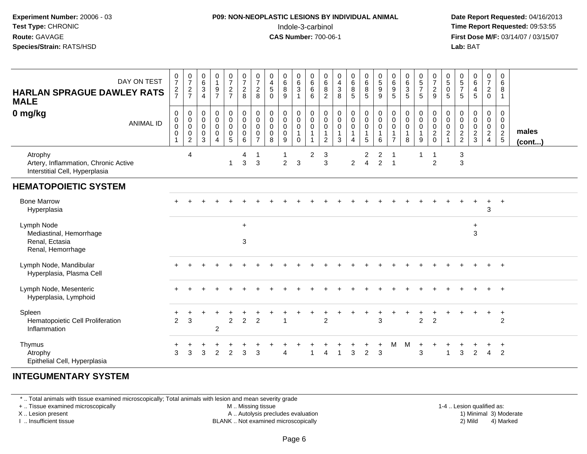#### **P09: NON-NEOPLASTIC LESIONS BY INDIVIDUAL ANIMAL**Indole-3-carbinol **Time Report Requested:** 09:53:55

 **Date Report Requested:** 04/16/2013 **First Dose M/F:** 03/14/07 / 03/15/07<br>**Lab: BAT** 

| <b>HARLAN SPRAGUE DAWLEY RATS</b><br><b>MALE</b><br>0 mg/kg                       | DAY ON TEST<br><b>ANIMAL ID</b> | $\frac{0}{7}$<br>$\frac{2}{7}$<br>$\mathbf 0$<br>$\pmb{0}$<br>$\pmb{0}$<br>$\pmb{0}$ | 0<br>$\overline{7}$<br>$\frac{2}{7}$<br>0<br>$\pmb{0}$<br>0<br>$\pmb{0}$ | 0<br>$\,6\,$<br>$\frac{3}{4}$<br>0<br>$\mathbf 0$<br>$\mathbf 0$<br>0 | 0<br>$\mathbf{1}$<br>$\frac{9}{7}$<br>$\boldsymbol{0}$<br>$\pmb{0}$<br>0<br>$\mathbf 0$ | 0<br>$\boldsymbol{7}$<br>$\frac{2}{7}$<br>$\pmb{0}$<br>$\overline{0}$<br>0<br>0 | $\frac{0}{7}$<br>$\frac{2}{8}$<br>$\pmb{0}$<br>$\mathbf 0$<br>$\mathbf 0$<br>$\overline{0}$ | 0<br>$\overline{7}$<br>$\overline{2}$<br>8<br>$\pmb{0}$<br>$\mathbf 0$<br>$\mathbf 0$<br>$\mathbf 0$ | 0<br>$\overline{\mathbf{4}}$<br>$\mathbf 5$<br>$\mathbf 0$<br>$\pmb{0}$<br>$\pmb{0}$<br>$\mathbf 0$<br>0 | 0<br>6<br>$\bf 8$<br>9<br>0<br>$\mathbf 0$<br>$\mathbf 0$<br>0 | 0<br>$\,6\,$<br>$\sqrt{3}$<br>$\mathbf{1}$<br>0<br>$\mathbf 0$<br>$\mathbf 0$<br>$\mathbf 1$ | 0<br>$\,6\,$<br>$\,6$<br>6<br>0<br>$\pmb{0}$<br>0 | $\mathbf 0$<br>$\,6\,$<br>8<br>$\overline{2}$<br>$\boldsymbol{0}$<br>$\boldsymbol{0}$<br>$\mathbf 0$<br>$\overline{\mathbf{1}}$ | $_4^{\rm 0}$<br>$\sqrt{3}$<br>8<br>$\pmb{0}$<br>$\mathbf 0$<br>$\mathbf 0$<br>$\mathbf{1}$ | 0<br>$\,6\,$<br>$\bf8$<br>$\sqrt{5}$<br>$\pmb{0}$<br>$\mathsf{O}\xspace$<br>$\mathbf 0$<br>1 | 0<br>$6^{\circ}$<br>8<br>$\overline{5}$<br>$\begin{smallmatrix}0\\0\end{smallmatrix}$<br>$\mathbf 0$<br>$\mathbf{1}$ | $\begin{array}{c} 0 \\ 5 \end{array}$<br>$\boldsymbol{9}$<br>9<br>$\pmb{0}$<br>$\mathsf 0$<br>0<br>$\mathbf{1}$ | 0<br>$\,6\,$<br>9<br>$\overline{5}$<br>0<br>$\pmb{0}$<br>0 | 0<br>6<br>3<br>5<br>$\begin{smallmatrix} 0\\0 \end{smallmatrix}$<br>$\pmb{0}$<br>1 | $\begin{smallmatrix}0\0\5\end{smallmatrix}$<br>$\overline{7}$<br>$\sqrt{5}$<br>0<br>$\pmb{0}$<br>0<br>$\overline{1}$ | $\frac{0}{7}$<br>$\boldsymbol{2}$<br>9<br>$\,0\,$<br>$\mathbf 0$<br>$\mathbf 0$<br>$\frac{2}{0}$ | $\begin{array}{c} 0 \\ 5 \end{array}$<br>0<br>5<br>0<br>$\mathbf 0$<br>0<br>$\boldsymbol{2}$ | $^{\rm 0}_{\rm 5}$<br>$\overline{7}$<br>$5\phantom{.0}$<br>0<br>$\pmb{0}$<br>0 | $_{6}^{\rm 0}$<br>$\overline{\mathbf{4}}$<br>5<br>$\pmb{0}$<br>$\mathsf{O}$<br>$\pmb{0}$<br>$\frac{2}{3}$ | 0<br>$\overline{7}$<br>$\overline{a}$<br>$\mathbf 0$<br>0<br>$\overline{0}$<br>$\overline{0}$<br>$\frac{2}{4}$ | 0<br>6<br>8<br>$\overline{1}$<br>0<br>$\pmb{0}$<br>$\frac{0}{2}$ | males        |
|-----------------------------------------------------------------------------------|---------------------------------|--------------------------------------------------------------------------------------|--------------------------------------------------------------------------|-----------------------------------------------------------------------|-----------------------------------------------------------------------------------------|---------------------------------------------------------------------------------|---------------------------------------------------------------------------------------------|------------------------------------------------------------------------------------------------------|----------------------------------------------------------------------------------------------------------|----------------------------------------------------------------|----------------------------------------------------------------------------------------------|---------------------------------------------------|---------------------------------------------------------------------------------------------------------------------------------|--------------------------------------------------------------------------------------------|----------------------------------------------------------------------------------------------|----------------------------------------------------------------------------------------------------------------------|-----------------------------------------------------------------------------------------------------------------|------------------------------------------------------------|------------------------------------------------------------------------------------|----------------------------------------------------------------------------------------------------------------------|--------------------------------------------------------------------------------------------------|----------------------------------------------------------------------------------------------|--------------------------------------------------------------------------------|-----------------------------------------------------------------------------------------------------------|----------------------------------------------------------------------------------------------------------------|------------------------------------------------------------------|--------------|
| Atrophy<br>Artery, Inflammation, Chronic Active<br>Interstitial Cell, Hyperplasia |                                 | $\mathbf{1}$                                                                         | $\overline{c}$<br>$\overline{4}$                                         | 3                                                                     | $\overline{4}$                                                                          | $\overline{5}$<br>$\mathbf{1}$                                                  | 6<br>4<br>3                                                                                 | $\overline{7}$<br>$\mathbf{1}$<br>3                                                                  | 8                                                                                                        | 9<br>$\overline{c}$                                            | $\mathbf 0$<br>3                                                                             | 2                                                 | 2<br>3<br>3                                                                                                                     | 3                                                                                          | 4<br>$\overline{c}$                                                                          | $5\overline{)}$<br>2<br>$\overline{4}$                                                                               | 6<br>$\overline{\mathbf{c}}$<br>$\overline{2}$                                                                  | $\overline{7}$<br>$\overline{1}$                           | 8                                                                                  | 9<br>1                                                                                                               | 1<br>$\overline{c}$                                                                              |                                                                                              | $\frac{2}{2}$<br>3<br>3                                                        |                                                                                                           |                                                                                                                |                                                                  | $($ cont $)$ |
| <b>HEMATOPOIETIC SYSTEM</b>                                                       |                                 |                                                                                      |                                                                          |                                                                       |                                                                                         |                                                                                 |                                                                                             |                                                                                                      |                                                                                                          |                                                                |                                                                                              |                                                   |                                                                                                                                 |                                                                                            |                                                                                              |                                                                                                                      |                                                                                                                 |                                                            |                                                                                    |                                                                                                                      |                                                                                                  |                                                                                              |                                                                                |                                                                                                           |                                                                                                                |                                                                  |              |
| <b>Bone Marrow</b><br>Hyperplasia                                                 |                                 |                                                                                      |                                                                          |                                                                       |                                                                                         |                                                                                 |                                                                                             |                                                                                                      |                                                                                                          |                                                                |                                                                                              |                                                   |                                                                                                                                 |                                                                                            |                                                                                              |                                                                                                                      |                                                                                                                 |                                                            |                                                                                    |                                                                                                                      |                                                                                                  |                                                                                              |                                                                                | $\div$                                                                                                    | $\ddot{}$<br>3                                                                                                 | $+$                                                              |              |
| Lymph Node<br>Mediastinal, Hemorrhage<br>Renal, Ectasia<br>Renal, Hemorrhage      |                                 |                                                                                      |                                                                          |                                                                       |                                                                                         |                                                                                 | $+$<br>3                                                                                    |                                                                                                      |                                                                                                          |                                                                |                                                                                              |                                                   |                                                                                                                                 |                                                                                            |                                                                                              |                                                                                                                      |                                                                                                                 |                                                            |                                                                                    |                                                                                                                      |                                                                                                  |                                                                                              |                                                                                | $\ddot{}$<br>3                                                                                            |                                                                                                                |                                                                  |              |
| Lymph Node, Mandibular<br>Hyperplasia, Plasma Cell                                |                                 |                                                                                      |                                                                          |                                                                       |                                                                                         |                                                                                 |                                                                                             |                                                                                                      |                                                                                                          |                                                                |                                                                                              |                                                   |                                                                                                                                 |                                                                                            |                                                                                              |                                                                                                                      |                                                                                                                 |                                                            |                                                                                    |                                                                                                                      |                                                                                                  |                                                                                              |                                                                                |                                                                                                           |                                                                                                                | $\pm$                                                            |              |
| Lymph Node, Mesenteric<br>Hyperplasia, Lymphoid                                   |                                 |                                                                                      |                                                                          |                                                                       |                                                                                         |                                                                                 |                                                                                             |                                                                                                      |                                                                                                          |                                                                |                                                                                              |                                                   |                                                                                                                                 |                                                                                            |                                                                                              |                                                                                                                      |                                                                                                                 |                                                            |                                                                                    |                                                                                                                      |                                                                                                  |                                                                                              |                                                                                |                                                                                                           |                                                                                                                | $\overline{+}$                                                   |              |
| Spleen<br>Hematopoietic Cell Proliferation<br>Inflammation                        |                                 | $\overline{2}$                                                                       | 3                                                                        |                                                                       | $\overline{c}$                                                                          | $\overline{2}$                                                                  | $\overline{2}$                                                                              | $\overline{2}$                                                                                       |                                                                                                          |                                                                |                                                                                              |                                                   | $\overline{2}$                                                                                                                  |                                                                                            |                                                                                              |                                                                                                                      | 3                                                                                                               |                                                            |                                                                                    | $\overline{2}$                                                                                                       | $\overline{2}$                                                                                   |                                                                                              |                                                                                |                                                                                                           | ÷                                                                                                              | $\ddot{}$<br>2                                                   |              |
| Thymus<br>Atrophy<br>Epithelial Cell, Hyperplasia                                 |                                 | 3                                                                                    | 3                                                                        | 3                                                                     | $\overline{2}$                                                                          | $\overline{2}$                                                                  | 3                                                                                           | 3                                                                                                    |                                                                                                          |                                                                |                                                                                              |                                                   | Δ                                                                                                                               | -1                                                                                         | 3                                                                                            | 2                                                                                                                    | 3                                                                                                               | М                                                          | M                                                                                  | 3                                                                                                                    |                                                                                                  |                                                                                              | 3                                                                              | $\overline{2}$                                                                                            | $\overline{4}$                                                                                                 | $\overline{+}$<br>2                                              |              |

#### **INTEGUMENTARY SYSTEM**

\* .. Total animals with tissue examined microscopically; Total animals with lesion and mean severity grade

+ .. Tissue examined microscopically

X .. Lesion present

I .. Insufficient tissue

M .. Missing tissue

A .. Autolysis precludes evaluation

BLANK .. Not examined microscopically 2) Mild 4) Marked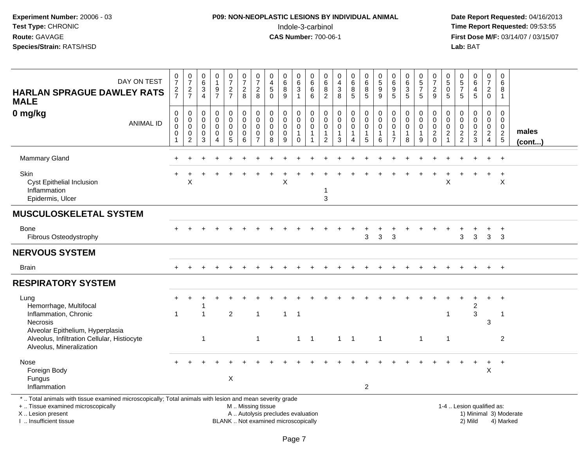### **P09: NON-NEOPLASTIC LESIONS BY INDIVIDUAL ANIMAL**Indole-3-carbinol **Time Report Requested:** 09:53:55

| DAY ON TEST<br><b>HARLAN SPRAGUE DAWLEY RATS</b><br><b>MALE</b>                                                                                                                               | $\pmb{0}$<br>$\overline{7}$<br>$\frac{2}{7}$                  | $\pmb{0}$<br>$\overline{7}$<br>$\frac{2}{7}$                               | 0<br>6<br>3<br>$\overline{4}$                       | 0<br>$\mathbf{1}$<br>$\frac{9}{7}$                     | 0<br>$\overline{7}$<br>$rac{2}{7}$                          | $\pmb{0}$<br>$\overline{7}$<br>$\boldsymbol{2}$<br>8        | $\pmb{0}$<br>$\overline{7}$<br>$\overline{c}$<br>8                         | 0<br>4<br>$\sqrt{5}$<br>$\mathbf{0}$                                     | 0<br>$\,6$<br>$\,8\,$<br>9              | 0<br>6<br>3<br>$\mathbf{1}$                                              | 0<br>$\,6\,$<br>6<br>6               | 0<br>6<br>8<br>2                                     | $\pmb{0}$<br>$\overline{4}$<br>$\sqrt{3}$<br>8           | $\mathbf 0$<br>$6\phantom{1}6$<br>8<br>$5\phantom{.0}$         | $\pmb{0}$<br>$\,6\,$<br>8<br>$5\phantom{1}$                                  | $\pmb{0}$<br>$\sqrt{5}$<br>$\boldsymbol{9}$<br>9               | $\mathbf 0$<br>6<br>9<br>5                                                  | 0<br>$\frac{6}{3}$<br>5                   | 0<br>5<br>$\overline{7}$<br>5                                  | $\boldsymbol{0}$<br>$\overline{7}$<br>$\overline{c}$<br>9                | 0<br>$\,$ 5 $\,$<br>$\mathbf 0$<br>5                        | $\mathbf 0$<br>$\frac{5}{7}$<br>5                | $\pmb{0}$<br>$\,6\,$<br>$\overline{\mathbf{4}}$<br>$\sqrt{5}$ | $\mathbf 0$<br>$\overline{7}$<br>$\overline{a}$<br>$\mathbf 0$             | 0<br>6<br>8<br>1                                        |                 |
|-----------------------------------------------------------------------------------------------------------------------------------------------------------------------------------------------|---------------------------------------------------------------|----------------------------------------------------------------------------|-----------------------------------------------------|--------------------------------------------------------|-------------------------------------------------------------|-------------------------------------------------------------|----------------------------------------------------------------------------|--------------------------------------------------------------------------|-----------------------------------------|--------------------------------------------------------------------------|--------------------------------------|------------------------------------------------------|----------------------------------------------------------|----------------------------------------------------------------|------------------------------------------------------------------------------|----------------------------------------------------------------|-----------------------------------------------------------------------------|-------------------------------------------|----------------------------------------------------------------|--------------------------------------------------------------------------|-------------------------------------------------------------|--------------------------------------------------|---------------------------------------------------------------|----------------------------------------------------------------------------|---------------------------------------------------------|-----------------|
| 0 mg/kg<br><b>ANIMAL ID</b>                                                                                                                                                                   | $\mathbf 0$<br>$\mathbf 0$<br>$\mathbf 0$<br>$\mathbf 0$<br>1 | $\mathbf 0$<br>$\mathbf 0$<br>$\mathbf 0$<br>$\mathbf 0$<br>$\overline{2}$ | $\mathbf 0$<br>$\mathbf 0$<br>$\mathbf 0$<br>0<br>3 | 0<br>$\mathbf 0$<br>0<br>$\mathbf 0$<br>$\overline{4}$ | $\pmb{0}$<br>$\mathbf 0$<br>$\mathbf 0$<br>$\mathbf 0$<br>5 | $\mathbf 0$<br>$\pmb{0}$<br>$\mathbf 0$<br>$\mathbf 0$<br>6 | $\mathbf 0$<br>$\mathbf 0$<br>$\mathbf 0$<br>$\mathbf 0$<br>$\overline{7}$ | $\mathbf 0$<br>$\mathbf 0$<br>$\mathbf 0$<br>$\mathbf 0$<br>8            | 0<br>0<br>$\pmb{0}$<br>$\mathbf 0$<br>9 | $\mathbf 0$<br>$\mathbf 0$<br>$\mathbf 0$<br>$\mathbf{1}$<br>$\mathbf 0$ | $\mathbf 0$<br>0<br>$\mathbf 0$<br>1 | $\mathbf 0$<br>$\mathbf 0$<br>0<br>$\mathbf{1}$<br>2 | $\pmb{0}$<br>$\pmb{0}$<br>$\pmb{0}$<br>$\mathbf{1}$<br>3 | $\mathbf 0$<br>$\mathbf 0$<br>$\mathbf 0$<br>$\mathbf{1}$<br>4 | $\pmb{0}$<br>$\mathbf 0$<br>$\mathbf 0$<br>$\overline{1}$<br>$5\phantom{.0}$ | $\pmb{0}$<br>$\mathbf 0$<br>$\mathbf 0$<br>$\overline{1}$<br>6 | $\mathbf 0$<br>$\mathbf 0$<br>$\mathbf 0$<br>$\mathbf{1}$<br>$\overline{7}$ | 0<br>$\mathbf 0$<br>0<br>$\mathbf 1$<br>8 | $\mathbf 0$<br>$\mathsf 0$<br>$\mathbf 0$<br>$\mathbf{1}$<br>9 | $\mathbf 0$<br>$\mathbf 0$<br>$\pmb{0}$<br>$\overline{c}$<br>$\mathbf 0$ | $\mathbf 0$<br>$\mathbf 0$<br>$\mathbf 0$<br>$\overline{c}$ | $\mathbf 0$<br>$\mathbf 0$<br>0<br>$\frac{2}{2}$ | $\mathbf 0$<br>$\mathbf 0$<br>$\mathbf 0$<br>$\frac{2}{3}$    | $\Omega$<br>$\mathbf 0$<br>$\mathbf 0$<br>$\overline{a}$<br>$\overline{4}$ | $\Omega$<br>$\mathbf 0$<br>$\mathbf 0$<br>$\frac{2}{5}$ | males<br>(cont) |
| <b>Mammary Gland</b>                                                                                                                                                                          |                                                               |                                                                            |                                                     |                                                        |                                                             |                                                             |                                                                            |                                                                          |                                         |                                                                          |                                      |                                                      |                                                          |                                                                |                                                                              |                                                                |                                                                             |                                           |                                                                |                                                                          |                                                             |                                                  |                                                               |                                                                            | $\ddot{}$                                               |                 |
| Skin<br>Cyst Epithelial Inclusion<br>Inflammation<br>Epidermis, Ulcer                                                                                                                         |                                                               | X                                                                          |                                                     |                                                        |                                                             |                                                             |                                                                            |                                                                          | X                                       |                                                                          |                                      | -1<br>3                                              |                                                          |                                                                |                                                                              |                                                                |                                                                             |                                           |                                                                |                                                                          | X                                                           |                                                  |                                                               |                                                                            | $\ddot{}$<br>X                                          |                 |
| <b>MUSCULOSKELETAL SYSTEM</b>                                                                                                                                                                 |                                                               |                                                                            |                                                     |                                                        |                                                             |                                                             |                                                                            |                                                                          |                                         |                                                                          |                                      |                                                      |                                                          |                                                                |                                                                              |                                                                |                                                                             |                                           |                                                                |                                                                          |                                                             |                                                  |                                                               |                                                                            |                                                         |                 |
| Bone<br>Fibrous Osteodystrophy                                                                                                                                                                |                                                               |                                                                            |                                                     |                                                        |                                                             |                                                             |                                                                            |                                                                          |                                         |                                                                          |                                      |                                                      |                                                          |                                                                | 3                                                                            | 3                                                              | 3                                                                           |                                           |                                                                |                                                                          |                                                             | 3                                                | 3                                                             | 3                                                                          | $\overline{+}$<br>3                                     |                 |
| <b>NERVOUS SYSTEM</b>                                                                                                                                                                         |                                                               |                                                                            |                                                     |                                                        |                                                             |                                                             |                                                                            |                                                                          |                                         |                                                                          |                                      |                                                      |                                                          |                                                                |                                                                              |                                                                |                                                                             |                                           |                                                                |                                                                          |                                                             |                                                  |                                                               |                                                                            |                                                         |                 |
| <b>Brain</b>                                                                                                                                                                                  |                                                               |                                                                            |                                                     |                                                        |                                                             |                                                             |                                                                            |                                                                          |                                         |                                                                          |                                      |                                                      |                                                          |                                                                |                                                                              |                                                                |                                                                             |                                           |                                                                |                                                                          |                                                             |                                                  |                                                               | $\ddot{}$                                                                  | $+$                                                     |                 |
| <b>RESPIRATORY SYSTEM</b>                                                                                                                                                                     |                                                               |                                                                            |                                                     |                                                        |                                                             |                                                             |                                                                            |                                                                          |                                         |                                                                          |                                      |                                                      |                                                          |                                                                |                                                                              |                                                                |                                                                             |                                           |                                                                |                                                                          |                                                             |                                                  |                                                               |                                                                            |                                                         |                 |
| Lung<br>Hemorrhage, Multifocal<br>Inflammation, Chronic<br>Necrosis                                                                                                                           | $\overline{1}$                                                |                                                                            | 1                                                   |                                                        | $\overline{2}$                                              |                                                             | $\overline{1}$                                                             |                                                                          | $\mathbf{1}$                            | $\overline{1}$                                                           |                                      |                                                      |                                                          |                                                                |                                                                              |                                                                |                                                                             |                                           |                                                                |                                                                          | $\mathbf 1$                                                 |                                                  | $\overline{c}$<br>3                                           | 3                                                                          | -1                                                      |                 |
| Alveolar Epithelium, Hyperplasia<br>Alveolus, Infiltration Cellular, Histiocyte<br>Alveolus, Mineralization                                                                                   |                                                               |                                                                            | $\mathbf{1}$                                        |                                                        |                                                             |                                                             | $\mathbf{1}$                                                               |                                                                          |                                         | $1 \quad 1$                                                              |                                      |                                                      | $1 \quad 1$                                              |                                                                |                                                                              | $\mathbf{1}$                                                   |                                                                             |                                           | $\overline{1}$                                                 |                                                                          | $\mathbf{1}$                                                |                                                  |                                                               |                                                                            | $\overline{2}$                                          |                 |
| Nose<br>Foreign Body<br>Fungus<br>Inflammation                                                                                                                                                |                                                               |                                                                            |                                                     |                                                        | $\boldsymbol{\mathsf{X}}$                                   |                                                             |                                                                            |                                                                          |                                         |                                                                          |                                      |                                                      |                                                          |                                                                | $\overline{2}$                                                               |                                                                |                                                                             |                                           |                                                                |                                                                          |                                                             |                                                  | $\ddot{}$                                                     | $\ddot{}$<br>X                                                             | $+$                                                     |                 |
| *  Total animals with tissue examined microscopically; Total animals with lesion and mean severity grade<br>+  Tissue examined microscopically<br>X  Lesion present<br>I. Insufficient tissue |                                                               |                                                                            |                                                     |                                                        |                                                             | M  Missing tissue                                           |                                                                            | A  Autolysis precludes evaluation<br>BLANK  Not examined microscopically |                                         |                                                                          |                                      |                                                      |                                                          |                                                                |                                                                              |                                                                |                                                                             |                                           |                                                                |                                                                          |                                                             | 1-4  Lesion qualified as:                        | 2) Mild                                                       |                                                                            | 1) Minimal 3) Moderate<br>4) Marked                     |                 |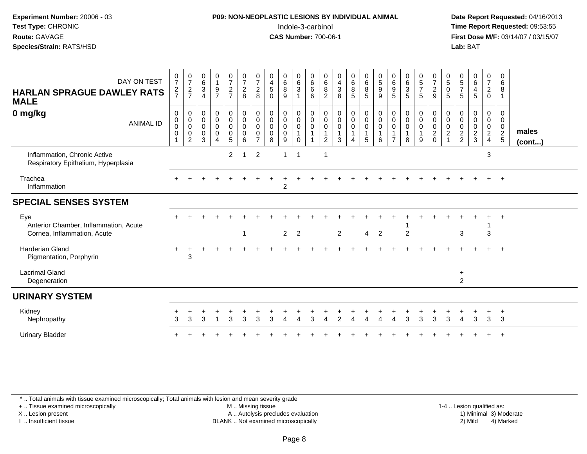### **P09: NON-NEOPLASTIC LESIONS BY INDIVIDUAL ANIMAL**Indole-3-carbinol **Time Report Requested:** 09:53:55

 **Date Report Requested:** 04/16/2013 **First Dose M/F:** 03/14/07 / 03/15/07<br>**Lab: BAT** 

| DAY ON TEST<br><b>HARLAN SPRAGUE DAWLEY RATS</b><br><b>MALE</b><br>0 mg/kg<br><b>ANIMAL ID</b> | $\frac{0}{7}$<br>$\frac{2}{7}$<br>$\boldsymbol{0}$<br>$\mathbf 0$<br>$\boldsymbol{0}$<br>$\mathbf 0$<br>$\mathbf{1}$ | $\frac{0}{7}$<br>$rac{2}{7}$<br>0<br>$\mathbf 0$<br>$\mathbf 0$<br>0<br>$\overline{c}$ | $_{6}^{\rm 0}$<br>$\mathbf{3}$<br>$\overline{4}$<br>$\pmb{0}$<br>$\boldsymbol{0}$<br>$\mathbf 0$<br>$\mathbf 0$<br>3 | $\begin{smallmatrix}0\1\end{smallmatrix}$<br>9<br>$\overline{7}$<br>0<br>$\mathsf{O}\xspace$<br>$\mathsf{O}$<br>$\mathsf 0$ | $\frac{0}{7}$<br>$\frac{2}{7}$<br>0<br>$\mathbf 0$<br>$\boldsymbol{0}$<br>0<br>5 | $\frac{0}{7}$<br>$\sqrt{2}$<br>8<br>$\begin{smallmatrix} 0\\0 \end{smallmatrix}$<br>$\mathbf 0$<br>$\mathbf 0$<br>6 | $\frac{0}{7}$<br>$\overline{2}$<br>8<br>0<br>$\mathbf 0$<br>$\mathbf 0$<br>0<br>$\overline{7}$ | $\pmb{0}$<br>$\overline{4}$<br>$\sqrt{5}$<br>$\Omega$<br>$\pmb{0}$<br>$\pmb{0}$<br>$\pmb{0}$<br>$\mathbf 0$<br>8 | $_{6}^{\rm 0}$<br>8<br>9<br>0<br>$\mathbf 0$<br>$\pmb{0}$<br>$\mathbf 0$<br>9 | $\begin{matrix} 0 \\ 6 \end{matrix}$<br>$\mathbf{3}$<br>$\overline{1}$<br>$\begin{smallmatrix} 0\\0 \end{smallmatrix}$<br>$\mathbf 0$<br>$\mathbf{1}$<br>$\mathbf 0$ | 0<br>6<br>6<br>6<br>0<br>$\mathbf 0$<br>$\mathbf 0$<br>$\mathbf{1}$ | 0<br>$\,6$<br>$\bf 8$<br>$\overline{2}$<br>0<br>$\pmb{0}$<br>$\pmb{0}$<br>2 | $\begin{smallmatrix}0\\4\end{smallmatrix}$<br>$\sqrt{3}$<br>$\overline{8}$<br>$\begin{smallmatrix} 0\\0 \end{smallmatrix}$<br>$\pmb{0}$<br>3 | $\begin{array}{c} 0 \\ 6 \end{array}$<br>$\bf 8$<br>$\overline{5}$<br>$\begin{smallmatrix}0\0\0\end{smallmatrix}$<br>$\pmb{0}$<br>$\overline{\mathbf{1}}$<br>4 | $\begin{array}{c} 0 \\ 6 \end{array}$<br>8<br>5<br>$\begin{smallmatrix} 0\\0 \end{smallmatrix}$<br>$\mathbf 0$<br>$\mathbf{1}$<br>5 | $\begin{matrix} 0 \\ 5 \end{matrix}$<br>9<br>9<br>0<br>0<br>0<br>6 | $\begin{array}{c} 0 \\ 6 \end{array}$<br>$\boldsymbol{9}$<br>5<br>$\pmb{0}$<br>$\pmb{0}$<br>0<br>$\overline{7}$ | $\begin{matrix} 0 \\ 6 \end{matrix}$<br>$\mathbf{3}$<br>$\overline{5}$<br>0<br>$\mathsf{O}$<br>$\mathsf 0$<br>8 | $\begin{matrix} 0 \\ 5 \end{matrix}$<br>$\boldsymbol{7}$<br>5<br>0<br>$\pmb{0}$<br>$\mathbf 0$<br>9 | $\frac{0}{7}$<br>$\boldsymbol{2}$<br>$\mathsf g$<br>0<br>$\mathbf 0$<br>$\mathsf 0$<br>$\frac{2}{0}$ | $\begin{matrix}0\\5\end{matrix}$<br>$\mathsf{O}$<br>5<br>0<br>$\mathbf 0$<br>$\mathbf 0$<br>$\sqrt{2}$ | $\begin{array}{c} 0 \\ 5 \end{array}$<br>$\overline{7}$<br>5<br>$\boldsymbol{0}$<br>$\mathbf 0$<br>$\pmb{0}$<br>$\frac{2}{2}$ | $\begin{matrix} 0 \\ 6 \end{matrix}$<br>4<br>5<br>0<br>$\mathbf 0$<br>$\mathbf 0$<br>$\overline{a}$<br>3 | $\frac{0}{7}$<br>$\overline{c}$<br>$\mathbf 0$<br>$\pmb{0}$<br>$\overline{0}$<br>$\mathbf 0$<br>$\frac{2}{4}$ | 0<br>6<br>8<br>$\mathbf{1}$<br>0<br>$\mathbf{0}$<br>0<br>$\frac{2}{5}$ | males<br>$($ cont $)$ |
|------------------------------------------------------------------------------------------------|----------------------------------------------------------------------------------------------------------------------|----------------------------------------------------------------------------------------|----------------------------------------------------------------------------------------------------------------------|-----------------------------------------------------------------------------------------------------------------------------|----------------------------------------------------------------------------------|---------------------------------------------------------------------------------------------------------------------|------------------------------------------------------------------------------------------------|------------------------------------------------------------------------------------------------------------------|-------------------------------------------------------------------------------|----------------------------------------------------------------------------------------------------------------------------------------------------------------------|---------------------------------------------------------------------|-----------------------------------------------------------------------------|----------------------------------------------------------------------------------------------------------------------------------------------|----------------------------------------------------------------------------------------------------------------------------------------------------------------|-------------------------------------------------------------------------------------------------------------------------------------|--------------------------------------------------------------------|-----------------------------------------------------------------------------------------------------------------|-----------------------------------------------------------------------------------------------------------------|-----------------------------------------------------------------------------------------------------|------------------------------------------------------------------------------------------------------|--------------------------------------------------------------------------------------------------------|-------------------------------------------------------------------------------------------------------------------------------|----------------------------------------------------------------------------------------------------------|---------------------------------------------------------------------------------------------------------------|------------------------------------------------------------------------|-----------------------|
| Inflammation, Chronic Active<br>Respiratory Epithelium, Hyperplasia                            |                                                                                                                      |                                                                                        |                                                                                                                      |                                                                                                                             | $\overline{2}$                                                                   | 1                                                                                                                   | $\overline{c}$                                                                                 |                                                                                                                  | 1                                                                             | -1                                                                                                                                                                   |                                                                     |                                                                             |                                                                                                                                              |                                                                                                                                                                |                                                                                                                                     |                                                                    |                                                                                                                 |                                                                                                                 |                                                                                                     |                                                                                                      |                                                                                                        |                                                                                                                               |                                                                                                          | 3                                                                                                             |                                                                        |                       |
| Trachea<br>Inflammation                                                                        |                                                                                                                      |                                                                                        |                                                                                                                      |                                                                                                                             |                                                                                  |                                                                                                                     |                                                                                                |                                                                                                                  | $\overline{2}$                                                                |                                                                                                                                                                      |                                                                     |                                                                             |                                                                                                                                              |                                                                                                                                                                |                                                                                                                                     |                                                                    |                                                                                                                 |                                                                                                                 |                                                                                                     |                                                                                                      |                                                                                                        |                                                                                                                               |                                                                                                          |                                                                                                               | $\div$                                                                 |                       |
| <b>SPECIAL SENSES SYSTEM</b>                                                                   |                                                                                                                      |                                                                                        |                                                                                                                      |                                                                                                                             |                                                                                  |                                                                                                                     |                                                                                                |                                                                                                                  |                                                                               |                                                                                                                                                                      |                                                                     |                                                                             |                                                                                                                                              |                                                                                                                                                                |                                                                                                                                     |                                                                    |                                                                                                                 |                                                                                                                 |                                                                                                     |                                                                                                      |                                                                                                        |                                                                                                                               |                                                                                                          |                                                                                                               |                                                                        |                       |
| Eye<br>Anterior Chamber, Inflammation, Acute<br>Cornea, Inflammation, Acute                    |                                                                                                                      |                                                                                        |                                                                                                                      |                                                                                                                             |                                                                                  | $\overline{1}$                                                                                                      |                                                                                                |                                                                                                                  | $\overline{2}$                                                                | $\overline{2}$                                                                                                                                                       |                                                                     |                                                                             | $\overline{2}$                                                                                                                               |                                                                                                                                                                | $\overline{4}$                                                                                                                      | $\overline{2}$                                                     |                                                                                                                 | $\overline{2}$                                                                                                  |                                                                                                     |                                                                                                      |                                                                                                        | 3                                                                                                                             |                                                                                                          | 3                                                                                                             | $\overline{ }$                                                         |                       |
| <b>Harderian Gland</b><br>Pigmentation, Porphyrin                                              |                                                                                                                      | 3                                                                                      |                                                                                                                      |                                                                                                                             |                                                                                  |                                                                                                                     |                                                                                                |                                                                                                                  |                                                                               |                                                                                                                                                                      |                                                                     |                                                                             |                                                                                                                                              |                                                                                                                                                                |                                                                                                                                     |                                                                    |                                                                                                                 |                                                                                                                 |                                                                                                     |                                                                                                      |                                                                                                        |                                                                                                                               |                                                                                                          |                                                                                                               | $^{+}$                                                                 |                       |
| <b>Lacrimal Gland</b><br>Degeneration                                                          |                                                                                                                      |                                                                                        |                                                                                                                      |                                                                                                                             |                                                                                  |                                                                                                                     |                                                                                                |                                                                                                                  |                                                                               |                                                                                                                                                                      |                                                                     |                                                                             |                                                                                                                                              |                                                                                                                                                                |                                                                                                                                     |                                                                    |                                                                                                                 |                                                                                                                 |                                                                                                     |                                                                                                      |                                                                                                        | $\ddot{}$<br>$\overline{2}$                                                                                                   |                                                                                                          |                                                                                                               |                                                                        |                       |
| <b>URINARY SYSTEM</b>                                                                          |                                                                                                                      |                                                                                        |                                                                                                                      |                                                                                                                             |                                                                                  |                                                                                                                     |                                                                                                |                                                                                                                  |                                                                               |                                                                                                                                                                      |                                                                     |                                                                             |                                                                                                                                              |                                                                                                                                                                |                                                                                                                                     |                                                                    |                                                                                                                 |                                                                                                                 |                                                                                                     |                                                                                                      |                                                                                                        |                                                                                                                               |                                                                                                          |                                                                                                               |                                                                        |                       |
| Kidney<br>Nephropathy                                                                          | 3                                                                                                                    | 3                                                                                      | 3                                                                                                                    |                                                                                                                             | 3                                                                                | 3                                                                                                                   | 3                                                                                              |                                                                                                                  |                                                                               |                                                                                                                                                                      | 3                                                                   |                                                                             | 2                                                                                                                                            | Δ                                                                                                                                                              |                                                                                                                                     |                                                                    |                                                                                                                 | 3                                                                                                               | 3                                                                                                   | 3                                                                                                    | 3                                                                                                      | 4                                                                                                                             | 3                                                                                                        | 3                                                                                                             | $\ddot{}$<br>3                                                         |                       |
| <b>Urinary Bladder</b>                                                                         |                                                                                                                      |                                                                                        |                                                                                                                      |                                                                                                                             |                                                                                  |                                                                                                                     |                                                                                                |                                                                                                                  |                                                                               |                                                                                                                                                                      |                                                                     |                                                                             |                                                                                                                                              |                                                                                                                                                                |                                                                                                                                     |                                                                    |                                                                                                                 |                                                                                                                 |                                                                                                     |                                                                                                      |                                                                                                        |                                                                                                                               |                                                                                                          |                                                                                                               | $\overline{1}$                                                         |                       |

\* .. Total animals with tissue examined microscopically; Total animals with lesion and mean severity grade

+ .. Tissue examined microscopically

X .. Lesion present

I .. Insufficient tissue

 M .. Missing tissueA .. Autolysis precludes evaluation

1-4 .. Lesion qualified as:<br>1) Minimal 3) Moderate BLANK .. Not examined microscopically 2) Mild 4) Marked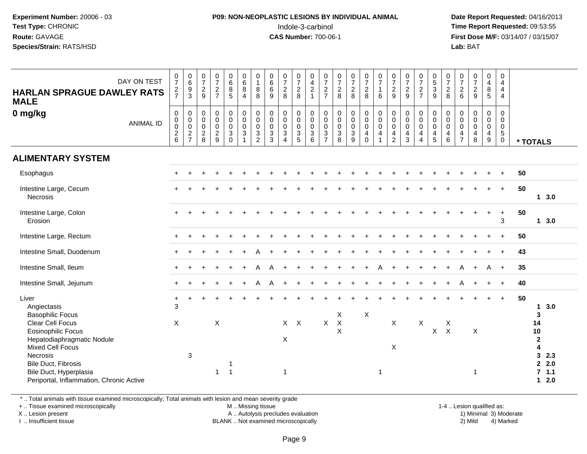#### **P09: NON-NEOPLASTIC LESIONS BY INDIVIDUAL ANIMAL**Indole-3-carbinol **Time Report Requested:** 09:53:55

 **Date Report Requested:** 04/16/2013 **First Dose M/F:** 03/14/07 / 03/15/07<br>**Lab: BAT Lab:** BAT

| DAY ON TEST<br><b>HARLAN SPRAGUE DAWLEY RATS</b><br><b>MALE</b>                                                                         | $\begin{array}{c} 0 \\ 7 \end{array}$<br>$\frac{2}{7}$ | 0<br>0<br>0<br>0<br>3                                       | $\frac{0}{7}$<br>$\sqrt{2}$<br>$9\,$         | $\frac{0}{7}$<br>$\frac{2}{7}$                             | $_{6}^{\rm 0}$<br>$\overline{8}$<br>5                                  | $\begin{array}{c} 0 \\ 6 \end{array}$<br>$\overline{8}$<br>$\overline{4}$                 | $\begin{smallmatrix}0\1\end{smallmatrix}$<br>$\bf 8$<br>8                 | $\begin{matrix}0\6\6\end{matrix}$<br>9        | $\begin{array}{c} 0 \\ 7 \end{array}$<br>$\frac{2}{8}$                | $\frac{0}{7}$<br>$\frac{2}{8}$                                  | $\begin{bmatrix} 0 \\ 4 \\ 2 \\ 1 \end{bmatrix}$                  | $\frac{0}{7}$<br>$\frac{2}{7}$                                               | $\frac{0}{7}$<br>8                                   | $\frac{0}{7}$<br>$\frac{2}{8}$                                                            | $\begin{array}{c} 0 \\ 7 \end{array}$<br>$\frac{2}{8}$                                              | $\frac{0}{7}$<br>$\mathbf{1}$<br>6                                | $\frac{0}{7}$<br>$\sqrt{2}$<br>9   | $\begin{array}{c} 0 \\ 7 \end{array}$<br>$\frac{2}{9}$                             | $\frac{0}{7}$<br>$\frac{2}{7}$                                    | $\begin{array}{c} 0 \\ 5 \\ 3 \\ 9 \end{array}$                   | $\begin{array}{c} 0 \\ 7 \end{array}$<br>$\overline{2}$<br>8 | $\frac{0}{7}$<br>$\frac{2}{6}$                          | $\begin{array}{c} 0 \\ 7 \end{array}$<br>$rac{2}{9}$             | $\pmb{0}$<br>$\overline{\mathbf{4}}$<br>$\frac{8}{5}$                  | $\pmb{0}$<br>$\overline{4}$<br>$\overline{4}$<br>$\overline{4}$        |    |                                                                                        |
|-----------------------------------------------------------------------------------------------------------------------------------------|--------------------------------------------------------|-------------------------------------------------------------|----------------------------------------------|------------------------------------------------------------|------------------------------------------------------------------------|-------------------------------------------------------------------------------------------|---------------------------------------------------------------------------|-----------------------------------------------|-----------------------------------------------------------------------|-----------------------------------------------------------------|-------------------------------------------------------------------|------------------------------------------------------------------------------|------------------------------------------------------|-------------------------------------------------------------------------------------------|-----------------------------------------------------------------------------------------------------|-------------------------------------------------------------------|------------------------------------|------------------------------------------------------------------------------------|-------------------------------------------------------------------|-------------------------------------------------------------------|--------------------------------------------------------------|---------------------------------------------------------|------------------------------------------------------------------|------------------------------------------------------------------------|------------------------------------------------------------------------|----|----------------------------------------------------------------------------------------|
| 0 mg/kg<br><b>ANIMAL ID</b>                                                                                                             | $\pmb{0}$<br>$\mathbf 0$<br>$\pmb{0}$<br>$\frac{2}{6}$ | $\pmb{0}$<br>$\begin{matrix} 0 \\ 0 \\ 2 \\ 7 \end{matrix}$ | 0<br>0<br>$\mathbf 0$<br>$\overline{c}$<br>8 | $\mathbf 0$<br>$\mathbf 0$<br>$\mathbf 0$<br>$\frac{2}{9}$ | $\pmb{0}$<br>$\mathbf 0$<br>$\mathbf 0$<br>$\mathbf{3}$<br>$\mathbf 0$ | $\begin{smallmatrix} 0\\0 \end{smallmatrix}$<br>$\pmb{0}$<br>$\sqrt{3}$<br>$\overline{1}$ | $\pmb{0}$<br>$\mathbf 0$<br>$\mathbf 0$<br>$\mathbf{3}$<br>$\overline{2}$ | 0<br>0<br>0<br>$\mathbf{3}$<br>$\overline{3}$ | $\mathbf 0$<br>$\pmb{0}$<br>$\pmb{0}$<br>$\sqrt{3}$<br>$\overline{4}$ | 0<br>$\mathbf 0$<br>$\mathsf 0$<br>$\sqrt{3}$<br>$\overline{5}$ | $\boldsymbol{0}$<br>$\mathbf 0$<br>$\mathbf 0$<br>$\sqrt{3}$<br>6 | 0<br>$\pmb{0}$<br>$\mathbf 0$<br>$\ensuremath{\mathsf{3}}$<br>$\overline{7}$ | $\pmb{0}$<br>$\pmb{0}$<br>$\pmb{0}$<br>$\frac{3}{8}$ | $\begin{smallmatrix}0\0\0\end{smallmatrix}$<br>$\pmb{0}$<br>$\mathbf 3$<br>$\overline{9}$ | $\begin{smallmatrix}0\0\0\end{smallmatrix}$<br>$\mathsf{O}\xspace$<br>$\overline{4}$<br>$\mathbf 0$ | $_{\rm 0}^{\rm 0}$<br>$\pmb{0}$<br>$\overline{a}$<br>$\mathbf{1}$ | 0<br>0<br>0<br>4<br>$\overline{2}$ | $\pmb{0}$<br>$\mathbf 0$<br>$\mathbf 0$<br>$\overline{\mathbf{4}}$<br>$\mathbf{3}$ | 0<br>$\mathbf 0$<br>$\pmb{0}$<br>$\overline{4}$<br>$\overline{4}$ | $\pmb{0}$<br>$\overline{0}$<br>$\mathsf 0$<br>$\overline{4}$<br>5 | 0<br>$\mathbf 0$<br>$\mathbf 0$<br>4<br>6                    | 0<br>0<br>$\pmb{0}$<br>$\overline{4}$<br>$\overline{7}$ | $\mathbf 0$<br>$\mathsf 0$<br>$\mathbf 0$<br>$\overline{4}$<br>8 | 0<br>$\mathsf{O}\xspace$<br>$\mathsf{O}\xspace$<br>$\overline{4}$<br>9 | $\mathbf 0$<br>$\mathbf 0$<br>$\mathbf 0$<br>$\sqrt{5}$<br>$\mathbf 0$ |    | * TOTALS                                                                               |
| <b>ALIMENTARY SYSTEM</b>                                                                                                                |                                                        |                                                             |                                              |                                                            |                                                                        |                                                                                           |                                                                           |                                               |                                                                       |                                                                 |                                                                   |                                                                              |                                                      |                                                                                           |                                                                                                     |                                                                   |                                    |                                                                                    |                                                                   |                                                                   |                                                              |                                                         |                                                                  |                                                                        |                                                                        |    |                                                                                        |
| Esophagus                                                                                                                               | $\pm$                                                  |                                                             |                                              |                                                            |                                                                        |                                                                                           |                                                                           |                                               |                                                                       |                                                                 |                                                                   |                                                                              |                                                      |                                                                                           |                                                                                                     |                                                                   |                                    |                                                                                    |                                                                   |                                                                   |                                                              |                                                         |                                                                  |                                                                        | $\ddot{}$                                                              | 50 |                                                                                        |
| Intestine Large, Cecum<br>Necrosis                                                                                                      |                                                        |                                                             |                                              |                                                            |                                                                        |                                                                                           |                                                                           |                                               |                                                                       |                                                                 |                                                                   |                                                                              |                                                      |                                                                                           |                                                                                                     |                                                                   |                                    |                                                                                    |                                                                   |                                                                   |                                                              |                                                         |                                                                  |                                                                        | $+$                                                                    | 50 | 13.0                                                                                   |
| Intestine Large, Colon<br>Erosion                                                                                                       |                                                        |                                                             |                                              |                                                            |                                                                        |                                                                                           |                                                                           |                                               |                                                                       |                                                                 |                                                                   |                                                                              |                                                      |                                                                                           |                                                                                                     |                                                                   |                                    |                                                                                    |                                                                   |                                                                   |                                                              |                                                         |                                                                  | $\ddot{}$                                                              | $\ddot{}$<br>3                                                         | 50 | 13.0                                                                                   |
| Intestine Large, Rectum                                                                                                                 |                                                        |                                                             |                                              |                                                            |                                                                        |                                                                                           |                                                                           |                                               |                                                                       |                                                                 |                                                                   |                                                                              |                                                      |                                                                                           |                                                                                                     |                                                                   |                                    |                                                                                    |                                                                   |                                                                   |                                                              |                                                         |                                                                  |                                                                        |                                                                        | 50 |                                                                                        |
| Intestine Small, Duodenum                                                                                                               |                                                        |                                                             |                                              |                                                            |                                                                        |                                                                                           |                                                                           |                                               |                                                                       |                                                                 |                                                                   |                                                                              |                                                      |                                                                                           |                                                                                                     |                                                                   |                                    |                                                                                    |                                                                   |                                                                   |                                                              |                                                         |                                                                  |                                                                        | $+$                                                                    | 43 |                                                                                        |
| Intestine Small, Ileum                                                                                                                  |                                                        |                                                             |                                              |                                                            |                                                                        |                                                                                           | А                                                                         |                                               |                                                                       |                                                                 |                                                                   |                                                                              |                                                      |                                                                                           |                                                                                                     |                                                                   |                                    |                                                                                    |                                                                   |                                                                   |                                                              |                                                         |                                                                  | A                                                                      | $+$                                                                    | 35 |                                                                                        |
| Intestine Small, Jejunum                                                                                                                |                                                        |                                                             |                                              |                                                            |                                                                        |                                                                                           | Α                                                                         |                                               |                                                                       |                                                                 |                                                                   |                                                                              |                                                      |                                                                                           |                                                                                                     |                                                                   |                                    |                                                                                    |                                                                   |                                                                   |                                                              |                                                         |                                                                  |                                                                        | $\ddot{}$                                                              | 40 |                                                                                        |
| Liver<br>Angiectasis<br><b>Basophilic Focus</b><br><b>Clear Cell Focus</b><br><b>Eosinophilic Focus</b><br>Hepatodiaphragmatic Nodule   | $\ddot{}$<br>3<br>X                                    |                                                             |                                              | X                                                          |                                                                        |                                                                                           |                                                                           |                                               | $X$ $X$<br>$\pmb{\times}$                                             |                                                                 |                                                                   | X                                                                            | X<br>$\boldsymbol{\mathsf{X}}$<br>X                  |                                                                                           | X                                                                                                   |                                                                   | $\boldsymbol{\mathsf{X}}$          |                                                                                    | X                                                                 | $\mathsf{X}$                                                      | $\times$<br>$\mathsf{X}$                                     |                                                         | X                                                                |                                                                        | $+$                                                                    | 50 | 3.0<br>1<br>3<br>14<br>10<br>$\mathbf{2}$                                              |
| <b>Mixed Cell Focus</b><br><b>Necrosis</b><br>Bile Duct, Fibrosis<br>Bile Duct, Hyperplasia<br>Periportal, Inflammation, Chronic Active |                                                        | 3                                                           |                                              | $\mathbf{1}$                                               | 1<br>$\mathbf{1}$                                                      |                                                                                           |                                                                           |                                               | $\overline{1}$                                                        |                                                                 |                                                                   |                                                                              |                                                      |                                                                                           |                                                                                                     | $\mathbf 1$                                                       | $\pmb{\times}$                     |                                                                                    |                                                                   |                                                                   |                                                              |                                                         | $\mathbf 1$                                                      |                                                                        |                                                                        |    | 4<br>$\mathbf{3}$<br>2.3<br>$\overline{2}$<br>2.0<br>$\overline{7}$<br>1.1<br>2.0<br>1 |

\* .. Total animals with tissue examined microscopically; Total animals with lesion and mean severity grade

+ .. Tissue examined microscopically

X .. Lesion present

I .. Insufficient tissue

M .. Missing tissue

A .. Autolysis precludes evaluation

BLANK .. Not examined microscopically 2) Mild 4) Marked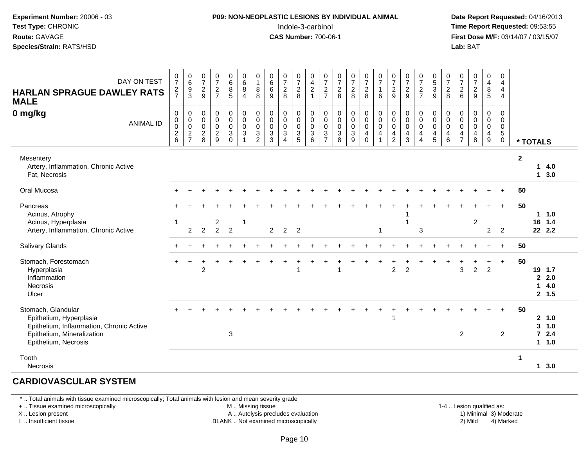#### **P09: NON-NEOPLASTIC LESIONS BY INDIVIDUAL ANIMAL**Indole-3-carbinol **Time Report Requested:** 09:53:55

 **Date Report Requested:** 04/16/2013 **First Dose M/F:** 03/14/07 / 03/15/07<br>**Lab: BAT Lab:** BAT

| DAY ON TEST<br><b>HARLAN SPRAGUE DAWLEY RATS</b><br><b>MALE</b>                                                                                 | $\frac{0}{7}$<br>$\frac{2}{7}$                       | $_{6}^{\rm 0}$<br>$\frac{9}{3}$                            | $\begin{smallmatrix}0\\7\end{smallmatrix}$<br>$\frac{2}{9}$ | $\begin{array}{c} 0 \\ 7 \end{array}$<br>$\frac{2}{7}$      | $_{6}^{\rm 0}$<br>$^8$ 5                                                      | $\begin{array}{c} 0 \\ 6 \end{array}$<br>$\bf 8$<br>$\overline{4}$                  | 0<br>$\mathbf{1}$<br>8<br>8                                             | $\begin{matrix}0\6\6\end{matrix}$<br>9                          | $\frac{0}{7}$<br>$\frac{2}{8}$                                                    | 0<br>$\frac{7}{8}$                                                           | $\mathbf 0$<br>$\frac{4}{2}$<br>$\overline{1}$                                | $\frac{0}{7}$<br>$\frac{2}{7}$                                             | $\begin{array}{c} 0 \\ 7 \\ 2 \end{array}$<br>8                   | $\frac{0}{7}$<br>8                                             | $\frac{0}{7}$<br>8                                             | $\frac{0}{7}$<br>1<br>6                                         | $\frac{0}{7}$<br>$\frac{2}{9}$                                               | $\frac{0}{7}$<br>$\frac{2}{9}$                                                    | $\frac{0}{7}$<br>$\frac{2}{7}$                     | $\begin{array}{c} 0 \\ 5 \\ 3 \\ 9 \end{array}$               | $\frac{0}{7}$<br>$\overline{a}$<br>8           | $\frac{0}{7}$<br>$\frac{2}{6}$                                  | 0729                                                                       | 0<br>$\overline{\mathbf{4}}$<br>$\frac{8}{5}$                               | 0<br>$\overline{4}$<br>$\overline{4}$<br>$\overline{4}$                            |                      |                                |                                |
|-------------------------------------------------------------------------------------------------------------------------------------------------|------------------------------------------------------|------------------------------------------------------------|-------------------------------------------------------------|-------------------------------------------------------------|-------------------------------------------------------------------------------|-------------------------------------------------------------------------------------|-------------------------------------------------------------------------|-----------------------------------------------------------------|-----------------------------------------------------------------------------------|------------------------------------------------------------------------------|-------------------------------------------------------------------------------|----------------------------------------------------------------------------|-------------------------------------------------------------------|----------------------------------------------------------------|----------------------------------------------------------------|-----------------------------------------------------------------|------------------------------------------------------------------------------|-----------------------------------------------------------------------------------|----------------------------------------------------|---------------------------------------------------------------|------------------------------------------------|-----------------------------------------------------------------|----------------------------------------------------------------------------|-----------------------------------------------------------------------------|------------------------------------------------------------------------------------|----------------------|--------------------------------|--------------------------------|
| 0 mg/kg<br><b>ANIMAL ID</b>                                                                                                                     | $\pmb{0}$<br>$\pmb{0}$<br>$\pmb{0}$<br>$\frac{2}{6}$ | $\mathbf 0$<br>$\mathbf 0$<br>$\mathbf 0$<br>$\frac{2}{7}$ | $\pmb{0}$<br>$\pmb{0}$<br>$\pmb{0}$<br>$\overline{2}$<br>8  | $\mathbf 0$<br>$\overline{0}$ <sub>0</sub><br>$\frac{2}{9}$ | 0<br>$\ddot{\mathbf{0}}$<br>$\mathsf{O}\xspace$<br>$\overline{3}$<br>$\Omega$ | $\pmb{0}$<br>$\ddot{\mathbf{0}}$<br>$\mathbf 0$<br>$\overline{3}$<br>$\overline{1}$ | $\pmb{0}$<br>$\pmb{0}$<br>$\pmb{0}$<br>$\mathfrak{S}$<br>$\overline{2}$ | $\pmb{0}$<br>$\overline{0}$ <sub>0</sub><br>$\overline{3}$<br>3 | $\pmb{0}$<br>$\ddot{\mathbf{0}}$<br>$\pmb{0}$<br>$\overline{3}$<br>$\overline{4}$ | 0<br>$\mathsf{O}\xspace$<br>$\mathbf 0$<br>$\overline{3}$<br>$5\phantom{.0}$ | $\boldsymbol{0}$<br>$\ddot{\mathbf{0}}$<br>$\mathsf 0$<br>$\overline{3}$<br>6 | $\,0\,$<br>$\boldsymbol{0}$<br>$\pmb{0}$<br>$\mathbf{3}$<br>$\overline{7}$ | $\pmb{0}$<br>$\overline{0}$<br>$\mathsf 0$<br>$\overline{3}$<br>8 | $\boldsymbol{0}$<br>$\overline{0}$<br>0<br>$\overline{3}$<br>9 | $\pmb{0}$<br>$\overline{0}$<br>0<br>$\overline{4}$<br>$\Omega$ | $\pmb{0}$<br>$\ddot{\mathbf{0}}$<br>$\pmb{0}$<br>$\overline{4}$ | $\pmb{0}$<br>$\overline{0}$ <sub>0</sub><br>$\overline{4}$<br>$\overline{2}$ | $\mathbf 0$<br>$\mathbf 0$<br>$\mathsf{O}\xspace$<br>$\overline{\mathbf{4}}$<br>3 | 0<br>$\pmb{0}$<br>$\pmb{0}$<br>4<br>$\overline{4}$ | $\,0\,$<br>$\overline{0}$ <sub>0</sub><br>$\overline{4}$<br>5 | 0<br>$\boldsymbol{0}$<br>$\mathbf 0$<br>4<br>6 | 0<br>$\pmb{0}$<br>$\pmb{0}$<br>$\overline{4}$<br>$\overline{7}$ | $\mathbf 0$<br>$\overline{0}$ <sub>0</sub><br>$\overline{\mathbf{4}}$<br>8 | 0<br>$\mathsf{O}\xspace$<br>$\mathsf 0$<br>$\overline{\mathbf{4}}$<br>$9\,$ | $\mathbf 0$<br>$\mathsf{O}\xspace$<br>$\mathbf 0$<br>$\overline{5}$<br>$\mathbf 0$ | * TOTALS             |                                |                                |
| Mesentery<br>Artery, Inflammation, Chronic Active<br>Fat, Necrosis                                                                              |                                                      |                                                            |                                                             |                                                             |                                                                               |                                                                                     |                                                                         |                                                                 |                                                                                   |                                                                              |                                                                               |                                                                            |                                                                   |                                                                |                                                                |                                                                 |                                                                              |                                                                                   |                                                    |                                                               |                                                |                                                                 |                                                                            |                                                                             |                                                                                    | $\mathbf{2}$         | 1                              | 4.0<br>13.0                    |
| Oral Mucosa                                                                                                                                     |                                                      |                                                            |                                                             |                                                             |                                                                               |                                                                                     |                                                                         |                                                                 |                                                                                   |                                                                              |                                                                               |                                                                            |                                                                   |                                                                |                                                                |                                                                 |                                                                              |                                                                                   |                                                    |                                                               |                                                |                                                                 |                                                                            |                                                                             |                                                                                    | 50                   |                                |                                |
| Pancreas<br>Acinus, Atrophy<br>Acinus, Hyperplasia                                                                                              | 1                                                    |                                                            |                                                             | $\overline{c}$                                              |                                                                               | $\overline{1}$                                                                      |                                                                         |                                                                 |                                                                                   |                                                                              |                                                                               |                                                                            |                                                                   |                                                                |                                                                |                                                                 |                                                                              |                                                                                   |                                                    |                                                               |                                                |                                                                 | $\overline{c}$                                                             |                                                                             | $+$                                                                                | 50                   | 16 1.4                         | $1 \t1.0$                      |
| Artery, Inflammation, Chronic Active                                                                                                            |                                                      | $\overline{c}$                                             | $\overline{2}$                                              | $\overline{2}$                                              | $\overline{2}$                                                                |                                                                                     |                                                                         | $\overline{2}$                                                  | $\overline{2}$                                                                    | $\overline{2}$                                                               |                                                                               |                                                                            |                                                                   |                                                                |                                                                | 1                                                               |                                                                              |                                                                                   | $\sqrt{3}$                                         |                                                               |                                                |                                                                 |                                                                            | $\overline{2}$                                                              | $\overline{2}$                                                                     |                      | 22 2.2                         |                                |
| <b>Salivary Glands</b>                                                                                                                          |                                                      |                                                            |                                                             |                                                             |                                                                               |                                                                                     |                                                                         |                                                                 |                                                                                   |                                                                              |                                                                               |                                                                            |                                                                   |                                                                |                                                                |                                                                 |                                                                              |                                                                                   |                                                    |                                                               |                                                |                                                                 |                                                                            |                                                                             | $\ddot{}$                                                                          | 50                   |                                |                                |
| Stomach, Forestomach<br>Hyperplasia<br>Inflammation<br><b>Necrosis</b><br>Ulcer                                                                 |                                                      | $\ddot{}$                                                  | $\overline{c}$                                              |                                                             |                                                                               |                                                                                     |                                                                         |                                                                 |                                                                                   |                                                                              |                                                                               |                                                                            |                                                                   |                                                                |                                                                |                                                                 | $\overline{c}$                                                               | $\overline{c}$                                                                    |                                                    |                                                               |                                                | 3                                                               | $\overline{2}$                                                             | $\ddot{}$<br>$\overline{2}$                                                 | $\ddot{}$                                                                          | 50                   | 19 1.7<br>$\mathbf{2}$<br>1    | 2.0<br>4.0<br>2, 1.5           |
| Stomach, Glandular<br>Epithelium, Hyperplasia<br>Epithelium, Inflammation, Chronic Active<br>Epithelium, Mineralization<br>Epithelium, Necrosis |                                                      |                                                            |                                                             |                                                             | $\mathbf{3}$                                                                  |                                                                                     |                                                                         |                                                                 |                                                                                   |                                                                              |                                                                               |                                                                            |                                                                   |                                                                |                                                                |                                                                 |                                                                              |                                                                                   |                                                    |                                                               |                                                | $\overline{c}$                                                  |                                                                            |                                                                             | $\overline{2}$                                                                     | 50                   | $\mathbf{3}$<br>$\overline{7}$ | 2 1.0<br>1.0<br>2.4<br>$1 1.0$ |
| Tooth<br>Necrosis                                                                                                                               |                                                      |                                                            |                                                             |                                                             |                                                                               |                                                                                     |                                                                         |                                                                 |                                                                                   |                                                                              |                                                                               |                                                                            |                                                                   |                                                                |                                                                |                                                                 |                                                                              |                                                                                   |                                                    |                                                               |                                                |                                                                 |                                                                            |                                                                             |                                                                                    | $\blacktriangleleft$ |                                | 13.0                           |

#### **CARDIOVASCULAR SYSTEM**

\* .. Total animals with tissue examined microscopically; Total animals with lesion and mean severity grade

+ .. Tissue examined microscopically

X .. Lesion present

I .. Insufficient tissue

M .. Missing tissue

A .. Autolysis precludes evaluation

BLANK .. Not examined microscopically 2) Mild 4) Marked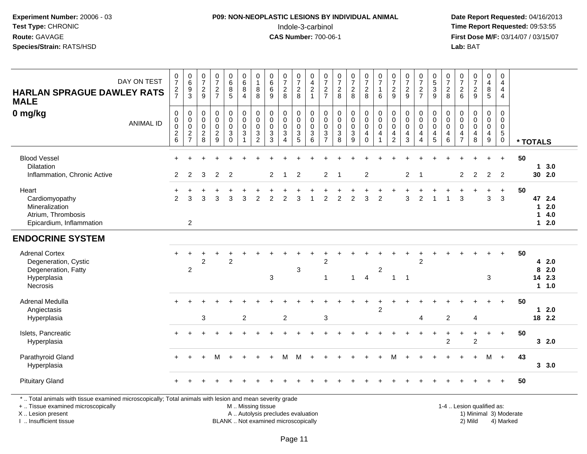#### **P09: NON-NEOPLASTIC LESIONS BY INDIVIDUAL ANIMAL**Indole-3-carbinol **Time Report Requested:** 09:53:55

 **Date Report Requested:** 04/16/2013 **First Dose M/F:** 03/14/07 / 03/15/07<br>**Lab:** BAT **Lab:** BAT

| DAY ON TEST<br><b>HARLAN SPRAGUE DAWLEY RATS</b><br><b>MALE</b>                                                                                                     | $\frac{0}{7}$<br>$\frac{2}{7}$                            | $\begin{array}{c} 0 \\ 6 \end{array}$<br>$\frac{9}{3}$           | $\frac{0}{7}$<br>$\overline{2}$<br>9                   | $\frac{0}{7}$<br>$\sqrt{2}$<br>$\overline{7}$                      | 0<br>$6\overline{6}$<br>8<br>5                                              | 0<br>$6\phantom{a}$<br>8<br>$\overline{4}$                                               | $\pmb{0}$<br>$\overline{1}$<br>$\,$ 8 $\,$<br>8                         | $\begin{array}{c} 0 \\ 6 \end{array}$<br>$\,6\,$<br>9                 | $\frac{0}{7}$<br>$\sqrt{2}$<br>8                           | $\pmb{0}$<br>$\overline{7}$<br>$_{8}^{\rm 2}$                           | 0<br>4<br>$\overline{\mathbf{c}}$<br>$\mathbf{1}$    | $\frac{0}{7}$<br>$\overline{c}$<br>$\overline{7}$                    | $\frac{0}{7}$<br>$\sqrt{2}$<br>8                             | $\frac{0}{7}$<br>$\frac{2}{8}$                                                        | $\frac{0}{7}$<br>$\sqrt{2}$<br>8                                     | $\frac{0}{7}$<br>$\mathbf{1}$<br>6                                                  | $\frac{0}{7}$<br>$\boldsymbol{2}$<br>9                 | $\frac{0}{7}$<br>$\sqrt{2}$<br>9                          | $\frac{0}{7}$<br>$\sqrt{2}$<br>$\overline{7}$                                     | $\begin{array}{c} 0 \\ 5 \end{array}$<br>$\sqrt{3}$<br>9 | $\frac{0}{7}$<br>$\frac{2}{8}$                                         | $\pmb{0}$<br>$\overline{7}$<br>$\overline{c}$<br>6     | $\begin{array}{c} 0 \\ 7 \end{array}$<br>$\overline{c}$<br>9 | 0<br>$\overline{4}$<br>8<br>5                            | $\pmb{0}$<br>$\overline{4}$<br>$\overline{4}$<br>$\overline{4}$                    |                        |              |                                   |
|---------------------------------------------------------------------------------------------------------------------------------------------------------------------|-----------------------------------------------------------|------------------------------------------------------------------|--------------------------------------------------------|--------------------------------------------------------------------|-----------------------------------------------------------------------------|------------------------------------------------------------------------------------------|-------------------------------------------------------------------------|-----------------------------------------------------------------------|------------------------------------------------------------|-------------------------------------------------------------------------|------------------------------------------------------|----------------------------------------------------------------------|--------------------------------------------------------------|---------------------------------------------------------------------------------------|----------------------------------------------------------------------|-------------------------------------------------------------------------------------|--------------------------------------------------------|-----------------------------------------------------------|-----------------------------------------------------------------------------------|----------------------------------------------------------|------------------------------------------------------------------------|--------------------------------------------------------|--------------------------------------------------------------|----------------------------------------------------------|------------------------------------------------------------------------------------|------------------------|--------------|-----------------------------------|
| 0 mg/kg<br><b>ANIMAL ID</b>                                                                                                                                         | $\mathbf 0$<br>$\pmb{0}$<br>$\pmb{0}$<br>$^2\phantom{1}6$ | $\pmb{0}$<br>$\mathbf 0$<br>$\ddot{\mathbf{0}}$<br>$\frac{2}{7}$ | 0<br>$\mathbf 0$<br>$\mathbf 0$<br>$\overline{c}$<br>8 | $\mathbf 0$<br>$\mathbf 0$<br>$\mathbf 0$<br>$\boldsymbol{2}$<br>9 | $\boldsymbol{0}$<br>$\pmb{0}$<br>$\mathsf 0$<br>$\mathbf{3}$<br>$\mathbf 0$ | $\mathsf 0$<br>$\mathbf 0$<br>$\mathbf 0$<br>$\ensuremath{\mathsf{3}}$<br>$\overline{1}$ | $\pmb{0}$<br>$\pmb{0}$<br>$\pmb{0}$<br>$\overline{3}$<br>$\overline{c}$ | $\pmb{0}$<br>$\pmb{0}$<br>$\mathbf 0$<br>$\mathbf{3}$<br>$\mathbf{3}$ | $\mathbf 0$<br>$\mathbf 0$<br>$\mathbf 0$<br>3<br>$\Delta$ | 0<br>$\mathsf{O}\xspace$<br>$\mathbf 0$<br>$\sqrt{3}$<br>$\overline{5}$ | 0<br>$\mathbf 0$<br>$\mathbf 0$<br>$\mathbf{3}$<br>6 | 0<br>0<br>$\mathbf 0$<br>$\ensuremath{\mathsf{3}}$<br>$\overline{7}$ | $\mathbf 0$<br>$\mathsf 0$<br>$\mathsf 0$<br>$\sqrt{3}$<br>8 | $\pmb{0}$<br>$\mathsf{O}\xspace$<br>$\mathbf 0$<br>$\overline{3}$<br>$\boldsymbol{9}$ | $\pmb{0}$<br>$\pmb{0}$<br>$\mathbf 0$<br>$\overline{4}$<br>$\pmb{0}$ | $\pmb{0}$<br>$\ddot{\mathbf{0}}$<br>$\mathbf 0$<br>$\overline{4}$<br>$\overline{1}$ | 0<br>$\mathbf 0$<br>$\mathbf 0$<br>4<br>$\overline{c}$ | $\mathbf 0$<br>$\pmb{0}$<br>$\mathsf{O}\xspace$<br>4<br>3 | $\pmb{0}$<br>$\pmb{0}$<br>$\mathsf{O}\xspace$<br>$\overline{4}$<br>$\overline{4}$ | 0<br>0<br>$\mathbf 0$<br>$\overline{4}$<br>$\sqrt{5}$    | $\mathbf 0$<br>$\mathbf 0$<br>$\mathbf 0$<br>$\overline{4}$<br>$\,6\,$ | 0<br>$\mathbf 0$<br>$\mathbf 0$<br>4<br>$\overline{7}$ | $\mathbf 0$<br>$\mathbf 0$<br>$\mathbf 0$<br>4<br>8          | 0<br>$\mathbf 0$<br>$\mathbf 0$<br>4<br>$\boldsymbol{9}$ | $\mathbf 0$<br>$\mathbf 0$<br>$\mathbf 0$<br>$\overline{5}$<br>$\mathsf{O}\xspace$ |                        | * TOTALS     |                                   |
| <b>Blood Vessel</b><br>Dilatation<br>Inflammation, Chronic Active                                                                                                   | $\overline{2}$                                            | 2                                                                | 3                                                      | 2                                                                  | $\overline{2}$                                                              |                                                                                          |                                                                         | $\overline{2}$                                                        | -1                                                         | 2                                                                       |                                                      | $\overline{2}$                                                       | $\mathbf 1$                                                  |                                                                                       | $\overline{2}$                                                       |                                                                                     |                                                        | $\overline{2}$                                            | -1                                                                                |                                                          |                                                                        | 2                                                      | $\overline{2}$                                               | $\overline{2}$                                           | $+$<br>$\overline{2}$                                                              | 50                     |              | 13.0<br>30 2.0                    |
| Heart<br>Cardiomyopathy<br>Mineralization<br>Atrium, Thrombosis<br>Epicardium, Inflammation                                                                         | $\ddot{}$<br>$\overline{2}$                               | 3<br>$\overline{2}$                                              | 3                                                      | 3                                                                  | 3                                                                           | 3                                                                                        | $\overline{2}$                                                          | 2                                                                     | 2                                                          | 3                                                                       |                                                      | $\overline{2}$                                                       | $\overline{2}$                                               | $\overline{2}$                                                                        | 3                                                                    | $\overline{2}$                                                                      |                                                        | 3                                                         | $\overline{2}$                                                                    |                                                          |                                                                        | 3                                                      |                                                              | 3                                                        | $\ddot{}$<br>3                                                                     | 50                     | $\mathbf{1}$ | 47 2.4<br>$12.0$<br>4.0<br>$12.0$ |
| <b>ENDOCRINE SYSTEM</b>                                                                                                                                             |                                                           |                                                                  |                                                        |                                                                    |                                                                             |                                                                                          |                                                                         |                                                                       |                                                            |                                                                         |                                                      |                                                                      |                                                              |                                                                                       |                                                                      |                                                                                     |                                                        |                                                           |                                                                                   |                                                          |                                                                        |                                                        |                                                              |                                                          |                                                                                    |                        |              |                                   |
| <b>Adrenal Cortex</b><br>Degeneration, Cystic<br>Degeneration, Fatty<br>Hyperplasia<br>Necrosis                                                                     |                                                           | $\overline{c}$                                                   | $\overline{c}$                                         |                                                                    | $\overline{2}$                                                              |                                                                                          |                                                                         | $\mathbf{3}$                                                          |                                                            | 3                                                                       |                                                      | $\overline{c}$<br>$\overline{1}$                                     |                                                              | $\mathbf{1}$                                                                          | $\overline{4}$                                                       | $\overline{c}$                                                                      | $\mathbf{1}$                                           | $\overline{1}$                                            | 2                                                                                 |                                                          |                                                                        |                                                        |                                                              | 3                                                        |                                                                                    | 50                     | 8            | 42.0<br>2.0<br>14 2.3<br>11.0     |
| Adrenal Medulla<br>Angiectasis<br>Hyperplasia                                                                                                                       |                                                           |                                                                  | 3                                                      |                                                                    |                                                                             | $\overline{2}$                                                                           |                                                                         |                                                                       | $\overline{c}$                                             |                                                                         |                                                      | 3                                                                    |                                                              |                                                                                       |                                                                      | $\overline{2}$                                                                      |                                                        |                                                           | $\overline{4}$                                                                    |                                                          | 2                                                                      |                                                        | 4                                                            |                                                          | $\ddot{}$                                                                          | 50                     |              | $12.0$<br>18 2.2                  |
| Islets, Pancreatic<br>Hyperplasia                                                                                                                                   |                                                           |                                                                  |                                                        |                                                                    |                                                                             |                                                                                          |                                                                         |                                                                       |                                                            |                                                                         |                                                      |                                                                      |                                                              |                                                                                       |                                                                      |                                                                                     |                                                        |                                                           |                                                                                   |                                                          | 2                                                                      | $\ddot{}$                                              | $\overline{2}$                                               | $\ddot{}$                                                | $+$                                                                                | 50                     |              | 32.0                              |
| Parathyroid Gland<br>Hyperplasia                                                                                                                                    |                                                           |                                                                  |                                                        | м                                                                  |                                                                             |                                                                                          |                                                                         |                                                                       |                                                            | M                                                                       |                                                      |                                                                      |                                                              |                                                                                       |                                                                      |                                                                                     |                                                        |                                                           |                                                                                   |                                                          |                                                                        |                                                        |                                                              | м                                                        | $+$                                                                                | 43                     |              | 3, 3.0                            |
| <b>Pituitary Gland</b>                                                                                                                                              |                                                           |                                                                  |                                                        |                                                                    |                                                                             |                                                                                          |                                                                         |                                                                       |                                                            |                                                                         |                                                      |                                                                      |                                                              |                                                                                       |                                                                      |                                                                                     |                                                        |                                                           |                                                                                   |                                                          |                                                                        |                                                        |                                                              |                                                          |                                                                                    | 50                     |              |                                   |
| *  Total animals with tissue examined microscopically; Total animals with lesion and mean severity grade<br>+  Tissue examined microscopically<br>X  Lesion present |                                                           |                                                                  |                                                        |                                                                    |                                                                             | M. Missing tissue                                                                        |                                                                         | A  Autolysis precludes evaluation                                     |                                                            |                                                                         |                                                      |                                                                      |                                                              |                                                                                       |                                                                      |                                                                                     |                                                        |                                                           |                                                                                   |                                                          |                                                                        |                                                        |                                                              | 1-4  Lesion qualified as:                                |                                                                                    | 1) Minimal 3) Moderate |              |                                   |

I .. Insufficient tissue

BLANK .. Not examined microscopically 2) Mild 4) Marked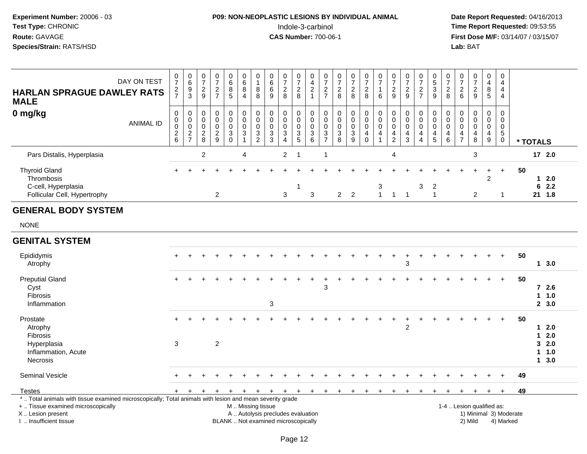### **P09: NON-NEOPLASTIC LESIONS BY INDIVIDUAL ANIMAL**Indole-3-carbinol **Time Report Requested:** 09:53:55

| <b>HARLAN SPRAGUE DAWLEY RATS</b><br><b>MALE</b>                                                                   | DAY ON TEST      | $\,0\,$<br>$\overline{7}$<br>$\frac{2}{7}$                | $\,0\,$<br>$\,6\,$<br>$\frac{9}{3}$                      | $\boldsymbol{0}$<br>$\overline{7}$<br>$\overline{c}$<br>9 | $\pmb{0}$<br>$\overline{7}$<br>$\frac{2}{7}$                 | $\pmb{0}$<br>$\,6\,$<br>$\overline{8}$<br>$5\phantom{1}$      | $\mathbf 0$<br>6<br>$\bf 8$<br>$\overline{4}$                           | 0<br>1<br>8<br>8                                                  | $\pmb{0}$<br>$^6_6$<br>9                           | $\pmb{0}$<br>$\overline{7}$<br>$\overline{c}$<br>8                       | $\pmb{0}$<br>$\overline{7}$<br>$\boldsymbol{2}$<br>8                        | $\mathbf 0$<br>$\overline{a}$<br>$\sqrt{2}$<br>$\overline{1}$                   | 0<br>$\overline{7}$<br>$\overline{c}$<br>$\overline{7}$ | $\pmb{0}$<br>$\overline{7}$<br>$\boldsymbol{2}$<br>8         | $\pmb{0}$<br>$\overline{7}$<br>$\overline{c}$<br>8 | $\pmb{0}$<br>$\overline{7}$<br>$\boldsymbol{2}$<br>8                   | 0<br>$\overline{7}$<br>1<br>6                | $\pmb{0}$<br>$\overline{7}$<br>$\overline{c}$<br>9              | $\pmb{0}$<br>$\overline{7}$<br>$\overline{c}$<br>9      | $\pmb{0}$<br>$\overline{7}$<br>$\frac{2}{7}$                             | $\,0\,$<br>$\frac{5}{3}$<br>9                                           | $\mathbf 0$<br>$\overline{7}$<br>$\overline{c}$<br>8 | $\pmb{0}$<br>$\overline{7}$<br>$\boldsymbol{2}$<br>6                          | $\pmb{0}$<br>$\overline{7}$<br>$\overline{c}$<br>9 | $\pmb{0}$<br>$\overline{4}$<br>$\bf 8$<br>5                          | $\mathbf 0$<br>4<br>4<br>4                       |                                     |                                                                     |  |
|--------------------------------------------------------------------------------------------------------------------|------------------|-----------------------------------------------------------|----------------------------------------------------------|-----------------------------------------------------------|--------------------------------------------------------------|---------------------------------------------------------------|-------------------------------------------------------------------------|-------------------------------------------------------------------|----------------------------------------------------|--------------------------------------------------------------------------|-----------------------------------------------------------------------------|---------------------------------------------------------------------------------|---------------------------------------------------------|--------------------------------------------------------------|----------------------------------------------------|------------------------------------------------------------------------|----------------------------------------------|-----------------------------------------------------------------|---------------------------------------------------------|--------------------------------------------------------------------------|-------------------------------------------------------------------------|------------------------------------------------------|-------------------------------------------------------------------------------|----------------------------------------------------|----------------------------------------------------------------------|--------------------------------------------------|-------------------------------------|---------------------------------------------------------------------|--|
| 0 mg/kg                                                                                                            | <b>ANIMAL ID</b> | $\pmb{0}$<br>$\pmb{0}$<br>$\overline{0}$<br>$\frac{2}{6}$ | $\mathbf 0$<br>$\mathbf 0$<br>$\pmb{0}$<br>$\frac{2}{7}$ | 0<br>$\mathbf 0$<br>$\boldsymbol{0}$<br>$\frac{2}{8}$     | $\mathbf 0$<br>$\mathsf 0$<br>$\mathbf 0$<br>$\sqrt{2}$<br>9 | 0<br>$\mathbf 0$<br>$\mathbf 0$<br>$\mathsf 3$<br>$\mathbf 0$ | $\pmb{0}$<br>$\mathsf 0$<br>$\mathbf 0$<br>$\mathbf{3}$<br>$\mathbf{1}$ | $\mathbf 0$<br>$\mathbf 0$<br>0<br>$\mathbf{3}$<br>$\overline{2}$ | 0<br>$\pmb{0}$<br>0<br>$\mathbf 3$<br>$\mathbf{3}$ | $\mathbf 0$<br>$\mathbf 0$<br>$\mathsf 0$<br>3<br>$\overline{4}$         | 0<br>$\mathsf{O}\xspace$<br>$\pmb{0}$<br>$\ensuremath{\mathsf{3}}$<br>$5\,$ | $\mathbf 0$<br>$\mathbf 0$<br>$\pmb{0}$<br>$\ensuremath{\mathsf{3}}$<br>$\,6\,$ | 0<br>$\mathbf 0$<br>0<br>$\sqrt{3}$<br>$\overline{7}$   | $\mathbf 0$<br>$\mathbf 0$<br>$\mathbf 0$<br>$\sqrt{3}$<br>8 | 0<br>0<br>$\mathbf 0$<br>$\mathsf 3$<br>9          | $\pmb{0}$<br>$\mathbf 0$<br>$\pmb{0}$<br>$\overline{4}$<br>$\mathbf 0$ | 0<br>$\mathbf 0$<br>0<br>4<br>$\overline{1}$ | 0<br>$\pmb{0}$<br>$\pmb{0}$<br>$\overline{4}$<br>$\overline{c}$ | $\mathbf{0}$<br>$\mathbf 0$<br>0<br>$\overline{4}$<br>3 | 0<br>$\pmb{0}$<br>$\pmb{0}$<br>$\overline{\mathbf{4}}$<br>$\overline{4}$ | $\mathbf 0$<br>$\mathbf 0$<br>$\pmb{0}$<br>$\overline{4}$<br>$\sqrt{5}$ | $\mathbf 0$<br>$\mathbf 0$<br>0<br>4<br>6            | $\mathbf 0$<br>$\mathbf 0$<br>$\mathbf 0$<br>$\overline{4}$<br>$\overline{7}$ | 0<br>0<br>0<br>4<br>8                              | $\mathbf 0$<br>$\mathbf 0$<br>$\mathbf 0$<br>$\overline{4}$<br>$9\,$ | $\Omega$<br>$\mathbf 0$<br>0<br>5<br>$\mathbf 0$ |                                     | * TOTALS                                                            |  |
| Pars Distalis, Hyperplasia                                                                                         |                  |                                                           |                                                          | $\overline{c}$                                            |                                                              |                                                               | 4                                                                       |                                                                   |                                                    | $\overline{2}$                                                           | $\overline{1}$                                                              |                                                                                 | $\overline{1}$                                          |                                                              |                                                    |                                                                        |                                              | 4                                                               |                                                         |                                                                          |                                                                         |                                                      |                                                                               | 3                                                  |                                                                      |                                                  |                                     | 17 2.0                                                              |  |
| <b>Thyroid Gland</b><br>Thrombosis<br>C-cell, Hyperplasia<br>Follicular Cell, Hypertrophy                          |                  |                                                           |                                                          |                                                           | $\overline{2}$                                               |                                                               |                                                                         |                                                                   |                                                    | 3                                                                        | 1                                                                           | $\mathbf{3}$                                                                    |                                                         | $2^{\circ}$                                                  | $\overline{2}$                                     |                                                                        | 3<br>$\mathbf{1}$                            | $\mathbf{1}$                                                    | $\overline{1}$                                          | 3                                                                        | $\overline{c}$<br>$\overline{1}$                                        |                                                      |                                                                               | $\overline{c}$                                     | $\overline{c}$                                                       | $\ddot{}$<br>$\mathbf{1}$                        | 50                                  | $12.0$<br>62.2<br>21 1.8                                            |  |
| <b>GENERAL BODY SYSTEM</b>                                                                                         |                  |                                                           |                                                          |                                                           |                                                              |                                                               |                                                                         |                                                                   |                                                    |                                                                          |                                                                             |                                                                                 |                                                         |                                                              |                                                    |                                                                        |                                              |                                                                 |                                                         |                                                                          |                                                                         |                                                      |                                                                               |                                                    |                                                                      |                                                  |                                     |                                                                     |  |
| <b>NONE</b>                                                                                                        |                  |                                                           |                                                          |                                                           |                                                              |                                                               |                                                                         |                                                                   |                                                    |                                                                          |                                                                             |                                                                                 |                                                         |                                                              |                                                    |                                                                        |                                              |                                                                 |                                                         |                                                                          |                                                                         |                                                      |                                                                               |                                                    |                                                                      |                                                  |                                     |                                                                     |  |
| <b>GENITAL SYSTEM</b>                                                                                              |                  |                                                           |                                                          |                                                           |                                                              |                                                               |                                                                         |                                                                   |                                                    |                                                                          |                                                                             |                                                                                 |                                                         |                                                              |                                                    |                                                                        |                                              |                                                                 |                                                         |                                                                          |                                                                         |                                                      |                                                                               |                                                    |                                                                      |                                                  |                                     |                                                                     |  |
| Epididymis<br>Atrophy                                                                                              |                  |                                                           |                                                          |                                                           |                                                              |                                                               |                                                                         |                                                                   |                                                    |                                                                          |                                                                             |                                                                                 |                                                         |                                                              |                                                    |                                                                        |                                              |                                                                 | $\mathsf 3$                                             |                                                                          |                                                                         |                                                      |                                                                               |                                                    |                                                                      |                                                  | 50                                  | 13.0                                                                |  |
| <b>Preputial Gland</b><br>Cyst<br>Fibrosis<br>Inflammation                                                         |                  |                                                           |                                                          |                                                           |                                                              |                                                               |                                                                         |                                                                   | $\ensuremath{\mathsf{3}}$                          |                                                                          |                                                                             |                                                                                 | 3                                                       |                                                              |                                                    |                                                                        |                                              |                                                                 |                                                         |                                                                          |                                                                         |                                                      |                                                                               |                                                    |                                                                      |                                                  | 50                                  | $72.6$<br>11.0<br>2, 3.0                                            |  |
| Prostate<br>Atrophy<br>Fibrosis<br>Hyperplasia<br>Inflammation, Acute<br>Necrosis                                  |                  | $\sqrt{3}$                                                |                                                          |                                                           | $\overline{c}$                                               |                                                               |                                                                         |                                                                   |                                                    |                                                                          |                                                                             |                                                                                 |                                                         |                                                              |                                                    |                                                                        |                                              |                                                                 | $\overline{c}$                                          |                                                                          |                                                                         |                                                      |                                                                               |                                                    |                                                                      |                                                  | 50                                  | 2.0<br>$\mathbf{1}$<br>2.0<br>$\mathbf{1}$<br>32.0<br>1 1.0<br>13.0 |  |
| Seminal Vesicle                                                                                                    |                  |                                                           |                                                          |                                                           |                                                              |                                                               |                                                                         |                                                                   |                                                    |                                                                          |                                                                             |                                                                                 |                                                         |                                                              |                                                    |                                                                        |                                              |                                                                 |                                                         |                                                                          |                                                                         |                                                      |                                                                               |                                                    |                                                                      |                                                  | 49                                  |                                                                     |  |
| Testes<br>*  Total animals with tissue examined microscopically; Total animals with lesion and mean severity grade |                  | $+$                                                       | $\ddot{}$                                                | $\pm$                                                     | $\ddot{}$                                                    | $\ddot{}$                                                     | $\pm$                                                                   | $\ddot{}$                                                         | $+$                                                | $+$                                                                      | $+$                                                                         | $+$                                                                             | $+$                                                     | $+$                                                          | $+$                                                | $\ddot{}$                                                              | $\ddot{}$                                    |                                                                 | $\ddot{}$                                               | $\ddot{}$                                                                | $\ddot{}$                                                               | $+$                                                  |                                                                               | $\ddot{}$                                          | $+$                                                                  | $\ddot{}$                                        | 49                                  |                                                                     |  |
| +  Tissue examined microscopically<br>X Lesion present<br>I. Insufficient tissue                                   |                  |                                                           |                                                          |                                                           |                                                              |                                                               | M  Missing tissue                                                       |                                                                   |                                                    | A  Autolysis precludes evaluation<br>BLANK  Not examined microscopically |                                                                             |                                                                                 |                                                         |                                                              |                                                    |                                                                        |                                              |                                                                 |                                                         |                                                                          |                                                                         |                                                      | 1-4  Lesion qualified as:                                                     | 2) Mild                                            |                                                                      |                                                  | 1) Minimal 3) Moderate<br>4) Marked |                                                                     |  |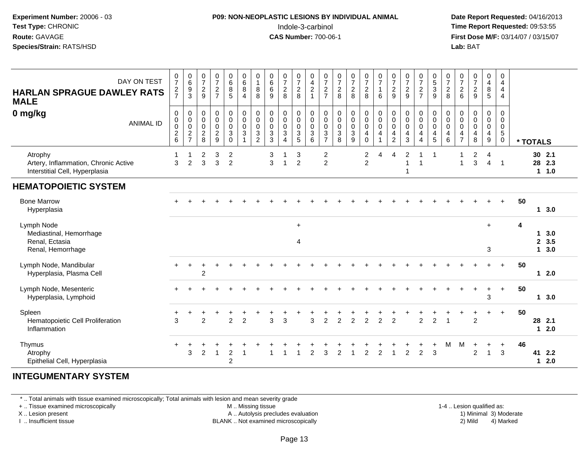#### **P09: NON-NEOPLASTIC LESIONS BY INDIVIDUAL ANIMAL**Indole-3-carbinol **Time Report Requested:** 09:53:55

 **Date Report Requested:** 04/16/2013 **First Dose M/F:** 03/14/07 / 03/15/07<br>**Lab: BAT** 

| DAY ON TEST<br><b>HARLAN SPRAGUE DAWLEY RATS</b><br><b>MALE</b><br>0 mg/kg<br><b>ANIMAL ID</b> | $\frac{0}{7}$<br>$\frac{2}{7}$<br>$\mathbf 0$<br>$\pmb{0}$<br>$\pmb{0}$<br>$^2$ 6 | $\begin{array}{c} 0 \\ 6 \end{array}$<br>$\frac{9}{3}$<br>0<br>$\pmb{0}$<br>$\pmb{0}$<br>$\frac{2}{7}$ | $\begin{array}{c} 0 \\ 7 \end{array}$<br>$\sqrt{2}$<br>$9\,$<br>$\pmb{0}$<br>$\pmb{0}$<br>$\pmb{0}$<br>$_{\rm 8}^2$ | $\frac{0}{7}$<br>$\frac{2}{7}$<br>$_{\rm 0}^{\rm 0}$<br>$\pmb{0}$<br>$\frac{2}{9}$ | $\begin{array}{c} 0 \\ 6 \\ 5 \end{array}$<br>$_{\rm 0}^{\rm 0}$<br>$\mathbf 0$<br>$\sqrt{3}$<br>$\mathbf 0$ | $\begin{array}{c} 0 \\ 6 \end{array}$<br>$\bf 8$<br>$\overline{4}$<br>$\mathsf{O}\xspace$<br>$\ddot{\mathbf{0}}$<br>$\pmb{0}$<br>$\sqrt{3}$<br>$\mathbf{1}$ | $\pmb{0}$<br>$\mathbf{1}$<br>8<br>8<br>$\pmb{0}$<br>$\pmb{0}$<br>$\mathsf{O}\xspace$<br>3<br>$\overline{c}$ | $\begin{matrix}0\0\0\0\end{matrix}$<br>$\boldsymbol{9}$<br>$\begin{smallmatrix}0\\0\\0\end{smallmatrix}$<br>$\ensuremath{\mathsf{3}}$<br>$\overline{3}$ | $\frac{0}{7}$<br>$\overline{c}$<br>8<br>$\begin{smallmatrix}0\0\0\end{smallmatrix}$<br>$\pmb{0}$<br>3<br>$\overline{4}$ | $\frac{0}{7}$<br>$\overline{c}$<br>8<br>$_{\rm 0}^{\rm 0}$<br>$\pmb{0}$<br>$\frac{3}{5}$ | $\begin{smallmatrix}0\\4\end{smallmatrix}$<br>$\overline{c}$<br>$\overline{1}$<br>$_{\rm 0}^{\rm 0}$<br>$\mathsf 0$<br>$\frac{3}{6}$ | $\frac{0}{7}$<br>$\boldsymbol{2}$<br>$\overline{7}$<br>0<br>$\pmb{0}$<br>$\mathbf 0$<br>$\ensuremath{\mathsf{3}}$<br>$\overline{7}$ | $\begin{array}{c} 0 \\ 7 \end{array}$<br>$\overline{c}$<br>8<br>$\pmb{0}$<br>$\pmb{0}$<br>$\mathbf 0$<br>$\sqrt{3}$<br>8 | $\frac{0}{7}$<br>$_{8}^2$<br>0<br>$\boldsymbol{0}$<br>$\mathsf 0$<br>3<br>9 | $\frac{0}{7}$<br>$\sqrt{2}$<br>8<br>$\pmb{0}$<br>$\overline{0}$<br>$\pmb{0}$<br>$\overline{4}$<br>$\mathbf 0$ | $\frac{0}{7}$<br>6<br>$_{\rm 0}^{\rm 0}$<br>$\pmb{0}$<br>4 | $\frac{0}{7}$<br>$\frac{2}{9}$<br>$_{\rm 0}^{\rm 0}$<br>$\pmb{0}$<br>$\overline{4}$<br>$\overline{c}$ | $\frac{0}{7}$<br>$\sqrt{2}$<br>$9\,$<br>$\pmb{0}$<br>$\mathsf 0$<br>$\pmb{0}$<br>$\overline{a}$<br>3 | $\frac{0}{7}$<br>$\frac{2}{7}$<br>0<br>$\ddot{\mathbf{0}}$<br>$\pmb{0}$<br>$\overline{\mathbf{4}}$<br>$\overline{4}$ | $\begin{array}{c} 0 \\ 5 \\ 3 \end{array}$<br>$\boldsymbol{9}$<br>$\begin{smallmatrix} 0\\0 \end{smallmatrix}$<br>$\pmb{0}$<br>4<br>$5\overline{)}$ | $\frac{0}{7}$<br>$\overline{c}$<br>8<br>$_{\rm 0}^{\rm 0}$<br>$\mathsf{O}\xspace$<br>4<br>6 | $\frac{0}{7}$<br>$\sqrt{2}$<br>6<br>0<br>$\mathbf 0$<br>$\pmb{0}$<br>4<br>$\overline{7}$ | $\begin{array}{c} 0 \\ 7 \end{array}$<br>$\frac{2}{9}$<br>$_{\rm 0}^{\rm 0}$<br>$\pmb{0}$<br>$\overline{\mathbf{4}}$<br>8 | $\pmb{0}$<br>$\overline{\mathbf{4}}$<br>$\bf 8$<br>$\sqrt{5}$<br>0<br>$\mathsf{O}\xspace$<br>$\mathsf{O}$<br>$\overline{\mathbf{4}}$<br>$\boldsymbol{9}$ | 0<br>$\overline{4}$<br>$\overline{\mathbf{4}}$<br>$\overline{4}$<br>$\mathbf 0$<br>$\mathbf 0$<br>$\mathbf 0$<br>5<br>$\mathbf 0$ | * TOTALS |                   |                    |
|------------------------------------------------------------------------------------------------|-----------------------------------------------------------------------------------|--------------------------------------------------------------------------------------------------------|---------------------------------------------------------------------------------------------------------------------|------------------------------------------------------------------------------------|--------------------------------------------------------------------------------------------------------------|-------------------------------------------------------------------------------------------------------------------------------------------------------------|-------------------------------------------------------------------------------------------------------------|---------------------------------------------------------------------------------------------------------------------------------------------------------|-------------------------------------------------------------------------------------------------------------------------|------------------------------------------------------------------------------------------|--------------------------------------------------------------------------------------------------------------------------------------|-------------------------------------------------------------------------------------------------------------------------------------|--------------------------------------------------------------------------------------------------------------------------|-----------------------------------------------------------------------------|---------------------------------------------------------------------------------------------------------------|------------------------------------------------------------|-------------------------------------------------------------------------------------------------------|------------------------------------------------------------------------------------------------------|----------------------------------------------------------------------------------------------------------------------|-----------------------------------------------------------------------------------------------------------------------------------------------------|---------------------------------------------------------------------------------------------|------------------------------------------------------------------------------------------|---------------------------------------------------------------------------------------------------------------------------|----------------------------------------------------------------------------------------------------------------------------------------------------------|-----------------------------------------------------------------------------------------------------------------------------------|----------|-------------------|--------------------|
| Atrophy<br>Artery, Inflammation, Chronic Active<br>Interstitial Cell, Hyperplasia              | 1<br>3                                                                            | 1<br>$\overline{c}$                                                                                    | 2<br>3                                                                                                              | 3<br>$\mathbf{3}$                                                                  | $\overline{c}$<br>$\overline{c}$                                                                             |                                                                                                                                                             |                                                                                                             | 3<br>3                                                                                                                                                  | -1<br>$\overline{1}$                                                                                                    | 3<br>$\overline{2}$                                                                      |                                                                                                                                      | $\overline{\mathbf{c}}$<br>$\overline{c}$                                                                                           |                                                                                                                          |                                                                             | $\overline{2}$<br>$\overline{c}$                                                                              | 4                                                          | 4                                                                                                     | 2<br>1<br>1                                                                                          | 1                                                                                                                    | -1                                                                                                                                                  |                                                                                             | $\mathbf{1}$                                                                             | $\overline{c}$<br>$\mathbf{3}$                                                                                            | 4<br>$\overline{4}$                                                                                                                                      | -1                                                                                                                                |          | 30 2.1<br>28 2.3  | 11.0               |
| <b>HEMATOPOIETIC SYSTEM</b>                                                                    |                                                                                   |                                                                                                        |                                                                                                                     |                                                                                    |                                                                                                              |                                                                                                                                                             |                                                                                                             |                                                                                                                                                         |                                                                                                                         |                                                                                          |                                                                                                                                      |                                                                                                                                     |                                                                                                                          |                                                                             |                                                                                                               |                                                            |                                                                                                       |                                                                                                      |                                                                                                                      |                                                                                                                                                     |                                                                                             |                                                                                          |                                                                                                                           |                                                                                                                                                          |                                                                                                                                   |          |                   |                    |
| <b>Bone Marrow</b><br>Hyperplasia                                                              |                                                                                   |                                                                                                        |                                                                                                                     |                                                                                    |                                                                                                              |                                                                                                                                                             |                                                                                                             |                                                                                                                                                         |                                                                                                                         |                                                                                          |                                                                                                                                      |                                                                                                                                     |                                                                                                                          |                                                                             |                                                                                                               |                                                            |                                                                                                       |                                                                                                      |                                                                                                                      |                                                                                                                                                     |                                                                                             |                                                                                          |                                                                                                                           |                                                                                                                                                          |                                                                                                                                   | 50       |                   | 13.0               |
| Lymph Node<br>Mediastinal, Hemorrhage<br>Renal, Ectasia<br>Renal, Hemorrhage                   |                                                                                   |                                                                                                        |                                                                                                                     |                                                                                    |                                                                                                              |                                                                                                                                                             |                                                                                                             |                                                                                                                                                         |                                                                                                                         | $\ddot{}$<br>4                                                                           |                                                                                                                                      |                                                                                                                                     |                                                                                                                          |                                                                             |                                                                                                               |                                                            |                                                                                                       |                                                                                                      |                                                                                                                      |                                                                                                                                                     |                                                                                             |                                                                                          |                                                                                                                           | $+$<br>3                                                                                                                                                 |                                                                                                                                   | 4        | 1<br>$\mathbf{2}$ | 3.0<br>3.5<br>13.0 |
| Lymph Node, Mandibular<br>Hyperplasia, Plasma Cell                                             | $+$                                                                               | $\ddot{}$                                                                                              | +<br>$\overline{2}$                                                                                                 |                                                                                    |                                                                                                              |                                                                                                                                                             |                                                                                                             |                                                                                                                                                         |                                                                                                                         |                                                                                          |                                                                                                                                      |                                                                                                                                     |                                                                                                                          |                                                                             |                                                                                                               |                                                            |                                                                                                       |                                                                                                      |                                                                                                                      |                                                                                                                                                     |                                                                                             |                                                                                          |                                                                                                                           |                                                                                                                                                          | $+$                                                                                                                               | 50       |                   | 12.0               |
| Lymph Node, Mesenteric<br>Hyperplasia, Lymphoid                                                |                                                                                   |                                                                                                        |                                                                                                                     |                                                                                    |                                                                                                              |                                                                                                                                                             |                                                                                                             |                                                                                                                                                         |                                                                                                                         |                                                                                          |                                                                                                                                      |                                                                                                                                     |                                                                                                                          |                                                                             |                                                                                                               |                                                            |                                                                                                       |                                                                                                      |                                                                                                                      |                                                                                                                                                     |                                                                                             |                                                                                          |                                                                                                                           | 3                                                                                                                                                        | $\ddot{}$                                                                                                                         | 50       |                   | 13.0               |
| Spleen<br>Hematopoietic Cell Proliferation<br>Inflammation                                     | 3                                                                                 |                                                                                                        | $\mathcal{P}$                                                                                                       |                                                                                    | $\overline{2}$                                                                                               | $\overline{2}$                                                                                                                                              |                                                                                                             | 3                                                                                                                                                       | 3                                                                                                                       |                                                                                          | 3                                                                                                                                    | $\overline{2}$                                                                                                                      | $\overline{2}$                                                                                                           | $\overline{2}$                                                              | $\overline{2}$                                                                                                | $\overline{2}$                                             | $\overline{2}$                                                                                        |                                                                                                      | $\overline{2}$                                                                                                       | $\overline{2}$                                                                                                                                      |                                                                                             |                                                                                          | $\overline{2}$                                                                                                            |                                                                                                                                                          | $\ddot{}$                                                                                                                         | 50       | 28 2.1            | $12.0$             |
| Thymus<br>Atrophy<br>Epithelial Cell, Hyperplasia                                              | $\pm$                                                                             | 3                                                                                                      | 2                                                                                                                   | $\overline{1}$                                                                     | $\boldsymbol{2}$<br>$\overline{2}$                                                                           | -1                                                                                                                                                          |                                                                                                             |                                                                                                                                                         |                                                                                                                         |                                                                                          | 2                                                                                                                                    | 3                                                                                                                                   | 2                                                                                                                        | $\overline{1}$                                                              | 2                                                                                                             | $\overline{2}$                                             | -1                                                                                                    | $\overline{2}$                                                                                       | $\overline{2}$                                                                                                       | 3                                                                                                                                                   | м                                                                                           | м                                                                                        | 2                                                                                                                         | $\ddot{}$<br>$\mathbf{1}$                                                                                                                                | $\ddot{}$<br>3                                                                                                                    | 46       | 41<br>1           | 2.2<br>2.0         |

#### **INTEGUMENTARY SYSTEM**

\* .. Total animals with tissue examined microscopically; Total animals with lesion and mean severity grade

+ .. Tissue examined microscopically

X .. Lesion present

I .. Insufficient tissue

M .. Missing tissue

A .. Autolysis precludes evaluation

BLANK .. Not examined microscopically 2) Mild 4) Marked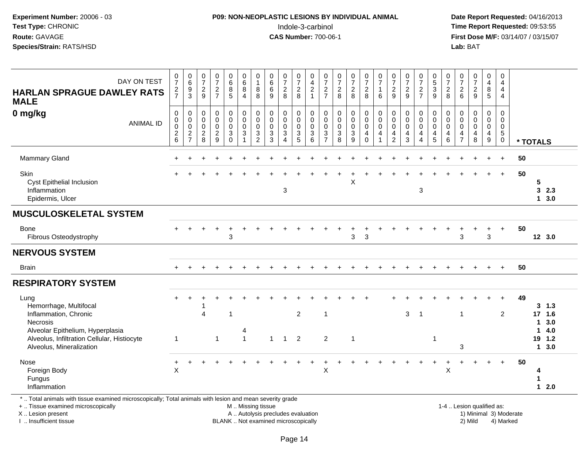### **P09: NON-NEOPLASTIC LESIONS BY INDIVIDUAL ANIMAL**Indole-3-carbinol **Time Report Requested:** 09:53:55

 **Date Report Requested:** 04/16/2013 **First Dose M/F:** 03/14/07 / 03/15/07<br>**Lab: BAT** 

| DAY ON TEST<br><b>HARLAN SPRAGUE DAWLEY RATS</b><br><b>MALE</b>                                                                                                                    | $\frac{0}{7}$<br>$\frac{2}{7}$                                      | $\begin{array}{c} 0 \\ 6 \end{array}$<br>$\frac{9}{3}$ | $\frac{0}{7}$<br>$\frac{2}{9}$                         | $\frac{0}{7}$<br>$\frac{2}{7}$               | $_{6}^{\rm 0}$<br>$\overline{8}$<br>$\overline{5}$                          | $\begin{matrix}0\\6\\8\end{matrix}$<br>$\overline{4}$ | $\begin{smallmatrix}0\\1\end{smallmatrix}$<br>$_{8}^8$   | $\begin{array}{c} 0 \\ 6 \\ 6 \end{array}$<br>9              | $\frac{0}{7}$<br>$\frac{2}{8}$                              | $\frac{0}{7}$<br>$\frac{2}{8}$                           | $_4^{\rm O}$<br>$\overline{2}$<br>$\mathbf{1}$ | $\frac{0}{7}$<br>$\frac{2}{7}$       | $\frac{0}{7}$<br>$\frac{2}{8}$                                   | $\frac{0}{7}$<br>$\frac{2}{8}$                           | $\frac{0}{7}$<br>$\frac{2}{8}$                                 | $\frac{0}{7}$<br>$\mathbf{1}$<br>6        | $\frac{0}{7}$<br>$\frac{2}{9}$                     | $\frac{0}{7}$<br>$\frac{2}{9}$                     | $\frac{0}{7}$<br>$\frac{2}{7}$                                      | $\begin{array}{c} 0 \\ 5 \\ 3 \end{array}$                                                    | $\frac{0}{7}$<br>$\frac{2}{8}$                         | $\frac{0}{7}$<br>$\frac{2}{6}$                                   | $\frac{0}{7}$<br>$\frac{2}{9}$            | $\pmb{0}$<br>$\overline{4}$<br>$\,8\,$<br>$\overline{5}$        | 0<br>$\overline{4}$<br>$\overline{4}$<br>4                 |    |                                                         |            |
|------------------------------------------------------------------------------------------------------------------------------------------------------------------------------------|---------------------------------------------------------------------|--------------------------------------------------------|--------------------------------------------------------|----------------------------------------------|-----------------------------------------------------------------------------|-------------------------------------------------------|----------------------------------------------------------|--------------------------------------------------------------|-------------------------------------------------------------|----------------------------------------------------------|------------------------------------------------|--------------------------------------|------------------------------------------------------------------|----------------------------------------------------------|----------------------------------------------------------------|-------------------------------------------|----------------------------------------------------|----------------------------------------------------|---------------------------------------------------------------------|-----------------------------------------------------------------------------------------------|--------------------------------------------------------|------------------------------------------------------------------|-------------------------------------------|-----------------------------------------------------------------|------------------------------------------------------------|----|---------------------------------------------------------|------------|
| 0 mg/kg<br><b>ANIMAL ID</b>                                                                                                                                                        | $\pmb{0}$<br>$\ddot{\mathbf{0}}$<br>$\overline{0}$<br>$\frac{2}{6}$ | 0<br>$\pmb{0}$<br>$\mathsf 0$<br>$\frac{2}{7}$         | 0<br>$\mathbf 0$<br>$\mathbf 0$<br>$\overline{c}$<br>8 | 0<br>$\mathsf 0$<br>0<br>$\overline{2}$<br>9 | 0<br>$\mathbf 0$<br>$\mathbf 0$<br>$\ensuremath{\mathsf{3}}$<br>$\mathbf 0$ | $\mathbf 0$<br>$\ddot{\mathbf{0}}$<br>0<br>3          | $\mathbf 0$<br>$\pmb{0}$<br>$\mathbf 0$<br>$\frac{3}{2}$ | $\mathbf 0$<br>$\mathbf 0$<br>$\mathbf 0$<br>$\sqrt{3}$<br>3 | 0<br>$\pmb{0}$<br>$\pmb{0}$<br>$\sqrt{3}$<br>$\overline{4}$ | 0<br>$\mathsf{O}\xspace$<br>$\mathbf 0$<br>$\frac{3}{5}$ | 0<br>0<br>0<br>3<br>6                          | 0<br>$\pmb{0}$<br>0<br>$\frac{3}{7}$ | 0<br>$\ddot{\mathbf{0}}$<br>$\mathsf{O}\xspace$<br>$\frac{3}{8}$ | 0<br>$\mathsf{O}\xspace$<br>$\mathbf 0$<br>$\frac{3}{9}$ | $\mathbf 0$<br>$\overline{0}$<br>$\pmb{0}$<br>4<br>$\mathbf 0$ | 0<br>$\mathbf 0$<br>$\mathbf 0$<br>4<br>1 | 0<br>$\pmb{0}$<br>$\pmb{0}$<br>4<br>$\overline{2}$ | 0<br>$\pmb{0}$<br>$\pmb{0}$<br>$\overline{4}$<br>3 | 0<br>$\mathbf 0$<br>$\mathbf 0$<br>$\overline{4}$<br>$\overline{4}$ | $\mathbf 0$<br>$\ddot{\mathbf{0}}$<br>$\ddot{\mathbf{0}}$<br>$\overline{4}$<br>$\overline{5}$ | $\mathbf 0$<br>0<br>$\mathbf 0$<br>4<br>$6\phantom{1}$ | $\mathbf 0$<br>$\mathbf 0$<br>$\mathbf 0$<br>4<br>$\overline{7}$ | 0<br>$\mathbf 0$<br>$\mathbf 0$<br>4<br>8 | 0<br>$\mathsf{O}$<br>$\mathsf{O}\xspace$<br>$\overline{4}$<br>9 | $\mathbf 0$<br>0<br>$\mathbf 0$<br>$5\,$<br>$\overline{0}$ |    | * TOTALS                                                |            |
| <b>Mammary Gland</b>                                                                                                                                                               |                                                                     |                                                        |                                                        |                                              |                                                                             |                                                       |                                                          |                                                              |                                                             |                                                          |                                                |                                      |                                                                  |                                                          |                                                                |                                           |                                                    |                                                    |                                                                     |                                                                                               |                                                        |                                                                  |                                           |                                                                 | $\ddot{}$                                                  | 50 |                                                         |            |
| Skin<br>Cyst Epithelial Inclusion<br>Inflammation<br>Epidermis, Ulcer                                                                                                              |                                                                     |                                                        |                                                        |                                              |                                                                             |                                                       |                                                          |                                                              | 3                                                           |                                                          |                                                |                                      |                                                                  | X                                                        |                                                                |                                           |                                                    |                                                    | $\mathbf{3}$                                                        |                                                                                               |                                                        |                                                                  |                                           |                                                                 | $\ddot{}$                                                  | 50 | 5<br>3<br>13.0                                          | 2.3        |
| <b>MUSCULOSKELETAL SYSTEM</b>                                                                                                                                                      |                                                                     |                                                        |                                                        |                                              |                                                                             |                                                       |                                                          |                                                              |                                                             |                                                          |                                                |                                      |                                                                  |                                                          |                                                                |                                           |                                                    |                                                    |                                                                     |                                                                                               |                                                        |                                                                  |                                           |                                                                 |                                                            |    |                                                         |            |
| <b>Bone</b><br>Fibrous Osteodystrophy                                                                                                                                              |                                                                     |                                                        |                                                        |                                              | 3                                                                           |                                                       |                                                          |                                                              |                                                             |                                                          |                                                |                                      |                                                                  | 3                                                        | 3                                                              |                                           |                                                    |                                                    |                                                                     |                                                                                               |                                                        | 3                                                                |                                           | $\mathbf{3}$                                                    | $\ddot{}$                                                  | 50 | 12 3.0                                                  |            |
| <b>NERVOUS SYSTEM</b>                                                                                                                                                              |                                                                     |                                                        |                                                        |                                              |                                                                             |                                                       |                                                          |                                                              |                                                             |                                                          |                                                |                                      |                                                                  |                                                          |                                                                |                                           |                                                    |                                                    |                                                                     |                                                                                               |                                                        |                                                                  |                                           |                                                                 |                                                            |    |                                                         |            |
| <b>Brain</b>                                                                                                                                                                       |                                                                     |                                                        |                                                        |                                              |                                                                             |                                                       |                                                          |                                                              |                                                             |                                                          |                                                |                                      |                                                                  |                                                          |                                                                |                                           |                                                    |                                                    |                                                                     |                                                                                               |                                                        |                                                                  |                                           |                                                                 | $+$                                                        | 50 |                                                         |            |
| <b>RESPIRATORY SYSTEM</b>                                                                                                                                                          |                                                                     |                                                        |                                                        |                                              |                                                                             |                                                       |                                                          |                                                              |                                                             |                                                          |                                                |                                      |                                                                  |                                                          |                                                                |                                           |                                                    |                                                    |                                                                     |                                                                                               |                                                        |                                                                  |                                           |                                                                 |                                                            |    |                                                         |            |
| Lung<br>Hemorrhage, Multifocal<br>Inflammation, Chronic<br>Necrosis<br>Alveolar Epithelium, Hyperplasia<br>Alveolus, Infiltration Cellular, Histiocyte<br>Alveolus, Mineralization | -1                                                                  | $\ddot{}$                                              | 4                                                      | $\mathbf{1}$                                 | -1                                                                          | 4<br>$\mathbf{1}$                                     |                                                          | $\overline{1}$                                               | $\overline{1}$                                              | $\overline{2}$<br>2                                      |                                                | $\overline{1}$<br>$\overline{2}$     |                                                                  | $\overline{\mathbf{1}}$                                  |                                                                |                                           |                                                    | 3                                                  | $\overline{1}$                                                      | -1                                                                                            |                                                        | $\overline{1}$<br>3                                              |                                           |                                                                 | $\ddot{}$<br>2                                             | 49 | 3, 1.3<br>17 1.6<br>$\mathbf{1}$<br>1<br>19 1.2<br>13.0 | 3.0<br>4.0 |
| Nose<br>Foreign Body<br>Fungus<br>Inflammation<br>*  Total animals with tissue examined microscopically; Total animals with lesion and mean severity grade                         | +<br>$\boldsymbol{\mathsf{X}}$                                      |                                                        |                                                        |                                              |                                                                             |                                                       |                                                          |                                                              |                                                             |                                                          |                                                | X                                    |                                                                  |                                                          |                                                                |                                           |                                                    |                                                    |                                                                     |                                                                                               | X                                                      |                                                                  |                                           |                                                                 | $+$                                                        | 50 | 4<br>1<br>$12.0$                                        |            |

+ .. Tissue examined microscopically

X .. Lesion present

I .. Insufficient tissue

 M .. Missing tissueA .. Autolysis precludes evaluation 1) Minimal 3 ... Autolysis precludes evaluation 1, and 30 ... (1) Minimal 3<br>1) Minimal 30 ... Autor microscopically 1990 ... (1) Minimal 30 ... (1) Minimal 30 ... (1) Minimal 30 ... (1)

BLANK .. Not examined microscopically 2) Mild 4) Marked

1-4 .. Lesion qualified as: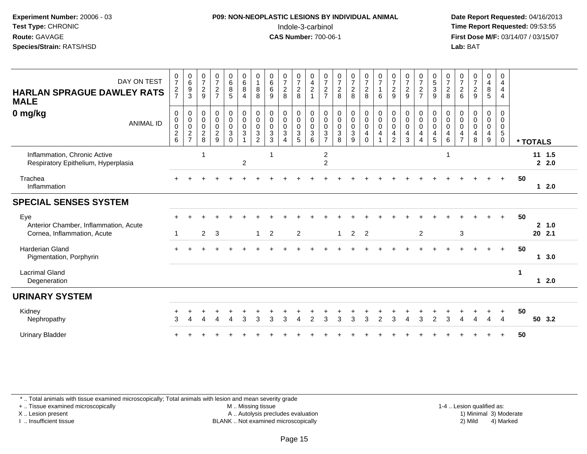#### **P09: NON-NEOPLASTIC LESIONS BY INDIVIDUAL ANIMAL**Indole-3-carbinol **Time Report Requested:** 09:53:55

 **Date Report Requested:** 04/16/2013 **First Dose M/F:** 03/14/07 / 03/15/07<br>**Lab: BAT** 

| DAY ON TEST<br><b>HARLAN SPRAGUE DAWLEY RATS</b><br><b>MALE</b>             | $\frac{0}{7}$<br>$\frac{2}{7}$           | $_{6}^{\rm 0}$<br>$\boldsymbol{9}$<br>$\mathfrak{S}$                              | $\frac{0}{7}$<br>$\boldsymbol{2}$<br>9                 | $\frac{0}{7}$<br>$\frac{2}{7}$                                         | $\begin{matrix} 0 \\ 6 \\ 8 \end{matrix}$<br>$\overline{5}$          | $_{6}^{\rm 0}$<br>8<br>$\overline{4}$   | $\begin{smallmatrix}0\1\end{smallmatrix}$<br>$\bf 8$<br>8       | $\begin{matrix} 0 \\ 6 \\ 6 \end{matrix}$<br>9                    | $\begin{array}{c} 0 \\ 7 \\ 2 \end{array}$<br>8 | $\frac{0}{7}$<br>8                                                                                     | $\begin{array}{c} 0 \\ 4 \\ 2 \end{array}$<br>$\overline{1}$ | $\frac{0}{7}$<br>$\frac{2}{7}$                                                    | $\begin{array}{c} 0 \\ 7 \\ 2 \end{array}$<br>8                           | $\frac{0}{7}$<br>$\frac{2}{8}$          | $\begin{array}{c} 0 \\ 7 \\ 2 \end{array}$<br>8                                         | $\frac{0}{7}$<br>$\mathbf{1}$<br>6                              | $\begin{array}{c} 0 \\ 7 \\ 2 \end{array}$<br>9        | $\begin{array}{c} 0 \\ 7 \\ 2 \end{array}$<br>9                                           | $\frac{0}{7}$<br>$\frac{2}{7}$                                                    | $\begin{array}{c} 0 \\ 5 \\ 3 \end{array}$<br>$\overline{9}$         | $\frac{0}{7}$<br>$\overline{c}$<br>8            | 0726                       | $\frac{0}{7}$<br>$\frac{2}{9}$                                  | 0<br>$\begin{array}{c} 4 \\ 8 \end{array}$<br>$5\phantom{.0}$ | $\pmb{0}$<br>$\overline{a}$<br>$\overline{4}$<br>$\overline{4}$ |              |          |                   |
|-----------------------------------------------------------------------------|------------------------------------------|-----------------------------------------------------------------------------------|--------------------------------------------------------|------------------------------------------------------------------------|----------------------------------------------------------------------|-----------------------------------------|-----------------------------------------------------------------|-------------------------------------------------------------------|-------------------------------------------------|--------------------------------------------------------------------------------------------------------|--------------------------------------------------------------|-----------------------------------------------------------------------------------|---------------------------------------------------------------------------|-----------------------------------------|-----------------------------------------------------------------------------------------|-----------------------------------------------------------------|--------------------------------------------------------|-------------------------------------------------------------------------------------------|-----------------------------------------------------------------------------------|----------------------------------------------------------------------|-------------------------------------------------|----------------------------|-----------------------------------------------------------------|---------------------------------------------------------------|-----------------------------------------------------------------|--------------|----------|-------------------|
| 0 mg/kg<br><b>ANIMAL ID</b>                                                 | 0<br>$_{\rm 0}^{\rm 0}$<br>$\frac{2}{6}$ | $\begin{smallmatrix}0\\0\\0\end{smallmatrix}$<br>$\overline{c}$<br>$\overline{7}$ | 0<br>$\pmb{0}$<br>$\mathbf 0$<br>$\boldsymbol{2}$<br>8 | $\begin{smallmatrix}0\\0\\0\end{smallmatrix}$<br>$\boldsymbol{2}$<br>9 | 0<br>$\pmb{0}$<br>$\pmb{0}$<br>$\ensuremath{\mathsf{3}}$<br>$\Omega$ | $_{0}^{0}$<br>$\mathbf 0$<br>$\sqrt{3}$ | $_{\rm 0}^{\rm 0}$<br>$\pmb{0}$<br>$\sqrt{3}$<br>$\overline{2}$ | 0<br>$\mathbf 0$<br>$\mathbf 0$<br>$\ensuremath{\mathsf{3}}$<br>3 | 0<br>$\pmb{0}$<br>$\pmb{0}$<br>$\sqrt{3}$       | $\boldsymbol{0}$<br>$\mathsf{O}\xspace$<br>$\mathbf 0$<br>$\ensuremath{\mathsf{3}}$<br>$5\phantom{.0}$ | 0<br>$\mathbf 0$<br>$\mathbf 0$<br>$\mathbf{3}$<br>6         | 0<br>$\pmb{0}$<br>$\boldsymbol{0}$<br>$\ensuremath{\mathsf{3}}$<br>$\overline{7}$ | $\pmb{0}$<br>$\mathbf 0$<br>$\mathbf 0$<br>$\ensuremath{\mathsf{3}}$<br>8 | $_0^0$<br>$\mathsf{O}\xspace$<br>3<br>9 | $\begin{smallmatrix}0\0\0\0\end{smallmatrix}$<br>$\overline{\mathbf{4}}$<br>$\mathbf 0$ | $\begin{smallmatrix}0\\0\\0\end{smallmatrix}$<br>$\overline{4}$ | 0<br>$\mathbf 0$<br>$\mathbf 0$<br>4<br>$\overline{2}$ | $\begin{smallmatrix} 0\\0 \end{smallmatrix}$<br>$\pmb{0}$<br>$\overline{\mathbf{4}}$<br>3 | $\begin{smallmatrix}0\0\0\end{smallmatrix}$<br>$\mathbf 0$<br>$\overline{4}$<br>4 | $\begin{smallmatrix}0\\0\\0\end{smallmatrix}$<br>$\overline{4}$<br>5 | 0<br>$\pmb{0}$<br>$\mathsf{O}\xspace$<br>4<br>6 | 0<br>0<br>$\mathsf 0$<br>4 | $_{\rm 0}^{\rm 0}$<br>$\pmb{0}$<br>$\overline{\mathbf{4}}$<br>8 | 0<br>$\pmb{0}$<br>$\mathbf 0$<br>$\overline{\mathbf{4}}$<br>9 | 0<br>$\mathbf 0$<br>$\mathbf 0$<br>$\,$ 5 $\,$<br>$\mathbf 0$   |              | * TOTALS |                   |
| Inflammation, Chronic Active<br>Respiratory Epithelium, Hyperplasia         |                                          |                                                                                   |                                                        |                                                                        |                                                                      | $\overline{c}$                          |                                                                 |                                                                   |                                                 |                                                                                                        |                                                              | $\overline{c}$<br>$\overline{c}$                                                  |                                                                           |                                         |                                                                                         |                                                                 |                                                        |                                                                                           |                                                                                   |                                                                      | $\overline{1}$                                  |                            |                                                                 |                                                               |                                                                 |              |          | $11 \t1.5$<br>2.0 |
| Trachea<br>Inflammation                                                     |                                          |                                                                                   |                                                        |                                                                        |                                                                      |                                         |                                                                 |                                                                   |                                                 |                                                                                                        |                                                              |                                                                                   |                                                                           |                                         |                                                                                         |                                                                 |                                                        |                                                                                           |                                                                                   |                                                                      |                                                 |                            |                                                                 |                                                               | $+$                                                             | 50           |          | $12.0$            |
| <b>SPECIAL SENSES SYSTEM</b>                                                |                                          |                                                                                   |                                                        |                                                                        |                                                                      |                                         |                                                                 |                                                                   |                                                 |                                                                                                        |                                                              |                                                                                   |                                                                           |                                         |                                                                                         |                                                                 |                                                        |                                                                                           |                                                                                   |                                                                      |                                                 |                            |                                                                 |                                                               |                                                                 |              |          |                   |
| Eye<br>Anterior Chamber, Inflammation, Acute<br>Cornea, Inflammation, Acute |                                          |                                                                                   | $\overline{2}$                                         | 3                                                                      |                                                                      |                                         | $\mathbf{1}$                                                    | $\overline{2}$                                                    |                                                 | $\overline{2}$                                                                                         |                                                              |                                                                                   | $\mathbf{1}$                                                              | $\overline{2}$                          | $\overline{2}$                                                                          |                                                                 |                                                        |                                                                                           | $\overline{2}$                                                                    |                                                                      |                                                 | $\mathbf{3}$               |                                                                 |                                                               | $+$                                                             | 50           |          | 2, 1.0<br>20 2.1  |
| <b>Harderian Gland</b><br>Pigmentation, Porphyrin                           |                                          |                                                                                   |                                                        |                                                                        |                                                                      |                                         |                                                                 |                                                                   |                                                 |                                                                                                        |                                                              |                                                                                   |                                                                           |                                         |                                                                                         |                                                                 |                                                        |                                                                                           |                                                                                   |                                                                      |                                                 |                            |                                                                 |                                                               | $+$                                                             | 50           |          | 1, 3.0            |
| <b>Lacrimal Gland</b><br>Degeneration                                       |                                          |                                                                                   |                                                        |                                                                        |                                                                      |                                         |                                                                 |                                                                   |                                                 |                                                                                                        |                                                              |                                                                                   |                                                                           |                                         |                                                                                         |                                                                 |                                                        |                                                                                           |                                                                                   |                                                                      |                                                 |                            |                                                                 |                                                               |                                                                 | $\mathbf{1}$ |          | 12.0              |
| <b>URINARY SYSTEM</b>                                                       |                                          |                                                                                   |                                                        |                                                                        |                                                                      |                                         |                                                                 |                                                                   |                                                 |                                                                                                        |                                                              |                                                                                   |                                                                           |                                         |                                                                                         |                                                                 |                                                        |                                                                                           |                                                                                   |                                                                      |                                                 |                            |                                                                 |                                                               |                                                                 |              |          |                   |
| Kidney<br>Nephropathy                                                       | 3                                        |                                                                                   |                                                        |                                                                        | 4                                                                    | 3                                       | 3                                                               | 3                                                                 | 3                                               | $\boldsymbol{\Lambda}$                                                                                 | 2                                                            | 3                                                                                 | 3                                                                         | 3                                       | 3                                                                                       | 2                                                               | 3                                                      | Δ                                                                                         | 3                                                                                 | $\overline{2}$                                                       | 3                                               |                            | $\Delta$                                                        | 4                                                             | $\ddot{}$<br>$\overline{4}$                                     | 50           |          | 50 3.2            |
| <b>Urinary Bladder</b>                                                      |                                          |                                                                                   |                                                        |                                                                        |                                                                      |                                         |                                                                 |                                                                   |                                                 |                                                                                                        |                                                              |                                                                                   |                                                                           |                                         |                                                                                         |                                                                 |                                                        |                                                                                           |                                                                                   |                                                                      |                                                 |                            |                                                                 |                                                               |                                                                 | 50           |          |                   |

\* .. Total animals with tissue examined microscopically; Total animals with lesion and mean severity grade

+ .. Tissue examined microscopically

X .. Lesion present

I .. Insufficient tissue

 M .. Missing tissueA .. Autolysis precludes evaluation

BLANK .. Not examined microscopically 2) Mild 4) Marked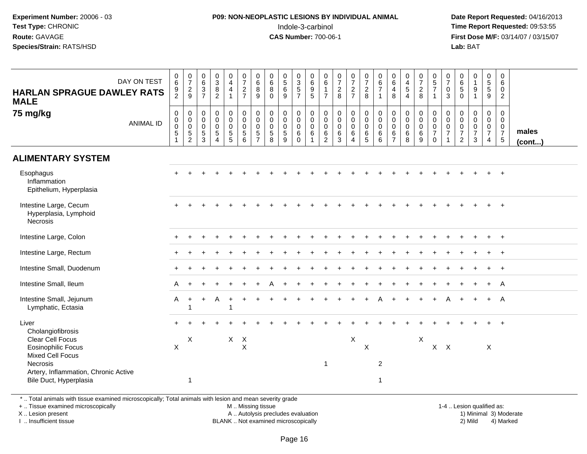#### **P09: NON-NEOPLASTIC LESIONS BY INDIVIDUAL ANIMAL**Indole-3-carbinol **Time Report Requested:** 09:53:55

 **Date Report Requested:** 04/16/2013 **First Dose M/F:** 03/14/07 / 03/15/07<br>**Lab: BAT** 

| <b>HARLAN SPRAGUE DAWLEY RATS</b><br><b>MALE</b>                         | DAY ON TEST      | $\mathbf 0$<br>$\,6$<br>$\frac{9}{2}$                      | $\frac{0}{7}$<br>$\frac{2}{9}$                           | $\begin{array}{c} 0 \\ 6 \end{array}$<br>$\sqrt{3}$<br>$\overline{7}$ | $_3^0$<br>$\bf 8$<br>$\overline{c}$                                         | $\mathbf 0$<br>$\overline{4}$<br>$\overline{4}$              | $\frac{0}{7}$<br>$\frac{2}{7}$                              | 0<br>$\,6\,$<br>8<br>9                                                     | $\boldsymbol{0}$<br>$\,6\,$<br>8<br>$\Omega$                      | $\frac{0}{5}$<br>$\,6\,$<br>9             | $\begin{array}{c} 0 \\ 3 \\ 5 \end{array}$<br>$\overline{7}$      | $\begin{array}{c} 0 \\ 6 \end{array}$<br>$\boldsymbol{9}$<br>5 | 0<br>$\,6\,$<br>$\mathbf{1}$<br>$\overline{7}$         | $\begin{smallmatrix}0\\7\end{smallmatrix}$<br>$\frac{2}{8}$ | $\begin{array}{c} 0 \\ 7 \end{array}$<br>$\frac{2}{7}$                 | $\begin{array}{c} 0 \\ 7 \end{array}$<br>$\overline{c}$<br>8 | $\begin{array}{c} 0 \\ 6 \end{array}$<br>$\overline{7}$<br>$\mathbf{1}$ | $\begin{array}{c} 0 \\ 6 \end{array}$<br>$\overline{4}$<br>8     | $\begin{smallmatrix}0\0\4\end{smallmatrix}$<br>$\overline{5}$<br>$\overline{4}$ | $\begin{array}{c} 0 \\ 7 \end{array}$<br>$\overline{c}$<br>8 | $\begin{array}{c} 0 \\ 5 \end{array}$<br>$\overline{7}$<br>$\mathbf{1}$ | 0<br>$\overline{7}$<br>$\mathbf 0$<br>3         | $\begin{array}{c} 0 \\ 6 \end{array}$<br>$\sqrt{5}$<br>$\mathbf 0$ | $\begin{smallmatrix}0\\1\end{smallmatrix}$<br>$\boldsymbol{9}$<br>$\overline{\mathbf{1}}$ | $\begin{array}{c} 0 \\ 5 \end{array}$<br>$\sqrt{5}$<br>9                      | $\mathbf 0$<br>6<br>$\mathbf 0$<br>2                         |                 |
|--------------------------------------------------------------------------|------------------|------------------------------------------------------------|----------------------------------------------------------|-----------------------------------------------------------------------|-----------------------------------------------------------------------------|--------------------------------------------------------------|-------------------------------------------------------------|----------------------------------------------------------------------------|-------------------------------------------------------------------|-------------------------------------------|-------------------------------------------------------------------|----------------------------------------------------------------|--------------------------------------------------------|-------------------------------------------------------------|------------------------------------------------------------------------|--------------------------------------------------------------|-------------------------------------------------------------------------|------------------------------------------------------------------|---------------------------------------------------------------------------------|--------------------------------------------------------------|-------------------------------------------------------------------------|-------------------------------------------------|--------------------------------------------------------------------|-------------------------------------------------------------------------------------------|-------------------------------------------------------------------------------|--------------------------------------------------------------|-----------------|
| 75 mg/kg                                                                 | <b>ANIMAL ID</b> | $\mathbf 0$<br>$\pmb{0}$<br>$\mathbf 0$<br>$\sqrt{5}$<br>1 | 0<br>$\mathsf{O}\xspace$<br>$\mathbf 0$<br>$\frac{5}{2}$ | $\mathbf 0$<br>$\mathbf 0$<br>0<br>$\sqrt{5}$<br>3                    | $\pmb{0}$<br>$\pmb{0}$<br>$\pmb{0}$<br>$\sqrt{5}$<br>$\boldsymbol{\Lambda}$ | $\mathbf 0$<br>$\mathbf 0$<br>$\mathbf 0$<br>$\sqrt{5}$<br>5 | $\mathbf 0$<br>$\pmb{0}$<br>$\mathbf 0$<br>$\,$ 5 $\,$<br>6 | $\mathbf 0$<br>$\mathbf{0}$<br>$\mathbf 0$<br>$\sqrt{5}$<br>$\overline{7}$ | $\mathbf 0$<br>$\mathbf 0$<br>$\boldsymbol{0}$<br>$\sqrt{5}$<br>8 | 0<br>$\mathbf 0$<br>$\mathbf 0$<br>5<br>9 | $\pmb{0}$<br>$\mathbf 0$<br>$\mathbf 0$<br>$\,6\,$<br>$\mathbf 0$ | 0<br>$\mathbf 0$<br>0<br>6                                     | 0<br>$\mathsf{O}\xspace$<br>$\pmb{0}$<br>$\frac{6}{2}$ | $\mathbf 0$<br>$\mathsf{O}\xspace$<br>$\pmb{0}$<br>$^6_3$   | $\mathbf 0$<br>$\mathbf 0$<br>$\mathbf 0$<br>$\,6\,$<br>$\overline{4}$ | 0<br>$\mathbf 0$<br>$\mathbf 0$<br>$\,6\,$<br>5              | $\pmb{0}$<br>$\mathbf 0$<br>$\mathbf 0$<br>$\,6\,$<br>6                 | $\mathbf 0$<br>$\mathbf 0$<br>$\mathbf 0$<br>6<br>$\overline{7}$ | 0<br>$\mathbf 0$<br>0<br>$\,6\,$<br>8                                           | $\mathbf 0$<br>$\mathbf 0$<br>$\mathbf 0$<br>$\,6\,$<br>9    | 0<br>$\mathsf{O}\xspace$<br>$\frac{0}{7}$<br>$\mathbf 0$                | $\mathbf 0$<br>0<br>$\pmb{0}$<br>$\overline{7}$ | 0<br>$\mathsf{O}\xspace$<br>$\frac{0}{7}$<br>2                     | 0<br>$\mathbf 0$<br>$\pmb{0}$<br>$\overline{7}$<br>3                                      | $\mathbf 0$<br>$\mathbf 0$<br>$\mathsf 0$<br>$\overline{7}$<br>$\overline{4}$ | 0<br>$\Omega$<br>$\mathbf 0$<br>$\overline{7}$<br>$\sqrt{5}$ | males<br>(cont) |
| <b>ALIMENTARY SYSTEM</b>                                                 |                  |                                                            |                                                          |                                                                       |                                                                             |                                                              |                                                             |                                                                            |                                                                   |                                           |                                                                   |                                                                |                                                        |                                                             |                                                                        |                                                              |                                                                         |                                                                  |                                                                                 |                                                              |                                                                         |                                                 |                                                                    |                                                                                           |                                                                               |                                                              |                 |
| Esophagus<br>Inflammation<br>Epithelium, Hyperplasia                     |                  |                                                            |                                                          |                                                                       |                                                                             |                                                              |                                                             |                                                                            |                                                                   |                                           |                                                                   |                                                                |                                                        |                                                             |                                                                        |                                                              |                                                                         |                                                                  |                                                                                 |                                                              |                                                                         |                                                 |                                                                    |                                                                                           |                                                                               | $\div$                                                       |                 |
| Intestine Large, Cecum<br>Hyperplasia, Lymphoid<br>Necrosis              |                  |                                                            |                                                          |                                                                       |                                                                             |                                                              |                                                             |                                                                            |                                                                   |                                           |                                                                   |                                                                |                                                        |                                                             |                                                                        |                                                              |                                                                         |                                                                  |                                                                                 |                                                              |                                                                         |                                                 |                                                                    |                                                                                           |                                                                               | $+$                                                          |                 |
| Intestine Large, Colon                                                   |                  |                                                            |                                                          |                                                                       |                                                                             |                                                              |                                                             |                                                                            |                                                                   |                                           |                                                                   |                                                                |                                                        |                                                             |                                                                        |                                                              |                                                                         |                                                                  |                                                                                 |                                                              |                                                                         |                                                 |                                                                    |                                                                                           |                                                                               | $+$                                                          |                 |
| Intestine Large, Rectum                                                  |                  |                                                            |                                                          |                                                                       |                                                                             |                                                              |                                                             |                                                                            |                                                                   |                                           |                                                                   |                                                                |                                                        |                                                             |                                                                        |                                                              |                                                                         |                                                                  |                                                                                 |                                                              |                                                                         |                                                 |                                                                    |                                                                                           |                                                                               | $\ddot{}$                                                    |                 |
| Intestine Small, Duodenum                                                |                  |                                                            |                                                          |                                                                       |                                                                             |                                                              |                                                             |                                                                            |                                                                   |                                           |                                                                   |                                                                |                                                        |                                                             |                                                                        |                                                              |                                                                         |                                                                  |                                                                                 |                                                              |                                                                         |                                                 |                                                                    |                                                                                           |                                                                               | $+$                                                          |                 |
| Intestine Small, Ileum                                                   |                  | A                                                          |                                                          |                                                                       |                                                                             |                                                              |                                                             |                                                                            |                                                                   |                                           |                                                                   |                                                                |                                                        |                                                             |                                                                        |                                                              |                                                                         |                                                                  |                                                                                 |                                                              |                                                                         |                                                 |                                                                    |                                                                                           | $+$                                                                           | A                                                            |                 |
| Intestine Small, Jejunum<br>Lymphatic, Ectasia                           |                  | A                                                          | $\ddot{}$<br>-1                                          | $+$                                                                   | Α                                                                           | $\overline{1}$                                               |                                                             |                                                                            |                                                                   |                                           |                                                                   |                                                                |                                                        |                                                             |                                                                        |                                                              |                                                                         |                                                                  |                                                                                 |                                                              |                                                                         |                                                 |                                                                    |                                                                                           |                                                                               | A                                                            |                 |
| Liver<br>Cholangiofibrosis                                               |                  |                                                            |                                                          |                                                                       |                                                                             |                                                              |                                                             |                                                                            |                                                                   |                                           |                                                                   |                                                                |                                                        |                                                             |                                                                        |                                                              |                                                                         |                                                                  |                                                                                 |                                                              |                                                                         |                                                 |                                                                    |                                                                                           |                                                                               |                                                              |                 |
| Clear Cell Focus<br><b>Eosinophilic Focus</b><br><b>Mixed Cell Focus</b> |                  | $\mathsf{X}$                                               | X                                                        |                                                                       |                                                                             |                                                              | $X$ $X$<br>$\times$                                         |                                                                            |                                                                   |                                           |                                                                   |                                                                |                                                        |                                                             | X                                                                      | X                                                            |                                                                         |                                                                  |                                                                                 | $\mathsf X$                                                  | $X$ $X$                                                                 |                                                 |                                                                    |                                                                                           | $\times$                                                                      |                                                              |                 |
| <b>Necrosis</b><br>Artery, Inflammation, Chronic Active                  |                  |                                                            |                                                          |                                                                       |                                                                             |                                                              |                                                             |                                                                            |                                                                   |                                           |                                                                   |                                                                | $\overline{1}$                                         |                                                             |                                                                        |                                                              | 2                                                                       |                                                                  |                                                                                 |                                                              |                                                                         |                                                 |                                                                    |                                                                                           |                                                                               |                                                              |                 |
| Bile Duct, Hyperplasia                                                   |                  |                                                            | $\mathbf 1$                                              |                                                                       |                                                                             |                                                              |                                                             |                                                                            |                                                                   |                                           |                                                                   |                                                                |                                                        |                                                             |                                                                        |                                                              | 1                                                                       |                                                                  |                                                                                 |                                                              |                                                                         |                                                 |                                                                    |                                                                                           |                                                                               |                                                              |                 |

\* .. Total animals with tissue examined microscopically; Total animals with lesion and mean severity grade

+ .. Tissue examined microscopically

X .. Lesion present

I .. Insufficient tissue

M .. Missing tissue

A .. Autolysis precludes evaluation

BLANK .. Not examined microscopically 2) Mild 4) Marked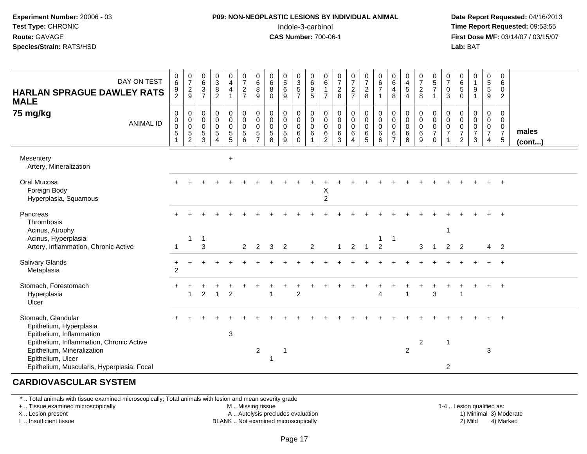#### **P09: NON-NEOPLASTIC LESIONS BY INDIVIDUAL ANIMAL**Indole-3-carbinol **Time Report Requested:** 09:53:55

 **Date Report Requested:** 04/16/2013 **First Dose M/F:** 03/14/07 / 03/15/07<br>**Lab: BAT Lab:** BAT

| DAY ON TEST<br><b>HARLAN SPRAGUE DAWLEY RATS</b><br><b>MALE</b>                                                                           | 0<br>6<br>9<br>$\overline{2}$              | $\frac{0}{7}$<br>$\frac{2}{9}$                       | $_{6}^{\rm 0}$<br>$\sqrt{3}$<br>$\overline{7}$                     | $_{3}^{\rm 0}$<br>$\bf 8$<br>$\overline{2}$                             | $\begin{smallmatrix}0\0\4\end{smallmatrix}$<br>$\overline{4}$<br>$\mathbf{1}$  | $\frac{0}{7}$<br>$\sqrt{2}$<br>$\overline{7}$               | $\begin{array}{c} 0 \\ 6 \end{array}$<br>$\, 8$<br>$9$                        | $\begin{matrix} 0 \\ 6 \end{matrix}$<br>$\,8\,$<br>$\mathbf 0$        | $0$<br>5<br>6<br>9                         | $\begin{array}{c} 0 \\ 3 \\ 5 \\ 7 \end{array}$                     | $\begin{matrix} 0 \\ 6 \\ 9 \end{matrix}$<br>$\sqrt{5}$              | $\begin{matrix} 0 \\ 6 \\ 1 \end{matrix}$<br>$\overline{7}$  | $\frac{0}{7}$<br>$\frac{2}{8}$                               | $\frac{0}{7}$<br>$\frac{2}{7}$                    | $\frac{0}{7}$<br>8                                         | $\begin{array}{c} 0 \\ 6 \\ 7 \end{array}$<br>$\mathbf{1}$          | $\begin{array}{c} 0 \\ 6 \\ 4 \end{array}$<br>8 | $\begin{array}{c} 0 \\ 4 \\ 5 \end{array}$<br>$\overline{4}$  | $\begin{smallmatrix}0\\7\end{smallmatrix}$<br>$\sqrt{2}$<br>8 | $\begin{array}{c} 0 \\ 5 \\ 7 \end{array}$<br>$\mathbf{1}$                | $\frac{0}{7}$<br>$\mathbf 0$<br>3                 | $\begin{array}{c} 0 \\ 6 \\ 5 \end{array}$<br>$\mathbf 0$ | $\begin{smallmatrix}0\1\end{smallmatrix}$<br>9<br>$\mathbf{1}$ | $\begin{array}{c} 0 \\ 5 \\ 5 \end{array}$<br>9                        | 0<br>6<br>$\mathbf 0$<br>$\overline{2}$                              |                       |
|-------------------------------------------------------------------------------------------------------------------------------------------|--------------------------------------------|------------------------------------------------------|--------------------------------------------------------------------|-------------------------------------------------------------------------|--------------------------------------------------------------------------------|-------------------------------------------------------------|-------------------------------------------------------------------------------|-----------------------------------------------------------------------|--------------------------------------------|---------------------------------------------------------------------|----------------------------------------------------------------------|--------------------------------------------------------------|--------------------------------------------------------------|---------------------------------------------------|------------------------------------------------------------|---------------------------------------------------------------------|-------------------------------------------------|---------------------------------------------------------------|---------------------------------------------------------------|---------------------------------------------------------------------------|---------------------------------------------------|-----------------------------------------------------------|----------------------------------------------------------------|------------------------------------------------------------------------|----------------------------------------------------------------------|-----------------------|
| 75 mg/kg<br><b>ANIMAL ID</b>                                                                                                              | $\pmb{0}$<br>$\pmb{0}$<br>$\mathbf 0$<br>5 | 0<br>$\pmb{0}$<br>$\mathbf 0$<br>$\overline{5}$<br>2 | $\pmb{0}$<br>$\mathsf{O}\xspace$<br>$\mathbf 0$<br>$\sqrt{5}$<br>3 | $\pmb{0}$<br>$\mathsf{O}\xspace$<br>$\pmb{0}$<br>$\sqrt{5}$<br>$\Delta$ | $\pmb{0}$<br>$\mathsf 0$<br>$\pmb{0}$<br>$\begin{array}{c} 5 \\ 5 \end{array}$ | $\pmb{0}$<br>$\mathbf 0$<br>$\mathbf 0$<br>$\,$ 5 $\,$<br>6 | $\pmb{0}$<br>$\boldsymbol{0}$<br>$\mathbf 0$<br>$\mathbf 5$<br>$\overline{7}$ | $\begin{smallmatrix} 0\\0\\0\\0 \end{smallmatrix}$<br>$\sqrt{5}$<br>8 | 0<br>$\mathsf{O}$<br>$\mathbf 0$<br>5<br>9 | $\pmb{0}$<br>$\mathbf 0$<br>$\ddot{\mathbf{0}}$<br>6<br>$\mathbf 0$ | $\pmb{0}$<br>$\begin{smallmatrix} 0\\0 \end{smallmatrix}$<br>$\,6\,$ | $\pmb{0}$<br>$_{\rm 0}^{\rm 0}$<br>$\,6\,$<br>$\overline{2}$ | $\mathsf 0$<br>$\mathbf 0$<br>$\overline{0}$<br>$\,6\,$<br>3 | 0<br>$\mathbf 0$<br>$\mathsf{O}\xspace$<br>6<br>4 | $\begin{smallmatrix}0\\0\\0\\0\end{smallmatrix}$<br>6<br>5 | $\pmb{0}$<br>$\begin{smallmatrix} 0\\0 \end{smallmatrix}$<br>6<br>6 | 0<br>$\mathbf 0$<br>0<br>6<br>$\overline{z}$    | $\begin{smallmatrix}0\\0\\0\end{smallmatrix}$<br>$\,6\,$<br>8 | 0<br>$\mathsf 0$<br>$\mathbf 0$<br>$\,6\,$<br>9               | $\,0\,$<br>$\mathbf 0$<br>$\overline{0}$<br>$\overline{7}$<br>$\mathbf 0$ | 0<br>$\mathbf 0$<br>$\mathbf 0$<br>$\overline{7}$ | 0<br>$\mathbf 0$<br>$\mathbf 0$<br>$\boldsymbol{7}$<br>2  | 0<br>$\mathsf{O}$<br>$\pmb{0}$<br>$\overline{7}$<br>3          | 0<br>$\overline{0}$<br>$\mathbf 0$<br>$\overline{7}$<br>$\overline{4}$ | 0<br>$\mathbf 0$<br>$\mathbf 0$<br>$\overline{7}$<br>$5\phantom{.0}$ | males<br>$($ cont $)$ |
| Mesentery<br>Artery, Mineralization                                                                                                       |                                            |                                                      |                                                                    |                                                                         | $\ddot{}$                                                                      |                                                             |                                                                               |                                                                       |                                            |                                                                     |                                                                      |                                                              |                                                              |                                                   |                                                            |                                                                     |                                                 |                                                               |                                                               |                                                                           |                                                   |                                                           |                                                                |                                                                        |                                                                      |                       |
| Oral Mucosa<br>Foreign Body<br>Hyperplasia, Squamous                                                                                      |                                            |                                                      |                                                                    |                                                                         |                                                                                |                                                             |                                                                               |                                                                       |                                            |                                                                     |                                                                      | Х<br>$\overline{c}$                                          |                                                              |                                                   |                                                            |                                                                     |                                                 |                                                               |                                                               |                                                                           |                                                   |                                                           |                                                                |                                                                        |                                                                      |                       |
| Pancreas<br>Thrombosis<br>Acinus, Atrophy<br>Acinus, Hyperplasia                                                                          |                                            | -1                                                   | $\mathbf{1}$                                                       |                                                                         |                                                                                |                                                             |                                                                               |                                                                       |                                            |                                                                     |                                                                      |                                                              |                                                              |                                                   |                                                            | 1                                                                   | $\mathbf{1}$                                    |                                                               |                                                               |                                                                           | $\mathbf 1$                                       |                                                           |                                                                |                                                                        |                                                                      |                       |
| Artery, Inflammation, Chronic Active                                                                                                      | -1                                         |                                                      | 3                                                                  |                                                                         |                                                                                | 2                                                           | $\overline{2}$                                                                | 3                                                                     | $\overline{2}$                             |                                                                     | 2                                                                    |                                                              | $\mathbf{1}$                                                 | $\overline{2}$                                    | $\overline{1}$                                             | $\overline{2}$                                                      |                                                 |                                                               | 3                                                             | $\overline{1}$                                                            | $\overline{2}$                                    | $\overline{2}$                                            |                                                                | $4\quad 2$                                                             |                                                                      |                       |
| Salivary Glands<br>Metaplasia                                                                                                             | $\ddot{}$<br>$\overline{c}$                |                                                      |                                                                    |                                                                         |                                                                                |                                                             |                                                                               |                                                                       |                                            |                                                                     |                                                                      |                                                              |                                                              |                                                   |                                                            |                                                                     |                                                 |                                                               |                                                               |                                                                           |                                                   |                                                           |                                                                |                                                                        |                                                                      |                       |
| Stomach, Forestomach<br>Hyperplasia<br>Ulcer                                                                                              |                                            |                                                      | $\overline{2}$                                                     | $\overline{1}$                                                          | $\overline{2}$                                                                 |                                                             |                                                                               |                                                                       |                                            | $\overline{2}$                                                      |                                                                      |                                                              |                                                              |                                                   |                                                            | $\div$<br>$\overline{4}$                                            |                                                 | $\overline{1}$                                                | +                                                             | 3                                                                         |                                                   |                                                           | $\div$                                                         | $+$                                                                    | $+$                                                                  |                       |
| Stomach, Glandular<br>Epithelium, Hyperplasia<br>Epithelium, Inflammation                                                                 |                                            |                                                      |                                                                    |                                                                         | $\mathbf{3}$                                                                   |                                                             |                                                                               |                                                                       |                                            |                                                                     |                                                                      |                                                              |                                                              |                                                   |                                                            |                                                                     |                                                 |                                                               |                                                               |                                                                           |                                                   |                                                           |                                                                |                                                                        |                                                                      |                       |
| Epithelium, Inflammation, Chronic Active<br>Epithelium, Mineralization<br>Epithelium, Ulcer<br>Epithelium, Muscularis, Hyperplasia, Focal |                                            |                                                      |                                                                    |                                                                         |                                                                                |                                                             | $\sqrt{2}$                                                                    | $\mathbf{1}$                                                          | -1                                         |                                                                     |                                                                      |                                                              |                                                              |                                                   |                                                            |                                                                     |                                                 | 2                                                             | $\boldsymbol{2}$                                              |                                                                           | 1<br>$\overline{2}$                               |                                                           |                                                                | 3                                                                      |                                                                      |                       |

#### **CARDIOVASCULAR SYSTEM**

\* .. Total animals with tissue examined microscopically; Total animals with lesion and mean severity grade

+ .. Tissue examined microscopically

X .. Lesion present

I .. Insufficient tissue

M .. Missing tissue

A .. Autolysis precludes evaluation

BLANK .. Not examined microscopically 2) Mild 4) Marked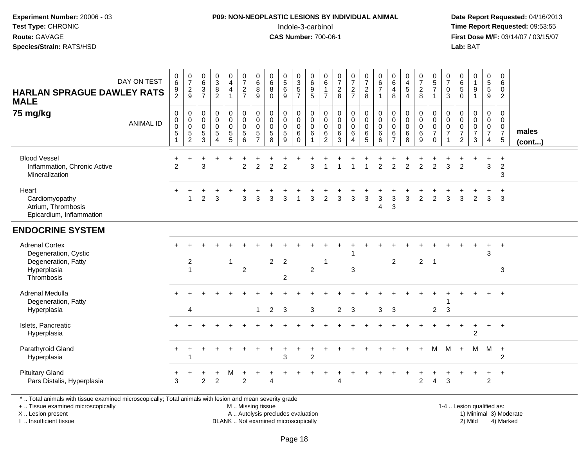#### **P09: NON-NEOPLASTIC LESIONS BY INDIVIDUAL ANIMAL**Indole-3-carbinol **Time Report Requested:** 09:53:55

 **Date Report Requested:** 04/16/2013 **First Dose M/F:** 03/14/07 / 03/15/07<br>**Lab:** BAT **Lab:** BAT

| <b>HARLAN SPRAGUE DAWLEY RATS</b><br><b>MALE</b>                                                                                                                    | DAY ON TEST      | 0<br>$\,6\,$<br>$\frac{9}{2}$                                      | $\begin{smallmatrix}0\\7\end{smallmatrix}$<br>$\frac{2}{9}$                       | 0<br>$\,6\,$<br>$\mathbf{3}$<br>$\overline{7}$                | $_{3}^{\rm 0}$<br>$\frac{8}{2}$                                                  | 0<br>$\overline{\mathbf{4}}$<br>4<br>$\overline{1}$ | $\frac{0}{7}$<br>$\frac{2}{7}$                           | 0<br>$\,6$<br>8<br>9                                            | 0<br>$\,6\,$<br>8<br>$\Omega$                    | $\begin{array}{c} 0 \\ 5 \end{array}$<br>6<br>$\overline{9}$ | 0<br>$\ensuremath{\mathsf{3}}$<br>$\frac{5}{7}$             | 0<br>$\,6\,$<br>$\boldsymbol{9}$<br>$\overline{5}$ | 0<br>$\,6\,$<br>$\mathbf{1}$<br>$\overline{7}$                       | $\frac{0}{7}$<br>$_{8}^2$                                 | $\frac{0}{7}$<br>$\frac{2}{7}$        | $\frac{0}{7}$<br>$\overline{2}$<br>8                                   | $_{6}^{\rm 0}$<br>$\overline{7}$<br>$\mathbf{1}$ | 0<br>$\,6\,$<br>4<br>8                       | $\begin{smallmatrix}0\\4\end{smallmatrix}$<br>$\sqrt{5}$<br>$\overline{4}$ | $\frac{0}{7}$<br>$\boldsymbol{2}$<br>8 | $\pmb{0}$<br>$\overline{5}$<br>$\overline{7}$<br>$\overline{1}$                 | 0<br>$\overline{7}$<br>$\mathbf 0$<br>3 | $_{6}^{\rm 0}$<br>$^5_{0}$                                          | $\begin{smallmatrix}0\1\end{smallmatrix}$<br>9<br>$\mathbf{1}$   | $\mathbf 0$<br>$\sqrt{5}$<br>5<br>9                      | $\boldsymbol{0}$<br>$\,6\,$<br>$\mathbf 0$<br>$\overline{2}$              |                        |
|---------------------------------------------------------------------------------------------------------------------------------------------------------------------|------------------|--------------------------------------------------------------------|-----------------------------------------------------------------------------------|---------------------------------------------------------------|----------------------------------------------------------------------------------|-----------------------------------------------------|----------------------------------------------------------|-----------------------------------------------------------------|--------------------------------------------------|--------------------------------------------------------------|-------------------------------------------------------------|----------------------------------------------------|----------------------------------------------------------------------|-----------------------------------------------------------|---------------------------------------|------------------------------------------------------------------------|--------------------------------------------------|----------------------------------------------|----------------------------------------------------------------------------|----------------------------------------|---------------------------------------------------------------------------------|-----------------------------------------|---------------------------------------------------------------------|------------------------------------------------------------------|----------------------------------------------------------|---------------------------------------------------------------------------|------------------------|
| 75 mg/kg                                                                                                                                                            | <b>ANIMAL ID</b> | $\mathbf 0$<br>$\pmb{0}$<br>$\overline{0}$<br>$\overline{5}$<br>-1 | $\mathsf{O}\xspace$<br>$\mathbf 0$<br>$\mathbf 0$<br>$\sqrt{5}$<br>$\overline{2}$ | $\mathbf 0$<br>$\mathbf 0$<br>$\mathbf 0$<br>$\,$ 5 $\,$<br>3 | $\mathsf 0$<br>$\mathbf 0$<br>$\pmb{0}$<br>$\,$ 5 $\,$<br>$\boldsymbol{\Lambda}$ | 0<br>$\mathbf 0$<br>0<br>$\,$ 5 $\,$<br>$\sqrt{5}$  | $\pmb{0}$<br>$\mathbf 0$<br>$\pmb{0}$<br>$\sqrt{5}$<br>6 | 0<br>$\mathbf 0$<br>$\mathbf 0$<br>$\sqrt{5}$<br>$\overline{ }$ | 0<br>$\mathbf 0$<br>$\pmb{0}$<br>$\sqrt{5}$<br>8 | 0<br>$\mathbf 0$<br>$\pmb{0}$<br>5<br>9                      | 0<br>$\mathbf 0$<br>$\mathsf{O}\xspace$<br>6<br>$\mathbf 0$ | 0<br>$\mathbf 0$<br>$\pmb{0}$<br>$\,6\,$           | 0<br>$\mathbf 0$<br>$\mathbf 0$<br>$6\phantom{1}6$<br>$\overline{2}$ | $\mathbf 0$<br>$\mathbf 0$<br>$\mathbf 0$<br>$\,6\,$<br>3 | 0<br>$\mathbf 0$<br>0<br>$\,6\,$<br>4 | $\pmb{0}$<br>$\mathbf 0$<br>$\ddot{\mathbf{0}}$<br>$\,6$<br>$\sqrt{5}$ | $\pmb{0}$<br>$\mathbf 0$<br>$\pmb{0}$<br>6<br>6  | 0<br>0<br>$\mathbf 0$<br>6<br>$\overline{z}$ | $\mathbf 0$<br>$\mathbf 0$<br>$\mathbf 0$<br>$\,6\,$<br>8                  | 0<br>$\mathbf 0$<br>0<br>$\,6$<br>9    | $\boldsymbol{0}$<br>$\mathbf 0$<br>$\mathbf 0$<br>$\overline{7}$<br>$\mathbf 0$ | 0<br>$\mathbf 0$<br>0<br>$\overline{7}$ | 0<br>$\mathbf 0$<br>$\pmb{0}$<br>$\boldsymbol{7}$<br>$\overline{2}$ | 0<br>$\mathsf{O}$<br>$\pmb{0}$<br>$\overline{7}$<br>$\mathbf{3}$ | 0<br>$\mathbf 0$<br>$\mathbf 0$<br>$\boldsymbol{7}$<br>4 | $\mathbf 0$<br>$\mathbf 0$<br>$\mathbf 0$<br>$\overline{7}$<br>$\sqrt{5}$ | males<br>(cont)        |
| <b>Blood Vessel</b><br>Inflammation, Chronic Active<br>Mineralization                                                                                               |                  | $\mathfrak{p}$                                                     | $\ddot{}$                                                                         | 3                                                             |                                                                                  |                                                     | $\overline{2}$                                           | $\overline{c}$                                                  | $\overline{2}$                                   | $\overline{2}$                                               |                                                             | 3                                                  |                                                                      |                                                           |                                       |                                                                        | $\overline{2}$                                   | 2                                            | $\mathfrak{p}$                                                             | $\overline{2}$                         | $\mathfrak{p}$                                                                  | 3                                       | $\overline{2}$                                                      |                                                                  | $\ddot{}$<br>3                                           | $\ddot{}$<br>$\sqrt{2}$<br>3                                              |                        |
| Heart<br>Cardiomyopathy<br>Atrium, Thrombosis<br>Epicardium, Inflammation                                                                                           |                  |                                                                    |                                                                                   | $\overline{c}$                                                | 3                                                                                |                                                     | 3                                                        | 3                                                               |                                                  | 3                                                            |                                                             | 3                                                  | $\overline{2}$                                                       | 3                                                         | 3                                     | 3                                                                      | 3<br>$\overline{4}$                              | 3<br>3                                       | 3                                                                          | $\overline{c}$                         | 2                                                                               | 3                                       | 3                                                                   | $\overline{2}$                                                   | 3                                                        | 3                                                                         |                        |
| <b>ENDOCRINE SYSTEM</b>                                                                                                                                             |                  |                                                                    |                                                                                   |                                                               |                                                                                  |                                                     |                                                          |                                                                 |                                                  |                                                              |                                                             |                                                    |                                                                      |                                                           |                                       |                                                                        |                                                  |                                              |                                                                            |                                        |                                                                                 |                                         |                                                                     |                                                                  |                                                          |                                                                           |                        |
| <b>Adrenal Cortex</b><br>Degeneration, Cystic<br>Degeneration, Fatty<br>Hyperplasia<br>Thrombosis                                                                   |                  |                                                                    | 2<br>$\overline{1}$                                                               |                                                               |                                                                                  | $\overline{\mathbf{1}}$                             | $\overline{c}$                                           |                                                                 | $\overline{2}$                                   | $\overline{2}$<br>$\overline{2}$                             |                                                             | $\overline{2}$                                     | $\overline{1}$                                                       |                                                           | 3                                     |                                                                        |                                                  | 2                                            |                                                                            | $\overline{2}$                         | $\overline{\phantom{0}}$                                                        |                                         |                                                                     |                                                                  | 3                                                        | $^{+}$<br>3                                                               |                        |
| Adrenal Medulla<br>Degeneration, Fatty<br>Hyperplasia                                                                                                               |                  |                                                                    | $\overline{4}$                                                                    |                                                               |                                                                                  |                                                     |                                                          | 1                                                               | $\overline{2}$                                   | 3                                                            |                                                             | 3                                                  |                                                                      | $\overline{a}$                                            | 3                                     |                                                                        | 3                                                | 3                                            |                                                                            |                                        | $\overline{c}$                                                                  | 3                                       |                                                                     |                                                                  |                                                          |                                                                           |                        |
| Islets, Pancreatic<br>Hyperplasia                                                                                                                                   |                  |                                                                    |                                                                                   |                                                               |                                                                                  |                                                     |                                                          |                                                                 |                                                  |                                                              |                                                             |                                                    |                                                                      |                                                           |                                       |                                                                        |                                                  |                                              |                                                                            |                                        |                                                                                 |                                         |                                                                     | $\ddot{}$<br>$\overline{2}$                                      | $+$                                                      | $+$                                                                       |                        |
| Parathyroid Gland<br>Hyperplasia                                                                                                                                    |                  |                                                                    | $\overline{\mathbf{1}}$                                                           |                                                               |                                                                                  |                                                     |                                                          |                                                                 |                                                  | 3                                                            |                                                             | $\overline{2}$                                     |                                                                      |                                                           |                                       |                                                                        |                                                  |                                              |                                                                            |                                        | M                                                                               | м                                       | $\ddot{}$                                                           | м                                                                | M                                                        | $+$<br>$\overline{c}$                                                     |                        |
| <b>Pituitary Gland</b><br>Pars Distalis, Hyperplasia                                                                                                                |                  | 3                                                                  |                                                                                   | $\overline{2}$                                                | $\overline{2}$                                                                   | M                                                   | $\overline{2}$                                           |                                                                 |                                                  |                                                              |                                                             |                                                    |                                                                      |                                                           |                                       |                                                                        |                                                  |                                              |                                                                            | $\overline{2}$                         | 4                                                                               | 3                                       |                                                                     | $\ddot{}$                                                        | $\ddot{}$<br>$\overline{2}$                              | $+$                                                                       |                        |
| *  Total animals with tissue examined microscopically; Total animals with lesion and mean severity grade<br>+  Tissue examined microscopically<br>X  Lesion present |                  |                                                                    |                                                                                   |                                                               |                                                                                  |                                                     | M  Missing tissue                                        |                                                                 | A  Autolysis precludes evaluation                |                                                              |                                                             |                                                    |                                                                      |                                                           |                                       |                                                                        |                                                  |                                              |                                                                            |                                        |                                                                                 |                                         |                                                                     | 1-4  Lesion qualified as:                                        |                                                          |                                                                           | 1) Minimal 3) Moderate |

I .. Insufficient tissue

BLANK .. Not examined microscopically 2) Mild 4) Marked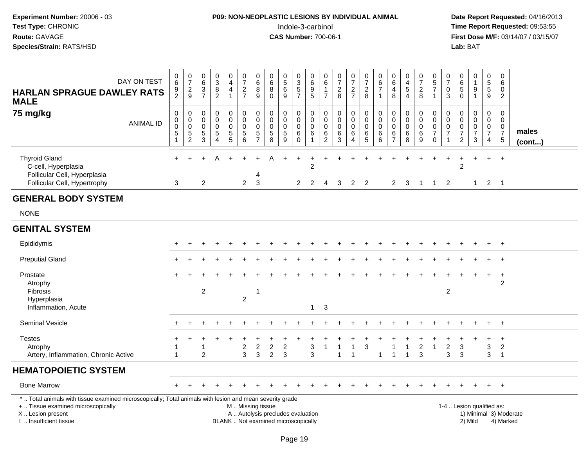### **P09: NON-NEOPLASTIC LESIONS BY INDIVIDUAL ANIMAL**Indole-3-carbinol **Time Report Requested:** 09:53:55

| DAY ON TEST<br><b>HARLAN SPRAGUE DAWLEY RATS</b><br><b>MALE</b>                                                                                                                               | 0<br>$6\phantom{a}$<br>$\frac{9}{2}$                                        | $\frac{0}{7}$<br>$\frac{2}{9}$                                  | $\mathbf 0$<br>$\,6\,$<br>3<br>$\overline{7}$                 | $\pmb{0}$<br>$\overline{3}$<br>8<br>$\overline{2}$               | 0<br>$\overline{4}$<br>4<br>$\mathbf{1}$         | $\begin{smallmatrix}0\\7\end{smallmatrix}$<br>$rac{2}{7}$ | $\pmb{0}$<br>$\overline{6}$<br>8<br>9                                | 0<br>6<br>8<br>$\Omega$                                                  | $\begin{array}{c} 0 \\ 5 \end{array}$<br>$\,6\,$<br>9     | $\pmb{0}$<br>$\overline{3}$<br>$\frac{5}{7}$     | 0<br>6<br>$\begin{array}{c} 9 \\ 5 \end{array}$                        | 0<br>$\,6\,$<br>$\overline{7}$                         | $\begin{array}{c} 0 \\ 7 \end{array}$<br>$\frac{2}{8}$             | $\frac{0}{7}$<br>$\frac{2}{7}$                          | $\begin{array}{c} 0 \\ 7 \end{array}$<br>$\frac{2}{8}$         | $\pmb{0}$<br>$6\phantom{a}$<br>$\overline{7}$<br>$\mathbf{1}$ | $\mathbf 0$<br>$6\phantom{a}$<br>$\overline{a}$<br>8                 | $\pmb{0}$<br>$\overline{4}$<br>$\sqrt{5}$<br>$\overline{4}$ | 0<br>$\overline{7}$<br>$_{8}^{\rm 2}$         | $\begin{array}{c} 0 \\ 5 \end{array}$<br>$\overline{7}$<br>$\mathbf{1}$ | 0<br>$\overline{7}$<br>0<br>3                  | 0<br>$6\phantom{a}$<br>$\sqrt{5}$<br>$\mathbf{0}$        | $\begin{smallmatrix}0\1\end{smallmatrix}$<br>9<br>$\mathbf{1}$ | $\pmb{0}$<br>$\overline{5}$<br>$\overline{9}$                       | $\mathbf 0$<br>$\,6\,$<br>$\mathbf 0$<br>$\overline{2}$                   |                        |
|-----------------------------------------------------------------------------------------------------------------------------------------------------------------------------------------------|-----------------------------------------------------------------------------|-----------------------------------------------------------------|---------------------------------------------------------------|------------------------------------------------------------------|--------------------------------------------------|-----------------------------------------------------------|----------------------------------------------------------------------|--------------------------------------------------------------------------|-----------------------------------------------------------|--------------------------------------------------|------------------------------------------------------------------------|--------------------------------------------------------|--------------------------------------------------------------------|---------------------------------------------------------|----------------------------------------------------------------|---------------------------------------------------------------|----------------------------------------------------------------------|-------------------------------------------------------------|-----------------------------------------------|-------------------------------------------------------------------------|------------------------------------------------|----------------------------------------------------------|----------------------------------------------------------------|---------------------------------------------------------------------|---------------------------------------------------------------------------|------------------------|
| 75 mg/kg<br><b>ANIMAL ID</b>                                                                                                                                                                  | $\boldsymbol{0}$<br>$\pmb{0}$<br>$\pmb{0}$<br>$\mathbf 5$<br>$\overline{1}$ | 0<br>$\mathbf 0$<br>$\mathsf 0$<br>$\sqrt{5}$<br>$\overline{2}$ | $\mathbf 0$<br>$\mathbf 0$<br>$\mathbf 0$<br>$\,$ 5 $\,$<br>3 | $\mathbf 0$<br>$\mathbf 0$<br>$\mathbf 0$<br>5<br>$\overline{4}$ | 0<br>$\mathbf 0$<br>$\mathsf 0$<br>$\frac{5}{5}$ | 0<br>$\mathbf 0$<br>$\pmb{0}$<br>$\sqrt{5}$<br>6          | $\pmb{0}$<br>$\pmb{0}$<br>$\pmb{0}$<br>$\,$ 5 $\,$<br>$\overline{7}$ | 0<br>$\mathbf 0$<br>0<br>$\sqrt{5}$<br>8                                 | $\mathbf 0$<br>$\pmb{0}$<br>$\pmb{0}$<br>$\,$ 5 $\,$<br>9 | 0<br>$\mathbf 0$<br>$\mathsf 0$<br>6<br>$\Omega$ | $\mathbf 0$<br>$\mathbf 0$<br>$\mathbf 0$<br>$\,6\,$<br>$\overline{1}$ | 0<br>$\mathbf 0$<br>$\mathbf 0$<br>6<br>$\overline{2}$ | $\mathbf 0$<br>$\mathbf 0$<br>$\mathbf 0$<br>$\,6$<br>$\mathbf{3}$ | 0<br>$\mathbf 0$<br>$\mathsf{O}$<br>6<br>$\overline{4}$ | $\boldsymbol{0}$<br>$\mathsf{O}$<br>$\pmb{0}$<br>$\frac{6}{5}$ | 0<br>$\pmb{0}$<br>$\pmb{0}$<br>$\,6$<br>6                     | $\mathbf 0$<br>$\mathbf 0$<br>$\pmb{0}$<br>$\,6\,$<br>$\overline{7}$ | $\mathbf 0$<br>$\mathbf 0$<br>$\mathbf 0$<br>$\,6$<br>8     | 0<br>$\mathbf 0$<br>$\pmb{0}$<br>$\,6\,$<br>9 | $\Omega$<br>$\mathbf 0$<br>$\mathbf 0$<br>$\overline{7}$<br>$\mathbf 0$ | $\Omega$<br>0<br>$\mathbf 0$<br>$\overline{7}$ | $\mathbf 0$<br>$\mathbf 0$<br>0<br>$\boldsymbol{7}$<br>2 | $\pmb{0}$<br>$\mathbf 0$<br>$\mathsf 0$<br>$\overline{7}$<br>3 | $\mathbf 0$<br>$\mathbf 0$<br>0<br>$\overline{7}$<br>$\overline{4}$ | $\mathbf 0$<br>$\mathbf 0$<br>$\mathbf 0$<br>$\overline{7}$<br>$\sqrt{5}$ | males<br>(cont)        |
| <b>Thyroid Gland</b><br>C-cell, Hyperplasia<br>Follicular Cell, Hyperplasia<br>Follicular Cell, Hypertrophy                                                                                   | $+$<br>3                                                                    |                                                                 | $\overline{c}$                                                |                                                                  |                                                  | $\overline{2}$                                            | 4<br>3                                                               | А                                                                        |                                                           | $\overline{2}$                                   | 2<br>2                                                                 | 4                                                      | 3                                                                  | 2                                                       | $\overline{2}$                                                 |                                                               | 2                                                                    | 3                                                           | -1                                            | -1                                                                      | 2                                              | $\overline{c}$                                           | $\ddot{}$<br>$\mathbf{1}$                                      | $\ddot{}$<br>$\overline{2}$                                         | $+$<br>$\overline{\phantom{0}}$ 1                                         |                        |
| <b>GENERAL BODY SYSTEM</b>                                                                                                                                                                    |                                                                             |                                                                 |                                                               |                                                                  |                                                  |                                                           |                                                                      |                                                                          |                                                           |                                                  |                                                                        |                                                        |                                                                    |                                                         |                                                                |                                                               |                                                                      |                                                             |                                               |                                                                         |                                                |                                                          |                                                                |                                                                     |                                                                           |                        |
| <b>NONE</b>                                                                                                                                                                                   |                                                                             |                                                                 |                                                               |                                                                  |                                                  |                                                           |                                                                      |                                                                          |                                                           |                                                  |                                                                        |                                                        |                                                                    |                                                         |                                                                |                                                               |                                                                      |                                                             |                                               |                                                                         |                                                |                                                          |                                                                |                                                                     |                                                                           |                        |
| <b>GENITAL SYSTEM</b>                                                                                                                                                                         |                                                                             |                                                                 |                                                               |                                                                  |                                                  |                                                           |                                                                      |                                                                          |                                                           |                                                  |                                                                        |                                                        |                                                                    |                                                         |                                                                |                                                               |                                                                      |                                                             |                                               |                                                                         |                                                |                                                          |                                                                |                                                                     |                                                                           |                        |
| Epididymis                                                                                                                                                                                    | $+$                                                                         |                                                                 |                                                               |                                                                  |                                                  |                                                           |                                                                      |                                                                          |                                                           |                                                  |                                                                        |                                                        |                                                                    |                                                         |                                                                |                                                               |                                                                      |                                                             |                                               |                                                                         |                                                |                                                          | $\ddot{}$                                                      | $+$                                                                 | $+$                                                                       |                        |
| <b>Preputial Gland</b>                                                                                                                                                                        |                                                                             |                                                                 |                                                               |                                                                  |                                                  |                                                           |                                                                      |                                                                          |                                                           |                                                  |                                                                        |                                                        |                                                                    |                                                         |                                                                |                                                               |                                                                      |                                                             |                                               |                                                                         |                                                |                                                          |                                                                |                                                                     | $\overline{+}$                                                            |                        |
| Prostate<br>Atrophy<br>Fibrosis<br>Hyperplasia<br>Inflammation, Acute                                                                                                                         |                                                                             |                                                                 | $\overline{2}$                                                |                                                                  |                                                  | $\overline{2}$                                            | -1                                                                   |                                                                          |                                                           |                                                  | $\mathbf{1}$                                                           | 3                                                      |                                                                    |                                                         |                                                                |                                                               |                                                                      |                                                             |                                               |                                                                         | $\overline{2}$                                 |                                                          |                                                                | $\ddot{}$                                                           | $\overline{+}$<br>$\overline{2}$                                          |                        |
| <b>Seminal Vesicle</b>                                                                                                                                                                        |                                                                             |                                                                 |                                                               |                                                                  |                                                  |                                                           |                                                                      |                                                                          |                                                           |                                                  |                                                                        |                                                        |                                                                    |                                                         |                                                                |                                                               |                                                                      |                                                             |                                               |                                                                         |                                                |                                                          |                                                                |                                                                     | $+$                                                                       |                        |
| <b>Testes</b><br>Atrophy<br>Artery, Inflammation, Chronic Active                                                                                                                              | 1                                                                           |                                                                 | 1<br>$\overline{2}$                                           |                                                                  |                                                  | $\overline{c}$<br>3                                       | $\overline{c}$<br>3                                                  | $\overline{c}$<br>$\overline{2}$                                         | $\overline{2}$<br>3                                       |                                                  | 3<br>3                                                                 | 1                                                      | -1<br>1                                                            | $\mathbf{1}$<br>1                                       | $\mathbf{3}$                                                   | 1                                                             | 1<br>$\mathbf{1}$                                                    | $\overline{1}$<br>$\overline{1}$                            | $\overline{c}$<br>3                           | $\mathbf{1}$                                                            | $\boldsymbol{2}$<br>3                          | 3<br>3                                                   | $\ddot{}$                                                      | $\ddot{}$<br>3<br>3                                                 | $+$<br>$\overline{2}$<br>$\overline{1}$                                   |                        |
| <b>HEMATOPOIETIC SYSTEM</b>                                                                                                                                                                   |                                                                             |                                                                 |                                                               |                                                                  |                                                  |                                                           |                                                                      |                                                                          |                                                           |                                                  |                                                                        |                                                        |                                                                    |                                                         |                                                                |                                                               |                                                                      |                                                             |                                               |                                                                         |                                                |                                                          |                                                                |                                                                     |                                                                           |                        |
| <b>Bone Marrow</b>                                                                                                                                                                            |                                                                             |                                                                 |                                                               |                                                                  |                                                  |                                                           |                                                                      |                                                                          |                                                           |                                                  |                                                                        |                                                        |                                                                    |                                                         |                                                                |                                                               |                                                                      |                                                             |                                               |                                                                         |                                                |                                                          |                                                                |                                                                     | $+$                                                                       |                        |
| *  Total animals with tissue examined microscopically; Total animals with lesion and mean severity grade<br>+  Tissue examined microscopically<br>X  Lesion present<br>I. Insufficient tissue |                                                                             |                                                                 |                                                               |                                                                  |                                                  | M  Missing tissue                                         |                                                                      | A  Autolysis precludes evaluation<br>BLANK  Not examined microscopically |                                                           |                                                  |                                                                        |                                                        |                                                                    |                                                         |                                                                |                                                               |                                                                      |                                                             |                                               |                                                                         |                                                | 1-4  Lesion qualified as:                                | 2) Mild                                                        |                                                                     | 4) Marked                                                                 | 1) Minimal 3) Moderate |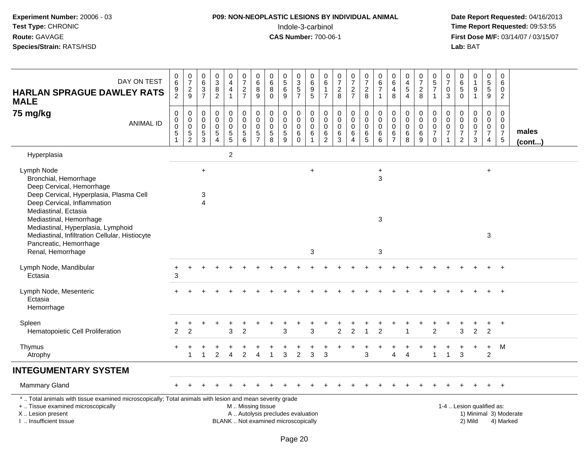#### **P09: NON-NEOPLASTIC LESIONS BY INDIVIDUAL ANIMAL**Indole-3-carbinol **Time Report Requested:** 09:53:55

| DAY ON TEST<br><b>HARLAN SPRAGUE DAWLEY RATS</b><br><b>MALE</b>                                                                                                                               | 0<br>$\,6\,$<br>$\frac{9}{2}$ | $\frac{0}{7}$<br>$\frac{2}{9}$                           | 0<br>$6\overline{6}$<br>$\ensuremath{\mathsf{3}}$<br>$\overline{7}$ | $\pmb{0}$<br>$\overline{3}$<br>$\,8\,$<br>$\overline{2}$ | $\boldsymbol{0}$<br>$\overline{4}$<br>$\overline{4}$<br>$\mathbf{1}$ | $\frac{0}{7}$<br>$\frac{2}{7}$                                                           | $\mathbf 0$<br>$6\phantom{a}$<br>8<br>$\boldsymbol{9}$   | 0<br>6<br>$\bf8$<br>$\mathbf 0$                                          | 0<br>$\overline{5}$<br>$\,6\,$<br>9                            | 0<br>$\overline{3}$<br>$\frac{5}{7}$                              | 0<br>$6\phantom{a}$<br>$\begin{array}{c} 9 \\ 5 \end{array}$ | 0<br>$6\overline{6}$<br>$\mathbf{1}$<br>$\overline{7}$ | 0<br>$\overline{7}$<br>$\overline{c}$<br>8 | $\frac{0}{7}$<br>$\frac{2}{7}$                                             | $\begin{array}{c} 0 \\ 7 \end{array}$<br>$\frac{2}{8}$ | 0<br>$\,6$<br>$\overline{7}$<br>$\mathbf{1}$                   | $\mathbf 0$<br>$6\phantom{a}$<br>$\overline{4}$<br>8           | $\mathbf 0$<br>$\overline{\mathbf{4}}$<br>$\mathbf 5$<br>$\overline{4}$ | $\frac{0}{7}$<br>$\overline{\mathbf{c}}$<br>8              | $\begin{smallmatrix}0\0\5\end{smallmatrix}$<br>$\overline{7}$<br>$\mathbf{1}$ | $\frac{0}{7}$<br>$\pmb{0}$<br>3                              | 0<br>$\,6\,$<br>5<br>$\mathbf 0$                                              | $\mathbf 0$<br>$\mathbf{1}$<br>$\boldsymbol{9}$<br>$\overline{1}$         | 0<br>$\overline{5}$<br>$\sqrt{5}$<br>9                                   | $\mathbf 0$<br>$\,6\,$<br>$\mathbf 0$<br>$\overline{2}$                        |                        |
|-----------------------------------------------------------------------------------------------------------------------------------------------------------------------------------------------|-------------------------------|----------------------------------------------------------|---------------------------------------------------------------------|----------------------------------------------------------|----------------------------------------------------------------------|------------------------------------------------------------------------------------------|----------------------------------------------------------|--------------------------------------------------------------------------|----------------------------------------------------------------|-------------------------------------------------------------------|--------------------------------------------------------------|--------------------------------------------------------|--------------------------------------------|----------------------------------------------------------------------------|--------------------------------------------------------|----------------------------------------------------------------|----------------------------------------------------------------|-------------------------------------------------------------------------|------------------------------------------------------------|-------------------------------------------------------------------------------|--------------------------------------------------------------|-------------------------------------------------------------------------------|---------------------------------------------------------------------------|--------------------------------------------------------------------------|--------------------------------------------------------------------------------|------------------------|
| 75 mg/kg<br><b>ANIMAL ID</b>                                                                                                                                                                  | 0<br>0<br>0<br>5              | $\mathbf 0$<br>$\pmb{0}$<br>$\mathbf 0$<br>$\frac{5}{2}$ | $\mathbf 0$<br>0<br>$\mathbf 0$<br>$\sqrt{5}$<br>$\overline{3}$     | 0<br>$\mathbf 0$<br>$\pmb{0}$<br>$\frac{5}{4}$           | 0<br>$\pmb{0}$<br>$\mathsf 0$<br>$\frac{5}{5}$                       | 0<br>$\mathsf{O}\xspace$<br>$\mathsf{O}\xspace$<br>$\begin{array}{c} 5 \\ 6 \end{array}$ | $\mathbf 0$<br>$\pmb{0}$<br>$\mathbf 0$<br>$\frac{5}{7}$ | 0<br>$\mathbf 0$<br>$\mathbf 0$<br>$\begin{array}{c} 5 \\ 8 \end{array}$ | $\pmb{0}$<br>$\mathbf 0$<br>$\mathbf 0$<br>$\overline{5}$<br>9 | 0<br>$\mathsf{O}\xspace$<br>$\mathbf 0$<br>$\,6\,$<br>$\mathbf 0$ | 0<br>$\pmb{0}$<br>$\mathbf 0$<br>$\,6$<br>$\mathbf{1}$       | 0<br>0<br>$\mathbf 0$<br>6<br>$\overline{2}$           | 0<br>$\mathbf 0$<br>$\mathbf 0$<br>$^6_3$  | $\mathbf 0$<br>$\pmb{0}$<br>$\mathbf 0$<br>$\,6$<br>$\boldsymbol{\Lambda}$ | $\pmb{0}$<br>$\mathbf 0$<br>$\mathbf 0$<br>$6\over 5$  | $\mathbf 0$<br>$\pmb{0}$<br>$\mathbf 0$<br>6<br>$6\phantom{1}$ | $\pmb{0}$<br>$\mathbf 0$<br>$\mathbf 0$<br>6<br>$\overline{7}$ | $\pmb{0}$<br>$\boldsymbol{0}$<br>$\mathbf 0$<br>$\,6\,$<br>8            | 0<br>$\mathsf{O}\xspace$<br>0<br>$\,6\,$<br>$\overline{9}$ | $\mathbf 0$<br>$\mathbf 0$<br>$\mathbf 0$<br>$\overline{7}$<br>$\mathbf 0$    | $\mathbf 0$<br>$\pmb{0}$<br>$\pmb{0}$<br>$\overline{7}$<br>1 | $\mathbf 0$<br>0<br>$\mathbf 0$<br>$\overline{\mathcal{I}}$<br>$\overline{c}$ | $\mathbf 0$<br>$\mathbf 0$<br>$\pmb{0}$<br>$\overline{7}$<br>$\mathbf{3}$ | 0<br>$\boldsymbol{0}$<br>$\mathbf 0$<br>$\overline{7}$<br>$\overline{4}$ | $\mathbf 0$<br>$\mathbf{0}$<br>$\mathbf 0$<br>$\overline{7}$<br>$\overline{5}$ | males<br>$($ cont $)$  |
| Hyperplasia                                                                                                                                                                                   |                               |                                                          |                                                                     |                                                          | $\overline{c}$                                                       |                                                                                          |                                                          |                                                                          |                                                                |                                                                   |                                                              |                                                        |                                            |                                                                            |                                                        |                                                                |                                                                |                                                                         |                                                            |                                                                               |                                                              |                                                                               |                                                                           |                                                                          |                                                                                |                        |
| Lymph Node<br>Bronchial, Hemorrhage<br>Deep Cervical, Hemorrhage<br>Deep Cervical, Hyperplasia, Plasma Cell                                                                                   |                               |                                                          | $\ddot{}$<br>3                                                      |                                                          |                                                                      |                                                                                          |                                                          |                                                                          |                                                                |                                                                   | $\ddot{}$                                                    |                                                        |                                            |                                                                            |                                                        | $\ddot{}$<br>3                                                 |                                                                |                                                                         |                                                            |                                                                               |                                                              |                                                                               |                                                                           | $\ddot{}$                                                                |                                                                                |                        |
| Deep Cervical, Inflammation<br>Mediastinal, Ectasia<br>Mediastinal, Hemorrhage<br>Mediastinal, Hyperplasia, Lymphoid<br>Mediastinal, Infiltration Cellular, Histiocyte                        |                               |                                                          | $\overline{\mathbf{A}}$                                             |                                                          |                                                                      |                                                                                          |                                                          |                                                                          |                                                                |                                                                   |                                                              |                                                        |                                            |                                                                            |                                                        | 3                                                              |                                                                |                                                                         |                                                            |                                                                               |                                                              |                                                                               |                                                                           | 3                                                                        |                                                                                |                        |
| Pancreatic, Hemorrhage<br>Renal, Hemorrhage                                                                                                                                                   |                               |                                                          |                                                                     |                                                          |                                                                      |                                                                                          |                                                          |                                                                          |                                                                |                                                                   | 3                                                            |                                                        |                                            |                                                                            |                                                        | 3                                                              |                                                                |                                                                         |                                                            |                                                                               |                                                              |                                                                               |                                                                           |                                                                          |                                                                                |                        |
| Lymph Node, Mandibular<br>Ectasia                                                                                                                                                             | $\ddot{}$<br>3                |                                                          |                                                                     |                                                          |                                                                      |                                                                                          |                                                          |                                                                          |                                                                |                                                                   |                                                              |                                                        |                                            |                                                                            |                                                        |                                                                |                                                                |                                                                         |                                                            |                                                                               |                                                              |                                                                               |                                                                           |                                                                          | $\overline{+}$                                                                 |                        |
| Lymph Node, Mesenteric<br>Ectasia<br>Hemorrhage                                                                                                                                               |                               |                                                          |                                                                     |                                                          |                                                                      |                                                                                          |                                                          |                                                                          |                                                                |                                                                   |                                                              |                                                        |                                            |                                                                            |                                                        |                                                                |                                                                |                                                                         |                                                            |                                                                               |                                                              |                                                                               |                                                                           |                                                                          | $\ddot{}$                                                                      |                        |
| Spleen<br>Hematopoietic Cell Proliferation                                                                                                                                                    | $\overline{2}$                | $\overline{2}$                                           |                                                                     |                                                          | $\ddot{}$<br>3                                                       | $\overline{2}$                                                                           |                                                          |                                                                          | 3                                                              |                                                                   | 3                                                            |                                                        | $\overline{2}$                             | $\overline{2}$                                                             | 1                                                      | $\overline{2}$                                                 |                                                                |                                                                         |                                                            | $\overline{2}$                                                                |                                                              | 3                                                                             | $\overline{2}$                                                            | $\ddot{}$<br>$\overline{2}$                                              | $+$                                                                            |                        |
| Thymus<br>Atrophy                                                                                                                                                                             | $\div$                        | 1                                                        | $\blacktriangleleft$                                                | 2                                                        | $\overline{4}$                                                       | $\overline{2}$                                                                           | $\overline{4}$                                           | 1                                                                        | 3                                                              | $\overline{2}$                                                    | 3                                                            | 3                                                      |                                            |                                                                            | 3                                                      |                                                                | $\overline{4}$                                                 | $\overline{A}$                                                          |                                                            | $\mathbf{1}$                                                                  | $\overline{1}$                                               | 3                                                                             |                                                                           | $\ddot{}$<br>$\overline{2}$                                              | М                                                                              |                        |
| <b>INTEGUMENTARY SYSTEM</b>                                                                                                                                                                   |                               |                                                          |                                                                     |                                                          |                                                                      |                                                                                          |                                                          |                                                                          |                                                                |                                                                   |                                                              |                                                        |                                            |                                                                            |                                                        |                                                                |                                                                |                                                                         |                                                            |                                                                               |                                                              |                                                                               |                                                                           |                                                                          |                                                                                |                        |
| <b>Mammary Gland</b>                                                                                                                                                                          |                               |                                                          |                                                                     |                                                          |                                                                      |                                                                                          |                                                          |                                                                          |                                                                |                                                                   |                                                              |                                                        |                                            |                                                                            |                                                        |                                                                |                                                                |                                                                         |                                                            |                                                                               |                                                              |                                                                               |                                                                           | $+$                                                                      | $+$                                                                            |                        |
| *  Total animals with tissue examined microscopically; Total animals with lesion and mean severity grade<br>+  Tissue examined microscopically<br>X  Lesion present<br>I  Insufficient tissue |                               |                                                          |                                                                     |                                                          |                                                                      | M  Missing tissue                                                                        |                                                          | A  Autolysis precludes evaluation<br>BLANK  Not examined microscopically |                                                                |                                                                   |                                                              |                                                        |                                            |                                                                            |                                                        |                                                                |                                                                |                                                                         |                                                            |                                                                               |                                                              |                                                                               | 1-4  Lesion qualified as:<br>2) Mild                                      |                                                                          | 4) Marked                                                                      | 1) Minimal 3) Moderate |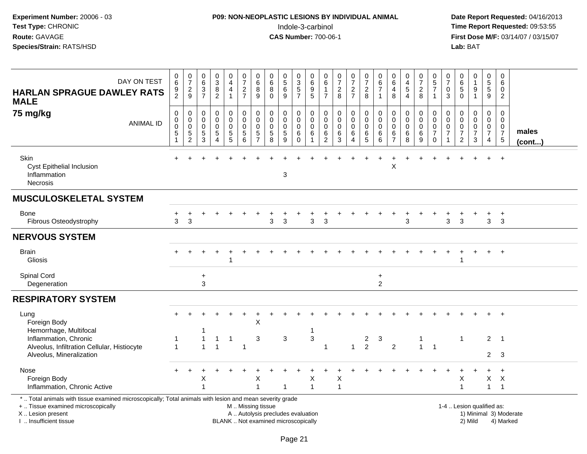#### **P09: NON-NEOPLASTIC LESIONS BY INDIVIDUAL ANIMAL**Indole-3-carbinol **Time Report Requested:** 09:53:55

| DAY ON TEST<br><b>HARLAN SPRAGUE DAWLEY RATS</b><br><b>MALE</b>                                                                                                                               | $\begin{array}{c} 0 \\ 6 \end{array}$<br>$\frac{9}{2}$ | $\begin{array}{c} 0 \\ 7 \end{array}$<br>$\frac{2}{9}$                         | $\begin{array}{c} 0 \\ 6 \end{array}$<br>$\frac{3}{7}$     | $_{3}^{\rm 0}$<br>$\bf 8$<br>$\overline{2}$            | 0<br>$\overline{4}$<br>4<br>$\mathbf{1}$           | $\frac{0}{7}$<br>$\frac{2}{7}$        | 0<br>$\,6\,$<br>8<br>9                       | $\begin{array}{c} 0 \\ 6 \end{array}$<br>$\,8\,$<br>$\mathbf 0$          | 0<br>$\overline{5}$<br>$\frac{6}{9}$     | 0<br>$\overline{3}$<br>$\frac{5}{7}$             | 0<br>6<br>$\begin{array}{c} 9 \\ 5 \end{array}$ | 0<br>$6\overline{6}$<br>$\mathbf 1$<br>$\overline{7}$        | $\frac{0}{7}$<br>$_{\rm 8}^2$           | $\frac{0}{7}$<br>$\frac{2}{7}$                       | $\frac{0}{7}$<br>$\frac{2}{8}$                        | 0<br>$\,6\,$<br>$\overline{7}$<br>$\overline{1}$ | 0<br>$\,6\,$<br>4<br>8                               | 0<br>$\overline{4}$<br>5<br>$\overline{4}$ | 0<br>$\overline{7}$<br>$_{8}^2$                                     | $\begin{array}{c} 0 \\ 5 \end{array}$<br>$\overline{7}$<br>$\mathbf{1}$ | $\frac{0}{7}$<br>0<br>3 | $\begin{array}{c} 0 \\ 6 \end{array}$<br>$\sqrt{5}$<br>$\mathbf 0$                           | 0<br>$\mathbf{1}$<br>9<br>$\mathbf{1}$                            | $\pmb{0}$<br>$\overline{5}$<br>5<br>9                                         | 0<br>6<br>0<br>$\overline{2}$                |                        |
|-----------------------------------------------------------------------------------------------------------------------------------------------------------------------------------------------|--------------------------------------------------------|--------------------------------------------------------------------------------|------------------------------------------------------------|--------------------------------------------------------|----------------------------------------------------|---------------------------------------|----------------------------------------------|--------------------------------------------------------------------------|------------------------------------------|--------------------------------------------------|-------------------------------------------------|--------------------------------------------------------------|-----------------------------------------|------------------------------------------------------|-------------------------------------------------------|--------------------------------------------------|------------------------------------------------------|--------------------------------------------|---------------------------------------------------------------------|-------------------------------------------------------------------------|-------------------------|----------------------------------------------------------------------------------------------|-------------------------------------------------------------------|-------------------------------------------------------------------------------|----------------------------------------------|------------------------|
| 75 mg/kg<br><b>ANIMAL ID</b>                                                                                                                                                                  | $\mathbf 0$<br>$\pmb{0}$<br>$\mathbf 0$<br>5           | $\mathbf 0$<br>$\mathbf 0$<br>$\boldsymbol{0}$<br>$\sqrt{5}$<br>$\overline{c}$ | $\pmb{0}$<br>$\mathbf 0$<br>$\mathbf 0$<br>$\sqrt{5}$<br>3 | 0<br>$\mathbf 0$<br>$\mathbf 0$<br>5<br>$\overline{4}$ | 0<br>$\pmb{0}$<br>$\pmb{0}$<br>$\overline{5}$<br>5 | $\pmb{0}$<br>$\pmb{0}$<br>0<br>5<br>6 | 0<br>0<br>$\mathbf 0$<br>5<br>$\overline{7}$ | $\mathbf 0$<br>$\mathbf 0$<br>$\mathbf 0$<br>$\,$ 5 $\,$<br>8            | 0<br>$\mathbf 0$<br>0<br>$\sqrt{5}$<br>9 | 0<br>$\mathbf 0$<br>$\mathbf 0$<br>6<br>$\Omega$ | 0<br>0<br>0<br>6                                | 0<br>$\mathsf{O}\xspace$<br>$\pmb{0}$<br>6<br>$\overline{2}$ | 0<br>$\ddot{\mathbf{0}}$<br>0<br>6<br>3 | 0<br>$\mathsf{O}\xspace$<br>0<br>6<br>$\overline{4}$ | 0<br>$\overline{0}$<br>$\mathbf 0$<br>6<br>$\sqrt{5}$ | 0<br>$\Omega$<br>$\mathbf 0$<br>6<br>$\,6\,$     | 0<br>$\pmb{0}$<br>$\mathbf 0$<br>6<br>$\overline{7}$ | 0<br>$\mathbf 0$<br>$\mathbf 0$<br>6<br>8  | 0<br>$\mathsf{O}\xspace$<br>$\mathsf{O}\xspace$<br>$\,6\,$<br>$9\,$ | 0<br>$\pmb{0}$<br>$\pmb{0}$<br>$\overline{7}$<br>$\mathsf{O}\xspace$    | 0<br>0<br>0<br>7        | $\mathbf 0$<br>$\mathsf{O}\xspace$<br>$\boldsymbol{0}$<br>$\boldsymbol{7}$<br>$\overline{2}$ | 0<br>$\mathbf 0$<br>$\mathbf 0$<br>$\overline{7}$<br>$\mathbf{3}$ | $\pmb{0}$<br>$\mathbf 0$<br>$\mathbf 0$<br>$\boldsymbol{7}$<br>$\overline{4}$ | 0<br>0<br>0<br>$\overline{7}$<br>$\sqrt{5}$  | males<br>(cont)        |
| Skin<br><b>Cyst Epithelial Inclusion</b><br>Inflammation<br><b>Necrosis</b>                                                                                                                   |                                                        |                                                                                |                                                            |                                                        |                                                    |                                       |                                              |                                                                          | 3                                        |                                                  |                                                 |                                                              |                                         |                                                      |                                                       |                                                  | $\pmb{\times}$                                       |                                            |                                                                     |                                                                         |                         |                                                                                              |                                                                   |                                                                               | $\ddot{}$                                    |                        |
| <b>MUSCULOSKELETAL SYSTEM</b>                                                                                                                                                                 |                                                        |                                                                                |                                                            |                                                        |                                                    |                                       |                                              |                                                                          |                                          |                                                  |                                                 |                                                              |                                         |                                                      |                                                       |                                                  |                                                      |                                            |                                                                     |                                                                         |                         |                                                                                              |                                                                   |                                                                               |                                              |                        |
| Bone<br>Fibrous Osteodystrophy                                                                                                                                                                | 3                                                      | 3                                                                              |                                                            |                                                        |                                                    |                                       |                                              | 3                                                                        | 3                                        |                                                  | 3                                               | 3                                                            |                                         |                                                      |                                                       |                                                  |                                                      | 3                                          |                                                                     |                                                                         | 3                       | 3                                                                                            |                                                                   | 3                                                                             | $\ddot{}$<br>3                               |                        |
| <b>NERVOUS SYSTEM</b>                                                                                                                                                                         |                                                        |                                                                                |                                                            |                                                        |                                                    |                                       |                                              |                                                                          |                                          |                                                  |                                                 |                                                              |                                         |                                                      |                                                       |                                                  |                                                      |                                            |                                                                     |                                                                         |                         |                                                                                              |                                                                   |                                                                               |                                              |                        |
| <b>Brain</b><br>Gliosis                                                                                                                                                                       |                                                        |                                                                                |                                                            |                                                        | -1                                                 |                                       |                                              |                                                                          |                                          |                                                  |                                                 |                                                              |                                         |                                                      |                                                       |                                                  |                                                      |                                            |                                                                     |                                                                         |                         | -1                                                                                           |                                                                   | +                                                                             | $+$                                          |                        |
| Spinal Cord<br>Degeneration                                                                                                                                                                   |                                                        |                                                                                | +<br>3                                                     |                                                        |                                                    |                                       |                                              |                                                                          |                                          |                                                  |                                                 |                                                              |                                         |                                                      |                                                       | $\ddot{}$<br>$\overline{2}$                      |                                                      |                                            |                                                                     |                                                                         |                         |                                                                                              |                                                                   |                                                                               |                                              |                        |
| <b>RESPIRATORY SYSTEM</b>                                                                                                                                                                     |                                                        |                                                                                |                                                            |                                                        |                                                    |                                       |                                              |                                                                          |                                          |                                                  |                                                 |                                                              |                                         |                                                      |                                                       |                                                  |                                                      |                                            |                                                                     |                                                                         |                         |                                                                                              |                                                                   |                                                                               |                                              |                        |
| Lung<br>Foreign Body<br>Hemorrhage, Multifocal                                                                                                                                                |                                                        |                                                                                |                                                            |                                                        |                                                    |                                       | Χ                                            |                                                                          |                                          |                                                  | 1                                               |                                                              |                                         |                                                      |                                                       |                                                  |                                                      |                                            |                                                                     |                                                                         |                         |                                                                                              |                                                                   |                                                                               | $\ddot{}$                                    |                        |
| Inflammation, Chronic<br>Alveolus, Infiltration Cellular, Histiocyte<br>Alveolus, Mineralization                                                                                              | $\overline{1}$<br>$\overline{1}$                       |                                                                                | 1<br>$\mathbf{1}$                                          | 1<br>1                                                 | $\overline{1}$                                     | $\mathbf 1$                           | 3                                            |                                                                          | 3                                        |                                                  | 3                                               | $\mathbf{1}$                                                 |                                         | $\mathbf{1}$                                         | $\overline{a}$<br>$\overline{2}$                      | $\sqrt{3}$                                       | $\sqrt{2}$                                           |                                            | $\mathbf{1}$                                                        | $\overline{1}$                                                          |                         | $\overline{1}$                                                                               |                                                                   | $\overline{2}$<br>$2^{\circ}$                                                 | $\overline{1}$<br>- 3                        |                        |
| Nose<br>Foreign Body<br>Inflammation, Chronic Active                                                                                                                                          |                                                        |                                                                                | Х<br>1                                                     |                                                        |                                                    |                                       | Х<br>1                                       |                                                                          | 1                                        |                                                  | Χ<br>$\mathbf{1}$                               |                                                              | X<br>$\mathbf{1}$                       |                                                      |                                                       |                                                  |                                                      |                                            |                                                                     |                                                                         |                         | X<br>$\overline{1}$                                                                          |                                                                   | X<br>$\mathbf{1}$                                                             | $\overline{+}$<br>$\times$<br>$\overline{1}$ |                        |
| *  Total animals with tissue examined microscopically; Total animals with lesion and mean severity grade<br>+  Tissue examined microscopically<br>X  Lesion present<br>I  Insufficient tissue |                                                        |                                                                                |                                                            |                                                        |                                                    | M. Missing tissue                     |                                              | A  Autolysis precludes evaluation<br>BLANK  Not examined microscopically |                                          |                                                  |                                                 |                                                              |                                         |                                                      |                                                       |                                                  |                                                      |                                            |                                                                     |                                                                         |                         | 1-4  Lesion qualified as:                                                                    | 2) Mild                                                           |                                                                               | 4) Marked                                    | 1) Minimal 3) Moderate |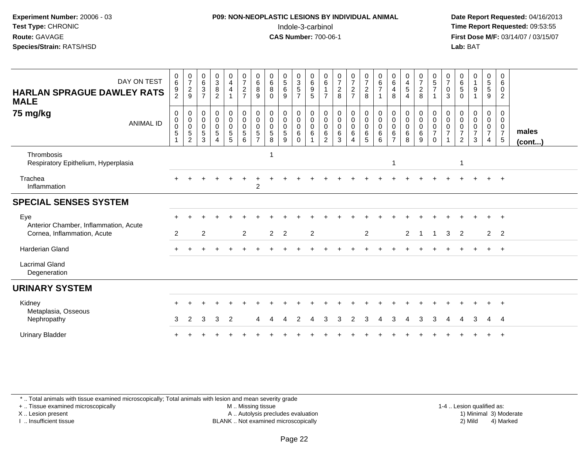#### **P09: NON-NEOPLASTIC LESIONS BY INDIVIDUAL ANIMAL**Indole-3-carbinol **Time Report Requested:** 09:53:55

 **Date Report Requested:** 04/16/2013 **First Dose M/F:** 03/14/07 / 03/15/07<br>**Lab: BAT** 

| DAY ON TEST<br><b>HARLAN SPRAGUE DAWLEY RATS</b><br><b>MALE</b><br>75 mg/kg | 0<br>6<br>9<br>$\overline{2}$<br>0 | $\frac{0}{7}$<br>$\frac{2}{9}$<br>0                     | $\begin{array}{c} 0 \\ 6 \end{array}$<br>$\ensuremath{\mathsf{3}}$<br>$\overline{7}$<br>0 | $_3^0$<br>$\bf 8$<br>$\overline{2}$<br>$\mathbf 0$ | $\begin{smallmatrix}0\0\4\end{smallmatrix}$<br>$\overline{4}$<br>$\overline{1}$ | $\frac{0}{7}$<br>$\boldsymbol{2}$<br>$\overline{7}$<br>$\mathbf 0$ | $\begin{array}{c} 0 \\ 6 \end{array}$<br>8<br>9<br>$\mathbf 0$ | $\begin{array}{c} 0 \\ 6 \end{array}$<br>8<br>$\Omega$<br>$\mathbf 0$ | $\begin{array}{c} 0 \\ 5 \end{array}$<br>6<br>9<br>0 | $\begin{array}{c} 0 \\ 3 \\ 5 \end{array}$<br>$\overline{7}$<br>0 | $_{6}^{\rm 0}$<br>$\boldsymbol{9}$<br>$5\phantom{.0}$<br>0 | $\begin{matrix} 0 \\ 6 \end{matrix}$<br>$\overline{7}$<br>0 | $\frac{0}{7}$<br>$_{8}^{\rm 2}$<br>$\mathbf 0$ | $\frac{0}{7}$<br>$\frac{2}{7}$                                        | $\frac{0}{7}$<br>$\overline{a}$<br>8<br>0 | $_{6}^{\rm 0}$<br>$\overline{7}$<br>0  | $\begin{array}{c} 0 \\ 6 \end{array}$<br>$\overline{\mathbf{4}}$<br>8<br>0 | 0<br>$\overline{4}$<br>$\sqrt{5}$<br>4<br>0 | $\begin{smallmatrix}0\\7\end{smallmatrix}$<br>$\boldsymbol{2}$<br>8<br>0 | $\begin{array}{c} 0 \\ 5 \\ 7 \end{array}$<br>-1<br>$\mathbf 0$ | $\frac{0}{7}$<br>$\mathbf 0$<br>3<br>$\mathbf 0$ | $\begin{array}{c} 0 \\ 6 \end{array}$<br>5<br>$\Omega$<br>0    | $\begin{smallmatrix}0\1\end{smallmatrix}$<br>9<br>0 | $\begin{smallmatrix}0\0\5\end{smallmatrix}$<br>$\overline{5}$<br>9<br>0 | 0<br>6<br>0<br>2<br>0                            |                       |
|-----------------------------------------------------------------------------|------------------------------------|---------------------------------------------------------|-------------------------------------------------------------------------------------------|----------------------------------------------------|---------------------------------------------------------------------------------|--------------------------------------------------------------------|----------------------------------------------------------------|-----------------------------------------------------------------------|------------------------------------------------------|-------------------------------------------------------------------|------------------------------------------------------------|-------------------------------------------------------------|------------------------------------------------|-----------------------------------------------------------------------|-------------------------------------------|----------------------------------------|----------------------------------------------------------------------------|---------------------------------------------|--------------------------------------------------------------------------|-----------------------------------------------------------------|--------------------------------------------------|----------------------------------------------------------------|-----------------------------------------------------|-------------------------------------------------------------------------|--------------------------------------------------|-----------------------|
| <b>ANIMAL ID</b>                                                            | 0<br>$\mathbf 0$<br>5              | $\pmb{0}$<br>$\pmb{0}$<br>$\,$ 5 $\,$<br>$\overline{2}$ | $\mathbf 0$<br>$\mathbf 0$<br>$\sqrt{5}$<br>3                                             | $\pmb{0}$<br>$\pmb{0}$<br>$\sqrt{5}$<br>$\Delta$   | $\begin{smallmatrix}0\0\0\end{smallmatrix}$<br>$\mathsf 0$<br>$\sqrt{5}$<br>5   | $\mathbf 0$<br>$\mathbf 0$<br>5<br>6                               | $\mathbf 0$<br>$\mathbf 0$<br>$\sqrt{5}$<br>$\overline{7}$     | $\mathbf 0$<br>$\mathbf 0$<br>$\mathbf 5$<br>8                        | 0<br>0<br>$\sqrt{5}$<br>9                            | $\mathbf 0$<br>$\mathbf 0$<br>$6\phantom{1}$<br>$\Omega$          | $\mathbf 0$<br>$\pmb{0}$<br>$\,6$                          | $\boldsymbol{0}$<br>$\boldsymbol{0}$<br>6<br>$\overline{2}$ | $\mathsf 0$<br>$\mathbf 0$<br>$\,6$<br>3       | $\begin{smallmatrix} 0\\0 \end{smallmatrix}$<br>$\mathbf 0$<br>6<br>4 | $\mathbf 0$<br>$\mathbf 0$<br>6<br>5      | $\pmb{0}$<br>$\pmb{0}$<br>$\,6\,$<br>6 | $\mathbf 0$<br>$\mathbf 0$<br>6<br>$\overline{7}$                          | $\pmb{0}$<br>$\pmb{0}$<br>6<br>8            | $\mathsf{O}\xspace$<br>$\mathbf 0$<br>6<br>9                             | $\pmb{0}$<br>$\pmb{0}$<br>$\overline{7}$<br>$\Omega$            | $\mathbf 0$<br>$\mathbf 0$<br>$\overline{7}$     | $\mathbf 0$<br>$\mathbf 0$<br>$\overline{7}$<br>$\overline{2}$ | $\mathbf 0$<br>0<br>$\overline{7}$<br>3             | $\mathbf 0$<br>$\mathbf 0$<br>$\overline{7}$<br>4                       | 0<br>$\mathbf 0$<br>$\overline{7}$<br>$\sqrt{5}$ | males<br>$($ cont $)$ |
| Thrombosis<br>Respiratory Epithelium, Hyperplasia                           |                                    |                                                         |                                                                                           |                                                    |                                                                                 |                                                                    |                                                                |                                                                       |                                                      |                                                                   |                                                            |                                                             |                                                |                                                                       |                                           |                                        | -1                                                                         |                                             |                                                                          |                                                                 |                                                  | $\mathbf 1$                                                    |                                                     |                                                                         |                                                  |                       |
| Trachea<br>Inflammation                                                     |                                    |                                                         |                                                                                           |                                                    |                                                                                 |                                                                    | $\overline{2}$                                                 |                                                                       |                                                      |                                                                   |                                                            |                                                             |                                                |                                                                       |                                           |                                        |                                                                            |                                             |                                                                          |                                                                 |                                                  |                                                                |                                                     |                                                                         | $\div$                                           |                       |
| <b>SPECIAL SENSES SYSTEM</b>                                                |                                    |                                                         |                                                                                           |                                                    |                                                                                 |                                                                    |                                                                |                                                                       |                                                      |                                                                   |                                                            |                                                             |                                                |                                                                       |                                           |                                        |                                                                            |                                             |                                                                          |                                                                 |                                                  |                                                                |                                                     |                                                                         |                                                  |                       |
| Eye<br>Anterior Chamber, Inflammation, Acute<br>Cornea, Inflammation, Acute | $\overline{2}$                     |                                                         | 2                                                                                         |                                                    |                                                                                 | $\overline{2}$                                                     |                                                                | $2^{\circ}$                                                           | $\overline{\phantom{0}}$                             |                                                                   | 2                                                          |                                                             |                                                |                                                                       | $\overline{2}$                            |                                        |                                                                            | $\overline{2}$                              | $\overline{1}$                                                           | $\overline{1}$                                                  | 3                                                | 2                                                              |                                                     | $\overline{2}$                                                          | $+$<br>$\overline{2}$                            |                       |
| Harderian Gland                                                             |                                    |                                                         |                                                                                           |                                                    |                                                                                 |                                                                    |                                                                |                                                                       |                                                      |                                                                   |                                                            |                                                             |                                                |                                                                       |                                           |                                        |                                                                            |                                             |                                                                          |                                                                 |                                                  |                                                                |                                                     |                                                                         | $+$                                              |                       |
| <b>Lacrimal Gland</b><br>Degeneration                                       |                                    |                                                         |                                                                                           |                                                    |                                                                                 |                                                                    |                                                                |                                                                       |                                                      |                                                                   |                                                            |                                                             |                                                |                                                                       |                                           |                                        |                                                                            |                                             |                                                                          |                                                                 |                                                  |                                                                |                                                     |                                                                         |                                                  |                       |
| <b>URINARY SYSTEM</b>                                                       |                                    |                                                         |                                                                                           |                                                    |                                                                                 |                                                                    |                                                                |                                                                       |                                                      |                                                                   |                                                            |                                                             |                                                |                                                                       |                                           |                                        |                                                                            |                                             |                                                                          |                                                                 |                                                  |                                                                |                                                     |                                                                         |                                                  |                       |
| Kidney<br>Metaplasia, Osseous<br>Nephropathy                                | 3                                  | 2                                                       | 3                                                                                         | 3                                                  | 2                                                                               |                                                                    | 4                                                              |                                                                       |                                                      | 2                                                                 | Δ                                                          | 3                                                           | 3                                              | 2                                                                     | 3                                         |                                        | 3                                                                          | Δ                                           | 3                                                                        | 3                                                               | 4                                                | 4                                                              | 3                                                   | 4                                                                       | $\pm$<br>- 4                                     |                       |
| <b>Urinary Bladder</b>                                                      |                                    |                                                         |                                                                                           |                                                    |                                                                                 |                                                                    |                                                                |                                                                       |                                                      |                                                                   |                                                            |                                                             |                                                |                                                                       |                                           |                                        |                                                                            |                                             |                                                                          |                                                                 |                                                  |                                                                |                                                     |                                                                         |                                                  |                       |

\* .. Total animals with tissue examined microscopically; Total animals with lesion and mean severity grade

+ .. Tissue examined microscopically

X .. Lesion present

I .. Insufficient tissue

 M .. Missing tissueA .. Autolysis precludes evaluation

1-4 .. Lesion qualified as:<br>1) Minimal 3) Moderate BLANK .. Not examined microscopically 2) Mild 4) Marked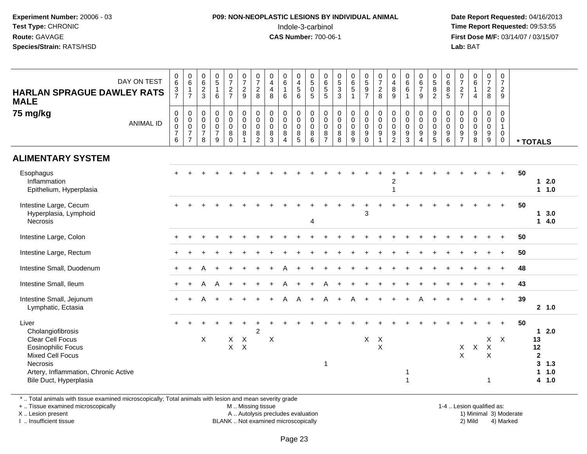#### **P09: NON-NEOPLASTIC LESIONS BY INDIVIDUAL ANIMAL**Indole-3-carbinol **Time Report Requested:** 09:53:55

 **Date Report Requested:** 04/16/2013 **First Dose M/F:** 03/14/07 / 03/15/07<br>**Lab: BAT** 

| <b>HARLAN SPRAGUE DAWLEY RATS</b><br><b>MALE</b><br>75 mg/kg                                                                                                                                | DAY ON TEST<br><b>ANIMAL ID</b> | $_{6}^{\rm 0}$<br>$\frac{3}{7}$<br>$\mathbf 0$<br>$\mathsf{O}\xspace$<br>$\frac{0}{7}$<br>6 | $\begin{array}{c} 0 \\ 6 \end{array}$<br>$\mathbf{1}$<br>$\overline{7}$<br>$\pmb{0}$<br>$\pmb{0}$<br>$\overline{0}$<br>$\overline{7}$<br>$\overline{7}$ | $_{6}^{\rm 0}$<br>$\overline{c}$<br>$\mathbf{3}$<br>$\pmb{0}$<br>$\mathbf 0$<br>$\pmb{0}$<br>$\overline{7}$<br>8 | $\begin{smallmatrix}0\\5\end{smallmatrix}$<br>$\mathbf{1}$<br>6<br>$\pmb{0}$<br>$\mathbf 0$<br>$\mathbf 0$<br>$\overline{7}$<br>9 | $\frac{0}{7}$<br>$\frac{2}{7}$<br>$\pmb{0}$<br>$\mathbf 0$<br>$\pmb{0}$<br>8<br>$\Omega$ | $\begin{smallmatrix}0\\7\end{smallmatrix}$<br>$\frac{2}{9}$<br>$\pmb{0}$<br>$\mathbf 0$<br>$\pmb{0}$<br>8 | $\frac{0}{7}$<br>$\overline{c}$<br>8<br>$\pmb{0}$<br>$\pmb{0}$<br>$\pmb{0}$<br>$\frac{8}{2}$ | $\pmb{0}$<br>$\overline{\mathbf{4}}$<br>$\overline{4}$<br>$\bf8$<br>$\mathbf 0$<br>$\mathbf 0$<br>$\mathbf 0$<br>8<br>$\overline{3}$ | $\begin{array}{c} 0 \\ 6 \end{array}$<br>$\mathbf 1$<br>6<br>$\mathbf 0$<br>$\mathbf 0$<br>$\mathsf 0$<br>8<br>$\boldsymbol{\Lambda}$ | 0<br>$\frac{4}{5}$<br>$\,6\,$<br>0<br>$\mathbf 0$<br>$\pmb{0}$<br>$\bf 8$<br>$\overline{5}$ | $\begin{array}{c} 0 \\ 5 \end{array}$<br>$\mathbf 0$<br>$\overline{5}$<br>$\pmb{0}$<br>$\mathbf 0$<br>$\mathbf 0$<br>$\, 8$<br>$6\phantom{1}$ | $\begin{array}{c} 0 \\ 6 \end{array}$<br>$\sqrt{5}$<br>5<br>0<br>$\mathbf 0$<br>$\boldsymbol{0}$<br>8<br>$\overline{7}$ | $\begin{array}{c} 0 \\ 5 \\ 3 \\ 3 \end{array}$<br>0<br>$\pmb{0}$<br>$\pmb{0}$<br>$\bf 8$<br>$\overline{8}$ | $\begin{array}{c} 0 \\ 6 \\ 5 \end{array}$<br>$\mathbf{1}$<br>$\pmb{0}$<br>$\pmb{0}$<br>$\pmb{0}$<br>$\frac{8}{9}$ | $0$<br>5<br>9<br>7<br>$\begin{smallmatrix}0\0\0\end{smallmatrix}$<br>$\mathsf{O}\xspace$<br>$\boldsymbol{9}$<br>$\mathbf 0$ | $\frac{0}{7}$<br>$\frac{2}{8}$<br>$\begin{smallmatrix}0\\0\\0\end{smallmatrix}$<br>$\boldsymbol{9}$<br>$\overline{1}$ | 0<br>$\overline{4}$<br>$\bf 8$<br>9<br>0<br>$\mathbf 0$<br>$\pmb{0}$<br>$9\,$<br>$\overline{2}$ | $\pmb{0}$<br>$\,6$<br>$\,6\,$<br>$\overline{1}$<br>$\pmb{0}$<br>$\mathbf 0$<br>$\boldsymbol{0}$<br>$\boldsymbol{9}$<br>$\overline{3}$ | $\begin{array}{c} 0 \\ 6 \\ 7 \end{array}$<br>9<br>$\mathbf 0$<br>$\mathbf 0$<br>$\pmb{0}$<br>$\boldsymbol{9}$<br>$\overline{4}$ | $0$<br>58<br>2<br>$_{\rm 0}^{\rm 0}$<br>$\ddot{\mathbf{0}}$<br>$\frac{9}{5}$ | $\begin{array}{c} 0 \\ 6 \\ 5 \end{array}$<br>0<br>$\mathsf{O}\xspace$<br>$\mathbf 0$<br>$\frac{9}{6}$ | $\frac{0}{7}$<br>$\frac{2}{7}$<br>0<br>0<br>$\pmb{0}$<br>$\frac{9}{7}$ | $\begin{matrix} 0 \\ 6 \\ 1 \end{matrix}$<br>$\overline{4}$<br>$\mathsf 0$<br>$\mathsf{O}\xspace$<br>$\pmb{0}$<br>$\frac{9}{8}$ | $\begin{smallmatrix}0\\7\end{smallmatrix}$<br>$\frac{2}{8}$<br>0<br>$\mathbf 0$<br>$\boldsymbol{0}$<br>$\boldsymbol{9}$<br>$\overline{9}$ | $\mathbf 0$<br>$\overline{7}$<br>$\overline{2}$<br>9<br>$\mathbf 0$<br>$\mathsf{O}\xspace$<br>$\mathbf{1}$<br>$\boldsymbol{0}$<br>$\mathbf 0$ |    | * TOTALS                                               |                          |  |
|---------------------------------------------------------------------------------------------------------------------------------------------------------------------------------------------|---------------------------------|---------------------------------------------------------------------------------------------|---------------------------------------------------------------------------------------------------------------------------------------------------------|------------------------------------------------------------------------------------------------------------------|-----------------------------------------------------------------------------------------------------------------------------------|------------------------------------------------------------------------------------------|-----------------------------------------------------------------------------------------------------------|----------------------------------------------------------------------------------------------|--------------------------------------------------------------------------------------------------------------------------------------|---------------------------------------------------------------------------------------------------------------------------------------|---------------------------------------------------------------------------------------------|-----------------------------------------------------------------------------------------------------------------------------------------------|-------------------------------------------------------------------------------------------------------------------------|-------------------------------------------------------------------------------------------------------------|--------------------------------------------------------------------------------------------------------------------|-----------------------------------------------------------------------------------------------------------------------------|-----------------------------------------------------------------------------------------------------------------------|-------------------------------------------------------------------------------------------------|---------------------------------------------------------------------------------------------------------------------------------------|----------------------------------------------------------------------------------------------------------------------------------|------------------------------------------------------------------------------|--------------------------------------------------------------------------------------------------------|------------------------------------------------------------------------|---------------------------------------------------------------------------------------------------------------------------------|-------------------------------------------------------------------------------------------------------------------------------------------|-----------------------------------------------------------------------------------------------------------------------------------------------|----|--------------------------------------------------------|--------------------------|--|
| <b>ALIMENTARY SYSTEM</b>                                                                                                                                                                    |                                 |                                                                                             |                                                                                                                                                         |                                                                                                                  |                                                                                                                                   |                                                                                          |                                                                                                           |                                                                                              |                                                                                                                                      |                                                                                                                                       |                                                                                             |                                                                                                                                               |                                                                                                                         |                                                                                                             |                                                                                                                    |                                                                                                                             |                                                                                                                       |                                                                                                 |                                                                                                                                       |                                                                                                                                  |                                                                              |                                                                                                        |                                                                        |                                                                                                                                 |                                                                                                                                           |                                                                                                                                               |    |                                                        |                          |  |
| Esophagus<br>Inflammation<br>Epithelium, Hyperplasia                                                                                                                                        |                                 |                                                                                             |                                                                                                                                                         |                                                                                                                  |                                                                                                                                   |                                                                                          |                                                                                                           |                                                                                              |                                                                                                                                      |                                                                                                                                       |                                                                                             |                                                                                                                                               |                                                                                                                         |                                                                                                             |                                                                                                                    |                                                                                                                             |                                                                                                                       | $\overline{c}$<br>$\overline{1}$                                                                |                                                                                                                                       |                                                                                                                                  |                                                                              |                                                                                                        |                                                                        |                                                                                                                                 |                                                                                                                                           | $\ddot{}$                                                                                                                                     | 50 | 1                                                      | 2.0<br>1 1.0             |  |
| Intestine Large, Cecum<br>Hyperplasia, Lymphoid<br>Necrosis                                                                                                                                 |                                 |                                                                                             |                                                                                                                                                         |                                                                                                                  |                                                                                                                                   |                                                                                          |                                                                                                           |                                                                                              |                                                                                                                                      |                                                                                                                                       |                                                                                             | 4                                                                                                                                             |                                                                                                                         |                                                                                                             |                                                                                                                    | 3                                                                                                                           |                                                                                                                       |                                                                                                 |                                                                                                                                       |                                                                                                                                  |                                                                              |                                                                                                        |                                                                        |                                                                                                                                 |                                                                                                                                           | $\ddot{}$                                                                                                                                     | 50 | 1<br>1                                                 | 3.0<br>4.0               |  |
| Intestine Large, Colon                                                                                                                                                                      |                                 |                                                                                             |                                                                                                                                                         |                                                                                                                  |                                                                                                                                   |                                                                                          |                                                                                                           |                                                                                              |                                                                                                                                      |                                                                                                                                       |                                                                                             |                                                                                                                                               |                                                                                                                         |                                                                                                             |                                                                                                                    |                                                                                                                             |                                                                                                                       |                                                                                                 |                                                                                                                                       |                                                                                                                                  |                                                                              |                                                                                                        |                                                                        |                                                                                                                                 |                                                                                                                                           |                                                                                                                                               | 50 |                                                        |                          |  |
| Intestine Large, Rectum                                                                                                                                                                     |                                 |                                                                                             |                                                                                                                                                         |                                                                                                                  |                                                                                                                                   |                                                                                          |                                                                                                           |                                                                                              |                                                                                                                                      |                                                                                                                                       |                                                                                             |                                                                                                                                               |                                                                                                                         |                                                                                                             |                                                                                                                    |                                                                                                                             |                                                                                                                       |                                                                                                 |                                                                                                                                       |                                                                                                                                  |                                                                              |                                                                                                        |                                                                        |                                                                                                                                 | $+$                                                                                                                                       | $\ddot{}$                                                                                                                                     | 50 |                                                        |                          |  |
| Intestine Small, Duodenum                                                                                                                                                                   |                                 | $+$                                                                                         |                                                                                                                                                         |                                                                                                                  |                                                                                                                                   |                                                                                          |                                                                                                           |                                                                                              |                                                                                                                                      |                                                                                                                                       |                                                                                             |                                                                                                                                               |                                                                                                                         |                                                                                                             |                                                                                                                    |                                                                                                                             |                                                                                                                       |                                                                                                 |                                                                                                                                       |                                                                                                                                  |                                                                              |                                                                                                        |                                                                        |                                                                                                                                 | $\ddot{}$                                                                                                                                 | $+$                                                                                                                                           | 48 |                                                        |                          |  |
| Intestine Small, Ileum                                                                                                                                                                      |                                 | $+$                                                                                         |                                                                                                                                                         | Α                                                                                                                | A                                                                                                                                 |                                                                                          |                                                                                                           |                                                                                              |                                                                                                                                      |                                                                                                                                       |                                                                                             |                                                                                                                                               |                                                                                                                         |                                                                                                             |                                                                                                                    |                                                                                                                             |                                                                                                                       |                                                                                                 |                                                                                                                                       |                                                                                                                                  |                                                                              |                                                                                                        |                                                                        |                                                                                                                                 |                                                                                                                                           | $\ddot{}$                                                                                                                                     | 43 |                                                        |                          |  |
| Intestine Small, Jejunum<br>Lymphatic, Ectasia                                                                                                                                              |                                 |                                                                                             |                                                                                                                                                         |                                                                                                                  |                                                                                                                                   |                                                                                          |                                                                                                           |                                                                                              |                                                                                                                                      | А                                                                                                                                     | A                                                                                           |                                                                                                                                               |                                                                                                                         |                                                                                                             |                                                                                                                    |                                                                                                                             |                                                                                                                       |                                                                                                 |                                                                                                                                       |                                                                                                                                  |                                                                              |                                                                                                        |                                                                        |                                                                                                                                 |                                                                                                                                           | $+$                                                                                                                                           | 39 |                                                        | 2, 1.0                   |  |
| Liver<br>Cholangiofibrosis<br>Clear Cell Focus<br><b>Eosinophilic Focus</b><br><b>Mixed Cell Focus</b><br><b>Necrosis</b><br>Artery, Inflammation, Chronic Active<br>Bile Duct, Hyperplasia |                                 |                                                                                             |                                                                                                                                                         | $\times$                                                                                                         |                                                                                                                                   | X<br>$\mathsf{X}$                                                                        | X<br>$\mathsf{X}$                                                                                         | 2                                                                                            | X                                                                                                                                    |                                                                                                                                       |                                                                                             |                                                                                                                                               | $\mathbf{1}$                                                                                                            |                                                                                                             |                                                                                                                    | X                                                                                                                           | $\times$<br>$\mathsf X$                                                                                               |                                                                                                 | -1<br>1                                                                                                                               |                                                                                                                                  |                                                                              |                                                                                                        | X<br>$\mathsf X$                                                       | X                                                                                                                               | $\mathsf X$<br>$\sf X$<br>-1                                                                                                              | $+$<br>$X$ $X$                                                                                                                                | 50 | 1<br>13<br>12<br>$\mathbf 2$<br>$\mathbf{3}$<br>1<br>4 | 2.0<br>1.3<br>1.0<br>1.0 |  |

\* .. Total animals with tissue examined microscopically; Total animals with lesion and mean severity grade

+ .. Tissue examined microscopically

X .. Lesion present

I .. Insufficient tissue

M .. Missing tissue

A .. Autolysis precludes evaluation

BLANK .. Not examined microscopically 2) Mild 4) Marked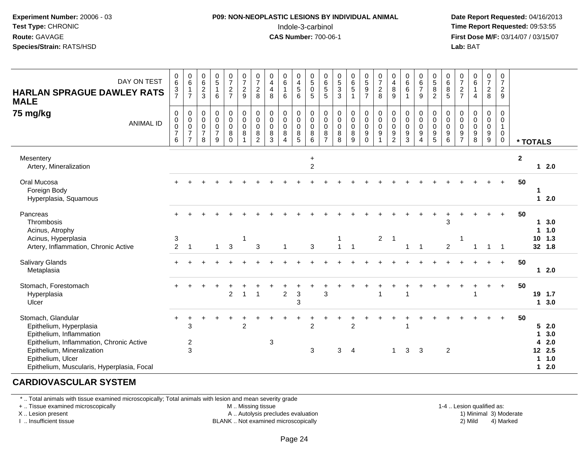#### **P09: NON-NEOPLASTIC LESIONS BY INDIVIDUAL ANIMAL**Indole-3-carbinol **Time Report Requested:** 09:53:55

 **Date Report Requested:** 04/16/2013 **First Dose M/F:** 03/14/07 / 03/15/07<br>**Lab: BAT Lab:** BAT

| DAY ON TEST<br><b>HARLAN SPRAGUE DAWLEY RATS</b><br><b>MALE</b><br>75 mg/kg<br><b>ANIMAL ID</b>                                                                                                                        | $\pmb{0}$<br>6<br>$\frac{3}{7}$<br>$\mathbf 0$<br>$\begin{array}{c} 0 \\ 0 \\ 7 \end{array}$<br>6 | $_{6}^{\rm 0}$<br>1<br>$\overline{7}$<br>$\mathbf 0$<br>$\pmb{0}$<br>$\pmb{0}$<br>$\overline{7}$<br>$\overline{7}$ | $\mathbf 0$<br>$\,6\,$<br>$\frac{2}{3}$<br>0<br>$\mathbf 0$<br>$\mathbf 0$<br>$\overline{7}$<br>8 | $\begin{array}{c} 0 \\ 5 \end{array}$<br>$\mathbf 1$<br>6<br>$\mathbf 0$<br>$\pmb{0}$<br>$\pmb{0}$<br>$\overline{7}$<br>9 | $\frac{0}{7}$<br>$\frac{2}{7}$<br>0<br>$\mathbf 0$<br>$\pmb{0}$<br>8<br>$\Omega$ | 0<br>$\overline{7}$<br>$\boldsymbol{2}$<br>9<br>$\mathbf 0$<br>$\mathbf 0$<br>$\mathbf 0$<br>8<br>$\overline{1}$ | $\frac{0}{7}$<br>$\frac{2}{8}$<br>$\pmb{0}$<br>$\pmb{0}$<br>$\pmb{0}$<br>8<br>2 | 0<br>$\overline{4}$<br>$\overline{\mathbf{4}}$<br>8<br>0<br>$\mathbf 0$<br>0<br>8<br>3 | $_{6}^{\rm 0}$<br>1<br>6<br>$\pmb{0}$<br>$\pmb{0}$<br>$\mathbf 0$<br>$\bf 8$<br>$\overline{4}$ | $\pmb{0}$<br>$\frac{4}{5}$<br>$6\phantom{1}$<br>$\mathbf 0$<br>$\mathbf 0$<br>$\mathbf 0$<br>$\bf 8$<br>5 | 0<br>$\sqrt{5}$<br>$\mathbf 0$<br>5<br>$\mathbf 0$<br>$\mathsf 0$<br>$\mathbf 0$<br>8<br>6 | $\mathbf 0$<br>$\,6\,$<br>$\mathbf 5$<br>5<br>$\mathbf 0$<br>$\boldsymbol{0}$<br>$\mathbf 0$<br>8<br>$\overline{7}$ | $^{\rm 0}_{\rm 5}$<br>$\ensuremath{\mathsf{3}}$<br>3<br>$\mathbf 0$<br>$\mathsf 0$<br>$\mathbf 0$<br>8<br>8 | $\begin{matrix} 0 \\ 6 \\ 5 \end{matrix}$<br>$\mathbf{1}$<br>0<br>$\mathsf{O}\xspace$<br>0<br>8<br>9 | $0$<br>$5$<br>$9$<br>$7$<br>$\pmb{0}$<br>$\overline{0}$<br>$\boldsymbol{9}$<br>$\Omega$ | $\frac{0}{7}$<br>$\frac{2}{8}$<br>$\pmb{0}$<br>$\pmb{0}$<br>$\pmb{0}$<br>$9\,$<br>1 | $\mathbf 0$<br>$\overline{4}$<br>8<br>9<br>$\boldsymbol{0}$<br>$\mathbf 0$<br>$\boldsymbol{0}$<br>9<br>2 | $\begin{array}{c} 0 \\ 6 \end{array}$<br>$\,6$<br>$\overline{1}$<br>$\mathbf 0$<br>$\pmb{0}$<br>$\mathbf 0$<br>$\boldsymbol{9}$<br>3 | $\begin{array}{c} 0 \\ 6 \\ 7 \end{array}$<br>9<br>0<br>$\mathbf 0$<br>$\mathbf 0$<br>9<br>$\overline{4}$ | $\begin{matrix} 0 \\ 5 \end{matrix}$<br>8<br>$\overline{2}$<br>0<br>$\mathsf{O}\xspace$<br>$\overline{0}$<br>$\frac{9}{5}$ | $\begin{array}{c} 0 \\ 6 \end{array}$<br>8<br>$\overline{5}$<br>0<br>$\mathsf{O}\xspace$<br>$\mathbf 0$<br>$\boldsymbol{9}$<br>6 | $\frac{0}{7}$<br>$\frac{2}{7}$<br>0<br>0<br>0<br>$\boldsymbol{9}$<br>$\overline{7}$ | $\begin{matrix} 0 \\ 6 \\ 1 \end{matrix}$<br>$\overline{4}$<br>$\mathbf 0$<br>$\pmb{0}$<br>$\mathbf 0$<br>$\boldsymbol{9}$<br>8 | $\frac{0}{7}$<br>$\sqrt{2}$<br>8<br>0<br>$\mathsf 0$<br>0<br>$\boldsymbol{9}$<br>9 | 0<br>$\overline{7}$<br>$\overline{2}$<br>9<br>$\Omega$<br>$\mathbf 0$<br>$\mathbf{1}$<br>$\mathbf 0$<br>$\mathbf 0$ |                  | * TOTALS                        |                                               |
|------------------------------------------------------------------------------------------------------------------------------------------------------------------------------------------------------------------------|---------------------------------------------------------------------------------------------------|--------------------------------------------------------------------------------------------------------------------|---------------------------------------------------------------------------------------------------|---------------------------------------------------------------------------------------------------------------------------|----------------------------------------------------------------------------------|------------------------------------------------------------------------------------------------------------------|---------------------------------------------------------------------------------|----------------------------------------------------------------------------------------|------------------------------------------------------------------------------------------------|-----------------------------------------------------------------------------------------------------------|--------------------------------------------------------------------------------------------|---------------------------------------------------------------------------------------------------------------------|-------------------------------------------------------------------------------------------------------------|------------------------------------------------------------------------------------------------------|-----------------------------------------------------------------------------------------|-------------------------------------------------------------------------------------|----------------------------------------------------------------------------------------------------------|--------------------------------------------------------------------------------------------------------------------------------------|-----------------------------------------------------------------------------------------------------------|----------------------------------------------------------------------------------------------------------------------------|----------------------------------------------------------------------------------------------------------------------------------|-------------------------------------------------------------------------------------|---------------------------------------------------------------------------------------------------------------------------------|------------------------------------------------------------------------------------|---------------------------------------------------------------------------------------------------------------------|------------------|---------------------------------|-----------------------------------------------|
| Mesentery<br>Artery, Mineralization                                                                                                                                                                                    |                                                                                                   |                                                                                                                    |                                                                                                   |                                                                                                                           |                                                                                  |                                                                                                                  |                                                                                 |                                                                                        |                                                                                                |                                                                                                           | $\ddot{}$<br>$\overline{c}$                                                                |                                                                                                                     |                                                                                                             |                                                                                                      |                                                                                         |                                                                                     |                                                                                                          |                                                                                                                                      |                                                                                                           |                                                                                                                            |                                                                                                                                  |                                                                                     |                                                                                                                                 |                                                                                    |                                                                                                                     | $\boldsymbol{2}$ |                                 | $12.0$                                        |
| Oral Mucosa<br>Foreign Body<br>Hyperplasia, Squamous                                                                                                                                                                   |                                                                                                   |                                                                                                                    |                                                                                                   |                                                                                                                           |                                                                                  |                                                                                                                  |                                                                                 |                                                                                        |                                                                                                |                                                                                                           |                                                                                            |                                                                                                                     |                                                                                                             |                                                                                                      |                                                                                         |                                                                                     |                                                                                                          |                                                                                                                                      |                                                                                                           |                                                                                                                            |                                                                                                                                  |                                                                                     |                                                                                                                                 |                                                                                    |                                                                                                                     | 50               | 1                               | $12.0$                                        |
| Pancreas<br>Thrombosis<br>Acinus, Atrophy<br>Acinus, Hyperplasia<br>Artery, Inflammation, Chronic Active                                                                                                               | 3<br>$\overline{2}$                                                                               | $\overline{1}$                                                                                                     |                                                                                                   | $\overline{1}$                                                                                                            | 3                                                                                |                                                                                                                  | 3                                                                               |                                                                                        | $\mathbf{1}$                                                                                   |                                                                                                           | 3                                                                                          |                                                                                                                     | 1<br>$\mathbf{1}$                                                                                           | $\overline{1}$                                                                                       |                                                                                         | $\overline{2}$                                                                      | $\overline{\mathbf{1}}$                                                                                  | $\mathbf{1}$                                                                                                                         | $\overline{\phantom{0}}$                                                                                  |                                                                                                                            | 3<br>2                                                                                                                           |                                                                                     | $\overline{1}$                                                                                                                  | $\overline{1}$                                                                     | $\overline{1}$                                                                                                      | 50               | 1.                              | 1, 3.0<br>1.0<br>$10$ 1.3<br>32 1.8           |
| Salivary Glands<br>Metaplasia                                                                                                                                                                                          |                                                                                                   |                                                                                                                    |                                                                                                   |                                                                                                                           |                                                                                  |                                                                                                                  |                                                                                 |                                                                                        |                                                                                                |                                                                                                           |                                                                                            |                                                                                                                     |                                                                                                             |                                                                                                      |                                                                                         |                                                                                     |                                                                                                          |                                                                                                                                      |                                                                                                           |                                                                                                                            |                                                                                                                                  |                                                                                     |                                                                                                                                 |                                                                                    | $+$                                                                                                                 | 50               |                                 | 12.0                                          |
| Stomach, Forestomach<br>Hyperplasia<br>Ulcer                                                                                                                                                                           |                                                                                                   |                                                                                                                    |                                                                                                   |                                                                                                                           | $\overline{2}$                                                                   |                                                                                                                  | $\overline{1}$                                                                  |                                                                                        | $\overline{2}$                                                                                 | 3<br>3                                                                                                    |                                                                                            | 3                                                                                                                   |                                                                                                             |                                                                                                      |                                                                                         |                                                                                     |                                                                                                          |                                                                                                                                      |                                                                                                           |                                                                                                                            |                                                                                                                                  |                                                                                     |                                                                                                                                 | $\ddot{}$                                                                          | $\ddot{}$                                                                                                           | 50               |                                 | 19 1.7<br>13.0                                |
| Stomach, Glandular<br>Epithelium, Hyperplasia<br>Epithelium, Inflammation<br>Epithelium, Inflammation, Chronic Active<br>Epithelium, Mineralization<br>Epithelium, Ulcer<br>Epithelium, Muscularis, Hyperplasia, Focal |                                                                                                   | 3<br>$\overline{\mathbf{c}}$<br>3                                                                                  |                                                                                                   |                                                                                                                           |                                                                                  | $\overline{2}$                                                                                                   |                                                                                 | 3                                                                                      |                                                                                                |                                                                                                           | $\overline{2}$<br>3                                                                        |                                                                                                                     | 3                                                                                                           | $\overline{2}$<br>$\overline{4}$                                                                     |                                                                                         |                                                                                     | 1                                                                                                        | 3                                                                                                                                    | 3                                                                                                         |                                                                                                                            | $\overline{2}$                                                                                                                   |                                                                                     |                                                                                                                                 |                                                                                    |                                                                                                                     | 50               | $\mathbf 1$<br>4<br>$\mathbf 1$ | 52.0<br>3.0<br>2.0<br>12 2.5<br>1.0<br>$12.0$ |

#### **CARDIOVASCULAR SYSTEM**

\* .. Total animals with tissue examined microscopically; Total animals with lesion and mean severity grade

+ .. Tissue examined microscopically

X .. Lesion present

I .. Insufficient tissue

M .. Missing tissue

A .. Autolysis precludes evaluation

BLANK .. Not examined microscopically 2) Mild 4) Marked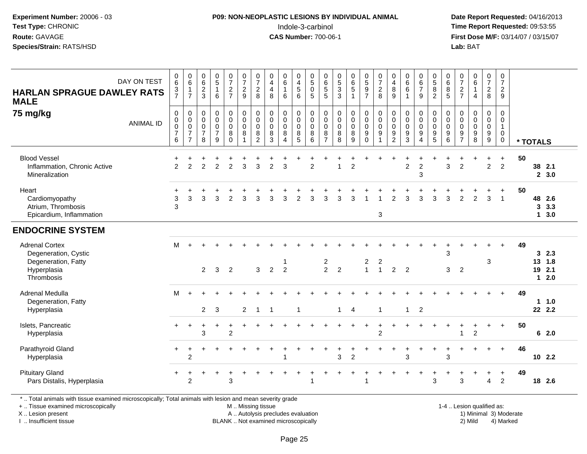### **P09: NON-NEOPLASTIC LESIONS BY INDIVIDUAL ANIMAL**Indole-3-carbinol **Time Report Requested:** 09:53:55

 **Date Report Requested:** 04/16/2013 **First Dose M/F:** 03/14/07 / 03/15/07<br>**Lab: BAT Lab:** BAT

| DAY ON TEST<br><b>HARLAN SPRAGUE DAWLEY RATS</b><br><b>MALE</b>                                          | $_{6}^{\rm 0}$<br>$\frac{3}{7}$                              | $\begin{array}{c} 0 \\ 6 \end{array}$<br>$\mathbf{1}$<br>$\overline{7}$ | $_{\rm 6}^{\rm 0}$<br>$\sqrt{2}$<br>3                            | $\begin{array}{c} 0 \\ 5 \end{array}$<br>$\mathbf{1}$<br>6   | $\frac{0}{7}$<br>$\frac{2}{7}$                             | $\begin{array}{c} 0 \\ 7 \\ 2 \end{array}$<br>9            | $\frac{0}{7}$<br>$\overline{c}$<br>8                 | $\pmb{0}$<br>$\overline{\mathbf{4}}$<br>$\overline{4}$<br>8 | $\begin{matrix} 0 \\ 6 \\ 1 \end{matrix}$<br>6                   | 0<br>$\begin{array}{c} 4 \\ 5 \end{array}$<br>6 | $\begin{array}{c} 0 \\ 5 \end{array}$<br>$\mathbf 0$<br>5 | $\pmb{0}$<br>$\,6$<br>$\,$ 5 $\,$<br>5               | $\begin{smallmatrix} 0\\5 \end{smallmatrix}$<br>$\sqrt{3}$<br>3 | $\begin{array}{c} 0 \\ 6 \\ 5 \end{array}$<br>1     | $0$<br>$5$<br>$9$<br>$7$                                                  | $\begin{array}{c} 0 \\ 7 \\ 2 \end{array}$<br>8                          | 0<br>$\overline{\mathbf{4}}$<br>8<br>9               | $\begin{array}{c} 0 \\ 6 \\ 6 \end{array}$<br>$\mathbf{1}$   | $\begin{array}{c} 0 \\ 6 \\ 7 \end{array}$<br>9        | $\begin{array}{c} 0 \\ 5 \\ 8 \end{array}$<br>$\overline{2}$    | $\begin{array}{c} 0 \\ 6 \\ 5 \end{array}$                         | 0<br>$\overline{7}$<br>$\overline{c}$<br>$\overline{7}$ | $\pmb{0}$<br>$\,6\,$<br>$\mathbf{1}$<br>4 | $\frac{0}{7}$<br>$\overline{c}$<br>8 | $\begin{array}{c} 0 \\ 7 \end{array}$<br>$\overline{c}$<br>9             |    |          |                                |  |
|----------------------------------------------------------------------------------------------------------|--------------------------------------------------------------|-------------------------------------------------------------------------|------------------------------------------------------------------|--------------------------------------------------------------|------------------------------------------------------------|------------------------------------------------------------|------------------------------------------------------|-------------------------------------------------------------|------------------------------------------------------------------|-------------------------------------------------|-----------------------------------------------------------|------------------------------------------------------|-----------------------------------------------------------------|-----------------------------------------------------|---------------------------------------------------------------------------|--------------------------------------------------------------------------|------------------------------------------------------|--------------------------------------------------------------|--------------------------------------------------------|-----------------------------------------------------------------|--------------------------------------------------------------------|---------------------------------------------------------|-------------------------------------------|--------------------------------------|--------------------------------------------------------------------------|----|----------|--------------------------------|--|
| 75 mg/kg<br><b>ANIMAL ID</b>                                                                             | 0<br>$\pmb{0}$<br>$\pmb{0}$<br>$\overline{\mathcal{I}}$<br>6 | $\pmb{0}$<br>$\pmb{0}$<br>$\pmb{0}$<br>$\overline{7}$<br>$\overline{7}$ | $\mathbf 0$<br>$\mathbf 0$<br>$\mathbf 0$<br>$\overline{7}$<br>8 | $\pmb{0}$<br>$\pmb{0}$<br>$\mathbf 0$<br>$\overline{7}$<br>9 | $\pmb{0}$<br>$\pmb{0}$<br>$\pmb{0}$<br>$\bf 8$<br>$\Omega$ | $\pmb{0}$<br>$\mathbf 0$<br>$\pmb{0}$<br>8<br>$\mathbf{1}$ | 0<br>$\pmb{0}$<br>$\mathbf 0$<br>8<br>$\overline{2}$ | 0<br>0<br>0<br>8<br>3                                       | $\pmb{0}$<br>$\pmb{0}$<br>$\pmb{0}$<br>$\,8\,$<br>$\overline{4}$ | 0<br>0<br>$\mathbf 0$<br>$\bf 8$<br>5           | $\mathbf 0$<br>$\pmb{0}$<br>$\mathbf 0$<br>8<br>6         | 0<br>$\pmb{0}$<br>$\mathbf 0$<br>8<br>$\overline{7}$ | 0<br>0<br>0<br>8<br>8                                           | $\pmb{0}$<br>$\pmb{0}$<br>$\pmb{0}$<br>$\bf 8$<br>9 | $\mathbf 0$<br>$\mathbf 0$<br>$\mathbf 0$<br>$\boldsymbol{9}$<br>$\Omega$ | $\mathsf{O}\xspace$<br>$\mathsf 0$<br>$\mathbf 0$<br>9<br>$\overline{1}$ | 0<br>$\pmb{0}$<br>$\mathbf 0$<br>9<br>$\overline{2}$ | $\pmb{0}$<br>$\pmb{0}$<br>$\pmb{0}$<br>$\boldsymbol{9}$<br>3 | 0<br>$\mathbf 0$<br>$\mathbf 0$<br>9<br>$\overline{4}$ | 0<br>$\mathsf{O}$<br>0<br>$\begin{array}{c} 9 \\ 5 \end{array}$ | $\mathbf 0$<br>$\mathbf 0$<br>$\mathbf 0$<br>$\boldsymbol{9}$<br>6 | 0<br>0<br>$\mathbf 0$<br>9<br>$\overline{7}$            | 0<br>$\mathbf 0$<br>$\mathbf 0$<br>9<br>8 | 0<br>0<br>$\mathsf 0$<br>9<br>9      | $\mathbf 0$<br>$\mathbf 0$<br>$\mathbf{1}$<br>$\mathbf 0$<br>$\mathbf 0$ |    | * TOTALS |                                |  |
| <b>Blood Vessel</b><br>Inflammation, Chronic Active<br>Mineralization                                    | ÷<br>$\overline{2}$                                          | +<br>$\overline{2}$                                                     | +<br>$\overline{2}$                                              | $\overline{2}$                                               | +<br>$\overline{a}$                                        | $\mathbf{3}$                                               | $\ddot{}$<br>$\mathsf 3$                             | +<br>$\overline{c}$                                         | 3                                                                | ÷                                               | $\overline{2}$                                            |                                                      |                                                                 | +<br>$\overline{2}$                                 |                                                                           |                                                                          |                                                      | $\overline{c}$                                               | $\ddot{}$<br>$\overline{c}$<br>3                       | $\ddot{}$                                                       | 3                                                                  | +<br>$\overline{c}$                                     |                                           | $\ddot{}$<br>$\overline{a}$          | $+$<br>$\overline{2}$                                                    | 50 |          | 38 2.1<br>2, 3.0               |  |
| Heart<br>Cardiomyopathy<br>Atrium, Thrombosis<br>Epicardium, Inflammation                                | ÷<br>3<br>3                                                  | 3                                                                       | 3                                                                | 3                                                            | $\overline{2}$                                             | 3                                                          | 3                                                    | 3                                                           | 3                                                                | $\overline{2}$                                  | 3                                                         | 3                                                    | 3                                                               | 3                                                   | -1                                                                        | 1<br>3                                                                   | $\overline{2}$                                       | 3                                                            | 3                                                      | 3                                                               | 3                                                                  | $\overline{2}$                                          | $\overline{2}$                            | 3                                    | $\ddot{}$<br>$\overline{1}$                                              | 50 | 3        | 48 2.6<br>3.3<br>$1 \quad 3.0$ |  |
| <b>ENDOCRINE SYSTEM</b>                                                                                  |                                                              |                                                                         |                                                                  |                                                              |                                                            |                                                            |                                                      |                                                             |                                                                  |                                                 |                                                           |                                                      |                                                                 |                                                     |                                                                           |                                                                          |                                                      |                                                              |                                                        |                                                                 |                                                                    |                                                         |                                           |                                      |                                                                          |    |          |                                |  |
| <b>Adrenal Cortex</b><br>Degeneration, Cystic<br>Degeneration, Fatty<br>Hyperplasia<br>Thrombosis        | м                                                            | $\ddot{}$                                                               | 2                                                                | 3                                                            | $\overline{2}$                                             |                                                            | 3                                                    | $\overline{2}$                                              | $\overline{2}$                                                   |                                                 |                                                           | $\frac{2}{2}$                                        | $\overline{2}$                                                  |                                                     | $\frac{2}{1}$                                                             | 2<br>$\mathbf{1}$                                                        | $\overline{2}$                                       | $\overline{2}$                                               |                                                        |                                                                 | 3<br>3                                                             | $\overline{2}$                                          |                                           | 3                                    | $+$                                                                      | 49 | 13<br>19 | 32.3<br>1.8<br>2.1<br>$12.0$   |  |
| Adrenal Medulla<br>Degeneration, Fatty<br>Hyperplasia                                                    | м                                                            | $\ddot{}$                                                               | $\overline{2}$                                                   | 3                                                            |                                                            | $\overline{2}$                                             | $\mathbf{1}$                                         | $\mathbf 1$                                                 |                                                                  | $\overline{\mathbf{1}}$                         |                                                           |                                                      | $\mathbf{1}$                                                    | $\overline{4}$                                      |                                                                           | $\mathbf{1}$                                                             |                                                      | $\mathbf{1}$                                                 | $\overline{2}$                                         |                                                                 |                                                                    |                                                         |                                           |                                      | $+$                                                                      | 49 |          | 11.0<br>22 2.2                 |  |
| Islets, Pancreatic<br>Hyperplasia                                                                        | $+$                                                          | $\ddot{}$                                                               | +<br>3                                                           | ÷                                                            | $\ddot{}$<br>$\overline{c}$                                |                                                            |                                                      |                                                             |                                                                  |                                                 |                                                           |                                                      |                                                                 | $\div$                                              | $\ddot{}$                                                                 | +<br>$\overline{c}$                                                      | $\div$                                               |                                                              | $\ddot{}$                                              |                                                                 |                                                                    | $\ddot{}$<br>1                                          | +<br>$\overline{c}$                       | $\ddot{}$                            | $\ddot{}$                                                                | 50 |          | 62.0                           |  |
| Parathyroid Gland<br>Hyperplasia                                                                         | $+$                                                          | $\ddot{}$<br>$\overline{2}$                                             |                                                                  |                                                              |                                                            |                                                            |                                                      |                                                             |                                                                  |                                                 |                                                           |                                                      | 3                                                               | $\overline{2}$                                      |                                                                           |                                                                          |                                                      | 3                                                            |                                                        | ٠                                                               | 3                                                                  |                                                         |                                           |                                      | $+$                                                                      | 46 |          | $10$ 2.2                       |  |
| <b>Pituitary Gland</b><br>Pars Distalis, Hyperplasia                                                     |                                                              | $\overline{2}$                                                          |                                                                  |                                                              | 3                                                          |                                                            |                                                      |                                                             |                                                                  |                                                 | -1                                                        |                                                      |                                                                 |                                                     | $\overline{1}$                                                            |                                                                          |                                                      |                                                              |                                                        | +<br>3                                                          |                                                                    | 3                                                       |                                           | $\overline{4}$                       | $\ddot{}$<br>$\overline{2}$                                              | 49 |          | 18 2.6                         |  |
| *  Total animals with tissue examined microscopically; Total animals with lesion and mean severity grade |                                                              |                                                                         |                                                                  |                                                              |                                                            |                                                            |                                                      |                                                             |                                                                  |                                                 |                                                           |                                                      |                                                                 |                                                     |                                                                           |                                                                          |                                                      |                                                              |                                                        |                                                                 |                                                                    |                                                         |                                           |                                      |                                                                          |    |          |                                |  |

+ .. Tissue examined microscopically

X .. Lesion present

I .. Insufficient tissue

M .. Missing tissue

A .. Autolysis precludes evaluation 1999 (1999) 1999 (1999) 1999 (1999) 1999 (1999) 1999 (1999) 1999 (1999) 1<br>1) Minimal 3) Mild 3) Mild 3) Mild 3) Mild 3, 2009 (1999) 1999 (1999) 1999 (1999) 1999 (1999) 1999 (1999) 199 BLANK .. Not examined microscopically 2) Mild 4) Marked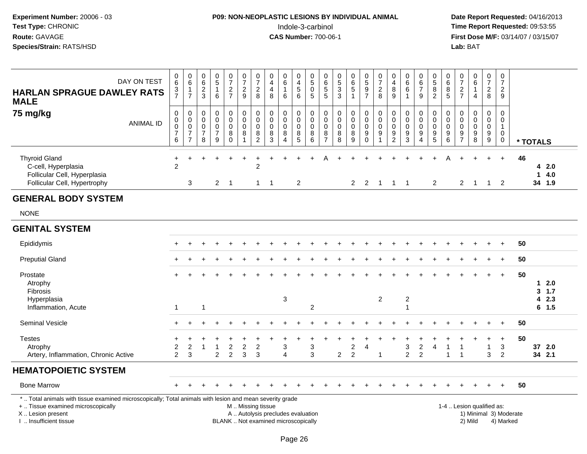### **P09: NON-NEOPLASTIC LESIONS BY INDIVIDUAL ANIMAL**Indole-3-carbinol **Time Report Requested:** 09:53:55

| DAY ON TEST<br><b>HARLAN SPRAGUE DAWLEY RATS</b><br><b>MALE</b>                                                                                                                              | $_{6}^{\rm 0}$<br>$\frac{3}{7}$                            | $\pmb{0}$<br>$\,6\,$<br>$\mathbf{1}$<br>$\overline{7}$              | $\,0\,$<br>$\,6\,$<br>$\frac{2}{3}$                              | $\begin{array}{c} 0 \\ 5 \end{array}$<br>$\mathbf{1}$<br>6       | $\frac{0}{7}$<br>$\frac{2}{7}$                    | $\frac{0}{7}$<br>$\frac{2}{9}$                                       | $\begin{array}{c} 0 \\ 7 \end{array}$<br>$_{\rm 8}^2$                                   | $\pmb{0}$<br>$\overline{4}$<br>$\overline{4}$<br>8                       | $\pmb{0}$<br>6<br>$\mathbf{1}$<br>6                                            | 0<br>$\overline{4}$<br>$\sqrt{5}$<br>6                | $\pmb{0}$<br>$\overline{5}$<br>$\boldsymbol{0}$<br>$\overline{5}$ | 0<br>6<br>5<br>$\overline{5}$                | $^{\rm 0}_{\rm 5}$<br>$\frac{3}{3}$            | $065$<br>1                                              | $0$<br>$5$<br>$9$<br>$7$                                                 | $\frac{0}{7}$<br>8                                                               | 0<br>$\overline{\mathbf{4}}$<br>8<br>$\overline{9}$    | $\pmb{0}$<br>$6\phantom{a}$<br>6<br>$\mathbf{1}$       | $_{6}^{\rm 0}$<br>$\overline{7}$<br>9  | $^{\rm 0}_{\rm 5}$<br>$^8_2$                              | $\boldsymbol{0}$<br>$\,6$<br>$^8$ 5                 | $\frac{0}{7}$<br>$\frac{2}{7}$                             | $\begin{array}{c} 0 \\ 6 \end{array}$<br>$\mathbf{1}$<br>$\overline{4}$ | $\frac{0}{7}$<br>$\frac{2}{8}$ | $\pmb{0}$<br>$\overline{7}$<br>$\frac{2}{9}$               |                                     |          |                       |  |
|----------------------------------------------------------------------------------------------------------------------------------------------------------------------------------------------|------------------------------------------------------------|---------------------------------------------------------------------|------------------------------------------------------------------|------------------------------------------------------------------|---------------------------------------------------|----------------------------------------------------------------------|-----------------------------------------------------------------------------------------|--------------------------------------------------------------------------|--------------------------------------------------------------------------------|-------------------------------------------------------|-------------------------------------------------------------------|----------------------------------------------|------------------------------------------------|---------------------------------------------------------|--------------------------------------------------------------------------|----------------------------------------------------------------------------------|--------------------------------------------------------|--------------------------------------------------------|----------------------------------------|-----------------------------------------------------------|-----------------------------------------------------|------------------------------------------------------------|-------------------------------------------------------------------------|--------------------------------|------------------------------------------------------------|-------------------------------------|----------|-----------------------|--|
| 75 mg/kg<br><b>ANIMAL ID</b>                                                                                                                                                                 | $\mathbf 0$<br>$_{\rm 0}^{\rm 0}$<br>$\boldsymbol{7}$<br>6 | $\mathbf 0$<br>0<br>$\mathbf 0$<br>$\overline{7}$<br>$\overline{7}$ | $\mathbf 0$<br>$\mathbf 0$<br>$\mathbf 0$<br>$\overline{7}$<br>8 | $\mathbf 0$<br>$\mathbf 0$<br>$\pmb{0}$<br>$\boldsymbol{7}$<br>9 | $\mathsf{O}$<br>$\mathbf 0$<br>0<br>8<br>$\Omega$ | $\pmb{0}$<br>$\pmb{0}$<br>$\ddot{\mathbf{0}}$<br>8<br>$\overline{1}$ | $\pmb{0}$<br>$\pmb{0}$<br>$\mathbf 0$<br>$\begin{smallmatrix} 8 \\ 2 \end{smallmatrix}$ | $\boldsymbol{0}$<br>$\mathbf 0$<br>$\mathbf 0$<br>$\bf 8$<br>3           | $\mathbf 0$<br>$\mathbf 0$<br>$\mathbf 0$<br>$\bf 8$<br>$\boldsymbol{\Lambda}$ | 0<br>$\mathsf{O}\xspace$<br>$\pmb{0}$<br>$\,8\,$<br>5 | $\pmb{0}$<br>$\mathsf{O}\xspace$<br>$\mathbf 0$<br>8<br>6         | 0<br>0<br>$\mathbf 0$<br>8<br>$\overline{7}$ | 0<br>$\mathbf 0$<br>$\mathbf 0$<br>$\bf8$<br>8 | $\mathsf 0$<br>$\mathbf 0$<br>$\pmb{0}$<br>$\bf 8$<br>9 | $\pmb{0}$<br>$\overline{0}$<br>$\pmb{0}$<br>$\boldsymbol{9}$<br>$\Omega$ | $\pmb{0}$<br>$\mathsf 0$<br>$\overline{0}$<br>$\boldsymbol{9}$<br>$\overline{1}$ | $\mathbf 0$<br>0<br>$\mathbf 0$<br>9<br>$\overline{c}$ | $\mathbf 0$<br>$\pmb{0}$<br>$\pmb{0}$<br>$\frac{9}{3}$ | 0<br>$\mathbf 0$<br>0<br>9<br>$\Delta$ | $\pmb{0}$<br>$\pmb{0}$<br>$\overline{0}$<br>$\frac{9}{5}$ | $\mathbf 0$<br>$\mathbf 0$<br>$\mathbf 0$<br>$^9$ 6 | $\mathbf 0$<br>$\mathbf 0$<br>$\mathbf 0$<br>$\frac{9}{7}$ | $\mathbf 0$<br>$\mathbf 0$<br>$\mathbf 0$<br>$\frac{9}{8}$              | 0<br>0<br>$\pmb{0}$<br>$^9_9$  | $\pmb{0}$<br>$\pmb{0}$<br>$\mathbf{1}$<br>$\mathbf 0$<br>0 |                                     | * TOTALS |                       |  |
| <b>Thyroid Gland</b><br>C-cell, Hyperplasia<br>Follicular Cell, Hyperplasia<br>Follicular Cell, Hypertrophy                                                                                  | $\ddot{}$<br>$\overline{2}$                                | $\mathbf{3}$                                                        |                                                                  | $\overline{2}$                                                   | $\overline{\phantom{1}}$                          |                                                                      | $\overline{2}$<br>$\mathbf{1}$                                                          | $\overline{1}$                                                           |                                                                                | 2                                                     |                                                                   |                                              |                                                | $\overline{2}$                                          | $\overline{2}$                                                           | $\overline{1}$                                                                   | $\mathbf{1}$                                           | $\overline{1}$                                         |                                        | $\overline{2}$                                            |                                                     | $\overline{c}$                                             | $\overline{1}$                                                          | $\overline{1}$                 | $+$<br>$\overline{2}$                                      | 46                                  | 1        | 42.0<br>4.0<br>34 1.9 |  |
| <b>GENERAL BODY SYSTEM</b>                                                                                                                                                                   |                                                            |                                                                     |                                                                  |                                                                  |                                                   |                                                                      |                                                                                         |                                                                          |                                                                                |                                                       |                                                                   |                                              |                                                |                                                         |                                                                          |                                                                                  |                                                        |                                                        |                                        |                                                           |                                                     |                                                            |                                                                         |                                |                                                            |                                     |          |                       |  |
| <b>NONE</b>                                                                                                                                                                                  |                                                            |                                                                     |                                                                  |                                                                  |                                                   |                                                                      |                                                                                         |                                                                          |                                                                                |                                                       |                                                                   |                                              |                                                |                                                         |                                                                          |                                                                                  |                                                        |                                                        |                                        |                                                           |                                                     |                                                            |                                                                         |                                |                                                            |                                     |          |                       |  |
| <b>GENITAL SYSTEM</b>                                                                                                                                                                        |                                                            |                                                                     |                                                                  |                                                                  |                                                   |                                                                      |                                                                                         |                                                                          |                                                                                |                                                       |                                                                   |                                              |                                                |                                                         |                                                                          |                                                                                  |                                                        |                                                        |                                        |                                                           |                                                     |                                                            |                                                                         |                                |                                                            |                                     |          |                       |  |
| Epididymis                                                                                                                                                                                   |                                                            |                                                                     |                                                                  |                                                                  |                                                   |                                                                      |                                                                                         |                                                                          |                                                                                |                                                       |                                                                   |                                              |                                                |                                                         |                                                                          |                                                                                  |                                                        |                                                        |                                        |                                                           |                                                     |                                                            |                                                                         |                                |                                                            | 50                                  |          |                       |  |
| <b>Preputial Gland</b>                                                                                                                                                                       |                                                            |                                                                     |                                                                  |                                                                  |                                                   |                                                                      |                                                                                         |                                                                          |                                                                                |                                                       |                                                                   |                                              |                                                |                                                         |                                                                          |                                                                                  |                                                        |                                                        |                                        |                                                           |                                                     |                                                            |                                                                         |                                |                                                            | 50                                  |          |                       |  |
| Prostate<br>Atrophy<br>Fibrosis<br>Hyperplasia                                                                                                                                               |                                                            |                                                                     |                                                                  |                                                                  |                                                   |                                                                      |                                                                                         |                                                                          | $\ensuremath{\mathsf{3}}$                                                      |                                                       |                                                                   |                                              |                                                |                                                         |                                                                          | $\overline{2}$                                                                   |                                                        | $\overline{c}$                                         |                                        |                                                           |                                                     |                                                            |                                                                         |                                |                                                            | 50                                  | 1<br>4   | 2.0<br>3, 1.7<br>2.3  |  |
| Inflammation, Acute                                                                                                                                                                          | $\overline{1}$                                             |                                                                     | $\mathbf{1}$                                                     |                                                                  |                                                   |                                                                      |                                                                                         |                                                                          |                                                                                |                                                       | $\overline{c}$                                                    |                                              |                                                |                                                         |                                                                          |                                                                                  |                                                        | $\mathbf{1}$                                           |                                        |                                                           |                                                     |                                                            |                                                                         |                                |                                                            |                                     |          | $6$ 1.5               |  |
| <b>Seminal Vesicle</b>                                                                                                                                                                       |                                                            |                                                                     |                                                                  |                                                                  |                                                   |                                                                      |                                                                                         |                                                                          |                                                                                |                                                       |                                                                   |                                              |                                                |                                                         |                                                                          |                                                                                  |                                                        |                                                        |                                        |                                                           |                                                     |                                                            |                                                                         |                                | $\ddot{}$                                                  | 50                                  |          |                       |  |
| <b>Testes</b><br>Atrophy<br>Artery, Inflammation, Chronic Active                                                                                                                             | 2<br>$\overline{2}$                                        | $\overline{c}$<br>3                                                 | $\mathbf{1}$                                                     | -1<br>$\overline{2}$                                             | $\boldsymbol{2}$<br>$\overline{2}$                | $\overline{c}$<br>3                                                  | $\overline{2}$<br>3                                                                     |                                                                          | 3<br>$\boldsymbol{\Lambda}$                                                    |                                                       | 3<br>3                                                            |                                              | $\overline{2}$                                 | $\overline{2}$<br>$\overline{2}$                        | $\overline{4}$                                                           | 1                                                                                |                                                        | 3<br>$\overline{2}$                                    | $\overline{2}$<br>$\overline{2}$       | $\overline{4}$                                            | $\overline{1}$<br>$\overline{1}$                    | -1<br>$\overline{1}$                                       |                                                                         | $\ddot{}$<br>$\mathbf{1}$<br>3 | $\ddot{}$<br>3<br>$\overline{2}$                           | 50                                  |          | 37 2.0<br>34 2.1      |  |
| <b>HEMATOPOIETIC SYSTEM</b>                                                                                                                                                                  |                                                            |                                                                     |                                                                  |                                                                  |                                                   |                                                                      |                                                                                         |                                                                          |                                                                                |                                                       |                                                                   |                                              |                                                |                                                         |                                                                          |                                                                                  |                                                        |                                                        |                                        |                                                           |                                                     |                                                            |                                                                         |                                |                                                            |                                     |          |                       |  |
| <b>Bone Marrow</b>                                                                                                                                                                           |                                                            |                                                                     |                                                                  |                                                                  |                                                   |                                                                      |                                                                                         |                                                                          |                                                                                |                                                       |                                                                   |                                              |                                                |                                                         |                                                                          |                                                                                  |                                                        |                                                        |                                        |                                                           |                                                     |                                                            |                                                                         |                                |                                                            | 50                                  |          |                       |  |
| *  Total animals with tissue examined microscopically; Total animals with lesion and mean severity grade<br>+  Tissue examined microscopically<br>X Lesion present<br>I  Insufficient tissue |                                                            |                                                                     |                                                                  |                                                                  |                                                   | M  Missing tissue                                                    |                                                                                         | A  Autolysis precludes evaluation<br>BLANK  Not examined microscopically |                                                                                |                                                       |                                                                   |                                              |                                                |                                                         |                                                                          |                                                                                  |                                                        |                                                        |                                        |                                                           |                                                     |                                                            | 1-4  Lesion qualified as:<br>2) Mild                                    |                                |                                                            | 1) Minimal 3) Moderate<br>4) Marked |          |                       |  |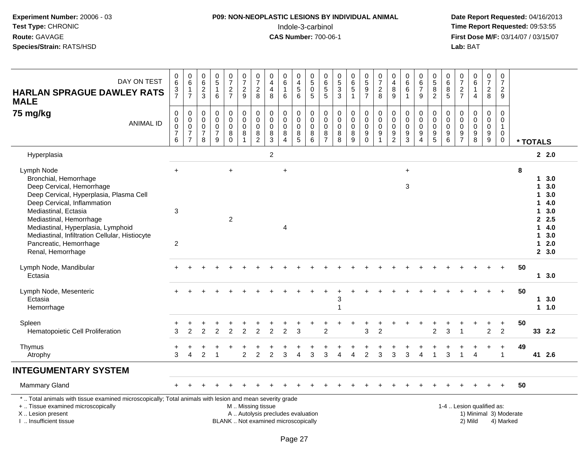#### **P09: NON-NEOPLASTIC LESIONS BY INDIVIDUAL ANIMAL**Indole-3-carbinol **Time Report Requested:** 09:53:55

| DAY ON TEST<br><b>HARLAN SPRAGUE DAWLEY RATS</b><br><b>MALE</b>                                                                                                                                                                                                                                                                      | 0<br>6<br>$\frac{3}{7}$            | $\pmb{0}$<br>$\,6\,$<br>$\frac{1}{7}$                                                      | $\begin{array}{c} 0 \\ 6 \end{array}$<br>$\frac{2}{3}$       | $\begin{array}{c} 0 \\ 5 \end{array}$<br>$\overline{1}$<br>6     | $\begin{array}{c} 0 \\ 7 \end{array}$<br>$\frac{2}{7}$        | $\frac{0}{7}$<br>$\frac{2}{9}$                                            | 0<br>$\overline{7}$<br>$\overline{c}$<br>8                          | 0<br>$\overline{4}$<br>4<br>8                                            | $\pmb{0}$<br>6<br>$\mathbf{1}$<br>6                                    | $\boldsymbol{0}$<br>$\overline{\mathbf{4}}$<br>$\,$ 5 $\,$<br>6 | $\begin{array}{c} 0 \\ 5 \end{array}$<br>$\mathbf 0$<br>$\overline{5}$ | $\pmb{0}$<br>$\,6\,$<br>$\frac{5}{5}$                                      | 0<br>$\sqrt{5}$<br>$\sqrt{3}$<br>$\mathbf{3}$   | 0<br>$\,6\,$<br>$\sqrt{5}$<br>$\overline{1}$           | $0$<br>$5$<br>$9$<br>$7$                                                | 0<br>$\overline{7}$<br>$\overline{c}$<br>8             | $\mathbf 0$<br>$\overline{4}$<br>$\bf 8$<br>9        | 0<br>$\,6\,$<br>6                                                  | $\begin{array}{c} 0 \\ 6 \end{array}$<br>$\overline{7}$<br>9                            | 0<br>$\overline{5}$<br>8<br>$\overline{2}$ | 0<br>$\,6\,$<br>$\, 8$<br>$\overline{5}$                            | 0<br>$\overline{7}$<br>$\frac{2}{7}$                                         | 0<br>$\,6\,$<br>$\mathbf{1}$<br>$\overline{4}$                   | $\frac{0}{7}$<br>$\overline{c}$<br>8                 | 0<br>$\overline{7}$<br>$\frac{2}{9}$                                    |    |                                                        |                                                                           |
|--------------------------------------------------------------------------------------------------------------------------------------------------------------------------------------------------------------------------------------------------------------------------------------------------------------------------------------|------------------------------------|--------------------------------------------------------------------------------------------|--------------------------------------------------------------|------------------------------------------------------------------|---------------------------------------------------------------|---------------------------------------------------------------------------|---------------------------------------------------------------------|--------------------------------------------------------------------------|------------------------------------------------------------------------|-----------------------------------------------------------------|------------------------------------------------------------------------|----------------------------------------------------------------------------|-------------------------------------------------|--------------------------------------------------------|-------------------------------------------------------------------------|--------------------------------------------------------|------------------------------------------------------|--------------------------------------------------------------------|-----------------------------------------------------------------------------------------|--------------------------------------------|---------------------------------------------------------------------|------------------------------------------------------------------------------|------------------------------------------------------------------|------------------------------------------------------|-------------------------------------------------------------------------|----|--------------------------------------------------------|---------------------------------------------------------------------------|
| 75 mg/kg<br><b>ANIMAL ID</b>                                                                                                                                                                                                                                                                                                         | 0<br>0<br>0<br>$\overline{7}$<br>6 | $\boldsymbol{0}$<br>$\mathsf{O}\xspace$<br>$\mathsf 0$<br>$\overline{7}$<br>$\overline{7}$ | $\mathbf 0$<br>$\pmb{0}$<br>$\pmb{0}$<br>$\overline{7}$<br>8 | $\mathbf 0$<br>$\mathbf 0$<br>$\mathbf 0$<br>$\overline{7}$<br>9 | $\pmb{0}$<br>$\mathbf 0$<br>$\mathbf 0$<br>$\, 8$<br>$\Omega$ | $\pmb{0}$<br>$\mathsf{O}\xspace$<br>$\mathbf 0$<br>$\, 8$<br>$\mathbf{1}$ | $\pmb{0}$<br>$\mathbf 0$<br>$\mathbf 0$<br>$\bf8$<br>$\overline{c}$ | $\pmb{0}$<br>$\pmb{0}$<br>$\mathbf 0$<br>$\bf 8$<br>$\mathfrak{Z}$       | $\mathsf 0$<br>$\mathbf 0$<br>$\mathbf 0$<br>$\bf 8$<br>$\overline{4}$ | $\pmb{0}$<br>$\pmb{0}$<br>$\pmb{0}$<br>$\overline{8}$<br>5      | 0<br>$\mathbf 0$<br>$\mathbf 0$<br>$\bf 8$<br>6                        | $\mathbf 0$<br>$\mathbf 0$<br>$\boldsymbol{0}$<br>$\, 8$<br>$\overline{7}$ | 0<br>$\mathbf 0$<br>$\mathbf 0$<br>$\bf 8$<br>8 | $\pmb{0}$<br>$\mathbf 0$<br>$\mathbf 0$<br>$\bf8$<br>9 | $\pmb{0}$<br>$\mathbf 0$<br>$\mathbf 0$<br>$\boldsymbol{9}$<br>$\Omega$ | 0<br>$\mathbf 0$<br>$\pmb{0}$<br>$\boldsymbol{9}$<br>1 | $\pmb{0}$<br>$\pmb{0}$<br>$\pmb{0}$<br>$\frac{9}{2}$ | $\mathbf 0$<br>$\mathbf 0$<br>$\mathbf 0$<br>$\boldsymbol{9}$<br>3 | $\mathbf 0$<br>$\mathbf 0$<br>$\mathbf 0$<br>$\boldsymbol{9}$<br>$\boldsymbol{\Lambda}$ | 0<br>$\mathbf 0$<br>0<br>9<br>5            | $\pmb{0}$<br>$\mathbf 0$<br>$\overline{0}$<br>$\boldsymbol{9}$<br>6 | $\mathbf 0$<br>$\Omega$<br>$\mathbf 0$<br>$\boldsymbol{9}$<br>$\overline{7}$ | $\pmb{0}$<br>$\mathbf 0$<br>$\mathbf 0$<br>$\boldsymbol{9}$<br>8 | $\pmb{0}$<br>$\pmb{0}$<br>$\pmb{0}$<br>$\frac{9}{9}$ | $\mathsf{O}$<br>$\mathbf 0$<br>$\mathbf{1}$<br>$\mathsf{O}\xspace$<br>0 |    | * TOTALS                                               |                                                                           |
| Hyperplasia                                                                                                                                                                                                                                                                                                                          |                                    |                                                                                            |                                                              |                                                                  |                                                               |                                                                           |                                                                     | $\overline{c}$                                                           |                                                                        |                                                                 |                                                                        |                                                                            |                                                 |                                                        |                                                                         |                                                        |                                                      |                                                                    |                                                                                         |                                            |                                                                     |                                                                              |                                                                  |                                                      |                                                                         |    |                                                        | 2.2.0                                                                     |
| Lymph Node<br>Bronchial, Hemorrhage<br>Deep Cervical, Hemorrhage<br>Deep Cervical, Hyperplasia, Plasma Cell<br>Deep Cervical, Inflammation<br>Mediastinal, Ectasia<br>Mediastinal, Hemorrhage<br>Mediastinal, Hyperplasia, Lymphoid<br>Mediastinal, Infiltration Cellular, Histiocyte<br>Pancreatic, Hemorrhage<br>Renal, Hemorrhage | $\ddot{}$<br>3<br>$\overline{2}$   |                                                                                            |                                                              |                                                                  | $\ddot{}$<br>$\overline{2}$                                   |                                                                           |                                                                     |                                                                          | $\ddot{}$<br>$\overline{4}$                                            |                                                                 |                                                                        |                                                                            |                                                 |                                                        |                                                                         |                                                        |                                                      | $\ddot{}$<br>$\mathbf{3}$                                          |                                                                                         |                                            |                                                                     |                                                                              |                                                                  |                                                      |                                                                         | 8  | 1<br>1<br>1<br>1<br>$\mathbf{1}$<br>1.<br>$\mathbf{1}$ | 13.0<br>3.0<br>3.0<br>4.0<br>3.0<br>2, 2.5<br>4.0<br>3.0<br>2.0<br>2, 3.0 |
| Lymph Node, Mandibular<br>Ectasia                                                                                                                                                                                                                                                                                                    |                                    |                                                                                            |                                                              |                                                                  |                                                               |                                                                           |                                                                     |                                                                          |                                                                        |                                                                 |                                                                        |                                                                            |                                                 |                                                        |                                                                         |                                                        |                                                      |                                                                    |                                                                                         |                                            |                                                                     |                                                                              |                                                                  |                                                      |                                                                         | 50 |                                                        | 1, 3.0                                                                    |
| Lymph Node, Mesenteric<br>Ectasia<br>Hemorrhage                                                                                                                                                                                                                                                                                      |                                    |                                                                                            |                                                              |                                                                  |                                                               |                                                                           |                                                                     |                                                                          |                                                                        |                                                                 |                                                                        |                                                                            | 3<br>1                                          |                                                        |                                                                         |                                                        |                                                      |                                                                    |                                                                                         |                                            |                                                                     |                                                                              |                                                                  |                                                      | $\ddot{}$                                                               | 50 |                                                        | $1 \quad 3.0$<br>$1 \t1.0$                                                |
| Spleen<br>Hematopoietic Cell Proliferation                                                                                                                                                                                                                                                                                           | 3                                  | $\overline{2}$                                                                             | $\mathfrak{p}$                                               | 2                                                                | $\overline{2}$                                                | $\overline{2}$                                                            | $\mathfrak{p}$                                                      | $\overline{2}$                                                           | $\overline{2}$                                                         | 3                                                               |                                                                        | $\overline{2}$                                                             |                                                 |                                                        | ٠<br>3                                                                  | $\overline{2}$                                         |                                                      |                                                                    |                                                                                         | $\overline{2}$                             | 3                                                                   |                                                                              |                                                                  | $\ddot{}$<br>$\overline{2}$                          | $\ddot{}$<br>$\overline{2}$                                             | 50 |                                                        | 33 2.2                                                                    |
| Thymus<br>Atrophy                                                                                                                                                                                                                                                                                                                    | +<br>3                             | $\overline{4}$                                                                             | $\overline{2}$                                               |                                                                  |                                                               | $\overline{c}$                                                            | 2                                                                   | $\overline{2}$                                                           | 3                                                                      | $\Delta$                                                        | 3                                                                      | 3                                                                          | Δ                                               | Δ                                                      | $\overline{c}$                                                          | 3                                                      | 3                                                    | 3                                                                  |                                                                                         | 1                                          | 3                                                                   |                                                                              |                                                                  |                                                      | $\ddot{}$<br>$\mathbf{1}$                                               | 49 |                                                        | 41 2.6                                                                    |
| <b>INTEGUMENTARY SYSTEM</b>                                                                                                                                                                                                                                                                                                          |                                    |                                                                                            |                                                              |                                                                  |                                                               |                                                                           |                                                                     |                                                                          |                                                                        |                                                                 |                                                                        |                                                                            |                                                 |                                                        |                                                                         |                                                        |                                                      |                                                                    |                                                                                         |                                            |                                                                     |                                                                              |                                                                  |                                                      |                                                                         |    |                                                        |                                                                           |
| <b>Mammary Gland</b>                                                                                                                                                                                                                                                                                                                 |                                    |                                                                                            |                                                              |                                                                  |                                                               |                                                                           |                                                                     |                                                                          |                                                                        |                                                                 |                                                                        |                                                                            |                                                 |                                                        |                                                                         |                                                        |                                                      |                                                                    |                                                                                         |                                            |                                                                     |                                                                              |                                                                  |                                                      |                                                                         | 50 |                                                        |                                                                           |
| *  Total animals with tissue examined microscopically; Total animals with lesion and mean severity grade<br>+  Tissue examined microscopically<br>X  Lesion present<br>I. Insufficient tissue                                                                                                                                        |                                    |                                                                                            |                                                              |                                                                  |                                                               | M  Missing tissue                                                         |                                                                     | A  Autolysis precludes evaluation<br>BLANK  Not examined microscopically |                                                                        |                                                                 |                                                                        |                                                                            |                                                 |                                                        |                                                                         |                                                        |                                                      |                                                                    |                                                                                         |                                            |                                                                     |                                                                              | 1-4  Lesion qualified as:<br>2) Mild                             |                                                      | 1) Minimal 3) Moderate<br>4) Marked                                     |    |                                                        |                                                                           |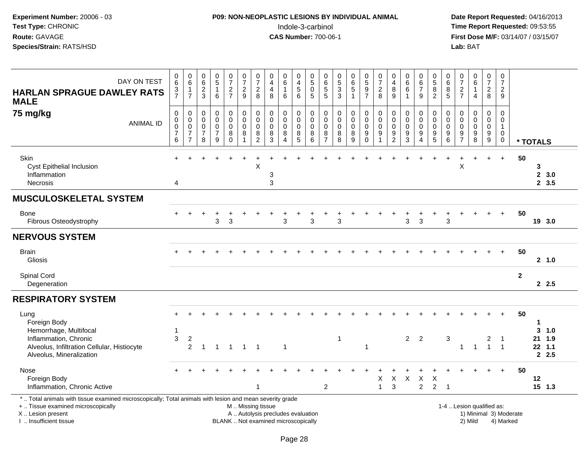### **P09: NON-NEOPLASTIC LESIONS BY INDIVIDUAL ANIMAL**Indole-3-carbinol **Time Report Requested:** 09:53:55

 **Date Report Requested:** 04/16/2013 **First Dose M/F:** 03/14/07 / 03/15/07<br>**Lab:** BAT

| DAY ON TEST<br><b>HARLAN SPRAGUE DAWLEY RATS</b><br><b>MALE</b>                                                                                                                               | 0<br>$6\overline{6}$<br>$\frac{3}{7}$              | 0<br>6<br>$\mathbf{1}$<br>$\overline{7}$                | 0<br>$6\overline{6}$<br>$\frac{2}{3}$     | $\begin{array}{c} 0 \\ 5 \end{array}$<br>$\mathbf{1}$<br>6   | 0<br>$\overline{7}$<br>$\frac{2}{7}$           | 0<br>$\overline{7}$<br>$\frac{2}{9}$               | $\frac{0}{7}$<br>$\overline{\mathbf{c}}$<br>8 | 0<br>$\overline{4}$<br>$\overline{4}$<br>8                               | $\begin{array}{c} 0 \\ 6 \end{array}$<br>$\mathbf{1}$<br>6 | 0<br>$\overline{\mathbf{4}}$<br>$\,$ 5 $\,$<br>$6\phantom{1}$ | 0<br>$\overline{5}$<br>$\mathbf 0$<br>5    | 0<br>$\,6$<br>$\mathbf 5$<br>$\overline{5}$                      | 0<br>$\overline{5}$<br>$\ensuremath{\mathsf{3}}$<br>$\overline{3}$ | $\begin{array}{c} 0 \\ 6 \end{array}$<br>$\sqrt{5}$ | $\begin{array}{c} 0 \\ 5 \end{array}$<br>$\frac{9}{7}$    | 0<br>$\overline{7}$<br>$\frac{2}{8}$                   | 0<br>4<br>8<br>9                                       | 0<br>6<br>$\,6$<br>$\overline{1}$                   | 0<br>$6\phantom{1}6$<br>$\overline{7}$<br>9                  | $\begin{array}{c} 0 \\ 5 \end{array}$<br>8<br>$\overline{2}$ | 0<br>$\,6\,$<br>8<br>$5\phantom{1}$       | 0<br>$\overline{7}$<br>$\frac{2}{7}$         | 0<br>$6\phantom{a}$<br>$\mathbf{1}$<br>$\overline{4}$              | $\frac{0}{7}$<br>$\overline{c}$<br>8    | 0<br>$\overline{7}$<br>$\overline{a}$<br>9                     |                        |                   |                 |  |
|-----------------------------------------------------------------------------------------------------------------------------------------------------------------------------------------------|----------------------------------------------------|---------------------------------------------------------|-------------------------------------------|--------------------------------------------------------------|------------------------------------------------|----------------------------------------------------|-----------------------------------------------|--------------------------------------------------------------------------|------------------------------------------------------------|---------------------------------------------------------------|--------------------------------------------|------------------------------------------------------------------|--------------------------------------------------------------------|-----------------------------------------------------|-----------------------------------------------------------|--------------------------------------------------------|--------------------------------------------------------|-----------------------------------------------------|--------------------------------------------------------------|--------------------------------------------------------------|-------------------------------------------|----------------------------------------------|--------------------------------------------------------------------|-----------------------------------------|----------------------------------------------------------------|------------------------|-------------------|-----------------|--|
| 75 mg/kg<br><b>ANIMAL ID</b>                                                                                                                                                                  | 0<br>$\pmb{0}$<br>$\pmb{0}$<br>$\overline{7}$<br>6 | 0<br>$\pmb{0}$<br>0<br>$\overline{7}$<br>$\overline{7}$ | $\mathbf 0$<br>0<br>$\mathbf 0$<br>7<br>8 | $\mathbf 0$<br>$\pmb{0}$<br>$\pmb{0}$<br>$\overline{7}$<br>9 | 0<br>$\pmb{0}$<br>$\mathbf 0$<br>8<br>$\Omega$ | 0<br>$\pmb{0}$<br>$\mathbf 0$<br>8<br>$\mathbf{1}$ | 0<br>$\pmb{0}$<br>0<br>8<br>$\overline{2}$    | 0<br>0<br>$\mathbf 0$<br>8<br>3                                          | $\mathbf 0$<br>$\pmb{0}$<br>$\mathbf 0$<br>8<br>$\Delta$   | 0<br>$\mathsf 0$<br>$\mathbf 0$<br>8<br>5                     | 0<br>$\pmb{0}$<br>$\overline{0}$<br>8<br>6 | $\mathbf 0$<br>$\mathbf 0$<br>$\mathbf 0$<br>8<br>$\overline{7}$ | $\mathbf 0$<br>$\mathbf 0$<br>$\mathbf 0$<br>8<br>8                | 0<br>$\mathbf 0$<br>$\mathbf 0$<br>8<br>9           | 0<br>$\pmb{0}$<br>$\mathsf{O}\xspace$<br>9<br>$\mathbf 0$ | 0<br>$\mathbf 0$<br>$\mathbf 0$<br>9<br>$\overline{1}$ | 0<br>$\mathbf 0$<br>$\mathbf 0$<br>9<br>$\overline{2}$ | $\mathbf 0$<br>$\mathbf 0$<br>$\mathbf 0$<br>9<br>3 | 0<br>$\pmb{0}$<br>$\mathbf 0$<br>9<br>$\boldsymbol{\Lambda}$ | $\mathbf 0$<br>$\mathsf{O}\xspace$<br>0<br>9<br>5            | 0<br>$\mathbf 0$<br>$\mathbf 0$<br>9<br>6 | 0<br>0<br>$\mathbf 0$<br>9<br>$\overline{7}$ | $\mathbf 0$<br>$\mathbf 0$<br>$\mathbf 0$<br>$\boldsymbol{9}$<br>8 | 0<br>$\pmb{0}$<br>$\mathsf 0$<br>$^9_9$ | $\mathbf 0$<br>$\mathbf 0$<br>$\mathbf{1}$<br>0<br>$\mathbf 0$ |                        | * TOTALS          |                 |  |
| Skin<br>Cyst Epithelial Inclusion<br>Inflammation<br><b>Necrosis</b>                                                                                                                          | 4                                                  |                                                         |                                           |                                                              |                                                |                                                    | $\mathsf{X}$                                  | 3<br>3                                                                   |                                                            |                                                               |                                            |                                                                  |                                                                    |                                                     |                                                           |                                                        |                                                        |                                                     |                                                              |                                                              |                                           | X                                            |                                                                    | $\ddot{}$                               | $\ddot{}$                                                      | 50                     | 3<br>$\mathbf{2}$ | 3.0<br>2, 3.5   |  |
| <b>MUSCULOSKELETAL SYSTEM</b>                                                                                                                                                                 |                                                    |                                                         |                                           |                                                              |                                                |                                                    |                                               |                                                                          |                                                            |                                                               |                                            |                                                                  |                                                                    |                                                     |                                                           |                                                        |                                                        |                                                     |                                                              |                                                              |                                           |                                              |                                                                    |                                         |                                                                |                        |                   |                 |  |
| <b>Bone</b><br>Fibrous Osteodystrophy                                                                                                                                                         |                                                    |                                                         |                                           | 3                                                            | 3                                              |                                                    |                                               |                                                                          | 3                                                          |                                                               | 3                                          |                                                                  | 3                                                                  |                                                     |                                                           |                                                        |                                                        | 3                                                   | 3                                                            |                                                              | 3                                         |                                              |                                                                    | $\div$                                  | $+$                                                            | 50                     |                   | 19 3.0          |  |
| <b>NERVOUS SYSTEM</b>                                                                                                                                                                         |                                                    |                                                         |                                           |                                                              |                                                |                                                    |                                               |                                                                          |                                                            |                                                               |                                            |                                                                  |                                                                    |                                                     |                                                           |                                                        |                                                        |                                                     |                                                              |                                                              |                                           |                                              |                                                                    |                                         |                                                                |                        |                   |                 |  |
| <b>Brain</b><br>Gliosis                                                                                                                                                                       |                                                    |                                                         |                                           |                                                              |                                                |                                                    |                                               |                                                                          |                                                            |                                                               |                                            |                                                                  |                                                                    |                                                     |                                                           |                                                        |                                                        |                                                     |                                                              |                                                              |                                           |                                              |                                                                    |                                         | $+$                                                            | 50                     |                   | 2 1.0           |  |
| Spinal Cord<br>Degeneration                                                                                                                                                                   |                                                    |                                                         |                                           |                                                              |                                                |                                                    |                                               |                                                                          |                                                            |                                                               |                                            |                                                                  |                                                                    |                                                     |                                                           |                                                        |                                                        |                                                     |                                                              |                                                              |                                           |                                              |                                                                    |                                         |                                                                | $\mathbf{2}$           |                   | 2.5             |  |
| <b>RESPIRATORY SYSTEM</b>                                                                                                                                                                     |                                                    |                                                         |                                           |                                                              |                                                |                                                    |                                               |                                                                          |                                                            |                                                               |                                            |                                                                  |                                                                    |                                                     |                                                           |                                                        |                                                        |                                                     |                                                              |                                                              |                                           |                                              |                                                                    |                                         |                                                                |                        |                   |                 |  |
| Lung<br>Foreign Body<br>Hemorrhage, Multifocal<br>Inflammation, Chronic                                                                                                                       | 1<br>$\sqrt{3}$                                    | $\boldsymbol{2}$                                        |                                           |                                                              |                                                |                                                    |                                               |                                                                          |                                                            |                                                               |                                            |                                                                  | $\mathbf{1}$                                                       |                                                     | -1                                                        |                                                        |                                                        |                                                     | 2 <sub>2</sub>                                               |                                                              | $\sqrt{3}$                                |                                              |                                                                    | $\overline{c}$<br>$\mathbf{1}$          | -1                                                             | 50                     | -1<br>3<br>21     | 1.0<br>1.9      |  |
| Alveolus, Infiltration Cellular, Histiocyte<br>Alveolus, Mineralization                                                                                                                       |                                                    | $\overline{c}$                                          | $\mathbf{1}$                              | $\overline{1}$                                               | $\overline{1}$                                 | $\mathbf{1}$                                       | $\overline{1}$                                |                                                                          | $\mathbf{1}$                                               |                                                               |                                            |                                                                  |                                                                    |                                                     |                                                           |                                                        |                                                        |                                                     |                                                              |                                                              |                                           | $\mathbf{1}$                                 | $\mathbf{1}$                                                       |                                         | $\overline{1}$                                                 |                        |                   | $22$ 1.1<br>2.5 |  |
| Nose<br>Foreign Body<br>Inflammation, Chronic Active                                                                                                                                          |                                                    |                                                         |                                           |                                                              |                                                |                                                    | $\mathbf{1}$                                  |                                                                          |                                                            |                                                               |                                            | 2                                                                |                                                                    |                                                     |                                                           | X<br>$\mathbf{1}$                                      | Χ<br>3                                                 | $\sf X$                                             | $\mathsf X$<br>$\overline{2}$                                | $\times$<br>2                                                | $\overline{1}$                            |                                              |                                                                    | $\ddot{}$                               | $+$                                                            | 50                     | 12                | $15$ 1.3        |  |
| *  Total animals with tissue examined microscopically; Total animals with lesion and mean severity grade<br>+  Tissue examined microscopically<br>X  Lesion present<br>I  Insufficient tissue |                                                    |                                                         |                                           |                                                              |                                                | M  Missing tissue                                  |                                               | A  Autolysis precludes evaluation<br>BLANK  Not examined microscopically |                                                            |                                                               |                                            |                                                                  |                                                                    |                                                     |                                                           |                                                        |                                                        |                                                     |                                                              |                                                              | 1-4  Lesion qualified as:                 |                                              | 2) Mild                                                            |                                         | 4) Marked                                                      | 1) Minimal 3) Moderate |                   |                 |  |

I .. Insufficient tissue

Page 28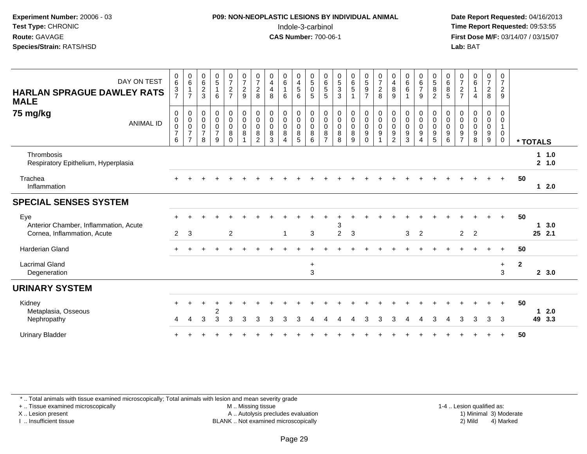#### **P09: NON-NEOPLASTIC LESIONS BY INDIVIDUAL ANIMAL**Indole-3-carbinol **Time Report Requested:** 09:53:55

 **Date Report Requested:** 04/16/2013 **First Dose M/F:** 03/14/07 / 03/15/07<br>**Lab: BAT** 

| DAY ON TEST<br><b>HARLAN SPRAGUE DAWLEY RATS</b><br><b>MALE</b>             | $\begin{array}{c} 0 \\ 6 \end{array}$<br>$\frac{3}{7}$ | $\begin{array}{c} 0 \\ 6 \end{array}$<br>$\overline{1}$<br>$\overline{7}$ | $\begin{array}{c} 0 \\ 6 \end{array}$<br>$\overline{2}$<br>3 | $\begin{array}{c} 0 \\ 5 \end{array}$<br>$\mathbf{1}$<br>6        | $\frac{0}{7}$<br>$\frac{2}{7}$                                                   | $\begin{smallmatrix}0\\7\end{smallmatrix}$<br>$\frac{2}{9}$         | $\frac{0}{7}$<br>$\boldsymbol{2}$<br>8                                        | $\begin{smallmatrix}0\0\4\end{smallmatrix}$<br>$\overline{4}$<br>8 | $\begin{array}{c} 0 \\ 6 \end{array}$<br>$\mathbf{1}$<br>6                                                | $_4^{\rm 0}$<br>5<br>6                          | $\begin{matrix} 0 \\ 5 \end{matrix}$<br>$\ddot{\mathbf{0}}$<br>$\overline{5}$ | $\begin{array}{c} 0 \\ 6 \end{array}$<br>$\frac{5}{5}$         | $\begin{array}{c} 0 \\ 5 \\ 3 \end{array}$<br>3 | $\begin{array}{c} 0 \\ 6 \\ 5 \end{array}$<br>$\mathbf{1}$      | $\begin{array}{c} 0 \\ 5 \end{array}$<br>$\overline{9}$<br>$\overline{7}$ | $\frac{0}{7}$<br>$\overline{2}$<br>8                                                  | 0<br>$\overline{4}$<br>$\bf 8$<br>9                                   | $\begin{array}{c} 0 \\ 6 \end{array}$<br>$\,6\,$<br>$\overline{1}$ | $\begin{array}{c} 0 \\ 6 \end{array}$<br>$\overline{7}$<br>9 | $\begin{array}{c} 0 \\ 5 \\ 8 \end{array}$<br>2                           | $\begin{array}{c} 0 \\ 6 \end{array}$<br>$\overline{8}$<br>$\overline{5}$ | $\frac{0}{7}$<br>$\overline{2}$<br>$\overline{7}$                        | $\begin{array}{c} 0 \\ 6 \end{array}$<br>1<br>4 | $\frac{0}{7}$<br>$\frac{2}{8}$                                   | $\begin{smallmatrix}0\\7\end{smallmatrix}$<br>$\overline{2}$<br>9 |              |          |                |  |
|-----------------------------------------------------------------------------|--------------------------------------------------------|---------------------------------------------------------------------------|--------------------------------------------------------------|-------------------------------------------------------------------|----------------------------------------------------------------------------------|---------------------------------------------------------------------|-------------------------------------------------------------------------------|--------------------------------------------------------------------|-----------------------------------------------------------------------------------------------------------|-------------------------------------------------|-------------------------------------------------------------------------------|----------------------------------------------------------------|-------------------------------------------------|-----------------------------------------------------------------|---------------------------------------------------------------------------|---------------------------------------------------------------------------------------|-----------------------------------------------------------------------|--------------------------------------------------------------------|--------------------------------------------------------------|---------------------------------------------------------------------------|---------------------------------------------------------------------------|--------------------------------------------------------------------------|-------------------------------------------------|------------------------------------------------------------------|-------------------------------------------------------------------|--------------|----------|----------------|--|
| 75 mg/kg<br><b>ANIMAL ID</b>                                                | 0<br>$\pmb{0}$<br>$\mathbf 0$<br>$\overline{7}$<br>6   | 0000007<br>$\overline{7}$                                                 | $\,0\,$<br>$\mathbf 0$<br>$\pmb{0}$<br>$\overline{7}$<br>8   | $\pmb{0}$<br>$\overline{0}$<br>$\mathbf 0$<br>$\overline{7}$<br>9 | $\begin{smallmatrix}0\0\0\end{smallmatrix}$<br>$\boldsymbol{0}$<br>8<br>$\Omega$ | $\begin{smallmatrix} 0\\0 \end{smallmatrix}$<br>$\overline{0}$<br>8 | $\begin{smallmatrix}0\\0\\0\\0\end{smallmatrix}$<br>$\bf 8$<br>$\overline{2}$ | $\begin{smallmatrix}0\\0\\0\end{smallmatrix}$<br>$\bf 8$<br>3      | $\begin{smallmatrix} 0\\0 \end{smallmatrix}$<br>$\mathsf{O}\xspace$<br>$\,8\,$<br>$\overline{\mathbf{4}}$ | $_{\rm 0}^{\rm 0}$<br>$\pmb{0}$<br>$\bf 8$<br>5 | $\begin{smallmatrix}0\\0\\0\end{smallmatrix}$<br>8<br>6                       | 0<br>$\mathbf 0$<br>$\ddot{\mathbf{0}}$<br>8<br>$\overline{7}$ | 0<br>$\pmb{0}$<br>$\pmb{0}$<br>$\bf 8$<br>8     | $\begin{smallmatrix}0\\0\\0\\0\end{smallmatrix}$<br>$\, 8$<br>9 | $_0^0$<br>$\bar{0}$<br>9<br>$\Omega$                                      | $\begin{smallmatrix}0\\0\end{smallmatrix}$<br>$\ddot{\mathbf{0}}$<br>$\boldsymbol{9}$ | 0<br>$\mathbf 0$<br>$\mathbf 0$<br>$\boldsymbol{9}$<br>$\overline{2}$ | $\pmb{0}$<br>$\mathbf 0$<br>$\mathbf 0$<br>$\boldsymbol{9}$<br>3   | 0<br>$\pmb{0}$<br>$\pmb{0}$<br>$\boldsymbol{9}$<br>Δ         | 0<br>$\ddot{\mathbf{0}}$<br>$\mathbf 0$<br>$\boldsymbol{9}$<br>$\sqrt{5}$ | $\pmb{0}$<br>$\mathbf 0$<br>$\pmb{0}$<br>$\boldsymbol{9}$<br>6            | 0<br>$\boldsymbol{0}$<br>$\pmb{0}$<br>$\boldsymbol{9}$<br>$\overline{7}$ | $\,0\,$<br>$\pmb{0}$<br>0<br>9<br>8             | 0<br>$\overline{0}$<br>$\boldsymbol{0}$<br>$\boldsymbol{9}$<br>9 | $\pmb{0}$<br>$\pmb{0}$<br>$\mathbf{1}$<br>$\pmb{0}$<br>$\pmb{0}$  |              | * TOTALS |                |  |
| Thrombosis<br>Respiratory Epithelium, Hyperplasia                           |                                                        |                                                                           |                                                              |                                                                   |                                                                                  |                                                                     |                                                                               |                                                                    |                                                                                                           |                                                 |                                                                               |                                                                |                                                 |                                                                 |                                                                           |                                                                                       |                                                                       |                                                                    |                                                              |                                                                           |                                                                           |                                                                          |                                                 |                                                                  |                                                                   |              |          | 11.0<br>2, 1.0 |  |
| Trachea<br>Inflammation                                                     |                                                        |                                                                           |                                                              |                                                                   |                                                                                  |                                                                     |                                                                               |                                                                    |                                                                                                           |                                                 |                                                                               |                                                                |                                                 |                                                                 |                                                                           |                                                                                       |                                                                       |                                                                    |                                                              |                                                                           |                                                                           |                                                                          |                                                 |                                                                  | $+$                                                               | 50           |          | 12.0           |  |
| <b>SPECIAL SENSES SYSTEM</b>                                                |                                                        |                                                                           |                                                              |                                                                   |                                                                                  |                                                                     |                                                                               |                                                                    |                                                                                                           |                                                 |                                                                               |                                                                |                                                 |                                                                 |                                                                           |                                                                                       |                                                                       |                                                                    |                                                              |                                                                           |                                                                           |                                                                          |                                                 |                                                                  |                                                                   |              |          |                |  |
| Eye<br>Anterior Chamber, Inflammation, Acute<br>Cornea, Inflammation, Acute | $\overline{2}$                                         | $\mathbf{3}$                                                              |                                                              |                                                                   | $\overline{2}$                                                                   |                                                                     |                                                                               |                                                                    | $\mathbf{1}$                                                                                              |                                                 | 3                                                                             |                                                                | 3<br>$\overline{c}$                             | $\mathbf{3}$                                                    |                                                                           |                                                                                       |                                                                       | 3                                                                  | $\overline{2}$                                               |                                                                           |                                                                           | $\overline{2}$                                                           | $\overline{2}$                                  |                                                                  | $+$                                                               | 50           | 1        | 3.0<br>25 2.1  |  |
| <b>Harderian Gland</b>                                                      |                                                        |                                                                           |                                                              |                                                                   |                                                                                  |                                                                     |                                                                               |                                                                    |                                                                                                           |                                                 |                                                                               |                                                                |                                                 |                                                                 |                                                                           |                                                                                       |                                                                       |                                                                    |                                                              |                                                                           |                                                                           |                                                                          |                                                 |                                                                  | $+$                                                               | 50           |          |                |  |
| <b>Lacrimal Gland</b><br>Degeneration                                       |                                                        |                                                                           |                                                              |                                                                   |                                                                                  |                                                                     |                                                                               |                                                                    |                                                                                                           |                                                 | $\ddot{}$<br>3                                                                |                                                                |                                                 |                                                                 |                                                                           |                                                                                       |                                                                       |                                                                    |                                                              |                                                                           |                                                                           |                                                                          |                                                 |                                                                  | $+$<br>3                                                          | $\mathbf{2}$ |          | 2, 3.0         |  |
| <b>URINARY SYSTEM</b>                                                       |                                                        |                                                                           |                                                              |                                                                   |                                                                                  |                                                                     |                                                                               |                                                                    |                                                                                                           |                                                 |                                                                               |                                                                |                                                 |                                                                 |                                                                           |                                                                                       |                                                                       |                                                                    |                                                              |                                                                           |                                                                           |                                                                          |                                                 |                                                                  |                                                                   |              |          |                |  |
| Kidney<br>Metaplasia, Osseous<br>Nephropathy                                | 4                                                      | Δ                                                                         | 3                                                            |                                                                   | 3                                                                                | 3                                                                   | 3                                                                             | 3                                                                  |                                                                                                           | 3                                               |                                                                               |                                                                |                                                 |                                                                 | 3                                                                         |                                                                                       | 3                                                                     |                                                                    | $\overline{\phantom{a}}$                                     | 3                                                                         | Δ                                                                         | 3                                                                        | 3                                               | 3                                                                | $+$<br>3                                                          | 50           | 1        | 2.0<br>49 3.3  |  |
| <b>Urinary Bladder</b>                                                      |                                                        |                                                                           |                                                              |                                                                   |                                                                                  |                                                                     |                                                                               |                                                                    |                                                                                                           |                                                 |                                                                               |                                                                |                                                 |                                                                 |                                                                           |                                                                                       |                                                                       |                                                                    |                                                              |                                                                           |                                                                           |                                                                          |                                                 |                                                                  |                                                                   | 50           |          |                |  |

\* .. Total animals with tissue examined microscopically; Total animals with lesion and mean severity grade

+ .. Tissue examined microscopically

X .. Lesion present

I .. Insufficient tissue

 M .. Missing tissueA .. Autolysis precludes evaluation

BLANK .. Not examined microscopically 2) Mild 4) Marked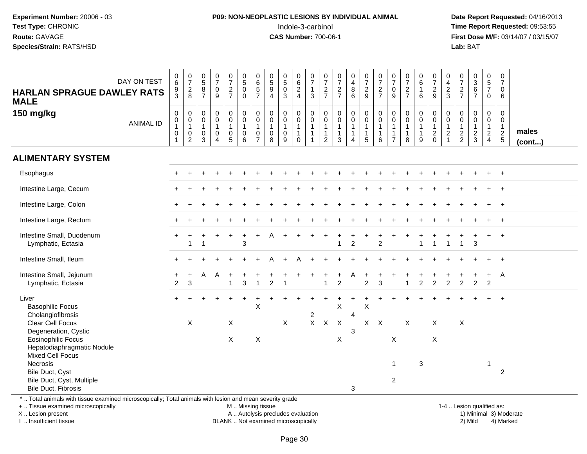### **P09: NON-NEOPLASTIC LESIONS BY INDIVIDUAL ANIMAL**Indole-3-carbinol **Time Report Requested:** 09:53:55

 **Date Report Requested:** 04/16/2013 **First Dose M/F:** 03/14/07 / 03/15/07<br>**Lab: BAT Lab:** BAT

| $_6^0$<br>$\frac{9}{3}$                                           | $\frac{0}{7}$<br>$_{\rm 8}^2$                          | $\begin{array}{c} 0 \\ 5 \end{array}$<br>8<br>$\overline{7}$             | $\frac{0}{7}$<br>$\pmb{0}$<br>$\overline{9}$                        | $\frac{0}{7}$<br>$rac{2}{7}$                                            | $\begin{array}{c} 0 \\ 5 \end{array}$<br>$\mathbf 0$<br>$\Omega$         | $^{\rm 0}_{\rm 6}$<br>$\,$ 5 $\,$<br>$\overline{7}$             | $\begin{smallmatrix}0\0\5\end{smallmatrix}$<br>$\boldsymbol{9}$<br>$\overline{4}$ | $\begin{smallmatrix}0\5\0\end{smallmatrix}$<br>$\overline{3}$ | $_{6}^{\rm 0}$<br>$\frac{2}{4}$                                | $\frac{0}{7}$<br>$\mathbf{1}$<br>$\mathbf{3}$         | $\frac{0}{7}$<br>$\frac{2}{7}$                                             | $\frac{0}{7}$<br>$\frac{2}{7}$                                           | $\begin{array}{c} 0 \\ 4 \\ 8 \end{array}$<br>$\overline{6}$               | $\frac{0}{7}$<br>$\frac{2}{9}$                                 | $\frac{0}{7}$<br>$\frac{2}{7}$                                | $\begin{smallmatrix}0\\7\end{smallmatrix}$<br>$\mathsf 0$<br>9     | $\frac{0}{7}$<br>$\frac{2}{7}$                   | $\begin{array}{c} 0 \\ 6 \end{array}$<br>$\mathbf{1}$<br>6      | $\frac{0}{7}$<br>$\frac{2}{9}$                                            | 0<br>$\overline{4}$<br>$\sqrt{2}$<br>3                                         | $\pmb{0}$<br>$\overline{\mathcal{I}}$<br>$\frac{2}{7}$      | $\begin{matrix}0\3\6\end{matrix}$<br>$\overline{7}$ | $\mathbf 0$<br>$\frac{5}{7}$<br>$\mathbf 0$                                | $\pmb{0}$<br>$\overline{7}$<br>0<br>6                            |                       |
|-------------------------------------------------------------------|--------------------------------------------------------|--------------------------------------------------------------------------|---------------------------------------------------------------------|-------------------------------------------------------------------------|--------------------------------------------------------------------------|-----------------------------------------------------------------|-----------------------------------------------------------------------------------|---------------------------------------------------------------|----------------------------------------------------------------|-------------------------------------------------------|----------------------------------------------------------------------------|--------------------------------------------------------------------------|----------------------------------------------------------------------------|----------------------------------------------------------------|---------------------------------------------------------------|--------------------------------------------------------------------|--------------------------------------------------|-----------------------------------------------------------------|---------------------------------------------------------------------------|--------------------------------------------------------------------------------|-------------------------------------------------------------|-----------------------------------------------------|----------------------------------------------------------------------------|------------------------------------------------------------------|-----------------------|
| $\pmb{0}$<br>$\overline{0}$<br>1<br>$\mathsf 0$<br>$\overline{1}$ | $\pmb{0}$<br>$\overline{0}$<br>1<br>$^{\rm 0}_{\rm 2}$ | $\mathbf 0$<br>$\mathsf{O}\xspace$<br>$\overline{1}$<br>$\mathbf 0$<br>3 | $_{\rm 0}^{\rm 0}$<br>$\overline{1}$<br>$\pmb{0}$<br>$\overline{A}$ | 0<br>$\mathsf{O}\xspace$<br>$\mathbf{1}$<br>$\pmb{0}$<br>$\overline{5}$ | $\pmb{0}$<br>$\pmb{0}$<br>$\overline{1}$<br>$\pmb{0}$<br>$6\phantom{1}6$ | $\mathbf 0$<br>$\pmb{0}$<br>$\mathbf{1}$<br>0<br>$\overline{7}$ | $\pmb{0}$<br>$\pmb{0}$<br>$\overline{1}$<br>$\pmb{0}$<br>8                        | 0<br>$\pmb{0}$<br>$\mathbf{1}$<br>$\pmb{0}$<br>9              | $_{\rm 0}^{\rm 0}$<br>$\mathbf{1}$<br>$\mathbf 1$<br>$\pmb{0}$ | $\pmb{0}$<br>$\pmb{0}$<br>$\mathbf{1}$<br>$\mathbf 1$ | $\mathbf 0$<br>$\pmb{0}$<br>$\mathbf{1}$<br>$\mathbf{1}$<br>$\overline{2}$ | $\mathbf 0$<br>$\pmb{0}$<br>$\mathbf{1}$<br>$\mathbf{1}$<br>$\mathbf{3}$ | $\mathbf 0$<br>$\pmb{0}$<br>$\mathbf{1}$<br>$\mathbf{1}$<br>$\overline{4}$ | $\begin{matrix} 0 \\ 0 \\ 1 \end{matrix}$<br>$\mathbf{1}$<br>5 | 0<br>$\mathsf{O}\xspace$<br>$\mathbf{1}$<br>$\mathbf{1}$<br>6 | 0<br>$\mathbf 0$<br>$\mathbf{1}$<br>$\mathbf{1}$<br>$\overline{7}$ | $\pmb{0}$<br>$\pmb{0}$<br>$\mathbf{1}$<br>1<br>8 | $\mathbf 0$<br>$\pmb{0}$<br>$\overline{1}$<br>$\mathbf{1}$<br>9 | $\pmb{0}$<br>$\pmb{0}$<br>$\overline{1}$<br>$\overline{c}$<br>$\mathbf 0$ | $\mathbf 0$<br>$\mathbf 0$<br>$\mathbf{1}$<br>$\boldsymbol{2}$<br>$\mathbf{1}$ | $\mathbf 0$<br>$\mathbf 0$<br>$\mathbf{1}$<br>$\frac{2}{2}$ | 0<br>$\mathsf{O}$<br>1<br>$\frac{2}{3}$             | $\pmb{0}$<br>$\pmb{0}$<br>$\mathbf{1}$<br>$\overline{a}$<br>$\overline{4}$ | 0<br>$\mathbf 0$<br>$\mathbf{1}$<br>$\sqrt{2}$<br>$\overline{5}$ | males<br>$($ cont $)$ |
|                                                                   |                                                        |                                                                          |                                                                     |                                                                         |                                                                          |                                                                 |                                                                                   |                                                               |                                                                |                                                       |                                                                            |                                                                          |                                                                            |                                                                |                                                               |                                                                    |                                                  |                                                                 |                                                                           |                                                                                |                                                             |                                                     |                                                                            |                                                                  |                       |
|                                                                   |                                                        |                                                                          |                                                                     |                                                                         |                                                                          |                                                                 |                                                                                   |                                                               |                                                                |                                                       |                                                                            |                                                                          |                                                                            |                                                                |                                                               |                                                                    |                                                  |                                                                 |                                                                           |                                                                                |                                                             |                                                     |                                                                            | $+$                                                              |                       |
|                                                                   |                                                        |                                                                          |                                                                     |                                                                         |                                                                          |                                                                 |                                                                                   |                                                               |                                                                |                                                       |                                                                            |                                                                          |                                                                            |                                                                |                                                               |                                                                    |                                                  |                                                                 |                                                                           |                                                                                |                                                             |                                                     |                                                                            |                                                                  |                       |
|                                                                   |                                                        |                                                                          |                                                                     |                                                                         |                                                                          |                                                                 |                                                                                   |                                                               |                                                                |                                                       |                                                                            |                                                                          |                                                                            |                                                                |                                                               |                                                                    |                                                  |                                                                 |                                                                           |                                                                                |                                                             |                                                     |                                                                            | $\ddot{}$                                                        |                       |
|                                                                   |                                                        |                                                                          |                                                                     |                                                                         |                                                                          |                                                                 |                                                                                   |                                                               |                                                                |                                                       |                                                                            |                                                                          |                                                                            |                                                                |                                                               |                                                                    |                                                  |                                                                 |                                                                           |                                                                                |                                                             |                                                     |                                                                            | $\ddot{+}$                                                       |                       |
| $\ddot{}$                                                         |                                                        |                                                                          |                                                                     | $\ddot{}$                                                               | 3                                                                        |                                                                 |                                                                                   |                                                               |                                                                |                                                       |                                                                            |                                                                          | $\overline{c}$                                                             |                                                                | $\overline{2}$                                                |                                                                    |                                                  |                                                                 |                                                                           |                                                                                |                                                             | 3                                                   | $+$                                                                        | $+$                                                              |                       |
|                                                                   |                                                        |                                                                          |                                                                     |                                                                         |                                                                          |                                                                 |                                                                                   |                                                               | А                                                              |                                                       |                                                                            |                                                                          |                                                                            |                                                                |                                                               |                                                                    |                                                  |                                                                 |                                                                           |                                                                                |                                                             |                                                     |                                                                            | $\ddot{}$                                                        |                       |
| $\overline{2}$                                                    | 3                                                      | A                                                                        | A                                                                   | 1                                                                       | 3                                                                        |                                                                 | $\overline{c}$                                                                    |                                                               |                                                                |                                                       | 1                                                                          | $\overline{c}$                                                           |                                                                            | $\overline{c}$                                                 | 3                                                             |                                                                    |                                                  | $\overline{c}$                                                  | $\overline{c}$                                                            | $\overline{c}$                                                                 | $\overline{c}$                                              | $\overline{c}$                                      | $\overline{c}$                                                             | $\mathsf{A}$                                                     |                       |
|                                                                   |                                                        |                                                                          |                                                                     | $\div$                                                                  | $\ddot{}$                                                                | X                                                               |                                                                                   |                                                               |                                                                |                                                       |                                                                            | X                                                                        |                                                                            | X                                                              |                                                               |                                                                    |                                                  |                                                                 |                                                                           |                                                                                |                                                             |                                                     |                                                                            | $\ddot{+}$                                                       |                       |
|                                                                   | X                                                      |                                                                          |                                                                     | X                                                                       |                                                                          |                                                                 |                                                                                   | X                                                             |                                                                | $\mathsf{X}$                                          | $\mathsf X$                                                                | $\mathsf X$                                                              |                                                                            |                                                                |                                                               |                                                                    | X                                                |                                                                 | X                                                                         |                                                                                | $\boldsymbol{\mathsf{X}}$                                   |                                                     |                                                                            |                                                                  |                       |
|                                                                   |                                                        |                                                                          |                                                                     | $\mathsf{X}$                                                            |                                                                          | X                                                               |                                                                                   |                                                               |                                                                |                                                       |                                                                            | X                                                                        |                                                                            |                                                                |                                                               | X                                                                  |                                                  |                                                                 | X                                                                         |                                                                                |                                                             |                                                     |                                                                            |                                                                  |                       |
|                                                                   |                                                        |                                                                          |                                                                     |                                                                         |                                                                          |                                                                 |                                                                                   |                                                               |                                                                |                                                       |                                                                            |                                                                          |                                                                            |                                                                |                                                               | $\mathbf{1}$                                                       |                                                  | $\ensuremath{\mathsf{3}}$                                       |                                                                           |                                                                                |                                                             |                                                     | -1                                                                         |                                                                  |                       |
|                                                                   |                                                        |                                                                          |                                                                     |                                                                         |                                                                          |                                                                 |                                                                                   |                                                               |                                                                |                                                       |                                                                            |                                                                          | 3                                                                          |                                                                |                                                               | $\overline{c}$                                                     |                                                  |                                                                 |                                                                           |                                                                                |                                                             |                                                     |                                                                            |                                                                  |                       |
|                                                                   | <b>HARLAN SPRAGUE DAWLEY RATS</b>                      |                                                                          |                                                                     |                                                                         |                                                                          |                                                                 |                                                                                   |                                                               |                                                                |                                                       | $\overline{c}$                                                             |                                                                          |                                                                            | $\overline{4}$<br>3                                            |                                                               | $X$ $X$                                                            |                                                  |                                                                 |                                                                           |                                                                                |                                                             |                                                     |                                                                            |                                                                  | $\overline{c}$        |

+ .. Tissue examined microscopically

X .. Lesion present

I .. Insufficient tissue

M .. Missing tissue

A .. Autolysis precludes evaluation 1999 (1999) 1999 (1999) 1999 (1999) 1999 (1999) Minimal 3) Minimal 3) Minimal 3) Minimal 3) Mild BLANK .. Not examined microscopically 2) Mild 4) Marked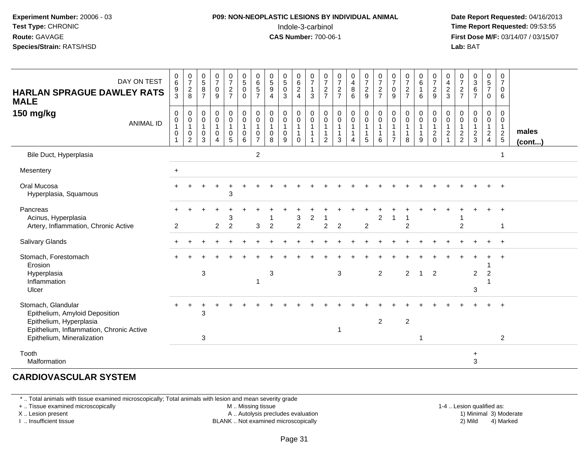#### **P09: NON-NEOPLASTIC LESIONS BY INDIVIDUAL ANIMAL**Indole-3-carbinol **Time Report Requested:** 09:53:55

 **Date Report Requested:** 04/16/2013 **First Dose M/F:** 03/14/07 / 03/15/07<br>**Lab: BAT Lab:** BAT

| DAY ON TEST<br><b>HARLAN SPRAGUE DAWLEY RATS</b><br><b>MALE</b>                                                                                           | $_{6}^{\rm 0}$<br>$\frac{9}{3}$ | $\begin{smallmatrix}0\\7\end{smallmatrix}$<br>$\frac{2}{8}$     | $\frac{0}{5}$<br>8<br>$\overline{7}$      | $\begin{array}{c} 0 \\ 7 \end{array}$<br>$\mathbf 0$<br>9                           | $\frac{0}{7}$<br>$\frac{2}{7}$       | $\begin{array}{c} 0 \\ 5 \end{array}$<br>$\mathbf 0$<br>$\mathbf 0$ | 0657                                                              | $\begin{array}{c} 0 \\ 5 \end{array}$<br>$\boldsymbol{9}$<br>$\overline{4}$ | $\begin{array}{c} 0 \\ 5 \end{array}$<br>$\mathbf 0$<br>3 | 0<br>$6\phantom{a}$<br>$\sqrt{2}$<br>$\overline{4}$          | $\frac{0}{7}$<br>$\mathbf{1}$<br>3                                | $\frac{0}{7}$<br>$\frac{2}{7}$          | $\frac{0}{7}$<br>$\overline{2}$<br>$\overline{7}$ | $\pmb{0}$<br>$\overline{4}$<br>$\bf 8$<br>6           | $\begin{array}{c} 0 \\ 7 \end{array}$<br>$\frac{2}{9}$ | $\frac{0}{7}$<br>$\frac{2}{7}$                                  | $\pmb{0}$<br>$\overline{7}$<br>$\mathbf 0$<br>9                    | $\frac{0}{7}$<br>$\overline{2}$<br>$\overline{7}$               | $_6^0$<br>$\mathbf{1}$<br>6           | $\begin{array}{c} 0 \\ 7 \end{array}$<br>$\frac{2}{9}$                      | $\mathbf 0$<br>$\overline{\mathbf{4}}$<br>$\frac{2}{3}$ | $\frac{0}{7}$<br>$\frac{2}{7}$                      | $_{3}^{\rm 0}$<br>$\,6\,$<br>$\overline{7}$                       | 0<br>$\overline{5}$<br>$\overline{7}$<br>0        | 0<br>$\overline{7}$<br>0<br>6                     |                       |
|-----------------------------------------------------------------------------------------------------------------------------------------------------------|---------------------------------|-----------------------------------------------------------------|-------------------------------------------|-------------------------------------------------------------------------------------|--------------------------------------|---------------------------------------------------------------------|-------------------------------------------------------------------|-----------------------------------------------------------------------------|-----------------------------------------------------------|--------------------------------------------------------------|-------------------------------------------------------------------|-----------------------------------------|---------------------------------------------------|-------------------------------------------------------|--------------------------------------------------------|-----------------------------------------------------------------|--------------------------------------------------------------------|-----------------------------------------------------------------|---------------------------------------|-----------------------------------------------------------------------------|---------------------------------------------------------|-----------------------------------------------------|-------------------------------------------------------------------|---------------------------------------------------|---------------------------------------------------|-----------------------|
| 150 mg/kg<br><b>ANIMAL ID</b>                                                                                                                             | 0<br>0<br>0                     | $\boldsymbol{0}$<br>$\pmb{0}$<br>$\mathbf{1}$<br>$\pmb{0}$<br>2 | 0<br>$\mathbf 0$<br>$\mathbf 1$<br>0<br>3 | $\mathbf 0$<br>$\mathbf 0$<br>$\mathbf{1}$<br>$\mathbf 0$<br>$\boldsymbol{\Lambda}$ | $\mathbf 0$<br>$\mathbf 0$<br>0<br>5 | 0<br>$\mathbf 0$<br>1<br>0<br>6                                     | 0<br>$\mathbf 0$<br>$\mathbf{1}$<br>$\mathbf 0$<br>$\overline{7}$ | $\mathbf 0$<br>$\mathbf 0$<br>$\mathbf 0$<br>8                              | $\boldsymbol{0}$<br>$\mathbf 0$<br>1<br>$\mathbf 0$<br>9  | 0<br>$\mathsf 0$<br>$\mathbf{1}$<br>$\mathbf{1}$<br>$\Omega$ | $\mathbf 0$<br>$\overline{0}$<br>$\mathbf 1$<br>$\mathbf{1}$<br>1 | 0<br>$\mathbf 0$<br>1<br>$\overline{2}$ | 0<br>$\mathbf 0$<br>1<br>$\mathbf{1}$<br>3        | $\pmb{0}$<br>$\pmb{0}$<br>1<br>$\boldsymbol{\Lambda}$ | $\mathbf 0$<br>$\mathbf 0$<br>1<br>$\sqrt{5}$          | $\mathbf 0$<br>$\mathbf 0$<br>$\mathbf{1}$<br>$\mathbf{1}$<br>6 | 0<br>$\mathbf 0$<br>$\mathbf{1}$<br>$\mathbf{1}$<br>$\overline{7}$ | $\mathbf 0$<br>$\mathbf 0$<br>$\mathbf{1}$<br>$\mathbf{1}$<br>8 | 0<br>$\mathbf 0$<br>$\mathbf{1}$<br>9 | 0<br>$\mathsf{O}\xspace$<br>$\mathbf{1}$<br>$\boldsymbol{2}$<br>$\mathbf 0$ | $\mathbf 0$<br>$\mathsf 0$<br>1<br>$\boldsymbol{2}$     | 0<br>$\mathbf 0$<br>$\overline{1}$<br>$\frac{2}{2}$ | $\mathbf 0$<br>$\mathbf 0$<br>$\mathbf{1}$<br>$\overline{c}$<br>3 | 0<br>$\mathbf 0$<br>$\mathbf{1}$<br>$\frac{2}{4}$ | 0<br>$\mathbf 0$<br>$\mathbf{1}$<br>$\frac{2}{5}$ | males<br>$($ cont $)$ |
| Bile Duct, Hyperplasia                                                                                                                                    |                                 |                                                                 |                                           |                                                                                     |                                      |                                                                     | 2                                                                 |                                                                             |                                                           |                                                              |                                                                   |                                         |                                                   |                                                       |                                                        |                                                                 |                                                                    |                                                                 |                                       |                                                                             |                                                         |                                                     |                                                                   |                                                   |                                                   |                       |
| Mesentery                                                                                                                                                 | $+$                             |                                                                 |                                           |                                                                                     |                                      |                                                                     |                                                                   |                                                                             |                                                           |                                                              |                                                                   |                                         |                                                   |                                                       |                                                        |                                                                 |                                                                    |                                                                 |                                       |                                                                             |                                                         |                                                     |                                                                   |                                                   |                                                   |                       |
| Oral Mucosa<br>Hyperplasia, Squamous                                                                                                                      |                                 |                                                                 |                                           |                                                                                     | 3                                    |                                                                     |                                                                   |                                                                             |                                                           |                                                              |                                                                   |                                         |                                                   |                                                       |                                                        |                                                                 |                                                                    |                                                                 |                                       |                                                                             |                                                         |                                                     |                                                                   |                                                   |                                                   |                       |
| Pancreas<br>Acinus, Hyperplasia<br>Artery, Inflammation, Chronic Active                                                                                   | $\overline{2}$                  |                                                                 |                                           | $\overline{2}$                                                                      | 3<br>$\overline{2}$                  |                                                                     | 3                                                                 | $\overline{2}$                                                              |                                                           | 3<br>$\overline{2}$                                          | 2                                                                 | $\overline{2}$                          | $\overline{2}$                                    |                                                       | $\overline{2}$                                         | 2                                                               |                                                                    | $\overline{2}$                                                  |                                       |                                                                             |                                                         | $\overline{c}$                                      |                                                                   |                                                   | -1                                                |                       |
| Salivary Glands                                                                                                                                           |                                 |                                                                 |                                           |                                                                                     |                                      |                                                                     |                                                                   |                                                                             |                                                           |                                                              |                                                                   |                                         |                                                   |                                                       |                                                        |                                                                 |                                                                    |                                                                 |                                       |                                                                             |                                                         |                                                     |                                                                   |                                                   |                                                   |                       |
| Stomach, Forestomach<br>Erosion<br>Hyperplasia<br>Inflammation<br>Ulcer                                                                                   |                                 |                                                                 | 3                                         |                                                                                     |                                      |                                                                     | -1                                                                | $\sqrt{3}$                                                                  |                                                           |                                                              |                                                                   |                                         | $\mathbf{3}$                                      |                                                       |                                                        | $\overline{2}$                                                  |                                                                    | $\overline{2}$                                                  | $\overline{1}$                        | $\overline{2}$                                                              |                                                         |                                                     | $\overline{c}$<br>3                                               | $\overline{2}$                                    |                                                   |                       |
| Stomach, Glandular<br>Epithelium, Amyloid Deposition<br>Epithelium, Hyperplasia<br>Epithelium, Inflammation, Chronic Active<br>Epithelium, Mineralization |                                 |                                                                 | 3<br>3                                    |                                                                                     |                                      |                                                                     |                                                                   |                                                                             |                                                           |                                                              |                                                                   |                                         |                                                   |                                                       |                                                        | $\overline{2}$                                                  |                                                                    | $\overline{2}$                                                  | 1                                     |                                                                             |                                                         |                                                     |                                                                   |                                                   | $\overline{2}$                                    |                       |
| Tooth<br>Malformation                                                                                                                                     |                                 |                                                                 |                                           |                                                                                     |                                      |                                                                     |                                                                   |                                                                             |                                                           |                                                              |                                                                   |                                         |                                                   |                                                       |                                                        |                                                                 |                                                                    |                                                                 |                                       |                                                                             |                                                         |                                                     | $\ddot{}$<br>3                                                    |                                                   |                                                   |                       |

#### **CARDIOVASCULAR SYSTEM**

\* .. Total animals with tissue examined microscopically; Total animals with lesion and mean severity grade

+ .. Tissue examined microscopically

X .. Lesion present

I .. Insufficient tissue

M .. Missing tissue

A .. Autolysis precludes evaluation

BLANK .. Not examined microscopically 2) Mild 4) Marked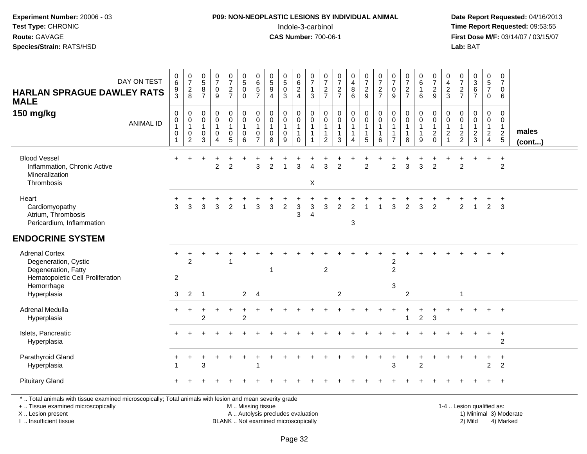### **P09: NON-NEOPLASTIC LESIONS BY INDIVIDUAL ANIMAL**Indole-3-carbinol **Time Report Requested:** 09:53:55

 **Date Report Requested:** 04/16/2013 **First Dose M/F:** 03/14/07 / 03/15/07<br>**Lab: BAT Lab:** BAT

| <b>HARLAN SPRAGUE DAWLEY RATS</b><br><b>MALE</b>                                                                       | DAY ON TEST      | $\begin{array}{c} 0 \\ 6 \end{array}$<br>9<br>$\overline{3}$    | $\frac{0}{7}$<br>$\frac{2}{8}$                                          | $\begin{array}{c} 0 \\ 5 \end{array}$<br>$\overline{8}$<br>$\overline{7}$   | $\frac{0}{7}$<br>$\boldsymbol{0}$<br>$\overline{9}$ | $\frac{0}{7}$<br>$\frac{2}{7}$                                                       | $\begin{array}{c} 0 \\ 5 \\ 0 \end{array}$<br>$\mathbf 0$                     | $\begin{array}{c} 0 \\ 6 \end{array}$<br>$\overline{5}$<br>$\overline{7}$ | $\begin{array}{c} 0 \\ 5 \end{array}$<br>$\overline{9}$<br>$\overline{4}$ | $\begin{array}{c} 0 \\ 5 \end{array}$<br>$\mathbf 0$<br>3 | $_{6}^{\rm 0}$<br>$\frac{2}{4}$                              | $\frac{0}{7}$<br>$\mathbf{1}$<br>3                                   | $\frac{0}{7}$<br>$\frac{2}{7}$                                 | $\begin{smallmatrix}0\\7\end{smallmatrix}$<br>$\frac{2}{7}$ | $\begin{array}{c} 0 \\ 4 \\ 8 \end{array}$<br>$\overline{6}$    | $\frac{0}{7}$<br>9                                                              | $\frac{0}{7}$<br>$\frac{2}{7}$           | $\frac{0}{7}$<br>$\pmb{0}$<br>$\overline{9}$                         | $\frac{0}{7}$<br>$\frac{2}{7}$                                | $\begin{array}{c} 0 \\ 6 \end{array}$<br>$\mathbf{1}$<br>$6\phantom{1}$ | $\frac{0}{7}$<br>$\frac{2}{9}$                    | 0<br>$\overline{4}$<br>$\frac{2}{3}$                                                | $\frac{0}{7}$<br>$\frac{2}{7}$                              | $\begin{array}{c} 0 \\ 3 \\ 6 \end{array}$<br>$\overline{7}$ | $\mathbf 0$<br>$\frac{5}{7}$<br>$\mathbf 0$                         | $\pmb{0}$<br>$\overline{7}$<br>$\mathbf 0$<br>6           |                       |
|------------------------------------------------------------------------------------------------------------------------|------------------|-----------------------------------------------------------------|-------------------------------------------------------------------------|-----------------------------------------------------------------------------|-----------------------------------------------------|--------------------------------------------------------------------------------------|-------------------------------------------------------------------------------|---------------------------------------------------------------------------|---------------------------------------------------------------------------|-----------------------------------------------------------|--------------------------------------------------------------|----------------------------------------------------------------------|----------------------------------------------------------------|-------------------------------------------------------------|-----------------------------------------------------------------|---------------------------------------------------------------------------------|------------------------------------------|----------------------------------------------------------------------|---------------------------------------------------------------|-------------------------------------------------------------------------|---------------------------------------------------|-------------------------------------------------------------------------------------|-------------------------------------------------------------|--------------------------------------------------------------|---------------------------------------------------------------------|-----------------------------------------------------------|-----------------------|
| 150 mg/kg                                                                                                              | <b>ANIMAL ID</b> | $\mathbf 0$<br>$\overline{0}$<br>1<br>$\pmb{0}$<br>$\mathbf{1}$ | $\mathbf 0$<br>$\pmb{0}$<br>$\mathbf{1}$<br>$\pmb{0}$<br>$\overline{c}$ | $\mathbf 0$<br>$\mathsf{O}\xspace$<br>$\mathbf{1}$<br>$\boldsymbol{0}$<br>3 | 0<br>$\mathsf{O}\xspace$<br>$\mathbf{1}$<br>0<br>4  | $\pmb{0}$<br>$\ddot{\mathbf{0}}$<br>$\mathbf{1}$<br>$\begin{matrix}0\\5\end{matrix}$ | $_{\rm 0}^{\rm 0}$<br>$\overline{1}$<br>$\begin{array}{c} 0 \\ 6 \end{array}$ | 0<br>$\mathbf 0$<br>$\overline{1}$<br>0<br>$\overline{7}$                 | $\pmb{0}$<br>$\pmb{0}$<br>$\mathbf{1}$<br>$\pmb{0}$<br>8                  | 0<br>$\mathbf 0$<br>$\mathbf 1$<br>$\pmb{0}$<br>9         | $\pmb{0}$<br>$\overline{0}$<br>1<br>$\mathbf{1}$<br>$\Omega$ | $\pmb{0}$<br>$\mathsf{O}\xspace$<br>$\mathbf{1}$<br>$\mathbf 1$<br>1 | $\mathbf 0$<br>$\mathsf 0$<br>$\mathbf{1}$<br>$\mathbf 1$<br>2 | $_{\rm 0}^{\rm 0}$<br>$\mathbf{1}$<br>$\mathbf{1}$<br>3     | 0<br>$\mathsf{O}\xspace$<br>$\overline{1}$<br>$\mathbf{1}$<br>4 | $\pmb{0}$<br>$\overline{0}$<br>$\overline{1}$<br>$\mathbf{1}$<br>$5\phantom{1}$ | 0<br>$\pmb{0}$<br>$\mathbf{1}$<br>1<br>6 | 0<br>$\mathbf 0$<br>$\overline{1}$<br>$\mathbf{1}$<br>$\overline{7}$ | 0<br>$\ddot{\mathbf{0}}$<br>$\mathbf{1}$<br>$\mathbf{1}$<br>8 | 0<br>$\mathbf 0$<br>9                                                   | $\pmb{0}$<br>$\overline{0}$<br>1<br>$\frac{2}{0}$ | $\Omega$<br>$\mathbf 0$<br>$\overline{1}$<br>$\overline{c}$<br>$\blacktriangleleft$ | $\mathbf 0$<br>$\mathbf 0$<br>$\mathbf{1}$<br>$\frac{2}{2}$ | 0<br>$\mathbf 0$<br>1<br>$\frac{2}{3}$                       | $\mathbf 0$<br>$\mathsf{O}\xspace$<br>$\mathbf{1}$<br>$\frac{2}{4}$ | 0<br>$\mathsf{O}\xspace$<br>$\mathbf{1}$<br>$\frac{2}{5}$ | males<br>$($ cont $)$ |
| <b>Blood Vessel</b><br>Inflammation, Chronic Active<br>Mineralization<br>Thrombosis                                    |                  |                                                                 |                                                                         |                                                                             | $\overline{c}$                                      | $\overline{2}$                                                                       |                                                                               | 3                                                                         | $\overline{c}$                                                            |                                                           | 3                                                            | $\overline{A}$<br>$\mathsf X$                                        | 3                                                              | $\overline{2}$                                              |                                                                 | $\overline{2}$                                                                  |                                          | $\overline{c}$                                                       | 3                                                             | 3                                                                       | $\overline{2}$                                    |                                                                                     | $\overline{c}$                                              |                                                              | +                                                                   | $\ddot{}$<br>$\overline{c}$                               |                       |
| Heart<br>Cardiomyopathy<br>Atrium, Thrombosis<br>Pericardium, Inflammation                                             |                  | 3                                                               | 3                                                                       | 3                                                                           | 3                                                   | $\overline{2}$                                                                       |                                                                               | 3                                                                         | 3                                                                         | $\overline{c}$                                            | 3<br>3                                                       | 3<br>$\overline{4}$                                                  | 3                                                              | $\overline{2}$                                              | $\overline{2}$<br>3                                             |                                                                                 |                                          | 3                                                                    | $\overline{2}$                                                | $\overline{3}$                                                          | 2                                                 |                                                                                     | $\mathfrak{p}$                                              | $\mathbf{1}$                                                 | $\overline{2}$                                                      | $\ddot{}$<br>3                                            |                       |
| <b>ENDOCRINE SYSTEM</b>                                                                                                |                  |                                                                 |                                                                         |                                                                             |                                                     |                                                                                      |                                                                               |                                                                           |                                                                           |                                                           |                                                              |                                                                      |                                                                |                                                             |                                                                 |                                                                                 |                                          |                                                                      |                                                               |                                                                         |                                                   |                                                                                     |                                                             |                                                              |                                                                     |                                                           |                       |
| <b>Adrenal Cortex</b><br>Degeneration, Cystic<br>Degeneration, Fatty<br>Hematopoietic Cell Proliferation<br>Hemorrhage |                  | +<br>2                                                          | +<br>2                                                                  |                                                                             |                                                     |                                                                                      |                                                                               |                                                                           | 1                                                                         |                                                           |                                                              |                                                                      | $\overline{c}$                                                 |                                                             |                                                                 |                                                                                 |                                          | 2<br>$\overline{2}$<br>3                                             |                                                               |                                                                         |                                                   |                                                                                     |                                                             |                                                              |                                                                     |                                                           |                       |
| Hyperplasia                                                                                                            |                  | 3                                                               | 2                                                                       | $\overline{1}$                                                              |                                                     |                                                                                      | $\overline{2}$                                                                | $\overline{4}$                                                            |                                                                           |                                                           |                                                              |                                                                      |                                                                | $\overline{2}$                                              |                                                                 |                                                                                 |                                          |                                                                      | $\overline{2}$                                                |                                                                         |                                                   |                                                                                     | 1                                                           |                                                              |                                                                     |                                                           |                       |
| Adrenal Medulla<br>Hyperplasia                                                                                         |                  |                                                                 |                                                                         | $\overline{2}$                                                              |                                                     |                                                                                      | $\overline{2}$                                                                |                                                                           |                                                                           |                                                           |                                                              |                                                                      |                                                                |                                                             |                                                                 |                                                                                 |                                          |                                                                      | $\mathbf{1}$                                                  | $\overline{2}$                                                          | $\mathbf{3}$                                      |                                                                                     |                                                             |                                                              |                                                                     | $\overline{+}$                                            |                       |
| Islets, Pancreatic<br>Hyperplasia                                                                                      |                  |                                                                 |                                                                         |                                                                             |                                                     |                                                                                      |                                                                               |                                                                           |                                                                           |                                                           |                                                              |                                                                      |                                                                |                                                             |                                                                 |                                                                                 |                                          |                                                                      |                                                               |                                                                         |                                                   |                                                                                     |                                                             |                                                              | $+$                                                                 | $+$<br>$\overline{2}$                                     |                       |
| Parathyroid Gland<br>Hyperplasia                                                                                       |                  | $\overline{1}$                                                  |                                                                         | 3                                                                           |                                                     |                                                                                      |                                                                               |                                                                           |                                                                           |                                                           |                                                              |                                                                      |                                                                |                                                             |                                                                 |                                                                                 |                                          | 3                                                                    |                                                               | 2                                                                       |                                                   |                                                                                     |                                                             |                                                              | $\overline{2}$                                                      | $\ddot{}$<br>$\overline{2}$                               |                       |
| <b>Pituitary Gland</b>                                                                                                 |                  |                                                                 |                                                                         |                                                                             |                                                     |                                                                                      |                                                                               |                                                                           |                                                                           |                                                           |                                                              |                                                                      |                                                                |                                                             |                                                                 |                                                                                 |                                          |                                                                      |                                                               |                                                                         |                                                   |                                                                                     |                                                             |                                                              |                                                                     | $\overline{1}$                                            |                       |
| *  Total animals with tissue examined microscopically; Total animals with lesion and mean severity grade               |                  |                                                                 |                                                                         |                                                                             |                                                     |                                                                                      |                                                                               |                                                                           |                                                                           |                                                           |                                                              |                                                                      |                                                                |                                                             |                                                                 |                                                                                 |                                          |                                                                      |                                                               |                                                                         |                                                   |                                                                                     |                                                             |                                                              |                                                                     |                                                           |                       |

+ .. Tissue examined microscopically

X .. Lesion present

I .. Insufficient tissue

 M .. Missing tissueA .. Autolysis precludes evaluation 1999 (1999) 1999 (1999) 1999 (1999) 1999 (1999) Minimal 3) Minimal 3) Minimal 3) Minimal 3) Mild

BLANK .. Not examined microscopically 2) Mild 4) Marked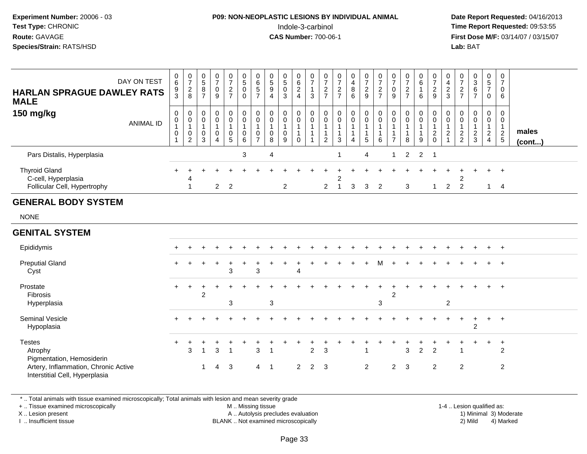#### **P09: NON-NEOPLASTIC LESIONS BY INDIVIDUAL ANIMAL**Indole-3-carbinol **Time Report Requested:** 09:53:55

 **Date Report Requested:** 04/16/2013 **First Dose M/F:** 03/14/07 / 03/15/07<br>**Lab:** BAT

| <b>HARLAN SPRAGUE DAWLEY RATS</b><br><b>MALE</b>                            | DAY ON TEST      | 0<br>6<br>$\frac{9}{3}$ | $\frac{0}{7}$<br>$\overline{c}$<br>8 | 5<br>8                | 0<br>⇁<br>9      | $\overline{0}$<br>$\overline{ }$<br>$\overline{2}$<br>$\rightarrow$ | 0<br>$\sqrt{5}$<br>$\overline{0}$ | 0<br>6<br>$\sqrt{5}$<br>$\rightarrow$ | 0<br>$\mathbf 5$<br>$\boldsymbol{9}$<br>4 | 0<br>$5\phantom{.0}$<br>$_{3}^{\rm 0}$ | 0<br>6<br>2 | 3 | 0<br>$\overline{z}$<br>$\overline{c}$<br>$\rightarrow$ | 0<br>$\frac{2}{7}$    | $\mathbf{0}$<br>4<br>8<br>6 | 0<br>$\overline{ }$<br>$\frac{2}{9}$ | 0<br>$\overline{ }$<br>$\frac{2}{7}$ | $\overline{ }$<br>0<br>9 | ⇁<br>$\frac{2}{7}$ | $\mathbf{0}$<br>6<br>6 | 0<br>-<br>റ<br>$rac{6}{9}$             | 0<br>4<br>$\overline{c}$<br>3  | 0<br>$\overline{z}$<br>$\frac{2}{7}$           | 0<br>$\mathbf{3}$<br>6<br>$\overline{ }$ | 0<br>5<br>$\overline{ }$<br>$\mathbf 0$ | 6                   |                 |  |
|-----------------------------------------------------------------------------|------------------|-------------------------|--------------------------------------|-----------------------|------------------|---------------------------------------------------------------------|-----------------------------------|---------------------------------------|-------------------------------------------|----------------------------------------|-------------|---|--------------------------------------------------------|-----------------------|-----------------------------|--------------------------------------|--------------------------------------|--------------------------|--------------------|------------------------|----------------------------------------|--------------------------------|------------------------------------------------|------------------------------------------|-----------------------------------------|---------------------|-----------------|--|
| 150 mg/kg                                                                   | <b>ANIMAL ID</b> | 0<br>0<br>0             | 0<br>$\pmb{0}$<br>0<br>2             | $\mathbf 0$<br>0<br>3 | 0<br>⌒<br>0<br>4 | 0<br>0<br>0<br>5                                                    | $\mathbf{0}$<br>0<br>0<br>6       | 0<br>$\pmb{0}$<br>0<br>$\rightarrow$  | 0<br>0<br>8                               | 0<br>$\mathsf 0$<br>0<br>9             |             |   | $\pmb{0}$<br>$\mathbf 0$<br>2                          | 0<br>$\mathbf 0$<br>3 | $\mathbf 0$<br>0<br>4       | 0<br>$\pmb{0}$<br>5                  | 0<br>$\pmb{0}$<br>6                  | $\overline{\phantom{0}}$ | 0<br>8             | $\mathbf 0$<br>0<br>9  | 0<br>0<br>റ<br>$\epsilon$<br>$\pmb{0}$ | 0<br>0<br>$\sim$<br>$\epsilon$ | $\boldsymbol{0}$<br>$\pmb{0}$<br>$\frac{2}{2}$ | $\mathbf 0$<br>0<br>$\frac{2}{3}$        | 0<br>$\mathbf 0$<br>2<br>4              | $\overline{2}$<br>5 | males<br>(cont) |  |
| Pars Distalis, Hyperplasia                                                  |                  |                         |                                      |                       |                  |                                                                     | 3                                 |                                       | $\overline{4}$                            |                                        |             |   |                                                        |                       |                             | 4                                    |                                      | 1                        |                    | $2 \quad 2 \quad 1$    |                                        |                                |                                                |                                          |                                         |                     |                 |  |
| <b>Thyroid Gland</b><br>C-cell, Hyperplasia<br>Follicular Cell, Hypertrophy |                  |                         | 4                                    |                       | $\mathcal{P}$    | $\overline{2}$                                                      |                                   |                                       |                                           | 2                                      |             |   | 2                                                      | $\overline{2}$        | 3                           | 3                                    | -2                                   |                          | 3                  |                        |                                        | $\mathcal{D}$                  | 2                                              |                                          | $+$                                     | $\overline{ }$<br>4 |                 |  |

#### **GENERAL BODY SYSTEM**

NONE

#### **GENITAL SYSTEM**Epididymis <sup>+</sup> <sup>+</sup> <sup>+</sup> <sup>+</sup> <sup>+</sup> <sup>+</sup> <sup>+</sup> <sup>+</sup> <sup>+</sup> <sup>+</sup> <sup>+</sup> <sup>+</sup> <sup>+</sup> <sup>+</sup> <sup>+</sup> <sup>+</sup> <sup>+</sup> <sup>+</sup> <sup>+</sup> <sup>+</sup> <sup>+</sup> <sup>+</sup> <sup>+</sup> <sup>+</sup> <sup>+</sup> Preputial Glandd  $+$  <sup>+</sup> <sup>+</sup> <sup>+</sup> <sup>+</sup> <sup>+</sup> <sup>+</sup> <sup>+</sup> <sup>+</sup> <sup>+</sup> <sup>+</sup> <sup>+</sup> <sup>+</sup> <sup>+</sup> <sup>+</sup> <sup>M</sup> <sup>+</sup> <sup>+</sup> <sup>+</sup> <sup>+</sup> <sup>+</sup> <sup>+</sup> <sup>+</sup> <sup>+</sup> <sup>+</sup> Cystt and  $\sim$  3 <sup>3</sup> <sup>4</sup> Prostate <sup>+</sup> <sup>+</sup> <sup>+</sup> <sup>+</sup> <sup>+</sup> <sup>+</sup> <sup>+</sup> <sup>+</sup> <sup>+</sup> <sup>+</sup> <sup>+</sup> <sup>+</sup> <sup>+</sup> <sup>+</sup> <sup>+</sup> <sup>+</sup> <sup>+</sup> <sup>+</sup> <sup>+</sup> <sup>+</sup> <sup>+</sup> <sup>+</sup> <sup>+</sup> <sup>+</sup> <sup>+</sup> Fibrosis $\sim$  2  $\sim$  2 Hyperplasiaa a  $3$   $3$   $3$   $3$   $3$ Seminal Vesicle $e$  + <sup>+</sup> <sup>+</sup> <sup>+</sup> <sup>+</sup> <sup>+</sup> <sup>+</sup> <sup>+</sup> <sup>+</sup> <sup>+</sup> <sup>+</sup> <sup>+</sup> <sup>+</sup> <sup>+</sup> <sup>+</sup> <sup>+</sup> <sup>+</sup> <sup>+</sup> <sup>+</sup> <sup>+</sup> <sup>+</sup> <sup>+</sup> <sup>+</sup> <sup>+</sup> <sup>+</sup> Hypoplasiaa  $\sim$  2 **Testes**  $\mathsf{S}$  <sup>+</sup> <sup>+</sup> <sup>+</sup> <sup>+</sup> <sup>+</sup> <sup>+</sup> <sup>+</sup> <sup>+</sup> <sup>+</sup> <sup>+</sup> <sup>+</sup> <sup>+</sup> <sup>+</sup> <sup>+</sup> <sup>+</sup> <sup>+</sup> <sup>+</sup> <sup>+</sup> <sup>+</sup> <sup>+</sup> <sup>+</sup> <sup>+</sup> <sup>+</sup> <sup>+</sup> Atrophy $\mathsf y$  3 <sup>1</sup> <sup>3</sup> <sup>1</sup> <sup>3</sup> <sup>1</sup> <sup>2</sup> <sup>3</sup> <sup>1</sup> <sup>3</sup> <sup>2</sup> <sup>2</sup> <sup>1</sup> <sup>2</sup> Pigmentation, Hemosiderin Artery, Inflammation, Chronic Active <sup>1</sup> <sup>4</sup> <sup>3</sup> <sup>4</sup> <sup>1</sup> <sup>2</sup> <sup>2</sup> <sup>3</sup> <sup>2</sup> <sup>2</sup> <sup>3</sup> <sup>2</sup> <sup>2</sup> <sup>2</sup> Interstitial Cell, Hyperplasia

\* .. Total animals with tissue examined microscopically; Total animals with lesion and mean severity grade

+ .. Tissue examined microscopically

X .. Lesion present

I .. Insufficient tissue

 M .. Missing tissueA .. Autolysis precludes evaluation

 1-4 .. Lesion qualified as: BLANK .. Not examined microscopically 2) Mild 4) Marked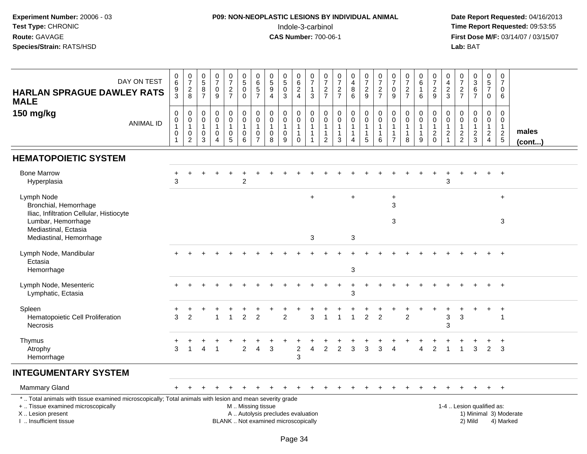#### **P09: NON-NEOPLASTIC LESIONS BY INDIVIDUAL ANIMAL**Indole-3-carbinol **Time Report Requested:** 09:53:55

 **Date Report Requested:** 04/16/2013 **First Dose M/F:** 03/14/07 / 03/15/07<br>**Lab:** BAT

| DAY ON TEST<br><b>HARLAN SPRAGUE DAWLEY RATS</b><br><b>MALE</b>                                                                                | $\begin{array}{c} 0 \\ 6 \end{array}$<br>$\frac{9}{3}$ | $\frac{0}{7}$<br>$\frac{2}{8}$                                                           | $\begin{array}{c} 0 \\ 5 \end{array}$<br>8<br>$\overline{7}$ | $\begin{array}{c} 0 \\ 7 \end{array}$<br>0<br>9                                      | $\frac{0}{7}$<br>$\frac{2}{7}$   | $\begin{array}{c} 0 \\ 5 \end{array}$<br>0<br>$\Omega$ | 0657                                                                  | $\begin{array}{c} 0 \\ 5 \\ 9 \end{array}$<br>$\overline{4}$ | $\begin{array}{c} 0 \\ 5 \\ 0 \end{array}$<br>$\mathbf{3}$               | $\begin{array}{c} 0 \\ 6 \end{array}$<br>$\overline{2}$<br>$\overline{4}$ | $\frac{0}{7}$<br>$\overline{1}$<br>$\mathbf{3}$                             | $\frac{0}{7}$<br>$\frac{2}{7}$             | $\begin{array}{c} 0 \\ 7 \end{array}$<br>$\frac{2}{7}$ | $\begin{array}{c} 0 \\ 4 \\ 8 \end{array}$<br>$\overline{6}$ | $\begin{smallmatrix}0\\7\end{smallmatrix}$<br>$\frac{2}{9}$ | $\frac{0}{7}$<br>$\frac{2}{7}$                                  | $\frac{0}{7}$<br>$\mathbf 0$<br>9                                    | $\frac{0}{7}$<br>$\overline{c}$<br>$\overline{7}$    | $_{6}^{\rm 0}$<br>$\mathbf{1}$<br>6 | $\frac{0}{7}$<br>$\frac{2}{9}$                          | 0<br>$\overline{4}$<br>$\frac{2}{3}$                                     | $\frac{0}{7}$<br>$\frac{2}{7}$                 | $\begin{array}{c} 0 \\ 3 \\ 6 \end{array}$<br>$\overline{7}$ | $\begin{array}{c} 0 \\ 5 \\ 7 \end{array}$<br>0                        | 0<br>$\overline{7}$<br>$\mathbf 0$<br>6                       |                       |
|------------------------------------------------------------------------------------------------------------------------------------------------|--------------------------------------------------------|------------------------------------------------------------------------------------------|--------------------------------------------------------------|--------------------------------------------------------------------------------------|----------------------------------|--------------------------------------------------------|-----------------------------------------------------------------------|--------------------------------------------------------------|--------------------------------------------------------------------------|---------------------------------------------------------------------------|-----------------------------------------------------------------------------|--------------------------------------------|--------------------------------------------------------|--------------------------------------------------------------|-------------------------------------------------------------|-----------------------------------------------------------------|----------------------------------------------------------------------|------------------------------------------------------|-------------------------------------|---------------------------------------------------------|--------------------------------------------------------------------------|------------------------------------------------|--------------------------------------------------------------|------------------------------------------------------------------------|---------------------------------------------------------------|-----------------------|
| 150 mg/kg<br><b>ANIMAL ID</b>                                                                                                                  | 0<br>$\pmb{0}$<br>$\overline{1}$<br>$\pmb{0}$          | $\pmb{0}$<br>$\begin{smallmatrix}0\\1\end{smallmatrix}$<br>$\mathbf 0$<br>$\overline{2}$ | $\mathbf 0$<br>$\mathbf 0$<br>$\mathbf{1}$<br>0<br>3         | $\mathbf 0$<br>$\mathbf 0$<br>$\mathbf{1}$<br>$\mathbf 0$<br>$\overline{\mathbf{4}}$ | 0<br>0<br>$\mathbf{1}$<br>0<br>5 | $\mathbf 0$<br>$\mathbf 0$<br>$\mathbf{1}$<br>0<br>6   | $\pmb{0}$<br>$\pmb{0}$<br>$\mathbf{1}$<br>$\pmb{0}$<br>$\overline{7}$ | $\mathbf 0$<br>$\mathbf 0$<br>$\overline{1}$<br>0<br>8       | $\boldsymbol{0}$<br>$\boldsymbol{0}$<br>$\mathbf{1}$<br>$\mathbf 0$<br>9 | 0<br>0<br>$\mathbf{1}$<br>$\mathbf 1$<br>$\Omega$                         | $\mathbf 0$<br>$\mathbf 0$<br>$\overline{1}$<br>$\mathbf{1}$<br>$\mathbf 1$ | 0<br>$\mathbf 0$<br>$\mathbf{1}$<br>1<br>2 | $\mathbf 0$<br>$\Omega$<br>1<br>1<br>3                 | $\pmb{0}$<br>$\pmb{0}$<br>$\mathbf{1}$<br>1<br>4             | $\mathbf 0$<br>$\mathbf 0$<br>$\overline{1}$<br>5           | $\pmb{0}$<br>$\pmb{0}$<br>$\overline{1}$<br>$\overline{1}$<br>6 | $\mathbf 0$<br>$\mathbf 0$<br>$\overline{1}$<br>-1<br>$\overline{7}$ | $\mathbf 0$<br>$\mathbf 0$<br>$\mathbf{1}$<br>1<br>8 | 0<br>0<br>$\mathbf{1}$<br>9         | $\pmb{0}$<br>$\pmb{0}$<br>$\mathbf{1}$<br>$\frac{2}{0}$ | $\mathbf 0$<br>$\pmb{0}$<br>$\mathbf{1}$<br>$\mathbf{2}$<br>$\mathbf{1}$ | $\Omega$<br>0<br>$\mathbf{1}$<br>$\frac{2}{2}$ | $\mathbf 0$<br>$\mathbf 0$<br>$\mathbf{1}$<br>$\frac{2}{3}$  | 0<br>$\mathbf 0$<br>$\overline{1}$<br>$\overline{a}$<br>$\overline{4}$ | $\mathbf 0$<br>$\mathbf 0$<br>$\overline{1}$<br>$\frac{2}{5}$ | males<br>$($ cont $)$ |
| <b>HEMATOPOIETIC SYSTEM</b>                                                                                                                    |                                                        |                                                                                          |                                                              |                                                                                      |                                  |                                                        |                                                                       |                                                              |                                                                          |                                                                           |                                                                             |                                            |                                                        |                                                              |                                                             |                                                                 |                                                                      |                                                      |                                     |                                                         |                                                                          |                                                |                                                              |                                                                        |                                                               |                       |
| <b>Bone Marrow</b><br>Hyperplasia                                                                                                              | 3                                                      |                                                                                          |                                                              |                                                                                      |                                  | $\overline{2}$                                         |                                                                       |                                                              |                                                                          |                                                                           |                                                                             |                                            |                                                        |                                                              |                                                             |                                                                 |                                                                      |                                                      |                                     |                                                         | 3                                                                        |                                                |                                                              | $\ddot{}$                                                              | $\ddot{}$                                                     |                       |
| Lymph Node<br>Bronchial, Hemorrhage<br>Iliac, Infiltration Cellular, Histiocyte<br>Lumbar, Hemorrhage                                          |                                                        |                                                                                          |                                                              |                                                                                      |                                  |                                                        |                                                                       |                                                              |                                                                          |                                                                           | ÷                                                                           |                                            |                                                        | $\ddot{}$                                                    |                                                             |                                                                 | $\ddot{}$<br>$\sqrt{3}$<br>3                                         |                                                      |                                     |                                                         |                                                                          |                                                |                                                              |                                                                        | $\ddot{}$<br>3                                                |                       |
| Mediastinal, Ectasia<br>Mediastinal, Hemorrhage                                                                                                |                                                        |                                                                                          |                                                              |                                                                                      |                                  |                                                        |                                                                       |                                                              |                                                                          |                                                                           | 3                                                                           |                                            |                                                        | 3                                                            |                                                             |                                                                 |                                                                      |                                                      |                                     |                                                         |                                                                          |                                                |                                                              |                                                                        |                                                               |                       |
| Lymph Node, Mandibular<br>Ectasia<br>Hemorrhage                                                                                                |                                                        |                                                                                          |                                                              |                                                                                      |                                  |                                                        |                                                                       |                                                              |                                                                          |                                                                           |                                                                             |                                            |                                                        | 3                                                            |                                                             |                                                                 |                                                                      |                                                      |                                     |                                                         |                                                                          |                                                |                                                              |                                                                        | $+$                                                           |                       |
| Lymph Node, Mesenteric<br>Lymphatic, Ectasia                                                                                                   |                                                        |                                                                                          |                                                              |                                                                                      |                                  |                                                        |                                                                       |                                                              |                                                                          |                                                                           |                                                                             |                                            |                                                        | $\ddot{}$<br>3                                               |                                                             |                                                                 |                                                                      |                                                      |                                     |                                                         |                                                                          |                                                |                                                              | $\ddot{}$                                                              | $+$                                                           |                       |
| Spleen<br>Hematopoietic Cell Proliferation<br>Necrosis                                                                                         | 3                                                      | 2                                                                                        |                                                              |                                                                                      | $\mathbf{1}$                     | $\overline{2}$                                         | $\overline{2}$                                                        |                                                              | 2                                                                        |                                                                           | 3                                                                           | 1                                          |                                                        | $\overline{1}$                                               | $\overline{2}$                                              | $\overline{2}$                                                  |                                                                      | $\overline{2}$                                       |                                     |                                                         | 3<br>3                                                                   | 3                                              |                                                              | $\pm$                                                                  | $\overline{+}$<br>-1                                          |                       |
| Thymus<br>Atrophy<br>Hemorrhage                                                                                                                | 3                                                      |                                                                                          | 4                                                            |                                                                                      |                                  | $\overline{c}$                                         | $\overline{4}$                                                        | 3                                                            |                                                                          | $\overline{c}$<br>3                                                       | Δ                                                                           | 2                                          | 2                                                      | 3                                                            | $\mathbf{3}$                                                | 3                                                               | Δ                                                                    |                                                      | Δ                                   | 2                                                       | $\overline{1}$                                                           |                                                | $\sqrt{3}$                                                   | $\overline{2}$                                                         | $\ddot{}$<br>3                                                |                       |
| <b>INTEGUMENTARY SYSTEM</b>                                                                                                                    |                                                        |                                                                                          |                                                              |                                                                                      |                                  |                                                        |                                                                       |                                                              |                                                                          |                                                                           |                                                                             |                                            |                                                        |                                                              |                                                             |                                                                 |                                                                      |                                                      |                                     |                                                         |                                                                          |                                                |                                                              |                                                                        |                                                               |                       |
| <b>Mammary Gland</b>                                                                                                                           |                                                        |                                                                                          |                                                              |                                                                                      |                                  |                                                        |                                                                       |                                                              |                                                                          |                                                                           |                                                                             |                                            |                                                        |                                                              |                                                             |                                                                 |                                                                      |                                                      |                                     |                                                         |                                                                          |                                                |                                                              |                                                                        | $+$                                                           |                       |
| *  Total animals with tissue examined microscopically; Total animals with lesion and mean severity grade<br>+  Tissue examined microscopically |                                                        |                                                                                          |                                                              |                                                                                      |                                  | M  Missing tissue                                      |                                                                       |                                                              |                                                                          |                                                                           |                                                                             |                                            |                                                        |                                                              |                                                             |                                                                 |                                                                      |                                                      |                                     |                                                         | 1-4  Lesion qualified as:                                                |                                                |                                                              |                                                                        |                                                               |                       |

X .. Lesion present

I .. Insufficient tissue

A .. Autolysis precludes evaluation

BLANK .. Not examined microscopically 2) Mild 4) Marked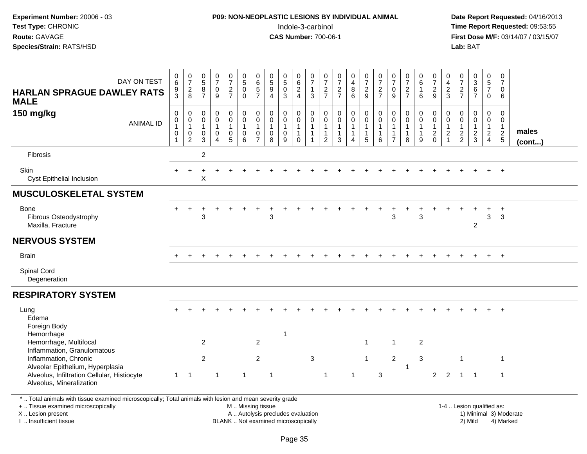## **P09: NON-NEOPLASTIC LESIONS BY INDIVIDUAL ANIMAL**Indole-3-carbinol **Time Report Requested:** 09:53:55

 **Date Report Requested:** 04/16/2013 **First Dose M/F:** 03/14/07 / 03/15/07<br>**Lab: BAT** 

| DAY ON TEST<br><b>HARLAN SPRAGUE DAWLEY RATS</b><br><b>MALE</b>                                                                                                                      | 0<br>6<br>9<br>$\overline{3}$ | $\begin{array}{c} 0 \\ 7 \end{array}$<br>$\frac{2}{8}$                                      | $\begin{array}{c} 0 \\ 5 \end{array}$<br>$\overline{8}$<br>$\overline{7}$ | $\frac{0}{7}$<br>$\pmb{0}$<br>$\overline{9}$  | $\frac{0}{7}$<br>$\frac{2}{7}$                                              | $\begin{array}{c} 0 \\ 5 \end{array}$<br>$\pmb{0}$<br>$\mathbf 0$ | $\pmb{0}$<br>$6\phantom{a}$<br>$\overline{5}$<br>$\overline{7}$ | $\begin{array}{c} 0 \\ 5 \\ 9 \end{array}$<br>$\overline{4}$      | $\begin{array}{c} 0 \\ 5 \end{array}$<br>$\ddot{\mathbf{0}}$<br>$\overline{3}$ | 0<br>$\overline{6}$<br>$\frac{2}{4}$                                    | 0<br>$\overline{7}$<br>3 | $\frac{0}{7}$<br>$\frac{2}{7}$                                                    | $\frac{0}{7}$<br>$\frac{2}{7}$                                                   | $_4^{\rm 0}$<br>$\frac{8}{6}$ | $\frac{0}{7}$<br>$\frac{2}{9}$                                         | $\frac{0}{7}$<br>$\frac{2}{7}$                          | $\frac{0}{7}$<br>$\pmb{0}$<br>9                                            | $\frac{0}{7}$<br>$\frac{2}{7}$        | 0<br>$\overline{6}$<br>$\overline{1}$<br>6                                        | $\frac{0}{7}$<br>$\frac{2}{9}$                               | 0<br>$\overline{4}$<br>$\frac{2}{3}$       | $\frac{0}{7}$<br>$\frac{2}{7}$                                      | $\begin{array}{c} 0 \\ 3 \\ 6 \end{array}$<br>$\overline{7}$ | $\mathbf 0$<br>$\overline{5}$<br>$\overline{7}$<br>$\mathbf 0$ | 0<br>$\overline{7}$<br>$\Omega$<br>6                        |                 |
|--------------------------------------------------------------------------------------------------------------------------------------------------------------------------------------|-------------------------------|---------------------------------------------------------------------------------------------|---------------------------------------------------------------------------|-----------------------------------------------|-----------------------------------------------------------------------------|-------------------------------------------------------------------|-----------------------------------------------------------------|-------------------------------------------------------------------|--------------------------------------------------------------------------------|-------------------------------------------------------------------------|--------------------------|-----------------------------------------------------------------------------------|----------------------------------------------------------------------------------|-------------------------------|------------------------------------------------------------------------|---------------------------------------------------------|----------------------------------------------------------------------------|---------------------------------------|-----------------------------------------------------------------------------------|--------------------------------------------------------------|--------------------------------------------|---------------------------------------------------------------------|--------------------------------------------------------------|----------------------------------------------------------------|-------------------------------------------------------------|-----------------|
| 150 mg/kg<br><b>ANIMAL ID</b>                                                                                                                                                        | 0<br>$\mathbf 0$<br>0         | $\begin{smallmatrix} 0\\0 \end{smallmatrix}$<br>$\begin{bmatrix} 1 \\ 0 \\ 2 \end{bmatrix}$ | $\pmb{0}$<br>$\overline{0}$<br>$\mathbf{1}$<br>$\mathbf 0$<br>3           | 0<br>$\overline{0}$<br>$\mathbf{1}$<br>0<br>4 | $_{\rm 0}^{\rm 0}$<br>$\mathbf{1}$<br>$\begin{array}{c} 0 \\ 5 \end{array}$ | $\mathsf{O}$<br>$\overline{0}$<br>$\mathbf{1}$<br>0<br>6          | 0<br>0<br>0                                                     | $\mathbf 0$<br>$\overline{0}$<br>$\mathbf{1}$<br>$\mathbf 0$<br>8 | $\mathbf 0$<br>$\mathbf 0$<br>$\mathbf{1}$<br>0<br>9                           | $\pmb{0}$<br>$\overline{0}$<br>$\mathbf{1}$<br>$\mathbf{1}$<br>$\Omega$ | 0<br>$\mathbf 0$<br>1    | $\begin{smallmatrix} 0\\0 \end{smallmatrix}$<br>$\mathbf{1}$<br>$\mathbf{1}$<br>2 | $\begin{smallmatrix}0\0\0\end{smallmatrix}$<br>$\mathbf{1}$<br>$\mathbf{1}$<br>3 | 0<br>$\mathbf 0$<br>1<br>Δ    | $\mathbf 0$<br>$\overline{0}$<br>$\overline{1}$<br>$\overline{1}$<br>5 | 0<br>$\mathbf 0$<br>$\mathbf{1}$<br>$\overline{1}$<br>6 | $\pmb{0}$<br>$\mathbf 0$<br>$\mathbf{1}$<br>$\mathbf{1}$<br>$\overline{ }$ | 0<br>$\mathbf 0$<br>$\mathbf{1}$<br>8 | $\begin{smallmatrix} 0\\0 \end{smallmatrix}$<br>$\mathbf{1}$<br>$\mathbf{1}$<br>9 | $\pmb{0}$<br>$\overline{0}$<br>$\mathbf{1}$<br>$\frac{2}{0}$ | 0<br>0<br>$\overline{1}$<br>$\overline{c}$ | $\boldsymbol{0}$<br>$\overline{0}$<br>$\mathbf{1}$<br>$\frac{2}{2}$ | 0<br>$\mathbf 0$<br>$\mathbf{1}$<br>$\frac{2}{3}$            | $\pmb{0}$<br>$\mathbf 0$<br>$\mathbf{1}$<br>$\frac{2}{4}$      | $\mathbf 0$<br>$\mathbf 0$<br>$\mathbf{1}$<br>$\frac{2}{5}$ | males<br>(cont) |
| Fibrosis                                                                                                                                                                             |                               |                                                                                             | $\overline{\mathbf{c}}$                                                   |                                               |                                                                             |                                                                   |                                                                 |                                                                   |                                                                                |                                                                         |                          |                                                                                   |                                                                                  |                               |                                                                        |                                                         |                                                                            |                                       |                                                                                   |                                                              |                                            |                                                                     |                                                              |                                                                |                                                             |                 |
| Skin<br><b>Cyst Epithelial Inclusion</b>                                                                                                                                             |                               |                                                                                             | X                                                                         |                                               |                                                                             |                                                                   |                                                                 |                                                                   |                                                                                |                                                                         |                          |                                                                                   |                                                                                  |                               |                                                                        |                                                         |                                                                            |                                       |                                                                                   |                                                              |                                            |                                                                     |                                                              |                                                                |                                                             |                 |
| <b>MUSCULOSKELETAL SYSTEM</b>                                                                                                                                                        |                               |                                                                                             |                                                                           |                                               |                                                                             |                                                                   |                                                                 |                                                                   |                                                                                |                                                                         |                          |                                                                                   |                                                                                  |                               |                                                                        |                                                         |                                                                            |                                       |                                                                                   |                                                              |                                            |                                                                     |                                                              |                                                                |                                                             |                 |
| Bone<br>Fibrous Osteodystrophy<br>Maxilla, Fracture                                                                                                                                  |                               |                                                                                             | 3                                                                         |                                               |                                                                             |                                                                   |                                                                 | $\mathfrak{S}$                                                    |                                                                                |                                                                         |                          |                                                                                   |                                                                                  |                               |                                                                        |                                                         | 3                                                                          |                                       | 3                                                                                 |                                                              |                                            |                                                                     | $\overline{2}$                                               | 3                                                              | $\ddot{}$<br>3                                              |                 |
| <b>NERVOUS SYSTEM</b>                                                                                                                                                                |                               |                                                                                             |                                                                           |                                               |                                                                             |                                                                   |                                                                 |                                                                   |                                                                                |                                                                         |                          |                                                                                   |                                                                                  |                               |                                                                        |                                                         |                                                                            |                                       |                                                                                   |                                                              |                                            |                                                                     |                                                              |                                                                |                                                             |                 |
| <b>Brain</b>                                                                                                                                                                         |                               |                                                                                             |                                                                           |                                               |                                                                             |                                                                   |                                                                 |                                                                   |                                                                                |                                                                         |                          |                                                                                   |                                                                                  |                               |                                                                        |                                                         |                                                                            |                                       |                                                                                   |                                                              |                                            |                                                                     |                                                              |                                                                | $+$                                                         |                 |
| Spinal Cord<br>Degeneration                                                                                                                                                          |                               |                                                                                             |                                                                           |                                               |                                                                             |                                                                   |                                                                 |                                                                   |                                                                                |                                                                         |                          |                                                                                   |                                                                                  |                               |                                                                        |                                                         |                                                                            |                                       |                                                                                   |                                                              |                                            |                                                                     |                                                              |                                                                |                                                             |                 |
| <b>RESPIRATORY SYSTEM</b>                                                                                                                                                            |                               |                                                                                             |                                                                           |                                               |                                                                             |                                                                   |                                                                 |                                                                   |                                                                                |                                                                         |                          |                                                                                   |                                                                                  |                               |                                                                        |                                                         |                                                                            |                                       |                                                                                   |                                                              |                                            |                                                                     |                                                              |                                                                |                                                             |                 |
| Lung<br>Edema<br>Foreign Body<br>Hemorrhage                                                                                                                                          |                               |                                                                                             |                                                                           |                                               |                                                                             |                                                                   |                                                                 |                                                                   | -1                                                                             |                                                                         |                          |                                                                                   |                                                                                  |                               |                                                                        |                                                         |                                                                            |                                       |                                                                                   |                                                              |                                            |                                                                     |                                                              |                                                                |                                                             |                 |
| Hemorrhage, Multifocal<br>Inflammation, Granulomatous                                                                                                                                |                               |                                                                                             | $\overline{2}$                                                            |                                               |                                                                             |                                                                   | $\overline{2}$                                                  |                                                                   |                                                                                |                                                                         |                          |                                                                                   |                                                                                  |                               | $\overline{1}$                                                         |                                                         | $\mathbf{1}$                                                               |                                       | $\overline{2}$                                                                    |                                                              |                                            |                                                                     |                                                              |                                                                |                                                             |                 |
| Inflammation, Chronic                                                                                                                                                                |                               |                                                                                             | $\overline{c}$                                                            |                                               |                                                                             |                                                                   | $\overline{2}$                                                  |                                                                   |                                                                                |                                                                         | $\mathbf{3}$             |                                                                                   |                                                                                  |                               | $\overline{1}$                                                         |                                                         | $\sqrt{2}$                                                                 |                                       | $\mathbf{3}$                                                                      |                                                              |                                            | $\overline{1}$                                                      |                                                              |                                                                | $\mathbf{1}$                                                |                 |
| Alveolar Epithelium, Hyperplasia<br>Alveolus, Infiltration Cellular, Histiocyte<br>Alveolus, Mineralization                                                                          | $\mathbf{1}$                  | -1                                                                                          |                                                                           | 1                                             |                                                                             | $\mathbf{1}$                                                      |                                                                 | $\overline{1}$                                                    |                                                                                |                                                                         |                          | $\mathbf 1$                                                                       |                                                                                  | $\mathbf{1}$                  |                                                                        | 3                                                       |                                                                            | $\mathbf{1}$                          |                                                                                   | $\overline{2}$                                               | $\overline{2}$                             | $\overline{1}$                                                      | $\overline{\phantom{0}}$                                     |                                                                | $\mathbf{1}$                                                |                 |
| $\Phi = -\frac{1}{2} \frac{1}{2}$ and $\Phi = -\frac{1}{2} \frac{1}{2}$ . The set of $\Phi = -\frac{1}{2} \frac{1}{2}$<br>a the control through a control of the control of the city |                               |                                                                                             |                                                                           |                                               |                                                                             |                                                                   |                                                                 |                                                                   |                                                                                |                                                                         |                          |                                                                                   |                                                                                  |                               |                                                                        |                                                         |                                                                            |                                       |                                                                                   |                                                              |                                            |                                                                     |                                                              |                                                                |                                                             |                 |

\* .. Total animals with tissue examined microscopically; Total animals with lesion and mean severity grade

+ .. Tissue examined microscopically

X .. Lesion present

I .. Insufficient tissue

M .. Missing tissue

A .. Autolysis precludes evaluation

1-4 .. Lesion qualified as:<br>1) Minimal 3) Moderate BLANK .. Not examined microscopically 2) Mild 4) Marked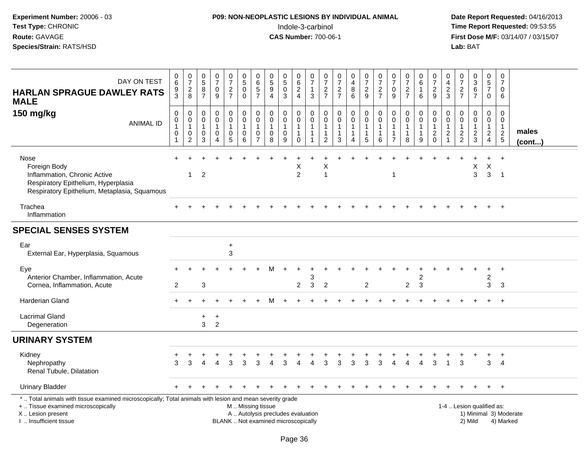### **P09: NON-NEOPLASTIC LESIONS BY INDIVIDUAL ANIMAL**Indole-3-carbinol **Time Report Requested:** 09:53:55

| DAY ON TEST<br><b>HARLAN SPRAGUE DAWLEY RATS</b><br><b>MALE</b>                                                                                                                               | $\begin{array}{c} 0 \\ 6 \end{array}$<br>9<br>3      | $\frac{0}{7}$<br>$\overline{c}$<br>8                              | $\begin{array}{c} 0 \\ 5 \end{array}$<br>8<br>$\overline{7}$          | $\frac{0}{7}$<br>$\mathbf 0$<br>9         | $\frac{0}{7}$<br>$\frac{2}{7}$                                                    | $\begin{smallmatrix}0\0\5\end{smallmatrix}$<br>$\mathbf 0$<br>$\mathbf 0$ | 0<br>$\,6\,$<br>$\mathbf 5$<br>$\overline{7}$ | $\begin{array}{c} 0 \\ 5 \end{array}$<br>$\boldsymbol{9}$<br>$\overline{4}$ | $\begin{matrix} 0 \\ 5 \end{matrix}$<br>$\mathbf 0$<br>3 | 0<br>$6\phantom{1}6$<br>$\overline{\mathbf{c}}$<br>$\overline{4}$       | 0<br>$\overline{7}$<br>1<br>3 | $\frac{0}{7}$<br>$\frac{2}{7}$                                                       | $\frac{0}{7}$<br>$\frac{2}{7}$                                  | 0<br>$\overline{\mathbf{4}}$<br>$\bf 8$<br>6                            | $\frac{0}{7}$<br>$\frac{2}{9}$                                       | $\frac{0}{7}$<br>$\overline{c}$<br>$\overline{7}$    | $\frac{0}{7}$<br>$\mathbf 0$<br>9                                          | $\frac{0}{7}$<br>$\frac{2}{7}$ | $\begin{array}{c} 0 \\ 6 \end{array}$<br>$\mathbf{1}$<br>6            | $\frac{0}{7}$<br>$\overline{\mathbf{c}}$<br>9              | 0<br>$\overline{\mathbf{4}}$<br>$\frac{2}{3}$              | $\begin{array}{c} 0 \\ 7 \end{array}$<br>$\frac{2}{7}$              | $_{3}^{\rm 0}$<br>$\,6\,$<br>$\overline{7}$             | $\pmb{0}$<br>$\overline{5}$<br>$\overline{7}$<br>$\mathbf 0$ | 0<br>$\overline{7}$<br>$\mathbf 0$<br>6 |                                     |
|-----------------------------------------------------------------------------------------------------------------------------------------------------------------------------------------------|------------------------------------------------------|-------------------------------------------------------------------|-----------------------------------------------------------------------|-------------------------------------------|-----------------------------------------------------------------------------------|---------------------------------------------------------------------------|-----------------------------------------------|-----------------------------------------------------------------------------|----------------------------------------------------------|-------------------------------------------------------------------------|-------------------------------|--------------------------------------------------------------------------------------|-----------------------------------------------------------------|-------------------------------------------------------------------------|----------------------------------------------------------------------|------------------------------------------------------|----------------------------------------------------------------------------|--------------------------------|-----------------------------------------------------------------------|------------------------------------------------------------|------------------------------------------------------------|---------------------------------------------------------------------|---------------------------------------------------------|--------------------------------------------------------------|-----------------------------------------|-------------------------------------|
| 150 mg/kg<br><b>ANIMAL ID</b>                                                                                                                                                                 | $\mathbf 0$<br>$\pmb{0}$<br>$\overline{1}$<br>0<br>1 | $\pmb{0}$<br>$\mathbf 0$<br>$\overline{1}$<br>0<br>$\overline{c}$ | $\boldsymbol{0}$<br>$\mathbf 0$<br>$\overline{1}$<br>$\mathbf 0$<br>3 | 0<br>$\mathbf 0$<br>1<br>$\mathbf 0$<br>4 | $\pmb{0}$<br>$\ddot{\mathbf{0}}$<br>$\mathbf{1}$<br>$\mathbf 0$<br>$\overline{5}$ | $\pmb{0}$<br>$\ddot{\mathbf{0}}$<br>$\mathbf{1}$<br>0<br>6                | 0<br>0<br>-1<br>0<br>$\overline{7}$           | $\mathbf 0$<br>$\mathsf{O}\xspace$<br>$\mathbf{1}$<br>0<br>8                | $\mathbf 0$<br>$\pmb{0}$<br>$\mathbf{1}$<br>0<br>9       | $\pmb{0}$<br>$\mathbf 0$<br>$\mathbf{1}$<br>$\mathbf{1}$<br>$\mathbf 0$ | 0<br>$\mathbf 0$              | $\mathsf{O}\xspace$<br>$\mathbf 0$<br>$\mathbf{1}$<br>$\mathbf{1}$<br>$\overline{c}$ | $\pmb{0}$<br>$\overline{0}$<br>$\mathbf 1$<br>$\mathbf{1}$<br>3 | $\pmb{0}$<br>$\ddot{\mathbf{0}}$<br>$\overline{1}$<br>$\mathbf{1}$<br>4 | $\mathbf 0$<br>$\overline{0}$<br>$\overline{1}$<br>$\mathbf{1}$<br>5 | $\mathbf 0$<br>$\Omega$<br>-1<br>$\overline{1}$<br>6 | $\pmb{0}$<br>$\mathbf 0$<br>$\mathbf{1}$<br>$\mathbf{1}$<br>$\overline{7}$ | 0<br>$\Omega$<br>8             | $\pmb{0}$<br>$\ddot{\mathbf{0}}$<br>$\mathbf{1}$<br>$\mathbf{1}$<br>9 | 0<br>0<br>$\mathbf{1}$<br>$\overline{c}$<br>$\overline{0}$ | 0<br>0<br>$\mathbf{1}$<br>$\overline{c}$<br>$\overline{1}$ | $\mathsf{O}\xspace$<br>$\mathbf 0$<br>$\mathbf{1}$<br>$\frac{2}{2}$ | $\pmb{0}$<br>$\pmb{0}$<br>$\mathbf{1}$<br>$\frac{2}{3}$ | $\mathsf 0$<br>$\mathbf 0$<br>$\mathbf{1}$<br>$\frac{2}{4}$  | 0<br>$\Omega$<br>-1<br>$\frac{2}{5}$    | males<br>(cont)                     |
| Nose<br>Foreign Body<br>Inflammation, Chronic Active<br>Respiratory Epithelium, Hyperplasia<br>Respiratory Epithelium, Metaplasia, Squamous                                                   |                                                      | 1                                                                 | $\overline{2}$                                                        |                                           |                                                                                   |                                                                           |                                               |                                                                             |                                                          | Х<br>$\overline{2}$                                                     |                               | X<br>-1                                                                              |                                                                 |                                                                         |                                                                      |                                                      | 1                                                                          |                                |                                                                       |                                                            |                                                            |                                                                     | $\mathsf X$<br>3                                        | $\mathsf X$<br>$\mathbf{3}$                                  | $\ddot{}$<br>$\overline{1}$             |                                     |
| Trachea<br>Inflammation                                                                                                                                                                       |                                                      |                                                                   |                                                                       |                                           |                                                                                   |                                                                           |                                               |                                                                             |                                                          |                                                                         |                               |                                                                                      |                                                                 |                                                                         |                                                                      |                                                      |                                                                            |                                |                                                                       |                                                            |                                                            |                                                                     |                                                         |                                                              | $+$                                     |                                     |
| <b>SPECIAL SENSES SYSTEM</b>                                                                                                                                                                  |                                                      |                                                                   |                                                                       |                                           |                                                                                   |                                                                           |                                               |                                                                             |                                                          |                                                                         |                               |                                                                                      |                                                                 |                                                                         |                                                                      |                                                      |                                                                            |                                |                                                                       |                                                            |                                                            |                                                                     |                                                         |                                                              |                                         |                                     |
| Ear<br>External Ear, Hyperplasia, Squamous                                                                                                                                                    |                                                      |                                                                   |                                                                       |                                           | +<br>3                                                                            |                                                                           |                                               |                                                                             |                                                          |                                                                         |                               |                                                                                      |                                                                 |                                                                         |                                                                      |                                                      |                                                                            |                                |                                                                       |                                                            |                                                            |                                                                     |                                                         |                                                              |                                         |                                     |
| Eye<br>Anterior Chamber, Inflammation, Acute<br>Cornea, Inflammation, Acute                                                                                                                   | $\overline{2}$                                       |                                                                   | 3                                                                     |                                           |                                                                                   |                                                                           |                                               |                                                                             |                                                          | $\overline{2}$                                                          | 3<br>3                        | $\overline{2}$                                                                       |                                                                 |                                                                         | $\overline{c}$                                                       |                                                      |                                                                            | $\boldsymbol{2}$               | 2<br>3                                                                |                                                            |                                                            |                                                                     |                                                         | $\overline{\mathbf{c}}$<br>3                                 | $\ddot{}$<br>3                          |                                     |
| Harderian Gland                                                                                                                                                                               |                                                      |                                                                   |                                                                       |                                           |                                                                                   |                                                                           |                                               | м                                                                           | $\div$                                                   |                                                                         |                               |                                                                                      |                                                                 |                                                                         |                                                                      |                                                      |                                                                            |                                |                                                                       |                                                            |                                                            |                                                                     | $\ddot{}$                                               | $\ddot{}$                                                    | $+$                                     |                                     |
| <b>Lacrimal Gland</b><br>Degeneration                                                                                                                                                         |                                                      |                                                                   | +<br>3                                                                | $\ddot{}$<br>$\overline{2}$               |                                                                                   |                                                                           |                                               |                                                                             |                                                          |                                                                         |                               |                                                                                      |                                                                 |                                                                         |                                                                      |                                                      |                                                                            |                                |                                                                       |                                                            |                                                            |                                                                     |                                                         |                                                              |                                         |                                     |
| <b>URINARY SYSTEM</b>                                                                                                                                                                         |                                                      |                                                                   |                                                                       |                                           |                                                                                   |                                                                           |                                               |                                                                             |                                                          |                                                                         |                               |                                                                                      |                                                                 |                                                                         |                                                                      |                                                      |                                                                            |                                |                                                                       |                                                            |                                                            |                                                                     |                                                         |                                                              |                                         |                                     |
| Kidney<br>Nephropathy<br>Renal Tubule, Dilatation                                                                                                                                             | 3                                                    | 3                                                                 |                                                                       |                                           | 3                                                                                 | 3                                                                         | 3                                             |                                                                             | 3                                                        |                                                                         |                               | 3                                                                                    | 3                                                               | 3                                                                       | 3                                                                    | 3                                                    |                                                                            |                                |                                                                       | 3                                                          |                                                            | 3                                                                   |                                                         | 3                                                            | $\overline{4}$                          |                                     |
| <b>Urinary Bladder</b>                                                                                                                                                                        |                                                      |                                                                   |                                                                       |                                           |                                                                                   |                                                                           |                                               |                                                                             |                                                          |                                                                         |                               |                                                                                      |                                                                 |                                                                         |                                                                      |                                                      |                                                                            |                                |                                                                       |                                                            |                                                            |                                                                     |                                                         |                                                              | $+$                                     |                                     |
| *  Total animals with tissue examined microscopically; Total animals with lesion and mean severity grade<br>+  Tissue examined microscopically<br>X  Lesion present<br>I  Insufficient tissue |                                                      |                                                                   |                                                                       |                                           |                                                                                   |                                                                           | M  Missing tissue                             | A  Autolysis precludes evaluation<br>BLANK  Not examined microscopically    |                                                          |                                                                         |                               |                                                                                      |                                                                 |                                                                         |                                                                      |                                                      |                                                                            |                                |                                                                       |                                                            |                                                            | 1-4  Lesion qualified as:                                           | 2) Mild                                                 |                                                              |                                         | 1) Minimal 3) Moderate<br>4) Marked |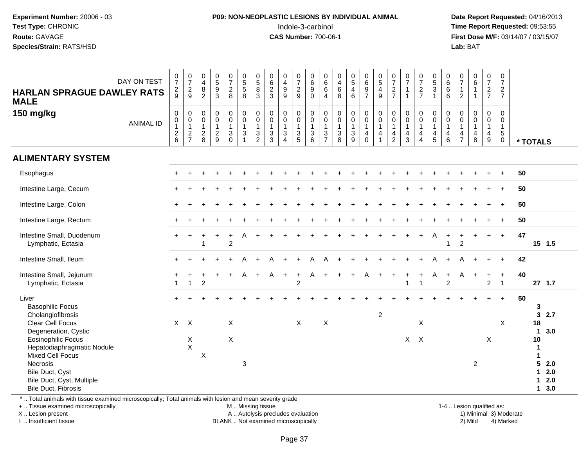#### **P09: NON-NEOPLASTIC LESIONS BY INDIVIDUAL ANIMAL**Indole-3-carbinol **Time Report Requested:** 09:53:55

 **Date Report Requested:** 04/16/2013 **First Dose M/F:** 03/14/07 / 03/15/07<br>**Lab: BAT** 

| DAY ON TEST                                                                                                                     | $\frac{0}{7}$ | $\frac{0}{7}$       | 0<br>$\overline{4}$       | $\begin{array}{c} 0 \\ 5 \end{array}$ | $\frac{0}{7}$             | $\begin{array}{c} 0 \\ 5 \end{array}$       | $\begin{array}{c} 0 \\ 5 \\ 8 \\ 3 \end{array}$ | $\begin{array}{c} 0 \\ 6 \end{array}$ | $\begin{smallmatrix}0\0\4\end{smallmatrix}$ | $\frac{0}{7}$               | 0<br>6                         | 0<br>6                              | 0<br>$\overline{4}$ | $\begin{array}{c} 0 \\ 5 \\ 4 \end{array}$ | $\begin{array}{c} 0 \\ 6 \end{array}$ | $\begin{array}{c} 0 \\ 5 \\ 4 \end{array}$ | $\frac{0}{7}$             | $\frac{0}{7}$                | $\frac{0}{7}$     | $\begin{array}{c} 0 \\ 5 \\ 3 \end{array}$ | $\begin{array}{c} 0 \\ 6 \end{array}$ | $\frac{0}{7}$                      | $\begin{matrix} 0 \\ 6 \\ 1 \end{matrix}$ | $\frac{0}{7}$                         | $\frac{0}{7}$               |              |          |
|---------------------------------------------------------------------------------------------------------------------------------|---------------|---------------------|---------------------------|---------------------------------------|---------------------------|---------------------------------------------|-------------------------------------------------|---------------------------------------|---------------------------------------------|-----------------------------|--------------------------------|-------------------------------------|---------------------|--------------------------------------------|---------------------------------------|--------------------------------------------|---------------------------|------------------------------|-------------------|--------------------------------------------|---------------------------------------|------------------------------------|-------------------------------------------|---------------------------------------|-----------------------------|--------------|----------|
| <b>HARLAN SPRAGUE DAWLEY RATS</b>                                                                                               | $\frac{2}{9}$ | $\frac{2}{9}$       | $\,8\,$<br>$\overline{2}$ | $\overline{9}$<br>$\overline{3}$      | $_{8}^2$                  | $\overline{5}$<br>8                         |                                                 | $\frac{2}{3}$                         | $\boldsymbol{9}$<br>$\overline{9}$          | $\frac{2}{9}$               | $\boldsymbol{9}$<br>$\Omega$   | 6                                   | $\,6\,$<br>8        | $6\phantom{a}$                             | $\frac{9}{7}$                         | $\overline{9}$                             | $\frac{2}{7}$             | $\mathbf{1}$<br>$\mathbf{1}$ | $\frac{2}{7}$     | $\mathbf{1}$                               | $\,6\,$<br>6                          | $\overline{1}$<br>$\overline{2}$   | $\mathbf{1}$                              | $\frac{2}{7}$                         | $\frac{2}{7}$               |              |          |
| <b>MALE</b>                                                                                                                     |               |                     |                           |                                       |                           |                                             |                                                 |                                       |                                             |                             |                                | $\overline{4}$                      |                     |                                            |                                       |                                            |                           |                              |                   |                                            |                                       |                                    |                                           |                                       |                             |              |          |
| 150 mg/kg                                                                                                                       | 0             | $\boldsymbol{0}$    | 0                         | $\mathbf 0$                           | 0                         | $\begin{smallmatrix}0\0\0\end{smallmatrix}$ | $\pmb{0}$                                       | $\mathbf 0$                           | $\mathbf 0$                                 | 0                           | $\boldsymbol{0}$               | 0                                   | $\pmb{0}$           | $\pmb{0}$                                  | $\mathbf 0$                           | $\mathbf 0$                                | $\pmb{0}$                 | $\mathbf 0$                  | 0                 |                                            | 0                                     | $\mathbf 0$                        | $\mathsf 0$                               | $\mathbf 0$                           | 0                           |              |          |
| <b>ANIMAL ID</b>                                                                                                                | $\pmb{0}$     | $\overline{0}$<br>1 | 0<br>$\overline{1}$       | $\mathbf 0$<br>$\mathbf{1}$           | $\mathbf 0$<br>1          | $\mathbf{1}$                                | $\overline{0}$<br>$\mathbf{1}$                  | $\mathbf 0$<br>$\mathbf{1}$           | $\overline{0}$<br>$\mathbf{1}$              | $\mathsf 0$<br>$\mathbf{1}$ | $\overline{0}$<br>$\mathbf{1}$ | $\mathsf{O}\xspace$<br>$\mathbf{1}$ | 0<br>$\mathbf{1}$   | $\overline{0}$<br>1                        | $\mathsf{O}\xspace$<br>$\mathbf{1}$   | $\pmb{0}$<br>$\mathbf{1}$                  | $\pmb{0}$<br>$\mathbf{1}$ | $\pmb{0}$<br>$\mathbf{1}$    | 0<br>$\mathbf{1}$ | $\begin{matrix} 0 \\ 0 \\ 1 \end{matrix}$  | $\overline{0}$<br>$\overline{1}$      | $\boldsymbol{0}$<br>$\overline{1}$ | $\mathbf 0$<br>$\mathbf{1}$               | $\mathbf 0$<br>$\mathbf{1}$           | $\mathbf 0$<br>$\mathbf{1}$ |              |          |
|                                                                                                                                 | $\frac{2}{6}$ | $\frac{2}{7}$       | $_{\rm 8}^2$              | $\frac{2}{9}$                         | $\ensuremath{\mathsf{3}}$ | $\ensuremath{\mathsf{3}}$                   | $\frac{3}{2}$                                   | $\frac{3}{3}$                         | $\mathbf 3$                                 | $\frac{3}{5}$               | $\ensuremath{\mathsf{3}}$      | $\frac{3}{7}$                       | $_8^3$              | $_9^3$                                     | $\begin{matrix} 4 \\ 0 \end{matrix}$  | 4                                          | 4                         | $\frac{4}{3}$                | 4                 | $\frac{4}{5}$                              | $\begin{array}{c} 4 \\ 6 \end{array}$ | $\frac{4}{7}$                      | $\overline{4}$                            | $\begin{array}{c} 4 \\ 9 \end{array}$ | $\sqrt{5}$                  |              |          |
|                                                                                                                                 |               |                     |                           |                                       | $\overline{0}$            | 1                                           |                                                 |                                       | $\overline{4}$                              |                             | 6                              |                                     |                     |                                            |                                       | $\overline{1}$                             | $\overline{2}$            |                              | $\overline{4}$    |                                            |                                       |                                    | $\,8\,$                                   |                                       | $\ddot{\mathbf{0}}$         | * TOTALS     |          |
| <b>ALIMENTARY SYSTEM</b>                                                                                                        |               |                     |                           |                                       |                           |                                             |                                                 |                                       |                                             |                             |                                |                                     |                     |                                            |                                       |                                            |                           |                              |                   |                                            |                                       |                                    |                                           |                                       |                             |              |          |
| Esophagus                                                                                                                       | $+$           |                     |                           |                                       |                           |                                             |                                                 |                                       |                                             |                             |                                |                                     |                     |                                            |                                       |                                            |                           |                              |                   |                                            |                                       |                                    |                                           |                                       | $+$                         | 50           |          |
| Intestine Large, Cecum                                                                                                          |               |                     |                           |                                       |                           |                                             |                                                 |                                       |                                             |                             |                                |                                     |                     |                                            |                                       |                                            |                           |                              |                   |                                            |                                       |                                    |                                           |                                       |                             | 50           |          |
|                                                                                                                                 |               |                     |                           |                                       |                           |                                             |                                                 |                                       |                                             |                             |                                |                                     |                     |                                            |                                       |                                            |                           |                              |                   |                                            |                                       |                                    |                                           |                                       |                             |              |          |
| Intestine Large, Colon                                                                                                          |               |                     |                           |                                       |                           |                                             |                                                 |                                       |                                             |                             |                                |                                     |                     |                                            |                                       |                                            |                           |                              |                   |                                            |                                       |                                    |                                           |                                       | $+$                         | 50           |          |
| Intestine Large, Rectum                                                                                                         |               |                     |                           |                                       |                           |                                             |                                                 |                                       |                                             |                             |                                |                                     |                     |                                            |                                       |                                            |                           |                              |                   |                                            |                                       |                                    |                                           |                                       |                             | 50           |          |
| Intestine Small, Duodenum                                                                                                       | $+$           |                     |                           |                                       | $\ddot{}$                 |                                             |                                                 |                                       |                                             |                             |                                |                                     |                     |                                            |                                       |                                            |                           |                              |                   | Α                                          | $\overline{1}$                        |                                    |                                           | $+$                                   | $+$                         | 47           |          |
| Lymphatic, Ectasia                                                                                                              |               |                     |                           |                                       | $\overline{2}$            |                                             |                                                 |                                       |                                             |                             |                                |                                     |                     |                                            |                                       |                                            |                           |                              |                   |                                            | $\overline{1}$                        | $\overline{c}$                     |                                           |                                       |                             |              | 15 1.5   |
| Intestine Small, Ileum                                                                                                          |               |                     |                           |                                       |                           | А                                           | $\ddot{}$                                       | А                                     |                                             |                             | A                              | А                                   |                     |                                            |                                       |                                            |                           |                              |                   |                                            |                                       | А                                  |                                           | $+$                                   | $+$                         | 42           |          |
| Intestine Small, Jejunum                                                                                                        |               |                     |                           |                                       | $\ddot{}$                 | A                                           | $+$                                             | A                                     | $\ddot{}$                                   | $\pm$                       | A                              | $+$                                 |                     |                                            | A                                     |                                            |                           |                              |                   | A                                          | $\overline{1}$                        | A                                  | $\ddot{}$                                 | $\ddot{}$                             | $+$                         | 40           |          |
| Lymphatic, Ectasia                                                                                                              | $\mathbf{1}$  | $\overline{1}$      | $\overline{2}$            |                                       |                           |                                             |                                                 |                                       |                                             | $\overline{2}$              |                                |                                     |                     |                                            |                                       |                                            |                           | $\mathbf{1}$                 | $\overline{1}$    |                                            | $\overline{2}$                        |                                    |                                           | $\overline{c}$                        | $\overline{1}$              |              | $27$ 1.7 |
| Liver                                                                                                                           |               |                     |                           |                                       |                           |                                             |                                                 |                                       |                                             |                             |                                |                                     |                     |                                            |                                       |                                            |                           |                              |                   |                                            |                                       |                                    |                                           |                                       | $\ddot{}$                   | 50           |          |
| <b>Basophilic Focus</b>                                                                                                         |               |                     |                           |                                       |                           |                                             |                                                 |                                       |                                             |                             |                                |                                     |                     |                                            |                                       |                                            |                           |                              |                   |                                            |                                       |                                    |                                           |                                       |                             | 3            |          |
| Cholangiofibrosis                                                                                                               |               |                     |                           |                                       |                           |                                             |                                                 |                                       |                                             |                             |                                |                                     |                     |                                            |                                       | $\overline{2}$                             |                           |                              |                   |                                            |                                       |                                    |                                           |                                       |                             | $\mathbf{3}$ | 2.7      |
| Clear Cell Focus                                                                                                                |               | $X$ $X$             |                           |                                       | X                         |                                             |                                                 |                                       |                                             | X                           |                                | X                                   |                     |                                            |                                       |                                            |                           |                              | X                 |                                            |                                       |                                    |                                           |                                       | X                           | 18           |          |
| Degeneration, Cystic                                                                                                            |               |                     |                           |                                       |                           |                                             |                                                 |                                       |                                             |                             |                                |                                     |                     |                                            |                                       |                                            |                           |                              |                   |                                            |                                       |                                    |                                           |                                       |                             | $\mathbf{1}$ | 3.0      |
| <b>Eosinophilic Focus</b>                                                                                                       |               | X                   |                           |                                       | $\pmb{\times}$            |                                             |                                                 |                                       |                                             |                             |                                |                                     |                     |                                            |                                       |                                            |                           | $X$ $X$                      |                   |                                            |                                       |                                    |                                           | X                                     |                             | 10           |          |
| Hepatodiaphragmatic Nodule                                                                                                      |               | $\mathsf X$         |                           |                                       |                           |                                             |                                                 |                                       |                                             |                             |                                |                                     |                     |                                            |                                       |                                            |                           |                              |                   |                                            |                                       |                                    |                                           |                                       |                             | 1            |          |
| <b>Mixed Cell Focus</b>                                                                                                         |               |                     | X                         |                                       |                           |                                             |                                                 |                                       |                                             |                             |                                |                                     |                     |                                            |                                       |                                            |                           |                              |                   |                                            |                                       |                                    |                                           |                                       |                             | 1            |          |
| Necrosis                                                                                                                        |               |                     |                           |                                       |                           | 3                                           |                                                 |                                       |                                             |                             |                                |                                     |                     |                                            |                                       |                                            |                           |                              |                   |                                            |                                       |                                    | $\overline{2}$                            |                                       |                             | 5            | 2.0      |
| Bile Duct, Cyst                                                                                                                 |               |                     |                           |                                       |                           |                                             |                                                 |                                       |                                             |                             |                                |                                     |                     |                                            |                                       |                                            |                           |                              |                   |                                            |                                       |                                    |                                           |                                       |                             | 1            | 2.0      |
| Bile Duct, Cyst, Multiple                                                                                                       |               |                     |                           |                                       |                           |                                             |                                                 |                                       |                                             |                             |                                |                                     |                     |                                            |                                       |                                            |                           |                              |                   |                                            |                                       |                                    |                                           |                                       |                             | 1            | 2.0      |
| Bile Duct, Fibrosis<br>*  Total animals with tissue examined microscopically; Total animals with lesion and mean severity grade |               |                     |                           |                                       |                           |                                             |                                                 |                                       |                                             |                             |                                |                                     |                     |                                            |                                       |                                            |                           |                              |                   |                                            |                                       |                                    |                                           |                                       |                             | $\mathbf 1$  | 3.0      |

+ .. Tissue examined microscopically

X .. Lesion present

I .. Insufficient tissue

M .. Missing tissue

A .. Autolysis precludes evaluation 1999 (1999) 1999 (1999) 1999 (1999) 1999 (1999) 1999 (1999) 1999 (1999) 1<br>1) Minimal 3) Mild 3) Mild 3) Mild 3) Mild 3, 2009 (1999) 1999 (1999) 1999 (1999) 1999 (1999) 1999 (1999) 199

BLANK .. Not examined microscopically 2) Mild 4) Marked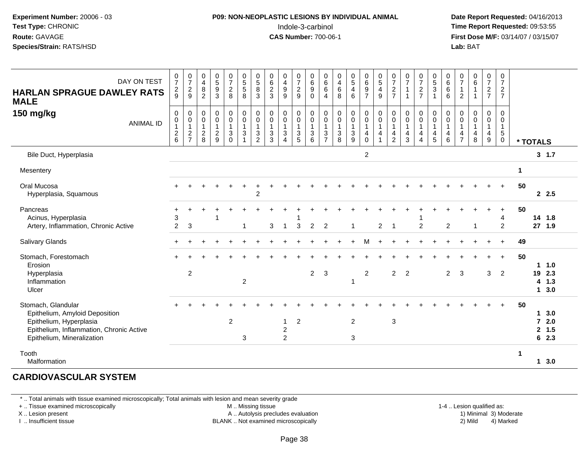#### **P09: NON-NEOPLASTIC LESIONS BY INDIVIDUAL ANIMAL**Indole-3-carbinol **Time Report Requested:** 09:53:55

 **Date Report Requested:** 04/16/2013 **First Dose M/F:** 03/14/07 / 03/15/07<br>**Lab: BAT Lab:** BAT

| DAY ON TEST<br><b>HARLAN SPRAGUE DAWLEY RATS</b><br><b>MALE</b>                                                                                           | $\frac{0}{7}$<br>$\frac{2}{9}$                         | $\frac{0}{7}$<br>$\frac{2}{9}$                                         | 0<br>$\overline{\mathbf{4}}$<br>$\bf 8$<br>$\overline{2}$ | $\begin{array}{c} 0 \\ 5 \end{array}$<br>$\overline{9}$<br>3    | $\frac{0}{7}$<br>$\overline{a}$<br>8                         | $\begin{array}{c} 0 \\ 5 \\ 5 \end{array}$<br>8                                   | $\begin{array}{c} 0 \\ 5 \\ 8 \end{array}$<br>3                                                             | $\begin{array}{c} 0 \\ 6 \end{array}$<br>$\overline{c}$<br>$\mathbf{3}$     | $\begin{array}{c} 0 \\ 4 \\ 9 \end{array}$<br>9                                              | $\frac{0}{7}$<br>$\boldsymbol{2}$<br>$9\,$             | $\begin{array}{c} 0 \\ 6 \end{array}$<br>$\boldsymbol{9}$<br>$\Omega$ | 0<br>$\,6\,$<br>6<br>4                                | $\begin{array}{c} 0 \\ 4 \\ 6 \end{array}$<br>8                                                 | $\begin{array}{c} 0 \\ 5 \\ 4 \end{array}$<br>$6\phantom{a}$                 | $\begin{array}{c} 0 \\ 6 \\ 9 \end{array}$<br>$\overline{7}$ | $\begin{array}{c} 0 \\ 5 \\ 4 \end{array}$<br>$\overline{9}$  | $\frac{0}{7}$<br>$\boldsymbol{2}$<br>$\overline{7}$           | $\frac{0}{7}$<br>$\mathbf{1}$<br>$\overline{1}$    | $\frac{0}{7}$<br>$\overline{c}$<br>$\overline{7}$     | $\begin{array}{c} 0 \\ 5 \\ 3 \end{array}$<br>$\overline{1}$                                     | $\begin{array}{c} 0 \\ 6 \end{array}$<br>$6\phantom{1}$<br>$6\phantom{1}$                | $\frac{0}{7}$<br>$\mathbf{1}$<br>2            | $\begin{array}{c} 0 \\ 6 \end{array}$<br>$\mathbf{1}$<br>$\overline{1}$            | $\frac{0}{7}$<br>$rac{2}{7}$                          | $\frac{0}{7}$<br>$\overline{2}$<br>$\overline{7}$                 |                      |                                       |                           |
|-----------------------------------------------------------------------------------------------------------------------------------------------------------|--------------------------------------------------------|------------------------------------------------------------------------|-----------------------------------------------------------|-----------------------------------------------------------------|--------------------------------------------------------------|-----------------------------------------------------------------------------------|-------------------------------------------------------------------------------------------------------------|-----------------------------------------------------------------------------|----------------------------------------------------------------------------------------------|--------------------------------------------------------|-----------------------------------------------------------------------|-------------------------------------------------------|-------------------------------------------------------------------------------------------------|------------------------------------------------------------------------------|--------------------------------------------------------------|---------------------------------------------------------------|---------------------------------------------------------------|----------------------------------------------------|-------------------------------------------------------|--------------------------------------------------------------------------------------------------|------------------------------------------------------------------------------------------|-----------------------------------------------|------------------------------------------------------------------------------------|-------------------------------------------------------|-------------------------------------------------------------------|----------------------|---------------------------------------|---------------------------|
| 150 mg/kg<br><b>ANIMAL ID</b>                                                                                                                             | $\pmb{0}$<br>$\pmb{0}$<br>$\mathbf 1$<br>$\frac{2}{6}$ | $\mathsf{O}\xspace$<br>$\overline{0}$<br>$\mathbf{1}$<br>$\frac{2}{7}$ | 0<br>$\pmb{0}$<br>$\overline{1}$<br>$\frac{2}{8}$         | $\pmb{0}$<br>$\pmb{0}$<br>$\mathbf{1}$<br>$\boldsymbol{2}$<br>9 | 0<br>$\ddot{\mathbf{0}}$<br>$\mathbf{1}$<br>3<br>$\mathbf 0$ | $_{\rm 0}^{\rm 0}$<br>$\mathbf{1}$<br>$\ensuremath{\mathsf{3}}$<br>$\overline{1}$ | $\begin{smallmatrix} 0\\0 \end{smallmatrix}$<br>$\mathbf{1}$<br>$\ensuremath{\mathsf{3}}$<br>$\overline{2}$ | 0<br>$\pmb{0}$<br>$\mathbf{1}$<br>$\ensuremath{\mathsf{3}}$<br>$\mathbf{3}$ | $\begin{smallmatrix} 0\\0 \end{smallmatrix}$<br>$\mathbf{1}$<br>$\sqrt{3}$<br>$\overline{4}$ | 0<br>$\overline{0}$<br>$\overline{1}$<br>$\frac{3}{5}$ | $\pmb{0}$<br>$\overline{0}$<br>$\overline{1}$<br>$\sqrt{3}$<br>6      | 0<br>$\pmb{0}$<br>$\mathbf{1}$<br>3<br>$\overline{7}$ | $\pmb{0}$<br>$\ddot{\mathbf{0}}$<br>$\mathbf{1}$<br>$\ensuremath{\mathsf{3}}$<br>$\overline{8}$ | $\begin{smallmatrix}0\0\0\end{smallmatrix}$<br>$\mathbf{1}$<br>$\frac{3}{9}$ | $_0^0$<br>$\mathbf{1}$<br>4<br>0                             | $\pmb{0}$<br>$\overline{0}$<br>$\mathbf{1}$<br>$\overline{4}$ | $\pmb{0}$<br>$\pmb{0}$<br>$\mathbf{1}$<br>4<br>$\overline{2}$ | $\pmb{0}$<br>$\pmb{0}$<br>$\overline{1}$<br>4<br>3 | 0<br>$\bar{0}$<br>$\mathbf{1}$<br>4<br>$\overline{4}$ | $\begin{smallmatrix}0\\0\end{smallmatrix}$<br>$\overline{1}$<br>$\overline{4}$<br>$\overline{5}$ | $\pmb{0}$<br>$\overline{0}$<br>$\mathbf{1}$<br>$\overline{\mathbf{4}}$<br>$6\phantom{1}$ | 0<br>0<br>$\mathbf{1}$<br>4<br>$\overline{7}$ | $\mathbf 0$<br>$\ddot{\mathbf{0}}$<br>$\mathbf{1}$<br>$\overline{\mathbf{4}}$<br>8 | 0<br>$\pmb{0}$<br>$\mathbf{1}$<br>$\overline{4}$<br>9 | 0<br>$\mathbf 0$<br>$\mathbf{1}$<br>$\overline{5}$<br>$\mathbf 0$ | * TOTALS             |                                       |                           |
| Bile Duct, Hyperplasia                                                                                                                                    |                                                        |                                                                        |                                                           |                                                                 |                                                              |                                                                                   |                                                                                                             |                                                                             |                                                                                              |                                                        |                                                                       |                                                       |                                                                                                 |                                                                              | $\overline{2}$                                               |                                                               |                                                               |                                                    |                                                       |                                                                                                  |                                                                                          |                                               |                                                                                    |                                                       |                                                                   |                      |                                       | 3, 1.7                    |
| Mesentery                                                                                                                                                 |                                                        |                                                                        |                                                           |                                                                 |                                                              |                                                                                   |                                                                                                             |                                                                             |                                                                                              |                                                        |                                                                       |                                                       |                                                                                                 |                                                                              |                                                              |                                                               |                                                               |                                                    |                                                       |                                                                                                  |                                                                                          |                                               |                                                                                    |                                                       |                                                                   | $\mathbf 1$          |                                       |                           |
| Oral Mucosa<br>Hyperplasia, Squamous                                                                                                                      |                                                        |                                                                        |                                                           |                                                                 |                                                              |                                                                                   | ٠<br>$\overline{c}$                                                                                         |                                                                             |                                                                                              |                                                        |                                                                       |                                                       |                                                                                                 |                                                                              |                                                              |                                                               |                                                               |                                                    |                                                       |                                                                                                  |                                                                                          |                                               |                                                                                    |                                                       | $\ddot{}$                                                         | 50                   |                                       | 2.5                       |
| Pancreas<br>Acinus, Hyperplasia<br>Artery, Inflammation, Chronic Active                                                                                   | +<br>3<br>$\overline{2}$                               | 3                                                                      |                                                           |                                                                 |                                                              |                                                                                   |                                                                                                             | 3                                                                           | $\overline{1}$                                                                               | $\mathbf{3}$                                           | $\overline{2}$                                                        | $\overline{2}$                                        |                                                                                                 | $\overline{1}$                                                               |                                                              | $\overline{2}$                                                | $\overline{1}$                                                |                                                    | $\overline{2}$                                        |                                                                                                  | 2                                                                                        |                                               | -1                                                                                 |                                                       | 4<br>$\overline{2}$                                               | 50                   | 14 1.8<br>27 1.9                      |                           |
| Salivary Glands                                                                                                                                           |                                                        |                                                                        |                                                           |                                                                 |                                                              |                                                                                   |                                                                                                             |                                                                             |                                                                                              |                                                        |                                                                       |                                                       |                                                                                                 |                                                                              | м                                                            |                                                               |                                                               |                                                    |                                                       |                                                                                                  |                                                                                          |                                               |                                                                                    |                                                       | $\ddot{}$                                                         | 49                   |                                       |                           |
| Stomach, Forestomach<br>Erosion<br>Hyperplasia<br>Inflammation<br>Ulcer                                                                                   |                                                        | 2                                                                      |                                                           |                                                                 |                                                              | $\overline{2}$                                                                    |                                                                                                             |                                                                             |                                                                                              |                                                        | $\overline{2}$                                                        | 3                                                     |                                                                                                 | -1                                                                           | $\overline{2}$                                               |                                                               | $\overline{2}$                                                | $\overline{2}$                                     |                                                       |                                                                                                  | 2                                                                                        | 3                                             |                                                                                    | 3                                                     | $\ddot{}$<br>$\overline{2}$                                       | 50                   | 19<br>4                               | 1.0<br>2.3<br>1.3<br>13.0 |
| Stomach, Glandular<br>Epithelium, Amyloid Deposition<br>Epithelium, Hyperplasia<br>Epithelium, Inflammation, Chronic Active<br>Epithelium, Mineralization |                                                        |                                                                        |                                                           |                                                                 | $\overline{2}$                                               | 3                                                                                 |                                                                                                             |                                                                             | $\mathbf{1}$<br>$\overline{2}$<br>$\overline{2}$                                             | $\overline{c}$                                         |                                                                       |                                                       |                                                                                                 | $\overline{2}$<br>3                                                          |                                                              |                                                               | 3                                                             |                                                    |                                                       |                                                                                                  |                                                                                          |                                               |                                                                                    |                                                       | $\div$                                                            | 50                   | 1<br>$\overline{7}$<br>2 <sup>1</sup> | 3.0<br>2.0<br>1.5<br>62.3 |
| Tooth<br>Malformation                                                                                                                                     |                                                        |                                                                        |                                                           |                                                                 |                                                              |                                                                                   |                                                                                                             |                                                                             |                                                                                              |                                                        |                                                                       |                                                       |                                                                                                 |                                                                              |                                                              |                                                               |                                                               |                                                    |                                                       |                                                                                                  |                                                                                          |                                               |                                                                                    |                                                       |                                                                   | $\blacktriangleleft$ |                                       | 13.0                      |

#### **CARDIOVASCULAR SYSTEM**

\* .. Total animals with tissue examined microscopically; Total animals with lesion and mean severity grade

+ .. Tissue examined microscopically

X .. Lesion present

I .. Insufficient tissue

M .. Missing tissue

A .. Autolysis precludes evaluation

1-4 .. Lesion qualified as:<br>1) Minimal 3) Moderate BLANK .. Not examined microscopically 2) Mild 4) Marked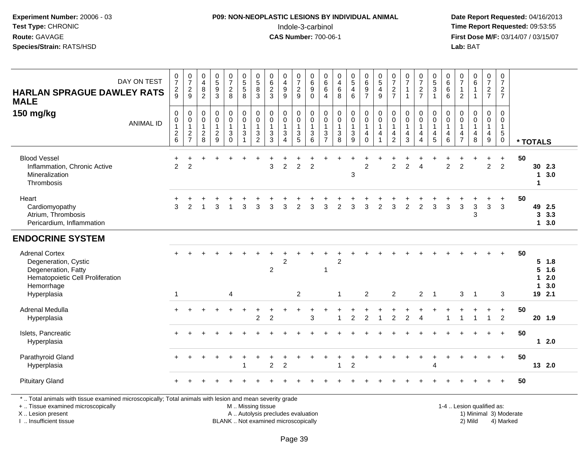#### **P09: NON-NEOPLASTIC LESIONS BY INDIVIDUAL ANIMAL**Indole-3-carbinol **Time Report Requested:** 09:53:55

 **Date Report Requested:** 04/16/2013 **First Dose M/F:** 03/14/07 / 03/15/07<br>**Lab:** BAT **Lab:** BAT

|                                                                                                                                                                     | DAY ON TEST      | $\pmb{0}$                                         | 0                                                                 | $\pmb{0}$                                        |                                                         | $\frac{0}{7}$                                                          |                                                                               | $\begin{matrix} 0 \\ 5 \end{matrix}$          | $\begin{array}{c} 0 \\ 6 \end{array}$               | $\pmb{0}$                                                                          | 0                                                    | $\pmb{0}$                                                                      | $\mathbf 0$                                                              | $\pmb{0}$                                          |                                                       |                                                                                   |                                                                | $\frac{0}{7}$                                           | $\frac{0}{7}$                              | $\frac{0}{7}$                              |                                                                                        | $\pmb{0}$                                                           | 0                                                    | $_{\rm 6}^{\rm 0}$                                   | $\frac{0}{7}$                                                                       | 0                                                  |                        |                   |                                          |
|---------------------------------------------------------------------------------------------------------------------------------------------------------------------|------------------|---------------------------------------------------|-------------------------------------------------------------------|--------------------------------------------------|---------------------------------------------------------|------------------------------------------------------------------------|-------------------------------------------------------------------------------|-----------------------------------------------|-----------------------------------------------------|------------------------------------------------------------------------------------|------------------------------------------------------|--------------------------------------------------------------------------------|--------------------------------------------------------------------------|----------------------------------------------------|-------------------------------------------------------|-----------------------------------------------------------------------------------|----------------------------------------------------------------|---------------------------------------------------------|--------------------------------------------|--------------------------------------------|----------------------------------------------------------------------------------------|---------------------------------------------------------------------|------------------------------------------------------|------------------------------------------------------|-------------------------------------------------------------------------------------|----------------------------------------------------|------------------------|-------------------|------------------------------------------|
| <b>HARLAN SPRAGUE DAWLEY RATS</b><br><b>MALE</b>                                                                                                                    |                  | $\overline{7}$<br>$\frac{2}{9}$                   | $\overline{7}$<br>$\frac{2}{9}$                                   | $\overline{4}$<br>$\frac{8}{2}$                  | $\begin{array}{c}\n0 \\ 5 \\ 3\n\end{array}$            | $\overline{2}$<br>8                                                    | $\begin{array}{c} 0 \\ 5 \\ 5 \end{array}$<br>8                               | 8<br>3                                        | $\overline{2}$<br>$\mathbf{3}$                      | $\begin{array}{c} 4 \\ 9 \end{array}$<br>$\overline{9}$                            | $\overline{7}$<br>$\overline{c}$<br>9                | $\,6\,$<br>$9\,$<br>$\Omega$                                                   | $\begin{array}{c} 6 \\ 6 \end{array}$<br>$\overline{4}$                  | $\overline{\mathbf{4}}$<br>$\,6\,$<br>8            | $\begin{array}{c} 0 \\ 5 \\ 4 \end{array}$<br>6       | $\begin{array}{c} 0 \\ 6 \\ 9 \end{array}$<br>$\overline{7}$                      | $\begin{array}{c} 0 \\ 5 \\ 4 \end{array}$<br>$\boldsymbol{9}$ | $\overline{2}$<br>$\overline{7}$                        | $\mathbf{1}$<br>$\overline{1}$             | $\overline{c}$<br>$\overline{7}$           | $\begin{array}{c} 0 \\ 5 \\ 3 \end{array}$<br>$\mathbf{1}$                             | $\begin{array}{c} 6 \\ 6 \end{array}$<br>6                          | $\overline{7}$<br>$\mathbf{1}$<br>$\overline{c}$     | $\mathbf{1}$<br>$\mathbf{1}$                         | $\frac{2}{7}$                                                                       | $\overline{7}$<br>$\overline{2}$<br>$\overline{7}$ |                        |                   |                                          |
| 150 mg/kg                                                                                                                                                           | <b>ANIMAL ID</b> | $\mathbf 0$<br>0<br>$\mathbf{1}$<br>$\frac{2}{6}$ | $\pmb{0}$<br>$\ddot{\mathbf{0}}$<br>$\mathbf{1}$<br>$\frac{2}{7}$ | $\mathbf 0$<br>0<br>$\mathbf{1}$<br>$_{\rm 8}^2$ | $\pmb{0}$<br>$\pmb{0}$<br>$\mathbf{1}$<br>$\frac{2}{9}$ | $\pmb{0}$<br>$\pmb{0}$<br>$\overline{1}$<br>$\mathbf 3$<br>$\mathbf 0$ | $\mathbf 0$<br>$\overline{0}$<br>$\overline{1}$<br>$\sqrt{3}$<br>$\mathbf{1}$ | 0<br>0<br>$\mathbf{1}$<br>3<br>$\overline{2}$ | $\mathbf 0$<br>0<br>$\mathbf{1}$<br>$\sqrt{3}$<br>3 | $\mathbf 0$<br>$\pmb{0}$<br>$\mathbf{1}$<br>$\mathbf{3}$<br>$\boldsymbol{\Lambda}$ | 0<br>0<br>$\mathbf{1}$<br>$\mathbf{3}$<br>$\sqrt{5}$ | $\mathbf 0$<br>$\overline{0}$<br>$\mathbf{1}$<br>$\mathbf 3$<br>$\overline{6}$ | $\mathbf 0$<br>$\pmb{0}$<br>$\mathbf{1}$<br>$\sqrt{3}$<br>$\overline{7}$ | $\pmb{0}$<br>$\mathbf 0$<br>$\mathbf{1}$<br>3<br>8 | 0<br>$\bar{0}$<br>$\mathbf{1}$<br>3<br>$\overline{9}$ | $\pmb{0}$<br>$\ddot{\mathbf{0}}$<br>$\mathbf{1}$<br>$\overline{4}$<br>$\mathbf 0$ | $\pmb{0}$<br>$\overline{0}$<br>$\mathbf{1}$<br>$\overline{4}$  | $\mathbf 0$<br>0<br>$\mathbf{1}$<br>4<br>$\overline{2}$ | $\mathbf 0$<br>0<br>$\mathbf{1}$<br>4<br>3 | $\mathbf 0$<br>0<br>$\mathbf{1}$<br>4<br>4 | $\mathbf 0$<br>$\ddot{\mathbf{0}}$<br>$\mathbf{1}$<br>$\overline{4}$<br>$\overline{5}$ | $\mathbf 0$<br>$\pmb{0}$<br>$\mathbf{1}$<br>$\overline{4}$<br>$\,6$ | $\Omega$<br>0<br>$\mathbf{1}$<br>4<br>$\overline{7}$ | $\mathbf 0$<br>$\mathbf 0$<br>$\mathbf{1}$<br>4<br>8 | $\mathbf 0$<br>$\mathbf 0$<br>$\mathbf{1}$<br>$\begin{array}{c} 4 \\ 9 \end{array}$ | $\mathbf 0$<br>0<br>$\mathbf{1}$<br>5<br>0         |                        | * TOTALS          |                                          |
| <b>Blood Vessel</b><br>Inflammation, Chronic Active<br>Mineralization<br>Thrombosis                                                                                 |                  | 2                                                 | $\overline{2}$                                                    |                                                  |                                                         |                                                                        |                                                                               |                                               | 3                                                   | $\overline{2}$                                                                     | $\overline{2}$                                       | 2                                                                              |                                                                          |                                                    | 3                                                     | $\overline{2}$                                                                    |                                                                | $\overline{c}$                                          | $\overline{2}$                             | $\Delta$                                   |                                                                                        | $\overline{2}$                                                      | $\overline{2}$                                       |                                                      | +<br>$\overline{2}$                                                                 | $\ddot{}$<br>$\overline{2}$                        | 50                     | 1<br>$\mathbf{1}$ | 30 2.3<br>3.0                            |
| Heart<br>Cardiomyopathy<br>Atrium, Thrombosis<br>Pericardium, Inflammation                                                                                          |                  | 3                                                 | $\mathfrak{p}$                                                    |                                                  | 3                                                       |                                                                        | 3                                                                             | 3                                             | 3                                                   | 3                                                                                  | $\overline{2}$                                       | 3                                                                              | 3                                                                        | $\mathfrak{p}$                                     | 3                                                     | 3                                                                                 | 2                                                              | 3                                                       | 2                                          | $\overline{2}$                             | 3                                                                                      | 3                                                                   | 3                                                    | 3<br>3                                               | 3                                                                                   | $\ddot{}$<br>3                                     | 50                     |                   | 49 2.5<br>3.3.3<br>13.0                  |
| <b>ENDOCRINE SYSTEM</b>                                                                                                                                             |                  |                                                   |                                                                   |                                                  |                                                         |                                                                        |                                                                               |                                               |                                                     |                                                                                    |                                                      |                                                                                |                                                                          |                                                    |                                                       |                                                                                   |                                                                |                                                         |                                            |                                            |                                                                                        |                                                                     |                                                      |                                                      |                                                                                     |                                                    |                        |                   |                                          |
| <b>Adrenal Cortex</b><br>Degeneration, Cystic<br>Degeneration, Fatty<br>Hematopoietic Cell Proliferation<br>Hemorrhage<br>Hyperplasia                               |                  | $\mathbf 1$                                       |                                                                   |                                                  |                                                         | 4                                                                      |                                                                               |                                               | $\overline{c}$                                      | $\overline{2}$                                                                     | $\overline{c}$                                       |                                                                                | 1                                                                        | 2<br>1                                             |                                                       | $\overline{2}$                                                                    |                                                                | $\overline{2}$                                          |                                            | $\overline{2}$                             | $\overline{\phantom{1}}$                                                               |                                                                     | 3                                                    | $\overline{\mathbf{1}}$                              |                                                                                     | 3                                                  | 50                     | 5<br>1<br>1       | $5 \t1.8$<br>1.6<br>2.0<br>3.0<br>19 2.1 |
| Adrenal Medulla<br>Hyperplasia                                                                                                                                      |                  |                                                   |                                                                   |                                                  |                                                         |                                                                        |                                                                               | $\overline{c}$                                | $\overline{2}$                                      |                                                                                    |                                                      | 3                                                                              |                                                                          | 1                                                  | $\overline{c}$                                        | $\overline{c}$                                                                    |                                                                | $\overline{c}$                                          | 2                                          | 4                                          |                                                                                        |                                                                     |                                                      |                                                      | $\mathbf{1}$                                                                        | $\ddot{}$<br>$\overline{2}$                        | 50                     |                   | 20 1.9                                   |
| Islets, Pancreatic<br>Hyperplasia                                                                                                                                   |                  |                                                   |                                                                   |                                                  |                                                         |                                                                        |                                                                               |                                               |                                                     |                                                                                    |                                                      |                                                                                |                                                                          |                                                    |                                                       |                                                                                   |                                                                |                                                         |                                            |                                            |                                                                                        |                                                                     |                                                      |                                                      |                                                                                     | $\ddot{}$                                          | 50                     |                   | $12.0$                                   |
| Parathyroid Gland<br>Hyperplasia                                                                                                                                    |                  |                                                   |                                                                   |                                                  |                                                         |                                                                        | 1                                                                             |                                               | $\overline{2}$                                      | $\overline{2}$                                                                     |                                                      |                                                                                |                                                                          | 1                                                  | $\overline{c}$                                        |                                                                                   |                                                                |                                                         |                                            |                                            | 4                                                                                      |                                                                     |                                                      |                                                      |                                                                                     | $+$                                                | 50                     |                   | 13 2.0                                   |
| <b>Pituitary Gland</b>                                                                                                                                              |                  |                                                   |                                                                   |                                                  |                                                         |                                                                        |                                                                               |                                               |                                                     |                                                                                    |                                                      |                                                                                |                                                                          |                                                    |                                                       |                                                                                   |                                                                |                                                         |                                            |                                            |                                                                                        |                                                                     |                                                      |                                                      |                                                                                     |                                                    | 50                     |                   |                                          |
| *  Total animals with tissue examined microscopically; Total animals with lesion and mean severity grade<br>+  Tissue examined microscopically<br>X  Lesion present |                  |                                                   |                                                                   |                                                  |                                                         |                                                                        | M  Missing tissue                                                             |                                               | A  Autolysis precludes evaluation                   |                                                                                    |                                                      |                                                                                |                                                                          |                                                    |                                                       |                                                                                   |                                                                |                                                         |                                            |                                            |                                                                                        |                                                                     |                                                      | 1-4  Lesion qualified as:                            |                                                                                     |                                                    | 1) Minimal 3) Moderate |                   |                                          |

I .. Insufficient tissue

BLANK .. Not examined microscopically 2) Mild 4) Marked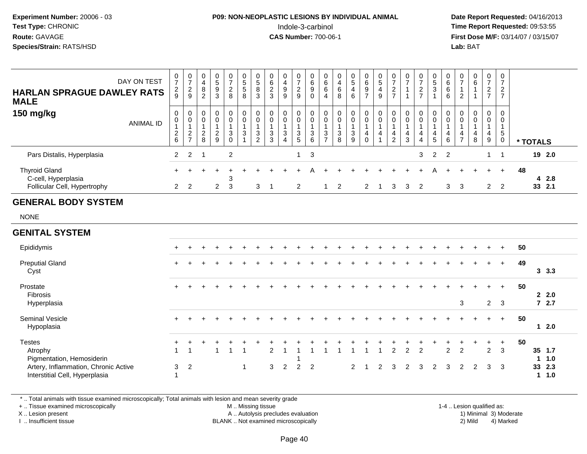#### **P09: NON-NEOPLASTIC LESIONS BY INDIVIDUAL ANIMAL**Indole-3-carbinol **Time Report Requested:** 09:53:55

 **Date Report Requested:** 04/16/2013 **First Dose M/F:** 03/14/07 / 03/15/07<br>**Lab:** BAT **Lab:** BAT

| <b>HARLAN SPRAGUE DAWLEY RATS</b><br><b>MALE</b>                            | DAY ON TEST      | $\overline{ }$<br>$\frac{2}{9}$         | 0<br>$\overline{ }$<br>$\frac{2}{9}$      | 0<br>$\overline{4}$<br>8<br>$\overline{2}$ | $\mathbf 0$<br>$\sqrt{5}$<br>$\boldsymbol{9}$<br>$\mathbf{3}$ | 0<br>$\overline{ }$<br>$\frac{2}{8}$ | $\mathbf 0$<br>5<br>$5\phantom{.0}$<br>8 | 0<br>5<br>8<br>$\mathfrak{S}$         | 0<br>6<br>$\frac{2}{3}$    | 0<br>$\overline{\mathbf{4}}$<br>9<br>9           | 0<br>$\overline{ }$<br>$\frac{2}{9}$ | $\mathbf 0$<br>$\,6$<br>9<br>$\mathbf 0$ | 0<br>$\,6\,$<br>6<br>$\overline{4}$ | 0<br>$\overline{\mathbf{4}}$<br>6<br>8 | 0<br>$\sqrt{5}$<br>$\overline{4}$<br>$6\phantom{1}$  | 0<br>6<br>9<br>$\overline{ }$ | $5\overline{)}$<br>4<br>9 | $\mathbf{0}$<br>$\overline{ }$<br>$\frac{2}{7}$ | 0<br>$\rightarrow$       | 0<br>$\overline{z}$<br>$\overline{2}$<br>$\overline{z}$ | 0<br>5<br>3                 | $6\phantom{1}$<br>$6\phantom{1}$<br>6 | 0<br>$\rightarrow$<br>っ<br>∠  | 0<br>6                   | $\overline{0}$<br>$\overline{z}$<br>$\overline{c}$<br>$\overline{ }$ | 0<br>$\overline{ }$<br>$\overline{2}$<br>$\overline{ }$ |    |          |                  |  |
|-----------------------------------------------------------------------------|------------------|-----------------------------------------|-------------------------------------------|--------------------------------------------|---------------------------------------------------------------|--------------------------------------|------------------------------------------|---------------------------------------|----------------------------|--------------------------------------------------|--------------------------------------|------------------------------------------|-------------------------------------|----------------------------------------|------------------------------------------------------|-------------------------------|---------------------------|-------------------------------------------------|--------------------------|---------------------------------------------------------|-----------------------------|---------------------------------------|-------------------------------|--------------------------|----------------------------------------------------------------------|---------------------------------------------------------|----|----------|------------------|--|
| 150 mg/kg                                                                   | <b>ANIMAL ID</b> | 0<br>$\mathbf 0$<br>$\overline{2}$<br>6 | 0<br>0<br>$\overline{2}$<br>$\rightarrow$ | 0<br>0<br>$\overline{c}$<br>8              | $\mathbf 0$<br>$\pmb{0}$<br>$\overline{2}$<br>$\overline{9}$  | 0<br>0<br>3<br>0                     | $\mathbf 0$<br>$\mathbf 0$<br>3          | 0<br>$\pmb{0}$<br>3<br>$\overline{2}$ | 0<br>$\mathbf 0$<br>3<br>3 | 0<br>$\mathbf 0$<br>$\sqrt{3}$<br>$\overline{4}$ | 0<br>0<br>3<br>5                     | $\mathbf 0$<br>$\mathbf 0$<br>3<br>6     | 0<br>0<br>3<br>$\rightarrow$        | 0<br>0<br>$\mathbf{3}$<br>8            | $\mathbf 0$<br>$\boldsymbol{0}$<br>$\mathbf{3}$<br>9 | 0<br>0<br>4<br>$\mathbf 0$    | 0<br>$\mathbf 0$<br>4     | 0<br>$\mathbf 0$<br>4<br>$\overline{2}$         | 0<br>$\pmb{0}$<br>4<br>3 | 0<br>$\pmb{0}$<br>4<br>$\overline{4}$                   | $\mathbf{0}$<br>0<br>4<br>5 | 0<br>$\mathbf 0$<br>4<br>6            | 0<br>0<br>4<br>$\overline{ }$ | 0<br>$\pmb{0}$<br>4<br>8 | 0<br>$\mathbf 0$<br>$\overline{4}$<br>9                              | $\overline{0}$<br>$\mathbf 0$<br>5<br>0                 |    | * TOTALS |                  |  |
| Pars Distalis, Hyperplasia                                                  |                  | 2                                       | 2                                         |                                            |                                                               | $\overline{2}$                       |                                          |                                       |                            |                                                  |                                      | 3                                        |                                     |                                        |                                                      |                               |                           |                                                 |                          | 3                                                       | $2 \quad 2$                 |                                       |                               |                          | 1                                                                    |                                                         |    |          | 19 2.0           |  |
| <b>Thyroid Gland</b><br>C-cell, Hyperplasia<br>Follicular Cell, Hypertrophy |                  | 2                                       | 2                                         |                                            | 2                                                             | 3<br>3                               |                                          | 3                                     |                            |                                                  | 2                                    |                                          |                                     | 2                                      |                                                      |                               |                           | 3                                               | 3                        | 2                                                       |                             | 3                                     | 3                             |                          | $\mathbf{2}$                                                         | $\pm$<br>2                                              | 48 |          | 4 2.8<br>33, 2.1 |  |

#### **GENERAL BODY SYSTEM**

NONE

#### **GENITAL SYSTEM**Epididymis <sup>+</sup> <sup>+</sup> <sup>+</sup> <sup>+</sup> <sup>+</sup> <sup>+</sup> <sup>+</sup> <sup>+</sup> <sup>+</sup> <sup>+</sup> <sup>+</sup> <sup>+</sup> <sup>+</sup> <sup>+</sup> <sup>+</sup> <sup>+</sup> <sup>+</sup> <sup>+</sup> <sup>+</sup> <sup>+</sup> <sup>+</sup> <sup>+</sup> <sup>+</sup> <sup>+</sup> <sup>+</sup> **<sup>50</sup>** Preputial Glandd  $+$  <sup>+</sup> <sup>+</sup> <sup>+</sup> <sup>+</sup> <sup>+</sup> <sup>+</sup> <sup>+</sup> <sup>+</sup> <sup>+</sup> <sup>+</sup> <sup>+</sup> <sup>+</sup> <sup>+</sup> <sup>+</sup> <sup>+</sup> <sup>+</sup> <sup>+</sup> <sup>+</sup> <sup>+</sup> <sup>+</sup> <sup>+</sup> <sup>+</sup> <sup>+</sup> <sup>+</sup> **<sup>49</sup>** Cyst **3 3.3**Prostate <sup>+</sup> <sup>+</sup> <sup>+</sup> <sup>+</sup> <sup>+</sup> <sup>+</sup> <sup>+</sup> <sup>+</sup> <sup>+</sup> <sup>+</sup> <sup>+</sup> <sup>+</sup> <sup>+</sup> <sup>+</sup> <sup>+</sup> <sup>+</sup> <sup>+</sup> <sup>+</sup> <sup>+</sup> <sup>+</sup> <sup>+</sup> <sup>+</sup> <sup>+</sup> <sup>+</sup> <sup>+</sup> **<sup>50</sup>** Fibrosis **2 2.0** $72.7$ Hyperplasia <sup>3</sup> <sup>2</sup> <sup>3</sup> **7 2.7** Seminal Vesicle $e$  + <sup>+</sup> <sup>+</sup> <sup>+</sup> <sup>+</sup> <sup>+</sup> <sup>+</sup> <sup>+</sup> <sup>+</sup> <sup>+</sup> <sup>+</sup> <sup>+</sup> <sup>+</sup> <sup>+</sup> <sup>+</sup> <sup>+</sup> <sup>+</sup> <sup>+</sup> <sup>+</sup> <sup>+</sup> <sup>+</sup> <sup>+</sup> <sup>+</sup> <sup>+</sup> <sup>+</sup> **<sup>50</sup>** Hypoplasia **1 2.0Testes**  $\mathsf{S}$  <sup>+</sup> <sup>+</sup> <sup>+</sup> <sup>+</sup> <sup>+</sup> <sup>+</sup> <sup>+</sup> <sup>+</sup> <sup>+</sup> <sup>+</sup> <sup>+</sup> <sup>+</sup> <sup>+</sup> <sup>+</sup> <sup>+</sup> <sup>+</sup> <sup>+</sup> <sup>+</sup> <sup>+</sup> <sup>+</sup> <sup>+</sup> <sup>+</sup> <sup>+</sup> <sup>+</sup> **<sup>50</sup>** Atrophy $\mathsf y$  and  $\mathsf 1$  <sup>1</sup> <sup>1</sup> <sup>1</sup> <sup>1</sup> <sup>2</sup> <sup>1</sup> <sup>1</sup> <sup>1</sup> <sup>1</sup> <sup>1</sup> <sup>1</sup> <sup>1</sup> <sup>1</sup> <sup>2</sup> <sup>2</sup> <sup>2</sup> <sup>2</sup> <sup>2</sup> <sup>2</sup> <sup>3</sup> **35 1.7** Pigmentation, Hemosiderin <sup>1</sup> **1 1.0** Artery, Inflammation, Chronic Active <sup>3</sup> <sup>2</sup> <sup>1</sup> <sup>3</sup> <sup>2</sup> <sup>2</sup> <sup>2</sup> <sup>2</sup> <sup>1</sup> <sup>2</sup> <sup>3</sup> <sup>2</sup> <sup>3</sup> <sup>2</sup> <sup>3</sup> <sup>2</sup> <sup>2</sup> <sup>3</sup> <sup>3</sup> **33 2.3** Interstitial Cell, Hyperplasiaa 11.0

\* .. Total animals with tissue examined microscopically; Total animals with lesion and mean severity grade

+ .. Tissue examined microscopically

X .. Lesion present

I .. Insufficient tissue

 M .. Missing tissueA .. Autolysis precludes evaluation

 1-4 .. Lesion qualified as: BLANK .. Not examined microscopically 2) Mild 4) Marked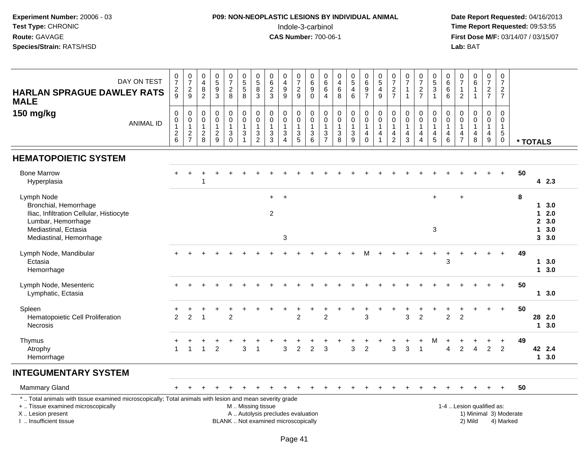#### **P09: NON-NEOPLASTIC LESIONS BY INDIVIDUAL ANIMAL**Indole-3-carbinol **Time Report Requested:** 09:53:55

 **Date Report Requested:** 04/16/2013 **First Dose M/F:** 03/14/07 / 03/15/07<br>**Lab:** BAT

| DAY ON TEST<br><b>HARLAN SPRAGUE DAWLEY RATS</b><br><b>MALE</b>                                                                                                     | $\frac{0}{7}$<br>$\frac{2}{9}$                                            | $\begin{array}{c} 0 \\ 7 \end{array}$<br>$\frac{2}{9}$ | 0<br>$\overline{\mathbf{4}}$<br>$\bf 8$<br>$\overline{2}$ | $\begin{array}{c} 0 \\ 5 \end{array}$<br>$\overline{9}$<br>$\mathfrak{Z}$ | $\frac{0}{7}$<br>$\frac{2}{8}$                                     | $\begin{array}{c} 0 \\ 5 \\ 5 \end{array}$<br>8                      | $\begin{array}{c} 0 \\ 5 \\ 8 \end{array}$<br>$\mathbf{3}$  | $\mathbf 0$<br>$\overline{6}$<br>$\overline{2}$<br>$\mathbf{3}$          | $\pmb{0}$<br>$\overline{4}$<br>$\boldsymbol{9}$<br>9                       | $\frac{0}{7}$<br>$\frac{2}{9}$                     | $\begin{array}{c} 0 \\ 6 \\ 9 \end{array}$                         | $\mathsf 0$<br>$\overline{6}$<br>$6\phantom{a}$<br>$\overline{4}$               | $\pmb{0}$<br>$\frac{4}{6}$<br>$\,8\,$              | 0,5,4,6                                                                  | $\begin{array}{c} 0 \\ 6 \end{array}$<br>$\frac{9}{7}$ | $0$<br>$5$<br>$4$<br>$9$                                  | $\frac{0}{7}$<br>$\frac{2}{7}$                                     | $\begin{array}{c} 0 \\ 7 \end{array}$<br>$\overline{1}$ | $\begin{array}{c} 0 \\ 7 \end{array}$<br>$\frac{2}{7}$                                      | $\begin{smallmatrix}0\0\5\end{smallmatrix}$<br>$\overline{3}$<br>$\mathbf{1}$ | 0<br>$\overline{6}$<br>$\overline{6}$<br>$\,6\,$                               | $\begin{array}{c} 0 \\ 7 \end{array}$<br>$\mathbf{1}$<br>$\sqrt{2}$ | $_{6}^{\rm 0}$<br>$\mathbf{1}$<br>$\mathbf{1}$   | $\frac{0}{7}$<br>$\frac{2}{7}$                                                 | $\begin{array}{c} 0 \\ 7 \end{array}$<br>$\frac{2}{7}$                                    |                        |                   |                                        |
|---------------------------------------------------------------------------------------------------------------------------------------------------------------------|---------------------------------------------------------------------------|--------------------------------------------------------|-----------------------------------------------------------|---------------------------------------------------------------------------|--------------------------------------------------------------------|----------------------------------------------------------------------|-------------------------------------------------------------|--------------------------------------------------------------------------|----------------------------------------------------------------------------|----------------------------------------------------|--------------------------------------------------------------------|---------------------------------------------------------------------------------|----------------------------------------------------|--------------------------------------------------------------------------|--------------------------------------------------------|-----------------------------------------------------------|--------------------------------------------------------------------|---------------------------------------------------------|---------------------------------------------------------------------------------------------|-------------------------------------------------------------------------------|--------------------------------------------------------------------------------|---------------------------------------------------------------------|--------------------------------------------------|--------------------------------------------------------------------------------|-------------------------------------------------------------------------------------------|------------------------|-------------------|----------------------------------------|
| 150 mg/kg<br><b>ANIMAL ID</b>                                                                                                                                       | 0<br>$\pmb{0}$<br>$\overline{1}$<br>$\begin{array}{c} 2 \\ 6 \end{array}$ | $\mathbf 0$<br>$\overline{0}$<br>$\frac{2}{7}$         | 0<br>$\pmb{0}$<br>1<br>$\overline{c}$<br>8                | $\pmb{0}$<br>$\pmb{0}$<br>$\mathbf{1}$<br>$\frac{2}{9}$                   | $\pmb{0}$<br>$\pmb{0}$<br>$\mathbf{1}$<br>$\mathbf{3}$<br>$\Omega$ | $\mathbf 0$<br>$\mathsf{O}\xspace$<br>$\overline{1}$<br>$\mathbf{3}$ | $\mathbf 0$<br>$\pmb{0}$<br>$\overline{1}$<br>$\frac{3}{2}$ | $\mathbf 0$<br>$\pmb{0}$<br>$\mathbf{1}$<br>$\mathbf{3}$<br>$\mathbf{3}$ | $\mathsf 0$<br>$\pmb{0}$<br>$\mathbf{1}$<br>$\ensuremath{\mathsf{3}}$<br>4 | 0<br>$\mathsf{O}\xspace$<br>$\mathbf{1}$<br>3<br>5 | $_{\rm 0}^{\rm 0}$<br>$\mathbf{1}$<br>$\sqrt{3}$<br>$6\phantom{1}$ | 0<br>$\mathbf 0$<br>$\mathbf{1}$<br>$\ensuremath{\mathsf{3}}$<br>$\overline{7}$ | $\pmb{0}$<br>$\pmb{0}$<br>$\overline{1}$<br>$_8^3$ | $\mathsf 0$<br>$\pmb{0}$<br>$\mathbf{1}$<br>$\sqrt{3}$<br>$\overline{9}$ | 0<br>$\pmb{0}$<br>1<br>4<br>$\Omega$                   | $_{\rm 0}^{\rm 0}$<br>$\mathbf{1}$<br>4<br>$\overline{1}$ | 0<br>$\pmb{0}$<br>$\mathbf{1}$<br>$\overline{4}$<br>$\overline{2}$ | 0<br>$\pmb{0}$<br>1<br>$\overline{4}$<br>3              | $\boldsymbol{0}$<br>$\mathsf 0$<br>$\mathbf{1}$<br>$\overline{4}$<br>$\boldsymbol{\Lambda}$ | 0<br>$\mathbf 0$<br>$\mathbf{1}$<br>4<br>5                                    | $\mathbf 0$<br>$\mathbf 0$<br>$\mathbf{1}$<br>$\overline{a}$<br>$6\phantom{1}$ | 0<br>$\Omega$<br>$\mathbf{1}$<br>4<br>$\overline{7}$                | $\pmb{0}$<br>$\pmb{0}$<br>$\mathbf{1}$<br>4<br>8 | $\mathbf 0$<br>$\pmb{0}$<br>$\mathbf{1}$<br>$\overline{4}$<br>$\boldsymbol{9}$ | $\mathsf{O}\xspace$<br>$\mathbf 0$<br>$\overline{1}$<br>$\sqrt{5}$<br>$\mathsf{O}\xspace$ |                        | * TOTALS          |                                        |
| <b>HEMATOPOIETIC SYSTEM</b>                                                                                                                                         |                                                                           |                                                        |                                                           |                                                                           |                                                                    |                                                                      |                                                             |                                                                          |                                                                            |                                                    |                                                                    |                                                                                 |                                                    |                                                                          |                                                        |                                                           |                                                                    |                                                         |                                                                                             |                                                                               |                                                                                |                                                                     |                                                  |                                                                                |                                                                                           |                        |                   |                                        |
| <b>Bone Marrow</b><br>Hyperplasia                                                                                                                                   |                                                                           |                                                        | -1                                                        |                                                                           |                                                                    |                                                                      |                                                             |                                                                          |                                                                            |                                                    |                                                                    |                                                                                 |                                                    |                                                                          |                                                        |                                                           |                                                                    |                                                         |                                                                                             |                                                                               |                                                                                |                                                                     |                                                  |                                                                                | $+$                                                                                       | 50                     |                   | 42.3                                   |
| Lymph Node<br>Bronchial, Hemorrhage<br>Iliac, Infiltration Cellular, Histiocyte<br>Lumbar, Hemorrhage<br>Mediastinal, Ectasia<br>Mediastinal, Hemorrhage            |                                                                           |                                                        |                                                           |                                                                           |                                                                    |                                                                      |                                                             | $+$<br>$\overline{2}$                                                    | $\ddot{}$<br>3                                                             |                                                    |                                                                    |                                                                                 |                                                    |                                                                          |                                                        |                                                           |                                                                    |                                                         |                                                                                             | $+$<br>3                                                                      |                                                                                | $\ddot{}$                                                           |                                                  |                                                                                |                                                                                           | 8                      | $\mathbf{1}$<br>1 | 13.0<br>2.0<br>2, 3.0<br>3.0<br>3, 3.0 |
| Lymph Node, Mandibular<br>Ectasia<br>Hemorrhage                                                                                                                     |                                                                           |                                                        |                                                           |                                                                           |                                                                    |                                                                      |                                                             |                                                                          |                                                                            |                                                    |                                                                    |                                                                                 |                                                    |                                                                          | м                                                      |                                                           |                                                                    |                                                         |                                                                                             | $\ddot{}$                                                                     | ÷<br>3                                                                         | $\div$                                                              |                                                  | $\div$                                                                         | $\ddot{}$                                                                                 | 49                     | 1                 | 3.0<br>13.0                            |
| Lymph Node, Mesenteric<br>Lymphatic, Ectasia                                                                                                                        | $\ddot{}$                                                                 |                                                        |                                                           |                                                                           |                                                                    |                                                                      |                                                             |                                                                          |                                                                            |                                                    |                                                                    |                                                                                 |                                                    |                                                                          |                                                        |                                                           |                                                                    |                                                         |                                                                                             |                                                                               |                                                                                |                                                                     |                                                  |                                                                                | $+$                                                                                       | 50                     |                   | 13.0                                   |
| Spleen<br>Hematopoietic Cell Proliferation<br>Necrosis                                                                                                              | 2                                                                         | $\overline{2}$                                         | $\overline{1}$                                            |                                                                           | $\overline{2}$                                                     |                                                                      |                                                             |                                                                          |                                                                            | $\ddot{}$<br>$\overline{2}$                        | +                                                                  | $\ddot{}$<br>$\overline{2}$                                                     |                                                    |                                                                          | $\ddot{}$<br>3                                         |                                                           | $\ddot{}$                                                          | 3                                                       | $\overline{2}$                                                                              |                                                                               | $\overline{2}$                                                                 | $\overline{2}$                                                      |                                                  | $\ddot{}$                                                                      | $+$                                                                                       | 50                     | 28                | 2.0<br>$1 \quad 3.0$                   |
| Thymus<br>Atrophy<br>Hemorrhage                                                                                                                                     | $\mathbf{1}$                                                              | $\mathbf{1}$                                           |                                                           | $\overline{2}$                                                            |                                                                    | 3                                                                    | -1                                                          |                                                                          | 3                                                                          | $\overline{c}$                                     | 2                                                                  | 3                                                                               |                                                    | 3                                                                        | $\overline{2}$                                         |                                                           | 3                                                                  | 3                                                       | 1                                                                                           | м                                                                             | Δ                                                                              | $\overline{2}$                                                      | $\Delta$                                         | 2                                                                              | $\overline{2}$                                                                            | 49                     |                   | 42 2.4<br>$1 \quad 3.0$                |
| <b>INTEGUMENTARY SYSTEM</b>                                                                                                                                         |                                                                           |                                                        |                                                           |                                                                           |                                                                    |                                                                      |                                                             |                                                                          |                                                                            |                                                    |                                                                    |                                                                                 |                                                    |                                                                          |                                                        |                                                           |                                                                    |                                                         |                                                                                             |                                                                               |                                                                                |                                                                     |                                                  |                                                                                |                                                                                           |                        |                   |                                        |
| <b>Mammary Gland</b>                                                                                                                                                |                                                                           |                                                        |                                                           |                                                                           |                                                                    |                                                                      |                                                             |                                                                          |                                                                            |                                                    |                                                                    |                                                                                 |                                                    |                                                                          |                                                        |                                                           |                                                                    |                                                         |                                                                                             |                                                                               |                                                                                |                                                                     |                                                  |                                                                                | $\ddot{}$                                                                                 | 50                     |                   |                                        |
| *  Total animals with tissue examined microscopically; Total animals with lesion and mean severity grade<br>+  Tissue examined microscopically<br>X  Lesion present |                                                                           |                                                        |                                                           |                                                                           |                                                                    | M  Missing tissue                                                    |                                                             | A  Autolysis precludes evaluation                                        |                                                                            |                                                    |                                                                    |                                                                                 |                                                    |                                                                          |                                                        |                                                           |                                                                    |                                                         |                                                                                             |                                                                               |                                                                                |                                                                     | 1-4  Lesion qualified as:                        |                                                                                |                                                                                           | 1) Minimal 3) Moderate |                   |                                        |

I .. Insufficient tissue

BLANK .. Not examined microscopically 2) Mild 4) Marked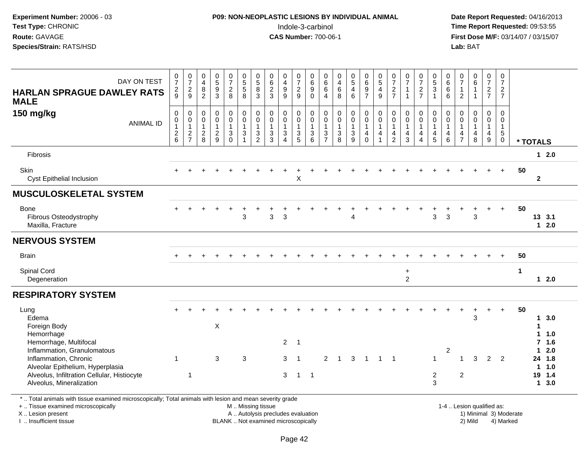### **P09: NON-NEOPLASTIC LESIONS BY INDIVIDUAL ANIMAL**Indole-3-carbinol **Time Report Requested:** 09:53:55

 **Date Report Requested:** 04/16/2013 **First Dose M/F:** 03/14/07 / 03/15/07<br>**Lab: BAT** 

| $\frac{0}{7}$<br>$\frac{2}{9}$                                | $\begin{smallmatrix}0\\7\end{smallmatrix}$<br>$\frac{2}{9}$      | $\begin{smallmatrix}0\0\4\end{smallmatrix}$<br>$\,8\,$<br>$\overline{2}$ | $\begin{array}{c} 0 \\ 5 \\ 9 \end{array}$<br>$\overline{3}$ | $\frac{0}{7}$<br>$\frac{2}{8}$                    | $\begin{array}{c} 0 \\ 5 \\ 5 \end{array}$<br>$\overline{8}$                                 | $\begin{array}{c} 0 \\ 5 \\ 8 \end{array}$<br>$\mathbf{3}$                           | $\begin{array}{c} 0 \\ 6 \end{array}$<br>$\overline{2}$<br>$\overline{3}$    | 0<br>$\overline{4}$<br>9<br>$\overline{9}$                        | $\frac{0}{7}$<br>$\frac{2}{9}$                                | $\begin{array}{c} 0 \\ 6 \end{array}$<br>$\overline{9}$<br>0 | $\begin{matrix} 0 \\ 6 \\ 6 \end{matrix}$<br>$\overline{4}$                     | $\begin{array}{c} 0 \\ 4 \\ 6 \end{array}$<br>$\overline{8}$ | $\begin{array}{c} 0 \\ 5 \\ 4 \end{array}$<br>$\overline{6}$             | 0697                                                                              | $\begin{array}{c} 0 \\ 5 \end{array}$<br>$\overline{\mathbf{4}}$<br>9 | $\frac{0}{7}$<br>$\frac{2}{7}$                                                          | $\frac{0}{7}$<br>$\mathbf{1}$<br>$\mathbf{1}$                      | $\frac{0}{7}$<br>$\frac{2}{7}$                                                        | 0,5,3,1                                                           | $\begin{matrix} 0 \\ 6 \\ 6 \end{matrix}$<br>$\overline{6}$                           | $\frac{0}{7}$<br>$\mathbf{1}$<br>$\overline{2}$                                         | $\begin{array}{c} 0 \\ 6 \end{array}$<br>$\overline{1}$<br>$\mathbf{1}$   | $\mathbf 0$<br>$\overline{7}$<br>$\frac{2}{7}$                             | $\mathbf 0$<br>$\overline{7}$<br>$\frac{2}{7}$                 |                      |                                                        |                                        |
|---------------------------------------------------------------|------------------------------------------------------------------|--------------------------------------------------------------------------|--------------------------------------------------------------|---------------------------------------------------|----------------------------------------------------------------------------------------------|--------------------------------------------------------------------------------------|------------------------------------------------------------------------------|-------------------------------------------------------------------|---------------------------------------------------------------|--------------------------------------------------------------|---------------------------------------------------------------------------------|--------------------------------------------------------------|--------------------------------------------------------------------------|-----------------------------------------------------------------------------------|-----------------------------------------------------------------------|-----------------------------------------------------------------------------------------|--------------------------------------------------------------------|---------------------------------------------------------------------------------------|-------------------------------------------------------------------|---------------------------------------------------------------------------------------|-----------------------------------------------------------------------------------------|---------------------------------------------------------------------------|----------------------------------------------------------------------------|----------------------------------------------------------------|----------------------|--------------------------------------------------------|----------------------------------------|
| $\mathbf 0$<br>$\mathbf 0$<br>$\mathbf{1}$<br>$\sqrt{2}$<br>6 | 0<br>$\mathbf 0$<br>$\mathbf{1}$<br>$\sqrt{2}$<br>$\overline{7}$ | $\pmb{0}$<br>$\mathbf 0$<br>$\mathbf{1}$<br>$\sqrt{2}$<br>8              | $\pmb{0}$<br>$\mathbf 0$<br>$\mathbf{1}$<br>$\frac{2}{9}$    | 0<br>$\mathbf 0$<br>$\mathbf{1}$<br>3<br>$\Omega$ | $\begin{smallmatrix} 0\\0 \end{smallmatrix}$<br>$\mathbf{1}$<br>$\sqrt{3}$<br>$\overline{1}$ | $\mathsf{O}\xspace$<br>$\mathbf 0$<br>$\mathbf{1}$<br>$\mathbf{3}$<br>$\overline{2}$ | $\mathbf 0$<br>$\mathbf 0$<br>$\mathbf{1}$<br>$\ensuremath{\mathsf{3}}$<br>3 | $\mathbf 0$<br>$\mathbf 0$<br>$\mathbf{1}$<br>3<br>$\overline{4}$ | $\pmb{0}$<br>$\mathbf 0$<br>$\mathbf{1}$<br>$\mathbf{3}$<br>5 | $\mathbf 0$<br>$\mathbf 0$<br>$\mathbf{1}$<br>3<br>6         | 0<br>$\mathbf 0$<br>$\mathbf{1}$<br>$\ensuremath{\mathsf{3}}$<br>$\overline{7}$ | $_{\rm 0}^{\rm 0}$<br>$\mathbf{1}$<br>$_{8}^{3}$             | $\pmb{0}$<br>$\pmb{0}$<br>$\mathbf{1}$<br>$\ensuremath{\mathsf{3}}$<br>9 | $\pmb{0}$<br>$\mathsf{O}\xspace$<br>$\mathbf{1}$<br>$\overline{4}$<br>$\mathbf 0$ | 0<br>$\mathbf 0$<br>$\mathbf{1}$<br>4<br>1                            | $\mathbf 0$<br>$\mathbf 0$<br>$\mathbf{1}$<br>$\overline{\mathbf{4}}$<br>$\overline{2}$ | $\mathbf 0$<br>$\mathbf{0}$<br>$\mathbf{1}$<br>$\overline{4}$<br>3 | $\pmb{0}$<br>$\mathbf 0$<br>$\mathbf{1}$<br>$\overline{\mathbf{4}}$<br>$\overline{4}$ | $\mathbf 0$<br>$\mathbf 0$<br>$\mathbf{1}$<br>$\overline{4}$<br>5 | $\mathbf 0$<br>$\mathbf 0$<br>$\overline{1}$<br>$\begin{array}{c} 4 \\ 6 \end{array}$ | $\mathbf 0$<br>$\mathbf 0$<br>$\mathbf{1}$<br>$\overline{\mathbf{4}}$<br>$\overline{7}$ | 0<br>$\mathbf 0$<br>$\mathbf{1}$<br>$\begin{array}{c} 4 \\ 8 \end{array}$ | $\mathbf 0$<br>$\mathbf 0$<br>$\mathbf{1}$<br>$\overline{\mathbf{4}}$<br>9 | $\mathbf 0$<br>$\mathbf 0$<br>$\mathbf{1}$<br>5<br>$\mathbf 0$ |                      |                                                        |                                        |
|                                                               |                                                                  |                                                                          |                                                              |                                                   |                                                                                              |                                                                                      |                                                                              |                                                                   |                                                               |                                                              |                                                                                 |                                                              |                                                                          |                                                                                   |                                                                       |                                                                                         |                                                                    |                                                                                       |                                                                   |                                                                                       |                                                                                         |                                                                           |                                                                            |                                                                |                      | $12.0$                                                 |                                        |
|                                                               |                                                                  |                                                                          |                                                              |                                                   |                                                                                              |                                                                                      |                                                                              |                                                                   | X                                                             |                                                              |                                                                                 |                                                              |                                                                          |                                                                                   |                                                                       |                                                                                         |                                                                    |                                                                                       |                                                                   |                                                                                       |                                                                                         |                                                                           |                                                                            | $+$                                                            | 50                   | $\mathbf{2}$                                           |                                        |
|                                                               |                                                                  |                                                                          |                                                              |                                                   |                                                                                              |                                                                                      |                                                                              |                                                                   |                                                               |                                                              |                                                                                 |                                                              |                                                                          |                                                                                   |                                                                       |                                                                                         |                                                                    |                                                                                       |                                                                   |                                                                                       |                                                                                         |                                                                           |                                                                            |                                                                |                      |                                                        |                                        |
|                                                               |                                                                  |                                                                          |                                                              |                                                   | 3                                                                                            |                                                                                      | 3                                                                            | $\mathsf 3$                                                       |                                                               |                                                              |                                                                                 |                                                              | 4                                                                        |                                                                                   |                                                                       |                                                                                         |                                                                    |                                                                                       | $\mathbf{3}$                                                      | $\sqrt{3}$                                                                            |                                                                                         | 3                                                                         |                                                                            | $\ddot{}$                                                      | 50                   | $1 \quad 2.0$                                          |                                        |
|                                                               |                                                                  |                                                                          |                                                              |                                                   |                                                                                              |                                                                                      |                                                                              |                                                                   |                                                               |                                                              |                                                                                 |                                                              |                                                                          |                                                                                   |                                                                       |                                                                                         |                                                                    |                                                                                       |                                                                   |                                                                                       |                                                                                         |                                                                           |                                                                            |                                                                |                      |                                                        |                                        |
|                                                               |                                                                  |                                                                          |                                                              |                                                   |                                                                                              |                                                                                      |                                                                              |                                                                   |                                                               |                                                              |                                                                                 |                                                              |                                                                          |                                                                                   |                                                                       |                                                                                         |                                                                    |                                                                                       |                                                                   |                                                                                       |                                                                                         |                                                                           |                                                                            | $+$                                                            | 50                   |                                                        |                                        |
|                                                               |                                                                  |                                                                          |                                                              |                                                   |                                                                                              |                                                                                      |                                                                              |                                                                   |                                                               |                                                              |                                                                                 |                                                              |                                                                          |                                                                                   |                                                                       |                                                                                         | $\ddot{}$<br>$\overline{2}$                                        |                                                                                       |                                                                   |                                                                                       |                                                                                         |                                                                           |                                                                            |                                                                | $\blacktriangleleft$ | $12.0$                                                 |                                        |
|                                                               |                                                                  |                                                                          |                                                              |                                                   |                                                                                              |                                                                                      |                                                                              |                                                                   |                                                               |                                                              |                                                                                 |                                                              |                                                                          |                                                                                   |                                                                       |                                                                                         |                                                                    |                                                                                       |                                                                   |                                                                                       |                                                                                         |                                                                           |                                                                            |                                                                |                      |                                                        |                                        |
| $\mathbf{1}$                                                  |                                                                  |                                                                          | X<br>$\mathbf{3}$                                            |                                                   | 3                                                                                            |                                                                                      |                                                                              | $\overline{2}$<br>3                                               | $\overline{1}$<br>-1                                          |                                                              | $\overline{2}$                                                                  | $\overline{1}$                                               | 3                                                                        | $\overline{1}$                                                                    |                                                                       |                                                                                         |                                                                    |                                                                                       | $\overline{1}$                                                    | $\overline{c}$                                                                        | $\overline{1}$                                                                          | 3<br>3                                                                    | $\overline{2}$                                                             | $\overline{2}$                                                 | 50                   | 3.0<br>1.<br>1<br>1.0<br>1.<br>1.6<br>7<br>2.0<br>11.0 |                                        |
|                                                               |                                                                  |                                                                          |                                                              |                                                   |                                                                                              |                                                                                      |                                                                              |                                                                   |                                                               |                                                              |                                                                                 |                                                              |                                                                          |                                                                                   |                                                                       |                                                                                         |                                                                    |                                                                                       | $\mathbf{3}$                                                      |                                                                                       |                                                                                         |                                                                           |                                                                            |                                                                |                      | 3.0<br>$\mathbf 1$                                     |                                        |
|                                                               |                                                                  | $\mathbf{1}$                                                             |                                                              |                                                   |                                                                                              |                                                                                      |                                                                              |                                                                   | 3                                                             | $\overline{1}$                                               | $\overline{1}$                                                                  |                                                              |                                                                          |                                                                                   |                                                                       |                                                                                         | $1 \quad 1$                                                        |                                                                                       |                                                                   | $\overline{c}$                                                                        |                                                                                         | 2                                                                         |                                                                            |                                                                |                      |                                                        | * TOTALS<br>13 3.1<br>24 1.8<br>19 1.4 |

\* .. Total animals with tissue examined microscopically; Total animals with lesion and mean severity grade

+ .. Tissue examined microscopically

X .. Lesion present

I .. Insufficient tissue

 M .. Missing tissueA .. Autolysis precludes evaluation

BLANK .. Not examined microscopically 2) Mild 4) Marked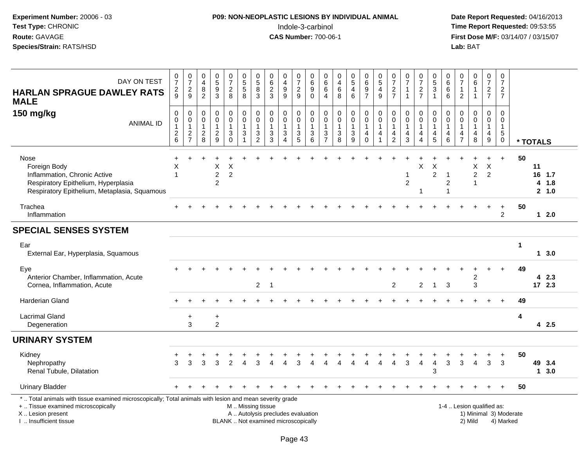## **P09: NON-NEOPLASTIC LESIONS BY INDIVIDUAL ANIMAL**Indole-3-carbinol **Time Report Requested:** 09:53:55

 **Date Report Requested:** 04/16/2013 **First Dose M/F:** 03/14/07 / 03/15/07<br>Lab: BAT

| DAY ON TEST<br><b>HARLAN SPRAGUE DAWLEY RATS</b><br><b>MALE</b>                                                                                                                              | 0<br>$\overline{7}$<br>$\overline{2}$<br>9        | $\frac{0}{7}$<br>$\overline{c}$<br>$\boldsymbol{9}$       | $\,0\,$<br>$\overline{\mathbf{4}}$<br>$\frac{8}{2}$                                         | $\begin{array}{c} 0 \\ 5 \\ 9 \end{array}$<br>$\overline{3}$ | $\frac{0}{7}$<br>$\overline{2}$<br>$\,8\,$                                           | $\begin{array}{c} 0 \\ 5 \end{array}$<br>$\,$ 5 $\,$<br>$\overline{8}$                | $\begin{smallmatrix}0\0\0\end{smallmatrix}$<br>8<br>3              | $\pmb{0}$<br>$6\phantom{a}$<br>$\overline{c}$<br>$\mathbf{3}$            | $\pmb{0}$<br>$\overline{4}$<br>$\boldsymbol{9}$<br>$\overline{9}$ | $\pmb{0}$<br>$\overline{7}$<br>$\frac{2}{9}$                | 0<br>6<br>9<br>$\mathbf 0$                                                   | 0<br>$\,6\,$<br>$\,6$<br>$\overline{4}$          | $\pmb{0}$<br>$\overline{4}$<br>$\,6$<br>$\overline{8}$                     | $\begin{array}{c} 0 \\ 5 \end{array}$<br>$\overline{4}$<br>6 | 0<br>$\,6\,$<br>$\frac{9}{7}$                                     | $\begin{array}{c} 0 \\ 5 \end{array}$<br>$\overline{\mathbf{4}}$<br>$\overline{9}$ | $\begin{array}{c} 0 \\ 7 \end{array}$<br>$\overline{2}$<br>$\overline{7}$ | 0<br>$\overline{7}$<br>1<br>$\mathbf{1}$                        | $\frac{0}{7}$<br>$\frac{2}{7}$                          | $\begin{array}{c} 0 \\ 5 \\ 3 \end{array}$<br>$\overline{1}$                    | $\pmb{0}$<br>6<br>$\,6$<br>$6\overline{6}$           | $\begin{smallmatrix}0\\7\end{smallmatrix}$<br>$\mathbf{1}$<br>$\overline{2}$ | $\pmb{0}$<br>$\,6\,$<br>$\mathbf{1}$<br>$\mathbf{1}$              | $\frac{0}{7}$<br>$\frac{2}{7}$                          | $\pmb{0}$<br>$\overline{7}$<br>$\overline{2}$<br>$\overline{7}$ |                        |          |                         |  |
|----------------------------------------------------------------------------------------------------------------------------------------------------------------------------------------------|---------------------------------------------------|-----------------------------------------------------------|---------------------------------------------------------------------------------------------|--------------------------------------------------------------|--------------------------------------------------------------------------------------|---------------------------------------------------------------------------------------|--------------------------------------------------------------------|--------------------------------------------------------------------------|-------------------------------------------------------------------|-------------------------------------------------------------|------------------------------------------------------------------------------|--------------------------------------------------|----------------------------------------------------------------------------|--------------------------------------------------------------|-------------------------------------------------------------------|------------------------------------------------------------------------------------|---------------------------------------------------------------------------|-----------------------------------------------------------------|---------------------------------------------------------|---------------------------------------------------------------------------------|------------------------------------------------------|------------------------------------------------------------------------------|-------------------------------------------------------------------|---------------------------------------------------------|-----------------------------------------------------------------|------------------------|----------|-------------------------|--|
| 150 mg/kg<br><b>ANIMAL ID</b>                                                                                                                                                                | $\mathbf 0$<br>0<br>$\mathbf{1}$<br>$\frac{2}{6}$ | $\mathbf 0$<br>$\pmb{0}$<br>$\mathbf{1}$<br>$\frac{2}{7}$ | $\mathsf{O}\xspace$<br>$\mathbf 0$<br>$\mathbf{1}$<br>$\begin{array}{c} 2 \\ 8 \end{array}$ | $\pmb{0}$<br>$\pmb{0}$<br>$\mathbf{1}$<br>$\frac{2}{9}$      | $\mathbf 0$<br>$\pmb{0}$<br>$\mathbf{1}$<br>$\ensuremath{\mathsf{3}}$<br>$\mathbf 0$ | $\pmb{0}$<br>$\pmb{0}$<br>$\mathbf{1}$<br>$\ensuremath{\mathsf{3}}$<br>$\overline{1}$ | 0<br>$\mathbf 0$<br>$\mathbf{1}$<br>$\ensuremath{\mathsf{3}}$<br>2 | $\mathbf 0$<br>$\mathbf 0$<br>$\mathbf{1}$<br>$\frac{3}{3}$              | 0<br>$\pmb{0}$<br>1<br>$\sqrt{3}$<br>$\Delta$                     | $\mathbf 0$<br>$\mathbf 0$<br>$\mathbf{1}$<br>$\frac{3}{5}$ | $\mathbf 0$<br>$\mathsf 0$<br>$\mathbf{1}$<br>$\ensuremath{\mathsf{3}}$<br>6 | $\mathbf 0$<br>$\mathbf 0$<br>1<br>$\frac{3}{7}$ | $\mathbf 0$<br>$\pmb{0}$<br>$\mathbf{1}$<br>$\ensuremath{\mathsf{3}}$<br>8 | $\pmb{0}$<br>$\mathsf 0$<br>$\mathbf{1}$<br>$\frac{3}{9}$    | 0<br>$\mathbf 0$<br>$\mathbf{1}$<br>$\overline{4}$<br>$\mathbf 0$ | $\pmb{0}$<br>$\pmb{0}$<br>$\mathbf{1}$<br>$\overline{4}$<br>$\overline{1}$         | 0<br>$\mathbf 0$<br>$\mathbf{1}$<br>4<br>$\overline{2}$                   | $\pmb{0}$<br>$\mathbf 0$<br>$\mathbf{1}$<br>$\overline{4}$<br>3 | 0<br>$\mathbf 0$<br>$\mathbf{1}$<br>4<br>$\overline{A}$ | $\pmb{0}$<br>$\pmb{0}$<br>$\mathbf{1}$<br>$\begin{array}{c} 4 \\ 5 \end{array}$ | $\mathbf 0$<br>$\mathsf 0$<br>$\mathbf{1}$<br>4<br>6 | 0<br>0<br>$\mathbf{1}$<br>4<br>$\overline{7}$                                | $\mathbf 0$<br>$\mathbf 0$<br>$\mathbf{1}$<br>$\overline{4}$<br>8 | $\mathbf 0$<br>0<br>$\mathbf{1}$<br>$\overline{4}$<br>9 | $\mathbf 0$<br>0<br>$\mathbf{1}$<br>$5\,$<br>0                  |                        | * TOTALS |                         |  |
| Nose<br>Foreign Body<br>Inflammation, Chronic Active<br>Respiratory Epithelium, Hyperplasia<br>Respiratory Epithelium, Metaplasia, Squamous                                                  | +<br>X<br>$\overline{\phantom{a}}$                |                                                           |                                                                                             | X<br>$\boldsymbol{2}$<br>$\overline{c}$                      | X<br>$\overline{c}$                                                                  |                                                                                       |                                                                    |                                                                          |                                                                   |                                                             |                                                                              |                                                  |                                                                            |                                                              |                                                                   |                                                                                    |                                                                           | 1<br>$\overline{c}$                                             | X<br>-1                                                 | X<br>$\overline{c}$                                                             | $\overline{1}$<br>$\sqrt{2}$<br>$\overline{1}$       |                                                                              | X<br>$\overline{c}$<br>$\mathbf{1}$                               | $\ddot{}$<br>X<br>$\overline{2}$                        | $+$                                                             | 50                     | 11<br>4  | 16 1.7<br>1.8<br>2, 1.0 |  |
| Trachea<br>Inflammation                                                                                                                                                                      |                                                   |                                                           |                                                                                             |                                                              |                                                                                      |                                                                                       |                                                                    |                                                                          |                                                                   |                                                             |                                                                              |                                                  |                                                                            |                                                              |                                                                   |                                                                                    |                                                                           |                                                                 |                                                         |                                                                                 |                                                      |                                                                              |                                                                   |                                                         | $\ddot{}$<br>$\overline{2}$                                     | 50                     |          | $12.0$                  |  |
| <b>SPECIAL SENSES SYSTEM</b>                                                                                                                                                                 |                                                   |                                                           |                                                                                             |                                                              |                                                                                      |                                                                                       |                                                                    |                                                                          |                                                                   |                                                             |                                                                              |                                                  |                                                                            |                                                              |                                                                   |                                                                                    |                                                                           |                                                                 |                                                         |                                                                                 |                                                      |                                                                              |                                                                   |                                                         |                                                                 |                        |          |                         |  |
| Ear<br>External Ear, Hyperplasia, Squamous                                                                                                                                                   |                                                   |                                                           |                                                                                             |                                                              |                                                                                      |                                                                                       |                                                                    |                                                                          |                                                                   |                                                             |                                                                              |                                                  |                                                                            |                                                              |                                                                   |                                                                                    |                                                                           |                                                                 |                                                         |                                                                                 |                                                      |                                                                              |                                                                   |                                                         |                                                                 | 1                      |          | 1, 3.0                  |  |
| Eye<br>Anterior Chamber, Inflammation, Acute<br>Cornea, Inflammation, Acute                                                                                                                  |                                                   |                                                           |                                                                                             |                                                              |                                                                                      |                                                                                       | $\overline{2}$                                                     |                                                                          |                                                                   |                                                             |                                                                              |                                                  |                                                                            |                                                              |                                                                   |                                                                                    | $\overline{c}$                                                            |                                                                 | $\overline{2}$                                          | $\overline{1}$                                                                  | 3                                                    |                                                                              | 2<br>3                                                            |                                                         |                                                                 | 49                     |          | 42.3<br>17 2.3          |  |
| <b>Harderian Gland</b>                                                                                                                                                                       |                                                   |                                                           |                                                                                             |                                                              |                                                                                      |                                                                                       |                                                                    |                                                                          |                                                                   |                                                             |                                                                              |                                                  |                                                                            |                                                              |                                                                   |                                                                                    |                                                                           |                                                                 |                                                         |                                                                                 |                                                      |                                                                              |                                                                   |                                                         | $\ddot{}$                                                       | 49                     |          |                         |  |
| <b>Lacrimal Gland</b><br>Degeneration                                                                                                                                                        |                                                   | $\ddot{}$<br>3                                            |                                                                                             | $\ddot{}$<br>$\overline{2}$                                  |                                                                                      |                                                                                       |                                                                    |                                                                          |                                                                   |                                                             |                                                                              |                                                  |                                                                            |                                                              |                                                                   |                                                                                    |                                                                           |                                                                 |                                                         |                                                                                 |                                                      |                                                                              |                                                                   |                                                         |                                                                 | 4                      |          | 42.5                    |  |
| <b>URINARY SYSTEM</b>                                                                                                                                                                        |                                                   |                                                           |                                                                                             |                                                              |                                                                                      |                                                                                       |                                                                    |                                                                          |                                                                   |                                                             |                                                                              |                                                  |                                                                            |                                                              |                                                                   |                                                                                    |                                                                           |                                                                 |                                                         |                                                                                 |                                                      |                                                                              |                                                                   |                                                         |                                                                 |                        |          |                         |  |
| Kidney<br>Nephropathy<br>Renal Tubule, Dilatation                                                                                                                                            | 3                                                 | 3                                                         | 3                                                                                           | 3                                                            | $\overline{2}$                                                                       |                                                                                       | 3                                                                  |                                                                          |                                                                   | 3                                                           |                                                                              |                                                  |                                                                            |                                                              |                                                                   |                                                                                    | Δ                                                                         | 3                                                               | 4                                                       | $\overline{4}$<br>3                                                             | 3                                                    | 3                                                                            | 4                                                                 | $\mathbf{3}$                                            | 3                                                               | 50                     |          | 49 3.4<br>$1 \quad 3.0$ |  |
| <b>Urinary Bladder</b>                                                                                                                                                                       |                                                   |                                                           |                                                                                             |                                                              |                                                                                      |                                                                                       |                                                                    |                                                                          |                                                                   |                                                             |                                                                              |                                                  |                                                                            |                                                              |                                                                   |                                                                                    |                                                                           |                                                                 |                                                         |                                                                                 |                                                      |                                                                              |                                                                   |                                                         | $+$                                                             | 50                     |          |                         |  |
| *  Total animals with tissue examined microscopically; Total animals with lesion and mean severity grade<br>+  Tissue examined microscopically<br>X Lesion present<br>I  Insufficient tissue |                                                   |                                                           |                                                                                             |                                                              |                                                                                      | M  Missing tissue                                                                     |                                                                    | A  Autolysis precludes evaluation<br>BLANK  Not examined microscopically |                                                                   |                                                             |                                                                              |                                                  |                                                                            |                                                              |                                                                   |                                                                                    |                                                                           |                                                                 |                                                         |                                                                                 |                                                      |                                                                              | 1-4  Lesion qualified as:<br>2) Mild                              |                                                         | 4) Marked                                                       | 1) Minimal 3) Moderate |          |                         |  |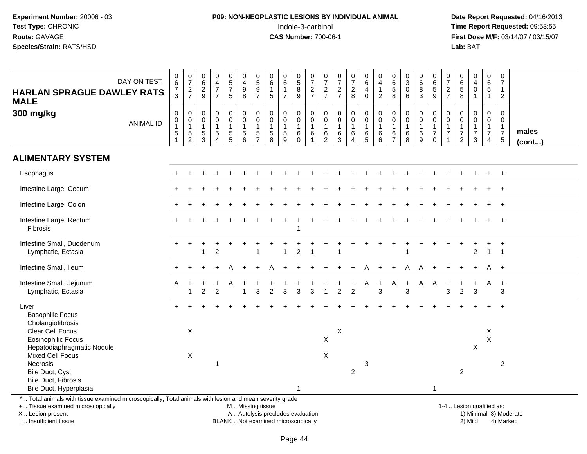### **P09: NON-NEOPLASTIC LESIONS BY INDIVIDUAL ANIMAL**Indole-3-carbinol **Time Report Requested:** 09:53:55

 **Date Report Requested:** 04/16/2013 **First Dose M/F:** 03/14/07 / 03/15/07<br>**Lab:** BAT

| <b>HARLAN SPRAGUE DAWLEY RATS</b><br><b>MALE</b>                                                                                                                         | DAY ON TEST      | $\begin{array}{c} 0 \\ 6 \end{array}$<br>$\overline{7}$<br>3 | $\frac{0}{7}$<br>$\frac{2}{7}$                             | $\begin{array}{c} 0 \\ 6 \end{array}$<br>$\overline{c}$<br>9 | $\begin{smallmatrix}0\\4\end{smallmatrix}$<br>$\overline{7}$<br>$\overline{7}$ | $\begin{array}{c} 0 \\ 5 \\ 7 \end{array}$<br>5 | $_4^{\rm O}$<br>$\boldsymbol{9}$<br>8                                                  | $\begin{matrix} 0 \\ 5 \end{matrix}$<br>$\boldsymbol{9}$<br>$\overline{7}$ | $_{6}^{\rm 0}$<br>$\mathbf{1}$<br>5                           | $_{6}^{\rm 0}$<br>$\mathbf{1}$<br>$\overline{7}$          | $\begin{array}{c} 0 \\ 5 \end{array}$<br>$\bf 8$<br>9                        | $\frac{0}{7}$<br>$\frac{2}{7}$                                | $\frac{0}{7}$<br>$\frac{2}{7}$                | $\frac{0}{7}$<br>$\frac{2}{7}$                                      | $\frac{0}{7}$<br>$_{8}^2$                                       | $\begin{array}{c} 0 \\ 6 \end{array}$<br>$\overline{4}$<br>$\mathbf 0$ | $_4^{\rm 0}$<br>$\mathbf{1}$<br>$\overline{2}$          | $\begin{array}{c} 0 \\ 6 \\ 5 \end{array}$<br>8                       | $\begin{smallmatrix}0\3\0\end{smallmatrix}$<br>$6\phantom{1}6$ | $_{6}^{\rm 0}$<br>$\bf 8$<br>$\mathbf{3}$                                          | 0<br>6<br>$\sqrt{5}$<br>9                                                   | $\frac{0}{7}$<br>$\boldsymbol{2}$<br>$\overline{7}$                            | $_{6}^{\rm 0}$<br>$\sqrt{5}$<br>8                                            | 0<br>$\overline{4}$<br>$\mathbf 0$<br>$\mathbf{1}$      | $\pmb{0}$<br>$6\phantom{a}$<br>$5\phantom{.0}$<br>$\mathbf{1}$                 | $\pmb{0}$<br>$\overline{7}$<br>$\mathbf{1}$<br>$\overline{c}$                |                       |
|--------------------------------------------------------------------------------------------------------------------------------------------------------------------------|------------------|--------------------------------------------------------------|------------------------------------------------------------|--------------------------------------------------------------|--------------------------------------------------------------------------------|-------------------------------------------------|----------------------------------------------------------------------------------------|----------------------------------------------------------------------------|---------------------------------------------------------------|-----------------------------------------------------------|------------------------------------------------------------------------------|---------------------------------------------------------------|-----------------------------------------------|---------------------------------------------------------------------|-----------------------------------------------------------------|------------------------------------------------------------------------|---------------------------------------------------------|-----------------------------------------------------------------------|----------------------------------------------------------------|------------------------------------------------------------------------------------|-----------------------------------------------------------------------------|--------------------------------------------------------------------------------|------------------------------------------------------------------------------|---------------------------------------------------------|--------------------------------------------------------------------------------|------------------------------------------------------------------------------|-----------------------|
| 300 mg/kg                                                                                                                                                                | <b>ANIMAL ID</b> | $\mathsf 0$<br>$\pmb{0}$<br>$\mathbf 1$<br>$\sqrt{5}$        | $\begin{matrix} 0 \\ 0 \\ 1 \end{matrix}$<br>$\frac{5}{2}$ | 0<br>0<br>$\overline{1}$<br>$\sqrt{5}$<br>3                  | $\pmb{0}$<br>$\mathbf 0$<br>$\overline{1}$<br>$\sqrt{5}$<br>$\overline{4}$     | 0<br>$\pmb{0}$<br>$\mathbf{1}$<br>$\frac{5}{5}$ | $\begin{smallmatrix} 0\\0 \end{smallmatrix}$<br>$\overline{1}$<br>5<br>$6\overline{6}$ | $\mathbf 0$<br>$\pmb{0}$<br>$\mathbf{1}$<br>$\sqrt{5}$<br>$\overline{7}$   | $\pmb{0}$<br>$\pmb{0}$<br>$\mathbf{1}$<br>$\overline{5}$<br>8 | $\pmb{0}$<br>$\pmb{0}$<br>$\mathbf{1}$<br>$\sqrt{5}$<br>9 | $\mathbf 0$<br>$\mathsf{O}\xspace$<br>$\mathbf{1}$<br>$\,6\,$<br>$\mathbf 0$ | $\pmb{0}$<br>$\overline{0}$<br>1<br>$\,6\,$<br>$\overline{1}$ | 0<br>0<br>$\mathbf{1}$<br>6<br>$\overline{2}$ | $\pmb{0}$<br>$\mathbf 0$<br>$\mathbf{1}$<br>$\,6\,$<br>$\mathbf{3}$ | $\pmb{0}$<br>$\mathbf 0$<br>$\mathbf{1}$<br>6<br>$\overline{4}$ | $_{\rm 0}^{\rm 0}$<br>$\overline{1}$<br>$6\over 5$                     | $\begin{matrix} 0 \\ 0 \\ 1 \end{matrix}$<br>$\,6$<br>6 | $\mathbf 0$<br>$\pmb{0}$<br>$\mathbf{1}$<br>$\,6\,$<br>$\overline{7}$ | $\begin{matrix} 0 \\ 0 \\ 1 \end{matrix}$<br>$\,6\,$<br>8      | $\begin{smallmatrix} 0\\0 \end{smallmatrix}$<br>$\overline{1}$<br>$\,6\,$<br>$9\,$ | $\mathsf 0$<br>$\pmb{0}$<br>$\overline{1}$<br>$\overline{7}$<br>$\mathbf 0$ | $\mathbf 0$<br>$\mathbf 0$<br>$\mathbf{1}$<br>$\boldsymbol{7}$<br>$\mathbf{1}$ | $\mathsf 0$<br>$\pmb{0}$<br>$\mathbf{1}$<br>$\overline{7}$<br>$\overline{2}$ | 0<br>$\mathbf 0$<br>$\mathbf{1}$<br>$\overline{7}$<br>3 | $\mathbf 0$<br>$\mathbf 0$<br>$\mathbf{1}$<br>$\overline{7}$<br>$\overline{4}$ | $\mathbf 0$<br>$\pmb{0}$<br>$\mathbf{1}$<br>$\overline{7}$<br>$\overline{5}$ | males<br>$($ cont $)$ |
| <b>ALIMENTARY SYSTEM</b>                                                                                                                                                 |                  |                                                              |                                                            |                                                              |                                                                                |                                                 |                                                                                        |                                                                            |                                                               |                                                           |                                                                              |                                                               |                                               |                                                                     |                                                                 |                                                                        |                                                         |                                                                       |                                                                |                                                                                    |                                                                             |                                                                                |                                                                              |                                                         |                                                                                |                                                                              |                       |
| Esophagus                                                                                                                                                                |                  |                                                              |                                                            |                                                              |                                                                                |                                                 |                                                                                        |                                                                            |                                                               |                                                           |                                                                              |                                                               |                                               |                                                                     |                                                                 |                                                                        |                                                         |                                                                       |                                                                |                                                                                    |                                                                             |                                                                                |                                                                              |                                                         |                                                                                | $\ddot{}$                                                                    |                       |
| Intestine Large, Cecum                                                                                                                                                   |                  |                                                              |                                                            |                                                              |                                                                                |                                                 |                                                                                        |                                                                            |                                                               |                                                           |                                                                              |                                                               |                                               |                                                                     |                                                                 |                                                                        |                                                         |                                                                       |                                                                |                                                                                    |                                                                             |                                                                                |                                                                              |                                                         |                                                                                | $\ddot{}$                                                                    |                       |
| Intestine Large, Colon                                                                                                                                                   |                  |                                                              |                                                            |                                                              |                                                                                |                                                 |                                                                                        |                                                                            |                                                               |                                                           |                                                                              |                                                               |                                               |                                                                     |                                                                 |                                                                        |                                                         |                                                                       |                                                                |                                                                                    |                                                                             |                                                                                |                                                                              |                                                         |                                                                                | $+$                                                                          |                       |
| Intestine Large, Rectum<br>Fibrosis                                                                                                                                      |                  |                                                              |                                                            |                                                              |                                                                                |                                                 |                                                                                        |                                                                            |                                                               |                                                           |                                                                              |                                                               |                                               |                                                                     |                                                                 |                                                                        |                                                         |                                                                       |                                                                |                                                                                    |                                                                             |                                                                                |                                                                              |                                                         |                                                                                | $\ddot{}$                                                                    |                       |
| Intestine Small, Duodenum<br>Lymphatic, Ectasia                                                                                                                          |                  |                                                              |                                                            | 1                                                            | $\overline{2}$                                                                 |                                                 |                                                                                        |                                                                            |                                                               | 1                                                         | $\overline{c}$                                                               | $\overline{1}$                                                |                                               |                                                                     |                                                                 |                                                                        |                                                         |                                                                       |                                                                |                                                                                    |                                                                             |                                                                                |                                                                              | $\overline{c}$                                          | $\mathbf{1}$                                                                   | $\overline{1}$                                                               |                       |
| Intestine Small, Ileum                                                                                                                                                   |                  |                                                              |                                                            |                                                              |                                                                                |                                                 |                                                                                        |                                                                            |                                                               |                                                           |                                                                              |                                                               |                                               |                                                                     |                                                                 |                                                                        |                                                         |                                                                       | Α                                                              | A                                                                                  |                                                                             |                                                                                |                                                                              |                                                         | A                                                                              | $+$                                                                          |                       |
| Intestine Small, Jejunum<br>Lymphatic, Ectasia                                                                                                                           |                  | A                                                            | 1                                                          | $\overline{2}$                                               | $\mathcal{P}$                                                                  |                                                 |                                                                                        | 3                                                                          | $\mathfrak{p}$                                                | $\overline{3}$                                            | $\overline{3}$                                                               | 3                                                             | $\overline{1}$                                | $\overline{2}$                                                      | $\overline{2}$                                                  |                                                                        | $\ddot{}$<br>3                                          | A                                                                     | 3                                                              | A                                                                                  | A                                                                           | 3                                                                              | $\overline{2}$                                                               | $\overline{3}$                                          | A                                                                              | $+$<br>3                                                                     |                       |
| Liver<br><b>Basophilic Focus</b><br>Cholangiofibrosis                                                                                                                    |                  |                                                              |                                                            |                                                              |                                                                                |                                                 |                                                                                        |                                                                            |                                                               |                                                           |                                                                              |                                                               |                                               |                                                                     |                                                                 |                                                                        |                                                         |                                                                       |                                                                |                                                                                    |                                                                             |                                                                                |                                                                              |                                                         |                                                                                |                                                                              |                       |
| Clear Cell Focus<br><b>Eosinophilic Focus</b><br>Hepatodiaphragmatic Nodule                                                                                              |                  |                                                              | X                                                          |                                                              |                                                                                |                                                 |                                                                                        |                                                                            |                                                               |                                                           |                                                                              |                                                               | $\times$                                      | $\boldsymbol{\mathsf{X}}$                                           |                                                                 |                                                                        |                                                         |                                                                       |                                                                |                                                                                    |                                                                             |                                                                                |                                                                              | $\pmb{\times}$                                          | X<br>$\mathsf X$                                                               |                                                                              |                       |
| <b>Mixed Cell Focus</b><br>Necrosis<br>Bile Duct, Cyst<br><b>Bile Duct, Fibrosis</b>                                                                                     |                  |                                                              | X                                                          |                                                              | 1                                                                              |                                                 |                                                                                        |                                                                            |                                                               |                                                           |                                                                              |                                                               | $\times$                                      |                                                                     | $\overline{2}$                                                  | 3                                                                      |                                                         |                                                                       |                                                                |                                                                                    |                                                                             |                                                                                | $\overline{2}$                                                               |                                                         |                                                                                | $\overline{2}$                                                               |                       |
| Bile Duct, Hyperplasia<br>*  Total animals with tissue examined microscopically; Total animals with lesion and mean severity grade<br>+  Tissue examined microscopically |                  |                                                              |                                                            |                                                              |                                                                                |                                                 | M  Missing tissue                                                                      |                                                                            |                                                               |                                                           | $\mathbf 1$                                                                  |                                                               |                                               |                                                                     |                                                                 |                                                                        |                                                         |                                                                       |                                                                |                                                                                    | $\overline{1}$                                                              |                                                                                | 1-4  Lesion qualified as:                                                    |                                                         |                                                                                |                                                                              |                       |

X .. Lesion present

I .. Insufficient tissue

BLANK .. Not examined microscopically

A .. Autolysis precludes evaluation and the series of the series of the series of the series of the series of the series of the series of the series of the series of the series of the series of the series of the series of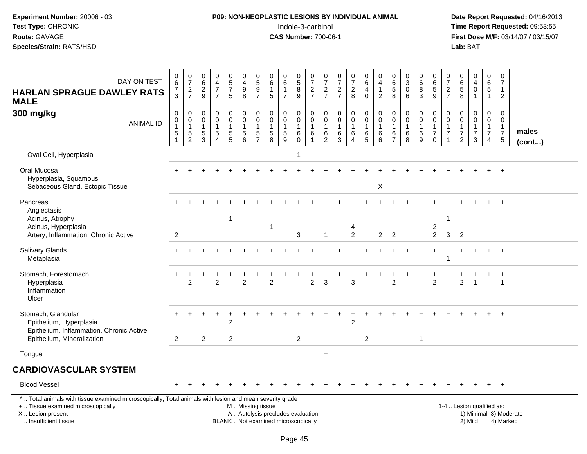#### **P09: NON-NEOPLASTIC LESIONS BY INDIVIDUAL ANIMAL**Indole-3-carbinol **Time Report Requested:** 09:53:55

 **Date Report Requested:** 04/16/2013 **First Dose M/F:** 03/14/07 / 03/15/07<br>**Lab:** BAT **Lab:** BAT

| DAY ON TEST<br><b>HARLAN SPRAGUE DAWLEY RATS</b><br><b>MALE</b>                                                                                                     | 0<br>$\,6\,$<br>$\overline{7}$<br>$\overline{3}$ | $\begin{array}{c} 0 \\ 7 \end{array}$<br>$\frac{2}{7}$ | $\pmb{0}$<br>$\,6\,$<br>$\frac{2}{9}$                            | $\mathbf 0$<br>$\overline{4}$<br>$\overline{7}$<br>$\overline{7}$    | $\begin{array}{c} 0 \\ 5 \\ 7 \end{array}$<br>5 | $\pmb{0}$<br>$\overline{4}$<br>$_{8}^{\rm 9}$               | $\begin{smallmatrix}0\\5\end{smallmatrix}$<br>$\frac{9}{7}$              | $\pmb{0}$<br>$\,6\,$<br>$\mathbf{1}$<br>5                       | $\overline{0}$<br>$\,6\,$<br>$\mathbf{1}$<br>$\overline{7}$   | $\begin{array}{c} 0 \\ 5 \end{array}$<br>8<br>$\overline{9}$ | $\pmb{0}$<br>$\overline{7}$<br>$\frac{2}{7}$                      | 0<br>$\overline{7}$<br>$\frac{2}{7}$ | $\frac{0}{7}$<br>$\frac{2}{7}$                             | $\frac{0}{7}$<br>$_{8}^2$                         | 0<br>$\,6$<br>$\overline{4}$<br>$\mathbf 0$      | 0<br>$\overline{4}$<br>1<br>$\overline{2}$                         | $\begin{matrix} 0 \\ 6 \\ 5 \end{matrix}$<br>8                                    | $_{3}^{\rm 0}$<br>$\mathbf 0$<br>6                   | $\begin{array}{c} 0 \\ 6 \end{array}$<br>$\bf 8$<br>$\mathfrak{Z}$ | 0<br>$\,6$<br>$\frac{5}{9}$                          | 0<br>$\overline{7}$<br>$\frac{2}{7}$               | $\mathbf 0$<br>6<br>$\sqrt{5}$<br>$\overline{8}$                               | $\pmb{0}$<br>$\overline{4}$<br>$\pmb{0}$     | 0<br>6<br>$\sqrt{5}$<br>$\overline{1}$                                            | $\mathbf 0$<br>$\overline{7}$<br>$\overline{1}$<br>$\overline{2}$              |                        |
|---------------------------------------------------------------------------------------------------------------------------------------------------------------------|--------------------------------------------------|--------------------------------------------------------|------------------------------------------------------------------|----------------------------------------------------------------------|-------------------------------------------------|-------------------------------------------------------------|--------------------------------------------------------------------------|-----------------------------------------------------------------|---------------------------------------------------------------|--------------------------------------------------------------|-------------------------------------------------------------------|--------------------------------------|------------------------------------------------------------|---------------------------------------------------|--------------------------------------------------|--------------------------------------------------------------------|-----------------------------------------------------------------------------------|------------------------------------------------------|--------------------------------------------------------------------|------------------------------------------------------|----------------------------------------------------|--------------------------------------------------------------------------------|----------------------------------------------|-----------------------------------------------------------------------------------|--------------------------------------------------------------------------------|------------------------|
| 300 mg/kg<br><b>ANIMAL ID</b>                                                                                                                                       | 0<br>$\pmb{0}$<br>$\overline{1}$<br>$\mathbf 5$  | 0<br>$\mathbf 0$<br>$\mathbf{1}$<br>$\,$ 5 $\,$<br>2   | $\mathbf 0$<br>$\overline{0}$<br>$\mathbf{1}$<br>$\sqrt{5}$<br>3 | $\mathbf 0$<br>$\mathbf 0$<br>$\mathbf{1}$<br>$\sqrt{5}$<br>$\Delta$ | 0<br>$\mathbf 0$<br>$\mathbf{1}$<br>5<br>5      | $\pmb{0}$<br>$\mathbf 0$<br>$\mathbf{1}$<br>$\sqrt{5}$<br>6 | 0<br>$\mathsf{O}\xspace$<br>$\mathbf{1}$<br>$\sqrt{5}$<br>$\overline{7}$ | $\mathbf 0$<br>$\mathbf 0$<br>$\overline{1}$<br>$\sqrt{5}$<br>8 | $\mathbf 0$<br>$\mathbf 0$<br>$\mathbf{1}$<br>$\sqrt{5}$<br>9 | 0<br>0<br>$\mathbf{1}$<br>$\,6\,$<br>$\Omega$                | $\mathbf 0$<br>$\mathbf 0$<br>$\mathbf{1}$<br>6<br>$\overline{1}$ | 0<br>0<br>$\mathbf{1}$<br>6<br>2     | $\mathbf 0$<br>$\mathbf 0$<br>$\mathbf{1}$<br>$\,6\,$<br>3 | 0<br>$\mathbf 0$<br>$\mathbf{1}$<br>6<br>$\Delta$ | 0<br>$\mathbf 0$<br>$\mathbf{1}$<br>$\,6\,$<br>5 | $\mathbf 0$<br>$\ddot{\mathbf{0}}$<br>$\overline{1}$<br>$\,6$<br>6 | $\mathbf 0$<br>$\mathbf 0$<br>$\overline{1}$<br>$6\phantom{1}6$<br>$\overline{7}$ | $\mathbf 0$<br>$\mathbf 0$<br>$\mathbf{1}$<br>6<br>8 | 0<br>$\mathbf 0$<br>$\mathbf{1}$<br>$6\phantom{1}6$<br>9           | 0<br>0<br>$\mathbf{1}$<br>$\overline{7}$<br>$\Omega$ | 0<br>$\mathbf 0$<br>$\mathbf{1}$<br>$\overline{7}$ | $\mathbf 0$<br>$\mathbf 0$<br>$\mathbf{1}$<br>$\overline{7}$<br>$\overline{2}$ | 0<br>$\mathbf 0$<br>1<br>$\overline{7}$<br>3 | $\mathbf 0$<br>$\overline{0}$<br>$\mathbf{1}$<br>$\overline{7}$<br>$\overline{4}$ | $\mathbf 0$<br>$\mathbf 0$<br>$\overline{1}$<br>$\boldsymbol{7}$<br>$\sqrt{5}$ | males<br>(cont)        |
| Oval Cell, Hyperplasia                                                                                                                                              |                                                  |                                                        |                                                                  |                                                                      |                                                 |                                                             |                                                                          |                                                                 |                                                               | 1                                                            |                                                                   |                                      |                                                            |                                                   |                                                  |                                                                    |                                                                                   |                                                      |                                                                    |                                                      |                                                    |                                                                                |                                              |                                                                                   |                                                                                |                        |
| Oral Mucosa<br>Hyperplasia, Squamous<br>Sebaceous Gland, Ectopic Tissue                                                                                             |                                                  |                                                        |                                                                  |                                                                      |                                                 |                                                             |                                                                          |                                                                 |                                                               |                                                              |                                                                   |                                      |                                                            |                                                   |                                                  | X                                                                  |                                                                                   |                                                      |                                                                    |                                                      |                                                    |                                                                                |                                              |                                                                                   |                                                                                |                        |
| Pancreas<br>Angiectasis<br>Acinus, Atrophy<br>Acinus, Hyperplasia<br>Artery, Inflammation, Chronic Active                                                           | $\overline{2}$                                   |                                                        |                                                                  |                                                                      | $\mathbf{1}$                                    |                                                             |                                                                          | $\mathbf{1}$                                                    |                                                               | 3                                                            |                                                                   | $\overline{1}$                       |                                                            | 4<br>$\overline{2}$                               |                                                  | $\overline{2}$                                                     | $\overline{2}$                                                                    |                                                      |                                                                    | $\boldsymbol{2}$<br>$\overline{2}$                   | $\mathbf{1}$<br>3                                  | 2                                                                              |                                              |                                                                                   |                                                                                |                        |
| Salivary Glands<br>Metaplasia                                                                                                                                       |                                                  |                                                        |                                                                  |                                                                      |                                                 |                                                             |                                                                          |                                                                 |                                                               |                                                              |                                                                   |                                      |                                                            |                                                   |                                                  |                                                                    |                                                                                   |                                                      |                                                                    |                                                      |                                                    |                                                                                |                                              |                                                                                   | $+$                                                                            |                        |
| Stomach, Forestomach<br>Hyperplasia<br>Inflammation<br>Ulcer                                                                                                        | $\ddot{}$                                        | $\overline{2}$                                         |                                                                  | $\overline{2}$                                                       |                                                 | $\overline{2}$                                              |                                                                          | $\overline{2}$                                                  |                                                               |                                                              | $\overline{c}$                                                    | 3                                    |                                                            | 3                                                 |                                                  |                                                                    | $\overline{c}$                                                                    |                                                      |                                                                    | $\overline{2}$                                       |                                                    | $\overline{2}$                                                                 |                                              |                                                                                   | $\overline{1}$                                                                 |                        |
| Stomach, Glandular<br>Epithelium, Hyperplasia<br>Epithelium, Inflammation, Chronic Active<br>Epithelium, Mineralization                                             | 2                                                |                                                        | $\overline{c}$                                                   |                                                                      | $\overline{2}$<br>$\overline{2}$                |                                                             |                                                                          |                                                                 |                                                               | $\overline{c}$                                               |                                                                   |                                      |                                                            | $\overline{2}$                                    | $\overline{2}$                                   |                                                                    |                                                                                   |                                                      | 1                                                                  |                                                      |                                                    |                                                                                |                                              |                                                                                   |                                                                                |                        |
| Tongue                                                                                                                                                              |                                                  |                                                        |                                                                  |                                                                      |                                                 |                                                             |                                                                          |                                                                 |                                                               |                                                              |                                                                   | $\ddot{}$                            |                                                            |                                                   |                                                  |                                                                    |                                                                                   |                                                      |                                                                    |                                                      |                                                    |                                                                                |                                              |                                                                                   |                                                                                |                        |
| <b>CARDIOVASCULAR SYSTEM</b>                                                                                                                                        |                                                  |                                                        |                                                                  |                                                                      |                                                 |                                                             |                                                                          |                                                                 |                                                               |                                                              |                                                                   |                                      |                                                            |                                                   |                                                  |                                                                    |                                                                                   |                                                      |                                                                    |                                                      |                                                    |                                                                                |                                              |                                                                                   |                                                                                |                        |
| <b>Blood Vessel</b>                                                                                                                                                 |                                                  |                                                        |                                                                  |                                                                      |                                                 |                                                             |                                                                          |                                                                 |                                                               |                                                              |                                                                   |                                      |                                                            |                                                   |                                                  |                                                                    |                                                                                   |                                                      |                                                                    |                                                      |                                                    |                                                                                |                                              |                                                                                   | $\overline{+}$                                                                 |                        |
| *  Total animals with tissue examined microscopically; Total animals with lesion and mean severity grade<br>+  Tissue examined microscopically<br>X  Lesion present |                                                  |                                                        |                                                                  |                                                                      |                                                 | M  Missing tissue                                           |                                                                          | A  Autolysis precludes evaluation                               |                                                               |                                                              |                                                                   |                                      |                                                            |                                                   |                                                  |                                                                    |                                                                                   |                                                      |                                                                    |                                                      |                                                    |                                                                                | 1-4  Lesion qualified as:                    |                                                                                   |                                                                                | 1) Minimal 3) Moderate |

I .. Insufficient tissue

BLANK .. Not examined microscopically 2) Mild 4) Marked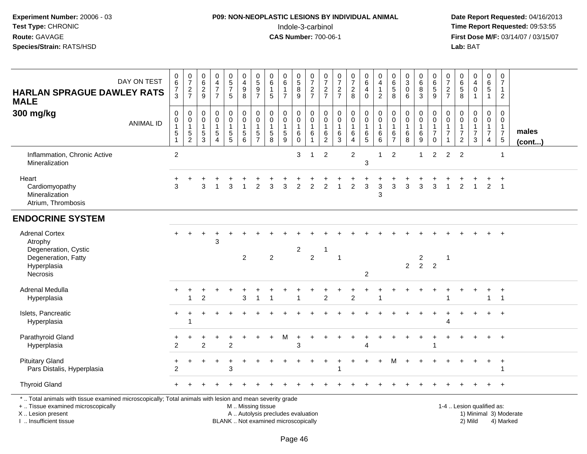## **P09: NON-NEOPLASTIC LESIONS BY INDIVIDUAL ANIMAL**Indole-3-carbinol **Time Report Requested:** 09:53:55

 **Date Report Requested:** 04/16/2013 **First Dose M/F:** 03/14/07 / 03/15/07<br>**Lab:** BAT **Lab:** BAT

| <b>HARLAN SPRAGUE DAWLEY RATS</b><br><b>MALE</b>                                                                                                                    | DAY ON TEST      | $_{6}^{\rm 0}$<br>$\frac{7}{3}$                               | $\frac{0}{7}$<br>$\frac{2}{7}$                                            | $_{6}^{\rm 0}$<br>$\frac{2}{9}$              | $_4^{\rm 0}$<br>$\overline{7}$<br>$\overline{7}$            | $\begin{array}{c} 0 \\ 5 \\ 7 \end{array}$<br>$\sqrt{5}$              | 0<br>$\overline{4}$<br>$\boldsymbol{9}$<br>8        | $\begin{array}{c} 0 \\ 5 \end{array}$<br>$\boldsymbol{9}$<br>$\overline{7}$ | 0<br>$\overline{6}$<br>$\mathbf{1}$<br>5                    | $_6^0$<br>$\mathbf{1}$<br>$\overline{7}$      | $\begin{array}{c} 0 \\ 5 \end{array}$<br>8<br>9 | $\frac{0}{7}$<br>$\frac{2}{7}$                | 0<br>$\overline{7}$<br>$\frac{2}{7}$                       | $\frac{0}{7}$<br>$\frac{2}{7}$                           | $\frac{0}{7}$<br>$\overline{c}$<br>8               | 0<br>6<br>4<br>$\mathbf 0$                       | 0<br>$\overline{\mathbf{4}}$<br>$\mathbf{1}$<br>$\overline{2}$ | 0<br>$\,6\,$<br>$\sqrt{5}$<br>8                                   | $_{3}^{\rm 0}$<br>$\pmb{0}$<br>6                       | 0<br>$6\phantom{a}$<br>8<br>3                                | $\begin{array}{c} 0 \\ 6 \end{array}$<br>$\overline{5}$<br>9      | 0<br>$\overline{7}$<br>$\sqrt{2}$<br>$\overline{7}$ | $\mathbf 0$<br>$\,6\,$<br>$\sqrt{5}$<br>8                                   | 0<br>$\overline{4}$<br>$\mathbf 0$<br>$\overline{1}$ | 0<br>6<br>$\overline{5}$<br>$\mathbf{1}$                                       | 0<br>$\overline{7}$<br>$\mathbf{1}$<br>$\overline{2}$                      |                        |
|---------------------------------------------------------------------------------------------------------------------------------------------------------------------|------------------|---------------------------------------------------------------|---------------------------------------------------------------------------|----------------------------------------------|-------------------------------------------------------------|-----------------------------------------------------------------------|-----------------------------------------------------|-----------------------------------------------------------------------------|-------------------------------------------------------------|-----------------------------------------------|-------------------------------------------------|-----------------------------------------------|------------------------------------------------------------|----------------------------------------------------------|----------------------------------------------------|--------------------------------------------------|----------------------------------------------------------------|-------------------------------------------------------------------|--------------------------------------------------------|--------------------------------------------------------------|-------------------------------------------------------------------|-----------------------------------------------------|-----------------------------------------------------------------------------|------------------------------------------------------|--------------------------------------------------------------------------------|----------------------------------------------------------------------------|------------------------|
| 300 mg/kg                                                                                                                                                           | <b>ANIMAL ID</b> | $\pmb{0}$<br>$\pmb{0}$<br>$\mathbf{1}$<br>$\overline{5}$<br>1 | $\mathbf 0$<br>$\mathsf{O}\xspace$<br>$\mathbf{1}$<br>5<br>$\overline{2}$ | 0<br>0<br>$\overline{1}$<br>$\,$ 5 $\,$<br>3 | $\pmb{0}$<br>$\mathbf 0$<br>$\mathbf{1}$<br>$\sqrt{5}$<br>4 | $\mathbf 0$<br>$\mathsf{O}\xspace$<br>$\overline{1}$<br>$\frac{5}{5}$ | 0<br>$\mathbf 0$<br>$\mathbf{1}$<br>$\sqrt{5}$<br>6 | $\mathbf 0$<br>$\mathbf 0$<br>$\mathbf{1}$<br>$\,$ 5 $\,$<br>$\overline{7}$ | $\pmb{0}$<br>$\mathbf 0$<br>$\mathbf{1}$<br>$\sqrt{5}$<br>8 | 0<br>$\overline{0}$<br>$\mathbf{1}$<br>5<br>9 | 0<br>0<br>$\mathbf{1}$<br>$\,6$<br>$\Omega$     | $\mathbf 0$<br>$\pmb{0}$<br>$\mathbf{1}$<br>6 | $\mathbf 0$<br>$\mathbf 0$<br>$\mathbf{1}$<br>$\,6\,$<br>2 | $\pmb{0}$<br>$\mathbf 0$<br>$\mathbf{1}$<br>$\,6\,$<br>3 | 0<br>$\mathsf{O}\xspace$<br>$\mathbf{1}$<br>6<br>4 | 0<br>$\mathbf 0$<br>$\mathbf{1}$<br>$\,6\,$<br>5 | 0<br>$\pmb{0}$<br>$\mathbf{1}$<br>6<br>6                       | $\mathbf 0$<br>$\mathbf 0$<br>$\mathbf{1}$<br>6<br>$\overline{7}$ | 0<br>$\mathsf{O}\xspace$<br>$\mathbf{1}$<br>$\,6$<br>8 | 0<br>$\Omega$<br>$\overline{1}$<br>$\,6$<br>$\boldsymbol{9}$ | 0<br>$\overline{0}$<br>$\mathbf{1}$<br>$\overline{7}$<br>$\Omega$ | 0<br>$\Omega$<br>$\mathbf{1}$<br>$\overline{7}$     | $\Omega$<br>$\mathbf 0$<br>$\mathbf{1}$<br>$\overline{7}$<br>$\overline{2}$ | 0<br>$\mathbf 0$<br>1<br>$\overline{7}$<br>3         | $\mathbf 0$<br>$\mathbf 0$<br>$\mathbf{1}$<br>$\overline{7}$<br>$\overline{4}$ | $\mathbf 0$<br>$\mathbf 0$<br>$\mathbf{1}$<br>$\overline{7}$<br>$\sqrt{5}$ | males<br>$($ cont $)$  |
| Inflammation, Chronic Active<br>Mineralization                                                                                                                      |                  | $\overline{2}$                                                |                                                                           |                                              |                                                             |                                                                       |                                                     |                                                                             |                                                             |                                               | 3                                               | 1                                             | 2                                                          |                                                          | $\overline{2}$                                     | 3                                                | $\mathbf 1$                                                    | $\overline{2}$                                                    |                                                        | $\mathbf{1}$                                                 | $\overline{2}$                                                    | $\overline{2}$                                      | $\overline{2}$                                                              |                                                      |                                                                                | $\mathbf{1}$                                                               |                        |
| Heart<br>Cardiomyopathy<br>Mineralization<br>Atrium, Thrombosis                                                                                                     |                  | 3                                                             |                                                                           | 3                                            |                                                             | 3                                                                     |                                                     | 2                                                                           |                                                             | 3                                             | $\overline{c}$                                  | $\overline{2}$                                | 2                                                          |                                                          | $\overline{c}$                                     | 3                                                | 3<br>3                                                         | 3                                                                 | 3                                                      | 3                                                            | 3                                                                 |                                                     | 2                                                                           |                                                      | $\overline{2}$                                                                 | $\overline{ }$<br>$\overline{1}$                                           |                        |
| <b>ENDOCRINE SYSTEM</b>                                                                                                                                             |                  |                                                               |                                                                           |                                              |                                                             |                                                                       |                                                     |                                                                             |                                                             |                                               |                                                 |                                               |                                                            |                                                          |                                                    |                                                  |                                                                |                                                                   |                                                        |                                                              |                                                                   |                                                     |                                                                             |                                                      |                                                                                |                                                                            |                        |
| <b>Adrenal Cortex</b><br>Atrophy<br>Degeneration, Cystic<br>Degeneration, Fatty<br>Hyperplasia<br>Necrosis                                                          |                  |                                                               |                                                                           |                                              | $\ddot{}$<br>3                                              |                                                                       | $\overline{2}$                                      |                                                                             | $\overline{2}$                                              |                                               | $\overline{c}$                                  | $\overline{c}$                                | $\mathbf{1}$                                               | $\overline{1}$                                           |                                                    | $\overline{c}$                                   |                                                                |                                                                   | $\overline{2}$                                         | $\frac{2}{2}$                                                | $\overline{2}$                                                    | $\overline{1}$                                      |                                                                             |                                                      |                                                                                |                                                                            |                        |
| Adrenal Medulla<br>Hyperplasia                                                                                                                                      |                  |                                                               | +                                                                         | 2                                            |                                                             |                                                                       | 3                                                   |                                                                             |                                                             |                                               |                                                 |                                               | 2                                                          |                                                          | $\overline{2}$                                     |                                                  |                                                                |                                                                   |                                                        |                                                              |                                                                   |                                                     |                                                                             | $\ddot{}$                                            | $\ddot{}$<br>$\mathbf{1}$                                                      | $\ddot{}$<br>$\overline{1}$                                                |                        |
| Islets, Pancreatic<br>Hyperplasia                                                                                                                                   |                  |                                                               | -1                                                                        |                                              |                                                             |                                                                       |                                                     |                                                                             |                                                             |                                               |                                                 |                                               |                                                            |                                                          |                                                    |                                                  |                                                                |                                                                   |                                                        |                                                              |                                                                   | 4                                                   |                                                                             |                                                      | $\ddot{}$                                                                      | $+$                                                                        |                        |
| Parathyroid Gland<br>Hyperplasia                                                                                                                                    |                  | $\overline{2}$                                                |                                                                           | $\overline{2}$                               |                                                             | $\overline{2}$                                                        |                                                     |                                                                             |                                                             | м                                             | 3                                               |                                               |                                                            |                                                          |                                                    |                                                  |                                                                |                                                                   |                                                        |                                                              |                                                                   |                                                     |                                                                             |                                                      |                                                                                | $\ddot{}$                                                                  |                        |
| <b>Pituitary Gland</b><br>Pars Distalis, Hyperplasia                                                                                                                |                  | $\mathfrak{p}$                                                |                                                                           |                                              |                                                             | 3                                                                     |                                                     |                                                                             |                                                             |                                               |                                                 |                                               |                                                            |                                                          |                                                    |                                                  |                                                                | м                                                                 |                                                        |                                                              |                                                                   |                                                     |                                                                             |                                                      |                                                                                | $\overline{+}$<br>-1                                                       |                        |
| <b>Thyroid Gland</b>                                                                                                                                                |                  |                                                               |                                                                           |                                              |                                                             |                                                                       |                                                     |                                                                             |                                                             |                                               |                                                 |                                               |                                                            |                                                          |                                                    |                                                  |                                                                |                                                                   |                                                        |                                                              |                                                                   |                                                     |                                                                             |                                                      |                                                                                | $\overline{+}$                                                             |                        |
| *  Total animals with tissue examined microscopically; Total animals with lesion and mean severity grade<br>+  Tissue examined microscopically<br>X  Lesion present |                  |                                                               |                                                                           |                                              |                                                             |                                                                       | M  Missing tissue                                   |                                                                             | A  Autolysis precludes evaluation                           |                                               |                                                 |                                               |                                                            |                                                          |                                                    |                                                  |                                                                |                                                                   |                                                        |                                                              |                                                                   |                                                     | 1-4  Lesion qualified as:                                                   |                                                      |                                                                                |                                                                            | 1) Minimal 3) Moderate |

I .. Insufficient tissue

BLANK .. Not examined microscopically 2) Mild 4) Marked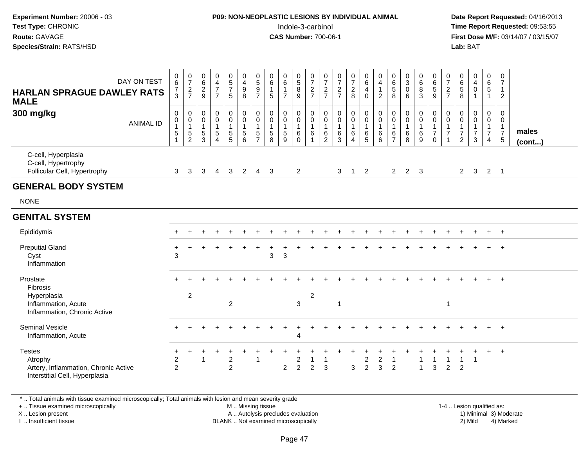#### **P09: NON-NEOPLASTIC LESIONS BY INDIVIDUAL ANIMAL**Indole-3-carbinol **Time Report Requested:** 09:53:55

 **Date Report Requested:** 04/16/2013 **First Dose M/F:** 03/14/07 / 03/15/07<br>**Lab: BAT** 

| DAY ON TEST<br><b>HARLAN SPRAGUE DAWLEY RATS</b><br><b>MALE</b>                                    | 0<br>$\frac{6}{7}$                       | $\frac{0}{7}$<br>$\frac{2}{7}$                          | $\begin{array}{c} 0 \\ 6 \end{array}$<br>$\overline{2}$<br>9 | $\begin{array}{c} 0 \\ 4 \\ 7 \end{array}$<br>$\overline{7}$                       | $\begin{array}{c} 0 \\ 5 \\ 7 \end{array}$<br>5           | $\begin{array}{c} 0 \\ 4 \\ 9 \end{array}$<br>8                                                       | $\frac{0}{5}$<br>$\boldsymbol{9}$<br>$\overline{7}$               | 0<br>$6\overline{6}$<br>$\mathbf{1}$<br>$\overline{5}$                            | $\begin{array}{c} 0 \\ 6 \end{array}$<br>$\mathbf{1}$<br>$\overline{7}$ | 0<br>8<br>9                                                       | $\frac{0}{7}$<br>$\frac{2}{7}$                                                 | 0<br>$\overline{7}$<br>$\sqrt{2}$<br>$\overline{7}$                           | $\frac{0}{7}$<br>$\frac{2}{7}$                         | $\frac{0}{7}$<br>$_{8}^2$                          | $\begin{matrix} 0 \\ 6 \end{matrix}$<br>4<br>$\mathbf 0$                                | $\begin{smallmatrix}0\0\4\end{smallmatrix}$<br>$\mathbf{1}$<br>$\overline{2}$ | $\begin{array}{c} 0 \\ 6 \\ 5 \end{array}$<br>8                 | $\begin{smallmatrix}0\\3\\0\end{smallmatrix}$<br>6                                        | 0<br>$\overline{6}$<br>8<br>$\mathbf{3}$             | 0<br>$\overline{6}$<br>5<br>$9\,$                                       | $\frac{0}{7}$<br>$\overline{c}$<br>$\overline{7}$ | $\begin{array}{c} 0 \\ 6 \\ 5 \end{array}$<br>8                                  | $\begin{smallmatrix}0\0\4\end{smallmatrix}$<br>$\overline{0}$<br>$\mathbf{1}$ | 0<br>$\overline{6}$<br>5<br>$\mathbf{1}$                               | 0<br>$\overline{7}$<br>$\mathbf{1}$<br>$\overline{2}$                           |                 |
|----------------------------------------------------------------------------------------------------|------------------------------------------|---------------------------------------------------------|--------------------------------------------------------------|------------------------------------------------------------------------------------|-----------------------------------------------------------|-------------------------------------------------------------------------------------------------------|-------------------------------------------------------------------|-----------------------------------------------------------------------------------|-------------------------------------------------------------------------|-------------------------------------------------------------------|--------------------------------------------------------------------------------|-------------------------------------------------------------------------------|--------------------------------------------------------|----------------------------------------------------|-----------------------------------------------------------------------------------------|-------------------------------------------------------------------------------|-----------------------------------------------------------------|-------------------------------------------------------------------------------------------|------------------------------------------------------|-------------------------------------------------------------------------|---------------------------------------------------|----------------------------------------------------------------------------------|-------------------------------------------------------------------------------|------------------------------------------------------------------------|---------------------------------------------------------------------------------|-----------------|
| 300 mg/kg<br><b>ANIMAL ID</b>                                                                      | $\,0\,$<br>$\pmb{0}$<br>1<br>$\,$ 5 $\,$ | $\pmb{0}$<br>$\pmb{0}$<br>$\mathbf{1}$<br>$\frac{5}{2}$ | $\mathbf 0$<br>$\pmb{0}$<br>$\mathbf{1}$<br>$\frac{5}{3}$    | $\mathbf 0$<br>$\mathbf 0$<br>$\mathbf{1}$<br>$\sqrt{5}$<br>$\boldsymbol{\Lambda}$ | 0<br>$\mathsf{O}\xspace$<br>$\mathbf{1}$<br>$\frac{5}{5}$ | $\begin{smallmatrix} 0\\0 \end{smallmatrix}$<br>$\mathbf{1}$<br>$\begin{array}{c} 5 \\ 6 \end{array}$ | $\mathbf 0$<br>$\mathbf 0$<br>$\mathbf{1}$<br>5<br>$\overline{7}$ | $\mathbf 0$<br>$\pmb{0}$<br>$\mathbf{1}$<br>$\begin{array}{c} 5 \\ 8 \end{array}$ | 0<br>$\pmb{0}$<br>$\mathbf{1}$<br>$\sqrt{5}$<br>$\overline{9}$          | $\mathbf 0$<br>$\mathbf 0$<br>$\mathbf{1}$<br>$\,6\,$<br>$\Omega$ | $\mathbf 0$<br>$\pmb{0}$<br>$\mathbf{1}$<br>$\,6\,$<br>$\overline{\mathbf{A}}$ | $\mathbf 0$<br>$\pmb{0}$<br>$\mathbf{1}$<br>$6\phantom{1}6$<br>$\overline{2}$ | $\pmb{0}$<br>$\pmb{0}$<br>$\mathbf{1}$<br>$\,6\,$<br>3 | $\mathbf 0$<br>$\pmb{0}$<br>$\mathbf{1}$<br>6<br>4 | $\begin{smallmatrix} 0\\0 \end{smallmatrix}$<br>$\mathbf{1}$<br>$\,6$<br>$\overline{5}$ | $\pmb{0}$<br>$\pmb{0}$<br>$\mathbf{1}$<br>$^6_6$                              | $\mathbf 0$<br>$\pmb{0}$<br>$\mathbf{1}$<br>6<br>$\overline{7}$ | $\begin{smallmatrix} 0\\0 \end{smallmatrix}$<br>$\mathbf{1}$<br>$\,6\,$<br>$\overline{8}$ | 0<br>$\mathsf 0$<br>$\mathbf{1}$<br>$\,6\,$<br>$9\,$ | $\pmb{0}$<br>$\pmb{0}$<br>$\mathbf{1}$<br>$\overline{7}$<br>$\mathbf 0$ | $\mathbf 0$<br>$\pmb{0}$<br>1<br>$\overline{7}$   | $\mathbf 0$<br>$\pmb{0}$<br>$\overline{1}$<br>$\boldsymbol{7}$<br>$\overline{2}$ | $\mathbf 0$<br>$\pmb{0}$<br>$\mathbf{1}$<br>$\overline{7}$<br>3               | $\boldsymbol{0}$<br>$\mathbf 0$<br>$\mathbf{1}$<br>$\overline{7}$<br>4 | $\mathbf 0$<br>$\mathbf 0$<br>$\mathbf{1}$<br>$\overline{7}$<br>$5\phantom{.0}$ | males<br>(cont) |
| C-cell, Hyperplasia<br>C-cell, Hypertrophy<br>Follicular Cell, Hypertrophy                         | 3                                        | 3                                                       | 3                                                            | $\overline{4}$                                                                     | $\mathbf{3}$                                              | $\overline{2}$                                                                                        | $\overline{4}$                                                    | 3                                                                                 |                                                                         | $\overline{2}$                                                    |                                                                                |                                                                               | 3                                                      | $\overline{1}$                                     | $\overline{2}$                                                                          |                                                                               | $2^{\circ}$                                                     | $2 \quad 3$                                                                               |                                                      |                                                                         |                                                   | $\overline{2}$                                                                   | $\overline{\mathbf{3}}$                                                       | $2 \quad 1$                                                            |                                                                                 |                 |
| <b>GENERAL BODY SYSTEM</b>                                                                         |                                          |                                                         |                                                              |                                                                                    |                                                           |                                                                                                       |                                                                   |                                                                                   |                                                                         |                                                                   |                                                                                |                                                                               |                                                        |                                                    |                                                                                         |                                                                               |                                                                 |                                                                                           |                                                      |                                                                         |                                                   |                                                                                  |                                                                               |                                                                        |                                                                                 |                 |
| <b>NONE</b>                                                                                        |                                          |                                                         |                                                              |                                                                                    |                                                           |                                                                                                       |                                                                   |                                                                                   |                                                                         |                                                                   |                                                                                |                                                                               |                                                        |                                                    |                                                                                         |                                                                               |                                                                 |                                                                                           |                                                      |                                                                         |                                                   |                                                                                  |                                                                               |                                                                        |                                                                                 |                 |
| <b>GENITAL SYSTEM</b>                                                                              |                                          |                                                         |                                                              |                                                                                    |                                                           |                                                                                                       |                                                                   |                                                                                   |                                                                         |                                                                   |                                                                                |                                                                               |                                                        |                                                    |                                                                                         |                                                                               |                                                                 |                                                                                           |                                                      |                                                                         |                                                   |                                                                                  |                                                                               |                                                                        |                                                                                 |                 |
| Epididymis                                                                                         |                                          |                                                         |                                                              |                                                                                    |                                                           |                                                                                                       |                                                                   |                                                                                   |                                                                         |                                                                   |                                                                                |                                                                               |                                                        |                                                    |                                                                                         |                                                                               |                                                                 |                                                                                           |                                                      |                                                                         |                                                   |                                                                                  |                                                                               |                                                                        | $+$                                                                             |                 |
| <b>Preputial Gland</b><br>Cyst<br>Inflammation                                                     | ٠<br>3                                   |                                                         |                                                              |                                                                                    |                                                           |                                                                                                       |                                                                   | 3                                                                                 | 3                                                                       |                                                                   |                                                                                |                                                                               |                                                        |                                                    |                                                                                         |                                                                               |                                                                 |                                                                                           |                                                      |                                                                         |                                                   |                                                                                  |                                                                               |                                                                        | $\ddot{}$                                                                       |                 |
| Prostate<br>Fibrosis<br>Hyperplasia<br>Inflammation, Acute<br>Inflammation, Chronic Active         |                                          | 2                                                       |                                                              |                                                                                    | $\overline{2}$                                            |                                                                                                       |                                                                   |                                                                                   |                                                                         | 3                                                                 | $\overline{2}$                                                                 |                                                                               | $\overline{1}$                                         |                                                    |                                                                                         |                                                                               |                                                                 |                                                                                           |                                                      |                                                                         | $\mathbf{1}$                                      |                                                                                  |                                                                               |                                                                        | $+$                                                                             |                 |
| <b>Seminal Vesicle</b><br>Inflammation, Acute                                                      |                                          |                                                         |                                                              |                                                                                    |                                                           |                                                                                                       |                                                                   |                                                                                   |                                                                         | 4                                                                 |                                                                                |                                                                               |                                                        |                                                    |                                                                                         |                                                                               |                                                                 |                                                                                           |                                                      |                                                                         |                                                   |                                                                                  |                                                                               | $\ddot{}$                                                              | $+$                                                                             |                 |
| <b>Testes</b><br>Atrophy<br>Artery, Inflammation, Chronic Active<br>Interstitial Cell, Hyperplasia | $+$<br>$\overline{c}$<br>$\overline{2}$  |                                                         | $\overline{1}$                                               |                                                                                    | +<br>$\overline{c}$<br>$\overline{2}$                     |                                                                                                       | $\mathbf{1}$                                                      |                                                                                   | $\overline{2}$                                                          | $\overline{c}$<br>$\overline{2}$                                  | -1<br>$\overline{c}$                                                           | $\mathbf{1}$<br>3                                                             |                                                        | $\ensuremath{\mathsf{3}}$                          | $\overline{a}$<br>$\overline{2}$                                                        | $\boldsymbol{2}$<br>3                                                         | $\overline{c}$                                                  |                                                                                           | $\overline{1}$                                       | 1<br>$\sqrt{3}$                                                         | $\mathbf{1}$<br>$\overline{c}$                    | $\mathbf{1}$<br>$\overline{2}$                                                   | $\overline{1}$                                                                | $+$                                                                    | $+$                                                                             |                 |

\* .. Total animals with tissue examined microscopically; Total animals with lesion and mean severity grade

+ .. Tissue examined microscopically

X .. Lesion present

I .. Insufficient tissue

M .. Missing tissue

A .. Autolysis precludes evaluation

BLANK .. Not examined microscopically 2) Mild 4) Marked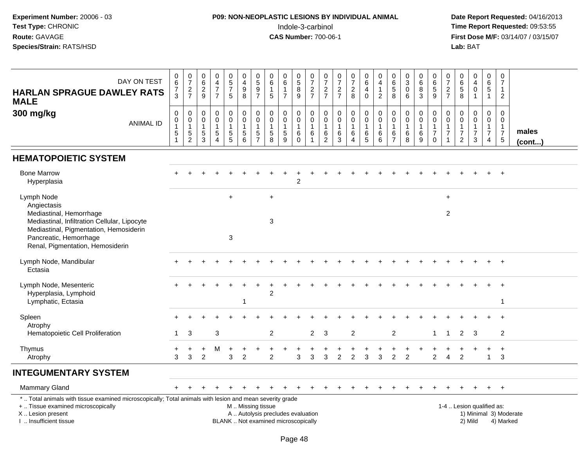#### **P09: NON-NEOPLASTIC LESIONS BY INDIVIDUAL ANIMAL**Indole-3-carbinol **Time Report Requested:** 09:53:55

 **Date Report Requested:** 04/16/2013 **First Dose M/F:** 03/14/07 / 03/15/07<br>Lab: BAT

| DAY ON TEST<br><b>HARLAN SPRAGUE DAWLEY RATS</b><br><b>MALE</b>                                                                                                                               | 0<br>$6\phantom{a}$<br>$\boldsymbol{7}$<br>$\overline{3}$                        | $\frac{0}{7}$<br>$\frac{2}{7}$                              | $\pmb{0}$<br>$\,6\,$<br>$\frac{2}{9}$                  | $\pmb{0}$<br>$\overline{4}$<br>$\overline{7}$<br>$\overline{7}$             | $\begin{array}{c} 0 \\ 5 \end{array}$<br>$\overline{7}$<br>5 | $\pmb{0}$<br>$\overline{4}$<br>9<br>$\overline{8}$                                  | $\begin{array}{c} 0 \\ 5 \end{array}$<br>$\frac{9}{7}$  | $\mathbf 0$<br>$\,6\,$<br>$\overline{1}$<br>5                                         | $\boldsymbol{0}$<br>$6\phantom{a}$<br>$\mathbf{1}$<br>$\overline{7}$ | 0<br>$\overline{5}$<br>8<br>$\overline{9}$              | $\frac{0}{7}$<br>$\frac{2}{7}$                                            | 0<br>$\overline{7}$<br>$\frac{2}{7}$                     | $\frac{0}{7}$<br>$\frac{2}{7}$                   | $\frac{0}{7}$<br>$_{\rm 8}^2$                                               | $\begin{array}{c} 0 \\ 6 \end{array}$<br>$\overline{4}$<br>$\mathbf 0$ | $\pmb{0}$<br>$\overline{4}$<br>$\overline{1}$<br>$\overline{2}$ | $\boldsymbol{0}$<br>$6\phantom{a}$<br>$\sqrt{5}$<br>$\overline{8}$ | $\mathbf 0$<br>$\overline{3}$<br>$\mathbf 0$<br>6          | 0<br>$6\phantom{a}$<br>8<br>$\overline{3}$ | $\pmb{0}$<br>$\,6\,$<br>5<br>$\overline{9}$                       | 0<br>$\overline{7}$<br>$\frac{2}{7}$                                                 | $\pmb{0}$<br>$6\phantom{a}$<br>$\sqrt{5}$<br>8                     | $\pmb{0}$<br>$\overline{4}$<br>$\pmb{0}$<br>$\mathbf{1}$        | $\mathbf 0$<br>$\,6\,$<br>$\sqrt{5}$<br>$\overline{1}$                           | $\mathbf 0$<br>$\boldsymbol{7}$<br>$\overline{1}$<br>$\overline{2}$         |                        |
|-----------------------------------------------------------------------------------------------------------------------------------------------------------------------------------------------|----------------------------------------------------------------------------------|-------------------------------------------------------------|--------------------------------------------------------|-----------------------------------------------------------------------------|--------------------------------------------------------------|-------------------------------------------------------------------------------------|---------------------------------------------------------|---------------------------------------------------------------------------------------|----------------------------------------------------------------------|---------------------------------------------------------|---------------------------------------------------------------------------|----------------------------------------------------------|--------------------------------------------------|-----------------------------------------------------------------------------|------------------------------------------------------------------------|-----------------------------------------------------------------|--------------------------------------------------------------------|------------------------------------------------------------|--------------------------------------------|-------------------------------------------------------------------|--------------------------------------------------------------------------------------|--------------------------------------------------------------------|-----------------------------------------------------------------|----------------------------------------------------------------------------------|-----------------------------------------------------------------------------|------------------------|
| 300 mg/kg<br><b>ANIMAL ID</b>                                                                                                                                                                 | $\mathsf{O}\xspace$<br>$\mathsf{O}\xspace$<br>$\overline{1}$<br>$\mathbf 5$<br>1 | $\mathbf 0$<br>$\mathbf 0$<br>$\mathbf{1}$<br>$\frac{5}{2}$ | $\mathbf 0$<br>$\mathbf 0$<br>$\overline{1}$<br>5<br>3 | $\mathbf 0$<br>$\mathbf 0$<br>$\mathbf{1}$<br>$\,$ 5 $\,$<br>$\overline{4}$ | 0<br>$\mathsf{O}$<br>$\mathbf{1}$<br>$\frac{5}{5}$           | $\mathsf 0$<br>$\mathbf 0$<br>$\mathbf{1}$<br>$\begin{array}{c} 5 \\ 6 \end{array}$ | $\pmb{0}$<br>$\pmb{0}$<br>$\mathbf{1}$<br>$\frac{5}{7}$ | $\mathbf 0$<br>$\mathbf 0$<br>$\overline{1}$<br>$\begin{array}{c} 5 \\ 8 \end{array}$ | $\mathbf 0$<br>$\mathbf 0$<br>$\mathbf{1}$<br>$\sqrt{5}$<br>9        | 0<br>$\mathbf 0$<br>$\mathbf{1}$<br>$\,6\,$<br>$\Omega$ | $\mathbf 0$<br>$\mathbf 0$<br>$\overline{1}$<br>$\,6\,$<br>$\overline{1}$ | $\mathbf 0$<br>$\pmb{0}$<br>$\mathbf{1}$<br>$\,6\,$<br>2 | $\pmb{0}$<br>$\pmb{0}$<br>$\mathbf{1}$<br>$^6_3$ | $\pmb{0}$<br>$\mathsf{O}\xspace$<br>$\mathbf{1}$<br>$\,6$<br>$\overline{4}$ | $\mathbf 0$<br>$\mathbf 0$<br>$\mathbf{1}$<br>$^6$ 5                   | $\mathbf 0$<br>$\mathsf{O}\xspace$<br>$\mathbf{1}$<br>$^6_6$    | $\boldsymbol{0}$<br>$\mathbf 0$<br>$\overline{1}$<br>$\frac{6}{7}$ | $\mathbf 0$<br>$\mathbf 0$<br>$\mathbf{1}$<br>$\,6\,$<br>8 | 0<br>$\pmb{0}$<br>$\mathbf{1}$<br>$^6_9$   | $\mathbf 0$<br>$\mathbf 0$<br>$\mathbf{1}$<br>$\overline{7}$<br>0 | $\mathbf 0$<br>$\mathsf{O}\xspace$<br>$\mathbf{1}$<br>$\overline{7}$<br>$\mathbf{1}$ | 0<br>$\pmb{0}$<br>$\mathbf{1}$<br>$\overline{7}$<br>$\overline{2}$ | $\mathbf 0$<br>$\pmb{0}$<br>$\mathbf{1}$<br>$\overline{7}$<br>3 | $\mathbf 0$<br>$\mathbf 0$<br>$\overline{1}$<br>$\overline{7}$<br>$\overline{4}$ | $\mathbf{0}$<br>$\mathbf 0$<br>$\mathbf{1}$<br>$\overline{7}$<br>$\sqrt{5}$ | males<br>(cont)        |
| <b>HEMATOPOIETIC SYSTEM</b>                                                                                                                                                                   |                                                                                  |                                                             |                                                        |                                                                             |                                                              |                                                                                     |                                                         |                                                                                       |                                                                      |                                                         |                                                                           |                                                          |                                                  |                                                                             |                                                                        |                                                                 |                                                                    |                                                            |                                            |                                                                   |                                                                                      |                                                                    |                                                                 |                                                                                  |                                                                             |                        |
| <b>Bone Marrow</b><br>Hyperplasia                                                                                                                                                             |                                                                                  |                                                             |                                                        |                                                                             |                                                              |                                                                                     |                                                         |                                                                                       |                                                                      | 2                                                       |                                                                           |                                                          |                                                  |                                                                             |                                                                        |                                                                 |                                                                    |                                                            |                                            |                                                                   |                                                                                      |                                                                    |                                                                 |                                                                                  |                                                                             |                        |
| Lymph Node<br>Angiectasis<br>Mediastinal, Hemorrhage                                                                                                                                          |                                                                                  |                                                             |                                                        |                                                                             | $+$                                                          |                                                                                     |                                                         | $+$                                                                                   |                                                                      |                                                         |                                                                           |                                                          |                                                  |                                                                             |                                                                        |                                                                 |                                                                    |                                                            |                                            |                                                                   | $\ddot{}$<br>$\overline{2}$                                                          |                                                                    |                                                                 |                                                                                  |                                                                             |                        |
| Mediastinal, Infiltration Cellular, Lipocyte<br>Mediastinal, Pigmentation, Hemosiderin<br>Pancreatic, Hemorrhage<br>Renal, Pigmentation, Hemosiderin                                          |                                                                                  |                                                             |                                                        |                                                                             | 3                                                            |                                                                                     |                                                         | $\mathbf{3}$                                                                          |                                                                      |                                                         |                                                                           |                                                          |                                                  |                                                                             |                                                                        |                                                                 |                                                                    |                                                            |                                            |                                                                   |                                                                                      |                                                                    |                                                                 |                                                                                  |                                                                             |                        |
| Lymph Node, Mandibular<br>Ectasia                                                                                                                                                             |                                                                                  |                                                             |                                                        |                                                                             |                                                              |                                                                                     |                                                         |                                                                                       |                                                                      |                                                         |                                                                           |                                                          |                                                  |                                                                             |                                                                        |                                                                 |                                                                    |                                                            |                                            |                                                                   |                                                                                      |                                                                    |                                                                 |                                                                                  |                                                                             |                        |
| Lymph Node, Mesenteric<br>Hyperplasia, Lymphoid<br>Lymphatic, Ectasia                                                                                                                         |                                                                                  |                                                             |                                                        |                                                                             |                                                              | $\mathbf{1}$                                                                        |                                                         | $\overline{2}$                                                                        |                                                                      |                                                         |                                                                           |                                                          |                                                  |                                                                             |                                                                        |                                                                 |                                                                    |                                                            |                                            |                                                                   |                                                                                      |                                                                    |                                                                 |                                                                                  | -1                                                                          |                        |
| Spleen                                                                                                                                                                                        |                                                                                  |                                                             |                                                        |                                                                             |                                                              |                                                                                     |                                                         |                                                                                       |                                                                      |                                                         |                                                                           |                                                          |                                                  |                                                                             |                                                                        |                                                                 |                                                                    |                                                            |                                            |                                                                   |                                                                                      |                                                                    |                                                                 |                                                                                  |                                                                             |                        |
| Atrophy<br>Hematopoietic Cell Proliferation                                                                                                                                                   |                                                                                  | 3                                                           |                                                        | 3                                                                           |                                                              |                                                                                     |                                                         | 2                                                                                     |                                                                      |                                                         | 2                                                                         | 3                                                        |                                                  | $\overline{2}$                                                              |                                                                        |                                                                 | 2                                                                  |                                                            |                                            | $\blacktriangleleft$                                              | $\mathbf{1}$                                                                         | $\overline{2}$                                                     | 3                                                               |                                                                                  | 2                                                                           |                        |
| Thymus<br>Atrophy                                                                                                                                                                             | 3                                                                                | 3                                                           | ٠<br>2                                                 | м                                                                           | 3                                                            | $\overline{2}$                                                                      |                                                         | $\overline{2}$                                                                        |                                                                      | 3                                                       | 3                                                                         | 3                                                        | $\overline{2}$                                   | $\overline{2}$                                                              | 3                                                                      | 3                                                               | $\overline{2}$                                                     | $\overline{2}$                                             |                                            | $\overline{2}$                                                    | $\overline{4}$                                                                       | 2                                                                  |                                                                 | $\mathbf{1}$                                                                     | $\overline{+}$<br>3                                                         |                        |
| <b>INTEGUMENTARY SYSTEM</b>                                                                                                                                                                   |                                                                                  |                                                             |                                                        |                                                                             |                                                              |                                                                                     |                                                         |                                                                                       |                                                                      |                                                         |                                                                           |                                                          |                                                  |                                                                             |                                                                        |                                                                 |                                                                    |                                                            |                                            |                                                                   |                                                                                      |                                                                    |                                                                 |                                                                                  |                                                                             |                        |
| <b>Mammary Gland</b>                                                                                                                                                                          |                                                                                  |                                                             |                                                        |                                                                             |                                                              |                                                                                     |                                                         |                                                                                       |                                                                      |                                                         |                                                                           |                                                          |                                                  |                                                                             |                                                                        |                                                                 |                                                                    |                                                            |                                            |                                                                   |                                                                                      |                                                                    |                                                                 |                                                                                  | $+$                                                                         |                        |
| *  Total animals with tissue examined microscopically; Total animals with lesion and mean severity grade<br>+  Tissue examined microscopically<br>X  Lesion present<br>I. Insufficient tissue |                                                                                  |                                                             |                                                        |                                                                             | BLANK  Not examined microscopically                          | M  Missing tissue                                                                   |                                                         |                                                                                       | A  Autolysis precludes evaluation                                    |                                                         |                                                                           |                                                          |                                                  |                                                                             |                                                                        |                                                                 |                                                                    |                                                            |                                            |                                                                   |                                                                                      |                                                                    | 2) Mild                                                         | 1-4  Lesion qualified as:                                                        | 4) Marked                                                                   | 1) Minimal 3) Moderate |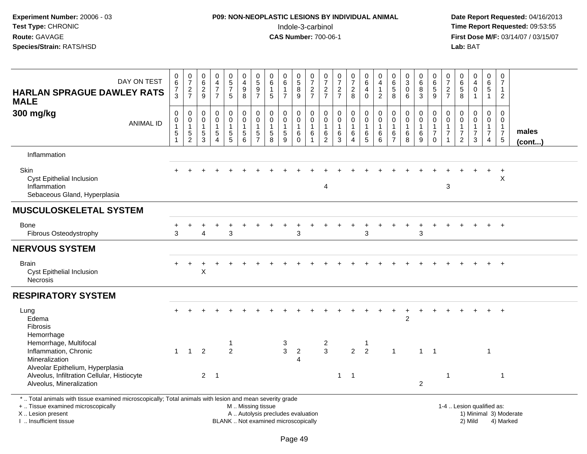## **P09: NON-NEOPLASTIC LESIONS BY INDIVIDUAL ANIMAL**Indole-3-carbinol **Time Report Requested:** 09:53:55

 **Date Report Requested:** 04/16/2013 **First Dose M/F:** 03/14/07 / 03/15/07<br>**Lab: BAT** 

| DAY ON TEST<br><b>HARLAN SPRAGUE DAWLEY RATS</b><br><b>MALE</b>                                                                                | 0<br>6<br>$\overline{7}$<br>$\overline{3}$                        | $\frac{0}{7}$<br>$\frac{2}{7}$                                    | $\begin{array}{c} 0 \\ 6 \end{array}$<br>$\sqrt{2}$<br>9  | $\begin{array}{c} 0 \\ 4 \\ 7 \end{array}$<br>$\overline{7}$                   | $\begin{array}{c} 0 \\ 5 \\ 7 \end{array}$<br>$\sqrt{5}$                            | 0<br>$\overline{\mathbf{4}}$<br>$\boldsymbol{9}$<br>8                             | $\begin{array}{c} 0 \\ 5 \end{array}$<br>$\overline{9}$<br>$\overline{7}$ | 0<br>6<br>$\mathbf{1}$<br>5                                     | $_{6}^{\rm 0}$<br>$\mathbf{1}$<br>$\overline{7}$  | 0<br>8<br>9                                     | $\frac{0}{7}$<br>$\frac{2}{7}$                | $\mathbf 0$<br>$\overline{7}$<br>$\frac{2}{7}$                    | $\frac{0}{7}$<br>$rac{2}{7}$                              | $\begin{smallmatrix}0\\7\end{smallmatrix}$<br>$\frac{2}{8}$                   | 0<br>6<br>4<br>$\mathbf 0$                             | $_4^{\rm O}$<br>$\mathbf{1}$<br>$\overline{2}$           | $\begin{array}{c} 0 \\ 6 \\ 5 \end{array}$<br>$\overline{8}$ | $\begin{smallmatrix}0\3\0\end{smallmatrix}$<br>6                | 0<br>$\overline{6}$<br>8<br>$\overline{3}$                  | 0<br>$\begin{array}{c} 6 \\ 5 \\ 9 \end{array}$                                       | 0<br>$\overline{7}$<br>$\sqrt{2}$<br>$\overline{7}$                          | 0<br>$\overline{6}$<br>$\overline{5}$<br>8                                     | $\begin{array}{c} 0 \\ 4 \\ 0 \end{array}$<br>$\mathbf{1}$ | 0<br>$\,6\,$<br>$\overline{5}$<br>$\mathbf{1}$          | 0<br>$\overline{7}$<br>$\mathbf{1}$<br>$\overline{2}$                      |                       |
|------------------------------------------------------------------------------------------------------------------------------------------------|-------------------------------------------------------------------|-------------------------------------------------------------------|-----------------------------------------------------------|--------------------------------------------------------------------------------|-------------------------------------------------------------------------------------|-----------------------------------------------------------------------------------|---------------------------------------------------------------------------|-----------------------------------------------------------------|---------------------------------------------------|-------------------------------------------------|-----------------------------------------------|-------------------------------------------------------------------|-----------------------------------------------------------|-------------------------------------------------------------------------------|--------------------------------------------------------|----------------------------------------------------------|--------------------------------------------------------------|-----------------------------------------------------------------|-------------------------------------------------------------|---------------------------------------------------------------------------------------|------------------------------------------------------------------------------|--------------------------------------------------------------------------------|------------------------------------------------------------|---------------------------------------------------------|----------------------------------------------------------------------------|-----------------------|
| 300 mg/kg<br><b>ANIMAL ID</b>                                                                                                                  | $\mathbf 0$<br>0<br>$\mathbf{1}$<br>$\,$ 5 $\,$<br>$\overline{1}$ | $\mathsf{O}\xspace$<br>$\pmb{0}$<br>$\mathbf{1}$<br>$\frac{5}{2}$ | $\mathsf{O}\xspace$<br>0<br>$\mathbf{1}$<br>$\frac{5}{3}$ | $\pmb{0}$<br>$\pmb{0}$<br>$\mathbf{1}$<br>$\sqrt{5}$<br>$\boldsymbol{\Lambda}$ | $\mathbf 0$<br>$\mathbf 0$<br>$\mathbf{1}$<br>$\begin{array}{c} 5 \\ 5 \end{array}$ | $\mathbf 0$<br>$\pmb{0}$<br>$\mathbf{1}$<br>$\begin{array}{c} 5 \\ 6 \end{array}$ | $\pmb{0}$<br>$\mathbf 0$<br>$\mathbf{1}$<br>5<br>$\overline{7}$           | $\pmb{0}$<br>$\mathbf 0$<br>$\mathbf{1}$<br>5<br>$\overline{8}$ | 0<br>$\mathbf 0$<br>$\mathbf{1}$<br>$\frac{5}{9}$ | 0<br>$\boldsymbol{0}$<br>$\mathbf{1}$<br>$^6_0$ | $\mathbf 0$<br>$\pmb{0}$<br>$\mathbf{1}$<br>6 | $\mathbf 0$<br>$\mathbf 0$<br>$\mathbf{1}$<br>6<br>$\overline{2}$ | $\pmb{0}$<br>$\mathbf 0$<br>$\mathbf{1}$<br>$\frac{6}{3}$ | $\pmb{0}$<br>$\mathsf{O}\xspace$<br>$\mathbf{1}$<br>$\,6\,$<br>$\overline{4}$ | $\pmb{0}$<br>$\mathbf 0$<br>$\mathbf{1}$<br>$6\over 5$ | 0<br>$\mathsf{O}\xspace$<br>$\mathbf{1}$<br>$\,6\,$<br>6 | 0<br>0<br>$\mathbf{1}$<br>6<br>$\overline{7}$                | 0<br>$\mathsf{O}\xspace$<br>$\mathbf{1}$<br>6<br>$\overline{8}$ | 0<br>$\mathbf 0$<br>$\mathbf{1}$<br>$\,6$<br>$\overline{9}$ | $\mathbf 0$<br>$\mathsf{O}\xspace$<br>$\overline{1}$<br>$\overline{7}$<br>$\mathbf 0$ | $\mathbf 0$<br>$\mathbf 0$<br>$\mathbf{1}$<br>$\overline{7}$<br>$\mathbf{1}$ | $\mathbf 0$<br>$\mathbf 0$<br>$\mathbf{1}$<br>$\overline{7}$<br>$\overline{c}$ | 0<br>$\mathbf 0$<br>$\mathbf{1}$<br>$\overline{7}$<br>3    | $\mathbf 0$<br>0<br>$\mathbf{1}$<br>$\overline{7}$<br>4 | $\mathbf 0$<br>$\mathbf 0$<br>$\mathbf{1}$<br>$\overline{7}$<br>$\sqrt{5}$ | males<br>$($ cont $)$ |
| Inflammation                                                                                                                                   |                                                                   |                                                                   |                                                           |                                                                                |                                                                                     |                                                                                   |                                                                           |                                                                 |                                                   |                                                 |                                               |                                                                   |                                                           |                                                                               |                                                        |                                                          |                                                              |                                                                 |                                                             |                                                                                       |                                                                              |                                                                                |                                                            |                                                         |                                                                            |                       |
| Skin<br><b>Cyst Epithelial Inclusion</b><br>Inflammation<br>Sebaceous Gland, Hyperplasia                                                       |                                                                   |                                                                   |                                                           |                                                                                |                                                                                     |                                                                                   |                                                                           |                                                                 |                                                   |                                                 |                                               | 4                                                                 |                                                           |                                                                               |                                                        |                                                          |                                                              |                                                                 |                                                             |                                                                                       | 3                                                                            |                                                                                |                                                            |                                                         | $\div$<br>X                                                                |                       |
| <b>MUSCULOSKELETAL SYSTEM</b>                                                                                                                  |                                                                   |                                                                   |                                                           |                                                                                |                                                                                     |                                                                                   |                                                                           |                                                                 |                                                   |                                                 |                                               |                                                                   |                                                           |                                                                               |                                                        |                                                          |                                                              |                                                                 |                                                             |                                                                                       |                                                                              |                                                                                |                                                            |                                                         |                                                                            |                       |
| <b>Bone</b><br>Fibrous Osteodystrophy                                                                                                          | 3                                                                 |                                                                   | 4                                                         |                                                                                | 3                                                                                   |                                                                                   |                                                                           |                                                                 |                                                   | 3                                               |                                               |                                                                   |                                                           |                                                                               | 3                                                      |                                                          |                                                              |                                                                 | 3                                                           |                                                                                       |                                                                              |                                                                                |                                                            |                                                         | $+$                                                                        |                       |
| <b>NERVOUS SYSTEM</b>                                                                                                                          |                                                                   |                                                                   |                                                           |                                                                                |                                                                                     |                                                                                   |                                                                           |                                                                 |                                                   |                                                 |                                               |                                                                   |                                                           |                                                                               |                                                        |                                                          |                                                              |                                                                 |                                                             |                                                                                       |                                                                              |                                                                                |                                                            |                                                         |                                                                            |                       |
| <b>Brain</b><br><b>Cyst Epithelial Inclusion</b><br><b>Necrosis</b>                                                                            |                                                                   |                                                                   | $\mathsf X$                                               |                                                                                |                                                                                     |                                                                                   |                                                                           |                                                                 |                                                   |                                                 |                                               |                                                                   |                                                           |                                                                               |                                                        |                                                          |                                                              |                                                                 |                                                             |                                                                                       |                                                                              |                                                                                |                                                            |                                                         | $+$                                                                        |                       |
| <b>RESPIRATORY SYSTEM</b>                                                                                                                      |                                                                   |                                                                   |                                                           |                                                                                |                                                                                     |                                                                                   |                                                                           |                                                                 |                                                   |                                                 |                                               |                                                                   |                                                           |                                                                               |                                                        |                                                          |                                                              |                                                                 |                                                             |                                                                                       |                                                                              |                                                                                |                                                            |                                                         |                                                                            |                       |
| Lung<br>Edema<br>Fibrosis                                                                                                                      |                                                                   |                                                                   |                                                           |                                                                                |                                                                                     |                                                                                   |                                                                           |                                                                 |                                                   |                                                 |                                               |                                                                   |                                                           |                                                                               |                                                        |                                                          |                                                              | $\ddot{}$<br>$\overline{2}$                                     | $\ddot{}$                                                   |                                                                                       |                                                                              |                                                                                |                                                            |                                                         | $\ddot{}$                                                                  |                       |
| Hemorrhage<br>Hemorrhage, Multifocal<br>Inflammation, Chronic<br>Mineralization                                                                | $\mathbf{1}$                                                      | $\mathbf{1}$                                                      | 2                                                         |                                                                                | 1<br>$\overline{2}$                                                                 |                                                                                   |                                                                           |                                                                 | 3<br>$\mathbf{3}$                                 | 2<br>4                                          |                                               | $\frac{2}{3}$                                                     |                                                           |                                                                               | 2 <sub>2</sub>                                         |                                                          | $\mathbf{1}$                                                 |                                                                 | $\mathbf{1}$                                                | $\overline{\phantom{0}}$ 1                                                            |                                                                              |                                                                                |                                                            | $\mathbf 1$                                             |                                                                            |                       |
| Alveolar Epithelium, Hyperplasia<br>Alveolus, Infiltration Cellular, Histiocyte<br>Alveolus, Mineralization                                    |                                                                   |                                                                   |                                                           | 2 <sub>1</sub>                                                                 |                                                                                     |                                                                                   |                                                                           |                                                                 |                                                   |                                                 |                                               |                                                                   | $\mathbf{1}$                                              | $\overline{\phantom{0}}$                                                      |                                                        |                                                          |                                                              |                                                                 | $\overline{2}$                                              |                                                                                       | $\mathbf{1}$                                                                 |                                                                                |                                                            |                                                         | $\mathbf{1}$                                                               |                       |
| *  Total animals with tissue examined microscopically; Total animals with lesion and mean severity grade<br>+  Tissue examined microscopically |                                                                   |                                                                   |                                                           |                                                                                |                                                                                     | M  Missing tissue                                                                 |                                                                           |                                                                 |                                                   |                                                 |                                               |                                                                   |                                                           |                                                                               |                                                        |                                                          |                                                              |                                                                 |                                                             |                                                                                       |                                                                              | 1-4  Lesion qualified as:                                                      |                                                            |                                                         |                                                                            |                       |

X .. Lesion present

I .. Insufficient tissue

 M .. Missing tissueA .. Autolysis precludes evaluation

BLANK .. Not examined microscopically 2) Mild 4) Marked

1-4 .. Lesion qualified as: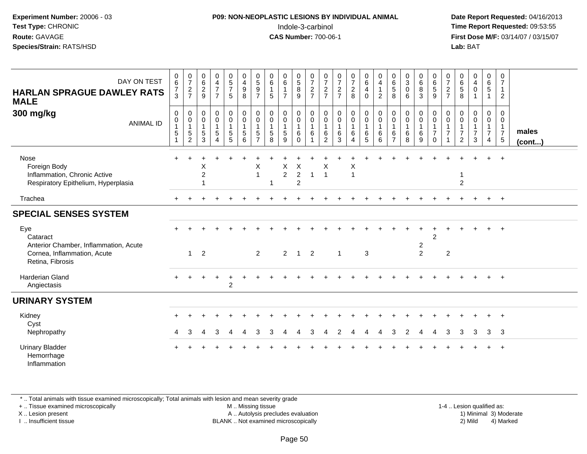#### **P09: NON-NEOPLASTIC LESIONS BY INDIVIDUAL ANIMAL**Indole-3-carbinol **Time Report Requested:** 09:53:55

 **Date Report Requested:** 04/16/2013 **First Dose M/F:** 03/14/07 / 03/15/07<br>**Lab: BAT Lab:** BAT

| DAY ON TEST<br><b>HARLAN SPRAGUE DAWLEY RATS</b><br><b>MALE</b>                                             | 0<br>$\,6\,$<br>$\overline{7}$<br>3   | $\frac{0}{7}$<br>$\frac{2}{7}$                                                | $\begin{matrix} 0 \\ 6 \end{matrix}$<br>$\overline{c}$<br>9 | 0<br>4<br>$\overline{7}$<br>$\overline{7}$           | $\begin{array}{c} 0 \\ 5 \\ 7 \end{array}$<br>$\sqrt{5}$                                              | 0<br>$\overline{\mathbf{4}}$<br>$\boldsymbol{9}$<br>8                       | $\begin{array}{c} 0 \\ 5 \\ 9 \end{array}$<br>$\overline{7}$ | $\begin{matrix} 0 \\ 6 \end{matrix}$<br>$\mathbf{1}$<br>5       | $0\over 6$<br>$\mathbf{1}$<br>$\overline{7}$ | $\begin{array}{c} 0 \\ 5 \\ 8 \end{array}$<br>$9\,$                             | $\frac{0}{7}$<br>$\overline{c}$<br>$\overline{7}$ | $\frac{0}{7}$<br>$\overline{c}$<br>$\overline{7}$ | $\frac{0}{7}$<br>$\overline{a}$<br>$\overline{7}$                                          | $\frac{0}{7}$<br>$\frac{2}{8}$                                  | $\begin{matrix} 0 \\ 6 \end{matrix}$<br>4<br>$\mathbf 0$          | 0<br>$\overline{4}$<br>$\mathbf{1}$<br>$\overline{c}$ | $\begin{array}{c} 0 \\ 6 \\ 5 \end{array}$<br>8                         | $\frac{0}{3}$<br>$\mathbf 0$<br>6                            | $\begin{matrix}0\6\8\end{matrix}$<br>$\mathfrak{Z}$                   | 0<br>$\overline{6}$<br>5<br>$9\,$                            | $\frac{0}{7}$<br>$\frac{2}{7}$                                      | $\begin{matrix} 0 \\ 6 \end{matrix}$<br>$\overline{5}$<br>8       | $\frac{0}{4}$<br>$\mathbf 0$<br>1                       | $\begin{matrix} 0 \\ 6 \end{matrix}$<br>$\overline{5}$<br>$\mathbf{1}$         | 0<br>$\overline{7}$<br>$\mathbf{1}$<br>$\overline{2}$    |                 |
|-------------------------------------------------------------------------------------------------------------|---------------------------------------|-------------------------------------------------------------------------------|-------------------------------------------------------------|------------------------------------------------------|-------------------------------------------------------------------------------------------------------|-----------------------------------------------------------------------------|--------------------------------------------------------------|-----------------------------------------------------------------|----------------------------------------------|---------------------------------------------------------------------------------|---------------------------------------------------|---------------------------------------------------|--------------------------------------------------------------------------------------------|-----------------------------------------------------------------|-------------------------------------------------------------------|-------------------------------------------------------|-------------------------------------------------------------------------|--------------------------------------------------------------|-----------------------------------------------------------------------|--------------------------------------------------------------|---------------------------------------------------------------------|-------------------------------------------------------------------|---------------------------------------------------------|--------------------------------------------------------------------------------|----------------------------------------------------------|-----------------|
| 300 mg/kg<br><b>ANIMAL ID</b>                                                                               | $\mathbf 0$<br>0<br>$\mathbf{1}$<br>5 | $\mathbf 0$<br>$\mathbf 0$<br>$\overline{1}$<br>$\,$ 5 $\,$<br>$\overline{2}$ | 0<br>$\mathbf 0$<br>$\mathbf{1}$<br>5<br>3                  | $\mathbf 0$<br>$\mathbf 0$<br>$\mathbf{1}$<br>5<br>4 | $\begin{smallmatrix} 0\\0 \end{smallmatrix}$<br>$\mathbf{1}$<br>$\begin{array}{c} 5 \\ 5 \end{array}$ | $_{\rm 0}^{\rm 0}$<br>$\mathbf{1}$<br>$\begin{array}{c} 5 \\ 6 \end{array}$ | $\mathbf 0$<br>$\pmb{0}$<br>$\overline{1}$<br>5              | $\mathbf 0$<br>$\mathbf 0$<br>$\overline{1}$<br>$\sqrt{5}$<br>8 | 0<br>$\mathbf 0$<br>$\mathbf{1}$<br>5<br>9   | $\begin{smallmatrix} 0\\0 \end{smallmatrix}$<br>$\overline{1}$<br>6<br>$\Omega$ | 0<br>$\mathbf 0$<br>$\mathbf{1}$<br>6             | $\pmb{0}$<br>0<br>$\overline{1}$<br>$\frac{6}{2}$ | $\begin{smallmatrix}0\0\0\end{smallmatrix}$<br>$\overline{1}$<br>$\,6\,$<br>$\overline{3}$ | $\pmb{0}$<br>$\pmb{0}$<br>$\overline{1}$<br>6<br>$\overline{4}$ | $_{\rm 0}^{\rm 0}$<br>$\overline{1}$<br>$\,6\,$<br>$\overline{5}$ | 0<br>$\mathbf 0$<br>$\mathbf{1}$<br>6<br>6            | $\mathbf 0$<br>$\pmb{0}$<br>$\overline{1}$<br>$\,6\,$<br>$\overline{7}$ | $\mathbf 0$<br>$\mathsf{O}\xspace$<br>$\mathbf{1}$<br>6<br>8 | $\begin{smallmatrix}0\0\0\end{smallmatrix}$<br>$\mathbf{1}$<br>$^6_9$ | 0<br>$\pmb{0}$<br>$\mathbf{1}$<br>$\overline{7}$<br>$\Omega$ | $\mathbf 0$<br>$\boldsymbol{0}$<br>$\overline{1}$<br>$\overline{7}$ | $\mathbf 0$<br>$\pmb{0}$<br>$\overline{1}$<br>$\overline{7}$<br>2 | 0<br>$\mathbf 0$<br>$\mathbf{1}$<br>$\overline{7}$<br>3 | $\mathbf 0$<br>$\mathbf 0$<br>$\mathbf{1}$<br>$\overline{7}$<br>$\overline{4}$ | $\mathbf{0}$<br>0<br>$\mathbf{1}$<br>$\overline{7}$<br>5 | males<br>(cont) |
| Nose<br>Foreign Body<br>Inflammation, Chronic Active<br>Respiratory Epithelium, Hyperplasia                 |                                       |                                                                               | Х<br>$\overline{2}$                                         |                                                      |                                                                                                       |                                                                             | X<br>$\overline{1}$                                          | 1                                                               | X<br>$\overline{c}$                          | X<br>$\overline{c}$<br>$\overline{2}$                                           | $\overline{1}$                                    | Χ<br>$\overline{1}$                               |                                                                                            | X<br>$\overline{1}$                                             |                                                                   |                                                       |                                                                         |                                                              |                                                                       |                                                              |                                                                     | 1<br>$\overline{2}$                                               |                                                         |                                                                                | $\ddot{}$                                                |                 |
| Trachea                                                                                                     |                                       |                                                                               |                                                             |                                                      |                                                                                                       |                                                                             |                                                              |                                                                 |                                              |                                                                                 |                                                   |                                                   |                                                                                            |                                                                 |                                                                   |                                                       |                                                                         |                                                              |                                                                       |                                                              |                                                                     |                                                                   |                                                         |                                                                                | $+$                                                      |                 |
| <b>SPECIAL SENSES SYSTEM</b>                                                                                |                                       |                                                                               |                                                             |                                                      |                                                                                                       |                                                                             |                                                              |                                                                 |                                              |                                                                                 |                                                   |                                                   |                                                                                            |                                                                 |                                                                   |                                                       |                                                                         |                                                              |                                                                       |                                                              |                                                                     |                                                                   |                                                         |                                                                                |                                                          |                 |
| Eye<br>Cataract<br>Anterior Chamber, Inflammation, Acute<br>Cornea, Inflammation, Acute<br>Retina, Fibrosis |                                       | 1                                                                             | $\overline{2}$                                              |                                                      |                                                                                                       |                                                                             | 2                                                            |                                                                 | $\overline{2}$                               | $\overline{1}$                                                                  | $\overline{2}$                                    |                                                   | $\mathbf{1}$                                                                               |                                                                 | 3                                                                 |                                                       |                                                                         |                                                              | $\overline{2}$<br>2                                                   | $\overline{2}$                                               | 2                                                                   |                                                                   |                                                         |                                                                                | $+$                                                      |                 |
| <b>Harderian Gland</b><br>Angiectasis                                                                       |                                       |                                                                               |                                                             |                                                      | 2                                                                                                     |                                                                             |                                                              |                                                                 |                                              |                                                                                 |                                                   |                                                   |                                                                                            |                                                                 |                                                                   |                                                       |                                                                         |                                                              |                                                                       |                                                              |                                                                     |                                                                   |                                                         | $+$                                                                            | $+$                                                      |                 |
| <b>URINARY SYSTEM</b>                                                                                       |                                       |                                                                               |                                                             |                                                      |                                                                                                       |                                                                             |                                                              |                                                                 |                                              |                                                                                 |                                                   |                                                   |                                                                                            |                                                                 |                                                                   |                                                       |                                                                         |                                                              |                                                                       |                                                              |                                                                     |                                                                   |                                                         |                                                                                |                                                          |                 |
| Kidney<br>Cyst<br>Nephropathy                                                                               | 4                                     | 3                                                                             | 4                                                           | 3                                                    | 4                                                                                                     | Δ                                                                           | 3                                                            | 3                                                               | 4                                            | 4                                                                               | 3                                                 | Δ                                                 | 2                                                                                          | 4                                                               |                                                                   | Δ                                                     | 3                                                                       | 2                                                            | 4                                                                     | 4                                                            | 3                                                                   | 3                                                                 | 3                                                       | 3                                                                              | $^{+}$<br>$\overline{\mathbf{3}}$                        |                 |
| <b>Urinary Bladder</b><br>Hemorrhage<br>Inflammation                                                        |                                       |                                                                               |                                                             |                                                      |                                                                                                       |                                                                             |                                                              |                                                                 |                                              |                                                                                 |                                                   |                                                   |                                                                                            |                                                                 |                                                                   |                                                       |                                                                         |                                                              |                                                                       |                                                              |                                                                     |                                                                   |                                                         |                                                                                | $\ddot{}$                                                |                 |

\* .. Total animals with tissue examined microscopically; Total animals with lesion and mean severity grade

+ .. Tissue examined microscopically

X .. Lesion present

I .. Insufficient tissue

 M .. Missing tissueA .. Autolysis precludes evaluation

1-4 .. Lesion qualified as:<br>1) Minimal 3) Moderate BLANK .. Not examined microscopically 2) Mild 4) Marked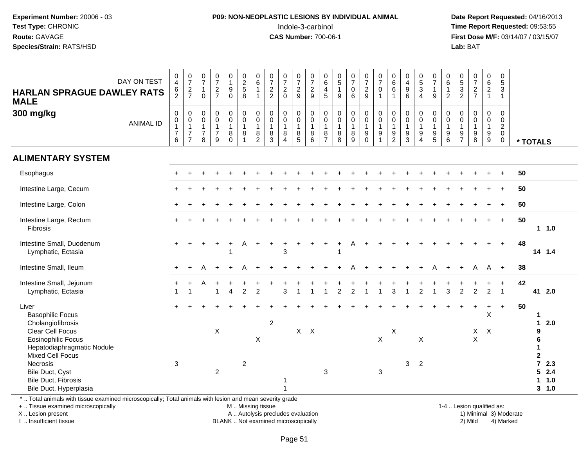#### **P09: NON-NEOPLASTIC LESIONS BY INDIVIDUAL ANIMAL**Indole-3-carbinol **Time Report Requested:** 09:53:55

 **Date Report Requested:** 04/16/2013 **First Dose M/F:** 03/14/07 / 03/15/07<br>**Lab: BAT** 

| DAY ON TEST<br><b>HARLAN SPRAGUE DAWLEY RATS</b><br><b>MALE</b><br>300 mg/kg<br><b>ANIMAL ID</b>                                                                                                                             | $_4^{\rm 0}$<br>$6\over 2$<br>0<br>$\mathbf 0$<br>$\mathbf{1}$<br>$\overline{7}$<br>6 | $\frac{0}{7}$<br>$\frac{2}{7}$<br>$\boldsymbol{0}$<br>$\pmb{0}$<br>$\overline{1}$<br>$\overline{7}$<br>$\overline{7}$ | $\frac{0}{7}$<br>$\overline{1}$<br>$\Omega$<br>$\mathbf 0$<br>$\mathbf 0$<br>$\mathbf{1}$<br>$\overline{7}$<br>8 | $\begin{array}{c} 0 \\ 7 \end{array}$<br>$\frac{2}{7}$<br>$\mathbf 0$<br>$\mathbf 0$<br>$\mathbf{1}$<br>$\overline{7}$<br>9 | $\begin{smallmatrix}0\1\end{smallmatrix}$<br>$\begin{matrix} 9 \\ 0 \end{matrix}$<br>$\mathsf{O}$<br>$\mathbf 0$<br>$\mathbf{1}$<br>8<br>$\Omega$ | $\begin{array}{c} 0 \\ 2 \\ 5 \\ 8 \end{array}$<br>$\mathsf{O}$<br>$\mathsf{O}$<br>$\overline{1}$<br>8<br>$\overline{1}$ | $\begin{array}{c} 0 \\ 6 \end{array}$<br>$\mathbf{1}$<br>$\pmb{0}$<br>$\pmb{0}$<br>$\mathbf{1}$<br>$\,8\,$<br>$\overline{2}$ | $\frac{0}{7}$<br>$\frac{2}{2}$<br>$\mathbf 0$<br>$\mathbf 0$<br>$\overline{1}$<br>$^8_3$ | $\frac{0}{7}$<br>$\frac{2}{0}$<br>$\mathbf 0$<br>$\pmb{0}$<br>$\mathbf{1}$<br>8<br>$\boldsymbol{\Lambda}$ | $\begin{array}{c} 0 \\ 7 \end{array}$<br>$\frac{2}{9}$<br>0<br>$\pmb{0}$<br>$\mathbf{1}$<br>$\bf 8$<br>5 | $\frac{0}{7}$<br>$\frac{2}{9}$<br>$\mathbf 0$<br>$\mathsf 0$<br>$\mathbf{1}$<br>8<br>6 | $_{6}^{\rm 0}$<br>$\frac{4}{5}$<br>0<br>$\mathbf 0$<br>$\mathbf{1}$<br>8<br>$\overline{7}$ | $\begin{array}{c} 0 \\ 5 \\ 1 \end{array}$<br>9<br>$\mathsf 0$<br>0<br>$\mathbf{1}$<br>8<br>8 | $\frac{0}{7}$<br>$\begin{matrix}0\\6\end{matrix}$<br>$\pmb{0}$<br>$\pmb{0}$<br>$\mathbf{1}$<br>$\bf 8$<br>$\overline{9}$ | $\begin{array}{c} 0 \\ 7 \end{array}$<br>$\frac{2}{9}$<br>$\pmb{0}$<br>$\pmb{0}$<br>$\mathbf{1}$<br>$\boldsymbol{9}$<br>$\mathbf 0$ | $\frac{0}{7}$<br>$\mathsf 0$<br>$\mathbf{1}$<br>$\mathbf 0$<br>$\mathbf 0$<br>$\overline{1}$<br>$\boldsymbol{9}$<br>$\mathbf{1}$ | $\begin{array}{c} 0 \\ 6 \end{array}$<br>6<br>1<br>$\mathbf 0$<br>$\pmb{0}$<br>$\mathbf{1}$<br>9<br>$\overline{c}$ | $\begin{array}{c} 0 \\ 4 \\ 9 \\ 6 \end{array}$<br>$\mathbf 0$<br>$\pmb{0}$<br>$\mathbf{1}$<br>$\frac{9}{3}$ | $\begin{matrix}0\\5\\3\end{matrix}$<br>$\overline{4}$<br>$\mathbf 0$<br>$\mathsf{O}$<br>$\mathbf{1}$<br>9<br>$\overline{4}$ | $\begin{smallmatrix}0\\7\end{smallmatrix}$<br>$\overline{1}$<br>9<br>$\pmb{0}$<br>$\pmb{0}$<br>$\mathbf{1}$<br>$\begin{array}{c} 9 \\ 5 \end{array}$ | $\begin{array}{c} 0 \\ 6 \end{array}$<br>$\mathbf{1}$<br>$\overline{2}$<br>$\mathbf 0$<br>$\mathsf 0$<br>$\mathbf{1}$<br>$\boldsymbol{9}$<br>$\,6\,$ | $\begin{array}{c} 0 \\ 5 \\ 2 \end{array}$<br>$\mathbf 0$<br>$\mathbf 0$<br>$\overline{1}$<br>$\frac{9}{7}$ | $\frac{0}{7}$<br>$\frac{2}{7}$<br>$\mathbf 0$<br>$\mathbf 0$<br>$\mathbf{1}$<br>$\boldsymbol{9}$<br>8 | $\begin{array}{c} 0 \\ 6 \\ 2 \end{array}$<br>$\mathbf{1}$<br>$\mathbf 0$<br>$\mathbf 0$<br>$\mathbf{1}$<br>$\boldsymbol{9}$<br>$9\,$ | $\begin{array}{c} 0 \\ 5 \\ 3 \end{array}$<br>$\mathbf{1}$<br>$\mathbf 0$<br>$\mathbf 0$<br>$\overline{c}$<br>$\boldsymbol{0}$<br>$\mathbf 0$ | * TOTALS                                                                                                                 |
|------------------------------------------------------------------------------------------------------------------------------------------------------------------------------------------------------------------------------|---------------------------------------------------------------------------------------|-----------------------------------------------------------------------------------------------------------------------|------------------------------------------------------------------------------------------------------------------|-----------------------------------------------------------------------------------------------------------------------------|---------------------------------------------------------------------------------------------------------------------------------------------------|--------------------------------------------------------------------------------------------------------------------------|------------------------------------------------------------------------------------------------------------------------------|------------------------------------------------------------------------------------------|-----------------------------------------------------------------------------------------------------------|----------------------------------------------------------------------------------------------------------|----------------------------------------------------------------------------------------|--------------------------------------------------------------------------------------------|-----------------------------------------------------------------------------------------------|--------------------------------------------------------------------------------------------------------------------------|-------------------------------------------------------------------------------------------------------------------------------------|----------------------------------------------------------------------------------------------------------------------------------|--------------------------------------------------------------------------------------------------------------------|--------------------------------------------------------------------------------------------------------------|-----------------------------------------------------------------------------------------------------------------------------|------------------------------------------------------------------------------------------------------------------------------------------------------|------------------------------------------------------------------------------------------------------------------------------------------------------|-------------------------------------------------------------------------------------------------------------|-------------------------------------------------------------------------------------------------------|---------------------------------------------------------------------------------------------------------------------------------------|-----------------------------------------------------------------------------------------------------------------------------------------------|--------------------------------------------------------------------------------------------------------------------------|
| <b>ALIMENTARY SYSTEM</b>                                                                                                                                                                                                     |                                                                                       |                                                                                                                       |                                                                                                                  |                                                                                                                             |                                                                                                                                                   |                                                                                                                          |                                                                                                                              |                                                                                          |                                                                                                           |                                                                                                          |                                                                                        |                                                                                            |                                                                                               |                                                                                                                          |                                                                                                                                     |                                                                                                                                  |                                                                                                                    |                                                                                                              |                                                                                                                             |                                                                                                                                                      |                                                                                                                                                      |                                                                                                             |                                                                                                       |                                                                                                                                       |                                                                                                                                               |                                                                                                                          |
| Esophagus                                                                                                                                                                                                                    |                                                                                       |                                                                                                                       |                                                                                                                  |                                                                                                                             |                                                                                                                                                   |                                                                                                                          |                                                                                                                              |                                                                                          |                                                                                                           |                                                                                                          |                                                                                        |                                                                                            |                                                                                               |                                                                                                                          |                                                                                                                                     |                                                                                                                                  |                                                                                                                    |                                                                                                              |                                                                                                                             |                                                                                                                                                      |                                                                                                                                                      |                                                                                                             |                                                                                                       |                                                                                                                                       | $\ddot{}$                                                                                                                                     | 50                                                                                                                       |
| Intestine Large, Cecum                                                                                                                                                                                                       |                                                                                       |                                                                                                                       |                                                                                                                  |                                                                                                                             |                                                                                                                                                   |                                                                                                                          |                                                                                                                              |                                                                                          |                                                                                                           |                                                                                                          |                                                                                        |                                                                                            |                                                                                               |                                                                                                                          |                                                                                                                                     |                                                                                                                                  |                                                                                                                    |                                                                                                              |                                                                                                                             |                                                                                                                                                      |                                                                                                                                                      |                                                                                                             |                                                                                                       |                                                                                                                                       |                                                                                                                                               | 50                                                                                                                       |
| Intestine Large, Colon                                                                                                                                                                                                       |                                                                                       |                                                                                                                       |                                                                                                                  |                                                                                                                             |                                                                                                                                                   |                                                                                                                          |                                                                                                                              |                                                                                          |                                                                                                           |                                                                                                          |                                                                                        |                                                                                            |                                                                                               |                                                                                                                          |                                                                                                                                     |                                                                                                                                  |                                                                                                                    |                                                                                                              |                                                                                                                             |                                                                                                                                                      |                                                                                                                                                      |                                                                                                             |                                                                                                       |                                                                                                                                       |                                                                                                                                               | 50                                                                                                                       |
| Intestine Large, Rectum<br>Fibrosis                                                                                                                                                                                          |                                                                                       |                                                                                                                       |                                                                                                                  |                                                                                                                             |                                                                                                                                                   |                                                                                                                          |                                                                                                                              |                                                                                          |                                                                                                           |                                                                                                          |                                                                                        |                                                                                            |                                                                                               |                                                                                                                          |                                                                                                                                     |                                                                                                                                  |                                                                                                                    |                                                                                                              |                                                                                                                             |                                                                                                                                                      |                                                                                                                                                      |                                                                                                             |                                                                                                       |                                                                                                                                       | $\ddot{}$                                                                                                                                     | 50<br>1 1.0                                                                                                              |
| Intestine Small, Duodenum<br>Lymphatic, Ectasia                                                                                                                                                                              | $+$                                                                                   |                                                                                                                       | $\ddot{}$                                                                                                        | $\ddot{}$                                                                                                                   | $\ddot{}$                                                                                                                                         | A                                                                                                                        | $\ddot{}$                                                                                                                    |                                                                                          | 3                                                                                                         |                                                                                                          |                                                                                        | $\ddot{}$                                                                                  |                                                                                               | A                                                                                                                        |                                                                                                                                     |                                                                                                                                  |                                                                                                                    |                                                                                                              |                                                                                                                             |                                                                                                                                                      |                                                                                                                                                      |                                                                                                             |                                                                                                       |                                                                                                                                       | $+$                                                                                                                                           | 48<br>14 1.4                                                                                                             |
| Intestine Small, Ileum                                                                                                                                                                                                       |                                                                                       |                                                                                                                       |                                                                                                                  |                                                                                                                             |                                                                                                                                                   |                                                                                                                          |                                                                                                                              |                                                                                          |                                                                                                           |                                                                                                          |                                                                                        |                                                                                            |                                                                                               |                                                                                                                          |                                                                                                                                     |                                                                                                                                  |                                                                                                                    |                                                                                                              |                                                                                                                             |                                                                                                                                                      |                                                                                                                                                      |                                                                                                             | А                                                                                                     | A                                                                                                                                     | $\ddot{+}$                                                                                                                                    | 38                                                                                                                       |
| Intestine Small, Jejunum<br>Lymphatic, Ectasia                                                                                                                                                                               | +<br>$\overline{1}$                                                                   | $\ddot{}$<br>$\overline{1}$                                                                                           | А                                                                                                                | $\overline{1}$                                                                                                              | $\overline{4}$                                                                                                                                    | $\overline{2}$                                                                                                           | $\overline{2}$                                                                                                               |                                                                                          | 3                                                                                                         | $\overline{1}$                                                                                           |                                                                                        | $\overline{1}$                                                                             | $\overline{2}$                                                                                | $\overline{2}$                                                                                                           | $\overline{1}$                                                                                                                      | $\mathbf{1}$                                                                                                                     | 3                                                                                                                  | $\overline{1}$                                                                                               | $\overline{2}$                                                                                                              | $\overline{1}$                                                                                                                                       | 3                                                                                                                                                    | $\overline{2}$                                                                                              | $\overline{2}$                                                                                        | $\overline{2}$                                                                                                                        | $\ddot{}$<br>$\overline{1}$                                                                                                                   | 42<br>41 2.0                                                                                                             |
| Liver<br><b>Basophilic Focus</b><br>Cholangiofibrosis<br><b>Clear Cell Focus</b><br><b>Eosinophilic Focus</b><br>Hepatodiaphragmatic Nodule<br><b>Mixed Cell Focus</b><br>Necrosis<br>Bile Duct, Cyst<br>Bile Duct, Fibrosis | 3                                                                                     |                                                                                                                       |                                                                                                                  | $\mathsf X$<br>$\overline{c}$                                                                                               |                                                                                                                                                   | $\overline{2}$                                                                                                           | X                                                                                                                            | $\overline{2}$                                                                           |                                                                                                           | $X$ $X$                                                                                                  |                                                                                        | 3                                                                                          |                                                                                               |                                                                                                                          |                                                                                                                                     | $\boldsymbol{\mathsf{X}}$<br>3                                                                                                   | $\pmb{\times}$                                                                                                     | 3                                                                                                            | Χ<br>$\overline{2}$                                                                                                         |                                                                                                                                                      |                                                                                                                                                      |                                                                                                             | $\mathsf X$<br>$\boldsymbol{\mathsf{X}}$                                                              | $+$<br>$\sf X$<br>$\boldsymbol{X}$                                                                                                    | $+$                                                                                                                                           | 50<br>$\mathbf{1}$<br>2.0<br>$\mathbf{1}$<br>9<br>6<br>1<br>$\mathbf 2$<br>$\overline{7}$<br>2.3<br>5<br>2.4<br>1.0<br>1 |
| Bile Duct, Hyperplasia<br>* Total animals with tissue examined microsconically: Total animals with lesion and mean severity grade                                                                                            |                                                                                       |                                                                                                                       |                                                                                                                  |                                                                                                                             |                                                                                                                                                   |                                                                                                                          |                                                                                                                              |                                                                                          |                                                                                                           |                                                                                                          |                                                                                        |                                                                                            |                                                                                               |                                                                                                                          |                                                                                                                                     |                                                                                                                                  |                                                                                                                    |                                                                                                              |                                                                                                                             |                                                                                                                                                      |                                                                                                                                                      |                                                                                                             |                                                                                                       |                                                                                                                                       |                                                                                                                                               | 3, 1.0                                                                                                                   |

\* ... Total animals with tissue examined microscopically; Total animals with lesion and mean severity grade

+ .. Tissue examined microscopically

X .. Lesion present

I .. Insufficient tissue

M .. Missing tissue

A .. Autolysis precludes evaluation 1999 (1999) 1999 (1999) 1999 (1999) 1999 (1999) 1999 (1999) 1999 (1999) 1<br>1999 - Nicolas Antonio Scopically 1999 (1999) 1999 (1999) 1999 (1999) 1999 (1999) 1999 (1999) 1999 (1999) 199

BLANK .. Not examined microscopically 2) Mild 4) Marked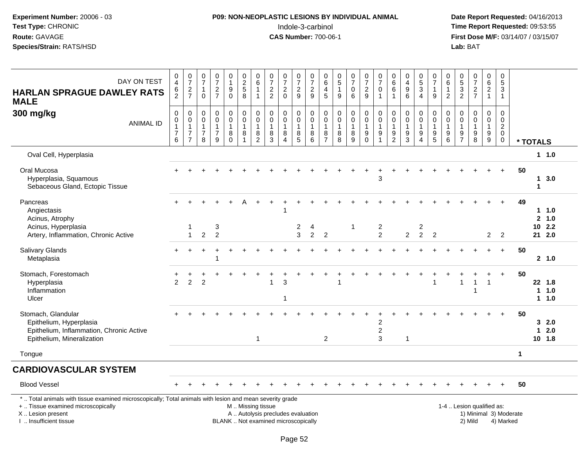#### **P09: NON-NEOPLASTIC LESIONS BY INDIVIDUAL ANIMAL**Indole-3-carbinol **Time Report Requested:** 09:53:55

 **Date Report Requested:** 04/16/2013 **First Dose M/F:** 03/14/07 / 03/15/07<br>**Lab:** BAT **Lab:** BAT

| DAY ON TEST<br><b>HARLAN SPRAGUE DAWLEY RATS</b><br><b>MALE</b>                                                                                                                               | $_4^{\rm 0}$<br>6<br>$\overline{2}$                     | $\frac{0}{7}$<br>$\frac{2}{7}$                                                           | $\frac{0}{7}$<br>$\mathbf{1}$<br>$\mathbf 0$  | $\frac{0}{7}$<br>$\frac{2}{7}$                                    | 0<br>$\mathbf{1}$<br>$\boldsymbol{9}$<br>$\mathbf 0$ | $\begin{array}{c} 0 \\ 2 \\ 5 \end{array}$<br>8                                               | $_{6}^{\rm 0}$<br>$\mathbf{1}$<br>$\mathbf{1}$                            | $\frac{0}{7}$<br>$\overline{c}$<br>$\overline{c}$     | $\frac{0}{7}$<br>$\sqrt{2}$<br>$\mathbf 0$                        | $\frac{0}{7}$<br>$\frac{2}{9}$                                            | $\begin{array}{c} 0 \\ 7 \end{array}$<br>$\overline{c}$<br>9 | $\pmb{0}$<br>$\,6\,$<br>$\overline{4}$<br>$\overline{5}$               | $\begin{array}{c} 0 \\ 5 \end{array}$<br>$\mathbf{1}$<br>9 | $\frac{0}{7}$<br>$\boldsymbol{0}$<br>$6\phantom{1}$     | $\begin{array}{c} 0 \\ 7 \end{array}$<br>$\overline{c}$<br>9 | $\frac{0}{7}$<br>$\mathbf 0$<br>$\overline{1}$   | $\begin{array}{c} 0 \\ 6 \end{array}$<br>6                            | $\begin{smallmatrix}0\0\4\end{smallmatrix}$<br>$\boldsymbol{9}$<br>$6\phantom{1}6$ | $\begin{array}{c} 0 \\ 5 \end{array}$<br>$\overline{3}$<br>$\overline{4}$ | $\frac{0}{7}$<br>$\overline{1}$<br>9                              | 0<br>6<br>1<br>$\overline{2}$              | $\frac{0}{5}$ 3<br>2                                              | $\frac{0}{7}$<br>$\frac{2}{7}$                                 | $\begin{matrix} 0 \\ 6 \\ 2 \end{matrix}$<br>$\mathbf{1}$ | $\mathbf 0$<br>$5\,$<br>$\mathfrak{S}$<br>$\mathbf{1}$                    |              |             |                           |
|-----------------------------------------------------------------------------------------------------------------------------------------------------------------------------------------------|---------------------------------------------------------|------------------------------------------------------------------------------------------|-----------------------------------------------|-------------------------------------------------------------------|------------------------------------------------------|-----------------------------------------------------------------------------------------------|---------------------------------------------------------------------------|-------------------------------------------------------|-------------------------------------------------------------------|---------------------------------------------------------------------------|--------------------------------------------------------------|------------------------------------------------------------------------|------------------------------------------------------------|---------------------------------------------------------|--------------------------------------------------------------|--------------------------------------------------|-----------------------------------------------------------------------|------------------------------------------------------------------------------------|---------------------------------------------------------------------------|-------------------------------------------------------------------|--------------------------------------------|-------------------------------------------------------------------|----------------------------------------------------------------|-----------------------------------------------------------|---------------------------------------------------------------------------|--------------|-------------|---------------------------|
| 300 mg/kg<br><b>ANIMAL ID</b>                                                                                                                                                                 | $\mathbf 0$<br>0<br>$\mathbf{1}$<br>$\overline{7}$<br>6 | $\mathbf 0$<br>$\mathsf{O}\xspace$<br>$\overline{1}$<br>$\overline{7}$<br>$\overline{7}$ | 0<br>0<br>$\mathbf{1}$<br>$\overline{7}$<br>8 | $\mathbf 0$<br>$\mathbf 0$<br>$\mathbf{1}$<br>$\overline{7}$<br>9 | 0<br>$\mathsf{O}\xspace$<br>1<br>8<br>$\Omega$       | $\pmb{0}$<br>$\pmb{0}$<br>$\mathbf{1}$<br>8<br>1                                              | $\mathbf 0$<br>$\mathsf{O}\xspace$<br>$\mathbf{1}$<br>8<br>$\overline{2}$ | 0<br>$\pmb{0}$<br>$\mathbf{1}$<br>8<br>$\overline{3}$ | $\mathbf 0$<br>$\mathbf 0$<br>$\mathbf{1}$<br>8<br>$\overline{4}$ | 0<br>$\mathbf 0$<br>$\mathbf{1}$<br>$\begin{array}{c} 8 \\ 5 \end{array}$ | 0<br>$\mathbf 0$<br>$\mathbf{1}$<br>8<br>6                   | $\mathbf 0$<br>$\boldsymbol{0}$<br>$\mathbf{1}$<br>8<br>$\overline{7}$ | 0<br>$\mathbf 0$<br>$\mathbf{1}$<br>8<br>8                 | 0<br>$\mathbf 0$<br>$\mathbf{1}$<br>8<br>$\overline{9}$ | 0<br>$\mathbf 0$<br>$\mathbf{1}$<br>9<br>$\mathbf 0$         | $\pmb{0}$<br>$\pmb{0}$<br>$\mathbf{1}$<br>9<br>1 | $\mathbf 0$<br>$\mathbf 0$<br>$\mathbf{1}$<br>$9\,$<br>$\overline{2}$ | $\mathbf 0$<br>$\mathbf 0$<br>$\mathbf{1}$<br>9<br>$\mathbf{3}$                    | 0<br>$\mathbf 0$<br>$\mathbf{1}$<br>$\boldsymbol{9}$<br>$\overline{4}$    | $\mathbf 0$<br>$\mathbf 0$<br>$\mathbf{1}$<br>9<br>$\overline{5}$ | 0<br>$\mathbf 0$<br>$\mathbf{1}$<br>9<br>6 | $\mathbf 0$<br>$\mathbf 0$<br>$\mathbf{1}$<br>9<br>$\overline{7}$ | 0<br>$\mathsf{O}$<br>$\mathbf{1}$<br>$9\,$<br>$\overline{8}$   | 0<br>$\mathsf{O}\xspace$<br>$\mathbf{1}$<br>$^9_9$        | $\mathbf 0$<br>$\mathbf 0$<br>$\sqrt{2}$<br>$\mathbf 0$<br>$\overline{0}$ |              | * TOTALS    |                           |
| Oval Cell, Hyperplasia                                                                                                                                                                        |                                                         |                                                                                          |                                               |                                                                   |                                                      |                                                                                               |                                                                           |                                                       |                                                                   |                                                                           |                                                              |                                                                        |                                                            |                                                         |                                                              |                                                  |                                                                       |                                                                                    |                                                                           |                                                                   |                                            |                                                                   |                                                                |                                                           |                                                                           |              |             | 11.0                      |
| Oral Mucosa<br>Hyperplasia, Squamous<br>Sebaceous Gland, Ectopic Tissue                                                                                                                       |                                                         |                                                                                          |                                               |                                                                   |                                                      |                                                                                               |                                                                           |                                                       |                                                                   |                                                                           |                                                              |                                                                        |                                                            |                                                         |                                                              | 3                                                |                                                                       |                                                                                    |                                                                           |                                                                   |                                            |                                                                   |                                                                |                                                           |                                                                           | 50           | 1           | $1 \quad 3.0$             |
| Pancreas<br>Angiectasis<br>Acinus, Atrophy<br>Acinus, Hyperplasia                                                                                                                             |                                                         |                                                                                          |                                               | 3                                                                 |                                                      |                                                                                               |                                                                           |                                                       |                                                                   | 2                                                                         | 4                                                            |                                                                        |                                                            | 1                                                       |                                                              | $\overline{c}$                                   |                                                                       |                                                                                    | 2                                                                         |                                                                   |                                            |                                                                   |                                                                |                                                           |                                                                           | 49           |             | 1.0<br>2, 1.0<br>$10$ 2.2 |
| Artery, Inflammation, Chronic Active                                                                                                                                                          |                                                         | $\overline{1}$                                                                           | 2                                             | $\overline{2}$                                                    |                                                      |                                                                                               |                                                                           |                                                       |                                                                   | 3                                                                         | $\overline{2}$                                               | 2                                                                      |                                                            |                                                         |                                                              | $\overline{2}$                                   |                                                                       | 2                                                                                  | $\overline{2}$                                                            | $\overline{2}$                                                    |                                            |                                                                   |                                                                | $2^{\circ}$                                               | 2                                                                         |              |             | 21 2.0                    |
| Salivary Glands<br>Metaplasia                                                                                                                                                                 |                                                         |                                                                                          |                                               | -1                                                                |                                                      |                                                                                               |                                                                           |                                                       |                                                                   |                                                                           |                                                              |                                                                        |                                                            |                                                         |                                                              |                                                  |                                                                       |                                                                                    |                                                                           |                                                                   |                                            |                                                                   |                                                                |                                                           | $\ddot{}$                                                                 | 50           |             | 2, 1.0                    |
| Stomach, Forestomach<br>Hyperplasia<br>Inflammation<br>Ulcer                                                                                                                                  | 2                                                       | 2                                                                                        | 2                                             |                                                                   |                                                      |                                                                                               |                                                                           |                                                       | 3<br>1                                                            |                                                                           |                                                              |                                                                        |                                                            |                                                         |                                                              |                                                  |                                                                       |                                                                                    |                                                                           |                                                                   |                                            |                                                                   | -1                                                             |                                                           | $\overline{+}$                                                            | 50           |             | 22 1.8<br>11.0<br>11.0    |
| Stomach, Glandular<br>Epithelium, Hyperplasia<br>Epithelium, Inflammation, Chronic Active<br>Epithelium, Mineralization                                                                       |                                                         |                                                                                          |                                               |                                                                   |                                                      |                                                                                               | $\mathbf{1}$                                                              |                                                       |                                                                   |                                                                           |                                                              | 2                                                                      |                                                            |                                                         |                                                              | $\overline{c}$<br>$\boldsymbol{2}$<br>3          |                                                                       | $\overline{1}$                                                                     |                                                                           |                                                                   |                                            |                                                                   |                                                                |                                                           |                                                                           | 50           | $\mathbf 1$ | 32.0<br>2.0<br>10 1.8     |
| Tongue                                                                                                                                                                                        |                                                         |                                                                                          |                                               |                                                                   |                                                      |                                                                                               |                                                                           |                                                       |                                                                   |                                                                           |                                                              |                                                                        |                                                            |                                                         |                                                              |                                                  |                                                                       |                                                                                    |                                                                           |                                                                   |                                            |                                                                   |                                                                |                                                           |                                                                           | $\mathbf{1}$ |             |                           |
| <b>CARDIOVASCULAR SYSTEM</b>                                                                                                                                                                  |                                                         |                                                                                          |                                               |                                                                   |                                                      |                                                                                               |                                                                           |                                                       |                                                                   |                                                                           |                                                              |                                                                        |                                                            |                                                         |                                                              |                                                  |                                                                       |                                                                                    |                                                                           |                                                                   |                                            |                                                                   |                                                                |                                                           |                                                                           |              |             |                           |
| <b>Blood Vessel</b>                                                                                                                                                                           |                                                         |                                                                                          |                                               |                                                                   |                                                      |                                                                                               |                                                                           |                                                       |                                                                   |                                                                           |                                                              |                                                                        |                                                            |                                                         |                                                              |                                                  |                                                                       |                                                                                    |                                                                           |                                                                   |                                            |                                                                   |                                                                |                                                           |                                                                           | 50           |             |                           |
| *  Total animals with tissue examined microscopically; Total animals with lesion and mean severity grade<br>+  Tissue examined microscopically<br>X  Lesion present<br>I. Insufficient tissue |                                                         |                                                                                          |                                               |                                                                   |                                                      | M  Missing tissue<br>A  Autolysis precludes evaluation<br>BLANK  Not examined microscopically |                                                                           |                                                       |                                                                   |                                                                           |                                                              |                                                                        |                                                            |                                                         |                                                              |                                                  |                                                                       |                                                                                    |                                                                           |                                                                   |                                            |                                                                   | 1-4  Lesion qualified as:<br>1) Minimal 3) Moderate<br>2) Mild |                                                           | 4) Marked                                                                 |              |             |                           |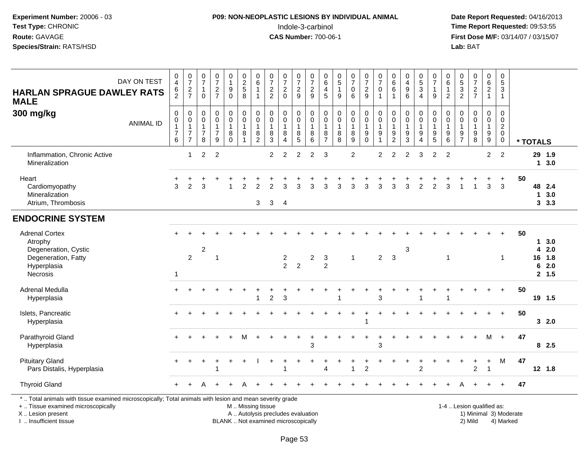#### **P09: NON-NEOPLASTIC LESIONS BY INDIVIDUAL ANIMAL**Indole-3-carbinol **Time Report Requested:** 09:53:55

 **Date Report Requested:** 04/16/2013 **First Dose M/F:** 03/14/07 / 03/15/07<br>**Lab:** BAT **Lab:** BAT

| <b>HARLAN SPRAGUE DAWLEY RATS</b><br><b>MALE</b>                                                                                                                    | DAY ON TEST      | $_4^{\rm 0}$<br>6<br>$\overline{2}$                           | $\frac{0}{7}$<br>$\frac{2}{7}$                                               | $\frac{0}{7}$<br>$\mathbf{1}$<br>$\Omega$               | $\frac{0}{7}$<br>$\frac{2}{7}$                                    | 0<br>$\mathbf{1}$<br>$\boldsymbol{9}$<br>$\mathbf 0$    | $\begin{array}{c} 0 \\ 2 \\ 5 \end{array}$<br>8                   | $\begin{array}{c} 0 \\ 6 \end{array}$<br>$\mathbf{1}$<br>$\overline{1}$ | $\frac{0}{7}$<br>$\frac{2}{2}$                              | $\frac{0}{7}$<br>$\sqrt{2}$<br>$\Omega$              | $\frac{0}{7}$<br>$\frac{2}{9}$                          | 0<br>$\overline{7}$<br>$\overline{\mathbf{c}}$<br>9 | $_{6}^{\rm 0}$<br>$\overline{4}$<br>5                 | $\begin{smallmatrix}0\0\5\end{smallmatrix}$<br>$\mathbf{1}$<br>9 | $\frac{0}{7}$<br>$\pmb{0}$<br>$6\phantom{a}$                            | $\frac{0}{7}$<br>$\sqrt{2}$<br>9                                          | $\frac{0}{7}$<br>$\pmb{0}$<br>$\overline{1}$                                   | $\begin{array}{c} 0 \\ 6 \end{array}$<br>$\,6$<br>1         | 0<br>$\overline{4}$<br>$\boldsymbol{9}$<br>6                      | $\begin{array}{c} 0 \\ 5 \\ 3 \end{array}$<br>$\overline{4}$    | $\frac{0}{7}$<br>$\mathbf{1}$<br>9                       | 0<br>$\,6\,$<br>$\mathbf{1}$<br>2                                     | $\begin{array}{c} 0 \\ 5 \end{array}$<br>$\sqrt{3}$<br>$\overline{2}$ | $\frac{0}{7}$<br>$\sqrt{2}$<br>$\overline{7}$                       | $_{6}^{\rm 0}$<br>$\overline{a}$<br>$\mathbf{1}$                         | $\pmb{0}$<br>$\overline{5}$<br>$\mathsf 3$<br>$\mathbf{1}$                         |                        |                                |                                     |  |
|---------------------------------------------------------------------------------------------------------------------------------------------------------------------|------------------|---------------------------------------------------------------|------------------------------------------------------------------------------|---------------------------------------------------------|-------------------------------------------------------------------|---------------------------------------------------------|-------------------------------------------------------------------|-------------------------------------------------------------------------|-------------------------------------------------------------|------------------------------------------------------|---------------------------------------------------------|-----------------------------------------------------|-------------------------------------------------------|------------------------------------------------------------------|-------------------------------------------------------------------------|---------------------------------------------------------------------------|--------------------------------------------------------------------------------|-------------------------------------------------------------|-------------------------------------------------------------------|-----------------------------------------------------------------|----------------------------------------------------------|-----------------------------------------------------------------------|-----------------------------------------------------------------------|---------------------------------------------------------------------|--------------------------------------------------------------------------|------------------------------------------------------------------------------------|------------------------|--------------------------------|-------------------------------------|--|
| 300 mg/kg                                                                                                                                                           | <b>ANIMAL ID</b> | $\pmb{0}$<br>$\pmb{0}$<br>$\mathbf{1}$<br>$\overline{7}$<br>6 | $\pmb{0}$<br>$\mathbf 0$<br>$\mathbf{1}$<br>$\overline{7}$<br>$\overline{7}$ | 0<br>$\mathbf 0$<br>$\mathbf{1}$<br>$\overline{7}$<br>8 | $\mathbf 0$<br>$\mathbf 0$<br>$\mathbf{1}$<br>$\overline{7}$<br>9 | $\pmb{0}$<br>$\pmb{0}$<br>$\mathbf{1}$<br>8<br>$\Omega$ | $\pmb{0}$<br>$\mathbf 0$<br>$\overline{1}$<br>8<br>$\overline{1}$ | $\pmb{0}$<br>$\pmb{0}$<br>$\mathbf{1}$<br>8<br>$\overline{c}$           | $\pmb{0}$<br>$\mathbf 0$<br>$\mathbf{1}$<br>8<br>$\sqrt{3}$ | $\mathbf 0$<br>$\mathbf 0$<br>$\mathbf{1}$<br>8<br>4 | 0<br>$\mathbf 0$<br>$\mathbf{1}$<br>8<br>$\overline{5}$ | 0<br>$\mathsf 0$<br>$\mathbf{1}$<br>8<br>6          | 0<br>$\pmb{0}$<br>$\mathbf{1}$<br>8<br>$\overline{7}$ | $\mathbf 0$<br>$\mathbf 0$<br>$\mathbf{1}$<br>$\,8\,$<br>8       | $\pmb{0}$<br>$\mathsf 0$<br>$\mathbf{1}$<br>$\bf 8$<br>$\boldsymbol{9}$ | $\pmb{0}$<br>$\pmb{0}$<br>$\mathbf{1}$<br>$\boldsymbol{9}$<br>$\mathbf 0$ | $\pmb{0}$<br>$\mathbf 0$<br>$\mathbf{1}$<br>$\boldsymbol{9}$<br>$\overline{1}$ | 0<br>$\mathbf 0$<br>1<br>$\boldsymbol{9}$<br>$\overline{c}$ | 0<br>$\mathsf{O}\xspace$<br>$\mathbf{1}$<br>$\boldsymbol{9}$<br>3 | $\pmb{0}$<br>$\pmb{0}$<br>$\mathbf{1}$<br>$\boldsymbol{9}$<br>4 | 0<br>0<br>$\mathbf{1}$<br>$\boldsymbol{9}$<br>$\sqrt{5}$ | $\mathbf 0$<br>$\mathbf 0$<br>$\overline{1}$<br>$\boldsymbol{9}$<br>6 | $\mathbf 0$<br>0<br>$\mathbf{1}$<br>$9\,$<br>$\overline{7}$           | $\mathbf 0$<br>$\mathbf 0$<br>$\mathbf{1}$<br>$\boldsymbol{9}$<br>8 | 0<br>$\mathbf 0$<br>$\mathbf{1}$<br>$\boldsymbol{9}$<br>$\boldsymbol{9}$ | $\mathsf 0$<br>$\mathbf 0$<br>$\overline{2}$<br>$\mathsf{O}\xspace$<br>$\mathbf 0$ |                        | * TOTALS                       |                                     |  |
| Inflammation, Chronic Active<br>Mineralization                                                                                                                      |                  |                                                               | $\overline{1}$                                                               | $\overline{c}$                                          | $\overline{2}$                                                    |                                                         |                                                                   |                                                                         | $\overline{2}$                                              | $\overline{2}$                                       | $\overline{2}$                                          | 2                                                   | 3                                                     |                                                                  | $\overline{2}$                                                          |                                                                           | $\overline{c}$                                                                 | $\overline{2}$                                              | $\overline{2}$                                                    | 3                                                               | 2                                                        | $\overline{2}$                                                        |                                                                       |                                                                     | $\overline{2}$                                                           | $\overline{2}$                                                                     |                        | 29 1.9                         | 13.0                                |  |
| Heart<br>Cardiomyopathy<br>Mineralization<br>Atrium, Thrombosis                                                                                                     |                  | 3                                                             | 2                                                                            | 3                                                       |                                                                   |                                                         | $\overline{2}$                                                    | $\overline{2}$<br>3                                                     | 2<br>3                                                      | 3<br>$\overline{4}$                                  | 3                                                       | 3                                                   | 3                                                     | 3                                                                | 3                                                                       | 3                                                                         | 3                                                                              | 3                                                           | 3                                                                 | $\overline{2}$                                                  | $\overline{2}$                                           | 3                                                                     |                                                                       |                                                                     | 3                                                                        | $\ddot{}$<br>3                                                                     | 50                     | 48 2.4<br>$\blacktriangleleft$ | 3.0<br>$3\quad 3.3$                 |  |
| <b>ENDOCRINE SYSTEM</b>                                                                                                                                             |                  |                                                               |                                                                              |                                                         |                                                                   |                                                         |                                                                   |                                                                         |                                                             |                                                      |                                                         |                                                     |                                                       |                                                                  |                                                                         |                                                                           |                                                                                |                                                             |                                                                   |                                                                 |                                                          |                                                                       |                                                                       |                                                                     |                                                                          |                                                                                    |                        |                                |                                     |  |
| <b>Adrenal Cortex</b><br>Atrophy<br>Degeneration, Cystic<br>Degeneration, Fatty<br>Hyperplasia<br>Necrosis                                                          |                  | $\mathbf 1$                                                   | $\overline{2}$                                                               | $\overline{c}$                                          | -1                                                                |                                                         |                                                                   |                                                                         |                                                             | $\frac{2}{2}$                                        | $\overline{2}$                                          | $\overline{\mathbf{c}}$                             | $\sqrt{3}$<br>$\overline{2}$                          |                                                                  | $\mathbf{1}$                                                            |                                                                           | $\overline{2}$                                                                 | $\mathbf{3}$                                                | 3                                                                 |                                                                 |                                                          | $\overline{1}$                                                        |                                                                       |                                                                     |                                                                          | $\mathbf{1}$                                                                       | 50                     | 4<br>16<br>6                   | 13.0<br>2.0<br>1.8<br>2.0<br>2, 1.5 |  |
| Adrenal Medulla<br>Hyperplasia                                                                                                                                      |                  | $\ddot{}$                                                     |                                                                              |                                                         |                                                                   | $\div$                                                  | $\ddot{}$                                                         |                                                                         | 2                                                           | 3                                                    |                                                         |                                                     |                                                       |                                                                  |                                                                         | $\ddot{}$                                                                 | 3                                                                              |                                                             |                                                                   |                                                                 | +                                                        | $\ddot{}$<br>-1                                                       | +                                                                     |                                                                     |                                                                          | $\ddot{}$                                                                          | 50                     | 19 1.5                         |                                     |  |
| Islets, Pancreatic<br>Hyperplasia                                                                                                                                   |                  | $+$                                                           |                                                                              |                                                         |                                                                   |                                                         |                                                                   |                                                                         |                                                             |                                                      |                                                         |                                                     |                                                       |                                                                  |                                                                         | $\ddot{}$                                                                 |                                                                                |                                                             |                                                                   |                                                                 |                                                          |                                                                       |                                                                       |                                                                     | $\ddot{}$                                                                | $+$                                                                                | 50                     |                                | 32.0                                |  |
| Parathyroid Gland<br>Hyperplasia                                                                                                                                    |                  | $+$                                                           |                                                                              |                                                         |                                                                   |                                                         |                                                                   |                                                                         |                                                             |                                                      |                                                         | 3                                                   |                                                       |                                                                  |                                                                         | $\ddot{}$                                                                 | 3                                                                              |                                                             |                                                                   |                                                                 |                                                          |                                                                       |                                                                       |                                                                     | м                                                                        | $+$                                                                                | 47                     |                                | 82.5                                |  |
| <b>Pituitary Gland</b><br>Pars Distalis, Hyperplasia                                                                                                                |                  |                                                               |                                                                              |                                                         |                                                                   |                                                         |                                                                   |                                                                         |                                                             |                                                      |                                                         |                                                     | $\boldsymbol{\Lambda}$                                |                                                                  | -1                                                                      | $\overline{c}$                                                            |                                                                                |                                                             |                                                                   | $\overline{c}$                                                  |                                                          |                                                                       |                                                                       | 2                                                                   | $\ddot{}$<br>$\overline{1}$                                              | M                                                                                  | 47                     | $12$ 1.8                       |                                     |  |
| <b>Thyroid Gland</b>                                                                                                                                                |                  | $+$                                                           |                                                                              |                                                         |                                                                   |                                                         |                                                                   |                                                                         |                                                             |                                                      |                                                         |                                                     |                                                       |                                                                  |                                                                         |                                                                           |                                                                                |                                                             |                                                                   |                                                                 |                                                          |                                                                       |                                                                       |                                                                     |                                                                          | $\overline{+}$                                                                     | 47                     |                                |                                     |  |
| *  Total animals with tissue examined microscopically; Total animals with lesion and mean severity grade<br>+  Tissue examined microscopically<br>X  Lesion present |                  |                                                               |                                                                              |                                                         |                                                                   |                                                         | M. Missing tissue                                                 |                                                                         | A  Autolysis precludes evaluation                           |                                                      |                                                         |                                                     |                                                       |                                                                  |                                                                         |                                                                           |                                                                                |                                                             |                                                                   |                                                                 |                                                          |                                                                       |                                                                       | 1-4  Lesion qualified as:                                           |                                                                          |                                                                                    | 1) Minimal 3) Moderate |                                |                                     |  |

I .. Insufficient tissue

BLANK .. Not examined microscopically 2) Mild 4) Marked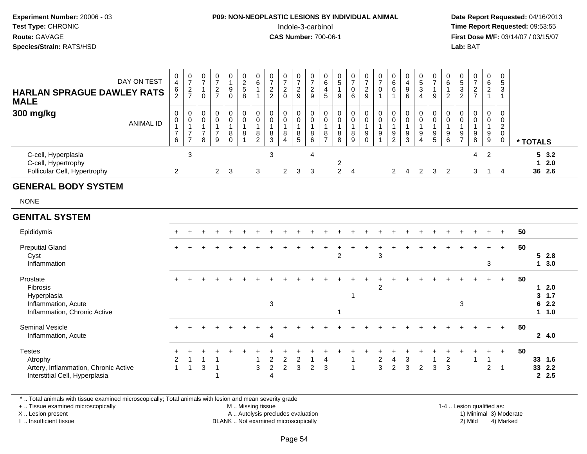#### **P09: NON-NEOPLASTIC LESIONS BY INDIVIDUAL ANIMAL**Indole-3-carbinol **Time Report Requested:** 09:53:55

 **Date Report Requested:** 04/16/2013 **First Dose M/F:** 03/14/07 / 03/15/07<br>**Lab: BAT** 

| <b>HARLAN SPRAGUE DAWLEY RATS</b><br><b>MALE</b>                                                   | DAY ON TEST      | 0<br>$\overline{4}$<br>$\frac{6}{2}$                              | $\frac{0}{7}$<br>$\frac{2}{7}$                                                 | $\begin{smallmatrix}0\\7\end{smallmatrix}$<br>$\overline{1}$<br>$\mathbf 0$ | $\frac{0}{7}$<br>$\sqrt{2}$<br>$\overline{7}$                 | $\begin{smallmatrix}0\1\end{smallmatrix}$<br>$\boldsymbol{9}$<br>$\pmb{0}$ | $\begin{array}{c} 0 \\ 2 \\ 5 \end{array}$<br>8                      | $0\over 6$<br>$\mathbf{1}$<br>$\mathbf 1$                       | $\begin{array}{c} 0 \\ 7 \\ 2 \end{array}$<br>$\overline{2}$ | $\frac{0}{7}$<br>$\overline{c}$<br>$\Omega$                                          | $\frac{0}{7}$<br>$\sqrt{2}$<br>9                             | 0<br>$\overline{7}$<br>$\boldsymbol{2}$<br>9             | $\mathbf 0$<br>$6\phantom{1}6$<br>4<br>5                          | $\begin{array}{c} 0 \\ 5 \end{array}$<br>1<br>9  | $\frac{0}{7}$<br>$\pmb{0}$<br>6                 | $\frac{0}{7}$<br>$\overline{2}$<br>9                                     | $\frac{0}{7}$<br>$\pmb{0}$<br>$\overline{1}$                   | $\pmb{0}$<br>6<br>$\,6$<br>$\overline{1}$                           | $\begin{array}{c} 0 \\ 4 \\ 9 \end{array}$<br>6                     | 0<br>$\overline{5}$<br>3<br>$\overline{4}$            | $\frac{0}{7}$<br>$\mathbf{1}$<br>9                                  | 0<br>$\,6$<br>2                            | $\begin{array}{c} 0 \\ 5 \\ 3 \end{array}$<br>$\overline{c}$ | $\frac{0}{7}$<br>$\frac{2}{7}$                          | $\begin{array}{c} 0 \\ 6 \\ 2 \end{array}$<br>$\mathbf{1}$   | 0<br>$\sqrt{5}$<br>3<br>$\mathbf{1}$                       |    |                                                 |                          |
|----------------------------------------------------------------------------------------------------|------------------|-------------------------------------------------------------------|--------------------------------------------------------------------------------|-----------------------------------------------------------------------------|---------------------------------------------------------------|----------------------------------------------------------------------------|----------------------------------------------------------------------|-----------------------------------------------------------------|--------------------------------------------------------------|--------------------------------------------------------------------------------------|--------------------------------------------------------------|----------------------------------------------------------|-------------------------------------------------------------------|--------------------------------------------------|-------------------------------------------------|--------------------------------------------------------------------------|----------------------------------------------------------------|---------------------------------------------------------------------|---------------------------------------------------------------------|-------------------------------------------------------|---------------------------------------------------------------------|--------------------------------------------|--------------------------------------------------------------|---------------------------------------------------------|--------------------------------------------------------------|------------------------------------------------------------|----|-------------------------------------------------|--------------------------|
| 300 mg/kg                                                                                          | <b>ANIMAL ID</b> | $\pmb{0}$<br>$\mathbf 0$<br>$\overline{1}$<br>$\overline{7}$<br>6 | $\mathsf 0$<br>$\mathbf 0$<br>$\mathbf{1}$<br>$\overline{7}$<br>$\overline{7}$ | $\mathbf 0$<br>$\mathbf 0$<br>$\overline{1}$<br>$\overline{7}$<br>8         | $\pmb{0}$<br>$\pmb{0}$<br>$\mathbf{1}$<br>$\overline{7}$<br>9 | $\pmb{0}$<br>$\mathbf 0$<br>$\mathbf{1}$<br>$\bf 8$<br>$\Omega$            | $\mathbf 0$<br>$\mathsf{O}\xspace$<br>$\overline{1}$<br>$\bf 8$<br>1 | 0<br>$\mathsf{O}\xspace$<br>$\mathbf{1}$<br>8<br>$\overline{2}$ | $\pmb{0}$<br>$\pmb{0}$<br>$\mathbf{1}$<br>8<br>3             | $\mathsf{O}\xspace$<br>$\pmb{0}$<br>$\mathbf{1}$<br>$\bf 8$<br>$\boldsymbol{\Delta}$ | $\mathbf 0$<br>$\mathbf 0$<br>$\overline{1}$<br>$\bf 8$<br>5 | $\pmb{0}$<br>$\pmb{0}$<br>$\overline{1}$<br>$\bf 8$<br>6 | $\mathbf 0$<br>$\mathbf 0$<br>$\mathbf{1}$<br>8<br>$\overline{7}$ | $\pmb{0}$<br>$\pmb{0}$<br>$\mathbf{1}$<br>8<br>8 | 0<br>$\boldsymbol{0}$<br>$\mathbf{1}$<br>8<br>9 | $\mathsf 0$<br>$\pmb{0}$<br>$\mathbf{1}$<br>$\boldsymbol{9}$<br>$\Omega$ | $\mathbf 0$<br>$\mathbf 0$<br>$\mathbf{1}$<br>$\boldsymbol{9}$ | $\mathbf 0$<br>$\mathbf 0$<br>$\mathbf{1}$<br>$\boldsymbol{9}$<br>2 | $\mathbf 0$<br>$\mathsf 0$<br>$\mathbf{1}$<br>$\boldsymbol{9}$<br>3 | 0<br>$\pmb{0}$<br>$\mathbf{1}$<br>9<br>$\overline{4}$ | $\pmb{0}$<br>$\mathbf 0$<br>$\overline{1}$<br>$\boldsymbol{9}$<br>5 | $\mathbf 0$<br>0<br>$\mathbf{1}$<br>9<br>6 | 0<br>$\boldsymbol{0}$<br>$\mathbf{1}$<br>9<br>$\overline{7}$ | 0<br>$\pmb{0}$<br>$\mathbf{1}$<br>$\boldsymbol{9}$<br>8 | 0<br>$\overline{0}$<br>$\mathbf{1}$<br>$\boldsymbol{9}$<br>9 | $\mathbf 0$<br>$\mathbf 0$<br>$\frac{2}{0}$<br>$\mathbf 0$ |    | * TOTALS                                        |                          |
| C-cell, Hyperplasia<br>C-cell, Hypertrophy<br>Follicular Cell, Hypertrophy                         |                  | $\overline{2}$                                                    | $\mathbf{3}$                                                                   |                                                                             | $\mathbf{2}$                                                  | 3                                                                          |                                                                      | 3                                                               | 3                                                            | $\overline{2}$                                                                       | 3                                                            | 4<br>3                                                   |                                                                   | $\overline{c}$<br>$\overline{2}$                 | $\overline{4}$                                  |                                                                          |                                                                | $\overline{2}$                                                      | 4                                                                   | $\overline{2}$                                        | 3                                                                   | $\overline{2}$                             |                                                              | $\overline{4}$<br>3                                     | $\overline{2}$<br>-1                                         | $\overline{4}$                                             |    | $\mathbf{1}$                                    | 53.2<br>2.0<br>36 2.6    |
| <b>GENERAL BODY SYSTEM</b>                                                                         |                  |                                                                   |                                                                                |                                                                             |                                                               |                                                                            |                                                                      |                                                                 |                                                              |                                                                                      |                                                              |                                                          |                                                                   |                                                  |                                                 |                                                                          |                                                                |                                                                     |                                                                     |                                                       |                                                                     |                                            |                                                              |                                                         |                                                              |                                                            |    |                                                 |                          |
| <b>NONE</b>                                                                                        |                  |                                                                   |                                                                                |                                                                             |                                                               |                                                                            |                                                                      |                                                                 |                                                              |                                                                                      |                                                              |                                                          |                                                                   |                                                  |                                                 |                                                                          |                                                                |                                                                     |                                                                     |                                                       |                                                                     |                                            |                                                              |                                                         |                                                              |                                                            |    |                                                 |                          |
| <b>GENITAL SYSTEM</b>                                                                              |                  |                                                                   |                                                                                |                                                                             |                                                               |                                                                            |                                                                      |                                                                 |                                                              |                                                                                      |                                                              |                                                          |                                                                   |                                                  |                                                 |                                                                          |                                                                |                                                                     |                                                                     |                                                       |                                                                     |                                            |                                                              |                                                         |                                                              |                                                            |    |                                                 |                          |
| Epididymis                                                                                         |                  |                                                                   |                                                                                |                                                                             |                                                               |                                                                            |                                                                      |                                                                 |                                                              |                                                                                      |                                                              |                                                          |                                                                   |                                                  |                                                 |                                                                          |                                                                |                                                                     |                                                                     |                                                       |                                                                     |                                            |                                                              |                                                         |                                                              | $+$                                                        | 50 |                                                 |                          |
| <b>Preputial Gland</b><br>Cyst<br>Inflammation                                                     |                  |                                                                   |                                                                                |                                                                             |                                                               |                                                                            |                                                                      |                                                                 |                                                              |                                                                                      |                                                              |                                                          |                                                                   | $\overline{2}$                                   |                                                 |                                                                          | $\mathbf{3}$                                                   |                                                                     |                                                                     |                                                       |                                                                     |                                            |                                                              |                                                         | $\div$<br>3                                                  | $+$                                                        | 50 | 5<br>$\mathbf{1}$                               | 2.8<br>3.0               |
| Prostate<br>Fibrosis<br>Hyperplasia<br>Inflammation, Acute<br>Inflammation, Chronic Active         |                  |                                                                   |                                                                                |                                                                             |                                                               |                                                                            |                                                                      |                                                                 | 3                                                            |                                                                                      |                                                              |                                                          |                                                                   | 1                                                | $\mathbf{1}$                                    |                                                                          | $\overline{2}$                                                 |                                                                     |                                                                     |                                                       |                                                                     |                                            | 3                                                            |                                                         |                                                              | $\ddot{}$                                                  | 50 | $\mathbf 1$<br>$\mathbf{3}$<br>6<br>$\mathbf 1$ | 2.0<br>1.7<br>2.2<br>1.0 |
| <b>Seminal Vesicle</b><br>Inflammation, Acute                                                      |                  |                                                                   |                                                                                |                                                                             |                                                               |                                                                            |                                                                      |                                                                 | $\Delta$                                                     |                                                                                      |                                                              |                                                          |                                                                   |                                                  |                                                 |                                                                          |                                                                |                                                                     |                                                                     |                                                       |                                                                     |                                            |                                                              |                                                         |                                                              | $+$                                                        | 50 |                                                 | 24.0                     |
| <b>Testes</b><br>Atrophy<br>Artery, Inflammation, Chronic Active<br>Interstitial Cell, Hyperplasia |                  | 2<br>$\overline{1}$                                               | -1                                                                             | 3                                                                           | -1<br>-1                                                      |                                                                            |                                                                      | -1<br>3                                                         | $\overline{c}$<br>$\boldsymbol{2}$<br>4                      | $\overline{c}$<br>$\overline{c}$                                                     | 2<br>3                                                       | -1<br>2                                                  | 4<br>3                                                            |                                                  | -1<br>$\mathbf{1}$                              |                                                                          | $\overline{c}$<br>$\mathbf{3}$                                 | 4<br>$\overline{2}$                                                 | 3<br>$\sqrt{3}$                                                     | $\overline{2}$                                        | -1<br>3                                                             | $\boldsymbol{2}$<br>3                      |                                                              | $\mathbf{1}$                                            | 1<br>$\overline{2}$                                          | $\ddot{}$<br>$\overline{1}$                                | 50 | 33<br>$\mathbf{2}$                              | 33 1.6<br>2.2<br>2.5     |

\* .. Total animals with tissue examined microscopically; Total animals with lesion and mean severity grade

+ .. Tissue examined microscopically

X .. Lesion present

I .. Insufficient tissue

 M .. Missing tissueA .. Autolysis precludes evaluation

1-4 .. Lesion qualified as:<br>1) Minimal 3) Moderate BLANK .. Not examined microscopically 2) Mild 4) Marked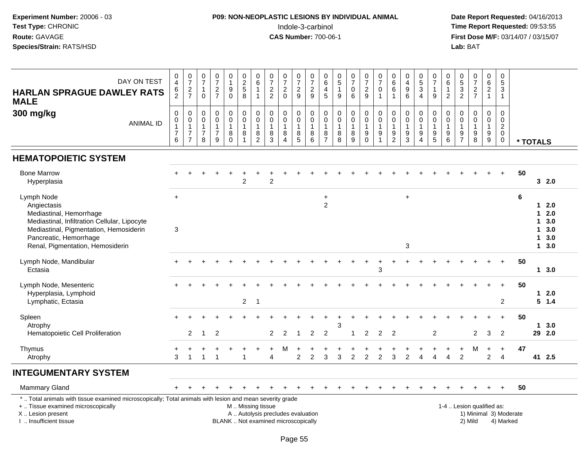I .. Insufficient tissue

#### **P09: NON-NEOPLASTIC LESIONS BY INDIVIDUAL ANIMAL**Indole-3-carbinol **Time Report Requested:** 09:53:55

 **Date Report Requested:** 04/16/2013 **First Dose M/F:** 03/14/07 / 03/15/07<br>**Lab:** BAT **Lab:** BAT

| DAY ON TEST<br><b>HARLAN SPRAGUE DAWLEY RATS</b><br><b>MALE</b> | 6<br>$\sim$ | -<br>$\epsilon$ | 0<br>0      | $\mathbf{0}$<br>$\sqrt{2}$<br>L | $\mathbf{0}$<br>9<br>0      | 0<br>$\overline{2}$<br>$\sqrt{5}$<br>8 | 0<br>6                        | 2<br>2             | ⌒      | $\sim$<br>∠<br>9 | U<br>9           | 0<br>6<br>4<br>5 | 0<br><sub>5</sub><br>9 | 0<br>0<br>6      | 9 |   | $\sqrt{2}$<br>6<br>6 | 9<br>6                 | 0<br>$\sqrt{5}$<br>3<br>4 | 0<br>⇁<br>9      | 0<br>6<br>າ      | G<br>J<br>っ    |        | 0<br>6<br>$\sim$<br>∠ | 0<br>5<br>3                       |          |
|-----------------------------------------------------------------|-------------|-----------------|-------------|---------------------------------|-----------------------------|----------------------------------------|-------------------------------|--------------------|--------|------------------|------------------|------------------|------------------------|------------------|---|---|----------------------|------------------------|---------------------------|------------------|------------------|----------------|--------|-----------------------|-----------------------------------|----------|
| 300 mg/kg<br>ANIMAL ID                                          | 0<br>6      | -               | 0<br>0<br>8 | 0<br>0<br>9                     | $\mathbf{0}$<br>0<br>8<br>0 | 0<br>0<br>8                            | 0<br>0<br>8<br>$\overline{2}$ | $\Omega$<br>8<br>3 | 8<br>4 | 8<br>5           | 0<br>U<br>8<br>6 | 0<br>0<br>8<br>– | 0<br>0<br>8<br>8       | 0<br>0<br>8<br>9 | 9 | 9 | 9<br>2               | $\mathbf{0}$<br>9<br>3 | 0<br>0<br>9<br>4          | 0<br>0<br>9<br>5 | 0<br>0<br>9<br>6 | $\overline{7}$ | 9<br>8 | 0<br>9<br>9           | 0<br>0<br>ີ<br><u>_</u><br>0<br>U | * TOTALS |
| <b>HEMATOPOIETIC SYSTEM</b><br><b>Bone Marrow</b>               | $+$         |                 |             |                                 |                             |                                        |                               |                    |        |                  |                  |                  |                        |                  |   |   |                      |                        |                           |                  |                  | $+$            |        | $+$                   | $\pm$                             | 50       |

| $+$ |    |   |                |                |   |                |                |                   |                |                                                                                                          |                                     |                                   |                |               |                |   |           |   |   | $\ddot{}$      | $+$     | $+$       | 50                             |                                     |            |
|-----|----|---|----------------|----------------|---|----------------|----------------|-------------------|----------------|----------------------------------------------------------------------------------------------------------|-------------------------------------|-----------------------------------|----------------|---------------|----------------|---|-----------|---|---|----------------|---------|-----------|--------------------------------|-------------------------------------|------------|
|     |    |   |                |                | 2 |                | $\overline{2}$ |                   |                |                                                                                                          |                                     |                                   |                |               |                |   |           |   |   |                |         |           |                                |                                     | 32.0       |
| $+$ |    |   |                |                |   |                |                |                   |                |                                                                                                          | $\ddot{}$                           |                                   |                |               |                |   | $\ddot{}$ |   |   |                |         |           | 6                              |                                     |            |
|     |    |   |                |                |   |                |                |                   |                |                                                                                                          | 2                                   |                                   |                |               |                |   |           |   |   |                |         |           |                                | 1.                                  | 2.0        |
|     |    |   |                |                |   |                |                |                   |                |                                                                                                          |                                     |                                   |                |               |                |   |           |   |   |                |         |           |                                |                                     | 2.0<br>3.0 |
|     |    |   |                |                |   |                |                |                   |                |                                                                                                          |                                     |                                   |                |               |                |   |           |   |   |                |         |           |                                |                                     | 3.0        |
|     |    |   |                |                |   |                |                |                   |                |                                                                                                          |                                     |                                   |                |               |                |   |           |   |   |                |         |           |                                |                                     | 3.0        |
|     |    |   |                |                |   |                |                |                   |                |                                                                                                          |                                     |                                   |                |               |                |   | 3         |   |   |                |         |           |                                | 1                                   | 3.0        |
|     |    |   |                |                |   |                |                |                   |                |                                                                                                          |                                     |                                   |                |               |                |   |           |   |   |                |         |           | 50                             |                                     |            |
|     |    |   |                |                |   |                |                |                   |                |                                                                                                          |                                     |                                   |                |               | 3              |   |           |   |   |                |         |           |                                |                                     | 13.0       |
|     |    |   |                |                |   |                |                |                   |                |                                                                                                          |                                     |                                   |                |               |                |   |           |   |   |                |         |           | 50                             |                                     |            |
|     |    |   |                |                |   |                |                |                   |                |                                                                                                          |                                     |                                   |                |               |                |   |           |   |   |                |         |           |                                | 1.                                  | 2.0        |
|     |    |   |                |                |   |                |                |                   |                |                                                                                                          |                                     |                                   |                |               |                |   |           |   |   |                |         |           |                                |                                     | $5 \t1.4$  |
|     |    |   |                |                |   |                |                |                   |                |                                                                                                          |                                     |                                   |                |               |                |   |           |   |   |                |         |           | 50                             |                                     |            |
|     |    |   |                |                |   |                |                |                   |                |                                                                                                          |                                     | 3                                 |                |               |                |   |           |   |   |                |         |           |                                | 1.                                  | 3.0        |
|     | 2  |   | $\overline{2}$ |                |   |                | $\overline{2}$ | 2                 |                | $\overline{2}$                                                                                           | 2                                   |                                   |                | 2             | $\overline{2}$ | 2 |           | 2 |   | $\overline{2}$ | 3       | 2         |                                |                                     | 29 2.0     |
|     |    |   |                |                |   |                |                |                   |                |                                                                                                          |                                     |                                   |                |               |                |   |           |   |   |                |         | $\ddot{}$ | 47                             |                                     |            |
| 3   | -1 | 1 |                |                |   |                | 4              |                   | $\overline{2}$ | 2                                                                                                        | 3                                   | 3                                 | $\overline{2}$ | $\mathcal{P}$ | 2              | 3 | 2         |   | 2 |                | 2       | 4         |                                |                                     | 41 2.5     |
|     |    |   |                |                |   |                |                |                   |                |                                                                                                          |                                     |                                   |                |               |                |   |           |   |   |                |         |           |                                |                                     |            |
|     |    |   |                |                |   |                |                |                   |                |                                                                                                          |                                     |                                   |                |               |                |   |           |   |   |                |         |           | 50                             |                                     |            |
|     |    |   |                |                |   |                |                |                   |                |                                                                                                          |                                     |                                   |                |               |                |   |           |   |   |                |         |           |                                |                                     |            |
|     |    |   |                |                |   |                |                |                   |                |                                                                                                          |                                     |                                   |                |               |                |   |           |   |   |                |         |           |                                |                                     |            |
|     |    |   |                |                |   |                |                |                   |                |                                                                                                          |                                     |                                   |                |               |                |   |           |   |   |                |         |           |                                |                                     |            |
|     | 3  |   |                | $\overline{1}$ |   | $\overline{2}$ | -1             | M  Missing tissue |                | *  Total animals with tissue examined microscopically; Total animals with lesion and mean severity grade | BLANK  Not examined microscopically | A  Autolysis precludes evaluation |                |               |                |   |           |   |   |                | 2) Mild |           | 2<br>1-4  Lesion qualified as: | 1) Minimal 3) Moderate<br>4) Marked | 1          |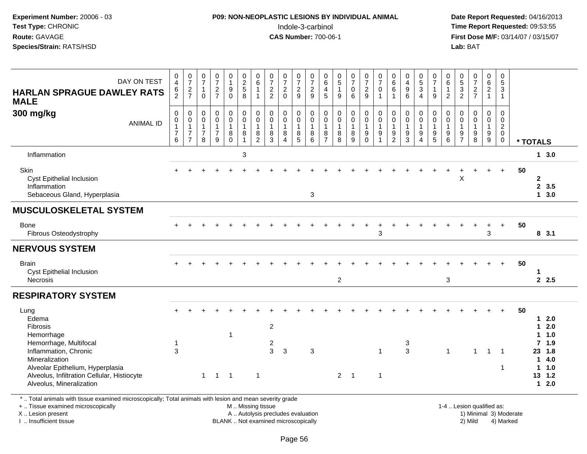## **P09: NON-NEOPLASTIC LESIONS BY INDIVIDUAL ANIMAL**Indole-3-carbinol **Time Report Requested:** 09:53:55

 **Date Report Requested:** 04/16/2013 **First Dose M/F:** 03/14/07 / 03/15/07<br>**Lab: BAT** 

| DAY ON TEST<br><b>HARLAN SPRAGUE DAWLEY RATS</b><br><b>MALE</b>                                                                                                                                                             | 0<br>$\overline{4}$<br>6<br>$\overline{2}$              | $\frac{0}{7}$<br>$\frac{2}{7}$                                             | $\frac{0}{7}$<br>$\mathbf{1}$<br>$\mathbf 0$  | $\frac{0}{7}$<br>$\sqrt{2}$<br>$\overline{7}$      | $\begin{smallmatrix}0\\1\end{smallmatrix}$<br>$\boldsymbol{9}$<br>$\mathbf 0$ | $\begin{array}{c} 0 \\ 2 \\ 5 \end{array}$<br>8                                    | 0<br>$\,6\,$<br>$\overline{1}$<br>$\mathbf{1}$                    | $\frac{0}{7}$<br>$\frac{2}{2}$                                | $\frac{0}{7}$<br>$\overline{c}$<br>$\Omega$                     | $\frac{0}{7}$<br>$\sqrt{2}$<br>9                                                  | $\frac{0}{7}$<br>$\sqrt{2}$<br>$9\,$           | $\begin{array}{c} 0 \\ 6 \end{array}$<br>$\overline{4}$<br>5                | $\begin{array}{c} 0 \\ 5 \\ 1 \end{array}$<br>9          | $\frac{0}{7}$<br>$\mathsf{O}\xspace$<br>6  | $\frac{0}{7}$<br>$\sqrt{2}$<br>$\boldsymbol{9}$                              | $\frac{0}{7}$<br>$\pmb{0}$<br>$\mathbf{1}$                                                  | $\begin{array}{c} 0 \\ 6 \end{array}$<br>$\,6\,$             | $\begin{array}{c} 0 \\ 4 \\ 9 \end{array}$<br>6                | $\begin{array}{c} 0 \\ 5 \end{array}$<br>$\sqrt{3}$<br>$\overline{4}$ | $\pmb{0}$<br>$\overline{7}$<br>$\mathbf{1}$<br>$9\,$                           | 0<br>6<br>$\mathbf{1}$<br>$\overline{2}$ | $\begin{matrix} 0 \\ 5 \end{matrix}$<br>$\frac{3}{2}$                  | $\frac{0}{7}$<br>$\frac{2}{7}$                                 | 0<br>$6\phantom{a}$<br>$\overline{2}$<br>$\mathbf{1}$ | 0<br>$\,$ 5 $\,$<br>$\ensuremath{\mathsf{3}}$<br>$\overline{1}$     |          |                                                                                     |                                                      |
|-----------------------------------------------------------------------------------------------------------------------------------------------------------------------------------------------------------------------------|---------------------------------------------------------|----------------------------------------------------------------------------|-----------------------------------------------|----------------------------------------------------|-------------------------------------------------------------------------------|------------------------------------------------------------------------------------|-------------------------------------------------------------------|---------------------------------------------------------------|-----------------------------------------------------------------|-----------------------------------------------------------------------------------|------------------------------------------------|-----------------------------------------------------------------------------|----------------------------------------------------------|--------------------------------------------|------------------------------------------------------------------------------|---------------------------------------------------------------------------------------------|--------------------------------------------------------------|----------------------------------------------------------------|-----------------------------------------------------------------------|--------------------------------------------------------------------------------|------------------------------------------|------------------------------------------------------------------------|----------------------------------------------------------------|-------------------------------------------------------|---------------------------------------------------------------------|----------|-------------------------------------------------------------------------------------|------------------------------------------------------|
| 300 mg/kg<br><b>ANIMAL ID</b>                                                                                                                                                                                               | 0<br>$\pmb{0}$<br>$\mathbf{1}$<br>$\boldsymbol{7}$<br>6 | $\pmb{0}$<br>$\pmb{0}$<br>$\mathbf{1}$<br>$\overline{7}$<br>$\overline{7}$ | 0<br>0<br>$\mathbf{1}$<br>$\overline{7}$<br>8 | $\pmb{0}$<br>$\pmb{0}$<br>1<br>$\overline{7}$<br>9 | $\mathbf 0$<br>$\mathsf{O}\xspace$<br>$\mathbf{1}$<br>$\bf 8$<br>$\Omega$     | $\boldsymbol{0}$<br>$\mathsf{O}\xspace$<br>$\mathbf{1}$<br>$\bf 8$<br>$\mathbf{1}$ | $\mathbf 0$<br>$\mathbf 0$<br>$\mathbf{1}$<br>8<br>$\overline{2}$ | $\mathbf 0$<br>$\overline{0}$<br>$\mathbf{1}$<br>$\,8\,$<br>3 | 0<br>$\mathbf 0$<br>$\mathbf{1}$<br>8<br>$\boldsymbol{\Lambda}$ | 0<br>$\ddot{\mathbf{0}}$<br>$\mathbf{1}$<br>$\begin{array}{c} 8 \\ 5 \end{array}$ | 0<br>$\pmb{0}$<br>$\mathbf{1}$<br>$\bf 8$<br>6 | 0<br>$\mathbf 0$<br>$\overline{1}$<br>$\begin{array}{c} 8 \\ 7 \end{array}$ | $\mathbf 0$<br>$\pmb{0}$<br>$\mathbf{1}$<br>$\,8\,$<br>8 | 0<br>$\mathbf 0$<br>$\mathbf{1}$<br>8<br>9 | $\begin{smallmatrix} 0\\0 \end{smallmatrix}$<br>$\overline{1}$<br>$_{0}^{9}$ | $\boldsymbol{0}$<br>$\ddot{\mathbf{0}}$<br>$\mathbf{1}$<br>$\boldsymbol{9}$<br>$\mathbf{1}$ | 0<br>0<br>$\mathbf{1}$<br>$\boldsymbol{9}$<br>$\overline{2}$ | $\mathbf 0$<br>$\overline{0}$<br>$\mathbf{1}$<br>$\frac{9}{3}$ | 0<br>0<br>$\overline{1}$<br>$\boldsymbol{9}$<br>$\overline{4}$        | $\mathbf 0$<br>$\,0\,$<br>$\overline{1}$<br>$\boldsymbol{9}$<br>$\overline{5}$ | 0<br>0<br>$\mathbf{1}$<br>9<br>6         | 0<br>$\mathbf 0$<br>$\mathbf{1}$<br>$\boldsymbol{9}$<br>$\overline{7}$ | $\boldsymbol{0}$<br>$\pmb{0}$<br>$\mathbf{1}$<br>$\frac{9}{8}$ | 0<br>0<br>$\mathbf{1}$<br>$\boldsymbol{9}$<br>9       | 0<br>$\mathbf 0$<br>$\overline{2}$<br>$\pmb{0}$<br>$\boldsymbol{0}$ | * TOTALS |                                                                                     |                                                      |
| Inflammation                                                                                                                                                                                                                |                                                         |                                                                            |                                               |                                                    |                                                                               | $\mathbf{3}$                                                                       |                                                                   |                                                               |                                                                 |                                                                                   |                                                |                                                                             |                                                          |                                            |                                                                              |                                                                                             |                                                              |                                                                |                                                                       |                                                                                |                                          |                                                                        |                                                                |                                                       |                                                                     |          |                                                                                     | $1 \quad 3.0$                                        |
| Skin<br><b>Cyst Epithelial Inclusion</b><br>Inflammation<br>Sebaceous Gland, Hyperplasia                                                                                                                                    |                                                         |                                                                            |                                               |                                                    | $\ddot{}$                                                                     | ÷.                                                                                 |                                                                   |                                                               |                                                                 |                                                                                   | $\mathbf{3}$                                   |                                                                             |                                                          |                                            |                                                                              |                                                                                             |                                                              |                                                                |                                                                       |                                                                                |                                          | X                                                                      |                                                                | $\ddot{}$                                             | $+$                                                                 | 50       | $\mathbf{2}$<br>$\mathbf{1}$                                                        | 2, 3.5<br>3.0                                        |
| <b>MUSCULOSKELETAL SYSTEM</b>                                                                                                                                                                                               |                                                         |                                                                            |                                               |                                                    |                                                                               |                                                                                    |                                                                   |                                                               |                                                                 |                                                                                   |                                                |                                                                             |                                                          |                                            |                                                                              |                                                                                             |                                                              |                                                                |                                                                       |                                                                                |                                          |                                                                        |                                                                |                                                       |                                                                     |          |                                                                                     |                                                      |
| <b>Bone</b><br>Fibrous Osteodystrophy                                                                                                                                                                                       |                                                         |                                                                            |                                               |                                                    |                                                                               |                                                                                    |                                                                   |                                                               |                                                                 |                                                                                   |                                                |                                                                             |                                                          |                                            |                                                                              | 3                                                                                           |                                                              |                                                                |                                                                       |                                                                                |                                          |                                                                        |                                                                | 3                                                     | $\ddot{}$                                                           | 50       |                                                                                     | 8, 3.1                                               |
| <b>NERVOUS SYSTEM</b>                                                                                                                                                                                                       |                                                         |                                                                            |                                               |                                                    |                                                                               |                                                                                    |                                                                   |                                                               |                                                                 |                                                                                   |                                                |                                                                             |                                                          |                                            |                                                                              |                                                                                             |                                                              |                                                                |                                                                       |                                                                                |                                          |                                                                        |                                                                |                                                       |                                                                     |          |                                                                                     |                                                      |
| <b>Brain</b><br>Cyst Epithelial Inclusion<br><b>Necrosis</b>                                                                                                                                                                |                                                         |                                                                            |                                               |                                                    |                                                                               |                                                                                    |                                                                   |                                                               |                                                                 |                                                                                   |                                                |                                                                             | $\overline{c}$                                           |                                            |                                                                              |                                                                                             |                                                              |                                                                |                                                                       |                                                                                | 3                                        |                                                                        |                                                                |                                                       |                                                                     | 50       |                                                                                     | 2.5                                                  |
| <b>RESPIRATORY SYSTEM</b>                                                                                                                                                                                                   |                                                         |                                                                            |                                               |                                                    |                                                                               |                                                                                    |                                                                   |                                                               |                                                                 |                                                                                   |                                                |                                                                             |                                                          |                                            |                                                                              |                                                                                             |                                                              |                                                                |                                                                       |                                                                                |                                          |                                                                        |                                                                |                                                       |                                                                     |          |                                                                                     |                                                      |
| Lung<br>Edema<br>Fibrosis<br>Hemorrhage<br>Hemorrhage, Multifocal<br>Inflammation, Chronic<br>Mineralization<br>Alveolar Epithelium, Hyperplasia<br>Alveolus, Infiltration Cellular, Histiocyte<br>Alveolus, Mineralization | 3                                                       |                                                                            | $\mathbf{1}$                                  | $1 \quad 1$                                        | -1                                                                            |                                                                                    | $\overline{1}$                                                    | $\overline{2}$<br>$\overline{\mathbf{c}}$<br>3                | $\mathbf{3}$                                                    |                                                                                   | 3                                              |                                                                             |                                                          | $2 \quad 1$                                |                                                                              | $\mathbf{1}$<br>$\mathbf{1}$                                                                |                                                              | 3<br>$\mathbf{3}$                                              |                                                                       |                                                                                | $\mathbf{1}$                             |                                                                        | $\mathbf{1}$                                                   | $\mathbf{1}$                                          | $\overline{1}$<br>-1                                                | 50       | 1.<br>1<br>1<br>$\mathbf{7}$<br>23<br>1<br>$\mathbf{1}$<br>13 1.2<br>$\overline{1}$ | 2.0<br>2.0<br>1.0<br>1.9<br>1.8<br>4.0<br>1.0<br>2.0 |
| *  Total animals with tissue examined microscopically; Total animals with lesion and mean severity grade<br>+  Tissue examined microscopically                                                                              |                                                         |                                                                            |                                               |                                                    |                                                                               | M  Missing tissue                                                                  |                                                                   |                                                               |                                                                 |                                                                                   |                                                |                                                                             |                                                          |                                            |                                                                              |                                                                                             |                                                              |                                                                |                                                                       |                                                                                |                                          |                                                                        | 1-4  Lesion qualified as:                                      |                                                       |                                                                     |          |                                                                                     |                                                      |

+ .. Tissue examined microscopically

X .. Lesion present

I .. Insufficient tissue

BLANK .. Not examined microscopically

1-4 .. Lesion qualified as:<br>1) Minimal 3) Moderate A .. Autolysis precludes evaluation 19 and 10 minimal 3) Moderate 1 and 20 minimal 3) Moderate 19 minimal 3) Moderat<br>19 and 19 and 19 and 19 and 19 and 19 and 19 and 19 and 19 and 19 and 19 and 19 and 19 and 19 and 19 and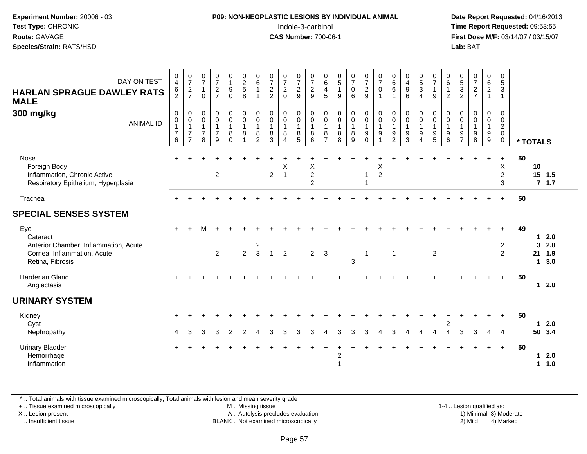#### **P09: NON-NEOPLASTIC LESIONS BY INDIVIDUAL ANIMAL**Indole-3-carbinol **Time Report Requested:** 09:53:55

 **Date Report Requested:** 04/16/2013 **First Dose M/F:** 03/14/07 / 03/15/07<br>**Lab: BAT Lab:** BAT

| DAY ON TEST<br><b>HARLAN SPRAGUE DAWLEY RATS</b><br><b>MALE</b>                                             | $\frac{0}{4}$<br>$\frac{6}{2}$                                      | $\frac{0}{7}$<br>$rac{2}{7}$                                              | $\frac{0}{7}$<br>1<br>$\Omega$                                  | $\frac{0}{7}$<br>$\overline{c}$<br>$\overline{7}$               | $\begin{smallmatrix}0\\1\end{smallmatrix}$<br>$\boldsymbol{9}$<br>$\mathbf 0$ | $\begin{array}{c} 0 \\ 2 \\ 5 \end{array}$<br>8                     | $\begin{array}{c} 0 \\ 6 \end{array}$<br>$\mathbf{1}$   | $\begin{array}{c} 0 \\ 7 \\ 2 \end{array}$<br>$\overline{c}$                 | $\frac{0}{7}$<br>$\overline{c}$<br>$\mathbf{0}$                              | $\frac{0}{7}$<br>$\overline{c}$<br>9                                  | $\frac{0}{7}$<br>$\frac{2}{9}$                          | $\begin{array}{c} 0 \\ 6 \end{array}$<br>$\overline{4}$<br>5 | $\begin{array}{c} 0 \\ 5 \end{array}$<br>$\mathbf{1}$<br>9 | $\frac{0}{7}$<br>0<br>6                         | $\frac{0}{7}$<br>$\boldsymbol{2}$<br>9                                                         | $\frac{0}{7}$<br>$\pmb{0}$                    | $\begin{matrix} 0 \\ 6 \\ 6 \end{matrix}$<br>$\overline{1}$     | $\begin{array}{c} 0 \\ 4 \\ 9 \end{array}$<br>6                 | $\begin{array}{c} 0 \\ 5 \end{array}$<br>$\mathbf{3}$<br>$\overline{4}$ | $\frac{0}{7}$<br>$\mathbf{1}$<br>$\boldsymbol{9}$                                  | $\begin{array}{c} 0 \\ 6 \end{array}$<br>$\mathbf{1}$<br>$\overline{2}$ | $\begin{array}{c} 0 \\ 5 \\ 3 \end{array}$<br>$\overline{2}$ | $\frac{0}{7}$<br>$rac{2}{7}$                                    | $\begin{matrix} 0 \\ 6 \\ 2 \end{matrix}$<br>$\mathbf{1}$ | 0<br>$5\,$<br>$\mathbf{3}$<br>$\mathbf{1}$                       |          |                                            |                   |
|-------------------------------------------------------------------------------------------------------------|---------------------------------------------------------------------|---------------------------------------------------------------------------|-----------------------------------------------------------------|-----------------------------------------------------------------|-------------------------------------------------------------------------------|---------------------------------------------------------------------|---------------------------------------------------------|------------------------------------------------------------------------------|------------------------------------------------------------------------------|-----------------------------------------------------------------------|---------------------------------------------------------|--------------------------------------------------------------|------------------------------------------------------------|-------------------------------------------------|------------------------------------------------------------------------------------------------|-----------------------------------------------|-----------------------------------------------------------------|-----------------------------------------------------------------|-------------------------------------------------------------------------|------------------------------------------------------------------------------------|-------------------------------------------------------------------------|--------------------------------------------------------------|-----------------------------------------------------------------|-----------------------------------------------------------|------------------------------------------------------------------|----------|--------------------------------------------|-------------------|
| 300 mg/kg<br><b>ANIMAL ID</b>                                                                               | $\mathbf 0$<br>$\pmb{0}$<br>$\overline{1}$<br>$\boldsymbol{7}$<br>6 | 0<br>$\boldsymbol{0}$<br>$\mathbf{1}$<br>$\overline{7}$<br>$\overline{7}$ | 0<br>$\mathsf{O}\xspace$<br>$\mathbf{1}$<br>$\overline{7}$<br>8 | $\pmb{0}$<br>$\mathbf 0$<br>$\mathbf{1}$<br>$\overline{7}$<br>9 | $\mathbf 0$<br>$\mathsf{O}\xspace$<br>$\overline{1}$<br>8<br>$\Omega$         | $\pmb{0}$<br>$\pmb{0}$<br>$\mathbf{1}$<br>$\bf 8$<br>$\overline{1}$ | 0<br>$\mathsf 0$<br>$\mathbf{1}$<br>8<br>$\overline{2}$ | $\begin{smallmatrix} 0\\0 \end{smallmatrix}$<br>$\mathbf{1}$<br>$\bf 8$<br>3 | $\begin{smallmatrix}0\0\0\end{smallmatrix}$<br>$\mathbf{1}$<br>8<br>$\Delta$ | $\begin{smallmatrix}0\0\0\end{smallmatrix}$<br>$\mathbf{1}$<br>$^8_5$ | $\pmb{0}$<br>$\pmb{0}$<br>$\overline{1}$<br>$\, 8$<br>6 | 0<br>$\pmb{0}$<br>$\mathbf{1}$<br>8<br>$\overline{7}$        | $\pmb{0}$<br>$\pmb{0}$<br>$\mathbf{1}$<br>8<br>8           | 0<br>$\boldsymbol{0}$<br>$\mathbf{1}$<br>8<br>9 | $\begin{smallmatrix}0\0\0\end{smallmatrix}$<br>$\mathbf{1}$<br>$\boldsymbol{9}$<br>$\mathbf 0$ | $\pmb{0}$<br>$\mathbf 0$<br>$\mathbf{1}$<br>9 | $\pmb{0}$<br>$\pmb{0}$<br>$\overline{1}$<br>9<br>$\overline{2}$ | $\pmb{0}$<br>$\pmb{0}$<br>$\mathbf{1}$<br>$\boldsymbol{9}$<br>3 | 0<br>$\pmb{0}$<br>$\mathbf{1}$<br>$\boldsymbol{9}$<br>$\overline{4}$    | $\begin{matrix} 0 \\ 0 \\ 1 \end{matrix}$<br>$\begin{array}{c} 9 \\ 5 \end{array}$ | 0<br>$\mathbf 0$<br>$\mathbf{1}$<br>$\boldsymbol{9}$<br>6               | 0<br>$\mathbf 0$<br>$\overline{1}$<br>9<br>$\overline{7}$    | $\pmb{0}$<br>$\pmb{0}$<br>$\mathbf{1}$<br>$\boldsymbol{9}$<br>8 | 0<br>$\mathsf{O}$<br>$\mathbf{1}$<br>9<br>9               | 0<br>$\mathbf 0$<br>$\overline{2}$<br>$\mathbf 0$<br>$\mathbf 0$ | * TOTALS |                                            |                   |
| Nose<br>Foreign Body<br>Inflammation, Chronic Active<br>Respiratory Epithelium, Hyperplasia                 |                                                                     |                                                                           |                                                                 | $\overline{2}$                                                  |                                                                               |                                                                     |                                                         | $\overline{2}$                                                               | X<br>$\overline{1}$                                                          |                                                                       | Χ<br>$\overline{2}$<br>$\overline{2}$                   |                                                              |                                                            |                                                 | 1                                                                                              | X<br>$\overline{2}$                           |                                                                 |                                                                 |                                                                         |                                                                                    |                                                                         |                                                              |                                                                 |                                                           | $\ddot{}$<br>X<br>$\overline{2}$<br>3                            | 50       | 10<br>15 1.5                               | 7.1.7             |
| Trachea                                                                                                     | $+$                                                                 |                                                                           |                                                                 |                                                                 |                                                                               |                                                                     |                                                         |                                                                              |                                                                              |                                                                       |                                                         |                                                              |                                                            |                                                 |                                                                                                |                                               |                                                                 |                                                                 |                                                                         |                                                                                    |                                                                         |                                                              |                                                                 |                                                           | $+$                                                              | 50       |                                            |                   |
| <b>SPECIAL SENSES SYSTEM</b>                                                                                |                                                                     |                                                                           |                                                                 |                                                                 |                                                                               |                                                                     |                                                         |                                                                              |                                                                              |                                                                       |                                                         |                                                              |                                                            |                                                 |                                                                                                |                                               |                                                                 |                                                                 |                                                                         |                                                                                    |                                                                         |                                                              |                                                                 |                                                           |                                                                  |          |                                            |                   |
| Eye<br>Cataract<br>Anterior Chamber, Inflammation, Acute<br>Cornea, Inflammation, Acute<br>Retina, Fibrosis |                                                                     |                                                                           | м                                                               | $\overline{2}$                                                  |                                                                               | $\overline{2}$                                                      | $\overline{\mathbf{c}}$<br>$\mathbf{3}$                 | $\mathbf{1}$                                                                 | $\overline{2}$                                                               |                                                                       | 2                                                       | 3                                                            |                                                            | $\mathbf{3}$                                    | $\mathbf{1}$                                                                                   |                                               | $\overline{1}$                                                  |                                                                 |                                                                         | $\overline{2}$                                                                     |                                                                         |                                                              |                                                                 |                                                           | 2<br>$\overline{2}$                                              | 49       | 1<br>$\mathbf{3}$<br>21 1.9<br>$\mathbf 1$ | 2.0<br>2.0<br>3.0 |
| <b>Harderian Gland</b><br>Angiectasis                                                                       |                                                                     |                                                                           |                                                                 |                                                                 |                                                                               |                                                                     |                                                         |                                                                              |                                                                              |                                                                       |                                                         |                                                              |                                                            |                                                 |                                                                                                |                                               |                                                                 |                                                                 |                                                                         |                                                                                    |                                                                         |                                                              |                                                                 |                                                           | $\div$                                                           | 50       |                                            | $12.0$            |
| <b>URINARY SYSTEM</b>                                                                                       |                                                                     |                                                                           |                                                                 |                                                                 |                                                                               |                                                                     |                                                         |                                                                              |                                                                              |                                                                       |                                                         |                                                              |                                                            |                                                 |                                                                                                |                                               |                                                                 |                                                                 |                                                                         |                                                                                    |                                                                         |                                                              |                                                                 |                                                           |                                                                  |          |                                            |                   |
| Kidney<br>Cyst<br>Nephropathy                                                                               | 4                                                                   | 3                                                                         | 3                                                               | 3                                                               | 2                                                                             | 2                                                                   | 4                                                       | 3                                                                            | 3                                                                            | 3                                                                     | 3                                                       | Δ                                                            | 3                                                          | 3                                               | 3                                                                                              | Δ                                             | 3                                                               | Δ                                                               | 4                                                                       |                                                                                    | $\pm$<br>$\overline{c}$                                                 | 3                                                            | 3                                                               | 4                                                         | 4                                                                | 50       | $\mathbf 1$<br>50 3.4                      | 2.0               |
| <b>Urinary Bladder</b><br>Hemorrhage<br>Inflammation                                                        |                                                                     |                                                                           |                                                                 |                                                                 |                                                                               |                                                                     |                                                         |                                                                              |                                                                              |                                                                       |                                                         |                                                              | 2                                                          |                                                 |                                                                                                |                                               |                                                                 |                                                                 |                                                                         |                                                                                    |                                                                         |                                                              |                                                                 |                                                           | $\ddot{}$                                                        | 50       | $\mathbf 1$                                | 2.0<br>11.0       |

\* .. Total animals with tissue examined microscopically; Total animals with lesion and mean severity grade

+ .. Tissue examined microscopically

X .. Lesion present

I .. Insufficient tissue

 M .. Missing tissueA .. Autolysis precludes evaluation

1-4 .. Lesion qualified as:<br>1) Minimal 3) Moderate BLANK .. Not examined microscopically 2) Mild 4) Marked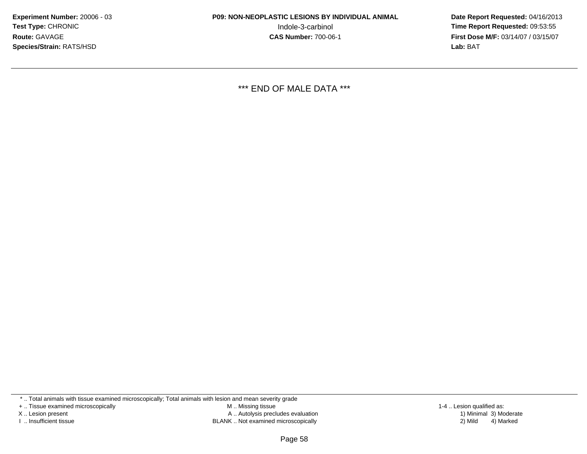**Date Report Requested:** 04/16/2013 **First Dose M/F:** 03/14/07 / 03/15/07<br>**Lab:** BAT **Lab:** BAT

\*\*\* END OF MALE DATA \*\*\*

\* .. Total animals with tissue examined microscopically; Total animals with lesion and mean severity grade

+ .. Tissue examined microscopically

X .. Lesion present

I .. Insufficient tissue

 M .. Missing tissueA .. Autolysis precludes evaluation

BLANK .. Not examined microscopically 2) Mild 4) Marked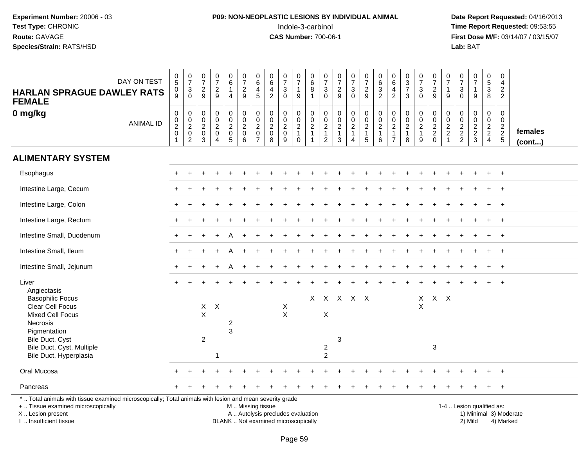## **P09: NON-NEOPLASTIC LESIONS BY INDIVIDUAL ANIMAL**Indole-3-carbinol **Time Report Requested:** 09:53:55

 **Date Report Requested:** 04/16/2013 **First Dose M/F:** 03/14/07 / 03/15/07<br>**Lab:** BAT

| DAY ON TEST<br><b>HARLAN SPRAGUE DAWLEY RATS</b><br><b>FEMALE</b>                                                                                                   | $\begin{array}{c} 0 \\ 5 \end{array}$<br>$\frac{0}{9}$ | $\begin{array}{c} 0 \\ 7 \end{array}$<br>$\mathbf{3}$<br>0 | $\frac{0}{7}$<br>$\sqrt{2}$<br>9               | $\frac{0}{7}$<br>$\frac{2}{9}$                            | $\begin{array}{c} 0 \\ 6 \end{array}$<br>$\mathbf{1}$<br>$\overline{4}$ | $\begin{smallmatrix}0\\7\end{smallmatrix}$<br>$\overline{c}$<br>9 | $\mathbf 0$<br>$\,6\,$<br>$\overline{4}$<br>$\sqrt{5}$                          | $\begin{array}{c} 0 \\ 6 \end{array}$<br>4<br>$\overline{2}$ | $\frac{0}{7}$<br>3<br>$\mathbf 0$ | $\frac{0}{7}$<br>$\mathbf{1}$<br>9               | $\begin{array}{c} 0 \\ 6 \end{array}$<br>$\bf 8$<br>$\mathbf{1}$ | $\begin{array}{c} 0 \\ 7 \end{array}$<br>$\ensuremath{\mathsf{3}}$<br>$\Omega$ | $\begin{smallmatrix} 0\\7 \end{smallmatrix}$<br>$\frac{2}{9}$ | $\begin{array}{c} 0 \\ 7 \end{array}$<br>$\ensuremath{\mathsf{3}}$<br>$\mathbf 0$ | $\begin{smallmatrix}0\\7\end{smallmatrix}$<br>$\sqrt{2}$<br>9 | $\begin{array}{c} 0 \\ 6 \end{array}$<br>$\ensuremath{\mathsf{3}}$<br>$\overline{2}$ | $_{6}^{\rm 0}$<br>$\overline{4}$<br>$\overline{2}$                                     | $\begin{array}{c} 0 \\ 3 \\ 7 \end{array}$<br>3                 | $\begin{array}{c} 0 \\ 7 \end{array}$<br>$\ensuremath{\mathsf{3}}$<br>$\overline{0}$ | $\frac{0}{7}$<br>$\frac{2}{9}$ | 0<br>$\overline{7}$<br>$\mathbf 1$<br>9         | $\frac{0}{7}$<br>$\ensuremath{\mathsf{3}}$<br>$\Omega$ | $\frac{0}{7}$<br>$\mathbf{1}$<br>9 | $\begin{array}{c} 0 \\ 5 \\ 3 \end{array}$<br>8 | $\mathsf 0$<br>4<br>$\overline{c}$<br>$\overline{2}$ |                        |
|---------------------------------------------------------------------------------------------------------------------------------------------------------------------|--------------------------------------------------------|------------------------------------------------------------|------------------------------------------------|-----------------------------------------------------------|-------------------------------------------------------------------------|-------------------------------------------------------------------|---------------------------------------------------------------------------------|--------------------------------------------------------------|-----------------------------------|--------------------------------------------------|------------------------------------------------------------------|--------------------------------------------------------------------------------|---------------------------------------------------------------|-----------------------------------------------------------------------------------|---------------------------------------------------------------|--------------------------------------------------------------------------------------|----------------------------------------------------------------------------------------|-----------------------------------------------------------------|--------------------------------------------------------------------------------------|--------------------------------|-------------------------------------------------|--------------------------------------------------------|------------------------------------|-------------------------------------------------|------------------------------------------------------|------------------------|
| 0 mg/kg<br><b>ANIMAL ID</b>                                                                                                                                         | $\pmb{0}$<br>$\frac{0}{2}$<br>$\mathbf{1}$             | $\mathbf 0$<br>$\frac{0}{2}$<br>$\overline{c}$             | $\pmb{0}$<br>$\mathbf 0$<br>$\frac{2}{0}$<br>3 | $\pmb{0}$<br>$\pmb{0}$<br>$\frac{2}{0}$<br>$\overline{4}$ | $\mathbf 0$<br>$\frac{0}{2}$<br>$\sqrt{5}$                              | 0<br>$\mathbf 0$<br>$\overline{c}$<br>$\mathbf 0$<br>6            | $\mathbf 0$<br>$\mathbf 0$<br>$\boldsymbol{2}$<br>$\mathbf 0$<br>$\overline{7}$ | $\mathbf 0$<br>$\frac{0}{2}$<br>8                            | 0<br>$\frac{0}{2}$<br>9           | $\boldsymbol{0}$<br>$\frac{0}{2}$<br>$\mathbf 0$ | $\pmb{0}$<br>$\frac{0}{2}$<br>$\mathbf 1$                        | $\mathbf 0$<br>$\pmb{0}$<br>$\frac{2}{1}$<br>$\overline{2}$                    | $\pmb{0}$<br>$\frac{0}{2}$<br>1<br>$\mathbf{3}$               | 0<br>$\mathbf 0$<br>$\frac{2}{1}$<br>4                                            | $\pmb{0}$<br>$\pmb{0}$<br>$\frac{2}{1}$<br>$\overline{5}$     | 0<br>$\pmb{0}$<br>$\sqrt{2}$<br>$\mathbf{1}$<br>6                                    | $\mathsf{O}\xspace$<br>$\pmb{0}$<br>$\boldsymbol{2}$<br>$\mathbf{1}$<br>$\overline{7}$ | $\pmb{0}$<br>$\pmb{0}$<br>$\boldsymbol{2}$<br>$\mathbf{1}$<br>8 | $\mathbf 0$<br>$\mathbf 0$<br>$\frac{2}{1}$<br>9                                     | $0002$<br>$200$                | 0<br>0<br>$\frac{2}{2}$<br>$\blacktriangleleft$ | $\mathbf 0$<br>$\mathbf 0$<br>$\frac{2}{2}$            | 0<br>$\pmb{0}$<br>$\frac{2}{3}$    | $\pmb{0}$<br>$\frac{0}{2}$<br>$\overline{4}$    | 0<br>$\mathbf 0$<br>$\frac{2}{2}$                    | females<br>(cont)      |
| <b>ALIMENTARY SYSTEM</b>                                                                                                                                            |                                                        |                                                            |                                                |                                                           |                                                                         |                                                                   |                                                                                 |                                                              |                                   |                                                  |                                                                  |                                                                                |                                                               |                                                                                   |                                                               |                                                                                      |                                                                                        |                                                                 |                                                                                      |                                |                                                 |                                                        |                                    |                                                 |                                                      |                        |
| Esophagus                                                                                                                                                           |                                                        |                                                            |                                                |                                                           |                                                                         |                                                                   |                                                                                 |                                                              |                                   |                                                  |                                                                  |                                                                                |                                                               |                                                                                   |                                                               |                                                                                      |                                                                                        |                                                                 |                                                                                      |                                |                                                 |                                                        |                                    |                                                 | $^{+}$                                               |                        |
| Intestine Large, Cecum                                                                                                                                              |                                                        |                                                            |                                                |                                                           |                                                                         |                                                                   |                                                                                 |                                                              |                                   |                                                  |                                                                  |                                                                                |                                                               |                                                                                   |                                                               |                                                                                      |                                                                                        |                                                                 |                                                                                      |                                |                                                 |                                                        |                                    |                                                 | $^{+}$                                               |                        |
| Intestine Large, Colon                                                                                                                                              |                                                        |                                                            |                                                |                                                           |                                                                         |                                                                   |                                                                                 |                                                              |                                   |                                                  |                                                                  |                                                                                |                                                               |                                                                                   |                                                               |                                                                                      |                                                                                        |                                                                 |                                                                                      |                                |                                                 |                                                        |                                    |                                                 | $\overline{+}$                                       |                        |
| Intestine Large, Rectum                                                                                                                                             |                                                        |                                                            |                                                |                                                           |                                                                         |                                                                   |                                                                                 |                                                              |                                   |                                                  |                                                                  |                                                                                |                                                               |                                                                                   |                                                               |                                                                                      |                                                                                        |                                                                 |                                                                                      |                                |                                                 |                                                        |                                    | $\pm$                                           | $+$                                                  |                        |
| Intestine Small, Duodenum                                                                                                                                           |                                                        |                                                            |                                                |                                                           |                                                                         |                                                                   |                                                                                 |                                                              |                                   |                                                  |                                                                  |                                                                                |                                                               |                                                                                   |                                                               |                                                                                      |                                                                                        |                                                                 |                                                                                      |                                |                                                 |                                                        |                                    |                                                 | $+$                                                  |                        |
| Intestine Small, Ileum                                                                                                                                              |                                                        |                                                            |                                                |                                                           |                                                                         |                                                                   |                                                                                 |                                                              |                                   |                                                  |                                                                  |                                                                                |                                                               |                                                                                   |                                                               |                                                                                      |                                                                                        |                                                                 |                                                                                      |                                |                                                 |                                                        |                                    |                                                 | $\ddot{}$                                            |                        |
| Intestine Small, Jejunum                                                                                                                                            |                                                        |                                                            |                                                |                                                           | A                                                                       |                                                                   |                                                                                 |                                                              |                                   |                                                  |                                                                  |                                                                                |                                                               |                                                                                   |                                                               |                                                                                      |                                                                                        |                                                                 |                                                                                      |                                |                                                 |                                                        |                                    |                                                 | $^{+}$                                               |                        |
| Liver<br>Angiectasis                                                                                                                                                |                                                        |                                                            |                                                |                                                           |                                                                         |                                                                   |                                                                                 |                                                              |                                   |                                                  |                                                                  |                                                                                |                                                               |                                                                                   |                                                               |                                                                                      |                                                                                        |                                                                 |                                                                                      |                                |                                                 |                                                        |                                    |                                                 | $\overline{+}$                                       |                        |
| <b>Basophilic Focus</b><br>Clear Cell Focus<br><b>Mixed Cell Focus</b><br>Necrosis<br>Pigmentation                                                                  |                                                        |                                                            | $X -$<br>$\mathsf X$                           | $\mathsf{X}$                                              | 2<br>3                                                                  |                                                                   |                                                                                 |                                                              | X<br>X                            |                                                  |                                                                  | X                                                                              | X X X X X                                                     |                                                                                   |                                                               |                                                                                      |                                                                                        |                                                                 | $\mathsf{X}$<br>X                                                                    | $X$ $X$                        |                                                 |                                                        |                                    |                                                 |                                                      |                        |
| Bile Duct, Cyst<br>Bile Duct, Cyst, Multiple<br>Bile Duct, Hyperplasia                                                                                              |                                                        |                                                            | $\overline{c}$                                 |                                                           |                                                                         |                                                                   |                                                                                 |                                                              |                                   |                                                  |                                                                  | $\overline{c}$<br>$\boldsymbol{2}$                                             | 3                                                             |                                                                                   |                                                               |                                                                                      |                                                                                        |                                                                 |                                                                                      | 3                              |                                                 |                                                        |                                    |                                                 |                                                      |                        |
| Oral Mucosa                                                                                                                                                         |                                                        |                                                            |                                                |                                                           |                                                                         |                                                                   |                                                                                 |                                                              |                                   |                                                  |                                                                  |                                                                                |                                                               |                                                                                   |                                                               |                                                                                      |                                                                                        |                                                                 |                                                                                      |                                |                                                 |                                                        |                                    |                                                 | $\overline{+}$                                       |                        |
| Pancreas                                                                                                                                                            |                                                        |                                                            |                                                |                                                           |                                                                         |                                                                   |                                                                                 |                                                              |                                   |                                                  |                                                                  |                                                                                |                                                               |                                                                                   |                                                               |                                                                                      |                                                                                        |                                                                 |                                                                                      |                                |                                                 |                                                        |                                    |                                                 | $+$                                                  |                        |
| *  Total animals with tissue examined microscopically; Total animals with lesion and mean severity grade<br>+  Tissue examined microscopically<br>X  Lesion present |                                                        |                                                            |                                                |                                                           |                                                                         | M  Missing tissue                                                 |                                                                                 | A  Autolysis precludes evaluation                            |                                   |                                                  |                                                                  |                                                                                |                                                               |                                                                                   |                                                               |                                                                                      |                                                                                        |                                                                 |                                                                                      |                                |                                                 | 1-4  Lesion qualified as:                              |                                    |                                                 |                                                      | 1) Minimal 3) Moderate |

I .. Insufficient tissue

BLANK .. Not examined microscopically 2) Mild 4) Marked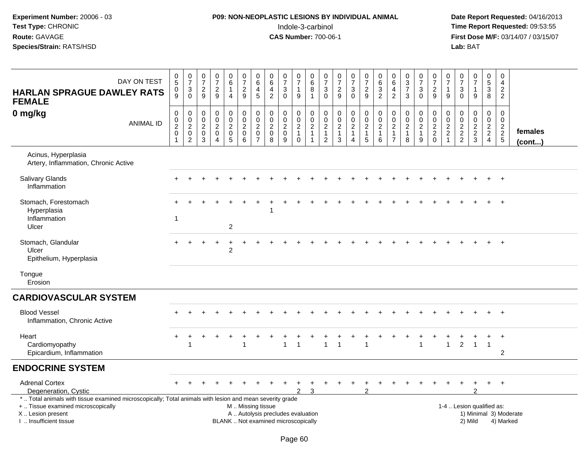## **P09: NON-NEOPLASTIC LESIONS BY INDIVIDUAL ANIMAL**Indole-3-carbinol **Time Report Requested:** 09:53:55

 **Date Report Requested:** 04/16/2013 **First Dose M/F:** 03/14/07 / 03/15/07<br>Lab: BAT

| DAY ON TEST<br><b>HARLAN SPRAGUE DAWLEY RATS</b><br><b>FEMALE</b>                                                                                                                            | $\begin{array}{c} 0 \\ 5 \end{array}$<br>$\frac{0}{9}$ | $\frac{0}{7}$<br>$\sqrt{3}$<br>$\Omega$                                                    | $\frac{0}{7}$<br>$\sqrt{2}$<br>9                                               | $\frac{0}{7}$<br>$\mathbf 2$<br>9                                           | $_{6}^{\rm 0}$<br>$\mathbf{1}$<br>4                                        | $\begin{array}{c} 0 \\ 7 \end{array}$<br>$\frac{2}{9}$      | $\begin{array}{c} 0 \\ 6 \end{array}$<br>$\overline{\mathbf{4}}$<br>5 | $\begin{array}{c} 0 \\ 6 \end{array}$<br>$\overline{\mathbf{4}}$<br>$\sqrt{2}$ | $\begin{array}{c} 0 \\ 7 \end{array}$<br>$\sqrt{3}$<br>$\Omega$ | $\begin{array}{c} 0 \\ 7 \end{array}$<br>$\mathbf{1}$<br>$9\,$                | 0<br>$\overline{6}$<br>8<br>$\mathbf{1}$                                      | $\frac{0}{7}$<br>$\sqrt{3}$<br>$\Omega$                                          | $\frac{0}{7}$<br>$\sqrt{2}$<br>$9\,$                                     | $\begin{array}{c} 0 \\ 7 \end{array}$<br>$\ensuremath{\mathsf{3}}$<br>$\Omega$  | $\begin{smallmatrix} 0\\7 \end{smallmatrix}$<br>$\frac{2}{9}$                     | $\begin{array}{c} 0 \\ 6 \end{array}$<br>$\ensuremath{\mathsf{3}}$<br>$\overline{2}$ | $\begin{array}{c} 0 \\ 6 \end{array}$<br>$\overline{a}$<br>$\sqrt{2}$  | $\begin{array}{c} 0 \\ 3 \\ 7 \end{array}$<br>$\mathbf{3}$    | $\frac{0}{7}$<br>3<br>$\Omega$                                    | $\frac{0}{7}$<br>$\sqrt{2}$<br>9                            | $\begin{array}{c} 0 \\ 7 \end{array}$<br>$\mathbf{1}$<br>$\boldsymbol{9}$ | $\begin{array}{c} 0 \\ 7 \end{array}$<br>$\sqrt{3}$<br>$\mathbf{0}$ | $\frac{0}{7}$<br>$\mathbf{1}$<br>9          | $\begin{array}{c} 0 \\ 5 \end{array}$<br>$\overline{3}$<br>8 | $\pmb{0}$<br>$\overline{4}$<br>$\mathbf 2$<br>$\overline{2}$ |                         |
|----------------------------------------------------------------------------------------------------------------------------------------------------------------------------------------------|--------------------------------------------------------|--------------------------------------------------------------------------------------------|--------------------------------------------------------------------------------|-----------------------------------------------------------------------------|----------------------------------------------------------------------------|-------------------------------------------------------------|-----------------------------------------------------------------------|--------------------------------------------------------------------------------|-----------------------------------------------------------------|-------------------------------------------------------------------------------|-------------------------------------------------------------------------------|----------------------------------------------------------------------------------|--------------------------------------------------------------------------|---------------------------------------------------------------------------------|-----------------------------------------------------------------------------------|--------------------------------------------------------------------------------------|------------------------------------------------------------------------|---------------------------------------------------------------|-------------------------------------------------------------------|-------------------------------------------------------------|---------------------------------------------------------------------------|---------------------------------------------------------------------|---------------------------------------------|--------------------------------------------------------------|--------------------------------------------------------------|-------------------------|
| $0$ mg/kg<br><b>ANIMAL ID</b>                                                                                                                                                                | $\pmb{0}$<br>$\frac{0}{2}$<br>$\overline{\mathbf{1}}$  | $\pmb{0}$<br>$\begin{smallmatrix} 0\\2 \end{smallmatrix}$<br>$\mathsf 0$<br>$\overline{2}$ | $\boldsymbol{0}$<br>$\mathbf 0$<br>$\overline{c}$<br>$\mathbf 0$<br>$\sqrt{3}$ | $\pmb{0}$<br>$\mathbf 0$<br>$\overline{c}$<br>$\mathbf 0$<br>$\overline{4}$ | $\boldsymbol{0}$<br>$\ddot{\mathbf{0}}$<br>$\frac{2}{0}$<br>$\overline{5}$ | $\pmb{0}$<br>$\overline{0}$<br>$\frac{2}{0}$<br>$6^{\circ}$ | $\pmb{0}$<br>$\frac{0}{2}$<br>$\pmb{0}$<br>$\overline{7}$             | $\begin{matrix} 0 \\ 0 \\ 2 \\ 0 \end{matrix}$<br>$\overline{8}$               | $\pmb{0}$<br>$\mathbf 0$<br>$\sqrt{2}$<br>$\pmb{0}$<br>9        | $\pmb{0}$<br>$\mathsf{O}\xspace$<br>$\sqrt{2}$<br>$\mathbf{1}$<br>$\mathbf 0$ | $\mathbf 0$<br>$\boldsymbol{0}$<br>$\sqrt{2}$<br>$\mathbf{1}$<br>$\mathbf{1}$ | $\mathsf{O}\xspace$<br>$\pmb{0}$<br>$\sqrt{2}$<br>$\mathbf{1}$<br>$\overline{c}$ | $\mathsf 0$<br>$\mathsf 0$<br>$\sqrt{2}$<br>$\mathbf{1}$<br>$\mathbf{3}$ | $\pmb{0}$<br>$\overline{0}$<br>$\overline{2}$<br>$\mathbf{1}$<br>$\overline{4}$ | $\mathbf 0$<br>$\overline{0}$<br>$\overline{2}$<br>$\mathbf{1}$<br>$\overline{5}$ | $\pmb{0}$<br>$\frac{0}{2}$<br>$\mathbf{1}$<br>$\,6\,$                                | $\pmb{0}$<br>$\pmb{0}$<br>$\sqrt{2}$<br>$\mathbf{1}$<br>$\overline{7}$ | $\pmb{0}$<br>$\pmb{0}$<br>$\overline{c}$<br>$\mathbf{1}$<br>8 | $\mathbf 0$<br>$\mathbf 0$<br>$\overline{2}$<br>$\mathbf{1}$<br>9 | $\mathbf 0$<br>$\mathbf 0$<br>$\frac{2}{2}$<br>$\mathbf{0}$ | $\pmb{0}$<br>$\begin{array}{c} 0 \\ 2 \\ 2 \end{array}$<br>$\overline{1}$ | $\mathbf 0$<br>$\boldsymbol{0}$<br>$\frac{2}{2}$                    | $\mathbf 0$<br>$\mathbf 0$<br>$\frac{2}{3}$ | $\pmb{0}$<br>$\mathbf 0$<br>$\frac{2}{2}$<br>$\overline{4}$  | $\mathbf 0$<br>$\mathbf 0$<br>$\frac{2}{2}$                  | females<br>$($ cont $)$ |
| Acinus, Hyperplasia<br>Artery, Inflammation, Chronic Active                                                                                                                                  |                                                        |                                                                                            |                                                                                |                                                                             |                                                                            |                                                             |                                                                       |                                                                                |                                                                 |                                                                               |                                                                               |                                                                                  |                                                                          |                                                                                 |                                                                                   |                                                                                      |                                                                        |                                                               |                                                                   |                                                             |                                                                           |                                                                     |                                             |                                                              |                                                              |                         |
| <b>Salivary Glands</b><br>Inflammation                                                                                                                                                       |                                                        |                                                                                            |                                                                                |                                                                             |                                                                            |                                                             |                                                                       |                                                                                |                                                                 |                                                                               |                                                                               |                                                                                  |                                                                          |                                                                                 |                                                                                   |                                                                                      |                                                                        |                                                               |                                                                   |                                                             |                                                                           |                                                                     |                                             |                                                              | $^{+}$                                                       |                         |
| Stomach, Forestomach<br>Hyperplasia<br>Inflammation<br>Ulcer                                                                                                                                 | $\overline{1}$                                         |                                                                                            |                                                                                |                                                                             | $\overline{2}$                                                             |                                                             |                                                                       |                                                                                |                                                                 |                                                                               |                                                                               |                                                                                  |                                                                          |                                                                                 |                                                                                   |                                                                                      |                                                                        |                                                               |                                                                   |                                                             |                                                                           |                                                                     |                                             |                                                              |                                                              |                         |
| Stomach, Glandular<br>Ulcer<br>Epithelium, Hyperplasia                                                                                                                                       |                                                        |                                                                                            |                                                                                |                                                                             | $\overline{2}$                                                             |                                                             |                                                                       |                                                                                |                                                                 |                                                                               |                                                                               |                                                                                  |                                                                          |                                                                                 |                                                                                   |                                                                                      |                                                                        |                                                               |                                                                   |                                                             |                                                                           |                                                                     |                                             |                                                              |                                                              |                         |
| Tongue<br>Erosion                                                                                                                                                                            |                                                        |                                                                                            |                                                                                |                                                                             |                                                                            |                                                             |                                                                       |                                                                                |                                                                 |                                                                               |                                                                               |                                                                                  |                                                                          |                                                                                 |                                                                                   |                                                                                      |                                                                        |                                                               |                                                                   |                                                             |                                                                           |                                                                     |                                             |                                                              |                                                              |                         |
| <b>CARDIOVASCULAR SYSTEM</b>                                                                                                                                                                 |                                                        |                                                                                            |                                                                                |                                                                             |                                                                            |                                                             |                                                                       |                                                                                |                                                                 |                                                                               |                                                                               |                                                                                  |                                                                          |                                                                                 |                                                                                   |                                                                                      |                                                                        |                                                               |                                                                   |                                                             |                                                                           |                                                                     |                                             |                                                              |                                                              |                         |
| <b>Blood Vessel</b><br>Inflammation, Chronic Active                                                                                                                                          |                                                        |                                                                                            |                                                                                |                                                                             |                                                                            |                                                             |                                                                       |                                                                                |                                                                 |                                                                               |                                                                               |                                                                                  |                                                                          |                                                                                 |                                                                                   |                                                                                      |                                                                        |                                                               |                                                                   |                                                             |                                                                           |                                                                     |                                             |                                                              |                                                              |                         |
| Heart<br>Cardiomyopathy<br>Epicardium, Inflammation                                                                                                                                          | +                                                      | $\overline{1}$                                                                             |                                                                                |                                                                             |                                                                            |                                                             |                                                                       |                                                                                | 1                                                               | 1                                                                             |                                                                               | $\overline{1}$                                                                   |                                                                          |                                                                                 | 1                                                                                 |                                                                                      |                                                                        |                                                               | 1                                                                 |                                                             | $\mathbf{1}$                                                              | $\overline{c}$                                                      | $\overline{1}$                              | $\overline{1}$                                               | $\overline{2}$                                               |                         |
| <b>ENDOCRINE SYSTEM</b>                                                                                                                                                                      |                                                        |                                                                                            |                                                                                |                                                                             |                                                                            |                                                             |                                                                       |                                                                                |                                                                 |                                                                               |                                                                               |                                                                                  |                                                                          |                                                                                 |                                                                                   |                                                                                      |                                                                        |                                                               |                                                                   |                                                             |                                                                           |                                                                     |                                             |                                                              |                                                              |                         |
| <b>Adrenal Cortex</b><br>Degeneration, Cystic                                                                                                                                                |                                                        |                                                                                            |                                                                                |                                                                             |                                                                            |                                                             |                                                                       |                                                                                |                                                                 | $\mathfrak{p}$                                                                | 3                                                                             |                                                                                  |                                                                          |                                                                                 | 2                                                                                 |                                                                                      |                                                                        |                                                               |                                                                   |                                                             |                                                                           |                                                                     |                                             | $\ddot{}$                                                    | $+$                                                          |                         |
| *  Total animals with tissue examined microscopically; Total animals with lesion and mean severity grade<br>+  Tissue examined microscopically<br>X Lesion present<br>I. Insufficient tissue |                                                        |                                                                                            |                                                                                |                                                                             |                                                                            | M  Missing tissue                                           |                                                                       | A  Autolysis precludes evaluation<br>BLANK  Not examined microscopically       |                                                                 |                                                                               |                                                                               |                                                                                  |                                                                          |                                                                                 |                                                                                   |                                                                                      |                                                                        |                                                               |                                                                   |                                                             |                                                                           |                                                                     | 1-4  Lesion qualified as:<br>2) Mild        |                                                              | 4) Marked                                                    | 1) Minimal 3) Moderate  |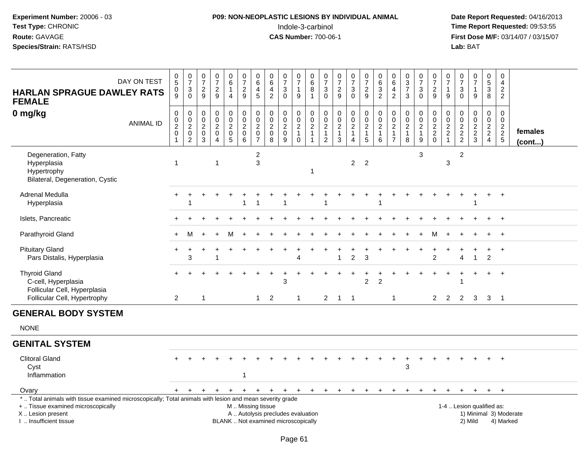# **P09: NON-NEOPLASTIC LESIONS BY INDIVIDUAL ANIMAL**Indole-3-carbinol **Time Report Requested:** 09:53:55

 **Date Report Requested:** 04/16/2013 **First Dose M/F:** 03/14/07 / 03/15/07<br>Lab: BAT

| DAY ON TEST<br><b>HARLAN SPRAGUE DAWLEY RATS</b><br><b>FEMALE</b>                                                                                                                             |                  | $\begin{array}{c} 0 \\ 5 \end{array}$<br>$\mathbf 0$<br>$\tilde{9}$ | $\frac{0}{7}$<br>$_{0}^{3}$                  | $\frac{0}{7}$<br>$\frac{2}{9}$                                    | $\begin{array}{c} 0 \\ 7 \end{array}$<br>$\frac{2}{9}$                                  | $\begin{array}{c} 0 \\ 6 \end{array}$<br>$\mathbf{1}$<br>$\overline{4}$ | $\,0\,$<br>$\overline{7}$<br>$\overline{c}$<br>$\overline{9}$ | 0<br>$6\phantom{a}$<br>4<br>5                               | 0<br>$6\phantom{a}$<br>$\overline{4}$<br>$\overline{2}$                  | $\frac{0}{7}$<br>3<br>$\mathbf 0$ | $\frac{0}{7}$<br>$\mathbf{1}$<br>9                     | $\begin{array}{c} 0 \\ 6 \end{array}$<br>8<br>$\mathbf{1}$ | $\frac{0}{7}$<br>$_0^3$                                             | $\begin{array}{c} 0 \\ 7 \end{array}$<br>$\frac{2}{9}$ | $\begin{smallmatrix}0\\7\end{smallmatrix}$<br>$\mathbf{3}$<br>$\overline{0}$ | 0<br>$\overline{7}$<br>$\boldsymbol{2}$<br>$\overline{9}$ | $\begin{array}{c} 0 \\ 6 \end{array}$<br>$\mathbf{3}$<br>$\overline{2}$ | 0<br>$6\phantom{a}$<br>$\overline{4}$<br>$\overline{2}$ | $_3^0$<br>$\overline{7}$<br>3                     | $\frac{0}{7}$<br>3<br>$\overline{0}$     | $\pmb{0}$<br>$\overline{7}$<br>$\overline{2}$<br>$\overline{9}$ | $\frac{0}{7}$<br>$\mathbf{1}$<br>9                                  | 0<br>$\overline{7}$<br>$\mathbf{3}$<br>$\Omega$ | $\frac{0}{7}$<br>$\mathbf{1}$<br>9 | $\pmb{0}$<br>$\overline{5}$<br>$\mathbf{3}$<br>8 | 0<br>$\overline{4}$<br>2<br>2                                            |                                     |                   |  |
|-----------------------------------------------------------------------------------------------------------------------------------------------------------------------------------------------|------------------|---------------------------------------------------------------------|----------------------------------------------|-------------------------------------------------------------------|-----------------------------------------------------------------------------------------|-------------------------------------------------------------------------|---------------------------------------------------------------|-------------------------------------------------------------|--------------------------------------------------------------------------|-----------------------------------|--------------------------------------------------------|------------------------------------------------------------|---------------------------------------------------------------------|--------------------------------------------------------|------------------------------------------------------------------------------|-----------------------------------------------------------|-------------------------------------------------------------------------|---------------------------------------------------------|---------------------------------------------------|------------------------------------------|-----------------------------------------------------------------|---------------------------------------------------------------------|-------------------------------------------------|------------------------------------|--------------------------------------------------|--------------------------------------------------------------------------|-------------------------------------|-------------------|--|
| 0 mg/kg                                                                                                                                                                                       | <b>ANIMAL ID</b> | $\pmb{0}$<br>$\frac{0}{2}$                                          | $\pmb{0}$<br>$\frac{0}{2}$<br>$\overline{2}$ | $\mathbf 0$<br>$\mathop{2}\limits^{\mathbb{O}}$<br>$\pmb{0}$<br>3 | $\mathsf 0$<br>$\mathbf 0$<br>$\boldsymbol{2}$<br>$\mathbf 0$<br>$\boldsymbol{\Lambda}$ | $\pmb{0}$<br>$\frac{0}{2}$<br>$\sqrt{5}$                                | $\mathbf 0$<br>$\frac{0}{2}$<br>$\mathbf 0$<br>$\,6\,$        | $\mathbf 0$<br>$\frac{0}{2}$<br>$\pmb{0}$<br>$\overline{7}$ | $\pmb{0}$<br>$\mathsf{O}\xspace$<br>$\frac{2}{0}$<br>8                   | $\mathbf 0$<br>$\frac{0}{2}$<br>9 | $\pmb{0}$<br>$\frac{0}{2}$<br>1<br>$\mathsf{O}\xspace$ | $\pmb{0}$<br>$\frac{0}{2}$<br>$\mathbf{1}$                 | $\boldsymbol{0}$<br>$\begin{array}{c} 0 \\ 2 \\ 1 \\ 2 \end{array}$ | $\pmb{0}$<br>$\mathbf 0$<br>$\frac{2}{1}$<br>3         | $\pmb{0}$<br>$\frac{0}{2}$<br>$\mathbf{1}$<br>4                              | $\pmb{0}$<br>$\frac{0}{2}$<br>$\mathbf{1}$<br>$\sqrt{5}$  | $\pmb{0}$<br>$\pmb{0}$<br>$\boldsymbol{2}$<br>$\mathbf{1}$<br>6         | $\pmb{0}$<br>$\frac{0}{2}$<br>$\frac{1}{7}$             | $\mathbf 0$<br>$\frac{0}{2}$<br>$\mathbf{1}$<br>8 | $\pmb{0}$<br>$\frac{0}{2}$<br>1<br>$9\,$ | $\pmb{0}$<br>$\frac{0}{2}$<br>$\mathbf 0$                       | $\boldsymbol{0}$<br>$\begin{array}{c} 0 \\ 2 \\ 2 \\ 1 \end{array}$ | $\mathbf 0$<br>$\mathbf 0$<br>$\frac{2}{2}$     | 0<br>$\frac{0}{2}$<br>$\mathbf{3}$ | $\mathbf 0$<br>$\frac{0}{2}$<br>$\overline{4}$   | $\mathbf 0$<br>$\mathbf 0$<br>$\begin{array}{c} 2 \\ 2 \\ 5 \end{array}$ |                                     | females<br>(cont) |  |
| Degeneration, Fatty<br>Hyperplasia<br>Hypertrophy<br>Bilateral, Degeneration, Cystic                                                                                                          |                  | $\overline{1}$                                                      |                                              |                                                                   | $\mathbf 1$                                                                             |                                                                         |                                                               | $\overline{c}$<br>3                                         |                                                                          |                                   |                                                        | $\overline{1}$                                             |                                                                     |                                                        | $\overline{2}$                                                               | $\overline{2}$                                            |                                                                         |                                                         |                                                   | 3                                        |                                                                 | $\ensuremath{\mathsf{3}}$                                           | $\overline{2}$                                  |                                    |                                                  |                                                                          |                                     |                   |  |
| Adrenal Medulla<br>Hyperplasia                                                                                                                                                                |                  |                                                                     |                                              |                                                                   |                                                                                         |                                                                         | 1                                                             | $\overline{1}$                                              |                                                                          | -1                                |                                                        |                                                            |                                                                     |                                                        |                                                                              |                                                           | 1                                                                       |                                                         |                                                   |                                          |                                                                 |                                                                     |                                                 | 1                                  |                                                  | $\overline{+}$                                                           |                                     |                   |  |
| Islets, Pancreatic                                                                                                                                                                            |                  |                                                                     |                                              |                                                                   |                                                                                         |                                                                         |                                                               |                                                             |                                                                          |                                   |                                                        |                                                            |                                                                     |                                                        |                                                                              |                                                           |                                                                         |                                                         |                                                   |                                          |                                                                 |                                                                     |                                                 |                                    |                                                  | $\overline{+}$                                                           |                                     |                   |  |
| Parathyroid Gland                                                                                                                                                                             |                  |                                                                     | м                                            |                                                                   |                                                                                         | м                                                                       |                                                               |                                                             |                                                                          |                                   |                                                        |                                                            |                                                                     |                                                        |                                                                              |                                                           |                                                                         |                                                         |                                                   |                                          | м                                                               |                                                                     |                                                 |                                    |                                                  | $+$                                                                      |                                     |                   |  |
| <b>Pituitary Gland</b><br>Pars Distalis, Hyperplasia                                                                                                                                          |                  |                                                                     | 3                                            |                                                                   |                                                                                         |                                                                         |                                                               |                                                             |                                                                          |                                   | Δ                                                      |                                                            |                                                                     | 1                                                      | $\overline{c}$                                                               | 3                                                         |                                                                         |                                                         |                                                   |                                          | $\overline{2}$                                                  |                                                                     | Δ                                               | $\mathbf{1}$                       | $\overline{c}$                                   | $\overline{+}$                                                           |                                     |                   |  |
| <b>Thyroid Gland</b><br>C-cell, Hyperplasia<br>Follicular Cell, Hyperplasia<br>Follicular Cell, Hypertrophy                                                                                   |                  | $\overline{2}$                                                      |                                              | $\overline{1}$                                                    |                                                                                         |                                                                         |                                                               | $\mathbf{1}$                                                | $\overline{2}$                                                           | 3                                 | $\mathbf{1}$                                           |                                                            | $\overline{2}$                                                      | $\overline{1}$                                         | $\overline{1}$                                                               | $\overline{2}$                                            | $\overline{2}$                                                          | $\mathbf{1}$                                            |                                                   |                                          | 2                                                               | 2                                                                   | 2                                               | $\ddot{}$<br>3                     | $+$<br>3                                         | $+$<br>$\overline{1}$                                                    |                                     |                   |  |
| <b>GENERAL BODY SYSTEM</b>                                                                                                                                                                    |                  |                                                                     |                                              |                                                                   |                                                                                         |                                                                         |                                                               |                                                             |                                                                          |                                   |                                                        |                                                            |                                                                     |                                                        |                                                                              |                                                           |                                                                         |                                                         |                                                   |                                          |                                                                 |                                                                     |                                                 |                                    |                                                  |                                                                          |                                     |                   |  |
| <b>NONE</b>                                                                                                                                                                                   |                  |                                                                     |                                              |                                                                   |                                                                                         |                                                                         |                                                               |                                                             |                                                                          |                                   |                                                        |                                                            |                                                                     |                                                        |                                                                              |                                                           |                                                                         |                                                         |                                                   |                                          |                                                                 |                                                                     |                                                 |                                    |                                                  |                                                                          |                                     |                   |  |
| <b>GENITAL SYSTEM</b>                                                                                                                                                                         |                  |                                                                     |                                              |                                                                   |                                                                                         |                                                                         |                                                               |                                                             |                                                                          |                                   |                                                        |                                                            |                                                                     |                                                        |                                                                              |                                                           |                                                                         |                                                         |                                                   |                                          |                                                                 |                                                                     |                                                 |                                    |                                                  |                                                                          |                                     |                   |  |
| <b>Clitoral Gland</b><br>Cyst<br>Inflammation                                                                                                                                                 |                  |                                                                     |                                              |                                                                   |                                                                                         |                                                                         | -1                                                            |                                                             |                                                                          |                                   |                                                        |                                                            |                                                                     |                                                        |                                                                              |                                                           |                                                                         |                                                         | 3                                                 |                                          |                                                                 |                                                                     |                                                 |                                    |                                                  | $\ddot{}$                                                                |                                     |                   |  |
| Ovary                                                                                                                                                                                         |                  | $+$                                                                 | $\ddot{}$                                    | +                                                                 | +                                                                                       | +                                                                       | $\ddot{}$                                                     | $+$                                                         | $+$                                                                      | $+$                               | $+$                                                    | $+$                                                        |                                                                     | $+$ $+$                                                | $+$                                                                          | $+$                                                       | $+$                                                                     | $+$                                                     | $+$                                               | $+$                                      | $+$                                                             | $\ddot{}$                                                           | $\ddot{}$                                       | $+$                                | $+$                                              | $^{+}$                                                                   |                                     |                   |  |
| *  Total animals with tissue examined microscopically; Total animals with lesion and mean severity grade<br>+  Tissue examined microscopically<br>X  Lesion present<br>I  Insufficient tissue |                  |                                                                     |                                              |                                                                   |                                                                                         |                                                                         | M  Missing tissue                                             |                                                             | A  Autolysis precludes evaluation<br>BLANK  Not examined microscopically |                                   |                                                        |                                                            |                                                                     |                                                        |                                                                              |                                                           |                                                                         |                                                         |                                                   |                                          |                                                                 |                                                                     | 1-4  Lesion qualified as:                       | 2) Mild                            |                                                  |                                                                          | 1) Minimal 3) Moderate<br>4) Marked |                   |  |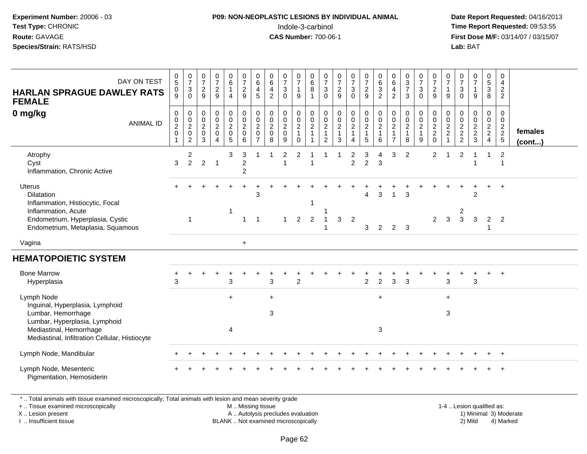#### **P09: NON-NEOPLASTIC LESIONS BY INDIVIDUAL ANIMAL**Indole-3-carbinol **Time Report Requested:** 09:53:55

 **Date Report Requested:** 04/16/2013 **First Dose M/F:** 03/14/07 / 03/15/07<br>**Lab: BAT** 

| DAY ON TEST<br><b>HARLAN SPRAGUE DAWLEY RATS</b><br><b>FEMALE</b><br>0 mg/kg<br><b>ANIMAL ID</b>                                                                | $\begin{array}{c} 0 \\ 5 \end{array}$<br>0<br>9<br>$\mathbf 0$<br>$\mathbf 0$<br>$\frac{2}{0}$<br>$\mathbf{1}$ | $\frac{0}{7}$<br>3<br>$\mathbf 0$<br>0<br>$\mathbf 0$<br>$\overline{c}$<br>$\mathbf 0$<br>$\overline{c}$ | $\frac{0}{7}$<br>$\sqrt{2}$<br>9<br>0<br>$\pmb{0}$<br>$\frac{2}{0}$<br>3 | $\frac{0}{7}$<br>$\frac{2}{9}$<br>$\mathbf 0$<br>$\mathsf{O}$<br>$\frac{2}{0}$<br>$\overline{4}$ | $\begin{matrix} 0 \\ 6 \end{matrix}$<br>$\mathbf{1}$<br>$\overline{4}$<br>0<br>$\mathbf 0$<br>$\overline{2}$<br>$\pmb{0}$<br>$\overline{5}$ | $\frac{0}{7}$<br>$\frac{2}{9}$<br>$\pmb{0}$<br>$\mathsf{O}\xspace$<br>$\frac{2}{0}$<br>6 | 0<br>$\,6\,$<br>$\overline{4}$<br>5<br>$\mathbf 0$<br>$\mathbf 0$<br>$\overline{2}$<br>$\mathbf 0$<br>$\overline{7}$ | 0<br>$\,6\,$<br>4<br>$\overline{2}$<br>$\mathbf 0$<br>$\mathbf 0$<br>$\overline{2}$<br>$\mathbf 0$<br>8 | $\frac{0}{7}$<br>$\mathbf{3}$<br>$\Omega$<br>0<br>$\mathbf 0$<br>$\overline{c}$<br>$\mathbf 0$<br>9 | $\frac{0}{7}$<br>$\mathbf{1}$<br>9<br>0<br>$\mathbf 0$<br>$\overline{c}$<br>$\mathbf{1}$<br>$\Omega$ | $\begin{array}{c} 0 \\ 6 \\ 8 \end{array}$<br>$\mathbf{1}$<br>$\,0\,$<br>$\mathbf 0$<br>$\overline{c}$<br>$\mathbf{1}$<br>1 | $\begin{smallmatrix}0\\7\end{smallmatrix}$<br>$\sqrt{3}$<br>$\mathbf 0$<br>0<br>$\mathsf{O}\xspace$<br>$\frac{2}{1}$<br>2 | $\frac{0}{7}$<br>$\frac{2}{9}$<br>$\begin{array}{c} 0 \\ 0 \\ 2 \\ 1 \end{array}$<br>3 | $\frac{0}{7}$<br>$\mathbf{3}$<br>$\mathbf 0$<br>0<br>$\mathbf 0$<br>$\frac{2}{1}$<br>4 | $\frac{0}{7}$<br>$\overline{c}$<br>9<br>0<br>$\mathbf 0$<br>$\frac{2}{1}$<br>5 | $\begin{matrix} 0 \\ 6 \\ 3 \end{matrix}$<br>$\overline{c}$<br>$\mathbf 0$<br>$\pmb{0}$<br>$\frac{2}{1}$<br>6 | $\begin{array}{c} 0 \\ 6 \\ 4 \end{array}$<br>$\overline{c}$<br>0<br>$\mathbf 0$<br>$\frac{2}{1}$<br>$\overline{7}$ | $\begin{array}{c} 0 \\ 3 \\ 7 \end{array}$<br>3<br>0<br>$\pmb{0}$<br>$\overline{c}$<br>$\mathbf{1}$<br>8 | $\frac{0}{7}$<br>$\ensuremath{\mathsf{3}}$<br>$\mathbf 0$<br>0<br>$\pmb{0}$<br>$\frac{2}{1}$<br>9 | $\frac{0}{7}$<br>$\sqrt{2}$<br>9<br>0<br>$\mathsf{O}\xspace$<br>$\frac{2}{2}$<br>$\mathbf 0$ | 0<br>$\overline{7}$<br>$\mathbf{1}$<br>9<br>0<br>$\mathbf 0$<br>$\frac{2}{2}$<br>$\mathbf{1}$ | $\frac{0}{7}$<br>$\mathbf{3}$<br>$\mathbf 0$<br>$\mathbf 0$<br>0<br>$\frac{2}{2}$ | $\frac{0}{7}$<br>$\mathbf{1}$<br>9<br>0<br>$\mathbf 0$<br>$\frac{2}{3}$ | $\begin{array}{c} 0 \\ 5 \\ 3 \end{array}$<br>8<br>0<br>$\mathbf 0$<br>$\frac{2}{2}$ | 0<br>4<br>$\overline{2}$<br>$\overline{2}$<br>$\mathbf 0$<br>$\mathbf 0$<br>$\frac{2}{2}$ | females<br>$($ cont $)$ |
|-----------------------------------------------------------------------------------------------------------------------------------------------------------------|----------------------------------------------------------------------------------------------------------------|----------------------------------------------------------------------------------------------------------|--------------------------------------------------------------------------|--------------------------------------------------------------------------------------------------|---------------------------------------------------------------------------------------------------------------------------------------------|------------------------------------------------------------------------------------------|----------------------------------------------------------------------------------------------------------------------|---------------------------------------------------------------------------------------------------------|-----------------------------------------------------------------------------------------------------|------------------------------------------------------------------------------------------------------|-----------------------------------------------------------------------------------------------------------------------------|---------------------------------------------------------------------------------------------------------------------------|----------------------------------------------------------------------------------------|----------------------------------------------------------------------------------------|--------------------------------------------------------------------------------|---------------------------------------------------------------------------------------------------------------|---------------------------------------------------------------------------------------------------------------------|----------------------------------------------------------------------------------------------------------|---------------------------------------------------------------------------------------------------|----------------------------------------------------------------------------------------------|-----------------------------------------------------------------------------------------------|-----------------------------------------------------------------------------------|-------------------------------------------------------------------------|--------------------------------------------------------------------------------------|-------------------------------------------------------------------------------------------|-------------------------|
| Atrophy<br>Cyst<br>Inflammation, Chronic Active                                                                                                                 | 3                                                                                                              | 2<br>$\overline{2}$                                                                                      | $\overline{2}$                                                           | $\overline{1}$                                                                                   | 3                                                                                                                                           | 3<br>$\overline{c}$<br>$\overline{2}$                                                    |                                                                                                                      |                                                                                                         | 2<br>$\mathbf 1$                                                                                    | 2                                                                                                    |                                                                                                                             |                                                                                                                           |                                                                                        | 2<br>$\overline{2}$                                                                    | 3<br>$\overline{a}$                                                            | Δ<br>3                                                                                                        | 3                                                                                                                   | 2                                                                                                        |                                                                                                   | $\overline{2}$                                                                               | 1                                                                                             | $\overline{2}$                                                                    |                                                                         | 1                                                                                    | $\overline{2}$<br>$\overline{1}$                                                          |                         |
| <b>Uterus</b><br>Dilatation<br>Inflammation, Histiocytic, Focal<br>Inflammation, Acute<br>Endometrium, Hyperplasia, Cystic<br>Endometrium, Metaplasia, Squamous |                                                                                                                | $\mathbf{1}$                                                                                             |                                                                          |                                                                                                  |                                                                                                                                             | -1                                                                                       | 3<br>-1                                                                                                              |                                                                                                         | $\mathbf{1}$                                                                                        | $\overline{2}$                                                                                       | -1<br>$\overline{2}$                                                                                                        |                                                                                                                           | 3                                                                                      | $\overline{2}$                                                                         | 4<br>3                                                                         | 3<br>2                                                                                                        | $\overline{2}$                                                                                                      | 3<br>3                                                                                                   |                                                                                                   | $\overline{2}$                                                                               | 3                                                                                             | 2<br>3                                                                            | $\overline{2}$<br>3                                                     | $\overline{2}$                                                                       | $\overline{1}$<br>$\overline{2}$                                                          |                         |
| Vagina                                                                                                                                                          |                                                                                                                |                                                                                                          |                                                                          |                                                                                                  |                                                                                                                                             | $+$                                                                                      |                                                                                                                      |                                                                                                         |                                                                                                     |                                                                                                      |                                                                                                                             |                                                                                                                           |                                                                                        |                                                                                        |                                                                                |                                                                                                               |                                                                                                                     |                                                                                                          |                                                                                                   |                                                                                              |                                                                                               |                                                                                   |                                                                         |                                                                                      |                                                                                           |                         |
| <b>HEMATOPOIETIC SYSTEM</b>                                                                                                                                     |                                                                                                                |                                                                                                          |                                                                          |                                                                                                  |                                                                                                                                             |                                                                                          |                                                                                                                      |                                                                                                         |                                                                                                     |                                                                                                      |                                                                                                                             |                                                                                                                           |                                                                                        |                                                                                        |                                                                                |                                                                                                               |                                                                                                                     |                                                                                                          |                                                                                                   |                                                                                              |                                                                                               |                                                                                   |                                                                         |                                                                                      |                                                                                           |                         |
| <b>Bone Marrow</b><br>Hyperplasia                                                                                                                               | 3                                                                                                              |                                                                                                          |                                                                          |                                                                                                  | 3                                                                                                                                           |                                                                                          |                                                                                                                      | 3                                                                                                       |                                                                                                     | 2                                                                                                    |                                                                                                                             |                                                                                                                           |                                                                                        |                                                                                        | $\overline{c}$                                                                 | $\overline{2}$                                                                                                | 3                                                                                                                   | 3                                                                                                        |                                                                                                   |                                                                                              | 3                                                                                             |                                                                                   | 3                                                                       |                                                                                      |                                                                                           |                         |
| Lymph Node<br>Inguinal, Hyperplasia, Lymphoid<br>Lumbar, Hemorrhage<br>Lumbar, Hyperplasia, Lymphoid                                                            |                                                                                                                |                                                                                                          |                                                                          |                                                                                                  | $+$                                                                                                                                         |                                                                                          |                                                                                                                      | $+$<br>3                                                                                                |                                                                                                     |                                                                                                      |                                                                                                                             |                                                                                                                           |                                                                                        |                                                                                        |                                                                                | $\ddot{}$                                                                                                     |                                                                                                                     |                                                                                                          |                                                                                                   |                                                                                              | $\ddot{}$<br>3                                                                                |                                                                                   |                                                                         |                                                                                      |                                                                                           |                         |
| Mediastinal, Hemorrhage<br>Mediastinal, Infiltration Cellular, Histiocyte                                                                                       |                                                                                                                |                                                                                                          |                                                                          |                                                                                                  | $\overline{4}$                                                                                                                              |                                                                                          |                                                                                                                      |                                                                                                         |                                                                                                     |                                                                                                      |                                                                                                                             |                                                                                                                           |                                                                                        |                                                                                        |                                                                                | 3                                                                                                             |                                                                                                                     |                                                                                                          |                                                                                                   |                                                                                              |                                                                                               |                                                                                   |                                                                         |                                                                                      |                                                                                           |                         |
| Lymph Node, Mandibular                                                                                                                                          |                                                                                                                |                                                                                                          |                                                                          |                                                                                                  |                                                                                                                                             |                                                                                          |                                                                                                                      |                                                                                                         |                                                                                                     |                                                                                                      |                                                                                                                             |                                                                                                                           |                                                                                        |                                                                                        |                                                                                |                                                                                                               |                                                                                                                     |                                                                                                          |                                                                                                   |                                                                                              |                                                                                               |                                                                                   |                                                                         |                                                                                      |                                                                                           |                         |
| Lymph Node, Mesenteric<br>Pigmentation, Hemosiderin                                                                                                             |                                                                                                                |                                                                                                          |                                                                          |                                                                                                  |                                                                                                                                             |                                                                                          |                                                                                                                      |                                                                                                         |                                                                                                     |                                                                                                      |                                                                                                                             |                                                                                                                           |                                                                                        |                                                                                        |                                                                                |                                                                                                               |                                                                                                                     |                                                                                                          |                                                                                                   |                                                                                              |                                                                                               |                                                                                   |                                                                         |                                                                                      |                                                                                           |                         |

\* .. Total animals with tissue examined microscopically; Total animals with lesion and mean severity grade

+ .. Tissue examined microscopically

X .. Lesion present

I .. Insufficient tissue

M .. Missing tissue

A .. Autolysis precludes evaluation

BLANK .. Not examined microscopically 2) Mild 4) Marked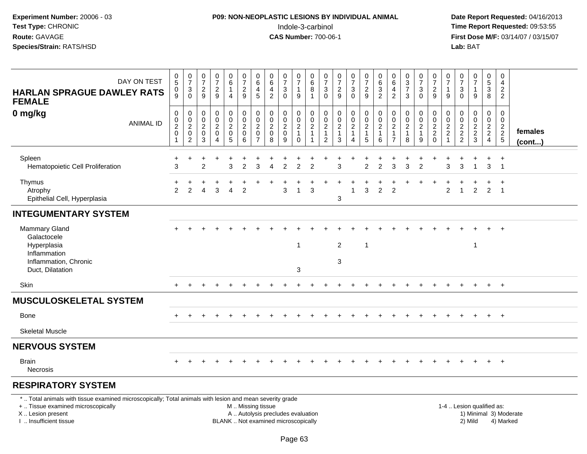#### **P09: NON-NEOPLASTIC LESIONS BY INDIVIDUAL ANIMAL**Indole-3-carbinol **Time Report Requested:** 09:53:55

 **Date Report Requested:** 04/16/2013 **First Dose M/F:** 03/14/07 / 03/15/07<br>**Lab: BAT** 

| DAY ON TEST<br><b>HARLAN SPRAGUE DAWLEY RATS</b><br><b>FEMALE</b> | $\begin{array}{c} 0 \\ 5 \end{array}$<br>0<br>$\overline{9}$ | $\frac{0}{7}$<br>3<br>$\Omega$                                  | $\frac{0}{7}$<br>$\overline{c}$<br>9  | $\frac{0}{7}$<br>$\overline{c}$<br>9                                    | 0<br>6<br>$\overline{4}$                                           | $\frac{0}{7}$<br>$\boldsymbol{2}$<br>$\overline{9}$                     | 0<br>$\,6\,$<br>4<br>5                                    | 0<br>$\,6\,$<br>4<br>$\overline{2}$                                 | $\frac{0}{7}$<br>3<br>$\mathbf 0$    | $\frac{0}{7}$<br>$\mathbf{1}$<br>$9\,$           | 0<br>$\,6$<br>8<br>$\overline{1}$       | 0<br>$\boldsymbol{7}$<br>$\sqrt{3}$<br>$\Omega$        | $\frac{0}{7}$<br>$\frac{2}{9}$  | $\frac{0}{7}$<br>$\mathbf{3}$<br>$\mathbf 0$ | 0<br>$\boldsymbol{7}$<br>$\overline{a}$<br>$\overline{9}$     | $\begin{array}{c} 0 \\ 6 \end{array}$<br>$\sqrt{3}$<br>$\overline{2}$ | 0<br>$\,6\,$<br>$\overline{4}$<br>$\overline{c}$                     | $\boldsymbol{0}$<br>$\frac{3}{7}$<br>$\mathbf{3}$     | 0<br>$\overline{7}$<br>$\mathbf 3$<br>$\mathbf{0}$    | 0<br>$\overline{7}$<br>$\sqrt{2}$<br>9                   | $\overline{0}$<br>$\overline{7}$<br>$\mathbf 1$<br>9                 | 0<br>$\overline{7}$<br>$\mathbf{3}$<br>$\Omega$                | $\frac{0}{7}$<br>$\mathbf{1}$<br>9 | $\begin{array}{c} 0 \\ 5 \end{array}$<br>$\mathbf{3}$<br>$\overline{8}$ | 0<br>4<br>$\overline{2}$<br>$\overline{2}$ |                         |
|-------------------------------------------------------------------|--------------------------------------------------------------|-----------------------------------------------------------------|---------------------------------------|-------------------------------------------------------------------------|--------------------------------------------------------------------|-------------------------------------------------------------------------|-----------------------------------------------------------|---------------------------------------------------------------------|--------------------------------------|--------------------------------------------------|-----------------------------------------|--------------------------------------------------------|---------------------------------|----------------------------------------------|---------------------------------------------------------------|-----------------------------------------------------------------------|----------------------------------------------------------------------|-------------------------------------------------------|-------------------------------------------------------|----------------------------------------------------------|----------------------------------------------------------------------|----------------------------------------------------------------|------------------------------------|-------------------------------------------------------------------------|--------------------------------------------|-------------------------|
| 0 mg/kg<br><b>ANIMAL ID</b>                                       | $\pmb{0}$<br>$\frac{0}{2}$<br>$\pmb{0}$<br>$\mathbf{1}$      | 0<br>$\mathbf 0$<br>$\sqrt{2}$<br>$\pmb{0}$<br>$\boldsymbol{2}$ | 0<br>$\mathbf 0$<br>$^2_{\rm 0}$<br>3 | $\pmb{0}$<br>$\pmb{0}$<br>$\overline{2}$<br>$\pmb{0}$<br>$\overline{4}$ | 0<br>$\mathbf 0$<br>$\overline{2}$<br>$\pmb{0}$<br>$5\phantom{.0}$ | $\pmb{0}$<br>$\begin{smallmatrix} 0\\2\\0 \end{smallmatrix}$<br>$\,6\,$ | 0<br>$\mathbf 0$<br>$\overline{2}$<br>0<br>$\overline{7}$ | $\mathbf 0$<br>$\boldsymbol{0}$<br>$\overline{c}$<br>$\pmb{0}$<br>8 | 0<br>$\pmb{0}$<br>$\frac{2}{0}$<br>9 | 0<br>$\mathbf 0$<br>$\frac{2}{1}$<br>$\mathbf 0$ | 0<br>$\frac{0}{2}$<br>$\mathbf{1}$<br>1 | 0<br>0<br>$\sqrt{2}$<br>$\mathbf{1}$<br>$\overline{2}$ | $\pmb{0}$<br>$\frac{0}{2}$<br>3 | 0<br>$\frac{0}{2}$<br>4                      | $\pmb{0}$<br>$\pmb{0}$<br>$\overline{2}$<br>$\mathbf{1}$<br>5 | 0<br>$\pmb{0}$<br>$\sqrt{2}$<br>$\mathbf{1}$<br>6                     | 0<br>$\mathbf 0$<br>$\overline{2}$<br>$\mathbf{1}$<br>$\overline{7}$ | 0<br>$\pmb{0}$<br>$\overline{2}$<br>$\mathbf{1}$<br>8 | 0<br>$\pmb{0}$<br>$\overline{2}$<br>$\mathbf{1}$<br>9 | 0<br>$\mathsf{O}\xspace$<br>$\frac{2}{2}$<br>$\mathbf 0$ | 0<br>$\mathbf 0$<br>$\overline{c}$<br>$\overline{c}$<br>$\mathbf{1}$ | 0<br>$\mathbf 0$<br>$\begin{array}{c} 2 \\ 2 \\ 2 \end{array}$ | 0<br>$\mathsf{O}$<br>$\frac{2}{3}$ | $\pmb{0}$<br>$\frac{0}{2}$<br>$\overline{4}$                            | 0<br>$\mathbf 0$<br>$\frac{2}{2}$ 5        | females<br>$($ cont $)$ |
| Spleen<br>Hematopoietic Cell Proliferation                        | $\ddot{}$<br>3                                               | ÷                                                               | 2                                     | $\ddot{}$                                                               | $\ddot{}$<br>3                                                     | $\overline{2}$                                                          | 3                                                         | Δ                                                                   | $\overline{2}$                       | $\overline{2}$                                   | $\overline{2}$                          |                                                        | 3                               |                                              | $\overline{2}$                                                | $\overline{2}$                                                        | 3                                                                    | $\overline{3}$                                        | $\overline{2}$                                        |                                                          | 3                                                                    | 3                                                              | $\mathbf{1}$                       | $\ddot{}$<br>3                                                          | $^{+}$<br>$\overline{1}$                   |                         |
| Thymus<br>Atrophy<br>Epithelial Cell, Hyperplasia                 | +<br>2                                                       | $\overline{2}$                                                  | $\overline{4}$                        | 3                                                                       | $\overline{4}$                                                     | $\overline{2}$                                                          |                                                           |                                                                     | 3                                    | $\overline{1}$                                   | 3                                       |                                                        | 3                               | 1                                            | 3                                                             | $\overline{2}$                                                        | $\overline{2}$                                                       |                                                       |                                                       |                                                          | 2                                                                    | $\overline{1}$                                                 | $\overline{2}$                     | $\ddot{}$<br>$\overline{2}$                                             | $^{+}$<br>$\overline{1}$                   |                         |
| <b>INTEGUMENTARY SYSTEM</b>                                       |                                                              |                                                                 |                                       |                                                                         |                                                                    |                                                                         |                                                           |                                                                     |                                      |                                                  |                                         |                                                        |                                 |                                              |                                                               |                                                                       |                                                                      |                                                       |                                                       |                                                          |                                                                      |                                                                |                                    |                                                                         |                                            |                         |
| Mammary Gland<br>Galactocele<br>Hyperplasia<br>Inflammation       |                                                              |                                                                 |                                       |                                                                         |                                                                    |                                                                         |                                                           |                                                                     |                                      | $\mathbf 1$                                      |                                         |                                                        | $\boldsymbol{2}$                |                                              | $\overline{\mathbf{1}}$                                       |                                                                       |                                                                      |                                                       |                                                       |                                                          |                                                                      |                                                                | $\mathbf{1}$                       |                                                                         | $\overline{1}$                             |                         |
| Inflammation, Chronic<br>Duct, Dilatation                         |                                                              |                                                                 |                                       |                                                                         |                                                                    |                                                                         |                                                           |                                                                     |                                      | 3                                                |                                         |                                                        | $\sqrt{3}$                      |                                              |                                                               |                                                                       |                                                                      |                                                       |                                                       |                                                          |                                                                      |                                                                |                                    |                                                                         |                                            |                         |
| Skin                                                              |                                                              |                                                                 |                                       |                                                                         |                                                                    |                                                                         |                                                           |                                                                     |                                      |                                                  |                                         |                                                        |                                 |                                              |                                                               |                                                                       |                                                                      |                                                       |                                                       |                                                          |                                                                      |                                                                |                                    | $+$                                                                     | $+$                                        |                         |
| <b>MUSCULOSKELETAL SYSTEM</b>                                     |                                                              |                                                                 |                                       |                                                                         |                                                                    |                                                                         |                                                           |                                                                     |                                      |                                                  |                                         |                                                        |                                 |                                              |                                                               |                                                                       |                                                                      |                                                       |                                                       |                                                          |                                                                      |                                                                |                                    |                                                                         |                                            |                         |
| Bone                                                              |                                                              |                                                                 |                                       |                                                                         |                                                                    |                                                                         |                                                           |                                                                     |                                      |                                                  |                                         |                                                        |                                 |                                              |                                                               |                                                                       |                                                                      |                                                       |                                                       |                                                          |                                                                      |                                                                |                                    | $+$                                                                     | $+$                                        |                         |
| <b>Skeletal Muscle</b>                                            |                                                              |                                                                 |                                       |                                                                         |                                                                    |                                                                         |                                                           |                                                                     |                                      |                                                  |                                         |                                                        |                                 |                                              |                                                               |                                                                       |                                                                      |                                                       |                                                       |                                                          |                                                                      |                                                                |                                    |                                                                         |                                            |                         |
| <b>NERVOUS SYSTEM</b>                                             |                                                              |                                                                 |                                       |                                                                         |                                                                    |                                                                         |                                                           |                                                                     |                                      |                                                  |                                         |                                                        |                                 |                                              |                                                               |                                                                       |                                                                      |                                                       |                                                       |                                                          |                                                                      |                                                                |                                    |                                                                         |                                            |                         |
| <b>Brain</b><br>Necrosis                                          |                                                              |                                                                 |                                       | $\ddot{}$                                                               | $\ddot{}$                                                          |                                                                         |                                                           |                                                                     |                                      |                                                  |                                         |                                                        |                                 |                                              |                                                               |                                                                       |                                                                      |                                                       | $\div$                                                |                                                          |                                                                      |                                                                | $\overline{+}$                     | $+$                                                                     | $+$                                        |                         |
| <b>RESPIRATORY SYSTEM</b>                                         |                                                              |                                                                 |                                       |                                                                         |                                                                    |                                                                         |                                                           |                                                                     |                                      |                                                  |                                         |                                                        |                                 |                                              |                                                               |                                                                       |                                                                      |                                                       |                                                       |                                                          |                                                                      |                                                                |                                    |                                                                         |                                            |                         |

#### \* .. Total animals with tissue examined microscopically; Total animals with lesion and mean severity grade

+ .. Tissue examined microscopically

X .. Lesion present

I .. Insufficient tissue

M .. Missing tissue

- A .. Autolysis precludes evaluation
- BLANK .. Not examined microscopically 2) Mild 4) Marked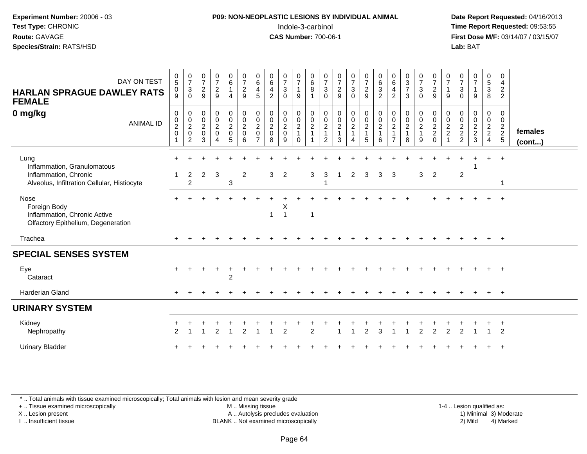#### **P09: NON-NEOPLASTIC LESIONS BY INDIVIDUAL ANIMAL**Indole-3-carbinol **Time Report Requested:** 09:53:55

 **Date Report Requested:** 04/16/2013 **First Dose M/F:** 03/14/07 / 03/15/07<br>**Lab: BAT** 

| DAY ON TEST<br><b>HARLAN SPRAGUE DAWLEY RATS</b><br><b>FEMALE</b>                                           | $\frac{0}{5}$<br>$_{9}^{\rm 0}$                                                | $\frac{0}{7}$<br>3<br>$\mathbf 0$            | $\frac{0}{7}$<br>$\frac{2}{9}$                                      | $\frac{0}{7}$<br>$\frac{2}{9}$                                                     | $\begin{array}{c} 0 \\ 6 \end{array}$<br>$\overline{1}$<br>$\overline{4}$ | $\frac{0}{7}$<br>$\overline{c}$<br>9                         | $\mathbf 0$<br>6<br>4<br>5                                            | 0<br>6<br>4<br>$\overline{2}$                                | $\frac{0}{7}$<br>3<br>0                                | $\frac{0}{7}$<br>$\mathbf{1}$<br>9            | $\begin{matrix} 0 \\ 6 \\ 8 \end{matrix}$ | $\frac{0}{7}$<br>$\sqrt{3}$<br>$\mathbf{0}$                                           | $\frac{0}{7}$<br>$\frac{2}{9}$                                       | $\frac{0}{7}$<br>$\mathsf 3$<br>$\mathbf 0$                                        | $\frac{0}{7}$<br>$\frac{2}{9}$                  | $\begin{matrix} 0 \\ 6 \end{matrix}$<br>$\mathbf{3}$<br>2 | 0<br>$6\phantom{a}$<br>$\overline{\mathbf{4}}$<br>$\overline{2}$   | $\begin{array}{c} 0 \\ 3 \\ 7 \end{array}$<br>3 | $\frac{0}{7}$<br>$\mathbf{3}$<br>$\mathbf 0$              | $\frac{0}{7}$<br>$\frac{2}{9}$                                | $\frac{0}{7}$<br>9                              | $\frac{0}{7}$<br>$\mathbf{3}$<br>$\Omega$ | $\frac{0}{7}$<br>9                | 0<br>$\frac{5}{3}$<br>8                                          | 0<br>4<br>$\overline{2}$<br>$\overline{c}$          |                   |
|-------------------------------------------------------------------------------------------------------------|--------------------------------------------------------------------------------|----------------------------------------------|---------------------------------------------------------------------|------------------------------------------------------------------------------------|---------------------------------------------------------------------------|--------------------------------------------------------------|-----------------------------------------------------------------------|--------------------------------------------------------------|--------------------------------------------------------|-----------------------------------------------|-------------------------------------------|---------------------------------------------------------------------------------------|----------------------------------------------------------------------|------------------------------------------------------------------------------------|-------------------------------------------------|-----------------------------------------------------------|--------------------------------------------------------------------|-------------------------------------------------|-----------------------------------------------------------|---------------------------------------------------------------|-------------------------------------------------|-------------------------------------------|-----------------------------------|------------------------------------------------------------------|-----------------------------------------------------|-------------------|
| 0 mg/kg<br><b>ANIMAL ID</b>                                                                                 | $\boldsymbol{0}$<br>$\pmb{0}$<br>$\overline{c}$<br>$\mathbf 0$<br>$\mathbf{1}$ | 0<br>$_2^0$<br>$\mathbf 0$<br>$\overline{c}$ | $\pmb{0}$<br>$\boldsymbol{0}$<br>$\overline{c}$<br>$\mathbf 0$<br>3 | $\mathbf 0$<br>$\boldsymbol{0}$<br>$\overline{2}$<br>$\mathbf 0$<br>$\overline{4}$ | $\mathbf 0$<br>$\pmb{0}$<br>$\frac{2}{0}$<br>$5\phantom{.0}$              | $\pmb{0}$<br>$\pmb{0}$<br>$\overline{c}$<br>$\mathbf 0$<br>6 | $\pmb{0}$<br>$\pmb{0}$<br>$\sqrt{2}$<br>$\mathbf 0$<br>$\overline{7}$ | $\mathbf 0$<br>$\mathbf 0$<br>$\sqrt{2}$<br>$\mathbf 0$<br>8 | 0<br>$\mathbf 0$<br>$\overline{c}$<br>$\mathbf 0$<br>9 | 0<br>$\mathbf 0$<br>$\frac{2}{1}$<br>$\Omega$ | 0<br>$_{2}^{\rm 0}$<br>$\overline{1}$     | 0<br>$\begin{smallmatrix} 0\\2 \end{smallmatrix}$<br>$\overline{1}$<br>$\overline{2}$ | $\begin{smallmatrix} 0\\0\\2 \end{smallmatrix}$<br>$\mathbf{1}$<br>3 | 0<br>$\begin{smallmatrix} 0\\2 \end{smallmatrix}$<br>$\mathbf 1$<br>$\overline{4}$ | $\pmb{0}$<br>$\frac{0}{2}$<br>$\mathbf{1}$<br>5 | 0<br>$\pmb{0}$<br>$\overline{c}$<br>$\mathbf{1}$<br>6     | 0<br>$\pmb{0}$<br>$\overline{c}$<br>$\mathbf{1}$<br>$\overline{7}$ | 0<br>$_{2}^{\rm 0}$<br>$\mathbf{1}$<br>8        | 0<br>$\mathsf 0$<br>$\overline{c}$<br>$\overline{1}$<br>9 | 0<br>$\begin{matrix} 0 \\ 2 \\ 2 \end{matrix}$<br>$\mathbf 0$ | 0<br>0<br>$\frac{2}{2}$<br>$\blacktriangleleft$ | $\mathbf 0$<br>$\pmb{0}$<br>$\frac{2}{2}$ | 0<br>$\mathbf 0$<br>$\frac{2}{3}$ | $\pmb{0}$<br>$\boldsymbol{0}$<br>$\frac{2}{2}$<br>$\overline{4}$ | 0<br>$\mathbf 0$<br>$\frac{2}{2}$<br>$\overline{5}$ | females<br>(cont) |
| Lung<br>Inflammation, Granulomatous<br>Inflammation, Chronic<br>Alveolus, Infiltration Cellular, Histiocyte |                                                                                | $\overline{2}$<br>$\overline{2}$             | $\overline{2}$                                                      | 3                                                                                  | 3                                                                         | $\overline{2}$                                               |                                                                       | 3                                                            | $\overline{2}$                                         |                                               | 3                                         | 3                                                                                     |                                                                      | $\overline{2}$                                                                     | 3                                               | 3                                                         | 3                                                                  |                                                 | 3                                                         | 2                                                             |                                                 | $\sqrt{2}$                                |                                   |                                                                  | $\mathbf{1}$                                        |                   |
| Nose<br>Foreign Body<br>Inflammation, Chronic Active<br>Olfactory Epithelium, Degeneration                  |                                                                                |                                              |                                                                     |                                                                                    |                                                                           |                                                              |                                                                       | 1                                                            | X<br>1                                                 |                                               | $\overline{1}$                            |                                                                                       |                                                                      |                                                                                    |                                                 |                                                           |                                                                    |                                                 |                                                           |                                                               |                                                 |                                           |                                   |                                                                  | $\overline{+}$                                      |                   |
| Trachea                                                                                                     |                                                                                |                                              |                                                                     |                                                                                    |                                                                           |                                                              |                                                                       |                                                              |                                                        |                                               |                                           |                                                                                       |                                                                      |                                                                                    |                                                 |                                                           |                                                                    |                                                 |                                                           |                                                               |                                                 |                                           |                                   |                                                                  | $+$                                                 |                   |
| <b>SPECIAL SENSES SYSTEM</b>                                                                                |                                                                                |                                              |                                                                     |                                                                                    |                                                                           |                                                              |                                                                       |                                                              |                                                        |                                               |                                           |                                                                                       |                                                                      |                                                                                    |                                                 |                                                           |                                                                    |                                                 |                                                           |                                                               |                                                 |                                           |                                   |                                                                  |                                                     |                   |
| Eye<br>Cataract                                                                                             |                                                                                |                                              |                                                                     |                                                                                    | $\overline{2}$                                                            |                                                              |                                                                       |                                                              |                                                        |                                               |                                           |                                                                                       |                                                                      |                                                                                    |                                                 |                                                           |                                                                    |                                                 |                                                           |                                                               |                                                 |                                           |                                   |                                                                  | $+$                                                 |                   |
| Harderian Gland                                                                                             |                                                                                |                                              |                                                                     |                                                                                    |                                                                           |                                                              |                                                                       |                                                              |                                                        |                                               |                                           |                                                                                       |                                                                      |                                                                                    |                                                 |                                                           |                                                                    |                                                 |                                                           |                                                               |                                                 |                                           |                                   |                                                                  | $+$                                                 |                   |
| <b>URINARY SYSTEM</b>                                                                                       |                                                                                |                                              |                                                                     |                                                                                    |                                                                           |                                                              |                                                                       |                                                              |                                                        |                                               |                                           |                                                                                       |                                                                      |                                                                                    |                                                 |                                                           |                                                                    |                                                 |                                                           |                                                               |                                                 |                                           |                                   |                                                                  |                                                     |                   |
| Kidney<br>Nephropathy                                                                                       |                                                                                |                                              |                                                                     | 2                                                                                  |                                                                           | 2                                                            |                                                                       |                                                              | $\overline{2}$                                         |                                               | $\overline{2}$                            |                                                                                       |                                                                      |                                                                                    | $\overline{2}$                                  | 3                                                         |                                                                    |                                                 | $\overline{2}$                                            | 2                                                             | $\overline{2}$                                  | 2                                         |                                   |                                                                  | $+$<br>$\overline{2}$                               |                   |
| <b>Urinary Bladder</b>                                                                                      |                                                                                |                                              |                                                                     |                                                                                    |                                                                           |                                                              |                                                                       |                                                              |                                                        |                                               |                                           |                                                                                       |                                                                      |                                                                                    |                                                 |                                                           |                                                                    |                                                 |                                                           |                                                               |                                                 |                                           |                                   |                                                                  | $\overline{+}$                                      |                   |

\* .. Total animals with tissue examined microscopically; Total animals with lesion and mean severity grade

+ .. Tissue examined microscopically

X .. Lesion present

I .. Insufficient tissue

 M .. Missing tissueA .. Autolysis precludes evaluation

BLANK .. Not examined microscopically 2) Mild 4) Marked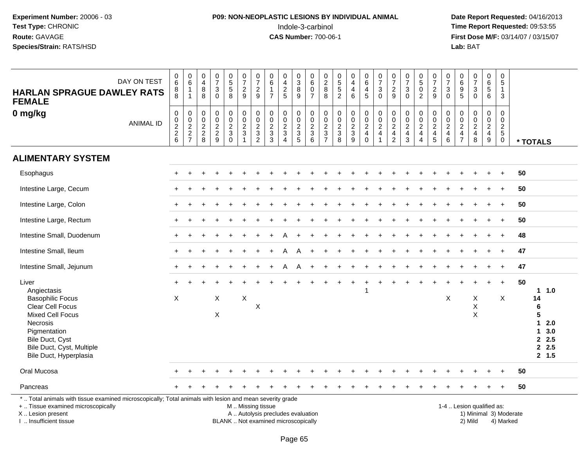## **P09: NON-NEOPLASTIC LESIONS BY INDIVIDUAL ANIMAL**Indole-3-carbinol **Time Report Requested:** 09:53:55

 **Date Report Requested:** 04/16/2013 **First Dose M/F:** 03/14/07 / 03/15/07<br>**Lab:** BAT

| <b>HARLAN SPRAGUE DAWLEY RATS</b><br><b>FEMALE</b>                                                                                                                                                   | DAY ON TEST      | $\begin{array}{c} 0 \\ 6 \end{array}$<br>$\begin{array}{c} 8 \\ 8 \end{array}$ | $_{6}^{\rm 0}$<br>$\mathbf{1}$<br>$\mathbf{1}$                            | 0<br>$\overline{4}$<br>$\bf 8$<br>8           | $\begin{smallmatrix}0\\7\end{smallmatrix}$<br>$\sqrt{3}$<br>$\mathbf 0$ | $\begin{array}{c} 0 \\ 5 \\ 5 \end{array}$<br>$\overline{8}$ | $\begin{array}{c} 0 \\ 7 \end{array}$<br>$\overline{c}$<br>$9\,$           | $\frac{0}{7}$<br>$\overline{c}$<br>9                                              | $\begin{array}{c} 0 \\ 6 \end{array}$<br>$\mathbf 1$<br>$\overline{7}$   | 0<br>$\overline{4}$<br>$\frac{2}{5}$                | $\frac{0}{3}$<br>$\overline{8}$<br>$\overline{9}$             | $\begin{array}{c} 0 \\ 6 \end{array}$<br>$\pmb{0}$<br>$\overline{7}$ | $_2^0$<br>$\bf 8$<br>8                                                            | $0$<br>5<br>5<br>5<br>2           | $\pmb{0}$<br>$\overline{4}$<br>$\overline{\mathbf{4}}$<br>$\,6\,$ | $\begin{array}{c} 0 \\ 6 \end{array}$<br>4<br>$\overline{5}$ | $\frac{0}{7}$<br>3<br>$\mathbf 0$                    | $\frac{0}{7}$<br>$\boldsymbol{2}$<br>9       | $\frac{0}{7}$<br>3<br>$\mathbf{0}$                        | $\begin{array}{c} 0 \\ 5 \\ 0 \\ 2 \end{array}$ | $\frac{0}{7}$<br>$\frac{2}{9}$                                         | $\begin{array}{c} 0 \\ 7 \end{array}$<br>3<br>$\mathbf 0$ | $\begin{array}{c} 0 \\ 6 \end{array}$<br>$\boldsymbol{9}$<br>$5\phantom{1}$ | $\frac{0}{7}$<br>$\ensuremath{\mathsf{3}}$<br>$\mathsf{O}\xspace$           | $\mathbf 0$<br>$\,6\,$<br>5<br>$\,6\,$                              | 0<br>5<br>$\mathbf{1}$<br>3                            |           |    |                                                                       |
|------------------------------------------------------------------------------------------------------------------------------------------------------------------------------------------------------|------------------|--------------------------------------------------------------------------------|---------------------------------------------------------------------------|-----------------------------------------------|-------------------------------------------------------------------------|--------------------------------------------------------------|----------------------------------------------------------------------------|-----------------------------------------------------------------------------------|--------------------------------------------------------------------------|-----------------------------------------------------|---------------------------------------------------------------|----------------------------------------------------------------------|-----------------------------------------------------------------------------------|-----------------------------------|-------------------------------------------------------------------|--------------------------------------------------------------|------------------------------------------------------|----------------------------------------------|-----------------------------------------------------------|-------------------------------------------------|------------------------------------------------------------------------|-----------------------------------------------------------|-----------------------------------------------------------------------------|-----------------------------------------------------------------------------|---------------------------------------------------------------------|--------------------------------------------------------|-----------|----|-----------------------------------------------------------------------|
| 0 mg/kg                                                                                                                                                                                              | <b>ANIMAL ID</b> | $\mathsf{O}\xspace$<br>$\begin{array}{c} 0 \\ 2 \\ 2 \end{array}$<br>6         | $\pmb{0}$<br>$\begin{array}{c} 0 \\ 2 \\ 2 \end{array}$<br>$\overline{7}$ | 0<br>0<br>$\boldsymbol{2}$<br>$\sqrt{2}$<br>8 | $\mathsf 0$<br>$\pmb{0}$<br>$\frac{2}{9}$                               | $\mathbf 0$<br>$\mathbf 0$<br>$rac{2}{3}$<br>$\mathbf 0$     | $\pmb{0}$<br>$\mathbf 0$<br>$\overline{2}$<br>$\sqrt{3}$<br>$\overline{1}$ | 0<br>$\mathbf 0$<br>$\overline{2}$<br>$\ensuremath{\mathsf{3}}$<br>$\overline{c}$ | $\mathbf 0$<br>$\mathbf 0$<br>$\overline{2}$<br>$\frac{3}{3}$            | 0<br>$\mathbf 0$<br>$\frac{2}{3}$<br>$\overline{4}$ | $\mathbf 0$<br>$\mathbf 0$<br>$\overline{2}$<br>$\frac{3}{5}$ | 0<br>$\frac{0}{2}$<br>6                                              | $\mathbf 0$<br>0<br>$\overline{2}$<br>$\ensuremath{\mathsf{3}}$<br>$\overline{7}$ | 0<br>$\mathbf 0$<br>$\frac{2}{3}$ | 0<br>$\mathbf 0$<br>$\frac{2}{3}$<br>9                            | $\pmb{0}$<br>$\mathbf 0$<br>$\frac{2}{4}$<br>$\mathbf 0$     | 0<br>$\mathbf 0$<br>$\overline{2}$<br>$\overline{4}$ | $\pmb{0}$<br>$\frac{0}{2}$<br>$\overline{2}$ | 0<br>$\mathbf 0$<br>$\overline{2}$<br>$\overline{4}$<br>3 | 0<br>$\frac{0}{2}$<br>$\overline{4}$            | $\mathbf 0$<br>$\begin{matrix} 0 \\ 2 \\ 4 \end{matrix}$<br>$\sqrt{5}$ | 0<br>$\mathbf 0$<br>$\frac{2}{4}$ 6                       | 0<br>$\mathbf 0$<br>$\boldsymbol{2}$<br>$\overline{4}$<br>$\overline{7}$    | 0<br>$\mathbf 0$<br>$\overline{2}$<br>$\begin{array}{c} 4 \\ 8 \end{array}$ | $\mathbf 0$<br>$\mathbf 0$<br>$\overline{2}$<br>$\overline{4}$<br>9 | $\mathbf 0$<br>0<br>$\overline{c}$<br>5<br>$\mathbf 0$ |           |    | * TOTALS                                                              |
| <b>ALIMENTARY SYSTEM</b>                                                                                                                                                                             |                  |                                                                                |                                                                           |                                               |                                                                         |                                                              |                                                                            |                                                                                   |                                                                          |                                                     |                                                               |                                                                      |                                                                                   |                                   |                                                                   |                                                              |                                                      |                                              |                                                           |                                                 |                                                                        |                                                           |                                                                             |                                                                             |                                                                     |                                                        |           |    |                                                                       |
| Esophagus                                                                                                                                                                                            |                  |                                                                                |                                                                           |                                               |                                                                         |                                                              |                                                                            |                                                                                   |                                                                          |                                                     |                                                               |                                                                      |                                                                                   |                                   |                                                                   |                                                              |                                                      |                                              |                                                           |                                                 |                                                                        |                                                           |                                                                             |                                                                             |                                                                     | $\ddot{}$                                              |           | 50 |                                                                       |
| Intestine Large, Cecum                                                                                                                                                                               |                  |                                                                                |                                                                           |                                               |                                                                         |                                                              |                                                                            |                                                                                   |                                                                          |                                                     |                                                               |                                                                      |                                                                                   |                                   |                                                                   |                                                              |                                                      |                                              |                                                           |                                                 |                                                                        |                                                           |                                                                             |                                                                             |                                                                     |                                                        |           | 50 |                                                                       |
| Intestine Large, Colon                                                                                                                                                                               |                  |                                                                                |                                                                           |                                               |                                                                         |                                                              |                                                                            |                                                                                   |                                                                          |                                                     |                                                               |                                                                      |                                                                                   |                                   |                                                                   |                                                              |                                                      |                                              |                                                           |                                                 |                                                                        |                                                           |                                                                             |                                                                             |                                                                     | $\ddot{}$                                              |           | 50 |                                                                       |
| Intestine Large, Rectum                                                                                                                                                                              |                  |                                                                                |                                                                           |                                               |                                                                         |                                                              |                                                                            |                                                                                   |                                                                          |                                                     |                                                               |                                                                      |                                                                                   |                                   |                                                                   |                                                              |                                                      |                                              |                                                           |                                                 |                                                                        |                                                           |                                                                             |                                                                             |                                                                     | $\div$                                                 |           | 50 |                                                                       |
| Intestine Small, Duodenum                                                                                                                                                                            |                  |                                                                                |                                                                           |                                               |                                                                         |                                                              |                                                                            |                                                                                   |                                                                          |                                                     |                                                               |                                                                      |                                                                                   |                                   |                                                                   |                                                              |                                                      |                                              |                                                           |                                                 |                                                                        |                                                           |                                                                             |                                                                             |                                                                     |                                                        |           | 48 |                                                                       |
| Intestine Small, Ileum                                                                                                                                                                               |                  | $+$                                                                            |                                                                           |                                               |                                                                         |                                                              |                                                                            |                                                                                   |                                                                          | Α                                                   | A                                                             |                                                                      |                                                                                   |                                   |                                                                   |                                                              |                                                      |                                              |                                                           |                                                 |                                                                        |                                                           |                                                                             |                                                                             | $\div$                                                              | $\ddot{}$                                              |           | 47 |                                                                       |
| Intestine Small, Jejunum                                                                                                                                                                             |                  |                                                                                |                                                                           |                                               |                                                                         |                                                              |                                                                            |                                                                                   |                                                                          | А                                                   | А                                                             |                                                                      |                                                                                   |                                   |                                                                   |                                                              |                                                      |                                              |                                                           |                                                 |                                                                        |                                                           |                                                                             |                                                                             |                                                                     | $\div$                                                 |           | 47 |                                                                       |
| Liver<br>Angiectasis<br><b>Basophilic Focus</b><br>Clear Cell Focus<br><b>Mixed Cell Focus</b><br>Necrosis<br>Pigmentation<br>Bile Duct, Cyst<br>Bile Duct, Cyst, Multiple<br>Bile Duct, Hyperplasia |                  | X                                                                              |                                                                           |                                               | $\mathsf X$<br>X                                                        |                                                              | $\boldsymbol{\mathsf{X}}$                                                  | X                                                                                 |                                                                          |                                                     |                                                               |                                                                      |                                                                                   |                                   |                                                                   |                                                              |                                                      |                                              |                                                           |                                                 |                                                                        | X                                                         |                                                                             | X<br>X<br>$\pmb{\times}$                                                    |                                                                     | $\ddot{}$<br>X                                         |           | 50 | 1.0<br>14<br>6<br>5<br>2.0<br>1.<br>3.0<br>1.<br>2.5<br>2.5<br>2, 1.5 |
| Oral Mucosa                                                                                                                                                                                          |                  |                                                                                |                                                                           |                                               |                                                                         |                                                              |                                                                            |                                                                                   |                                                                          |                                                     |                                                               |                                                                      |                                                                                   |                                   |                                                                   |                                                              |                                                      |                                              |                                                           |                                                 |                                                                        |                                                           |                                                                             |                                                                             |                                                                     |                                                        |           | 50 |                                                                       |
| Pancreas                                                                                                                                                                                             |                  |                                                                                |                                                                           |                                               |                                                                         |                                                              |                                                                            |                                                                                   |                                                                          |                                                     |                                                               |                                                                      |                                                                                   |                                   |                                                                   |                                                              |                                                      |                                              |                                                           |                                                 |                                                                        |                                                           |                                                                             |                                                                             |                                                                     |                                                        |           | 50 |                                                                       |
| *  Total animals with tissue examined microscopically; Total animals with lesion and mean severity grade<br>+  Tissue examined microscopically<br>X Lesion present<br>I  Insufficient tissue         |                  |                                                                                |                                                                           |                                               |                                                                         |                                                              | M  Missing tissue                                                          |                                                                                   | A  Autolysis precludes evaluation<br>BLANK  Not examined microscopically |                                                     |                                                               |                                                                      |                                                                                   |                                   |                                                                   |                                                              |                                                      |                                              |                                                           |                                                 |                                                                        |                                                           | 1-4  Lesion qualified as:                                                   | 1) Minimal 3) Moderate<br>2) Mild                                           |                                                                     |                                                        | 4) Marked |    |                                                                       |

I .. Insufficient tissue

Page 65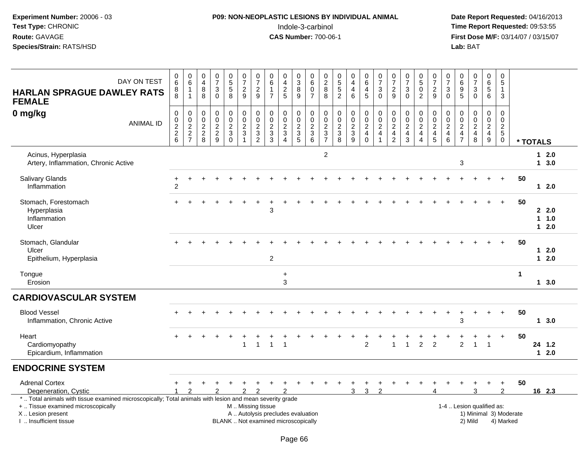#### **P09: NON-NEOPLASTIC LESIONS BY INDIVIDUAL ANIMAL**Indole-3-carbinol **Time Report Requested:** 09:53:55

 **Date Report Requested:** 04/16/2013 **First Dose M/F:** 03/14/07 / 03/15/07<br>Lab: BAT

| DAY ON TEST<br><b>HARLAN SPRAGUE DAWLEY RATS</b><br><b>FEMALE</b>                                                                                                                             | $\begin{array}{c} 0 \\ 6 \end{array}$<br>8<br>8                             | $\begin{array}{c} 0 \\ 6 \end{array}$<br>$\mathbf{1}$<br>$\overline{1}$ | 0<br>$\overline{4}$<br>$\bf 8$<br>8                                               | $\begin{array}{c} 0 \\ 7 \end{array}$<br>$\sqrt{3}$<br>$\Omega$ | $\begin{array}{c} 0 \\ 5 \\ 5 \end{array}$<br>8         | $\frac{0}{7}$<br>$\overline{a}$<br>$\overline{9}$              | $\begin{array}{c} 0 \\ 7 \end{array}$<br>$\overline{c}$<br>9                        | $\begin{array}{c} 0 \\ 6 \end{array}$<br>$\mathbf{1}$<br>$\overline{7}$                       | $0$<br>$4$<br>$2$<br>$5$                                                                               | $\begin{smallmatrix}0\3\8\end{smallmatrix}$<br>9 | $\begin{array}{c} 0 \\ 6 \end{array}$<br>$\pmb{0}$<br>$\overline{7}$ | $\begin{array}{c} 0 \\ 2 \\ 8 \end{array}$<br>8       | $\begin{array}{c} 0 \\ 5 \\ 5 \end{array}$<br>$\overline{2}$ | $\pmb{0}$<br>$\overline{4}$<br>$\overline{4}$<br>6 | $\begin{array}{c} 0 \\ 6 \\ 4 \end{array}$<br>$\overline{5}$   | $\frac{0}{7}$<br>$\sqrt{3}$<br>$\mathbf 0$                                                       | $\frac{0}{7}$<br>$\frac{2}{9}$                                                        | $\frac{0}{7}$<br>$\sqrt{3}$<br>$\mathbf 0$                                       | $\begin{array}{c} 0 \\ 5 \end{array}$<br>$\ddot{\mathbf{0}}$<br>$\overline{c}$ | $\frac{0}{7}$<br>$\frac{2}{9}$                                    | 0<br>$\overline{7}$<br>3<br>$\Omega$                     | 0<br>9<br>5                                                          | $\begin{array}{c} 0 \\ 7 \end{array}$<br>$\sqrt{3}$<br>$\mathbf 0$                    | $\begin{array}{c} 0 \\ 6 \end{array}$<br>$\overline{5}$<br>$6\phantom{1}$     | 0<br>$\,$ 5 $\,$<br>$\mathbf{1}$<br>$\mathfrak{Z}$     |                        |              |                              |
|-----------------------------------------------------------------------------------------------------------------------------------------------------------------------------------------------|-----------------------------------------------------------------------------|-------------------------------------------------------------------------|-----------------------------------------------------------------------------------|-----------------------------------------------------------------|---------------------------------------------------------|----------------------------------------------------------------|-------------------------------------------------------------------------------------|-----------------------------------------------------------------------------------------------|--------------------------------------------------------------------------------------------------------|--------------------------------------------------|----------------------------------------------------------------------|-------------------------------------------------------|--------------------------------------------------------------|----------------------------------------------------|----------------------------------------------------------------|--------------------------------------------------------------------------------------------------|---------------------------------------------------------------------------------------|----------------------------------------------------------------------------------|--------------------------------------------------------------------------------|-------------------------------------------------------------------|----------------------------------------------------------|----------------------------------------------------------------------|---------------------------------------------------------------------------------------|-------------------------------------------------------------------------------|--------------------------------------------------------|------------------------|--------------|------------------------------|
| 0 mg/kg<br><b>ANIMAL ID</b>                                                                                                                                                                   | 0<br>$\mathbf 0$<br>$\overline{2}$<br>$\begin{array}{c} 2 \\ 6 \end{array}$ | 000227                                                                  | $\mathbf 0$<br>$\mathbf 0$<br>$\sqrt{2}$<br>$\begin{array}{c} 2 \\ 8 \end{array}$ | $\mathbf 0$<br>$\pmb{0}$<br>$\overline{2}$<br>$\frac{2}{9}$     | 0<br>$\mathsf{O}\xspace$<br>$\sqrt{2}$<br>3<br>$\Omega$ | 0<br>$\pmb{0}$<br>$\overline{2}$<br>$\sqrt{3}$<br>$\mathbf{1}$ | $\begin{smallmatrix}0\\0\end{smallmatrix}$<br>$\overline{2}$<br>3<br>$\overline{2}$ | 0<br>$\pmb{0}$<br>$\sqrt{2}$<br>$\mathbf{3}$<br>3                                             | $\begin{smallmatrix} 0\\0 \end{smallmatrix}$<br>$\overline{2}$<br>$\sqrt{3}$<br>$\boldsymbol{\Lambda}$ | 0<br>$\mathsf 0$<br>$\sqrt{2}$<br>$\frac{3}{5}$  | $\pmb{0}$<br>$\pmb{0}$<br>$\overline{2}$<br>$\frac{3}{6}$            | 0<br>$\mathsf 0$<br>$\sqrt{2}$<br>3<br>$\overline{7}$ | $\mathbf 0$<br>$\mathsf{O}\xspace$<br>$\frac{2}{3}$          | 0<br>$\pmb{0}$<br>$\frac{2}{3}$<br>$\overline{9}$  | $\mathbf 0$<br>$_{2}^{\rm 0}$<br>$\overline{4}$<br>$\mathbf 0$ | $\begin{smallmatrix} 0\\0 \end{smallmatrix}$<br>$\overline{2}$<br>$\overline{4}$<br>$\mathbf{1}$ | $\boldsymbol{0}$<br>$\mathbf 0$<br>$\overline{2}$<br>$\overline{4}$<br>$\overline{2}$ | $\mathbf 0$<br>$\mathbf 0$<br>$\overline{2}$<br>$\overline{4}$<br>$\overline{3}$ | 0<br>$\mathbf 0$<br>$\overline{2}$<br>$\overline{4}$<br>$\overline{4}$         | 0<br>$\mathsf{O}\xspace$<br>$\overline{2}$<br>$\overline{4}$<br>5 | 0<br>0<br>$\overline{a}$<br>$\overline{\mathbf{4}}$<br>6 | 0<br>$\pmb{0}$<br>$\overline{2}$<br>$\overline{4}$<br>$\overline{7}$ | $\begin{smallmatrix} 0\\0 \end{smallmatrix}$<br>$\overline{2}$<br>$\overline{4}$<br>8 | $\mathbf 0$<br>$\mathbf 0$<br>$\overline{2}$<br>$\overline{4}$<br>$\mathsf g$ | $\mathbf 0$<br>0<br>$\sqrt{2}$<br>$5\phantom{.0}$<br>0 |                        | * TOTALS     |                              |
| Acinus, Hyperplasia<br>Artery, Inflammation, Chronic Active                                                                                                                                   |                                                                             |                                                                         |                                                                                   |                                                                 |                                                         |                                                                |                                                                                     |                                                                                               |                                                                                                        |                                                  |                                                                      | $\overline{c}$                                        |                                                              |                                                    |                                                                |                                                                                                  |                                                                                       |                                                                                  |                                                                                |                                                                   |                                                          | $\sqrt{3}$                                                           |                                                                                       |                                                                               |                                                        |                        | $\mathbf{1}$ | $12.0$<br>3.0                |
| <b>Salivary Glands</b><br>Inflammation                                                                                                                                                        | $\ddot{}$<br>$\overline{2}$                                                 |                                                                         |                                                                                   |                                                                 |                                                         |                                                                |                                                                                     |                                                                                               |                                                                                                        |                                                  |                                                                      |                                                       |                                                              |                                                    |                                                                |                                                                                                  |                                                                                       |                                                                                  |                                                                                |                                                                   |                                                          |                                                                      |                                                                                       |                                                                               | $+$                                                    | 50                     |              | 12.0                         |
| Stomach, Forestomach<br>Hyperplasia<br>Inflammation<br>Ulcer                                                                                                                                  |                                                                             |                                                                         |                                                                                   |                                                                 |                                                         |                                                                |                                                                                     | 3                                                                                             |                                                                                                        |                                                  |                                                                      |                                                       |                                                              |                                                    |                                                                |                                                                                                  |                                                                                       |                                                                                  |                                                                                |                                                                   |                                                          |                                                                      |                                                                                       |                                                                               | $\ddot{}$                                              | 50                     |              | 2.2.0<br>$1 \t1.0$<br>$12.0$ |
| Stomach, Glandular<br>Ulcer<br>Epithelium, Hyperplasia                                                                                                                                        |                                                                             |                                                                         |                                                                                   |                                                                 |                                                         |                                                                |                                                                                     | $\overline{2}$                                                                                |                                                                                                        |                                                  |                                                                      |                                                       |                                                              |                                                    |                                                                |                                                                                                  |                                                                                       |                                                                                  |                                                                                |                                                                   |                                                          |                                                                      |                                                                                       |                                                                               | $\ddot{}$                                              | 50                     | $\mathbf 1$  | $12.0$<br>2.0                |
| Tongue<br>Erosion                                                                                                                                                                             |                                                                             |                                                                         |                                                                                   |                                                                 |                                                         |                                                                |                                                                                     |                                                                                               | $\ddot{}$<br>3                                                                                         |                                                  |                                                                      |                                                       |                                                              |                                                    |                                                                |                                                                                                  |                                                                                       |                                                                                  |                                                                                |                                                                   |                                                          |                                                                      |                                                                                       |                                                                               |                                                        | 1                      |              | 1, 3.0                       |
| <b>CARDIOVASCULAR SYSTEM</b>                                                                                                                                                                  |                                                                             |                                                                         |                                                                                   |                                                                 |                                                         |                                                                |                                                                                     |                                                                                               |                                                                                                        |                                                  |                                                                      |                                                       |                                                              |                                                    |                                                                |                                                                                                  |                                                                                       |                                                                                  |                                                                                |                                                                   |                                                          |                                                                      |                                                                                       |                                                                               |                                                        |                        |              |                              |
| <b>Blood Vessel</b><br>Inflammation, Chronic Active                                                                                                                                           |                                                                             |                                                                         |                                                                                   |                                                                 |                                                         |                                                                |                                                                                     |                                                                                               |                                                                                                        |                                                  |                                                                      |                                                       |                                                              |                                                    |                                                                |                                                                                                  |                                                                                       |                                                                                  |                                                                                |                                                                   | $\overline{ }$                                           | ٠<br>3                                                               | $\overline{ }$                                                                        |                                                                               | $\div$                                                 | 50                     |              | $1 \quad 3.0$                |
| Heart<br>Cardiomyopathy<br>Epicardium, Inflammation                                                                                                                                           |                                                                             |                                                                         |                                                                                   |                                                                 |                                                         | $\mathbf{1}$                                                   | $\mathbf{1}$                                                                        | $\mathbf{1}$                                                                                  | $\overline{\mathbf{1}}$                                                                                |                                                  |                                                                      |                                                       |                                                              |                                                    | $\overline{2}$                                                 |                                                                                                  |                                                                                       |                                                                                  | $\overline{c}$                                                                 | $\overline{2}$                                                    |                                                          | $\overline{2}$                                                       | $\overline{1}$                                                                        | $\overline{1}$                                                                |                                                        | 50                     |              | 24 1.2<br>$12.0$             |
| <b>ENDOCRINE SYSTEM</b>                                                                                                                                                                       |                                                                             |                                                                         |                                                                                   |                                                                 |                                                         |                                                                |                                                                                     |                                                                                               |                                                                                                        |                                                  |                                                                      |                                                       |                                                              |                                                    |                                                                |                                                                                                  |                                                                                       |                                                                                  |                                                                                |                                                                   |                                                          |                                                                      |                                                                                       |                                                                               |                                                        |                        |              |                              |
| <b>Adrenal Cortex</b><br>Degeneration, Cystic                                                                                                                                                 |                                                                             |                                                                         |                                                                                   |                                                                 |                                                         |                                                                | 2                                                                                   |                                                                                               | っ                                                                                                      |                                                  |                                                                      |                                                       |                                                              | 3                                                  | 3                                                              | $\mathcal{P}$                                                                                    |                                                                                       |                                                                                  |                                                                                |                                                                   |                                                          |                                                                      |                                                                                       |                                                                               | $\mathcal{P}$                                          | 50                     |              | 16 2.3                       |
| *  Total animals with tissue examined microscopically; Total animals with lesion and mean severity grade<br>+  Tissue examined microscopically<br>X  Lesion present<br>I. Insufficient tissue |                                                                             |                                                                         |                                                                                   |                                                                 |                                                         |                                                                |                                                                                     | M. Missing tissue<br>A  Autolysis precludes evaluation<br>BLANK  Not examined microscopically |                                                                                                        |                                                  |                                                                      |                                                       |                                                              |                                                    |                                                                |                                                                                                  |                                                                                       |                                                                                  |                                                                                |                                                                   | 1-4  Lesion qualified as:                                |                                                                      | 2) Mild                                                                               |                                                                               | 4) Marked                                              | 1) Minimal 3) Moderate |              |                              |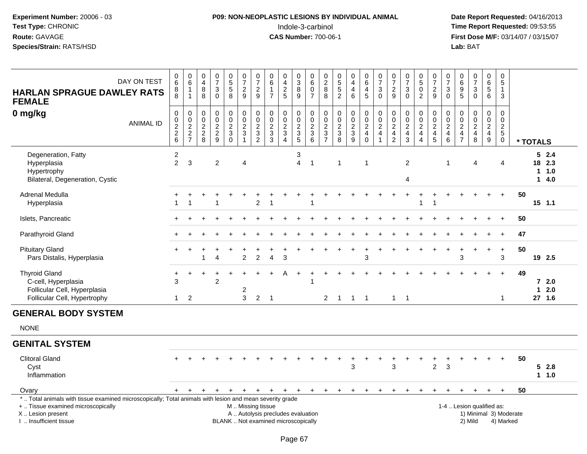#### **P09: NON-NEOPLASTIC LESIONS BY INDIVIDUAL ANIMAL**Indole-3-carbinol **Time Report Requested:** 09:53:55

 **Date Report Requested:** 04/16/2013 **First Dose M/F:** 03/14/07 / 03/15/07<br>Lab: BAT **Lab:** BAT

| DAY ON TEST<br><b>HARLAN SPRAGUE DAWLEY RATS</b><br><b>FEMALE</b>                                                                                                                             |                  | $_{6}^{\rm 0}$<br>8<br>8                               | $_{6}^{\rm 0}$<br>$\mathbf{1}$<br>$\mathbf{1}$ | 0<br>$\overline{\mathbf{4}}$<br>8<br>8                                  | $\frac{0}{7}$<br>$\ensuremath{\mathsf{3}}$<br>$\mathbf 0$ | $\begin{array}{c} 0 \\ 5 \\ 5 \end{array}$<br>8          | $\begin{array}{c} 0 \\ 7 \end{array}$<br>$\frac{2}{9}$            | $\frac{0}{7}$<br>$\sqrt{2}$<br>9                       | $\begin{array}{c} 0 \\ 6 \end{array}$<br>$\mathbf{1}$<br>$\overline{7}$  | $\pmb{0}$<br>$\overline{4}$<br>$\sqrt{2}$<br>5                         | $_3^0$<br>$\overline{8}$<br>9             | $\begin{array}{c} 0 \\ 6 \end{array}$<br>$\mathbf 0$<br>$\overline{7}$ | $\begin{array}{c} 0 \\ 2 \\ 8 \end{array}$<br>8       | $\begin{array}{c} 0 \\ 5 \\ 5 \end{array}$<br>$\overline{2}$ | $\begin{smallmatrix}0\\4\end{smallmatrix}$<br>$\overline{4}$<br>6 | $\begin{array}{c} 0 \\ 6 \end{array}$<br>$\overline{\mathbf{4}}$<br>$\sqrt{5}$     | $\begin{array}{c} 0 \\ 7 \end{array}$<br>$\sqrt{3}$<br>$\mathbf 0$ | $\begin{array}{c} 0 \\ 7 \end{array}$<br>$\sqrt{2}$<br>9                             | $\frac{0}{7}$<br>$\ensuremath{\mathsf{3}}$<br>$\mathbf 0$ | $\begin{array}{c} 0 \\ 5 \end{array}$<br>$\bar{0}$<br>$\overline{2}$            | $\begin{array}{c} 0 \\ 7 \end{array}$<br>$\sqrt{2}$<br>$\mathsf g$ | $\begin{array}{c} 0 \\ 7 \end{array}$<br>$\sqrt{3}$<br>$\mathbf 0$ | $\begin{array}{c} 0 \\ 6 \end{array}$<br>$\frac{9}{5}$                          | $\begin{smallmatrix}0\\7\end{smallmatrix}$<br>$\ensuremath{\mathsf{3}}$<br>$\Omega$ | $\pmb{0}$<br>$\overline{6}$<br>$\overline{5}$<br>6            | 0<br>$\overline{5}$<br>$\mathbf{1}$<br>3                           |                                     |          |                        |                      |
|-----------------------------------------------------------------------------------------------------------------------------------------------------------------------------------------------|------------------|--------------------------------------------------------|------------------------------------------------|-------------------------------------------------------------------------|-----------------------------------------------------------|----------------------------------------------------------|-------------------------------------------------------------------|--------------------------------------------------------|--------------------------------------------------------------------------|------------------------------------------------------------------------|-------------------------------------------|------------------------------------------------------------------------|-------------------------------------------------------|--------------------------------------------------------------|-------------------------------------------------------------------|------------------------------------------------------------------------------------|--------------------------------------------------------------------|--------------------------------------------------------------------------------------|-----------------------------------------------------------|---------------------------------------------------------------------------------|--------------------------------------------------------------------|--------------------------------------------------------------------|---------------------------------------------------------------------------------|-------------------------------------------------------------------------------------|---------------------------------------------------------------|--------------------------------------------------------------------|-------------------------------------|----------|------------------------|----------------------|
| $0$ mg/kg                                                                                                                                                                                     | <b>ANIMAL ID</b> | 0<br>0<br>$\begin{array}{c}\n2 \\ 2 \\ 6\n\end{array}$ | $0002$<br>$27$                                 | 0<br>$\boldsymbol{0}$<br>$\overline{\mathbf{c}}$<br>$\overline{c}$<br>8 | $\pmb{0}$<br>$\pmb{0}$<br>$\frac{2}{9}$                   | $\pmb{0}$<br>$\overline{0}$<br>$\frac{2}{3}$<br>$\Omega$ | $\begin{array}{c} 0 \\ 0 \\ 2 \\ 3 \end{array}$<br>$\overline{1}$ | 0<br>$\overline{0}$<br>$\frac{2}{3}$<br>$\overline{2}$ | $\mathbf 0$<br>$\ddot{\mathbf{0}}$<br>$\frac{2}{3}$<br>$\overline{3}$    | $\pmb{0}$<br>$\overline{0}$<br>$\frac{2}{3}$<br>$\boldsymbol{\Lambda}$ | 0<br>$\ddot{\mathbf{0}}$<br>$\frac{2}{3}$ | $\begin{array}{c} 0 \\ 0 \\ 2 \\ 3 \end{array}$<br>$6\phantom{1}$      | $_{\rm 0}^{\rm 0}$<br>$\frac{2}{3}$<br>$\overline{7}$ | $\pmb{0}$<br>$\pmb{0}$<br>$\frac{2}{3}$                      | 00023                                                             | $\begin{smallmatrix} 0\\0 \end{smallmatrix}$<br>$\overline{2}$<br>4<br>$\mathbf 0$ | $\begin{array}{c} 0 \\ 0 \\ 2 \\ 4 \end{array}$<br>$\overline{1}$  | 0<br>$\overline{0}$<br>$\boldsymbol{2}$<br>$\overline{\mathbf{4}}$<br>$\overline{2}$ | $\begin{array}{c} 0 \\ 0 \\ 2 \\ 4 \end{array}$<br>3      | 0<br>$\tilde{0}$<br>$\overline{\mathbf{c}}$<br>$\overline{4}$<br>$\overline{A}$ | $\begin{array}{c} 0 \\ 0 \\ 2 \\ 4 \end{array}$<br>5               | 0<br>$\overline{0}$<br>$\overline{2}$<br>4<br>$\,6\,$              | $\boldsymbol{0}$<br>$\pmb{0}$<br>$\sqrt{2}$<br>$\overline{4}$<br>$\overline{7}$ | $\mathbf 0$<br>$\overline{0}$<br>$\frac{2}{4}$<br>8                                 | $\mathbf 0$<br>$\pmb{0}$<br>$\sqrt{2}$<br>$\overline{4}$<br>9 | 0<br>$\pmb{0}$<br>$\overline{c}$<br>$5\phantom{.0}$<br>$\mathbf 0$ |                                     | * TOTALS |                        |                      |
| Degeneration, Fatty<br>Hyperplasia<br>Hypertrophy<br>Bilateral, Degeneration, Cystic                                                                                                          |                  | $\overline{c}$<br>$\overline{2}$                       | 3                                              |                                                                         | $\overline{2}$                                            |                                                          | 4                                                                 |                                                        |                                                                          |                                                                        | 3<br>$\overline{4}$                       | $\overline{1}$                                                         |                                                       | 1                                                            |                                                                   | $\overline{\mathbf{1}}$                                                            |                                                                    |                                                                                      | $\overline{c}$<br>4                                       |                                                                                 |                                                                    | -1                                                                 |                                                                                 | 4                                                                                   |                                                               | 4                                                                  |                                     |          | 18 2.3                 | 52.4<br>11.0<br>14.0 |
| Adrenal Medulla<br>Hyperplasia                                                                                                                                                                |                  | 1                                                      | 1                                              |                                                                         |                                                           |                                                          |                                                                   | $\overline{2}$                                         | -1                                                                       |                                                                        |                                           |                                                                        |                                                       |                                                              |                                                                   |                                                                                    |                                                                    |                                                                                      |                                                           | -1                                                                              | -1                                                                 |                                                                    |                                                                                 |                                                                                     |                                                               | $+$                                                                |                                     | 50       | $15$ 1.1               |                      |
| Islets, Pancreatic                                                                                                                                                                            |                  |                                                        |                                                |                                                                         |                                                           |                                                          |                                                                   |                                                        |                                                                          |                                                                        |                                           |                                                                        |                                                       |                                                              |                                                                   |                                                                                    |                                                                    |                                                                                      |                                                           |                                                                                 |                                                                    |                                                                    |                                                                                 |                                                                                     |                                                               | $+$                                                                |                                     | 50       |                        |                      |
| Parathyroid Gland                                                                                                                                                                             |                  |                                                        |                                                |                                                                         |                                                           |                                                          |                                                                   |                                                        |                                                                          |                                                                        |                                           |                                                                        |                                                       |                                                              |                                                                   |                                                                                    |                                                                    |                                                                                      |                                                           |                                                                                 |                                                                    |                                                                    |                                                                                 |                                                                                     |                                                               |                                                                    |                                     | 47       |                        |                      |
| <b>Pituitary Gland</b><br>Pars Distalis, Hyperplasia                                                                                                                                          |                  |                                                        |                                                |                                                                         | Δ                                                         |                                                          | $\overline{2}$                                                    | $\overline{2}$                                         | $\overline{4}$                                                           | 3                                                                      |                                           |                                                                        |                                                       |                                                              |                                                                   | 3                                                                                  |                                                                    |                                                                                      |                                                           |                                                                                 |                                                                    |                                                                    | 3                                                                               |                                                                                     | $\ddot{}$                                                     | $\ddot{}$<br>3                                                     |                                     | 50       | 19 2.5                 |                      |
| <b>Thyroid Gland</b><br>C-cell, Hyperplasia<br>Follicular Cell, Hyperplasia<br>Follicular Cell, Hypertrophy                                                                                   |                  | +<br>3<br>1                                            | $\overline{2}$                                 |                                                                         | $\overline{2}$                                            |                                                          | 2<br>3                                                            | $\overline{2}$                                         | $\overline{1}$                                                           |                                                                        |                                           |                                                                        | $\overline{2}$                                        | $\mathbf{1}$                                                 | $\overline{1}$                                                    | $\overline{\phantom{0}}$                                                           |                                                                    |                                                                                      | $1 \quad 1$                                               |                                                                                 |                                                                    |                                                                    |                                                                                 |                                                                                     |                                                               | $+$<br>$\mathbf{1}$                                                |                                     | 49       | $\mathbf{1}$<br>27 1.6 | $72.0$<br>2.0        |
| <b>GENERAL BODY SYSTEM</b>                                                                                                                                                                    |                  |                                                        |                                                |                                                                         |                                                           |                                                          |                                                                   |                                                        |                                                                          |                                                                        |                                           |                                                                        |                                                       |                                                              |                                                                   |                                                                                    |                                                                    |                                                                                      |                                                           |                                                                                 |                                                                    |                                                                    |                                                                                 |                                                                                     |                                                               |                                                                    |                                     |          |                        |                      |
| <b>NONE</b>                                                                                                                                                                                   |                  |                                                        |                                                |                                                                         |                                                           |                                                          |                                                                   |                                                        |                                                                          |                                                                        |                                           |                                                                        |                                                       |                                                              |                                                                   |                                                                                    |                                                                    |                                                                                      |                                                           |                                                                                 |                                                                    |                                                                    |                                                                                 |                                                                                     |                                                               |                                                                    |                                     |          |                        |                      |
| <b>GENITAL SYSTEM</b>                                                                                                                                                                         |                  |                                                        |                                                |                                                                         |                                                           |                                                          |                                                                   |                                                        |                                                                          |                                                                        |                                           |                                                                        |                                                       |                                                              |                                                                   |                                                                                    |                                                                    |                                                                                      |                                                           |                                                                                 |                                                                    |                                                                    |                                                                                 |                                                                                     |                                                               |                                                                    |                                     |          |                        |                      |
| <b>Clitoral Gland</b><br>Cyst<br>Inflammation                                                                                                                                                 |                  |                                                        |                                                |                                                                         |                                                           |                                                          |                                                                   |                                                        |                                                                          |                                                                        |                                           |                                                                        |                                                       |                                                              | 3                                                                 |                                                                                    |                                                                    | 3                                                                                    |                                                           |                                                                                 | $\ddot{}$<br>$\overline{2}$                                        | 3                                                                  |                                                                                 |                                                                                     |                                                               |                                                                    |                                     | 50       |                        | 52.8<br>1 1.0        |
| Ovary                                                                                                                                                                                         |                  | $+$                                                    | $+$                                            | $\ddot{}$                                                               | $+$                                                       | $\ddot{}$                                                | $+$                                                               |                                                        | $+$ $+$                                                                  | $+$                                                                    | $+$                                       | $+$                                                                    | $+$                                                   | $+$                                                          | $+$                                                               | $+$                                                                                | $+$                                                                | $+$                                                                                  | $\ddot{}$                                                 | $\div$                                                                          | $\ddot{}$                                                          | $\ddot{}$                                                          | $\ddot{}$                                                                       | $\ddot{}$                                                                           | $+$                                                           | $+$                                                                |                                     | 50       |                        |                      |
| *  Total animals with tissue examined microscopically; Total animals with lesion and mean severity grade<br>+  Tissue examined microscopically<br>X  Lesion present<br>I. Insufficient tissue |                  |                                                        |                                                |                                                                         |                                                           |                                                          | M  Missing tissue                                                 |                                                        | A  Autolysis precludes evaluation<br>BLANK  Not examined microscopically |                                                                        |                                           |                                                                        |                                                       |                                                              |                                                                   |                                                                                    |                                                                    |                                                                                      |                                                           |                                                                                 |                                                                    |                                                                    |                                                                                 | 1-4  Lesion qualified as:<br>2) Mild                                                |                                                               |                                                                    | 1) Minimal 3) Moderate<br>4) Marked |          |                        |                      |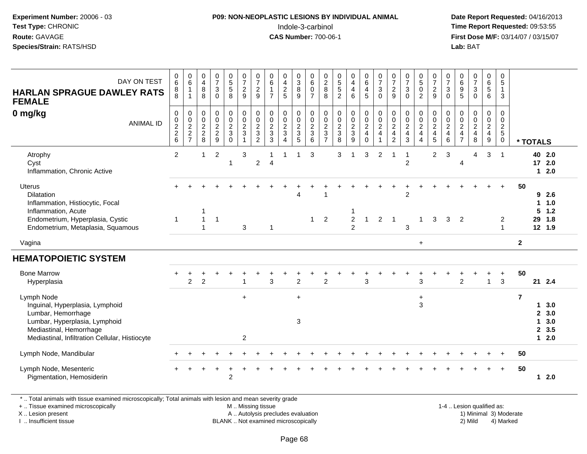#### **P09: NON-NEOPLASTIC LESIONS BY INDIVIDUAL ANIMAL**Indole-3-carbinol **Time Report Requested:** 09:53:55

 **Date Report Requested:** 04/16/2013 **First Dose M/F:** 03/14/07 / 03/15/07<br>**Lab: BAT** 

| DAY ON TEST<br><b>HARLAN SPRAGUE DAWLEY RATS</b><br><b>FEMALE</b>                                                                                                                 | $\mathbf 0$<br>6<br>8<br>8                                  | $_{6}^{\rm 0}$<br>$\mathbf{1}$<br>$\mathbf{1}$      | $\begin{smallmatrix}0\\4\end{smallmatrix}$<br>$\bf 8$<br>8 | $\frac{0}{7}$<br>$\sqrt{3}$<br>$\mathsf 0$ | $\begin{array}{c} 0 \\ 5 \\ 5 \end{array}$<br>8  | $\begin{array}{c} 0 \\ 7 \\ 2 \end{array}$<br>$\boldsymbol{9}$           | $\frac{0}{7}$<br>$\overline{2}$<br>$\boldsymbol{9}$       | $_{6}^{\rm 0}$<br>$\mathbf{1}$<br>$\overline{7}$                     | $_4^{\rm 0}$<br>$\overline{c}$<br>5                        | 0<br>$\mathbf{3}$<br>8<br>9                              | 0<br>$\overline{6}$<br>$\boldsymbol{0}$<br>$\overline{7}$   | 0<br>$\sqrt{2}$<br>8<br>8                                 | $\frac{0}{5}$<br>5<br>$\overline{c}$                                      | $\begin{smallmatrix}0\0\4\end{smallmatrix}$<br>$\overline{4}$<br>6 | $_{6}^{\rm 0}$<br>$\overline{4}$<br>5                                       | $\frac{0}{7}$<br>$\mathbf{3}$<br>$\mathbf 0$       | $\frac{0}{7}$<br>$\boldsymbol{2}$<br>9                                   | $\frac{0}{7}$<br>$\mathbf{3}$<br>$\mathbf{0}$     | $^{\rm 0}_{\rm 5}$<br>$\pmb{0}$<br>$\overline{2}$                               | $\frac{0}{7}$<br>$\overline{a}$<br>9                               | $\frac{0}{7}$<br>$\mathbf{3}$<br>$\mathbf 0$                    | $\begin{array}{c} 0 \\ 6 \end{array}$<br>$\boldsymbol{9}$<br>5 | $\frac{0}{7}$<br>$\sqrt{3}$<br>$\mathbf 0$ | $\begin{array}{c} 0 \\ 6 \end{array}$<br>$\sqrt{5}$<br>6                | $\mathbf 0$<br>$5\phantom{.0}$<br>$\mathbf{1}$<br>3                  |                |                                        |                                     |  |
|-----------------------------------------------------------------------------------------------------------------------------------------------------------------------------------|-------------------------------------------------------------|-----------------------------------------------------|------------------------------------------------------------|--------------------------------------------|--------------------------------------------------|--------------------------------------------------------------------------|-----------------------------------------------------------|----------------------------------------------------------------------|------------------------------------------------------------|----------------------------------------------------------|-------------------------------------------------------------|-----------------------------------------------------------|---------------------------------------------------------------------------|--------------------------------------------------------------------|-----------------------------------------------------------------------------|----------------------------------------------------|--------------------------------------------------------------------------|---------------------------------------------------|---------------------------------------------------------------------------------|--------------------------------------------------------------------|-----------------------------------------------------------------|----------------------------------------------------------------|--------------------------------------------|-------------------------------------------------------------------------|----------------------------------------------------------------------|----------------|----------------------------------------|-------------------------------------|--|
| 0 mg/kg<br><b>ANIMAL ID</b>                                                                                                                                                       | $\mathbf 0$<br>$\pmb{0}$<br>$\frac{2}{2}$<br>$6\phantom{a}$ | 0<br>$\mathbf 0$<br>$\frac{2}{2}$<br>$\overline{7}$ | 0<br>$\mathbf 0$<br>$\overline{c}$<br>$^2_8$               | $\pmb{0}$<br>$\pmb{0}$<br>$\frac{2}{9}$    | 0<br>$\mathbf 0$<br>$\frac{2}{3}$<br>$\mathbf 0$ | $\pmb{0}$<br>$\mathbf 0$<br>$\overline{c}$<br>$\sqrt{3}$<br>$\mathbf{1}$ | 0<br>$\mathbf 0$<br>$\overline{c}$<br>3<br>$\overline{c}$ | $\pmb{0}$<br>$\pmb{0}$<br>$\sqrt{2}$<br>$\sqrt{3}$<br>$\overline{3}$ | 0<br>$\mathsf{O}$<br>$\overline{a}$<br>3<br>$\overline{4}$ | 0<br>0<br>$\overline{c}$<br>$\sqrt{3}$<br>$\overline{5}$ | $\mathbf 0$<br>$\boldsymbol{0}$<br>$\frac{2}{3}$<br>$\,6\,$ | 0<br>$\mathbf 0$<br>$\overline{c}$<br>3<br>$\overline{7}$ | $\mathbf 0$<br>$\mathsf{O}\xspace$<br>$\overline{c}$<br>$\mathbf{3}$<br>8 | 0<br>$\mathbf 0$<br>$\frac{2}{3}$<br>9                             | $\pmb{0}$<br>$\mathbf 0$<br>$\overline{2}$<br>$\overline{4}$<br>$\mathbf 0$ | 0<br>$\pmb{0}$<br>$\overline{c}$<br>$\overline{4}$ | $\pmb{0}$<br>$\pmb{0}$<br>$\sqrt{2}$<br>$\overline{4}$<br>$\overline{2}$ | 0<br>$\mathbf 0$<br>$\frac{2}{4}$<br>$\mathbf{3}$ | 0<br>$\mathbf 0$<br>$\overline{c}$<br>$\overline{\mathbf{4}}$<br>$\overline{4}$ | 0<br>$\mathbf 0$<br>$\overline{2}$<br>$\overline{\mathbf{4}}$<br>5 | 0<br>$\mathbf 0$<br>$\overline{c}$<br>$\overline{4}$<br>$\,6\,$ | 0<br>0<br>$\frac{2}{4}$<br>$\overline{7}$                      | 0<br>$\pmb{0}$<br>$\frac{2}{4}$<br>$\,8\,$ | 0<br>0<br>$\overline{2}$<br>$\overline{\mathbf{4}}$<br>$\boldsymbol{9}$ | $\mathbf 0$<br>$\mathbf 0$<br>$\overline{2}$<br>$5\phantom{.0}$<br>0 |                | * TOTALS                               |                                     |  |
| Atrophy<br>Cyst<br>Inflammation, Chronic Active                                                                                                                                   | $\overline{2}$                                              |                                                     | $\mathbf 1$                                                | $\overline{2}$                             | 1                                                | 3                                                                        | $\overline{\mathbf{c}}$                                   | -1<br>$\overline{4}$                                                 | 1                                                          | $\mathbf 1$                                              | 3                                                           |                                                           | 3                                                                         | $\mathbf 1$                                                        | 3                                                                           | $\overline{2}$                                     | -1                                                                       | $\mathbf{1}$<br>$\overline{c}$                    |                                                                                 | $\overline{a}$                                                     | 3                                                               | 4                                                              | 4                                          | 3                                                                       | $\overline{1}$                                                       |                |                                        | 40 2.0<br>172.0<br>$12.0$           |  |
| Uterus<br>Dilatation<br>Inflammation, Histiocytic, Focal<br>Inflammation, Acute<br>Endometrium, Hyperplasia, Cystic<br>Endometrium, Metaplasia, Squamous                          | $\mathbf 1$                                                 |                                                     | $\mathbf{1}$<br>$\overline{1}$                             | $\overline{1}$                             |                                                  | 3                                                                        |                                                           | $\mathbf{1}$                                                         |                                                            | Δ                                                        | $\mathbf{1}$                                                | $\overline{2}$                                            |                                                                           | $\boldsymbol{2}$<br>$\overline{2}$                                 | $\mathbf{1}$                                                                | $\overline{2}$                                     | $\overline{1}$                                                           | $\overline{c}$<br>3                               | $\mathbf{1}$                                                                    | 3                                                                  | 3                                                               | $\overline{2}$                                                 |                                            |                                                                         | $\ddot{}$<br>$\overline{c}$<br>$\overline{1}$                        | 50             | 1.<br>5<br>29                          | 92.6<br>1.0<br>1.2<br>1.8<br>12 1.9 |  |
| Vagina                                                                                                                                                                            |                                                             |                                                     |                                                            |                                            |                                                  |                                                                          |                                                           |                                                                      |                                                            |                                                          |                                                             |                                                           |                                                                           |                                                                    |                                                                             |                                                    |                                                                          |                                                   | $\ddot{}$                                                                       |                                                                    |                                                                 |                                                                |                                            |                                                                         |                                                                      | $\overline{2}$ |                                        |                                     |  |
| <b>HEMATOPOIETIC SYSTEM</b>                                                                                                                                                       |                                                             |                                                     |                                                            |                                            |                                                  |                                                                          |                                                           |                                                                      |                                                            |                                                          |                                                             |                                                           |                                                                           |                                                                    |                                                                             |                                                    |                                                                          |                                                   |                                                                                 |                                                                    |                                                                 |                                                                |                                            |                                                                         |                                                                      |                |                                        |                                     |  |
| <b>Bone Marrow</b><br>Hyperplasia                                                                                                                                                 |                                                             | $\overline{c}$                                      | $\overline{c}$                                             |                                            |                                                  | 1                                                                        |                                                           | 3                                                                    |                                                            | $\overline{2}$                                           |                                                             | $\overline{c}$                                            |                                                                           |                                                                    | 3                                                                           |                                                    |                                                                          |                                                   | 3                                                                               |                                                                    |                                                                 | $\overline{2}$                                                 |                                            | $\mathbf{1}$                                                            | $\ddot{}$<br>3                                                       | 50             |                                        | 21 2.4                              |  |
| Lymph Node<br>Inguinal, Hyperplasia, Lymphoid<br>Lumbar, Hemorrhage<br>Lumbar, Hyperplasia, Lymphoid<br>Mediastinal, Hemorrhage<br>Mediastinal, Infiltration Cellular, Histiocyte |                                                             |                                                     |                                                            |                                            |                                                  | $+$<br>2                                                                 |                                                           |                                                                      |                                                            | $\ddot{}$<br>3                                           |                                                             |                                                           |                                                                           |                                                                    |                                                                             |                                                    |                                                                          |                                                   | $\ddot{}$<br>3                                                                  |                                                                    |                                                                 |                                                                |                                            |                                                                         |                                                                      | $\overline{7}$ | 1<br>$\mathbf{2}$<br>1<br>$\mathbf{2}$ | 3.0<br>3.0<br>3.0<br>3.5<br>12.0    |  |
| Lymph Node, Mandibular                                                                                                                                                            |                                                             |                                                     |                                                            |                                            |                                                  |                                                                          |                                                           |                                                                      |                                                            |                                                          |                                                             |                                                           |                                                                           |                                                                    |                                                                             |                                                    |                                                                          |                                                   |                                                                                 |                                                                    |                                                                 |                                                                |                                            |                                                                         |                                                                      | 50             |                                        |                                     |  |
| Lymph Node, Mesenteric<br>Pigmentation, Hemosiderin                                                                                                                               |                                                             |                                                     |                                                            |                                            | $\overline{c}$                                   |                                                                          |                                                           |                                                                      |                                                            |                                                          |                                                             |                                                           |                                                                           |                                                                    |                                                                             |                                                    |                                                                          |                                                   |                                                                                 |                                                                    |                                                                 |                                                                |                                            |                                                                         | $\ddot{}$                                                            | 50             | 1.                                     | 2.0                                 |  |

\* .. Total animals with tissue examined microscopically; Total animals with lesion and mean severity grade

+ .. Tissue examined microscopically

X .. Lesion present

I .. Insufficient tissue

M .. Missing tissue

A .. Autolysis precludes evaluation

BLANK .. Not examined microscopically 2) Mild 4) Marked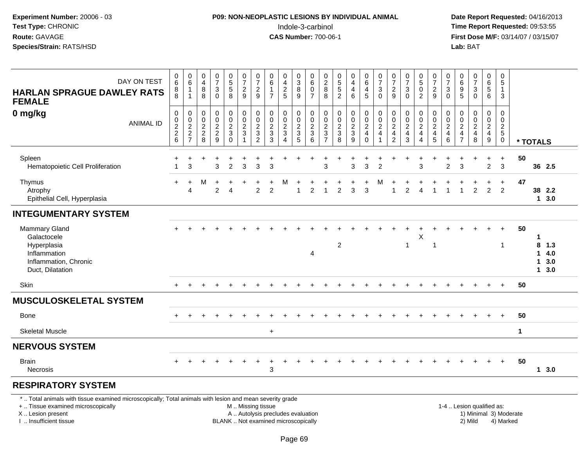### **P09: NON-NEOPLASTIC LESIONS BY INDIVIDUAL ANIMAL**Indole-3-carbinol **Time Report Requested:** 09:53:55

 **Date Report Requested:** 04/16/2013 **First Dose M/F:** 03/14/07 / 03/15/07<br>**Lab:** BAT

| DAY ON TEST<br><b>HARLAN SPRAGUE DAWLEY RATS</b><br><b>FEMALE</b>                                                                                                   | 0<br>6<br>8<br>8                                    | 0<br>$\,6\,$<br>$\mathbf{1}$<br>$\mathbf{1}$               | $\begin{smallmatrix}0\0\4\end{smallmatrix}$<br>8<br>$\overline{8}$ | $\frac{0}{7}$<br>$\sqrt{3}$<br>$\Omega$           | $\begin{array}{c} 0 \\ 5 \\ 5 \end{array}$<br>$\overline{8}$ | $\frac{0}{7}$<br>$\frac{2}{9}$                                                     | $\frac{0}{7}$<br>$\overline{2}$<br>9                  | $\begin{array}{c} 0 \\ 6 \end{array}$<br>$\mathbf{1}$<br>$\overline{7}$ | $\pmb{0}$<br>$\frac{4}{2}$<br>5                    | $\begin{array}{c} 0 \\ 3 \\ 8 \end{array}$<br>$\overline{9}$ | $\begin{array}{c} 0 \\ 6 \end{array}$<br>$\mathbf 0$<br>$\overline{7}$ | $\begin{array}{c} 0 \\ 2 \\ 8 \end{array}$<br>8        | $\begin{array}{c} 0 \\ 5 \\ 5 \end{array}$<br>$\overline{2}$         | 0<br>$\overline{4}$<br>$\overline{4}$<br>6 | 0<br>$\,6\,$<br>$\overline{4}$<br>5                               | $\frac{0}{7}$<br>$\mathsf 3$<br>$\mathbf 0$                                | $\frac{0}{7}$<br>$\frac{2}{9}$                    | $\frac{0}{7}$<br>$\sqrt{3}$<br>$\Omega$                                    | $\begin{smallmatrix}0\5\0\end{smallmatrix}$<br>$\overline{2}$              | $\frac{0}{7}$<br>$\overline{2}$<br>9                                | 0<br>$\overline{7}$<br>$\sqrt{3}$<br>$\Omega$             | $\pmb{0}$<br>$\frac{6}{9}$<br>5                                  | $\frac{0}{7}$<br>$\sqrt{3}$<br>$\Omega$                                  | $\begin{array}{c} 0 \\ 6 \\ 5 \end{array}$<br>$6^{\circ}$ | 0<br>$\overline{5}$<br>$\mathbf{1}$<br>$\mathbf{3}$   |                        |                   |                           |
|---------------------------------------------------------------------------------------------------------------------------------------------------------------------|-----------------------------------------------------|------------------------------------------------------------|--------------------------------------------------------------------|---------------------------------------------------|--------------------------------------------------------------|------------------------------------------------------------------------------------|-------------------------------------------------------|-------------------------------------------------------------------------|----------------------------------------------------|--------------------------------------------------------------|------------------------------------------------------------------------|--------------------------------------------------------|----------------------------------------------------------------------|--------------------------------------------|-------------------------------------------------------------------|----------------------------------------------------------------------------|---------------------------------------------------|----------------------------------------------------------------------------|----------------------------------------------------------------------------|---------------------------------------------------------------------|-----------------------------------------------------------|------------------------------------------------------------------|--------------------------------------------------------------------------|-----------------------------------------------------------|-------------------------------------------------------|------------------------|-------------------|---------------------------|
| 0 mg/kg<br><b>ANIMAL ID</b>                                                                                                                                         | $\pmb{0}$<br>0<br>$\boldsymbol{2}$<br>$\frac{2}{6}$ | $\pmb{0}$<br>$\overline{0}$<br>$\sqrt{2}$<br>$\frac{2}{7}$ | $\pmb{0}$<br>$\pmb{0}$<br>$\sqrt{2}$<br>$\frac{2}{8}$              | $\pmb{0}$<br>$\ddot{\mathbf{0}}$<br>$\frac{2}{9}$ | $\pmb{0}$<br>$\overline{0}$<br>$\frac{2}{3}$                 | $\pmb{0}$<br>$\ddot{\mathbf{0}}$<br>$\overline{2}$<br>$\mathbf{3}$<br>$\mathbf{1}$ | 0<br>$\mathbf 0$<br>$\sqrt{2}$<br>3<br>$\overline{2}$ | $\pmb{0}$<br>$\pmb{0}$<br>$\sqrt{2}$<br>$\mathbf{3}$<br>$\overline{3}$  | $\pmb{0}$<br>$\pmb{0}$<br>$\overline{2}$<br>3<br>4 | 0<br>$\pmb{0}$<br>$\overline{c}$<br>$\frac{3}{5}$            | $\pmb{0}$<br>$\,0\,$<br>$\frac{2}{3}$<br>6                             | 0<br>0<br>$\sqrt{2}$<br>$\mathbf{3}$<br>$\overline{7}$ | $\pmb{0}$<br>$\pmb{0}$<br>$\sqrt{2}$<br>$\sqrt{3}$<br>$\overline{8}$ | 0<br>$\mathbf 0$<br>$\frac{2}{3}$<br>9     | 0<br>$\pmb{0}$<br>$\overline{a}$<br>$\overline{4}$<br>$\mathbf 0$ | $\begin{smallmatrix}0\\0\end{smallmatrix}$<br>$\sqrt{2}$<br>$\overline{4}$ | 0<br>$\pmb{0}$<br>$\frac{2}{4}$<br>$\overline{2}$ | $\pmb{0}$<br>$\mathsf 0$<br>$\sqrt{2}$<br>$\overline{4}$<br>$\overline{3}$ | 0<br>$\mathbf 0$<br>$\sqrt{2}$<br>$\overline{4}$<br>$\boldsymbol{\Lambda}$ | 0<br>$\boldsymbol{0}$<br>$\sqrt{2}$<br>$\overline{\mathbf{4}}$<br>5 | 0<br>$\mathbf 0$<br>$\overline{c}$<br>$\overline{4}$<br>6 | $\pmb{0}$<br>0<br>$\sqrt{2}$<br>$\overline{4}$<br>$\overline{7}$ | $\pmb{0}$<br>$\pmb{0}$<br>$\overline{2}$<br>$\overline{\mathbf{4}}$<br>8 | 0<br>$\mathsf{O}\xspace$<br>$\frac{2}{4}$                 | 0<br>0<br>$\overline{2}$<br>$\sqrt{5}$<br>$\mathbf 0$ |                        | * TOTALS          |                           |
| Spleen<br>Hematopoietic Cell Proliferation                                                                                                                          |                                                     | 3                                                          |                                                                    | 3                                                 | $\overline{2}$                                               | 3                                                                                  | 3                                                     | 3                                                                       |                                                    |                                                              |                                                                        | 3                                                      |                                                                      | 3                                          | 3                                                                 | $\overline{2}$                                                             |                                                   |                                                                            | 3                                                                          |                                                                     | $\overline{2}$                                            | 3                                                                |                                                                          | $\ddot{}$<br>$\overline{2}$                               | $\ddot{}$<br>$\mathbf{3}$                             | 50                     |                   | 36 2.5                    |
| Thymus<br>Atrophy<br>Epithelial Cell, Hyperplasia                                                                                                                   |                                                     | $\ddot{}$<br>$\overline{4}$                                | м                                                                  | $\ddot{}$<br>2                                    | 4                                                            |                                                                                    | 2                                                     | $\overline{2}$                                                          | M                                                  |                                                              | 2                                                                      | -1                                                     | 2                                                                    | 3                                          | 3                                                                 | М                                                                          |                                                   | 2                                                                          | 4                                                                          |                                                                     |                                                           | 1                                                                | $\overline{c}$                                                           | $\ddot{}$<br>$\overline{2}$                               | $\ddot{}$<br>$\overline{2}$                           | 47                     |                   | 38 2.2<br>$1 \quad 3.0$   |
| <b>INTEGUMENTARY SYSTEM</b>                                                                                                                                         |                                                     |                                                            |                                                                    |                                                   |                                                              |                                                                                    |                                                       |                                                                         |                                                    |                                                              |                                                                        |                                                        |                                                                      |                                            |                                                                   |                                                                            |                                                   |                                                                            |                                                                            |                                                                     |                                                           |                                                                  |                                                                          |                                                           |                                                       |                        |                   |                           |
| <b>Mammary Gland</b><br>Galactocele<br>Hyperplasia<br>Inflammation<br>Inflammation, Chronic<br>Duct, Dilatation                                                     |                                                     |                                                            |                                                                    |                                                   |                                                              |                                                                                    |                                                       |                                                                         |                                                    |                                                              | 4                                                                      |                                                        | 2                                                                    |                                            |                                                                   |                                                                            |                                                   | -1                                                                         | $\mathsf X$                                                                | -1                                                                  |                                                           |                                                                  |                                                                          | $+$                                                       | $\ddot{}$<br>$\mathbf 1$                              | 50                     | 1<br>8<br>1<br>1. | 1.3<br>4.0<br>3.0<br>13.0 |
| Skin                                                                                                                                                                |                                                     |                                                            |                                                                    |                                                   |                                                              |                                                                                    |                                                       |                                                                         |                                                    |                                                              |                                                                        |                                                        |                                                                      |                                            |                                                                   |                                                                            |                                                   |                                                                            |                                                                            |                                                                     |                                                           |                                                                  | $\ddot{}$                                                                | $+$                                                       | $+$                                                   | 50                     |                   |                           |
| <b>MUSCULOSKELETAL SYSTEM</b>                                                                                                                                       |                                                     |                                                            |                                                                    |                                                   |                                                              |                                                                                    |                                                       |                                                                         |                                                    |                                                              |                                                                        |                                                        |                                                                      |                                            |                                                                   |                                                                            |                                                   |                                                                            |                                                                            |                                                                     |                                                           |                                                                  |                                                                          |                                                           |                                                       |                        |                   |                           |
| <b>Bone</b>                                                                                                                                                         |                                                     |                                                            |                                                                    |                                                   |                                                              |                                                                                    |                                                       |                                                                         |                                                    |                                                              |                                                                        |                                                        |                                                                      |                                            |                                                                   |                                                                            |                                                   |                                                                            |                                                                            |                                                                     |                                                           |                                                                  |                                                                          |                                                           | $+$                                                   | 50                     |                   |                           |
| <b>Skeletal Muscle</b>                                                                                                                                              |                                                     |                                                            |                                                                    |                                                   |                                                              |                                                                                    |                                                       | $+$                                                                     |                                                    |                                                              |                                                                        |                                                        |                                                                      |                                            |                                                                   |                                                                            |                                                   |                                                                            |                                                                            |                                                                     |                                                           |                                                                  |                                                                          |                                                           |                                                       | $\mathbf 1$            |                   |                           |
| <b>NERVOUS SYSTEM</b>                                                                                                                                               |                                                     |                                                            |                                                                    |                                                   |                                                              |                                                                                    |                                                       |                                                                         |                                                    |                                                              |                                                                        |                                                        |                                                                      |                                            |                                                                   |                                                                            |                                                   |                                                                            |                                                                            |                                                                     |                                                           |                                                                  |                                                                          |                                                           |                                                       |                        |                   |                           |
| <b>Brain</b><br><b>Necrosis</b>                                                                                                                                     |                                                     |                                                            |                                                                    |                                                   |                                                              |                                                                                    |                                                       | 3                                                                       |                                                    |                                                              |                                                                        |                                                        |                                                                      |                                            |                                                                   |                                                                            |                                                   |                                                                            |                                                                            |                                                                     |                                                           |                                                                  |                                                                          |                                                           | $+$                                                   | 50                     |                   | 13.0                      |
| <b>RESPIRATORY SYSTEM</b>                                                                                                                                           |                                                     |                                                            |                                                                    |                                                   |                                                              |                                                                                    |                                                       |                                                                         |                                                    |                                                              |                                                                        |                                                        |                                                                      |                                            |                                                                   |                                                                            |                                                   |                                                                            |                                                                            |                                                                     |                                                           |                                                                  |                                                                          |                                                           |                                                       |                        |                   |                           |
| *  Total animals with tissue examined microscopically; Total animals with lesion and mean severity grade<br>+  Tissue examined microscopically<br>X  Lesion present |                                                     |                                                            |                                                                    |                                                   |                                                              | M  Missing tissue                                                                  |                                                       | A  Autolysis precludes evaluation                                       |                                                    |                                                              |                                                                        |                                                        |                                                                      |                                            |                                                                   |                                                                            |                                                   |                                                                            |                                                                            |                                                                     |                                                           |                                                                  | 1-4  Lesion qualified as:                                                |                                                           |                                                       | 1) Minimal 3) Moderate |                   |                           |

I .. Insufficient tissue

BLANK .. Not examined microscopically 2) Mild 4) Marked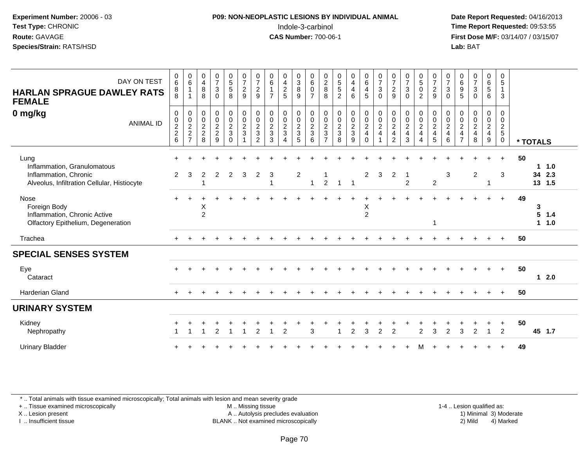#### **P09: NON-NEOPLASTIC LESIONS BY INDIVIDUAL ANIMAL**Indole-3-carbinol **Time Report Requested:** 09:53:55

 **Date Report Requested:** 04/16/2013 **First Dose M/F:** 03/14/07 / 03/15/07<br>**Lab: BAT** 

| DAY ON TEST<br><b>HARLAN SPRAGUE DAWLEY RATS</b><br><b>FEMALE</b>                                           | 0<br>$6\phantom{1}$<br>8<br>8                    | $\begin{array}{c} 0 \\ 6 \end{array}$<br>$\overline{1}$<br>$\overline{1}$ | $\mathbf 0$<br>$\overline{4}$<br>$\, 8$<br>8 | $\frac{0}{7}$<br>$\sqrt{3}$<br>$\Omega$                     | $\begin{array}{c} 0 \\ 5 \\ 5 \end{array}$<br>8 | $\begin{smallmatrix}0\\7\end{smallmatrix}$<br>$\frac{2}{9}$     | $\frac{0}{7}$<br>$\sqrt{2}$<br>$9\,$         | $\begin{matrix} 0 \\ 6 \end{matrix}$<br>$\overline{7}$ | $\begin{array}{c} 0 \\ 4 \\ 2 \end{array}$<br>5                                                       | 0<br>3<br>8<br>9                       | $_{6}^{\rm 0}$<br>$\mathbf 0$<br>$\overline{7}$ | $\begin{array}{c} 0 \\ 2 \\ 8 \end{array}$<br>8 | $\begin{array}{c} 0 \\ 5 \\ 5 \end{array}$<br>$\overline{2}$        | $\begin{smallmatrix}0\\4\end{smallmatrix}$<br>$\overline{4}$<br>6 | $\begin{array}{c} 0 \\ 6 \end{array}$<br>$\overline{\mathbf{4}}$<br>5 | $\frac{0}{7}$<br>$\mathbf{3}$<br>$\Omega$                               | $\frac{0}{7}$<br>$\overline{c}$<br>9         | 0<br>$\overline{7}$<br>$\sqrt{3}$<br>$\Omega$               | $\begin{smallmatrix}0\5\0\end{smallmatrix}$<br>$\overline{2}$             | $\frac{0}{7}$<br>$\frac{2}{9}$ | $\frac{0}{7}$<br>$\mathsf 3$<br>$\Omega$ | 0<br>$\,6\,$<br>$\boldsymbol{9}$<br>5                                                     | $\frac{0}{7}$<br>$\sqrt{3}$<br>$\Omega$              | $\begin{array}{c} 0 \\ 6 \\ 5 \end{array}$<br>6                               | 0<br>$\sqrt{5}$<br>$\mathbf{1}$<br>3                       |          |                                      |
|-------------------------------------------------------------------------------------------------------------|--------------------------------------------------|---------------------------------------------------------------------------|----------------------------------------------|-------------------------------------------------------------|-------------------------------------------------|-----------------------------------------------------------------|----------------------------------------------|--------------------------------------------------------|-------------------------------------------------------------------------------------------------------|----------------------------------------|-------------------------------------------------|-------------------------------------------------|---------------------------------------------------------------------|-------------------------------------------------------------------|-----------------------------------------------------------------------|-------------------------------------------------------------------------|----------------------------------------------|-------------------------------------------------------------|---------------------------------------------------------------------------|--------------------------------|------------------------------------------|-------------------------------------------------------------------------------------------|------------------------------------------------------|-------------------------------------------------------------------------------|------------------------------------------------------------|----------|--------------------------------------|
| 0 mg/kg<br><b>ANIMAL ID</b>                                                                                 | $\mathbf 0$<br>$\mathbf 0$<br>$\frac{2}{2}$<br>6 | 000227                                                                    | $\pmb{0}$<br>$\pmb{0}$<br>$\frac{2}{2}$<br>8 | $\pmb{0}$<br>$\pmb{0}$<br>$\sqrt{2}$<br>$\overline{2}$<br>9 | $\mathbf 0$<br>$\frac{0}{2}$<br>$\Omega$        | $\begin{array}{c} 0 \\ 0 \\ 2 \\ 3 \end{array}$<br>$\mathbf{1}$ | $\pmb{0}$<br>$\frac{0}{2}$<br>$\overline{2}$ | $\boldsymbol{0}$<br>$\mathbf 0$<br>$\frac{2}{3}$<br>3  | $\pmb{0}$<br>$\begin{smallmatrix} 0\\2 \end{smallmatrix}$<br>$\mathbf{3}$<br>$\boldsymbol{\varDelta}$ | 0<br>$\mathbf 0$<br>$\frac{2}{3}$<br>5 | $\pmb{0}$<br>$\frac{0}{2}$<br>6                 | $\,0\,$<br>$\frac{0}{2}$<br>$\overline{7}$      | $\mathbf 0$<br>$\begin{smallmatrix} 0\\2\\3 \end{smallmatrix}$<br>8 | $\begin{array}{c} 0 \\ 0 \\ 2 \\ 3 \end{array}$<br>9              | $\pmb{0}$<br>$\frac{0}{2}$<br>$\mathbf 0$                             | $\pmb{0}$<br>$\begin{array}{c} 0 \\ 2 \\ 4 \end{array}$<br>$\mathbf{1}$ | $\pmb{0}$<br>$\frac{0}{2}$<br>$\overline{2}$ | $\pmb{0}$<br>$\pmb{0}$<br>$\sqrt{2}$<br>$\overline{4}$<br>3 | $\begin{array}{c} 0 \\ 0 \\ 2 \\ 4 \end{array}$<br>$\boldsymbol{\Lambda}$ | 0<br>$\frac{0}{2}$<br>5        | $\pmb{0}$<br>$\frac{0}{2}$<br>6          | $\mathbf 0$<br>$\pmb{0}$<br>$\boldsymbol{2}$<br>$\overline{\mathbf{4}}$<br>$\overline{7}$ | 0<br>$\begin{array}{c} 0 \\ 2 \\ 4 \end{array}$<br>8 | $\mathbf 0$<br>$\begin{array}{c} 0 \\ 2 \\ 4 \end{array}$<br>$\boldsymbol{9}$ | $\mathbf 0$<br>$\mathbf 0$<br>$\frac{2}{5}$<br>$\mathbf 0$ | * TOTALS |                                      |
| Lung<br>Inflammation, Granulomatous<br>Inflammation, Chronic<br>Alveolus, Infiltration Cellular, Histiocyte | $\overline{2}$                                   | 3                                                                         | 2<br>1                                       | 2                                                           | $\overline{2}$                                  | 3                                                               | $\overline{2}$                               | 3                                                      |                                                                                                       | $\overline{c}$                         | -1                                              | $\overline{2}$                                  | $1 \quad 1$                                                         |                                                                   | $\overline{2}$                                                        | 3                                                                       | $\overline{2}$                               | -1<br>$\overline{2}$                                        |                                                                           | $\overline{c}$                 | 3                                        |                                                                                           | $\overline{2}$                                       | -1                                                                            | $\ddot{}$<br>3                                             | 50       | 11.0<br>2.3<br>34<br>13 1.5          |
| Nose<br>Foreign Body<br>Inflammation, Chronic Active<br>Olfactory Epithelium, Degeneration                  |                                                  |                                                                           | Χ<br>$\overline{2}$                          |                                                             |                                                 |                                                                 |                                              |                                                        |                                                                                                       |                                        |                                                 |                                                 |                                                                     |                                                                   | Χ<br>$\overline{2}$                                                   |                                                                         |                                              |                                                             |                                                                           | 1                              |                                          |                                                                                           |                                                      |                                                                               | $\ddot{}$                                                  | 49       | 3<br>5<br>1.4<br>1.0<br>$\mathbf{1}$ |
| Trachea                                                                                                     |                                                  |                                                                           |                                              |                                                             |                                                 |                                                                 |                                              |                                                        |                                                                                                       |                                        |                                                 |                                                 |                                                                     |                                                                   |                                                                       |                                                                         |                                              |                                                             |                                                                           |                                |                                          |                                                                                           |                                                      |                                                                               |                                                            | 50       |                                      |
| <b>SPECIAL SENSES SYSTEM</b>                                                                                |                                                  |                                                                           |                                              |                                                             |                                                 |                                                                 |                                              |                                                        |                                                                                                       |                                        |                                                 |                                                 |                                                                     |                                                                   |                                                                       |                                                                         |                                              |                                                             |                                                                           |                                |                                          |                                                                                           |                                                      |                                                                               |                                                            |          |                                      |
| Eye<br>Cataract                                                                                             |                                                  |                                                                           |                                              |                                                             |                                                 |                                                                 |                                              |                                                        |                                                                                                       |                                        |                                                 |                                                 |                                                                     |                                                                   |                                                                       |                                                                         |                                              |                                                             |                                                                           |                                |                                          |                                                                                           |                                                      |                                                                               | $+$                                                        | 50       | $12.0$                               |
| <b>Harderian Gland</b>                                                                                      |                                                  |                                                                           |                                              |                                                             |                                                 |                                                                 |                                              |                                                        |                                                                                                       |                                        |                                                 |                                                 |                                                                     |                                                                   |                                                                       |                                                                         |                                              |                                                             |                                                                           |                                |                                          |                                                                                           |                                                      |                                                                               |                                                            | 50       |                                      |
| <b>URINARY SYSTEM</b>                                                                                       |                                                  |                                                                           |                                              |                                                             |                                                 |                                                                 |                                              |                                                        |                                                                                                       |                                        |                                                 |                                                 |                                                                     |                                                                   |                                                                       |                                                                         |                                              |                                                             |                                                                           |                                |                                          |                                                                                           |                                                      |                                                                               |                                                            |          |                                      |
| Kidney<br>Nephropathy                                                                                       |                                                  |                                                                           |                                              |                                                             |                                                 |                                                                 | $\mathcal{P}$                                |                                                        | $\mathcal{P}$                                                                                         |                                        | 3                                               |                                                 |                                                                     | 2                                                                 | 3                                                                     | 2                                                                       | $\overline{2}$                               |                                                             | $\mathfrak{p}$                                                            | 3                              | $\mathcal{P}$                            | 3                                                                                         | $\mathfrak{p}$                                       | $\overline{1}$                                                                | $\ddot{}$<br>$\overline{2}$                                | 50       | 45 1.7                               |
| <b>Urinary Bladder</b>                                                                                      |                                                  |                                                                           |                                              |                                                             |                                                 |                                                                 |                                              |                                                        |                                                                                                       |                                        |                                                 |                                                 |                                                                     |                                                                   |                                                                       |                                                                         |                                              |                                                             |                                                                           |                                |                                          |                                                                                           |                                                      |                                                                               |                                                            | 49       |                                      |

\* .. Total animals with tissue examined microscopically; Total animals with lesion and mean severity grade

+ .. Tissue examined microscopically

X .. Lesion present

I .. Insufficient tissue

 M .. Missing tissueA .. Autolysis precludes evaluation

1-4 .. Lesion qualified as:<br>1) Minimal 3) Moderate BLANK .. Not examined microscopically 2) Mild 4) Marked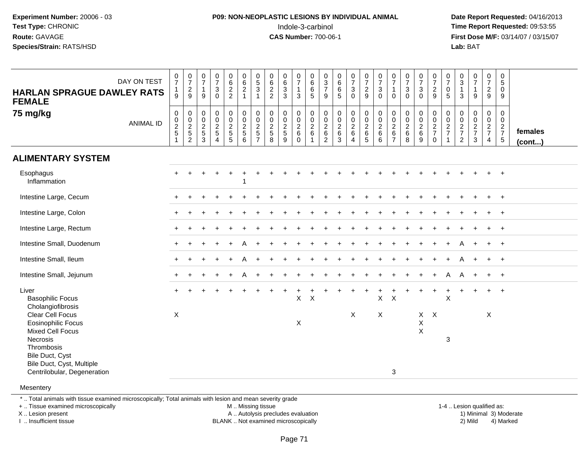#### **P09: NON-NEOPLASTIC LESIONS BY INDIVIDUAL ANIMAL**Indole-3-carbinol **Time Report Requested:** 09:53:55

 **Date Report Requested:** 04/16/2013 **First Dose M/F:** 03/14/07 / 03/15/07<br>**Lab: BAT** 

| <b>HARLAN SPRAGUE DAWLEY RATS</b><br><b>FEMALE</b>                                                                                                                                | DAY ON TEST      | $\frac{0}{7}$<br>$\mathbf{1}$<br>9              | $\frac{0}{7}$<br>$\frac{2}{9}$ | $\begin{array}{c} 0 \\ 7 \end{array}$<br>$\overline{1}$<br>9 | $\begin{smallmatrix}0\\7\end{smallmatrix}$<br>$\ensuremath{\mathsf{3}}$<br>$\Omega$ | $062$<br>22                                                                     | $\begin{matrix} 0 \\ 6 \\ 2 \end{matrix}$<br>$\overline{1}$        | $\begin{array}{c} 0 \\ 5 \end{array}$<br>$\overline{3}$                  | $\begin{matrix} 0 \\ 6 \\ 2 \\ 2 \end{matrix}$ | $\begin{array}{c} 0 \\ 6 \\ 3 \\ 3 \end{array}$ | $\begin{array}{c} 0 \\ 7 \end{array}$<br>$\mathbf{1}$<br>$\mathbf{3}$ | $0$<br>6<br>6<br>$\sqrt{5}$     | $\begin{array}{c} 0 \\ 3 \\ 7 \end{array}$<br>9                | $\begin{array}{c} 0 \\ 6 \end{array}$<br>$\overline{6}$<br>5           | $\frac{0}{7}$<br>$\mathbf{3}$<br>$\mathbf 0$                                   | $\begin{array}{c} 0 \\ 7 \end{array}$<br>$\overline{2}$<br>9                 | $\frac{0}{7}$<br>$\mathbf{3}$<br>$\mathbf 0$ | $\frac{0}{7}$<br>$\mathbf{1}$<br>$\Omega$      | $\frac{0}{7}$<br>$\mathbf{3}$<br>$\Omega$    | $\frac{0}{7}$<br>$\frac{3}{0}$ | $\frac{0}{7}$<br>$\frac{2}{9}$    | $\begin{smallmatrix}0\\7\end{smallmatrix}$<br>$\frac{0}{5}$       | $\begin{array}{c} 0 \\ 3 \\ 1 \end{array}$<br>3     | $\frac{0}{7}$<br>$\mathbf{1}$<br>9                                            | $\frac{0}{7}$<br>$\overline{2}$<br>9                          | 0<br>$\overline{5}$<br>0<br>9 |                         |
|-----------------------------------------------------------------------------------------------------------------------------------------------------------------------------------|------------------|-------------------------------------------------|--------------------------------|--------------------------------------------------------------|-------------------------------------------------------------------------------------|---------------------------------------------------------------------------------|--------------------------------------------------------------------|--------------------------------------------------------------------------|------------------------------------------------|-------------------------------------------------|-----------------------------------------------------------------------|---------------------------------|----------------------------------------------------------------|------------------------------------------------------------------------|--------------------------------------------------------------------------------|------------------------------------------------------------------------------|----------------------------------------------|------------------------------------------------|----------------------------------------------|--------------------------------|-----------------------------------|-------------------------------------------------------------------|-----------------------------------------------------|-------------------------------------------------------------------------------|---------------------------------------------------------------|-------------------------------|-------------------------|
| 75 mg/kg                                                                                                                                                                          | <b>ANIMAL ID</b> | $\mathsf{O}$<br>$\frac{0}{2}$<br>$\overline{1}$ | 000252                         | $\mathbf 0$<br>$\pmb{0}$<br>$\frac{2}{5}$<br>$\mathbf{3}$    | 0<br>$\overline{0}$<br>$\frac{2}{5}$<br>$\overline{4}$                              | $\begin{smallmatrix}0\0\0\end{smallmatrix}$<br>$\frac{2}{5}$<br>$5\phantom{.0}$ | $\pmb{0}$<br>$\overline{0}$<br>$\sqrt{2}$<br>$\sqrt{5}$<br>$\,6\,$ | 0<br>$\mathbf 0$<br>$\boldsymbol{2}$<br>$\overline{5}$<br>$\overline{7}$ | 0<br>$\frac{0}{2}$<br>8                        | 0<br>$\mathbf 0$<br>$\frac{2}{5}$<br>9          | 000260                                                                | 0<br>$\pmb{0}$<br>$\frac{2}{6}$ | $\mathbf 0$<br>$\pmb{0}$<br>$^2\phantom{1}6$<br>$\overline{2}$ | $\mathbf 0$<br>$\overline{0}$<br>$\overline{c}$<br>$\overline{6}$<br>3 | $\begin{smallmatrix}0\0\0\end{smallmatrix}$<br>$\frac{2}{6}$<br>$\overline{4}$ | $\mathbf 0$<br>$\overline{0}$<br>$\overline{c}$<br>$\,6\,$<br>$\overline{5}$ | 0<br>$\mathbf 0$<br>$\overline{c}$<br>6<br>6 | $\pmb{0}$<br>$\frac{0}{2}$ 6<br>$\overline{7}$ | 0<br>$\mathbf 0$<br>$\overline{c}$<br>6<br>8 | 00269                          | 0<br>$\frac{0}{2}$<br>$\mathbf 0$ | 0<br>$\begin{array}{c} 0 \\ 2 \\ 7 \end{array}$<br>$\overline{1}$ | 0<br>$\mathbf 0$<br>$\frac{2}{7}$<br>$\overline{2}$ | $\begin{smallmatrix} 0\\0 \end{smallmatrix}$<br>$\frac{2}{7}$<br>$\mathbf{3}$ | $\mathbf 0$<br>$\mathbf 0$<br>$\frac{2}{7}$<br>$\overline{4}$ | 0<br>0<br>$\frac{2}{7}$<br>5  | females<br>$($ cont $)$ |
| <b>ALIMENTARY SYSTEM</b>                                                                                                                                                          |                  |                                                 |                                |                                                              |                                                                                     |                                                                                 |                                                                    |                                                                          |                                                |                                                 |                                                                       |                                 |                                                                |                                                                        |                                                                                |                                                                              |                                              |                                                |                                              |                                |                                   |                                                                   |                                                     |                                                                               |                                                               |                               |                         |
| Esophagus<br>Inflammation                                                                                                                                                         |                  | $+$                                             |                                |                                                              |                                                                                     |                                                                                 | 1                                                                  |                                                                          |                                                |                                                 |                                                                       |                                 |                                                                |                                                                        |                                                                                |                                                                              |                                              |                                                |                                              |                                |                                   |                                                                   |                                                     |                                                                               |                                                               | $\div$                        |                         |
| Intestine Large, Cecum                                                                                                                                                            |                  |                                                 |                                |                                                              |                                                                                     |                                                                                 |                                                                    |                                                                          |                                                |                                                 |                                                                       |                                 |                                                                |                                                                        |                                                                                |                                                                              |                                              |                                                |                                              |                                |                                   |                                                                   |                                                     |                                                                               |                                                               | $\ddot{}$                     |                         |
| Intestine Large, Colon                                                                                                                                                            |                  |                                                 |                                |                                                              |                                                                                     |                                                                                 |                                                                    |                                                                          |                                                |                                                 |                                                                       |                                 |                                                                |                                                                        |                                                                                |                                                                              |                                              |                                                |                                              |                                |                                   |                                                                   |                                                     |                                                                               |                                                               |                               |                         |
| Intestine Large, Rectum                                                                                                                                                           |                  |                                                 |                                |                                                              |                                                                                     |                                                                                 |                                                                    |                                                                          |                                                |                                                 |                                                                       |                                 |                                                                |                                                                        |                                                                                |                                                                              |                                              |                                                |                                              |                                |                                   |                                                                   |                                                     |                                                                               |                                                               |                               |                         |
| Intestine Small, Duodenum                                                                                                                                                         |                  |                                                 |                                |                                                              |                                                                                     |                                                                                 |                                                                    |                                                                          |                                                |                                                 |                                                                       |                                 |                                                                |                                                                        |                                                                                |                                                                              |                                              |                                                |                                              |                                |                                   |                                                                   |                                                     |                                                                               | $\ddot{}$                                                     | $\overline{+}$                |                         |
| Intestine Small, Ileum                                                                                                                                                            |                  | $+$                                             |                                |                                                              |                                                                                     |                                                                                 |                                                                    |                                                                          |                                                |                                                 |                                                                       |                                 |                                                                |                                                                        |                                                                                |                                                                              |                                              |                                                |                                              |                                |                                   |                                                                   |                                                     | $\ddot{}$                                                                     | $+$                                                           | $+$                           |                         |
| Intestine Small, Jejunum                                                                                                                                                          |                  | $+$                                             |                                |                                                              |                                                                                     |                                                                                 |                                                                    |                                                                          |                                                |                                                 |                                                                       |                                 |                                                                |                                                                        |                                                                                |                                                                              |                                              |                                                |                                              |                                |                                   | A                                                                 | A                                                   | $\ddot{}$                                                                     | $\ddot{}$                                                     | $+$                           |                         |
| Liver<br><b>Basophilic Focus</b><br>Cholangiofibrosis                                                                                                                             |                  | $+$                                             |                                |                                                              |                                                                                     |                                                                                 |                                                                    |                                                                          |                                                |                                                 | X                                                                     | $\mathsf{X}$                    |                                                                |                                                                        |                                                                                |                                                                              | X                                            | $\boldsymbol{\mathsf{X}}$                      |                                              | $\ddot{}$                      | $\ddot{}$                         | $\ddot{}$<br>X                                                    |                                                     | $\ddot{}$                                                                     |                                                               | $+$                           |                         |
| Clear Cell Focus<br><b>Eosinophilic Focus</b><br><b>Mixed Cell Focus</b><br>Necrosis<br>Thrombosis<br>Bile Duct, Cyst<br>Bile Duct, Cyst, Multiple<br>Centrilobular, Degeneration |                  | X                                               |                                |                                                              |                                                                                     |                                                                                 |                                                                    |                                                                          |                                                |                                                 | X                                                                     |                                 |                                                                |                                                                        | X                                                                              |                                                                              | $\mathsf{X}$                                 | 3                                              |                                              | X<br>X                         | $X$ $X$                           | 3                                                                 |                                                     |                                                                               | X                                                             |                               |                         |
| Mesentery                                                                                                                                                                         |                  |                                                 |                                |                                                              |                                                                                     |                                                                                 |                                                                    |                                                                          |                                                |                                                 |                                                                       |                                 |                                                                |                                                                        |                                                                                |                                                                              |                                              |                                                |                                              |                                |                                   |                                                                   |                                                     |                                                                               |                                                               |                               |                         |

\* .. Total animals with tissue examined microscopically; Total animals with lesion and mean severity grade

+ .. Tissue examined microscopically

X .. Lesion present

I .. Insufficient tissue

M .. Missing tissue

A .. Autolysis precludes evaluation

BLANK .. Not examined microscopically 2) Mild 4) Marked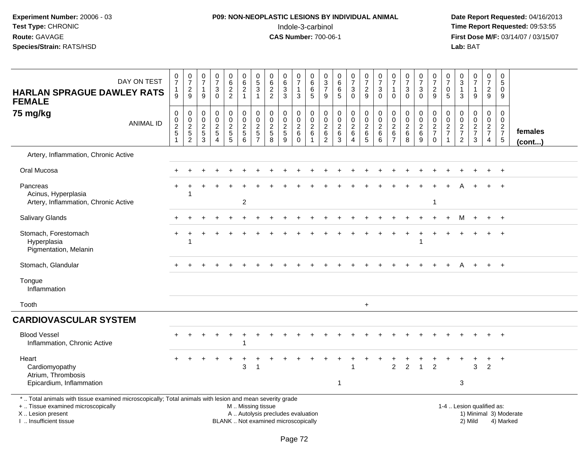#### **P09: NON-NEOPLASTIC LESIONS BY INDIVIDUAL ANIMAL**Indole-3-carbinol **Time Report Requested:** 09:53:55

 **Date Report Requested:** 04/16/2013 **First Dose M/F:** 03/14/07 / 03/15/07<br>**Lab:** BAT

| DAY ON TEST<br><b>HARLAN SPRAGUE DAWLEY RATS</b><br><b>FEMALE</b>                                                                                                                             | $\frac{0}{7}$<br>$\mathbf{1}$<br>9                            | $\frac{0}{7}$<br>$\sqrt{2}$<br>9                                  | $\frac{0}{7}$<br>$\mathbf{1}$<br>9 | $\frac{0}{7}$<br>3<br>$\mathbf 0$                   | 0<br>$\,6\,$<br>$\frac{2}{2}$         | $\begin{array}{c} 0 \\ 6 \end{array}$<br>$\sqrt{2}$<br>$\mathbf{1}$ | $\begin{array}{c} 0 \\ 5 \end{array}$<br>3<br>-1               | $\begin{array}{c} 0 \\ 6 \end{array}$<br>$\overline{2}$<br>$\overline{2}$ | $\begin{array}{c} 0 \\ 6 \end{array}$<br>$\ensuremath{\mathsf{3}}$<br>3 | $\frac{0}{7}$<br>$\mathbf{1}$<br>$\mathbf{3}$               | $_{6}^{\rm 0}$<br>$\overline{6}$<br>5           | 0<br>$\frac{3}{7}$<br>9                                       | $\begin{array}{c} 0 \\ 6 \end{array}$<br>$6\phantom{a}$<br>5        | $\begin{array}{c} 0 \\ 7 \end{array}$<br>$\sqrt{3}$<br>$\mathbf 0$ | $\frac{0}{7}$<br>$\sqrt{2}$<br>9                        | $\frac{0}{7}$<br>$\ensuremath{\mathsf{3}}$<br>$\mathbf 0$ | $\frac{0}{7}$<br>$\mathbf{1}$<br>$\Omega$                                 | $\frac{0}{7}$<br>$\ensuremath{\mathsf{3}}$<br>$\Omega$ | $\frac{0}{7}$<br>$\ensuremath{\mathsf{3}}$<br>$\mathbf 0$                | $\frac{0}{7}$<br>$\frac{2}{9}$                      | 0<br>$\overline{7}$<br>0<br>5                    | 0<br>$\sqrt{3}$<br>1<br>3                                          | $\frac{0}{7}$<br>$\mathbf{1}$<br>9                          | $\frac{0}{7}$<br>$\overline{2}$<br>9                     | $\pmb{0}$<br>5<br>$\mathbf 0$<br>9                        |                         |
|-----------------------------------------------------------------------------------------------------------------------------------------------------------------------------------------------|---------------------------------------------------------------|-------------------------------------------------------------------|------------------------------------|-----------------------------------------------------|---------------------------------------|---------------------------------------------------------------------|----------------------------------------------------------------|---------------------------------------------------------------------------|-------------------------------------------------------------------------|-------------------------------------------------------------|-------------------------------------------------|---------------------------------------------------------------|---------------------------------------------------------------------|--------------------------------------------------------------------|---------------------------------------------------------|-----------------------------------------------------------|---------------------------------------------------------------------------|--------------------------------------------------------|--------------------------------------------------------------------------|-----------------------------------------------------|--------------------------------------------------|--------------------------------------------------------------------|-------------------------------------------------------------|----------------------------------------------------------|-----------------------------------------------------------|-------------------------|
| 75 mg/kg<br><b>ANIMAL ID</b>                                                                                                                                                                  | $\mathbf 0$<br>$\pmb{0}$<br>$\overline{2}$<br>$\sqrt{5}$<br>1 | $\mathbf 0$<br>$\pmb{0}$<br>$\overline{2}$<br>5<br>$\overline{c}$ | 0<br>$\pmb{0}$<br>$rac{2}{3}$      | 0<br>$\mathsf 0$<br>$\overline{2}$<br>5<br>$\Delta$ | $\pmb{0}$<br>$0$<br>$2$<br>$5$<br>$5$ | $\pmb{0}$<br>$\pmb{0}$<br>$\overline{2}$<br>$\sqrt{5}$<br>6         | 0<br>$\mathbf 0$<br>$\sqrt{2}$<br>$\sqrt{5}$<br>$\overline{7}$ | $\pmb{0}$<br>$\mathbf 0$<br>$\overline{2}$<br>$\sqrt{5}$<br>8             | 0<br>$\mathbf 0$<br>$\mathbf 2$<br>$\sqrt{5}$<br>9                      | $\pmb{0}$<br>$\mathbf 0$<br>$\overline{2}$<br>6<br>$\Omega$ | 0<br>$\mathsf{O}\xspace$<br>$\overline{2}$<br>6 | 0<br>$\pmb{0}$<br>$\overline{2}$<br>$\,6\,$<br>$\overline{2}$ | $\pmb{0}$<br>$\mathsf{O}\xspace$<br>$\overline{2}$<br>$\frac{6}{3}$ | 0<br>$\mathbf 0$<br>$\overline{2}$<br>$\,6\,$<br>$\overline{4}$    | $\pmb{0}$<br>$\frac{0}{2}$<br>$\,6\,$<br>$\overline{5}$ | 0<br>$\mathbf 0$<br>$\overline{2}$<br>6<br>6              | $\mathbf 0$<br>$\mathbf 0$<br>$\overline{2}$<br>$\,6\,$<br>$\overline{7}$ | 0<br>$\pmb{0}$<br>$\overline{2}$<br>6<br>8             | 0<br>$\mathsf 0$<br>$\overline{2}$<br>$6\phantom{1}$<br>$\boldsymbol{9}$ | $\mathbf 0$<br>$\,0\,$<br>$\frac{2}{7}$<br>$\Omega$ | 0<br>$\mathbf 0$<br>$\sqrt{2}$<br>$\overline{7}$ | $\mathbf 0$<br>$\boldsymbol{0}$<br>$\frac{2}{7}$<br>$\overline{2}$ | $\mathbf 0$<br>$\mathbf 0$<br>$\frac{2}{7}$<br>$\mathbf{3}$ | $\mathbf 0$<br>$\mathsf{O}\xspace$<br>$\frac{2}{7}$<br>4 | $\mathbf 0$<br>$\mathbf 0$<br>$\frac{2}{7}$<br>$\sqrt{5}$ | females<br>$($ cont $)$ |
| Artery, Inflammation, Chronic Active                                                                                                                                                          |                                                               |                                                                   |                                    |                                                     |                                       |                                                                     |                                                                |                                                                           |                                                                         |                                                             |                                                 |                                                               |                                                                     |                                                                    |                                                         |                                                           |                                                                           |                                                        |                                                                          |                                                     |                                                  |                                                                    |                                                             |                                                          |                                                           |                         |
| Oral Mucosa                                                                                                                                                                                   |                                                               |                                                                   |                                    |                                                     |                                       |                                                                     |                                                                |                                                                           |                                                                         |                                                             |                                                 |                                                               |                                                                     |                                                                    |                                                         |                                                           |                                                                           |                                                        |                                                                          |                                                     |                                                  |                                                                    |                                                             |                                                          | $\overline{+}$                                            |                         |
| Pancreas<br>Acinus, Hyperplasia<br>Artery, Inflammation, Chronic Active                                                                                                                       |                                                               |                                                                   |                                    |                                                     |                                       | $\sqrt{2}$                                                          |                                                                |                                                                           |                                                                         |                                                             |                                                 |                                                               |                                                                     |                                                                    |                                                         |                                                           |                                                                           |                                                        |                                                                          | -1                                                  |                                                  |                                                                    |                                                             |                                                          | $\overline{1}$                                            |                         |
| <b>Salivary Glands</b>                                                                                                                                                                        |                                                               |                                                                   |                                    |                                                     |                                       |                                                                     |                                                                |                                                                           |                                                                         |                                                             |                                                 |                                                               |                                                                     |                                                                    |                                                         |                                                           |                                                                           |                                                        |                                                                          |                                                     |                                                  | м                                                                  |                                                             |                                                          | $+$                                                       |                         |
| Stomach, Forestomach<br>Hyperplasia<br>Pigmentation, Melanin                                                                                                                                  |                                                               |                                                                   |                                    |                                                     |                                       |                                                                     |                                                                |                                                                           |                                                                         |                                                             |                                                 |                                                               |                                                                     |                                                                    |                                                         |                                                           |                                                                           |                                                        |                                                                          |                                                     |                                                  |                                                                    |                                                             |                                                          | $\overline{1}$                                            |                         |
| Stomach, Glandular                                                                                                                                                                            |                                                               |                                                                   |                                    |                                                     |                                       |                                                                     |                                                                |                                                                           |                                                                         |                                                             |                                                 |                                                               |                                                                     |                                                                    |                                                         |                                                           |                                                                           |                                                        |                                                                          |                                                     |                                                  |                                                                    |                                                             | $+$                                                      | $+$                                                       |                         |
| Tongue<br>Inflammation                                                                                                                                                                        |                                                               |                                                                   |                                    |                                                     |                                       |                                                                     |                                                                |                                                                           |                                                                         |                                                             |                                                 |                                                               |                                                                     |                                                                    |                                                         |                                                           |                                                                           |                                                        |                                                                          |                                                     |                                                  |                                                                    |                                                             |                                                          |                                                           |                         |
| Tooth                                                                                                                                                                                         |                                                               |                                                                   |                                    |                                                     |                                       |                                                                     |                                                                |                                                                           |                                                                         |                                                             |                                                 |                                                               |                                                                     |                                                                    | $\ddot{}$                                               |                                                           |                                                                           |                                                        |                                                                          |                                                     |                                                  |                                                                    |                                                             |                                                          |                                                           |                         |
| <b>CARDIOVASCULAR SYSTEM</b>                                                                                                                                                                  |                                                               |                                                                   |                                    |                                                     |                                       |                                                                     |                                                                |                                                                           |                                                                         |                                                             |                                                 |                                                               |                                                                     |                                                                    |                                                         |                                                           |                                                                           |                                                        |                                                                          |                                                     |                                                  |                                                                    |                                                             |                                                          |                                                           |                         |
| <b>Blood Vessel</b><br>Inflammation, Chronic Active                                                                                                                                           |                                                               |                                                                   |                                    |                                                     |                                       |                                                                     |                                                                |                                                                           |                                                                         |                                                             |                                                 |                                                               |                                                                     |                                                                    |                                                         |                                                           |                                                                           |                                                        |                                                                          |                                                     |                                                  |                                                                    |                                                             |                                                          |                                                           |                         |
| Heart<br>Cardiomyopathy<br>Atrium, Thrombosis<br>Epicardium, Inflammation                                                                                                                     |                                                               |                                                                   |                                    |                                                     |                                       | 3                                                                   | 1                                                              |                                                                           |                                                                         |                                                             |                                                 |                                                               | $\mathbf 1$                                                         |                                                                    |                                                         |                                                           | $\overline{2}$                                                            | $\overline{2}$                                         | $\overline{1}$                                                           | $\overline{2}$                                      |                                                  | 3                                                                  | 3                                                           | $\ddot{}$<br>$\overline{2}$                              | $+$                                                       |                         |
| *  Total animals with tissue examined microscopically; Total animals with lesion and mean severity grade<br>+  Tissue examined microscopically<br>X  Lesion present<br>I  Insufficient tissue |                                                               |                                                                   |                                    |                                                     |                                       |                                                                     | M  Missing tissue                                              | A  Autolysis precludes evaluation<br>BLANK  Not examined microscopically  |                                                                         |                                                             |                                                 |                                                               |                                                                     |                                                                    |                                                         |                                                           |                                                                           |                                                        |                                                                          |                                                     |                                                  | 1-4  Lesion qualified as:                                          | 2) Mild                                                     |                                                          | 4) Marked                                                 | 1) Minimal 3) Moderate  |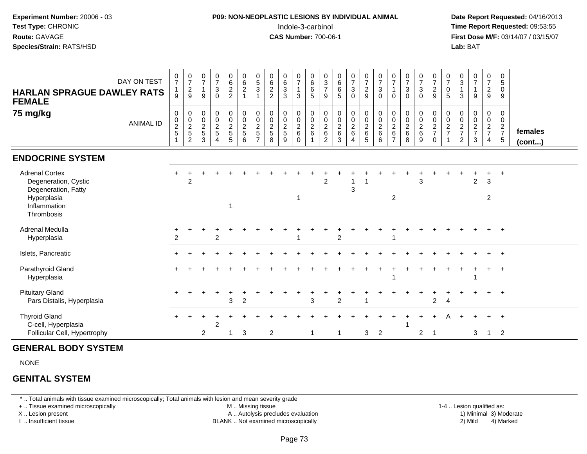| <b>P09: NON-NEOPLASTIC LESIONS BY INDIVIDUAL ANIMAL</b> | Date Rep         |
|---------------------------------------------------------|------------------|
| Indole-3-carbinol                                       | Time Rep         |
| <b>CAS Number: 700-06-1</b>                             | <b>First Dos</b> |
|                                                         | Lab: BAT         |
|                                                         |                  |

## **P09: NON-NEOPLASTIC LESIONS BY INDIVIDUAL ANIMAL**Indole-3-carbinol **Time Report Requested:** 09:53:55

 **Date Report Requested:** 04/16/2013 **First Dose M/F:** 03/14/07 / 03/15/07<br>**Lab: BAT** 

| <b>HARLAN SPRAGUE DAWLEY RATS</b><br><b>FEMALE</b>                                                                | DAY ON TEST      | $\frac{0}{7}$<br>$\mathbf{1}$<br>9 | $\frac{0}{7}$<br>$\frac{2}{9}$                                            | $\begin{smallmatrix}0\\7\end{smallmatrix}$<br>$\overline{1}$<br>9 | $\frac{0}{7}$<br>$\ensuremath{\mathsf{3}}$<br>$\Omega$         | $_{\rm 6}^{\rm 0}$<br>$\boldsymbol{2}$<br>$\overline{c}$ | $0\over 6$<br>$\overline{a}$<br>$\mathbf{1}$     | $\begin{array}{c} 0 \\ 5 \end{array}$<br>3                                 | $\begin{array}{c} 0 \\ 6 \end{array}$<br>$\overline{c}$<br>$\overline{2}$ | $_{6}^{\rm 0}$<br>$\ensuremath{\mathsf{3}}$<br>3 | $\frac{0}{7}$<br>$\overline{1}$<br>3          | $\begin{array}{c} 0 \\ 6 \end{array}$<br>$\,6\,$<br>$\overline{5}$ | $\frac{0}{3}$<br>$\overline{7}$<br>9                            | $\begin{array}{c} 0 \\ 6 \end{array}$<br>$\,6$<br>5 | $\frac{0}{7}$<br>$\mathbf{3}$<br>$\Omega$                        | $\begin{array}{c} 0 \\ 7 \\ 2 \end{array}$<br>$\overline{9}$ | $\frac{0}{7}$<br>$\sqrt{3}$<br>$\mathbf 0$           | $\frac{0}{7}$<br>$\Omega$       | $\frac{0}{7}$<br>$\mathbf 3$<br>$\Omega$                   | $\frac{0}{7}$<br>$\mathsf 3$<br>$\mathbf 0$ | $\frac{0}{7}$<br>$\boldsymbol{2}$<br>9       | $\frac{0}{7}$<br>0<br>5                                       | $_{3}^{\rm 0}$<br>3                  | $\frac{0}{7}$<br>$\mathbf{1}$<br>9   | $\frac{0}{7}$<br>$\overline{a}$<br>9   | 0<br>$\sqrt{5}$<br>0<br>9                       |                   |
|-------------------------------------------------------------------------------------------------------------------|------------------|------------------------------------|---------------------------------------------------------------------------|-------------------------------------------------------------------|----------------------------------------------------------------|----------------------------------------------------------|--------------------------------------------------|----------------------------------------------------------------------------|---------------------------------------------------------------------------|--------------------------------------------------|-----------------------------------------------|--------------------------------------------------------------------|-----------------------------------------------------------------|-----------------------------------------------------|------------------------------------------------------------------|--------------------------------------------------------------|------------------------------------------------------|---------------------------------|------------------------------------------------------------|---------------------------------------------|----------------------------------------------|---------------------------------------------------------------|--------------------------------------|--------------------------------------|----------------------------------------|-------------------------------------------------|-------------------|
| 75 mg/kg                                                                                                          | <b>ANIMAL ID</b> | $\,0\,$<br>$\frac{0}{2}$           | $\pmb{0}$<br>$\begin{array}{c} 0 \\ 2 \\ 5 \end{array}$<br>$\overline{c}$ | 0<br>$\frac{0}{2}$<br>3                                           | $\mathbf 0$<br>$\pmb{0}$<br>$\overline{2}$<br>$\mathbf 5$<br>4 | 0<br>$\pmb{0}$<br>$\frac{2}{5}$<br>5                     | $\mathbf 0$<br>$\mathbf 0$<br>$\frac{2}{5}$<br>6 | 0<br>$\mathsf{O}\xspace$<br>$\overline{\mathbf{c}}$<br>5<br>$\overline{7}$ | 0<br>$\mathbf 0$<br>$rac{2}{5}$<br>8                                      | 0<br>$\pmb{0}$<br>$\frac{2}{5}$<br>9             | 0<br>$\mathbf 0$<br>$\frac{2}{6}$<br>$\Omega$ | 0<br>$\pmb{0}$<br>$\frac{2}{6}$                                    | 0<br>$\mathbf 0$<br>$\overline{2}$<br>$\,6\,$<br>$\overline{2}$ | 0<br>$\pmb{0}$<br>$\sqrt{2}$<br>$\,6$<br>3          | 0<br>$\boldsymbol{0}$<br>$\frac{2}{6}$<br>$\boldsymbol{\Lambda}$ | $\mathbf 0$<br>$\mathsf{O}\xspace$<br>$\frac{2}{6}$<br>5     | $\pmb{0}$<br>$\pmb{0}$<br>$\sqrt{2}$<br>$\,6\,$<br>6 | 0<br>0<br>$\sqrt{2}$<br>$\,6\,$ | $\mathbf 0$<br>$\mathbf 0$<br>$\overline{2}$<br>$\,6$<br>8 | 0<br>$\pmb{0}$<br>$\frac{2}{6}$<br>9        | 0<br>$\,0\,$<br>$\frac{2}{7}$<br>$\mathbf 0$ | 0<br>$\mathbf 0$<br>$\overline{\mathbf{c}}$<br>$\overline{7}$ | 0<br>$\pmb{0}$<br>$\frac{2}{7}$<br>2 | 0<br>$\pmb{0}$<br>$\frac{2}{7}$<br>3 | 0<br>$\mathbf 0$<br>$\frac{2}{7}$<br>4 | 0<br>$\mathbf 0$<br>$\frac{2}{7}$<br>$\sqrt{5}$ | females<br>(cont) |
| <b>ENDOCRINE SYSTEM</b>                                                                                           |                  |                                    |                                                                           |                                                                   |                                                                |                                                          |                                                  |                                                                            |                                                                           |                                                  |                                               |                                                                    |                                                                 |                                                     |                                                                  |                                                              |                                                      |                                 |                                                            |                                             |                                              |                                                               |                                      |                                      |                                        |                                                 |                   |
| <b>Adrenal Cortex</b><br>Degeneration, Cystic<br>Degeneration, Fatty<br>Hyperplasia<br>Inflammation<br>Thrombosis |                  |                                    | $\overline{2}$                                                            |                                                                   |                                                                | 1                                                        |                                                  |                                                                            |                                                                           |                                                  |                                               |                                                                    | $\overline{2}$                                                  |                                                     | 3                                                                |                                                              |                                                      | $\overline{2}$                  |                                                            | 3                                           |                                              |                                                               |                                      | $\overline{2}$                       | +<br>3<br>$\overline{2}$               | $+$                                             |                   |
| Adrenal Medulla<br>Hyperplasia                                                                                    |                  | $\overline{2}$                     |                                                                           |                                                                   | $\overline{2}$                                                 |                                                          |                                                  |                                                                            |                                                                           |                                                  |                                               |                                                                    |                                                                 | 2                                                   |                                                                  |                                                              |                                                      |                                 |                                                            |                                             |                                              |                                                               |                                      |                                      |                                        |                                                 |                   |
| Islets, Pancreatic                                                                                                |                  |                                    |                                                                           |                                                                   |                                                                |                                                          |                                                  |                                                                            |                                                                           |                                                  |                                               |                                                                    |                                                                 |                                                     |                                                                  |                                                              |                                                      |                                 |                                                            |                                             |                                              |                                                               |                                      |                                      | $+$                                    | $+$                                             |                   |
| Parathyroid Gland<br>Hyperplasia                                                                                  |                  |                                    |                                                                           |                                                                   |                                                                |                                                          |                                                  |                                                                            |                                                                           |                                                  |                                               |                                                                    |                                                                 |                                                     |                                                                  |                                                              |                                                      |                                 |                                                            |                                             |                                              |                                                               |                                      |                                      | $\pm$                                  | $+$                                             |                   |
| <b>Pituitary Gland</b><br>Pars Distalis, Hyperplasia                                                              |                  |                                    |                                                                           |                                                                   |                                                                | 3                                                        | $\overline{2}$                                   |                                                                            |                                                                           |                                                  |                                               | 3                                                                  |                                                                 | $\overline{2}$                                      |                                                                  |                                                              |                                                      |                                 |                                                            |                                             | $\overline{c}$                               | 4                                                             |                                      |                                      | $+$                                    | $+$                                             |                   |
| <b>Thyroid Gland</b><br>C-cell, Hyperplasia<br>Follicular Cell, Hypertrophy                                       |                  |                                    |                                                                           | 2                                                                 | 2                                                              | 1                                                        | 3                                                |                                                                            | $\overline{2}$                                                            |                                                  |                                               | -1                                                                 |                                                                 | -1                                                  |                                                                  | 3                                                            | $\overline{2}$                                       |                                 |                                                            | $\overline{2}$                              | -1                                           |                                                               |                                      | 3                                    | $+$<br>$\mathbf{1}$                    | $+$<br>$\overline{2}$                           |                   |

### **GENERAL BODY SYSTEM**

NONE

#### **GENITAL SYSTEM**

\* .. Total animals with tissue examined microscopically; Total animals with lesion and mean severity grade

+ .. Tissue examined microscopically

X .. Lesion present

I .. Insufficient tissue

M .. Missing tissue

BLANK .. Not examined microscopically

1-4 .. Lesion qualified as:<br>1) Minimal 3) Moderate A .. Autolysis precludes evaluation 19 (1999) 1999 10: 12 (1999) 1999 10: 12 (1999) A .. Autolysis precludes evaluation 1999 10: 13 (1999) 1999 10: 13 (1999) 1999 10: 13 (1999) 1999 10: 13 (1999) 1999 10: 13 (1999) 1999 10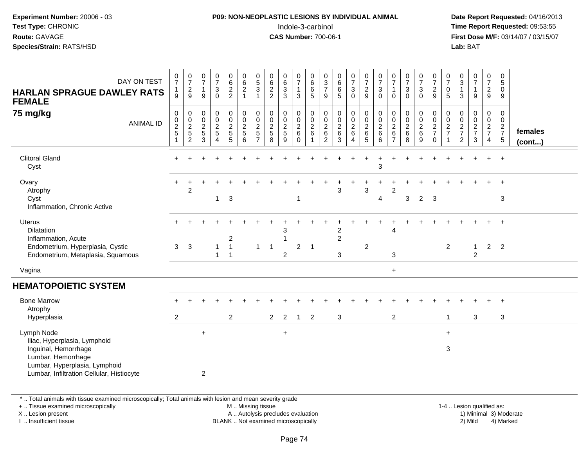## **P09: NON-NEOPLASTIC LESIONS BY INDIVIDUAL ANIMAL**Indole-3-carbinol **Time Report Requested:** 09:53:55

 **Date Report Requested:** 04/16/2013 **First Dose M/F:** 03/14/07 / 03/15/07<br>**Lab: BAT Lab:** BAT

| DAY ON TEST<br><b>HARLAN SPRAGUE DAWLEY RATS</b><br><b>FEMALE</b>                                                                                                      | $\frac{0}{7}$<br>1<br>9                         | $\frac{0}{7}$<br>$\sqrt{2}$<br>9                                  | $\pmb{0}$<br>$\overline{7}$<br>$\mathbf{1}$<br>9 | $\begin{array}{c} 0 \\ 7 \end{array}$<br>$\sqrt{3}$<br>$\Omega$                         | $\begin{matrix} 0 \\ 6 \\ 2 \end{matrix}$<br>$\overline{2}$ | $\pmb{0}$<br>$6\phantom{a}$<br>$\overline{2}$<br>$\mathbf{1}$ | $\begin{array}{c} 0 \\ 5 \\ 3 \end{array}$<br>$\mathbf{1}$ | $\begin{matrix} 0 \\ 6 \\ 2 \end{matrix}$<br>2 | $\begin{matrix} 0 \\ 6 \\ 3 \end{matrix}$<br>3         | $\begin{smallmatrix}0\\7\end{smallmatrix}$<br>$\mathbf{1}$<br>3 | $\pmb{0}$<br>$6\phantom{a}$<br>$\,6\,$<br>5                           | $\begin{array}{c} 0 \\ 3 \\ 7 \end{array}$<br>9     | $\begin{matrix} 0 \\ 6 \\ 6 \end{matrix}$<br>5 | $\begin{array}{c} 0 \\ 7 \end{array}$<br>$\mathfrak{S}$<br>$\Omega$ | $\begin{array}{c} 0 \\ 7 \\ 2 \end{array}$<br>9             | $\begin{array}{c} 0 \\ 7 \\ 3 \end{array}$<br>$\mathbf 0$ | $\frac{0}{7}$<br>$\overline{1}$<br>$\mathbf{0}$             | $\begin{array}{c} 0 \\ 7 \end{array}$<br>$\mathbf 3$<br>$\Omega$ | $\frac{0}{7}$<br>$\mathbf{3}$<br>$\Omega$ | 0<br>$\overline{7}$<br>$\overline{2}$<br>9     | $\frac{0}{7}$<br>$\pmb{0}$<br>$\sqrt{5}$ | $_{3}^{\rm 0}$<br>$\overline{1}$<br>3     | $\begin{array}{c} 0 \\ 7 \end{array}$<br>$\mathbf{1}$<br>9 | $\begin{array}{c} 0 \\ 7 \end{array}$<br>$\sqrt{2}$<br>$9\,$ | $\pmb{0}$<br>5<br>0<br>9                                       |                         |
|------------------------------------------------------------------------------------------------------------------------------------------------------------------------|-------------------------------------------------|-------------------------------------------------------------------|--------------------------------------------------|-----------------------------------------------------------------------------------------|-------------------------------------------------------------|---------------------------------------------------------------|------------------------------------------------------------|------------------------------------------------|--------------------------------------------------------|-----------------------------------------------------------------|-----------------------------------------------------------------------|-----------------------------------------------------|------------------------------------------------|---------------------------------------------------------------------|-------------------------------------------------------------|-----------------------------------------------------------|-------------------------------------------------------------|------------------------------------------------------------------|-------------------------------------------|------------------------------------------------|------------------------------------------|-------------------------------------------|------------------------------------------------------------|--------------------------------------------------------------|----------------------------------------------------------------|-------------------------|
| 75 mg/kg<br><b>ANIMAL ID</b>                                                                                                                                           | $\pmb{0}$<br>$\mathbf 0$<br>$\overline{c}$<br>5 | $\,0\,$<br>$\ddot{\mathbf{0}}$<br>$\frac{2}{5}$<br>$\overline{2}$ | 0<br>0<br>$\frac{2}{5}$<br>$\mathbf{3}$          | $\pmb{0}$<br>$\mathbf 0$<br>$\overline{c}$<br>$\overline{5}$<br>$\overline{\mathbf{4}}$ | $\pmb{0}$<br>$\mathsf{O}\xspace$<br>$\frac{2}{5}$<br>5      | $\pmb{0}$<br>$\mathsf{O}\xspace$<br>$rac{2}{5}$<br>6          | 0<br>$\pmb{0}$<br>$rac{2}{5}$<br>$\overline{7}$            | $\pmb{0}$<br>0<br>$\frac{2}{5}$<br>8           | $\pmb{0}$<br>$\ddot{\mathbf{0}}$<br>$\frac{2}{5}$<br>9 | 0<br>$\ddot{\mathbf{0}}$<br>$^2\phantom{1}6$<br>$\mathbf 0$     | $\pmb{0}$<br>$\mathbf 0$<br>$\overline{c}$<br>$\,6\,$<br>$\mathbf{1}$ | 0<br>$\mathbf 0$<br>$\frac{2}{6}$<br>$\overline{c}$ | $\pmb{0}$<br>$\frac{0}{2}$ 6<br>3              | $_0^0$<br>$\frac{2}{6}$<br>$\overline{4}$                           | 0<br>$\ddot{\mathbf{0}}$<br>$\frac{2}{6}$<br>$\overline{5}$ | $\pmb{0}$<br>$\frac{0}{2}$ 6<br>$\,6\,$                   | 0<br>$\mathbf 0$<br>$\sqrt{2}$<br>$\,6\,$<br>$\overline{7}$ | 0<br>$\mathbf 0$<br>$\boldsymbol{2}$<br>$\,6$<br>8               | 0<br>$\mathbf 0$<br>$^2\phantom{1}6$<br>9 | 0<br>$\mathsf{O}\xspace$<br>$\frac{2}{7}$<br>0 | 0<br>$\pmb{0}$<br>$\frac{2}{7}$<br>1     | 0<br>0<br>$\frac{2}{7}$<br>$\overline{2}$ | 0<br>$\mathbf 0$<br>$\frac{2}{7}$<br>3                     | 0<br>$\mathbf 0$<br>$\frac{2}{7}$<br>4                       | $\mathbf 0$<br>$\mathbf 0$<br>$\frac{2}{7}$<br>$5\phantom{.0}$ | females<br>$($ cont $)$ |
| <b>Clitoral Gland</b><br>Cyst                                                                                                                                          |                                                 |                                                                   |                                                  |                                                                                         |                                                             |                                                               |                                                            |                                                |                                                        |                                                                 |                                                                       |                                                     |                                                |                                                                     |                                                             | 3                                                         |                                                             |                                                                  |                                           |                                                |                                          |                                           |                                                            |                                                              | $\overline{+}$                                                 |                         |
| Ovary<br>Atrophy<br>Cyst<br>Inflammation, Chronic Active                                                                                                               |                                                 | $\overline{c}$                                                    |                                                  | 1                                                                                       | 3                                                           |                                                               |                                                            |                                                |                                                        |                                                                 |                                                                       |                                                     | 3                                              |                                                                     | 3                                                           | 4                                                         | 2                                                           | 3                                                                | $\overline{c}$                            | $\mathbf{3}$                                   |                                          |                                           |                                                            |                                                              | 3                                                              |                         |
| <b>Uterus</b><br>Dilatation<br>Inflammation, Acute<br>Endometrium, Hyperplasia, Cystic<br>Endometrium, Metaplasia, Squamous                                            | 3                                               | 3                                                                 |                                                  | 1<br>$\mathbf{1}$                                                                       | $\overline{c}$<br>$\mathbf{1}$<br>$\mathbf{1}$              |                                                               | $\mathbf{1}$                                               | $\mathbf 1$                                    | 3<br>$\overline{2}$                                    | $\overline{2}$                                                  | $\overline{1}$                                                        |                                                     | 2<br>$\overline{c}$<br>3                       |                                                                     | $\overline{2}$                                              |                                                           | 4<br>3                                                      |                                                                  |                                           |                                                | $\overline{2}$                           |                                           | $\mathbf{1}$<br>$\overline{2}$                             | $\overline{2}$                                               | $\ddot{}$<br>2                                                 |                         |
| Vagina                                                                                                                                                                 |                                                 |                                                                   |                                                  |                                                                                         |                                                             |                                                               |                                                            |                                                |                                                        |                                                                 |                                                                       |                                                     |                                                |                                                                     |                                                             |                                                           | $\ddot{}$                                                   |                                                                  |                                           |                                                |                                          |                                           |                                                            |                                                              |                                                                |                         |
| <b>HEMATOPOIETIC SYSTEM</b>                                                                                                                                            |                                                 |                                                                   |                                                  |                                                                                         |                                                             |                                                               |                                                            |                                                |                                                        |                                                                 |                                                                       |                                                     |                                                |                                                                     |                                                             |                                                           |                                                             |                                                                  |                                           |                                                |                                          |                                           |                                                            |                                                              |                                                                |                         |
| <b>Bone Marrow</b><br>Atrophy<br>Hyperplasia                                                                                                                           | $\overline{2}$                                  |                                                                   |                                                  |                                                                                         | $\overline{2}$                                              |                                                               |                                                            | $\overline{2}$                                 | 2                                                      | $\overline{1}$                                                  | 2                                                                     |                                                     | 3                                              |                                                                     |                                                             |                                                           | $\overline{2}$                                              |                                                                  |                                           |                                                | $\mathbf{1}$                             |                                           | 3                                                          |                                                              | 3                                                              |                         |
| Lymph Node<br>Iliac, Hyperplasia, Lymphoid<br>Inguinal, Hemorrhage<br>Lumbar, Hemorrhage<br>Lumbar, Hyperplasia, Lymphoid<br>Lumbar, Infiltration Cellular, Histiocyte |                                                 |                                                                   | $+$<br>2                                         |                                                                                         |                                                             |                                                               |                                                            |                                                | $+$                                                    |                                                                 |                                                                       |                                                     |                                                |                                                                     |                                                             |                                                           |                                                             |                                                                  |                                           |                                                | $+$<br>3                                 |                                           |                                                            |                                                              |                                                                |                         |

\* .. Total animals with tissue examined microscopically; Total animals with lesion and mean severity grade

+ .. Tissue examined microscopically

X .. Lesion present

I .. Insufficient tissue

M .. Missing tissue

A .. Autolysis precludes evaluation

BLANK .. Not examined microscopically 2) Mild 4) Marked

1-4 .. Lesion qualified as: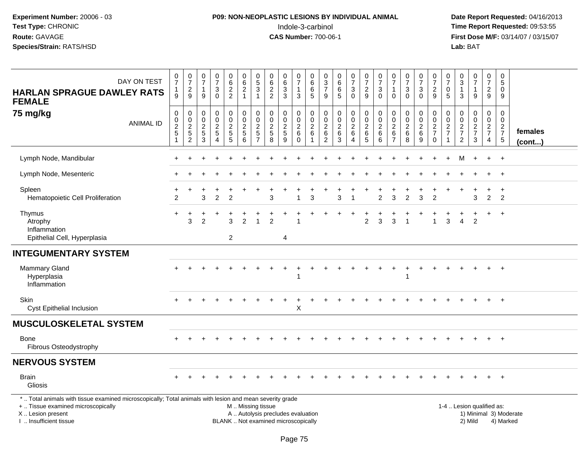# **P09: NON-NEOPLASTIC LESIONS BY INDIVIDUAL ANIMAL**Indole-3-carbinol **Time Report Requested:** 09:53:55

| DAY ON TEST<br><b>HARLAN SPRAGUE DAWLEY RATS</b><br><b>FEMALE</b>                                                                                                                             | $\begin{array}{c} 0 \\ 7 \end{array}$<br>$\mathbf{1}$<br>9     | $\frac{0}{7}$<br>$\sqrt{2}$<br>$\boldsymbol{9}$   | $\frac{0}{7}$<br>$\mathbf{1}$<br>9                    | $\frac{0}{7}$<br>3<br>$\Omega$                                      | $062$<br>22                             | $\begin{array}{c} 0 \\ 6 \end{array}$<br>$\overline{2}$<br>$\mathbf{1}$ | $\begin{smallmatrix}0\5\3\end{smallmatrix}$<br>$\overline{1}$ | $\begin{array}{c} 0 \\ 6 \end{array}$<br>$\overline{2}$<br>$\overline{2}$ | $\begin{array}{c} 0 \\ 6 \end{array}$<br>$\overline{3}$<br>$\mathbf{3}$ | $\frac{0}{7}$<br>1<br>$\sqrt{3}$                         | 0<br>$\overline{6}$<br>$\,6$<br>$\sqrt{5}$                          | $\begin{array}{c} 0 \\ 3 \\ 7 \end{array}$<br>$\boldsymbol{9}$  | $\begin{array}{c} 0 \\ 6 \end{array}$<br>$\overline{6}$<br>5 | $\begin{array}{c} 0 \\ 7 \end{array}$<br>$\ensuremath{\mathsf{3}}$<br>$\mathbf 0$ | $\frac{0}{7}$<br>$\sqrt{2}$<br>$\boldsymbol{9}$                            | $\begin{array}{c} 0 \\ 7 \end{array}$<br>3<br>$\Omega$   | $\frac{0}{7}$<br>$\mathbf{1}$<br>$\mathbf{0}$                     | $\begin{array}{c} 0 \\ 7 \end{array}$<br>3<br>$\Omega$ | $\begin{smallmatrix}0\\7\end{smallmatrix}$<br>$\ensuremath{\mathsf{3}}$<br>$\pmb{0}$ | $\frac{0}{7}$<br>$\overline{c}$<br>$\boldsymbol{9}$                                 | $\pmb{0}$<br>$\overline{7}$<br>$\pmb{0}$<br>$\sqrt{5}$     | $_{3}^{\rm 0}$<br>$\mathbf{1}$<br>$\mathbf{3}$              | $\begin{array}{c} 0 \\ 7 \end{array}$<br>$\mathbf{1}$<br>9 | $\frac{0}{7}$<br>$\overline{c}$<br>$\boldsymbol{9}$ | $\mathbf 0$<br>5<br>0<br>9                    |                        |
|-----------------------------------------------------------------------------------------------------------------------------------------------------------------------------------------------|----------------------------------------------------------------|---------------------------------------------------|-------------------------------------------------------|---------------------------------------------------------------------|-----------------------------------------|-------------------------------------------------------------------------|---------------------------------------------------------------|---------------------------------------------------------------------------|-------------------------------------------------------------------------|----------------------------------------------------------|---------------------------------------------------------------------|-----------------------------------------------------------------|--------------------------------------------------------------|-----------------------------------------------------------------------------------|----------------------------------------------------------------------------|----------------------------------------------------------|-------------------------------------------------------------------|--------------------------------------------------------|--------------------------------------------------------------------------------------|-------------------------------------------------------------------------------------|------------------------------------------------------------|-------------------------------------------------------------|------------------------------------------------------------|-----------------------------------------------------|-----------------------------------------------|------------------------|
| 75 mg/kg<br><b>ANIMAL ID</b>                                                                                                                                                                  | $\boldsymbol{0}$<br>$\pmb{0}$<br>$\frac{2}{5}$<br>$\mathbf{1}$ | 0<br>$\pmb{0}$<br>$\frac{2}{5}$<br>$\overline{2}$ | $\pmb{0}$<br>$\pmb{0}$<br>$\sqrt{2}$<br>$\frac{5}{3}$ | $\mathsf{O}$<br>$\boldsymbol{0}$<br>$\frac{2}{5}$<br>$\overline{4}$ | $\pmb{0}$<br>$\mathbf 0$<br>$rac{2}{5}$ | $\pmb{0}$<br>$\pmb{0}$<br>$\frac{2}{5}$<br>$6\overline{6}$              | $\pmb{0}$<br>$\pmb{0}$<br>$rac{2}{5}$                         | $\pmb{0}$<br>$\boldsymbol{0}$<br>$\sqrt{2}$<br>$\sqrt{5}$<br>8            | 0<br>$\pmb{0}$<br>$\frac{2}{5}$<br>$\overline{9}$                       | $\pmb{0}$<br>$\pmb{0}$<br>$\sqrt{2}$<br>6<br>$\mathbf 0$ | $\mathsf{O}\xspace$<br>$\pmb{0}$<br>$\sqrt{2}$<br>6<br>$\mathbf{1}$ | $\pmb{0}$<br>$\pmb{0}$<br>$\sqrt{2}$<br>$\,6$<br>$\overline{2}$ | 0<br>$\pmb{0}$<br>$\overline{c}$<br>$\,6$<br>$\overline{3}$  | $\mathbf 0$<br>$\overline{0}$<br>$\boldsymbol{2}$<br>6<br>$\overline{4}$          | $\pmb{0}$<br>$\overline{0}$<br>$\overline{2}$<br>$\,6\,$<br>$\overline{5}$ | $\pmb{0}$<br>$\pmb{0}$<br>$\sqrt{2}$<br>$\,6$<br>$\,6\,$ | $\pmb{0}$<br>$\pmb{0}$<br>$\sqrt{2}$<br>$\,6\,$<br>$\overline{7}$ | 0<br>$\mathbf 0$<br>$\boldsymbol{2}$<br>$\,6\,$<br>8   | 0<br>$\mathbf 0$<br>$\frac{2}{6}$<br>$\boldsymbol{9}$                                | $\mathbf 0$<br>$\pmb{0}$<br>$\overline{a}$<br>$\overline{7}$<br>$\mathsf{O}\xspace$ | 0<br>0<br>$\overline{c}$<br>$\overline{7}$<br>$\mathbf{1}$ | $\mathbf 0$<br>$\pmb{0}$<br>$\frac{2}{7}$<br>$\overline{c}$ | $\pmb{0}$<br>$\pmb{0}$<br>$\frac{2}{7}$<br>$\sqrt{3}$      | $\pmb{0}$<br>$\mathbf 0$<br>$\frac{2}{7}$<br>4      | $\pmb{0}$<br>0<br>$\frac{2}{7}$<br>$\sqrt{5}$ | females<br>(cont)      |
| Lymph Node, Mandibular                                                                                                                                                                        |                                                                |                                                   |                                                       |                                                                     |                                         |                                                                         |                                                               |                                                                           |                                                                         |                                                          |                                                                     |                                                                 |                                                              |                                                                                   |                                                                            |                                                          |                                                                   |                                                        |                                                                                      |                                                                                     |                                                            | M                                                           |                                                            | $+$                                                 | $+$                                           |                        |
| Lymph Node, Mesenteric                                                                                                                                                                        |                                                                |                                                   |                                                       |                                                                     |                                         |                                                                         |                                                               |                                                                           |                                                                         |                                                          |                                                                     |                                                                 |                                                              |                                                                                   |                                                                            |                                                          |                                                                   |                                                        |                                                                                      |                                                                                     |                                                            |                                                             |                                                            |                                                     | $\ddot{}$                                     |                        |
| Spleen<br>Hematopoietic Cell Proliferation                                                                                                                                                    | 2                                                              |                                                   | 3                                                     | $\overline{c}$                                                      | $\overline{2}$                          |                                                                         |                                                               | 3                                                                         |                                                                         |                                                          | 3                                                                   |                                                                 | 3                                                            |                                                                                   |                                                                            | $\overline{c}$                                           | 3                                                                 | $\overline{c}$                                         | 3                                                                                    | $\overline{2}$                                                                      |                                                            |                                                             | 3                                                          | $\ddot{}$<br>$\overline{2}$                         | $\ddot{}$<br>$\overline{2}$                   |                        |
| Thymus<br>Atrophy<br>Inflammation<br>Epithelial Cell, Hyperplasia                                                                                                                             | $\ddot{}$                                                      | 3                                                 | $\overline{2}$                                        |                                                                     | 3<br>$\overline{2}$                     | $\overline{c}$                                                          |                                                               | $\overline{2}$                                                            | 4                                                                       |                                                          |                                                                     |                                                                 |                                                              |                                                                                   | $\overline{c}$                                                             | 3                                                        | 3                                                                 |                                                        |                                                                                      | $\overline{1}$                                                                      | 3                                                          | $\overline{4}$                                              | $\overline{c}$                                             |                                                     | $+$                                           |                        |
| <b>INTEGUMENTARY SYSTEM</b>                                                                                                                                                                   |                                                                |                                                   |                                                       |                                                                     |                                         |                                                                         |                                                               |                                                                           |                                                                         |                                                          |                                                                     |                                                                 |                                                              |                                                                                   |                                                                            |                                                          |                                                                   |                                                        |                                                                                      |                                                                                     |                                                            |                                                             |                                                            |                                                     |                                               |                        |
| Mammary Gland<br>Hyperplasia<br>Inflammation                                                                                                                                                  |                                                                |                                                   |                                                       |                                                                     |                                         |                                                                         |                                                               |                                                                           |                                                                         |                                                          |                                                                     |                                                                 |                                                              |                                                                                   |                                                                            |                                                          |                                                                   | 1                                                      |                                                                                      |                                                                                     |                                                            |                                                             |                                                            |                                                     |                                               |                        |
| Skin<br>Cyst Epithelial Inclusion                                                                                                                                                             | $\pm$                                                          |                                                   |                                                       |                                                                     |                                         |                                                                         |                                                               |                                                                           |                                                                         | $\boldsymbol{\mathsf{X}}$                                |                                                                     |                                                                 |                                                              |                                                                                   |                                                                            |                                                          |                                                                   |                                                        |                                                                                      |                                                                                     |                                                            |                                                             |                                                            | $+$                                                 | $+$                                           |                        |
| <b>MUSCULOSKELETAL SYSTEM</b>                                                                                                                                                                 |                                                                |                                                   |                                                       |                                                                     |                                         |                                                                         |                                                               |                                                                           |                                                                         |                                                          |                                                                     |                                                                 |                                                              |                                                                                   |                                                                            |                                                          |                                                                   |                                                        |                                                                                      |                                                                                     |                                                            |                                                             |                                                            |                                                     |                                               |                        |
| <b>Bone</b><br>Fibrous Osteodystrophy                                                                                                                                                         |                                                                |                                                   |                                                       |                                                                     |                                         |                                                                         |                                                               |                                                                           |                                                                         |                                                          |                                                                     |                                                                 |                                                              |                                                                                   |                                                                            |                                                          |                                                                   |                                                        |                                                                                      |                                                                                     |                                                            |                                                             |                                                            | $+$                                                 | $+$                                           |                        |
| <b>NERVOUS SYSTEM</b>                                                                                                                                                                         |                                                                |                                                   |                                                       |                                                                     |                                         |                                                                         |                                                               |                                                                           |                                                                         |                                                          |                                                                     |                                                                 |                                                              |                                                                                   |                                                                            |                                                          |                                                                   |                                                        |                                                                                      |                                                                                     |                                                            |                                                             |                                                            |                                                     |                                               |                        |
| <b>Brain</b><br>Gliosis                                                                                                                                                                       |                                                                |                                                   |                                                       |                                                                     |                                         |                                                                         |                                                               |                                                                           |                                                                         |                                                          |                                                                     |                                                                 |                                                              |                                                                                   |                                                                            |                                                          |                                                                   |                                                        |                                                                                      |                                                                                     |                                                            |                                                             |                                                            | $+$                                                 | $+$                                           |                        |
| *  Total animals with tissue examined microscopically; Total animals with lesion and mean severity grade<br>+  Tissue examined microscopically<br>X  Lesion present<br>I. Insufficient tissue |                                                                |                                                   |                                                       |                                                                     |                                         | M  Missing tissue                                                       |                                                               | A  Autolysis precludes evaluation<br>BLANK  Not examined microscopically  |                                                                         |                                                          |                                                                     |                                                                 |                                                              |                                                                                   |                                                                            |                                                          |                                                                   |                                                        |                                                                                      |                                                                                     |                                                            | 1-4  Lesion qualified as:                                   | 2) Mild                                                    |                                                     | 4) Marked                                     | 1) Minimal 3) Moderate |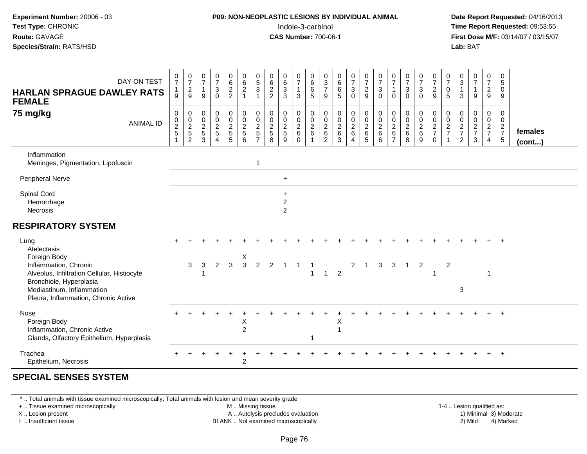## **P09: NON-NEOPLASTIC LESIONS BY INDIVIDUAL ANIMAL**Indole-3-carbinol **Time Report Requested:** 09:53:55

 **Date Report Requested:** 04/16/2013 **First Dose M/F:** 03/14/07 / 03/15/07<br>**Lab: BAT** 

| DAY ON TEST<br><b>HARLAN SPRAGUE DAWLEY RATS</b><br><b>FEMALE</b><br>75 mg/kg<br><b>ANIMAL ID</b>                                                                                                           | $\frac{0}{7}$<br>$\mathbf{1}$<br>9<br>$\mathbf 0$<br>$\pmb{0}$<br>$\frac{2}{5}$<br>$\mathbf{1}$ | $\frac{0}{7}$<br>$\overline{\mathbf{c}}$<br>9<br>0<br>$\boldsymbol{0}$<br>$\frac{2}{5}$<br>$\overline{c}$ | $\frac{0}{7}$<br>1<br>9<br>$\pmb{0}$<br>$\frac{0}{2}$<br>3 | $\frac{0}{7}$<br>$\sqrt{3}$<br>$\mathbf 0$<br>$\pmb{0}$<br>$\frac{0}{2}$<br>$\overline{4}$ | $_6^0$<br>$\frac{2}{2}$<br>0<br>$\frac{0}{2}$<br>$\overline{5}$ | $062$<br>$1$<br>$\mathbf 0$<br>$\mathsf 0$<br>$rac{2}{5}$<br>6 | $\begin{array}{c} 0 \\ 5 \end{array}$<br>$\ensuremath{\mathsf{3}}$<br>$\mathbf{1}$<br>$\mathbf 0$<br>$\mathbf 0$<br>$\overline{2}$<br>5<br>$\overline{7}$ | $\begin{matrix} 0 \\ 6 \\ 2 \end{matrix}$<br>$\overline{2}$<br>$\mathbf 0$<br>$\begin{smallmatrix} 0\\2 \end{smallmatrix}$<br>$\overline{5}$<br>8 | $_{6}^{\rm 0}$<br>$\mathbf{3}$<br>3<br>0<br>$\pmb{0}$<br>$rac{2}{5}$<br>9 | $\begin{smallmatrix}0\\7\end{smallmatrix}$<br>$\mathbf{1}$<br>3<br>$\pmb{0}$<br>$\frac{0}{2}$<br>$\Omega$ | $\begin{array}{c} 0 \\ 6 \end{array}$<br>$\,6\,$<br>5<br>0<br>$\frac{0}{2}$ 6 | $\frac{0}{3}$<br>$\overline{7}$<br>9<br>0<br>0<br>$\begin{array}{c} 2 \\ 6 \end{array}$<br>2 | $\begin{array}{c} 0 \\ 6 \end{array}$<br>$\,6\,$<br>5<br>$\pmb{0}$<br>$\frac{0}{2}$<br>$\,6\,$<br>3 | $\frac{0}{7}$<br>$\ensuremath{\mathsf{3}}$<br>$\mathbf 0$<br>$\mathbf 0$<br>$\pmb{0}$<br>$\begin{array}{c} 2 \\ 6 \end{array}$<br>4 | $\frac{0}{7}$<br>$\frac{2}{9}$<br>0<br>$\frac{0}{2}$<br>5 | $\begin{array}{c} 0 \\ 7 \end{array}$<br>$\ensuremath{\mathsf{3}}$<br>$\mathbf 0$<br>$\pmb{0}$<br>${\bf 0}$<br>$\boldsymbol{2}$<br>$\,6\,$<br>6 | $\frac{0}{7}$<br>$\mathbf{1}$<br>$\mathbf 0$<br>$\mathbf 0$<br>$\mathbf 0$<br>$\overline{2}$<br>$6\phantom{1}$ | $\frac{0}{7}$<br>$\ensuremath{\mathsf{3}}$<br>$\mathbf 0$<br>$\pmb{0}$<br>$\pmb{0}$<br>$\boldsymbol{2}$<br>$\,6\,$<br>8 | $\frac{0}{7}$<br>$\mathbf{3}$<br>$\mathbf 0$<br>0<br>$\pmb{0}$<br>$\overline{c}$<br>$\,6\,$<br>9 | $\frac{0}{7}$<br>$\frac{2}{9}$<br>$\pmb{0}$<br>$\frac{0}{2}$<br>$\Omega$ | $\frac{0}{7}$<br>0<br>5<br>0<br>$\pmb{0}$<br>$\frac{2}{7}$ | $\frac{0}{3}$<br>3<br>0<br>0<br>$\frac{2}{7}$<br>$\overline{2}$ | $\begin{smallmatrix}0\\7\end{smallmatrix}$<br>1<br>9<br>$\mathbf 0$<br>$\frac{0}{2}$<br>3 | $\frac{0}{7}$<br>$\overline{c}$<br>9<br>0<br>$\mathbf 0$<br>$rac{2}{7}$<br>$\overline{4}$ | 0<br>$5\,$<br>$\mathbf 0$<br>9<br>$\mathbf 0$<br>$\mathbf 0$<br>$\frac{2}{7}$<br>$5\phantom{.0}$ | females<br>$($ cont $)$ |
|-------------------------------------------------------------------------------------------------------------------------------------------------------------------------------------------------------------|-------------------------------------------------------------------------------------------------|-----------------------------------------------------------------------------------------------------------|------------------------------------------------------------|--------------------------------------------------------------------------------------------|-----------------------------------------------------------------|----------------------------------------------------------------|-----------------------------------------------------------------------------------------------------------------------------------------------------------|---------------------------------------------------------------------------------------------------------------------------------------------------|---------------------------------------------------------------------------|-----------------------------------------------------------------------------------------------------------|-------------------------------------------------------------------------------|----------------------------------------------------------------------------------------------|-----------------------------------------------------------------------------------------------------|-------------------------------------------------------------------------------------------------------------------------------------|-----------------------------------------------------------|-------------------------------------------------------------------------------------------------------------------------------------------------|----------------------------------------------------------------------------------------------------------------|-------------------------------------------------------------------------------------------------------------------------|--------------------------------------------------------------------------------------------------|--------------------------------------------------------------------------|------------------------------------------------------------|-----------------------------------------------------------------|-------------------------------------------------------------------------------------------|-------------------------------------------------------------------------------------------|--------------------------------------------------------------------------------------------------|-------------------------|
| Inflammation<br>Meninges, Pigmentation, Lipofuscin                                                                                                                                                          |                                                                                                 |                                                                                                           |                                                            |                                                                                            |                                                                 |                                                                | 1                                                                                                                                                         |                                                                                                                                                   |                                                                           |                                                                                                           |                                                                               |                                                                                              |                                                                                                     |                                                                                                                                     |                                                           |                                                                                                                                                 |                                                                                                                |                                                                                                                         |                                                                                                  |                                                                          |                                                            |                                                                 |                                                                                           |                                                                                           |                                                                                                  |                         |
| <b>Peripheral Nerve</b>                                                                                                                                                                                     |                                                                                                 |                                                                                                           |                                                            |                                                                                            |                                                                 |                                                                |                                                                                                                                                           |                                                                                                                                                   | $+$                                                                       |                                                                                                           |                                                                               |                                                                                              |                                                                                                     |                                                                                                                                     |                                                           |                                                                                                                                                 |                                                                                                                |                                                                                                                         |                                                                                                  |                                                                          |                                                            |                                                                 |                                                                                           |                                                                                           |                                                                                                  |                         |
| Spinal Cord<br>Hemorrhage<br>Necrosis                                                                                                                                                                       |                                                                                                 |                                                                                                           |                                                            |                                                                                            |                                                                 |                                                                |                                                                                                                                                           |                                                                                                                                                   | $\ddot{}$<br>$\overline{c}$<br>$\overline{2}$                             |                                                                                                           |                                                                               |                                                                                              |                                                                                                     |                                                                                                                                     |                                                           |                                                                                                                                                 |                                                                                                                |                                                                                                                         |                                                                                                  |                                                                          |                                                            |                                                                 |                                                                                           |                                                                                           |                                                                                                  |                         |
| <b>RESPIRATORY SYSTEM</b>                                                                                                                                                                                   |                                                                                                 |                                                                                                           |                                                            |                                                                                            |                                                                 |                                                                |                                                                                                                                                           |                                                                                                                                                   |                                                                           |                                                                                                           |                                                                               |                                                                                              |                                                                                                     |                                                                                                                                     |                                                           |                                                                                                                                                 |                                                                                                                |                                                                                                                         |                                                                                                  |                                                                          |                                                            |                                                                 |                                                                                           |                                                                                           |                                                                                                  |                         |
| Lung<br>Atelectasis<br>Foreign Body<br>Inflammation, Chronic<br>Alveolus, Infiltration Cellular, Histiocyte<br>Bronchiole, Hyperplasia<br>Mediastinum, Inflammation<br>Pleura, Inflammation, Chronic Active |                                                                                                 | 3                                                                                                         | 3                                                          | $\overline{2}$                                                                             | 3                                                               | X<br>$\mathbf{3}$                                              | $\overline{2}$                                                                                                                                            | $\overline{2}$                                                                                                                                    |                                                                           |                                                                                                           | $\overline{1}$                                                                | $\overline{1}$                                                                               | $\overline{2}$                                                                                      | 2                                                                                                                                   | $\mathbf{1}$                                              | 3                                                                                                                                               | 3                                                                                                              | $\overline{1}$                                                                                                          | $\overline{2}$                                                                                   |                                                                          | $\overline{2}$                                             | 3                                                               |                                                                                           |                                                                                           |                                                                                                  |                         |
| Nose<br>Foreign Body<br>Inflammation, Chronic Active<br>Glands, Olfactory Epithelium, Hyperplasia                                                                                                           |                                                                                                 |                                                                                                           |                                                            |                                                                                            |                                                                 | X<br>$\overline{2}$                                            |                                                                                                                                                           |                                                                                                                                                   |                                                                           |                                                                                                           |                                                                               |                                                                                              | х                                                                                                   |                                                                                                                                     |                                                           |                                                                                                                                                 |                                                                                                                |                                                                                                                         |                                                                                                  |                                                                          |                                                            |                                                                 |                                                                                           |                                                                                           |                                                                                                  |                         |
| Trachea<br>Epithelium, Necrosis                                                                                                                                                                             |                                                                                                 |                                                                                                           |                                                            |                                                                                            |                                                                 | 2                                                              |                                                                                                                                                           |                                                                                                                                                   |                                                                           |                                                                                                           |                                                                               |                                                                                              |                                                                                                     |                                                                                                                                     |                                                           |                                                                                                                                                 |                                                                                                                |                                                                                                                         |                                                                                                  |                                                                          |                                                            |                                                                 |                                                                                           |                                                                                           | $+$                                                                                              |                         |

### **SPECIAL SENSES SYSTEM**

\* .. Total animals with tissue examined microscopically; Total animals with lesion and mean severity grade

+ .. Tissue examined microscopically

X .. Lesion present

I .. Insufficient tissue

M .. Missing tissue

A .. Autolysis precludes evaluation

BLANK .. Not examined microscopically 2) Mild 4) Marked

1-4 .. Lesion qualified as:<br>1) Minimal 3) Moderate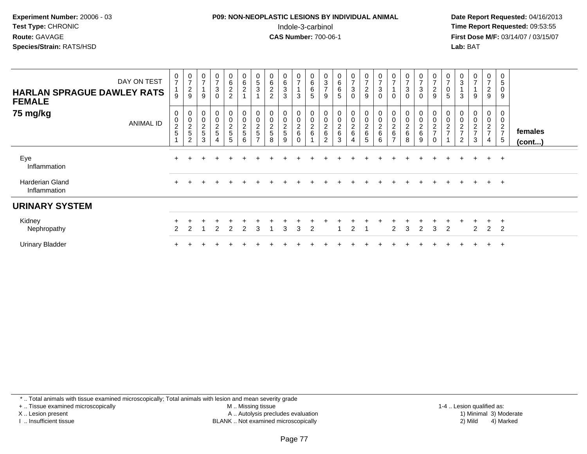# **P09: NON-NEOPLASTIC LESIONS BY INDIVIDUAL ANIMAL**Indole-3-carbinol **Time Report Requested:** 09:53:55

 **Date Report Requested:** 04/16/2013 **First Dose M/F:** 03/14/07 / 03/15/07<br>**Lab: BAT Lab:** BAT

| <b>HARLAN SPRAGUE DAWLEY RATS</b><br><b>FEMALE</b> | DAY ON TEST | $\frac{0}{7}$<br>9                                                | $\frac{0}{7}$<br>$\overline{c}$<br>$\boldsymbol{9}$ | $\frac{0}{7}$<br>$9\,$                            | $\pmb{0}$<br>$\overline{7}$<br>$\ensuremath{\mathsf{3}}$<br>0             | $\mathbf 0$<br>6<br>$\overline{c}$<br>$\overline{c}$ | $\overline{0}$<br>6<br>$\overline{a}$<br>$\blacktriangleleft$ | $\mathbf 0$<br>5<br>3                     | $\pmb{0}$<br>$\,6$<br>$\overline{c}$<br>$\boldsymbol{2}$ | 0<br>$\,6\,$<br>$\sqrt{3}$<br>3 | $\frac{0}{7}$<br>3                             | $\pmb{0}$<br>$\,6\,$<br>$\,6\,$<br>$\sqrt{5}$ | $\mathbf 0$<br>$\ensuremath{\mathsf{3}}$<br>$\overline{ }$<br>9 | $\mathbf 0$<br>$\,6$<br>6<br>5                     | 0<br>$\overline{ }$<br>3<br>$\mathbf 0$ | $\frac{0}{7}$<br>$\boldsymbol{2}$<br>9 | $\frac{0}{7}$<br>$\sqrt{3}$<br>0                                   | 0<br>$\rightarrow$<br>$\Omega$                   | $\boldsymbol{0}$<br>$\overline{ }$<br>$\ensuremath{\mathsf{3}}$<br>$\mathbf 0$ | $\frac{0}{7}$<br>$\ensuremath{\mathsf{3}}$<br>0 | $\frac{0}{7}$<br>$\overline{c}$<br>$\boldsymbol{9}$               | 0<br>$\overline{ }$<br>0<br>5   | $\pmb{0}$<br>3<br>3                               | $\mathbf 0$<br>$\overline{ }$<br>$\overline{ }$<br>9 | 0<br>$\overline{ }$<br>$\overline{c}$<br>9 | 0<br>$\sqrt{5}$<br>$\mathbf 0$<br>9           |                         |
|----------------------------------------------------|-------------|-------------------------------------------------------------------|-----------------------------------------------------|---------------------------------------------------|---------------------------------------------------------------------------|------------------------------------------------------|---------------------------------------------------------------|-------------------------------------------|----------------------------------------------------------|---------------------------------|------------------------------------------------|-----------------------------------------------|-----------------------------------------------------------------|----------------------------------------------------|-----------------------------------------|----------------------------------------|--------------------------------------------------------------------|--------------------------------------------------|--------------------------------------------------------------------------------|-------------------------------------------------|-------------------------------------------------------------------|---------------------------------|---------------------------------------------------|------------------------------------------------------|--------------------------------------------|-----------------------------------------------|-------------------------|
| 75 mg/kg                                           | ANIMAL ID   | 0<br>$\begin{array}{c} 0 \\ 2 \\ 5 \end{array}$<br>$\overline{A}$ | 0<br>$\frac{0}{2}$<br>$\overline{c}$                | $\boldsymbol{0}$<br>$\frac{0}{2}$<br>$\mathbf{3}$ | $\pmb{0}$<br>$\begin{array}{c} 0 \\ 2 \\ 5 \end{array}$<br>$\overline{4}$ | 0<br>0<br>$\frac{2}{5}$<br>5                         | 0<br>$\pmb{0}$<br>$\frac{2}{5}$<br>6                          | 0<br>0<br>$\frac{2}{5}$<br>$\overline{ }$ | 0<br>$\pmb{0}$<br>$\frac{2}{5}$<br>8                     | 0<br>0<br>$\frac{2}{5}$<br>9    | 0<br>$\pmb{0}$<br>$\frac{2}{6}$<br>$\mathbf 0$ | 0<br>$\pmb{0}$<br>$\frac{2}{6}$               | $\pmb{0}$<br>$\,0\,$<br>$\frac{2}{6}$<br>$\overline{2}$         | 0<br>$\pmb{0}$<br>$\boldsymbol{2}$<br>$\,6\,$<br>3 | 0<br>0<br>$\frac{2}{6}$<br>4            | 0<br>$\pmb{0}$<br>$\frac{2}{6}$<br>5   | 0<br>$\pmb{0}$<br>$\begin{array}{c} 2 \\ 6 \end{array}$<br>$\,6\,$ | 0<br>$\overline{c}$<br>$\,6\,$<br>$\overline{ }$ | 0<br>$\pmb{0}$<br>$\frac{2}{6}$<br>8                                           | 0<br>0<br>$\frac{2}{6}$<br>9                    | 0<br>$\pmb{0}$<br>$\overline{c}$<br>$\overline{7}$<br>$\mathbf 0$ | 0<br>$\pmb{0}$<br>$\frac{2}{7}$ | 0<br>$\pmb{0}$<br>$\frac{2}{7}$<br>$\overline{2}$ | 0<br>$\mathbf 0$<br>$\frac{2}{7}$<br>3               | 0<br>0<br>$\frac{2}{7}$<br>$\overline{4}$  | 0<br>$\pmb{0}$<br>$\frac{2}{7}$<br>$\sqrt{5}$ | females<br>$($ cont $)$ |
| Eye<br>Inflammation                                |             |                                                                   |                                                     |                                                   |                                                                           |                                                      |                                                               |                                           |                                                          |                                 |                                                |                                               |                                                                 |                                                    |                                         |                                        |                                                                    |                                                  |                                                                                |                                                 |                                                                   |                                 |                                                   |                                                      | $+$                                        | $+$                                           |                         |
| <b>Harderian Gland</b><br>Inflammation             |             | $\pm$                                                             |                                                     |                                                   |                                                                           |                                                      |                                                               |                                           |                                                          |                                 |                                                |                                               |                                                                 |                                                    |                                         |                                        |                                                                    |                                                  |                                                                                |                                                 |                                                                   |                                 |                                                   |                                                      | $+$                                        | $+$                                           |                         |
| <b>URINARY SYSTEM</b>                              |             |                                                                   |                                                     |                                                   |                                                                           |                                                      |                                                               |                                           |                                                          |                                 |                                                |                                               |                                                                 |                                                    |                                         |                                        |                                                                    |                                                  |                                                                                |                                                 |                                                                   |                                 |                                                   |                                                      |                                            |                                               |                         |
| Kidney<br>Nephropathy                              |             |                                                                   |                                                     |                                                   | 2                                                                         | 2                                                    | 2                                                             | 3                                         |                                                          | 3                               | 3                                              | 2                                             |                                                                 |                                                    | $\overline{2}$                          |                                        |                                                                    | 2                                                | 3                                                                              | $\overline{2}$                                  | 3                                                                 | 2                               |                                                   | 2                                                    | $\pm$<br>$\overline{2}$                    | $\pm$<br>$\overline{2}$                       |                         |
| <b>Urinary Bladder</b>                             |             |                                                                   |                                                     |                                                   |                                                                           |                                                      |                                                               |                                           |                                                          |                                 |                                                |                                               |                                                                 |                                                    |                                         |                                        |                                                                    |                                                  |                                                                                |                                                 |                                                                   |                                 |                                                   |                                                      | $+$                                        | $+$                                           |                         |

\* .. Total animals with tissue examined microscopically; Total animals with lesion and mean severity grade

+ .. Tissue examined microscopically

X .. Lesion present

I .. Insufficient tissue

M .. Missing tissue

Lesion present A .. Autolysis precludes evaluation 1) Minimal 3) Moderate

 1-4 .. Lesion qualified as: BLANK .. Not examined microscopically 2) Mild 4) Marked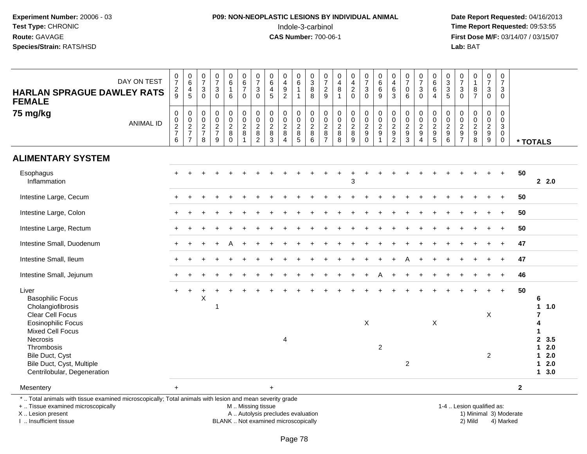# **P09: NON-NEOPLASTIC LESIONS BY INDIVIDUAL ANIMAL**Indole-3-carbinol **Time Report Requested:** 09:53:55

 **Date Report Requested:** 04/16/2013 **First Dose M/F:** 03/14/07 / 03/15/07<br>**Lab:** BAT

| DAY ON TEST<br><b>HARLAN SPRAGUE DAWLEY RATS</b><br><b>FEMALE</b>                                                                              | $\begin{array}{c} 0 \\ 7 \end{array}$<br>$\frac{2}{9}$              | $\begin{array}{c} 0 \\ 6 \end{array}$<br>$\overline{4}$<br>$\overline{5}$ | $\frac{0}{7}$<br>$\ensuremath{\mathsf{3}}$<br>$\Omega$ | $\frac{0}{7}$<br>$\sqrt{3}$<br>$\Omega$                           | $_{6}^{\rm 0}$<br>$\mathbf{1}$<br>$6\phantom{1}$         | $\begin{array}{c} 0 \\ 6 \\ 7 \end{array}$<br>$\overline{0}$ | $\begin{array}{c} 0 \\ 7 \end{array}$<br>$\sqrt{3}$<br>$\mathbf 0$ | $\begin{array}{c} 0 \\ 6 \end{array}$<br>$\overline{4}$<br>$\overline{5}$ | $\pmb{0}$<br>$\overline{4}$<br>$\overline{9}$<br>$\overline{2}$ | $\begin{array}{c} 0 \\ 6 \end{array}$<br>$\mathbf{1}$<br>$\mathbf{1}$ | $_3^0$<br>$\overline{8}$<br>8                 | $\frac{0}{7}$<br>$\frac{2}{9}$                                    | $\pmb{0}$<br>4<br>8<br>$\overline{1}$             | $\begin{array}{c} 0 \\ 4 \\ 2 \\ 0 \end{array}$           | $\begin{smallmatrix} 0\\7 \end{smallmatrix}$<br>$\frac{3}{0}$ | $\begin{array}{c} 0 \\ 6 \end{array}$<br>$\,6$<br>9         | $\pmb{0}$<br>$\overline{4}$<br>$\overline{6}$<br>$\sqrt{3}$ | $\frac{0}{7}$<br>$\pmb{0}$<br>$6\phantom{1}$                      | $\frac{0}{7}$<br>3<br>$\overline{0}$                | $_6^0$<br>$\overline{6}$<br>$\overline{4}$          | 0<br>3<br>3<br>5                                          | $\begin{array}{c} 0 \\ 7 \end{array}$<br>$_0^3$                    | $\begin{smallmatrix}0\\1\end{smallmatrix}$<br>$\bf 8$<br>$\overline{7}$ | $\begin{smallmatrix}0\\7\end{smallmatrix}$<br>$\mathsf 3$<br>$\ddot{\mathbf{0}}$ | $\frac{0}{7}$<br>3<br>$\mathbf 0$                   |                      |                                                                 |
|------------------------------------------------------------------------------------------------------------------------------------------------|---------------------------------------------------------------------|---------------------------------------------------------------------------|--------------------------------------------------------|-------------------------------------------------------------------|----------------------------------------------------------|--------------------------------------------------------------|--------------------------------------------------------------------|---------------------------------------------------------------------------|-----------------------------------------------------------------|-----------------------------------------------------------------------|-----------------------------------------------|-------------------------------------------------------------------|---------------------------------------------------|-----------------------------------------------------------|---------------------------------------------------------------|-------------------------------------------------------------|-------------------------------------------------------------|-------------------------------------------------------------------|-----------------------------------------------------|-----------------------------------------------------|-----------------------------------------------------------|--------------------------------------------------------------------|-------------------------------------------------------------------------|----------------------------------------------------------------------------------|-----------------------------------------------------|----------------------|-----------------------------------------------------------------|
| 75 mg/kg<br><b>ANIMAL ID</b>                                                                                                                   | $\boldsymbol{0}$<br>$\begin{array}{c} 0 \\ 2 \\ 7 \end{array}$<br>6 | $\pmb{0}$<br>$\begin{array}{c} 0 \\ 2 \\ 7 \end{array}$<br>$\overline{7}$ | $\pmb{0}$<br>$\mathbf 0$<br>$\frac{2}{7}$<br>8         | $\pmb{0}$<br>$\mathbf 0$<br>$\overline{c}$<br>$\overline{7}$<br>9 | $\mathbf 0$<br>$\mathbf 0$<br>$\frac{2}{8}$<br>$\bar{0}$ | $\pmb{0}$<br>$\mathbf 0$<br>$\frac{2}{8}$<br>$\mathbf{1}$    | $\pmb{0}$<br>$\pmb{0}$<br>$_{8}^{\rm 2}$<br>$\overline{2}$         | $\begin{smallmatrix} 0\\0 \end{smallmatrix}$<br>$\frac{2}{8}$<br>3        | $\pmb{0}$<br>$\mathbf 0$<br>$\sqrt{2}$<br>8<br>$\overline{4}$   | $\,0\,$<br>$\mathbf 0$<br>$\frac{2}{8}$<br>$\overline{5}$             | $\pmb{0}$<br>$\mathsf 0$<br>$_{\rm 8}^2$<br>6 | 0<br>$\mathsf{O}\xspace$<br>$\overline{c}$<br>8<br>$\overline{7}$ | $\pmb{0}$<br>0<br>$\frac{2}{8}$<br>$\overline{8}$ | $\pmb{0}$<br>$\pmb{0}$<br>$\frac{2}{8}$<br>$\overline{9}$ | $\pmb{0}$<br>$\mathsf 0$<br>$\frac{2}{9}$<br>$\mathbf 0$      | $\pmb{0}$<br>$\mathbf 0$<br>$\frac{2}{9}$<br>$\overline{1}$ | $\pmb{0}$<br>$\mathbf 0$<br>$\frac{2}{9}$<br>$\overline{2}$ | $\pmb{0}$<br>$\mathbf 0$<br>$\boldsymbol{2}$<br>9<br>$\mathbf{3}$ | 0<br>$\mathbf 0$<br>$\frac{2}{9}$<br>$\overline{4}$ | 0<br>$\mathbf 0$<br>$\frac{2}{9}$<br>$\overline{5}$ | $\pmb{0}$<br>$\pmb{0}$<br>$\frac{2}{9}$<br>$\overline{6}$ | $\boldsymbol{0}$<br>$\mathbf 0$<br>$\frac{2}{9}$<br>$\overline{7}$ | $\mathbf 0$<br>$\mathbf 0$<br>$\frac{2}{9}$<br>$\overline{8}$           | 0<br>$\mathbf 0$<br>$\frac{2}{9}$                                                | 0<br>$\mathbf 0$<br>3<br>$\mathbf 0$<br>$\mathbf 0$ | * TOTALS             |                                                                 |
| <b>ALIMENTARY SYSTEM</b>                                                                                                                       |                                                                     |                                                                           |                                                        |                                                                   |                                                          |                                                              |                                                                    |                                                                           |                                                                 |                                                                       |                                               |                                                                   |                                                   |                                                           |                                                               |                                                             |                                                             |                                                                   |                                                     |                                                     |                                                           |                                                                    |                                                                         |                                                                                  |                                                     |                      |                                                                 |
| Esophagus<br>Inflammation                                                                                                                      |                                                                     |                                                                           |                                                        |                                                                   |                                                          |                                                              |                                                                    |                                                                           |                                                                 |                                                                       |                                               |                                                                   |                                                   | $\mathbf{3}$                                              |                                                               |                                                             |                                                             |                                                                   |                                                     |                                                     |                                                           |                                                                    |                                                                         |                                                                                  |                                                     | 50                   | 2.2.0                                                           |
| Intestine Large, Cecum                                                                                                                         |                                                                     |                                                                           |                                                        |                                                                   |                                                          |                                                              |                                                                    |                                                                           |                                                                 |                                                                       |                                               |                                                                   |                                                   |                                                           |                                                               |                                                             |                                                             |                                                                   |                                                     |                                                     |                                                           |                                                                    |                                                                         |                                                                                  |                                                     | 50                   |                                                                 |
| Intestine Large, Colon                                                                                                                         |                                                                     |                                                                           |                                                        |                                                                   |                                                          |                                                              |                                                                    |                                                                           |                                                                 |                                                                       |                                               |                                                                   |                                                   |                                                           |                                                               |                                                             |                                                             |                                                                   |                                                     |                                                     |                                                           |                                                                    |                                                                         |                                                                                  |                                                     | 50                   |                                                                 |
| Intestine Large, Rectum                                                                                                                        |                                                                     |                                                                           |                                                        |                                                                   |                                                          |                                                              |                                                                    |                                                                           |                                                                 |                                                                       |                                               |                                                                   |                                                   |                                                           |                                                               |                                                             |                                                             |                                                                   |                                                     |                                                     |                                                           |                                                                    |                                                                         |                                                                                  | $\ddot{}$                                           | 50                   |                                                                 |
| Intestine Small, Duodenum                                                                                                                      |                                                                     |                                                                           |                                                        |                                                                   |                                                          |                                                              |                                                                    |                                                                           |                                                                 |                                                                       |                                               |                                                                   |                                                   |                                                           |                                                               |                                                             |                                                             |                                                                   |                                                     |                                                     |                                                           |                                                                    |                                                                         |                                                                                  | $\ddot{}$                                           | 47                   |                                                                 |
| Intestine Small, Ileum                                                                                                                         | $\pm$                                                               |                                                                           |                                                        |                                                                   |                                                          |                                                              |                                                                    |                                                                           |                                                                 |                                                                       |                                               |                                                                   |                                                   |                                                           |                                                               |                                                             |                                                             |                                                                   |                                                     |                                                     |                                                           |                                                                    |                                                                         |                                                                                  | $\ddot{}$                                           | 47                   |                                                                 |
| Intestine Small, Jejunum                                                                                                                       |                                                                     |                                                                           |                                                        |                                                                   |                                                          |                                                              |                                                                    |                                                                           |                                                                 |                                                                       |                                               |                                                                   |                                                   |                                                           |                                                               |                                                             |                                                             |                                                                   |                                                     |                                                     |                                                           |                                                                    |                                                                         |                                                                                  |                                                     | 46                   |                                                                 |
| Liver<br><b>Basophilic Focus</b><br>Cholangiofibrosis<br>Clear Cell Focus<br><b>Eosinophilic Focus</b>                                         |                                                                     |                                                                           | X                                                      |                                                                   |                                                          |                                                              |                                                                    |                                                                           |                                                                 |                                                                       |                                               |                                                                   |                                                   |                                                           | X                                                             |                                                             |                                                             |                                                                   |                                                     | X                                                   |                                                           |                                                                    |                                                                         | Χ                                                                                | $\ddot{}$                                           | 50<br>$\overline{7}$ | 6<br>1<br>1.0<br>4                                              |
| <b>Mixed Cell Focus</b><br><b>Necrosis</b><br>Thrombosis<br>Bile Duct, Cyst<br>Bile Duct, Cyst, Multiple<br>Centrilobular, Degeneration        |                                                                     |                                                                           |                                                        |                                                                   |                                                          |                                                              |                                                                    |                                                                           | 4                                                               |                                                                       |                                               |                                                                   |                                                   |                                                           |                                                               | $\overline{2}$                                              |                                                             | $\overline{c}$                                                    |                                                     |                                                     |                                                           |                                                                    |                                                                         | $\overline{c}$                                                                   |                                                     | $\mathbf{1}$         | $\mathbf{2}$<br>3.5<br>2.0<br>1<br>2.0<br>1<br>2.0<br>1<br>13.0 |
| Mesentery                                                                                                                                      | $\ddot{}$                                                           |                                                                           |                                                        |                                                                   |                                                          |                                                              |                                                                    | $+$                                                                       |                                                                 |                                                                       |                                               |                                                                   |                                                   |                                                           |                                                               |                                                             |                                                             |                                                                   |                                                     |                                                     |                                                           |                                                                    |                                                                         |                                                                                  |                                                     | $\overline{2}$       |                                                                 |
| *  Total animals with tissue examined microscopically; Total animals with lesion and mean severity grade<br>+  Tissue examined microscopically |                                                                     |                                                                           |                                                        |                                                                   |                                                          | M  Missing tissue                                            |                                                                    |                                                                           |                                                                 |                                                                       |                                               |                                                                   |                                                   |                                                           |                                                               |                                                             |                                                             |                                                                   |                                                     |                                                     |                                                           |                                                                    | 1-4  Lesion qualified as:                                               |                                                                                  |                                                     |                      |                                                                 |

X .. Lesion present

I .. Insufficient tissue

BLANK .. Not examined microscopically

A .. Autolysis precludes evaluation and the series of the series of the series of the series of the series of the series of the series of the series of the series of the series of the series of the series of the series of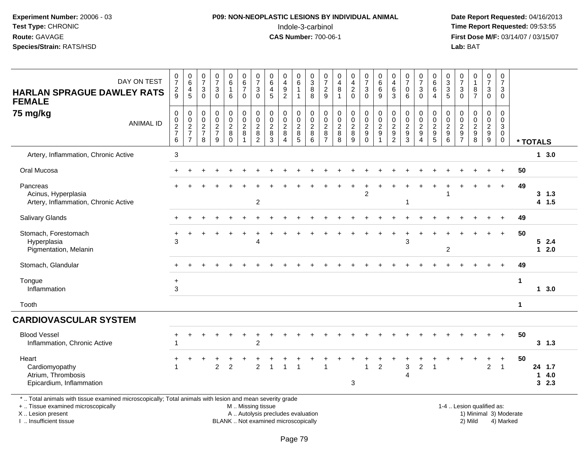# **P09: NON-NEOPLASTIC LESIONS BY INDIVIDUAL ANIMAL**Indole-3-carbinol **Time Report Requested:** 09:53:55

 **Date Report Requested:** 04/16/2013 **First Dose M/F:** 03/14/07 / 03/15/07<br>**Lab:** BAT

| DAY ON TEST                                                                                                                                   | $\frac{0}{7}$                         | $\begin{array}{c} 0 \\ 6 \end{array}$ | $\frac{0}{7}$<br>$\sqrt{3}$                    | $\frac{0}{7}$<br>$\sqrt{3}$     | 0<br>$6\phantom{a}$<br>$\mathbf{1}$               | $\begin{array}{c} 0 \\ 6 \\ 7 \end{array}$                      | $\begin{array}{c} 0 \\ 7 \end{array}$<br>3                      | $_{6}^{\rm 0}$<br>$\overline{4}$                        | 0<br>$\overline{\mathbf{4}}$<br>$\boldsymbol{9}$ | 0<br>$6\phantom{a}$<br>$\mathbf{1}$ | $\begin{array}{c} 0 \\ 3 \\ 8 \end{array}$       | 0<br>$\overline{7}$<br>$\overline{c}$                      | 0<br>$\overline{\mathbf{4}}$<br>8                  | 0<br>$\frac{4}{2}$                   | $\frac{0}{7}$<br>$\mathbf{3}$                                                      | $\begin{array}{c} 0 \\ 6 \end{array}$<br>$\,6\,$                  | 0<br>$\overline{\mathbf{4}}$<br>6                     | $\frac{0}{7}$<br>$\pmb{0}$                                        | $\frac{0}{7}$<br>$\ensuremath{\mathsf{3}}$                               | 0<br>$\,6\,$<br>$\,6\,$                                      | 0<br>$\ensuremath{\mathsf{3}}$<br>$\sqrt{3}$            | $\frac{0}{7}$<br>$\mathbf{3}$         | $\begin{smallmatrix}0\1\end{smallmatrix}$<br>8              | $\begin{smallmatrix}0\\7\end{smallmatrix}$<br>$\mathbf{3}$ | 0<br>$\overline{7}$<br>3                                                 |             |                     |     |
|-----------------------------------------------------------------------------------------------------------------------------------------------|---------------------------------------|---------------------------------------|------------------------------------------------|---------------------------------|---------------------------------------------------|-----------------------------------------------------------------|-----------------------------------------------------------------|---------------------------------------------------------|--------------------------------------------------|-------------------------------------|--------------------------------------------------|------------------------------------------------------------|----------------------------------------------------|--------------------------------------|------------------------------------------------------------------------------------|-------------------------------------------------------------------|-------------------------------------------------------|-------------------------------------------------------------------|--------------------------------------------------------------------------|--------------------------------------------------------------|---------------------------------------------------------|---------------------------------------|-------------------------------------------------------------|------------------------------------------------------------|--------------------------------------------------------------------------|-------------|---------------------|-----|
| <b>HARLAN SPRAGUE DAWLEY RATS</b><br><b>FEMALE</b>                                                                                            | $\frac{2}{9}$                         | $\frac{4}{5}$                         | $\Omega$                                       | $\Omega$                        | 6                                                 | $\mathbf 0$                                                     | $\Omega$                                                        | 5                                                       | $\overline{2}$                                   |                                     | 8                                                | 9                                                          | 1                                                  | $\Omega$                             | $\Omega$                                                                           | 9                                                                 | 3                                                     | 6                                                                 | $\mathbf{0}$                                                             | $\overline{4}$                                               | 5                                                       | $\Omega$                              | $\overline{7}$                                              | 0                                                          | $\mathbf 0$                                                              |             |                     |     |
| 75 mg/kg<br><b>ANIMAL ID</b>                                                                                                                  | $\pmb{0}$<br>$\frac{0}{2}$<br>$\,6\,$ | 00027<br>$\overline{7}$               | $\mathbf 0$<br>$\pmb{0}$<br>$\frac{2}{7}$<br>8 | $\pmb{0}$<br>$\frac{0}{2}$<br>9 | 0<br>$\pmb{0}$<br>$\overline{2}$<br>8<br>$\Omega$ | $\begin{array}{c} 0 \\ 0 \\ 2 \\ 8 \end{array}$<br>$\mathbf{1}$ | $\pmb{0}$<br>$\pmb{0}$<br>$\overline{2}$<br>8<br>$\overline{2}$ | 0<br>$\pmb{0}$<br>$\overline{2}$<br>8<br>$\overline{3}$ | $\pmb{0}$<br>$\frac{0}{2}$<br>$\overline{4}$     | 0<br>$\mathbf 0$<br>$rac{2}{8}$     | $\pmb{0}$<br>$\frac{0}{2}$<br>$\,8\,$<br>$\,6\,$ | 0<br>$\boldsymbol{0}$<br>$\sqrt{2}$<br>8<br>$\overline{7}$ | $\pmb{0}$<br>$\pmb{0}$<br>$\overline{c}$<br>8<br>8 | 0<br>$\pmb{0}$<br>$\frac{2}{8}$<br>9 | $\begin{smallmatrix} 0\\0\\2 \end{smallmatrix}$<br>$\boldsymbol{9}$<br>$\mathbf 0$ | $\begin{array}{c} 0 \\ 0 \\ 2 \\ 9 \end{array}$<br>$\overline{1}$ | $\pmb{0}$<br>$\pmb{0}$<br>$\sqrt{2}$<br>$\frac{9}{2}$ | $\begin{array}{c} 0 \\ 0 \\ 2 \\ 9 \end{array}$<br>$\overline{3}$ | 0<br>$\mathsf 0$<br>$\overline{2}$<br>$\boldsymbol{9}$<br>$\overline{4}$ | $\,0\,$<br>$\begin{array}{c}\n0 \\ 2 \\ 9 \\ 5\n\end{array}$ | 0<br>$\mathbf 0$<br>$\sqrt{2}$<br>$\boldsymbol{9}$<br>6 | $\pmb{0}$<br>$0$<br>$2$<br>$9$<br>$7$ | 0<br>$\mathsf{O}\xspace$<br>$\overline{2}$<br>$\frac{9}{8}$ | $\pmb{0}$<br>$\begin{array}{c} 0 \\ 2 \\ 9 \end{array}$    | 0<br>$\mathsf{O}\xspace$<br>$\mathfrak{S}$<br>$\mathsf 0$<br>$\mathbf 0$ |             | * TOTALS            |     |
| Artery, Inflammation, Chronic Active                                                                                                          | $\mathbf{3}$                          |                                       |                                                |                                 |                                                   |                                                                 |                                                                 |                                                         |                                                  |                                     |                                                  |                                                            |                                                    |                                      |                                                                                    |                                                                   |                                                       |                                                                   |                                                                          |                                                              |                                                         |                                       |                                                             |                                                            |                                                                          |             | $1 \quad 3.0$       |     |
| Oral Mucosa                                                                                                                                   | $+$                                   |                                       |                                                |                                 |                                                   |                                                                 |                                                                 |                                                         |                                                  |                                     |                                                  |                                                            |                                                    |                                      |                                                                                    |                                                                   |                                                       |                                                                   |                                                                          |                                                              |                                                         |                                       |                                                             |                                                            | $\ddot{}$                                                                | 50          |                     |     |
| Pancreas<br>Acinus, Hyperplasia<br>Artery, Inflammation, Chronic Active                                                                       |                                       |                                       |                                                |                                 |                                                   |                                                                 | $\overline{2}$                                                  |                                                         |                                                  |                                     |                                                  |                                                            |                                                    |                                      | $\overline{2}$                                                                     |                                                                   |                                                       | -1                                                                |                                                                          |                                                              |                                                         |                                       |                                                             |                                                            | $\overline{ }$                                                           | 49          | $3 \t1.3$<br>4 1.5  |     |
| <b>Salivary Glands</b>                                                                                                                        |                                       |                                       |                                                |                                 |                                                   |                                                                 |                                                                 |                                                         |                                                  |                                     |                                                  |                                                            |                                                    |                                      |                                                                                    |                                                                   |                                                       |                                                                   |                                                                          |                                                              |                                                         |                                       |                                                             |                                                            |                                                                          | 49          |                     |     |
| Stomach, Forestomach<br>Hyperplasia<br>Pigmentation, Melanin                                                                                  | 3                                     |                                       |                                                |                                 |                                                   |                                                                 | 4                                                               |                                                         |                                                  |                                     |                                                  |                                                            |                                                    |                                      |                                                                                    |                                                                   |                                                       | 3                                                                 |                                                                          |                                                              | $\boldsymbol{2}$                                        |                                       |                                                             |                                                            |                                                                          | 50          | 52.4<br>$12.0$      |     |
| Stomach, Glandular                                                                                                                            |                                       |                                       |                                                |                                 |                                                   |                                                                 |                                                                 |                                                         |                                                  |                                     |                                                  |                                                            |                                                    |                                      |                                                                                    |                                                                   |                                                       |                                                                   |                                                                          |                                                              |                                                         |                                       |                                                             |                                                            |                                                                          | 49          |                     |     |
| Tongue<br>Inflammation                                                                                                                        | $+$<br>3                              |                                       |                                                |                                 |                                                   |                                                                 |                                                                 |                                                         |                                                  |                                     |                                                  |                                                            |                                                    |                                      |                                                                                    |                                                                   |                                                       |                                                                   |                                                                          |                                                              |                                                         |                                       |                                                             |                                                            |                                                                          | $\mathbf 1$ | $1 \quad 3.0$       |     |
| Tooth                                                                                                                                         |                                       |                                       |                                                |                                 |                                                   |                                                                 |                                                                 |                                                         |                                                  |                                     |                                                  |                                                            |                                                    |                                      |                                                                                    |                                                                   |                                                       |                                                                   |                                                                          |                                                              |                                                         |                                       |                                                             |                                                            |                                                                          | $\mathbf 1$ |                     |     |
| <b>CARDIOVASCULAR SYSTEM</b>                                                                                                                  |                                       |                                       |                                                |                                 |                                                   |                                                                 |                                                                 |                                                         |                                                  |                                     |                                                  |                                                            |                                                    |                                      |                                                                                    |                                                                   |                                                       |                                                                   |                                                                          |                                                              |                                                         |                                       |                                                             |                                                            |                                                                          |             |                     |     |
| <b>Blood Vessel</b><br>Inflammation, Chronic Active                                                                                           |                                       |                                       |                                                |                                 |                                                   |                                                                 | $\overline{2}$                                                  |                                                         |                                                  |                                     |                                                  |                                                            |                                                    |                                      |                                                                                    |                                                                   |                                                       |                                                                   |                                                                          |                                                              |                                                         |                                       |                                                             |                                                            | $\ddot{}$                                                                | 50          | $3 \t1.3$           |     |
| Heart<br>Cardiomyopathy<br>Atrium, Thrombosis<br>Epicardium, Inflammation                                                                     |                                       |                                       |                                                | $\overline{2}$                  | $\overline{2}$                                    |                                                                 | $\overline{2}$                                                  |                                                         |                                                  |                                     |                                                  |                                                            |                                                    | 3                                    |                                                                                    | 2                                                                 |                                                       | 3<br>4                                                            | $\overline{c}$                                                           |                                                              |                                                         |                                       |                                                             | $\ddot{}$<br>$\overline{2}$                                | $\ddot{}$<br>$\overline{1}$                                              | 50          | 24 1.7<br>14.0<br>3 | 2.3 |
| * Total animals with tissue examined microscopically; Total animals with lesion and mean severity grade<br>+  Tissue examined microscopically |                                       |                                       |                                                |                                 |                                                   |                                                                 | M  Missing tissue                                               |                                                         |                                                  |                                     |                                                  |                                                            |                                                    |                                      |                                                                                    |                                                                   |                                                       |                                                                   |                                                                          |                                                              |                                                         |                                       | 1-4  Lesion qualified as:                                   |                                                            |                                                                          |             |                     |     |

X .. Lesion present

I .. Insufficient tissue

Lesion present **A** .. Autolysis precludes evaluation 1996 and the server all the server all the server all the server and the server all the server all the server all the server all the server all the server all the server

BLANK .. Not examined microscopically 2) Mild 4) Marked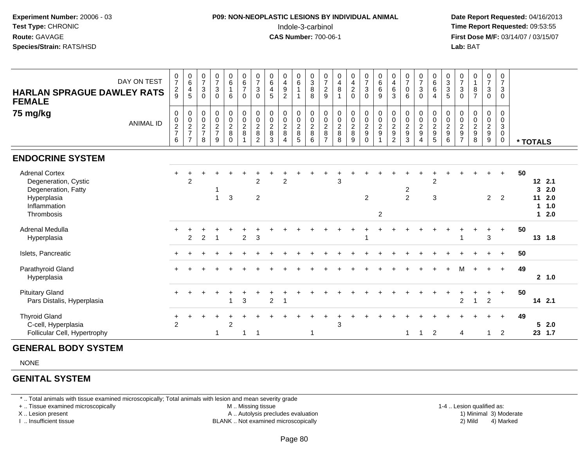## **P09: NON-NEOPLASTIC LESIONS BY INDIVIDUAL ANIMAL**Indole-3-carbinol **Time Report Requested:** 09:53:55

 **Date Report Requested:** 04/16/2013 **First Dose M/F:** 03/14/07 / 03/15/07<br>**Lab: BAT** 

| DAY ON TEST<br><b>HARLAN SPRAGUE DAWLEY RATS</b><br><b>FEMALE</b><br>75 mg/kg<br><b>ANIMAL ID</b>                 | $\frac{0}{7}$<br>$\frac{2}{9}$<br>0<br>$\frac{0}{2}$<br>6 | $\begin{array}{c} 0 \\ 6 \end{array}$<br>$\overline{4}$<br>$\overline{5}$<br>00027<br>$\overline{7}$ | $\frac{0}{7}$<br>$\mathbf{3}$<br>$\Omega$<br>$\boldsymbol{0}$<br>$\pmb{0}$<br>$\frac{2}{7}$<br>8 | $\begin{array}{c} 0 \\ 7 \end{array}$<br>$\sqrt{3}$<br>$\Omega$<br>$\pmb{0}$<br>$\pmb{0}$<br>$\frac{2}{7}$<br>9 | $0$ 6<br>1<br>6<br>$\begin{array}{c} 0 \\ 0 \\ 2 \\ 8 \end{array}$<br>$\Omega$ | $\begin{array}{c} 0 \\ 6 \\ 7 \end{array}$<br>$\mathbf 0$<br>$\pmb{0}$<br>$\frac{0}{2}$<br>$\overline{1}$ | $\begin{array}{c} 0 \\ 7 \\ 3 \end{array}$<br>$\mathbf 0$<br>$\pmb{0}$<br>$\frac{0}{2}$<br>$\overline{2}$ | $\begin{array}{c} 0 \\ 6 \end{array}$<br>$\overline{4}$<br>$\sqrt{5}$<br>$\pmb{0}$<br>$\begin{array}{c} 0 \\ 2 \\ 8 \end{array}$<br>3 | $\begin{array}{c} 0 \\ 4 \\ 9 \end{array}$<br>$\overline{2}$<br>$\pmb{0}$<br>$\frac{0}{2}$<br>$\, 8$<br>$\overline{4}$ | $\begin{array}{c} 0 \\ 6 \\ 1 \end{array}$<br>0<br>$\frac{0}{2}$<br>5 | $\begin{array}{c} 0 \\ 3 \\ 8 \end{array}$<br>8<br>$\begin{array}{c} 0 \\ 0 \\ 2 \\ 8 \end{array}$<br>6 | $\begin{array}{c} 0 \\ 7 \\ 2 \end{array}$<br>$\boldsymbol{9}$<br>$\pmb{0}$<br>$\frac{0}{2}$<br>$\overline{7}$ | $\begin{array}{c} 0 \\ 4 \\ 8 \end{array}$<br>$\pmb{0}$<br>$\frac{0}{2}$<br>8 | $\begin{array}{c} 0 \\ 4 \\ 2 \end{array}$<br>$\mathbf 0$<br>$\begin{array}{c} 0 \\ 0 \\ 2 \\ 8 \end{array}$<br>9 | $\begin{array}{c} 0 \\ 7 \\ 3 \end{array}$<br>$\pmb{0}$<br>$\pmb{0}$<br>$\frac{0}{2}$<br>$\mathbf 0$ | $0$<br>6<br>6<br>9<br>$\pmb{0}$<br>$\frac{0}{2}$<br>$\mathbf{1}$ | $\begin{array}{c} 0 \\ 4 \\ 6 \end{array}$<br>3<br>$\pmb{0}$<br>$\frac{0}{2}$<br>$\overline{2}$ | $\frac{0}{7}$<br>$\pmb{0}$<br>6<br>$\pmb{0}$<br>$\frac{0}{2}$<br>3 | $\begin{array}{c} 0 \\ 7 \\ 3 \end{array}$<br>$\mathbf 0$<br>$\begin{array}{c} 0 \\ 0 \\ 2 \\ 9 \end{array}$<br>$\overline{4}$ | $\begin{matrix}0\0\0\0\end{matrix}$<br>$\overline{4}$<br>0<br>$\frac{0}{2}$<br>$\sqrt{5}$ | $\begin{array}{c} 0 \\ 3 \\ 3 \end{array}$<br>5<br>$\pmb{0}$<br>$\frac{0}{2}$<br>6 | $\frac{0}{7}$<br>$\ensuremath{\mathsf{3}}$<br>$\Omega$<br>0<br>$\pmb{0}$<br>$\frac{2}{9}$<br>$\overline{7}$ | $\begin{smallmatrix}0\\1\end{smallmatrix}$<br>$\bf 8$<br>$\overline{7}$<br>0<br>$\frac{0}{2}$<br>8 | $\begin{array}{c} 0 \\ 7 \\ 3 \end{array}$<br>$\pmb{0}$<br>$\pmb{0}$<br>$\frac{0}{2}$<br>$\boldsymbol{9}$ | 0<br>$\overline{7}$<br>$\mathbf{3}$<br>$\mathbf 0$<br>$\mathbf 0$<br>$\mathbf 0$<br>$\mathsf 3$<br>$\ddot{\mathbf{0}}$<br>$\mathbf 0$ |                                                                            |  |
|-------------------------------------------------------------------------------------------------------------------|-----------------------------------------------------------|------------------------------------------------------------------------------------------------------|--------------------------------------------------------------------------------------------------|-----------------------------------------------------------------------------------------------------------------|--------------------------------------------------------------------------------|-----------------------------------------------------------------------------------------------------------|-----------------------------------------------------------------------------------------------------------|---------------------------------------------------------------------------------------------------------------------------------------|------------------------------------------------------------------------------------------------------------------------|-----------------------------------------------------------------------|---------------------------------------------------------------------------------------------------------|----------------------------------------------------------------------------------------------------------------|-------------------------------------------------------------------------------|-------------------------------------------------------------------------------------------------------------------|------------------------------------------------------------------------------------------------------|------------------------------------------------------------------|-------------------------------------------------------------------------------------------------|--------------------------------------------------------------------|--------------------------------------------------------------------------------------------------------------------------------|-------------------------------------------------------------------------------------------|------------------------------------------------------------------------------------|-------------------------------------------------------------------------------------------------------------|----------------------------------------------------------------------------------------------------|-----------------------------------------------------------------------------------------------------------|---------------------------------------------------------------------------------------------------------------------------------------|----------------------------------------------------------------------------|--|
|                                                                                                                   |                                                           |                                                                                                      |                                                                                                  |                                                                                                                 |                                                                                |                                                                                                           |                                                                                                           |                                                                                                                                       |                                                                                                                        |                                                                       |                                                                                                         |                                                                                                                |                                                                               |                                                                                                                   |                                                                                                      |                                                                  |                                                                                                 |                                                                    |                                                                                                                                |                                                                                           |                                                                                    |                                                                                                             |                                                                                                    |                                                                                                           |                                                                                                                                       | * TOTALS                                                                   |  |
| <b>ENDOCRINE SYSTEM</b>                                                                                           |                                                           |                                                                                                      |                                                                                                  |                                                                                                                 |                                                                                |                                                                                                           |                                                                                                           |                                                                                                                                       |                                                                                                                        |                                                                       |                                                                                                         |                                                                                                                |                                                                               |                                                                                                                   |                                                                                                      |                                                                  |                                                                                                 |                                                                    |                                                                                                                                |                                                                                           |                                                                                    |                                                                                                             |                                                                                                    |                                                                                                           |                                                                                                                                       |                                                                            |  |
| <b>Adrenal Cortex</b><br>Degeneration, Cystic<br>Degeneration, Fatty<br>Hyperplasia<br>Inflammation<br>Thrombosis |                                                           | $\overline{2}$                                                                                       |                                                                                                  | $\mathbf{1}$                                                                                                    | 3                                                                              |                                                                                                           | 2<br>$\overline{2}$                                                                                       |                                                                                                                                       | $\overline{2}$                                                                                                         |                                                                       |                                                                                                         |                                                                                                                | 3                                                                             |                                                                                                                   | $\overline{c}$                                                                                       | $\overline{2}$                                                   |                                                                                                 | $\frac{2}{2}$                                                      |                                                                                                                                | $\overline{2}$<br>3                                                                       |                                                                                    |                                                                                                             |                                                                                                    | $\ddot{}$<br>$\overline{2}$                                                                               | $+$<br>2                                                                                                                              | 50<br>12, 2.1<br>2.0<br>3<br>11<br>2.0<br>1.0<br>-1<br>2.0<br>$\mathbf{1}$ |  |
| Adrenal Medulla<br>Hyperplasia                                                                                    |                                                           | 2                                                                                                    | $\overline{2}$                                                                                   |                                                                                                                 |                                                                                | $\overline{2}$                                                                                            | 3                                                                                                         |                                                                                                                                       |                                                                                                                        |                                                                       |                                                                                                         |                                                                                                                |                                                                               |                                                                                                                   | 1                                                                                                    |                                                                  |                                                                                                 |                                                                    |                                                                                                                                |                                                                                           |                                                                                    | 1                                                                                                           |                                                                                                    | 3                                                                                                         | $\ddot{}$                                                                                                                             | 50<br>13 1.8                                                               |  |
| Islets, Pancreatic                                                                                                |                                                           |                                                                                                      |                                                                                                  |                                                                                                                 |                                                                                |                                                                                                           |                                                                                                           |                                                                                                                                       |                                                                                                                        |                                                                       |                                                                                                         |                                                                                                                |                                                                               |                                                                                                                   |                                                                                                      |                                                                  |                                                                                                 |                                                                    |                                                                                                                                |                                                                                           |                                                                                    |                                                                                                             |                                                                                                    |                                                                                                           |                                                                                                                                       | 50                                                                         |  |
| Parathyroid Gland<br>Hyperplasia                                                                                  |                                                           |                                                                                                      |                                                                                                  |                                                                                                                 |                                                                                |                                                                                                           |                                                                                                           |                                                                                                                                       |                                                                                                                        |                                                                       |                                                                                                         |                                                                                                                |                                                                               |                                                                                                                   |                                                                                                      |                                                                  |                                                                                                 |                                                                    |                                                                                                                                |                                                                                           |                                                                                    |                                                                                                             |                                                                                                    | $\pm$                                                                                                     | $+$                                                                                                                                   | 49<br>2, 1.0                                                               |  |
| <b>Pituitary Gland</b><br>Pars Distalis, Hyperplasia                                                              |                                                           |                                                                                                      |                                                                                                  |                                                                                                                 | -1                                                                             | $\mathbf{3}$                                                                                              |                                                                                                           | $\overline{c}$                                                                                                                        | -1                                                                                                                     |                                                                       |                                                                                                         |                                                                                                                |                                                                               |                                                                                                                   |                                                                                                      |                                                                  |                                                                                                 |                                                                    |                                                                                                                                |                                                                                           |                                                                                    | $\overline{c}$                                                                                              | 1                                                                                                  | $\overline{c}$                                                                                            | $\ddot{}$                                                                                                                             | 50<br>14 2.1                                                               |  |
| <b>Thyroid Gland</b><br>C-cell, Hyperplasia<br>Follicular Cell, Hypertrophy                                       | $\overline{2}$                                            |                                                                                                      |                                                                                                  | 1                                                                                                               | $\overline{2}$                                                                 | 1                                                                                                         | -1                                                                                                        |                                                                                                                                       |                                                                                                                        |                                                                       |                                                                                                         |                                                                                                                | 3                                                                             |                                                                                                                   |                                                                                                      |                                                                  |                                                                                                 | -1                                                                 | -1                                                                                                                             | 2                                                                                         |                                                                                    | $\overline{4}$                                                                                              |                                                                                                    | $\overline{1}$                                                                                            | $+$<br>$\overline{2}$                                                                                                                 | 49<br>2.0<br>5<br>23<br>1.7                                                |  |

### **GENERAL BODY SYSTEM**

NONE

#### **GENITAL SYSTEM**

\* .. Total animals with tissue examined microscopically; Total animals with lesion and mean severity grade

+ .. Tissue examined microscopically

X .. Lesion present

I .. Insufficient tissue

 M .. Missing tissueA .. Autolysis precludes evaluation

1-4 .. Lesion qualified as:<br>1) Minimal 3) Moderate BLANK .. Not examined microscopically 2) Mild 4) Marked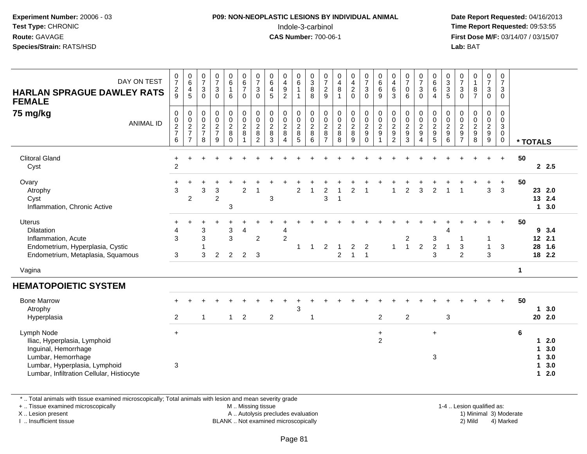## **P09: NON-NEOPLASTIC LESIONS BY INDIVIDUAL ANIMAL**Indole-3-carbinol **Time Report Requested:** 09:53:55

 **Date Report Requested:** 04/16/2013 **First Dose M/F:** 03/14/07 / 03/15/07<br>**Lab: BAT Lab:** BAT

| $\frac{0}{7}$<br>$\frac{2}{9}$               | $_{6}^{\rm 0}$<br>$\overline{4}$<br>$\sqrt{5}$ | $\begin{smallmatrix}0\\7\end{smallmatrix}$<br>3<br>$\mathbf 0$ | $\begin{smallmatrix}0\\7\end{smallmatrix}$<br>$\overline{3}$<br>$\mathbf 0$ | $\begin{array}{c} 0 \\ 6 \end{array}$<br>$\mathbf{1}$<br>6 | $\begin{array}{c} 0 \\ 6 \\ 7 \end{array}$<br>$\mathbf 0$ | $\frac{0}{7}$<br>$\mathbf{3}$<br>$\mathbf 0$                | $\begin{array}{c} 0 \\ 6 \\ 4 \end{array}$<br>5        | $\begin{array}{c} 0 \\ 4 \\ 9 \end{array}$<br>$\overline{2}$      | $\begin{array}{c} 0 \\ 6 \end{array}$  | $\begin{smallmatrix}0\3\8\end{smallmatrix}$<br>8 | $\frac{0}{7}$<br>$\sqrt{2}$<br>9                    | $\begin{array}{c} 0 \\ 4 \\ 8 \end{array}$<br>$\overline{1}$ | $\begin{array}{c} 0 \\ 4 \\ 2 \end{array}$<br>$\mathbf 0$ | $\begin{array}{c} 0 \\ 7 \\ 3 \end{array}$<br>$\mathbf 0$       | $\begin{matrix} 0 \\ 6 \\ 6 \end{matrix}$<br>$\boldsymbol{9}$ | 0<br>$\begin{array}{c} 4 \\ 6 \end{array}$<br>3 | $\frac{0}{7}$<br>$\mathbf 0$<br>6              | $\frac{0}{7}$<br>$\ensuremath{\mathsf{3}}$<br>$\mathbf 0$ | $\begin{array}{c} 0 \\ 6 \end{array}$<br>6<br>4 | $\begin{smallmatrix}0\3\3\end{smallmatrix}$<br>$\sqrt{5}$ | $\frac{0}{7}$<br>$\ensuremath{\mathsf{3}}$<br>$\mathbf 0$ | $\begin{array}{c} 0 \\ 1 \\ 8 \\ 7 \end{array}$ | $\begin{smallmatrix}0\\7\end{smallmatrix}$<br>$\mathsf 3$<br>$\mathbf 0$ | 0<br>$\overline{7}$<br>3<br>$\mathbf 0$                                 |             |                       |                                 |
|----------------------------------------------|------------------------------------------------|----------------------------------------------------------------|-----------------------------------------------------------------------------|------------------------------------------------------------|-----------------------------------------------------------|-------------------------------------------------------------|--------------------------------------------------------|-------------------------------------------------------------------|----------------------------------------|--------------------------------------------------|-----------------------------------------------------|--------------------------------------------------------------|-----------------------------------------------------------|-----------------------------------------------------------------|---------------------------------------------------------------|-------------------------------------------------|------------------------------------------------|-----------------------------------------------------------|-------------------------------------------------|-----------------------------------------------------------|-----------------------------------------------------------|-------------------------------------------------|--------------------------------------------------------------------------|-------------------------------------------------------------------------|-------------|-----------------------|---------------------------------|
| $\pmb{0}$<br>$\pmb{0}$<br>$\frac{2}{7}$<br>6 | $\pmb{0}$<br>$\frac{0}{2}$<br>$\overline{7}$   | 0<br>$\mathbf 0$<br>$\frac{2}{7}$<br>8                         | $\begin{array}{c} 0 \\ 0 \\ 2 \\ 7 \end{array}$<br>9                        | 0<br>$\mathsf{O}\xspace$<br>$\frac{2}{8}$<br>$\Omega$      | $\mathbf 0$<br>$\mathbf 0$<br>$\frac{2}{8}$<br>1          | $\pmb{0}$<br>$\mathbf 0$<br>$\frac{2}{8}$<br>$\overline{2}$ | $\mathsf{O}\xspace$<br>$\pmb{0}$<br>$\frac{2}{8}$<br>3 | $\pmb{0}$<br>$\pmb{0}$<br>$\frac{2}{8}$<br>$\boldsymbol{\Lambda}$ | 0<br>$\mathbf 0$<br>$\frac{2}{8}$<br>5 | $\pmb{0}$<br>$\frac{0}{2}$<br>6                  | 0<br>$\mathsf 0$<br>$\frac{2}{8}$<br>$\overline{7}$ | $\pmb{0}$<br>$\pmb{0}$<br>$\frac{2}{8}$<br>8                 | $\pmb{0}$<br>$\pmb{0}$<br>$\frac{2}{8}$<br>9              | $\mathsf 0$<br>$\mathsf{O}\xspace$<br>$\frac{2}{9}$<br>$\Omega$ | $\pmb{0}$<br>$\frac{0}{2}$<br>$\mathbf{1}$                    | $\pmb{0}$<br>$\mathbf 0$<br>$\frac{2}{9}$       | $\pmb{0}$<br>$\mathsf 0$<br>$\frac{2}{9}$<br>3 | 0<br>$\pmb{0}$<br>$\frac{2}{9}$<br>$\overline{4}$         | 0<br>$\pmb{0}$<br>$\frac{2}{9}$<br>$\sqrt{5}$   | $\mathbf 0$<br>$\mathbf 0$<br>$\frac{2}{9}$<br>6          | 0<br>$\mathbf 0$<br>$\frac{2}{9}$                         | $\pmb{0}$<br>$0$<br>$9$<br>$8$                  | 0<br>$\mathbf 0$<br>$\frac{2}{9}$                                        | $\mathbf 0$<br>$\mathbf 0$<br>$\mathbf 3$<br>$\mathbf 0$<br>$\mathbf 0$ |             |                       |                                 |
| $\ddot{}$<br>$\overline{c}$                  | $\ddot{}$                                      |                                                                |                                                                             |                                                            |                                                           |                                                             |                                                        |                                                                   |                                        |                                                  |                                                     |                                                              |                                                           |                                                                 |                                                               |                                                 |                                                |                                                           |                                                 |                                                           |                                                           |                                                 |                                                                          | $+$                                                                     | 50          |                       | 2.5                             |
| $\ddot{}$<br>3                               | 2                                              | 3                                                              | 3<br>$\overline{2}$                                                         | 3                                                          | $\overline{2}$                                            | $\overline{1}$                                              | 3                                                      |                                                                   | $\overline{2}$                         | $\overline{1}$                                   | $\overline{2}$<br>3                                 | 1                                                            | $\overline{2}$                                            |                                                                 |                                                               |                                                 | $\overline{2}$                                 | 3                                                         | 2                                               |                                                           |                                                           |                                                 | 3                                                                        | $\ddot{}$<br>3                                                          | 50          | $\mathbf{1}$          | 2.0<br>13 2.4<br>3.0            |
| $\div$<br>4<br>3<br>3                        |                                                | 3<br>3<br>3                                                    | $\overline{2}$                                                              | 3<br>$\overline{3}$<br>$\overline{c}$                      | 4<br>$\overline{\mathbf{c}}$                              | $\overline{c}$<br>3                                         |                                                        | 4<br>$\overline{2}$                                               |                                        | -1                                               | $\overline{\mathbf{c}}$                             | $\overline{c}$                                               | $\overline{c}$<br>$\mathbf{1}$                            | $\overline{c}$<br>$\overline{1}$                                |                                                               | $\mathbf{1}$                                    | $\overline{c}$<br>$\overline{1}$               | $\boldsymbol{2}$                                          | 3<br>$\sqrt{2}$<br>3                            | 4<br>$\overline{1}$                                       | 3<br>$\overline{2}$                                       |                                                 | $\mathbf{1}$<br>3                                                        | $+$<br>3                                                                | 50          | 9                     | 3.4<br>2.1<br>1.6<br>18 2.2     |
|                                              |                                                |                                                                |                                                                             |                                                            |                                                           |                                                             |                                                        |                                                                   |                                        |                                                  |                                                     |                                                              |                                                           |                                                                 |                                                               |                                                 |                                                |                                                           |                                                 |                                                           |                                                           |                                                 |                                                                          |                                                                         | $\mathbf 1$ |                       |                                 |
|                                              |                                                |                                                                |                                                                             |                                                            |                                                           |                                                             |                                                        |                                                                   |                                        |                                                  |                                                     |                                                              |                                                           |                                                                 |                                                               |                                                 |                                                |                                                           |                                                 |                                                           |                                                           |                                                 |                                                                          |                                                                         |             |                       |                                 |
| $\overline{c}$                               |                                                | 1                                                              |                                                                             | $\mathbf{1}$                                               | $\overline{c}$                                            |                                                             | $\overline{c}$                                         |                                                                   | $\mathbf{3}$                           | $\overline{1}$                                   |                                                     |                                                              |                                                           |                                                                 | $\overline{2}$                                                |                                                 | $\overline{c}$                                 |                                                           |                                                 | $\mathbf{3}$                                              |                                                           |                                                 |                                                                          | $+$                                                                     | 50          | 1                     | 3.0<br>202.0                    |
| $+$<br>3                                     |                                                |                                                                |                                                                             |                                                            |                                                           |                                                             |                                                        |                                                                   |                                        |                                                  |                                                     |                                                              |                                                           |                                                                 | $\ddot{}$<br>$\overline{c}$                                   |                                                 |                                                |                                                           | $\ddot{}$<br>$\ensuremath{\mathsf{3}}$          |                                                           |                                                           |                                                 |                                                                          |                                                                         | 6           | 1<br>1<br>1<br>1<br>1 | 2.0<br>3.0<br>3.0<br>3.0<br>2.0 |
|                                              |                                                |                                                                |                                                                             |                                                            |                                                           |                                                             |                                                        |                                                                   |                                        |                                                  |                                                     |                                                              |                                                           |                                                                 |                                                               |                                                 |                                                |                                                           |                                                 |                                                           |                                                           |                                                 |                                                                          |                                                                         |             |                       | * TOTALS<br>23<br>12<br>28      |

\* .. Total animals with tissue examined microscopically; Total animals with lesion and mean severity grade

+ .. Tissue examined microscopically

X .. Lesion present

I .. Insufficient tissue

M .. Missing tissue

A .. Autolysis precludes evaluation

BLANK .. Not examined microscopically 2) Mild 4) Marked

1-4 .. Lesion qualified as: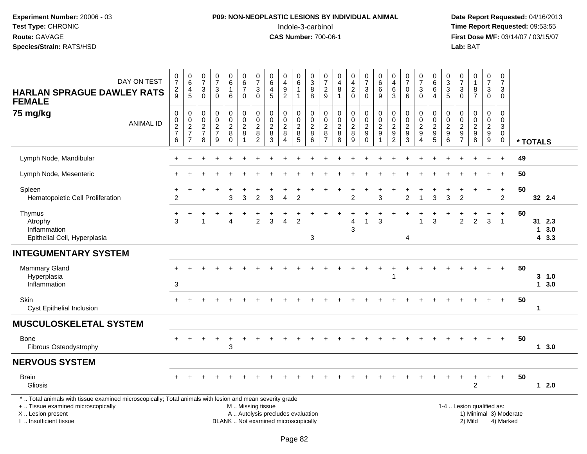# **P09: NON-NEOPLASTIC LESIONS BY INDIVIDUAL ANIMAL**Indole-3-carbinol **Time Report Requested:** 09:53:55

| DAY ON TEST<br><b>HARLAN SPRAGUE DAWLEY RATS</b><br><b>FEMALE</b>                                                                                                                             | $\frac{0}{7}$<br>$\frac{2}{9}$  | $_{6}^{\rm 0}$<br>$\overline{\mathbf{4}}$<br>$\sqrt{5}$ | 0<br>$\overline{7}$<br>$\ensuremath{\mathsf{3}}$<br>$\Omega$ | $\frac{0}{7}$<br>$\sqrt{3}$<br>$\Omega$             | $\begin{array}{c} 0 \\ 6 \end{array}$<br>$\mathbf{1}$<br>$\,6\,$ | $\begin{array}{c} 0 \\ 6 \end{array}$<br>$\overline{7}$<br>$\mathbf 0$ | $\frac{0}{7}$<br>$\mathfrak{S}$<br>$\mathbf{0}$                    | $\begin{array}{c} 0 \\ 6 \end{array}$<br>$\overline{4}$<br>$\overline{5}$         | $_4^{\rm 0}$<br>$\boldsymbol{9}$<br>$\overline{2}$                  | $_{6}^{\rm 0}$<br>$\mathbf{1}$<br>$\mathbf{1}$ | $\begin{smallmatrix}0\3\8\end{smallmatrix}$<br>$\,8\,$        | $\frac{0}{7}$<br>$\sqrt{2}$<br>$\boldsymbol{9}$           | $\pmb{0}$<br>$\overline{4}$<br>$\bf 8$<br>$\overline{1}$    | $_4^{\rm 0}$<br>$\frac{2}{0}$                                     | $\begin{array}{c} 0 \\ 7 \end{array}$<br>$\ensuremath{\mathsf{3}}$<br>$\pmb{0}$ | $\begin{array}{c} 0 \\ 6 \end{array}$<br>$6\phantom{a}$<br>$\boldsymbol{9}$ | $\pmb{0}$<br>$\overline{\mathbf{4}}$<br>$\,6\,$<br>$\mathbf{3}$ | $\frac{0}{7}$<br>$\pmb{0}$<br>6                                  | $\frac{0}{7}$<br>$\ensuremath{\mathsf{3}}$<br>$\pmb{0}$ | $\begin{array}{c} 0 \\ 6 \end{array}$<br>$\,6\,$<br>$\overline{4}$ | $_3^0$<br>$\ensuremath{\mathsf{3}}$<br>5            | $\frac{0}{7}$<br>$\sqrt{3}$<br>$\overline{0}$ | $\begin{smallmatrix}0\\1\end{smallmatrix}$<br>$\bf 8$<br>$\overline{7}$ | $\frac{0}{7}$<br>$\sqrt{3}$<br>$\mathsf{O}\xspace$ | $\frac{0}{7}$<br>$\mathsf 3$<br>$\mathbf 0$                           |                        |              |                       |
|-----------------------------------------------------------------------------------------------------------------------------------------------------------------------------------------------|---------------------------------|---------------------------------------------------------|--------------------------------------------------------------|-----------------------------------------------------|------------------------------------------------------------------|------------------------------------------------------------------------|--------------------------------------------------------------------|-----------------------------------------------------------------------------------|---------------------------------------------------------------------|------------------------------------------------|---------------------------------------------------------------|-----------------------------------------------------------|-------------------------------------------------------------|-------------------------------------------------------------------|---------------------------------------------------------------------------------|-----------------------------------------------------------------------------|-----------------------------------------------------------------|------------------------------------------------------------------|---------------------------------------------------------|--------------------------------------------------------------------|-----------------------------------------------------|-----------------------------------------------|-------------------------------------------------------------------------|----------------------------------------------------|-----------------------------------------------------------------------|------------------------|--------------|-----------------------|
| 75 mg/kg<br><b>ANIMAL ID</b>                                                                                                                                                                  | $\pmb{0}$<br>$\frac{0}{2}$<br>6 | $\pmb{0}$<br>$\frac{0}{2}$<br>$\overline{7}$            | $\mathsf 0$<br>0<br>$\sqrt{2}$<br>$\overline{7}$<br>8        | $\mathbf 0$<br>$\overline{0}$<br>$\frac{2}{7}$<br>9 | 0<br>$\pmb{0}$<br>$\overline{\mathbf{c}}$<br>8<br>$\mathbf 0$    | $\mathbf 0$<br>$\pmb{0}$<br>$\frac{2}{8}$<br>$\overline{1}$            | $\pmb{0}$<br>$\boldsymbol{0}$<br>$\sqrt{2}$<br>8<br>$\overline{2}$ | $\pmb{0}$<br>$\ddot{\mathbf{0}}$<br>$\boldsymbol{2}$<br>$\bf 8$<br>$\overline{3}$ | $\mathbf 0$<br>$\pmb{0}$<br>$\frac{2}{8}$<br>$\boldsymbol{\Lambda}$ | 0<br>$\pmb{0}$<br>$\frac{2}{8}$                | $\mathsf 0$<br>$\mathbf 0$<br>$\frac{2}{8}$<br>$\overline{6}$ | $\pmb{0}$<br>$\pmb{0}$<br>$\frac{2}{8}$<br>$\overline{7}$ | $\mathbf 0$<br>$\pmb{0}$<br>$\frac{2}{8}$<br>$\overline{8}$ | 0<br>$\mathsf 0$<br>$\boldsymbol{2}$<br>$\bf 8$<br>$\overline{9}$ | $\begin{smallmatrix} 0\\0 \end{smallmatrix}$<br>$\frac{2}{9}$                   | $_{\rm 0}^{\rm 0}$<br>$\overline{2}$<br>$\boldsymbol{9}$<br>$\mathbf{1}$    | $\pmb{0}$<br>$\pmb{0}$<br>$\frac{2}{9}$                         | $\mathbf 0$<br>$\overline{0}$<br>$\frac{2}{9}$<br>$\overline{3}$ | 0<br>$\pmb{0}$<br>$\frac{2}{9}$<br>$\overline{4}$       | $\boldsymbol{0}$<br>$0$<br>9<br>9<br>5                             | 0<br>$\pmb{0}$<br>$\overline{\mathbf{c}}$<br>9<br>6 | $\pmb{0}$<br>$\mathbf 0$<br>$\frac{2}{9}$     | $\mathsf 0$<br>$\pmb{0}$<br>$\frac{2}{9}$                               | $\pmb{0}$<br>$\mathbf 0$<br>$\frac{2}{9}$          | $\mathbf 0$<br>$\pmb{0}$<br>$\mathsf 3$<br>$\mathbf 0$<br>$\mathbf 0$ |                        | * TOTALS     |                       |
| Lymph Node, Mandibular                                                                                                                                                                        |                                 |                                                         |                                                              |                                                     |                                                                  |                                                                        |                                                                    |                                                                                   |                                                                     |                                                |                                                               |                                                           |                                                             |                                                                   |                                                                                 |                                                                             |                                                                 |                                                                  |                                                         |                                                                    |                                                     |                                               |                                                                         |                                                    | $\overline{+}$                                                        | 49                     |              |                       |
| Lymph Node, Mesenteric                                                                                                                                                                        |                                 |                                                         |                                                              |                                                     |                                                                  |                                                                        |                                                                    |                                                                                   |                                                                     |                                                |                                                               |                                                           |                                                             |                                                                   |                                                                                 |                                                                             |                                                                 |                                                                  |                                                         |                                                                    |                                                     |                                               |                                                                         |                                                    | $\overline{ }$                                                        | 50                     |              |                       |
| Spleen<br>Hematopoietic Cell Proliferation                                                                                                                                                    | $\ddot{}$<br>$\overline{c}$     | $\div$                                                  |                                                              |                                                     | 3                                                                | 3                                                                      | $\mathcal{P}$                                                      | 3                                                                                 | $\Delta$                                                            | $\overline{2}$                                 |                                                               |                                                           |                                                             | $\mathfrak{p}$                                                    |                                                                                 | 3                                                                           |                                                                 | $\mathcal{P}$                                                    |                                                         | 3                                                                  | 3                                                   | $\overline{2}$                                |                                                                         | $+$                                                | $\ddot{}$<br>$\overline{2}$                                           | 50                     |              | 32 2.4                |
| Thymus<br>Atrophy<br>Inflammation<br>Epithelial Cell, Hyperplasia                                                                                                                             | +<br>3                          | ÷                                                       |                                                              |                                                     | 4                                                                |                                                                        | $\boldsymbol{2}$                                                   | 3                                                                                 | $\overline{4}$                                                      | $\overline{2}$                                 | 3                                                             |                                                           |                                                             | 4<br>3                                                            | $\mathbf{1}$                                                                    | $\mathbf{3}$                                                                |                                                                 | 4                                                                | 1                                                       | 3                                                                  |                                                     | $\overline{c}$                                | $\overline{2}$                                                          | ٠<br>3                                             | $\ddot{}$<br>$\overline{1}$                                           | 50                     | $\mathbf{1}$ | 31 2.3<br>3.0<br>43.3 |
| <b>INTEGUMENTARY SYSTEM</b>                                                                                                                                                                   |                                 |                                                         |                                                              |                                                     |                                                                  |                                                                        |                                                                    |                                                                                   |                                                                     |                                                |                                                               |                                                           |                                                             |                                                                   |                                                                                 |                                                                             |                                                                 |                                                                  |                                                         |                                                                    |                                                     |                                               |                                                                         |                                                    |                                                                       |                        |              |                       |
| <b>Mammary Gland</b><br>Hyperplasia<br>Inflammation                                                                                                                                           | $\sqrt{3}$                      |                                                         |                                                              |                                                     |                                                                  |                                                                        |                                                                    |                                                                                   |                                                                     |                                                |                                                               |                                                           |                                                             |                                                                   |                                                                                 |                                                                             |                                                                 |                                                                  |                                                         |                                                                    |                                                     |                                               |                                                                         |                                                    |                                                                       | 50                     |              | $3 - 1.0$<br>13.0     |
| Skin<br>Cyst Epithelial Inclusion                                                                                                                                                             | $+$                             |                                                         |                                                              |                                                     |                                                                  |                                                                        |                                                                    |                                                                                   |                                                                     |                                                |                                                               |                                                           |                                                             |                                                                   |                                                                                 |                                                                             |                                                                 |                                                                  |                                                         |                                                                    |                                                     |                                               |                                                                         |                                                    | $+$                                                                   | 50                     | $\mathbf{1}$ |                       |
| <b>MUSCULOSKELETAL SYSTEM</b>                                                                                                                                                                 |                                 |                                                         |                                                              |                                                     |                                                                  |                                                                        |                                                                    |                                                                                   |                                                                     |                                                |                                                               |                                                           |                                                             |                                                                   |                                                                                 |                                                                             |                                                                 |                                                                  |                                                         |                                                                    |                                                     |                                               |                                                                         |                                                    |                                                                       |                        |              |                       |
| <b>Bone</b><br>Fibrous Osteodystrophy                                                                                                                                                         |                                 |                                                         |                                                              |                                                     | 3                                                                |                                                                        |                                                                    |                                                                                   |                                                                     |                                                |                                                               |                                                           |                                                             |                                                                   |                                                                                 |                                                                             |                                                                 |                                                                  |                                                         |                                                                    |                                                     |                                               |                                                                         |                                                    | $+$                                                                   | 50                     |              | 13.0                  |
| <b>NERVOUS SYSTEM</b>                                                                                                                                                                         |                                 |                                                         |                                                              |                                                     |                                                                  |                                                                        |                                                                    |                                                                                   |                                                                     |                                                |                                                               |                                                           |                                                             |                                                                   |                                                                                 |                                                                             |                                                                 |                                                                  |                                                         |                                                                    |                                                     |                                               |                                                                         |                                                    |                                                                       |                        |              |                       |
| <b>Brain</b><br><b>Gliosis</b>                                                                                                                                                                |                                 |                                                         |                                                              |                                                     |                                                                  |                                                                        |                                                                    |                                                                                   |                                                                     |                                                |                                                               |                                                           |                                                             |                                                                   |                                                                                 |                                                                             |                                                                 |                                                                  |                                                         |                                                                    |                                                     |                                               | $\ddot{}$<br>$\overline{2}$                                             | ÷.                                                 | $+$                                                                   | 50                     |              | $12.0$                |
| *  Total animals with tissue examined microscopically; Total animals with lesion and mean severity grade<br>+  Tissue examined microscopically<br>X  Lesion present<br>I  Insufficient tissue |                                 |                                                         |                                                              |                                                     |                                                                  | M  Missing tissue                                                      |                                                                    | A  Autolysis precludes evaluation<br>BLANK  Not examined microscopically          |                                                                     |                                                |                                                               |                                                           |                                                             |                                                                   |                                                                                 |                                                                             |                                                                 |                                                                  |                                                         |                                                                    |                                                     |                                               | 2) Mild                                                                 | 1-4  Lesion qualified as:                          | 4) Marked                                                             | 1) Minimal 3) Moderate |              |                       |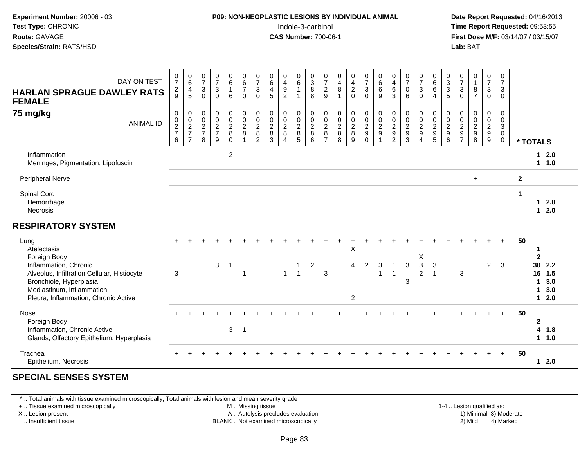| Experiment Number: 20006 - 03<br>Test Type: CHRONIC<br>Route: GAVAGE<br>Species/Strain: RATS/HSD                                                                    |                  |                                              |                                                                   |                                                       |                                                                       |                                                   |                                                           |                                                                                | P09: NON-NEOPLASTIC LESIONS BY INDIVIDUAL ANIMAL<br>Indole-3-carbinol<br><b>CAS Number: 700-06-1</b> |                                              |                                                     |                                                               |                                                     |                                                         |                                                        |                                                                           |                                                                       |                                                              |                                                 |                                                                                |                                          |                                                 | Lab: BAT                                                                    |                                                            |                                                     | Date Report Requested: 04/16/2013<br>Time Report Requested: 09:53:55<br>First Dose M/F: 03/14/07 / 03/15/07 |                                                                       |                                    |
|---------------------------------------------------------------------------------------------------------------------------------------------------------------------|------------------|----------------------------------------------|-------------------------------------------------------------------|-------------------------------------------------------|-----------------------------------------------------------------------|---------------------------------------------------|-----------------------------------------------------------|--------------------------------------------------------------------------------|------------------------------------------------------------------------------------------------------|----------------------------------------------|-----------------------------------------------------|---------------------------------------------------------------|-----------------------------------------------------|---------------------------------------------------------|--------------------------------------------------------|---------------------------------------------------------------------------|-----------------------------------------------------------------------|--------------------------------------------------------------|-------------------------------------------------|--------------------------------------------------------------------------------|------------------------------------------|-------------------------------------------------|-----------------------------------------------------------------------------|------------------------------------------------------------|-----------------------------------------------------|-------------------------------------------------------------------------------------------------------------|-----------------------------------------------------------------------|------------------------------------|
| <b>HARLAN SPRAGUE DAWLEY RATS</b><br><b>FEMALE</b>                                                                                                                  | DAY ON TEST      | $\pmb{0}$<br>$\overline{7}$<br>$\frac{2}{9}$ | $\begin{array}{c} 0 \\ 6 \end{array}$<br>$\frac{4}{5}$            | $\frac{0}{7}$<br>3<br>$\Omega$                        | 0<br>$\overline{7}$<br>3<br>$\Omega$                                  | 0<br>6<br>6                                       | $\begin{array}{c} 0 \\ 6 \\ 7 \end{array}$<br>$\mathbf 0$ | $\frac{0}{7}$<br>$\mathsf 3$<br>$\overline{0}$                                 | 0<br>$\,6\,$<br>4<br>5                                                                               | 0<br>4<br>$\boldsymbol{9}$<br>$\overline{2}$ | 0<br>6<br>$\mathbf{1}$<br>$\mathbf{1}$              | $\begin{smallmatrix}0\3\8\end{smallmatrix}$<br>$\overline{8}$ | $\frac{0}{7}$<br>$\frac{2}{9}$                      | 0<br>$\overline{\mathbf{4}}$<br>$\bf 8$<br>$\mathbf{1}$ | 0<br>$\overline{4}$<br>$\boldsymbol{2}$<br>$\mathbf 0$ | $\begin{array}{c} 0 \\ 7 \end{array}$<br>3<br>$\mathbf 0$                 | 0<br>$\,6\,$<br>$\,6$<br>9                                            | $\begin{smallmatrix}0\0\4\end{smallmatrix}$<br>$\frac{6}{3}$ | $\frac{0}{7}$<br>$\mathbf 0$<br>$6^{\circ}$     | $\frac{0}{7}$<br>$\ensuremath{\mathsf{3}}$<br>$\bar{0}$                        | 0<br>$\,6\,$<br>6<br>$\overline{4}$      | $\begin{array}{c} 0 \\ 3 \\ 3 \\ 5 \end{array}$ | $\frac{0}{7}$<br>3<br>$\Omega$                                              | 0<br>$\mathbf{1}$<br>$\begin{array}{c} 8 \\ 7 \end{array}$ | 0<br>$\boldsymbol{7}$<br>3<br>$\mathbf 0$           | 0<br>$\overline{7}$<br>3<br>$\Omega$                                                                        |                                                                       |                                    |
| 75 mg/kg                                                                                                                                                            | <b>ANIMAL ID</b> | 0<br>$\mathbf 0$<br>$\frac{2}{7}$<br>6       | 0<br>$\begin{array}{c} 0 \\ 2 \\ 7 \end{array}$<br>$\overline{7}$ | 0<br>$\mathsf 0$<br>$\sqrt{2}$<br>$\overline{7}$<br>8 | $\mathbf 0$<br>$\mathbf 0$<br>$\overline{2}$<br>$\boldsymbol{7}$<br>9 | 0<br>$\pmb{0}$<br>$\overline{c}$<br>8<br>$\Omega$ | 0<br>$\mathsf 0$<br>$\frac{2}{8}$<br>$\mathbf{1}$         | 0<br>$\pmb{0}$<br>$\sqrt{2}$<br>$\begin{smallmatrix} 8 \\ 2 \end{smallmatrix}$ | $\mathbf 0$<br>$\mathbf 0$<br>$\boldsymbol{2}$<br>$\bf 8$<br>$\mathbf{3}$                            | 0<br>$\Omega$<br>$\overline{2}$<br>8<br>4    | $\Omega$<br>$\mathbf 0$<br>$\overline{c}$<br>8<br>5 | $\mathbf 0$<br>$\pmb{0}$<br>$\sqrt{2}$<br>$\,8\,$<br>6        | 0<br>$\mathbf 0$<br>$\overline{c}$<br>$\frac{8}{7}$ | 0<br>$\mathsf 0$<br>$\boldsymbol{2}$<br>8<br>8          | 0<br>$\mathbf 0$<br>$\overline{c}$<br>$\bf 8$<br>9     | $\Omega$<br>$\mathbf 0$<br>$\overline{c}$<br>$\boldsymbol{9}$<br>$\Omega$ | $\mathbf 0$<br>$\mathbf 0$<br>$\overline{c}$<br>$\boldsymbol{9}$<br>1 | 0<br>$\pmb{0}$<br>$\frac{2}{9}$                              | 0<br>$\mathbf 0$<br>$\sqrt{2}$<br>$\frac{9}{3}$ | $\mathbf 0$<br>$\mathbf 0$<br>$\sqrt{2}$<br>$\boldsymbol{9}$<br>$\overline{4}$ | 0<br>$\mathbf 0$<br>$\sqrt{2}$<br>9<br>5 | $\Omega$<br>0<br>$\overline{c}$<br>9<br>6       | $\Omega$<br>$\mathbf 0$<br>$\sqrt{2}$<br>$\boldsymbol{9}$<br>$\overline{7}$ | 0<br>$\mathsf 0$<br>$\sqrt{2}$<br>9<br>8                   | $\Omega$<br>$\mathbf 0$<br>$\overline{2}$<br>9<br>9 | $\Omega$<br>$\Omega$<br>3<br>0<br>0                                                                         | * TOTALS                                                              |                                    |
| Inflammation<br>Meninges, Pigmentation, Lipofuscin                                                                                                                  |                  |                                              |                                                                   |                                                       |                                                                       | $\overline{c}$                                    |                                                           |                                                                                |                                                                                                      |                                              |                                                     |                                                               |                                                     |                                                         |                                                        |                                                                           |                                                                       |                                                              |                                                 |                                                                                |                                          |                                                 |                                                                             |                                                            |                                                     |                                                                                                             |                                                                       | $12.0$<br>$1 1.0$                  |
| <b>Peripheral Nerve</b>                                                                                                                                             |                  |                                              |                                                                   |                                                       |                                                                       |                                                   |                                                           |                                                                                |                                                                                                      |                                              |                                                     |                                                               |                                                     |                                                         |                                                        |                                                                           |                                                                       |                                                              |                                                 |                                                                                |                                          |                                                 |                                                                             | $\ddot{}$                                                  |                                                     |                                                                                                             | $\mathbf{2}$                                                          |                                    |
| Spinal Cord<br>Hemorrhage<br>Necrosis                                                                                                                               |                  |                                              |                                                                   |                                                       |                                                                       |                                                   |                                                           |                                                                                |                                                                                                      |                                              |                                                     |                                                               |                                                     |                                                         |                                                        |                                                                           |                                                                       |                                                              |                                                 |                                                                                |                                          |                                                 |                                                                             |                                                            |                                                     |                                                                                                             | $\mathbf 1$<br>$\mathbf{1}$                                           | 2.0<br>$12.0$                      |
| <b>RESPIRATORY SYSTEM</b>                                                                                                                                           |                  |                                              |                                                                   |                                                       |                                                                       |                                                   |                                                           |                                                                                |                                                                                                      |                                              |                                                     |                                                               |                                                     |                                                         |                                                        |                                                                           |                                                                       |                                                              |                                                 |                                                                                |                                          |                                                 |                                                                             |                                                            |                                                     |                                                                                                             |                                                                       |                                    |
| Lung<br>Atelectasis<br>Foreign Body<br>Inflammation, Chronic<br>Alveolus, Infiltration Cellular, Histiocyte<br>Bronchiole, Hyperplasia<br>Mediastinum, Inflammation |                  | 3                                            |                                                                   |                                                       | 3                                                                     | -1                                                | $\overline{1}$                                            |                                                                                |                                                                                                      | $\mathbf{1}$                                 | 1<br>$\mathbf{1}$                                   | $\overline{c}$                                                | 3                                                   |                                                         | Χ<br>4<br>$\overline{c}$                               | $\overline{2}$                                                            | 3                                                                     | $\overline{1}$<br>$\overline{1}$                             | 3<br>3                                          | X<br>$\ensuremath{\mathsf{3}}$<br>$\overline{2}$                               | 3<br>$\mathbf{1}$                        |                                                 | $\sqrt{3}$                                                                  |                                                            | $\overline{2}$                                      | 3                                                                                                           | 50<br>$\mathbf 1$<br>$\mathbf{2}$<br>30 <sup>°</sup><br>16<br>1<br>1. | 2.2<br>1.5<br>3.0<br>3.0<br>$12.0$ |
| Pleura, Inflammation, Chronic Active<br>Nose<br>Foreign Body<br>Inflammation, Chronic Active<br>Glands, Olfactory Epithelium, Hyperplasia                           |                  |                                              |                                                                   |                                                       |                                                                       | 3                                                 | $\mathbf 1$                                               |                                                                                |                                                                                                      |                                              |                                                     |                                                               |                                                     |                                                         |                                                        |                                                                           |                                                                       |                                                              |                                                 |                                                                                |                                          |                                                 |                                                                             |                                                            |                                                     |                                                                                                             | 50<br>$\mathbf 2$                                                     | 4<br>1.8<br>1 1.0                  |

#### Trachea<sup>+</sup>Epithelium, Necrosis **1 2.0**

### **SPECIAL SENSES SYSTEM**

\* .. Total animals with tissue examined microscopically; Total animals with lesion and mean severity grade

+ .. Tissue examined microscopically

X .. Lesion present

I .. Insufficient tissue

M .. Missing tissue

BLANK .. Not examined microscopically

1-4 .. Lesion qualified as:<br>1) Minimal 3) Moderate A .. Autolysis precludes evaluation and the series of the series of the series of the series of the series of the series of the series of the series of the series of the series of the series of the series of the series of

<sup>+</sup> <sup>+</sup> <sup>+</sup> <sup>+</sup> <sup>+</sup> <sup>+</sup> <sup>+</sup> <sup>+</sup> <sup>+</sup> <sup>+</sup> <sup>+</sup> <sup>+</sup> <sup>+</sup> <sup>+</sup> <sup>+</sup> <sup>+</sup> <sup>+</sup> <sup>+</sup> <sup>+</sup> <sup>+</sup> <sup>+</sup> <sup>+</sup> <sup>+</sup> <sup>+</sup> **<sup>50</sup>**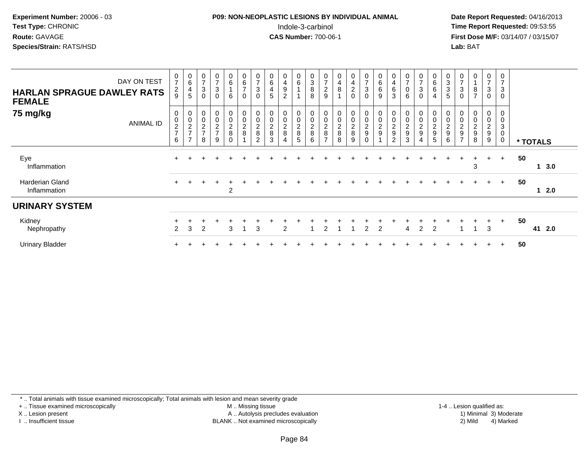## **P09: NON-NEOPLASTIC LESIONS BY INDIVIDUAL ANIMAL**Indole-3-carbinol **Time Report Requested:** 09:53:55

 **Date Report Requested:** 04/16/2013 **First Dose M/F:** 03/14/07 / 03/15/07<br>**Lab: BAT Lab:** BAT

| <b>HARLAN SPRAGUE DAWLEY RATS</b><br><b>FEMALE</b> | DAY ON TEST      | 0<br>$\overline{7}$<br>$\frac{2}{9}$ | $\begin{array}{c} 0 \\ 6 \end{array}$<br>$\overline{4}$<br>$\overline{5}$ | 0<br>$\overline{ }$<br>3<br>$\Omega$ | $\pmb{0}$<br>$\overline{7}$<br>$\mathbf{3}$<br>$\mathbf 0$ | $\pmb{0}$<br>6<br>6                      | 0<br>6<br>$\overline{ }$<br>$\mathbf 0$ | $\boldsymbol{0}$<br>$\overline{7}$<br>$\sqrt{3}$<br>$\boldsymbol{0}$ | $\pmb{0}$<br>$\,6$<br>$\overline{4}$<br>5 | $\mathbf 0$<br>4<br>$\boldsymbol{9}$<br>$\overline{2}$ | 0<br>6                  | $_{3}^{\rm 0}$<br>$\,8\,$<br>8                        | 0<br>$\overline{ }$<br>$\frac{2}{9}$               | $\pmb{0}$<br>$\overline{\mathbf{4}}$<br>$\bf 8$<br>$\overline{A}$ | $\pmb{0}$<br>$\overline{\mathbf{4}}$<br>$^2_{0}$ | 0<br>$\overline{7}$<br>3<br>0       | $\begin{array}{c} 0 \\ 6 \end{array}$<br>6<br>9 | 0<br>$\overline{\mathbf{4}}$<br>$\,6\,$<br>3                | 0<br>$\overline{ }$<br>0<br>6   | 0<br>$\overline{z}$<br>$\sqrt{3}$<br>$\mathbf 0$  | 0<br>6<br>6<br>4             | 0<br>$\sqrt{3}$<br>$\ensuremath{\mathsf{3}}$<br>5         | 0<br>$\overline{ }$<br>3<br>0                       | $\pmb{0}$<br>$\bf8$<br>$\overline{7}$             | 0<br>$\overline{ }$<br>$\ensuremath{\mathsf{3}}$<br>0 | 0<br>$\overline{7}$<br>$\mathsf 3$<br>$\mathbf 0$              |    |           |
|----------------------------------------------------|------------------|--------------------------------------|---------------------------------------------------------------------------|--------------------------------------|------------------------------------------------------------|------------------------------------------|-----------------------------------------|----------------------------------------------------------------------|-------------------------------------------|--------------------------------------------------------|-------------------------|-------------------------------------------------------|----------------------------------------------------|-------------------------------------------------------------------|--------------------------------------------------|-------------------------------------|-------------------------------------------------|-------------------------------------------------------------|---------------------------------|---------------------------------------------------|------------------------------|-----------------------------------------------------------|-----------------------------------------------------|---------------------------------------------------|-------------------------------------------------------|----------------------------------------------------------------|----|-----------|
| 75 mg/kg                                           | <b>ANIMAL ID</b> | 0<br>$\pmb{0}$<br>$\frac{2}{7}$<br>6 | 00027<br>$\overline{7}$                                                   | 0<br>$\pmb{0}$<br>$\frac{2}{7}$<br>8 | $\pmb{0}$<br>$\frac{2}{7}$<br>9                            | 0<br>$\mathsf 0$<br>$_{8}^2$<br>$\Omega$ | 0<br>0<br>$\frac{2}{8}$                 | $\pmb{0}$<br>$\pmb{0}$<br>$\frac{2}{8}$<br>$\overline{c}$            | 0<br>$\pmb{0}$<br>$\frac{2}{8}$<br>3      | $\pmb{0}$<br>$\overline{c}$<br>8<br>$\overline{4}$     | 0<br>0<br>$_{8}^2$<br>5 | $\boldsymbol{0}$<br>$\mathsf 0$<br>$\frac{2}{8}$<br>6 | 0<br>$\mathbf 0$<br>$_{\rm 8}^2$<br>$\overline{ }$ | $\pmb{0}$<br>$\pmb{0}$<br>$\frac{2}{8}$<br>8                      | $\pmb{0}$<br>$\pmb{0}$<br>$\frac{2}{8}$<br>9     | 0<br>0<br>$\frac{2}{9}$<br>$\Omega$ | 0<br>$\mathbf 0$<br>$\frac{2}{9}$               | $\mathbf 0$<br>$\pmb{0}$<br>$\frac{2}{9}$<br>$\overline{c}$ | $\pmb{0}$<br>$\frac{2}{9}$<br>3 | 0<br>$\pmb{0}$<br>$\frac{2}{9}$<br>$\overline{4}$ | 0<br>0<br>$\frac{2}{9}$<br>5 | 0<br>$\pmb{0}$<br>$\overline{c}$<br>$\boldsymbol{9}$<br>6 | 0<br>$\overline{\mathbf{c}}$<br>9<br>$\overline{ }$ | $\pmb{0}$<br>$\boldsymbol{2}$<br>$\mathsf g$<br>8 | 0<br>0<br>$\frac{2}{9}$<br>9                          | 0<br>$\mathbf 0$<br>$\mathbf{3}$<br>$\mathbf 0$<br>$\mathbf 0$ |    | * TOTALS  |
| Eye<br>Inflammation                                |                  |                                      |                                                                           |                                      |                                                            |                                          |                                         |                                                                      |                                           |                                                        |                         |                                                       |                                                    |                                                                   |                                                  |                                     |                                                 |                                                             |                                 |                                                   |                              |                                                           |                                                     | 3                                                 | $\div$                                                | $+$                                                            | 50 | 3.0       |
| <b>Harderian Gland</b><br>Inflammation             |                  | $+$                                  |                                                                           |                                      |                                                            | $\mathbf +$<br>2                         |                                         |                                                                      |                                           |                                                        |                         |                                                       |                                                    |                                                                   |                                                  |                                     |                                                 |                                                             |                                 |                                                   |                              |                                                           |                                                     |                                                   | $+$                                                   | $+$                                                            | 50 | 2.0       |
| <b>URINARY SYSTEM</b>                              |                  |                                      |                                                                           |                                      |                                                            |                                          |                                         |                                                                      |                                           |                                                        |                         |                                                       |                                                    |                                                                   |                                                  |                                     |                                                 |                                                             |                                 |                                                   |                              |                                                           |                                                     |                                                   |                                                       |                                                                |    |           |
| Kidney<br>Nephropathy                              |                  | $\overline{2}$                       | 3                                                                         | 2                                    |                                                            | 3                                        |                                         | 3                                                                    |                                           | $\overline{2}$                                         |                         |                                                       |                                                    |                                                                   |                                                  | 2                                   | 2                                               |                                                             | 4                               | $\overline{2}$                                    | 2                            |                                                           |                                                     |                                                   | +<br>3                                                | $+$                                                            | 50 | 41<br>2.0 |
| <b>Urinary Bladder</b>                             |                  |                                      |                                                                           |                                      |                                                            |                                          |                                         |                                                                      |                                           |                                                        |                         |                                                       |                                                    |                                                                   |                                                  |                                     |                                                 |                                                             |                                 |                                                   |                              |                                                           |                                                     |                                                   | $\div$                                                |                                                                | 50 |           |

\* .. Total animals with tissue examined microscopically; Total animals with lesion and mean severity grade

+ .. Tissue examined microscopically

X .. Lesion present

I .. Insufficient tissue

 M .. Missing tissueA .. Autolysis precludes evaluation

 1-4 .. Lesion qualified as: BLANK .. Not examined microscopically 2) Mild 4) Marked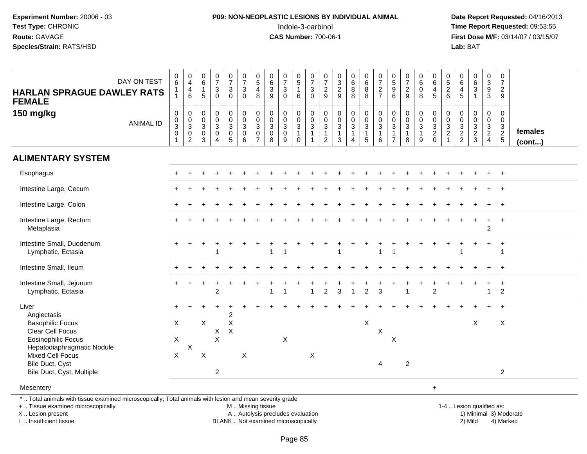## **P09: NON-NEOPLASTIC LESIONS BY INDIVIDUAL ANIMAL**Indole-3-carbinol **Time Report Requested:** 09:53:55

 **Date Report Requested:** 04/16/2013 **First Dose M/F:** 03/14/07 / 03/15/07<br>**Lab: BAT** 

| DAY ON TEST<br><b>HARLAN SPRAGUE DAWLEY RATS</b><br><b>FEMALE</b>                                             | $_{6}^{\rm 0}$<br>1<br>$\mathbf{1}$          | $\begin{smallmatrix}0\\4\end{smallmatrix}$<br>$\overline{4}$<br>$\,6$ | $\begin{array}{c} 0 \\ 6 \end{array}$<br>$\mathbf{1}$<br>5 | $\begin{array}{c} 0 \\ 7 \end{array}$<br>$\mathsf 3$<br>$\mathbf 0$                    | $\begin{array}{c} 0 \\ 7 \end{array}$<br>$\mathbf{3}$<br>$\mathbf 0$ | $\begin{array}{c} 0 \\ 7 \end{array}$<br>$\mathbf{3}$<br>$\mathbf 0$ | $\begin{array}{c} 0 \\ 5 \end{array}$<br>$\overline{4}$<br>8 | $_{6}^{\rm 0}$<br>$\mathbf 3$<br>9       | $\frac{0}{7}$<br>3<br>$\Omega$       | $\begin{array}{c} 0 \\ 5 \\ 1 \end{array}$<br>6               | $\frac{0}{7}$<br>$\sqrt{3}$<br>$\mathbf 0$ | $\frac{0}{7}$<br>$\overline{c}$<br>9           | $\frac{0}{2}$<br>9                                  | $\begin{array}{c} 0 \\ 6 \end{array}$<br>$\bf8$<br>8               | $\pmb{0}$<br>$\,6\,$<br>$\, 8$<br>8               | $\frac{0}{7}$<br>$\overline{c}$<br>$\overline{7}$ | $\begin{array}{c} 0 \\ 5 \\ 9 \end{array}$<br>$6\phantom{1}$ | $\frac{0}{7}$<br>$\overline{a}$<br>9    | $_{6}^{\rm 0}$<br>$\mathbf 0$<br>8                      | $\begin{array}{c} 0 \\ 6 \end{array}$<br>$\overline{\mathbf{4}}$<br>$\overline{5}$ | $0$<br>5<br>2<br>6                                                  | $\begin{array}{c} 0 \\ 6 \end{array}$<br>$\overline{4}$<br>5 | $\begin{array}{c} 0 \\ 6 \\ 3 \end{array}$<br>$\mathbf{1}$   | $_{3}^{\rm 0}$<br>9<br>3                    | 0<br>$\overline{7}$<br>$\overline{2}$<br>9                     |                   |
|---------------------------------------------------------------------------------------------------------------|----------------------------------------------|-----------------------------------------------------------------------|------------------------------------------------------------|----------------------------------------------------------------------------------------|----------------------------------------------------------------------|----------------------------------------------------------------------|--------------------------------------------------------------|------------------------------------------|--------------------------------------|---------------------------------------------------------------|--------------------------------------------|------------------------------------------------|-----------------------------------------------------|--------------------------------------------------------------------|---------------------------------------------------|---------------------------------------------------|--------------------------------------------------------------|-----------------------------------------|---------------------------------------------------------|------------------------------------------------------------------------------------|---------------------------------------------------------------------|--------------------------------------------------------------|--------------------------------------------------------------|---------------------------------------------|----------------------------------------------------------------|-------------------|
| 150 mg/kg<br><b>ANIMAL ID</b>                                                                                 | $\pmb{0}$<br>$\frac{0}{3}$<br>$\overline{1}$ | $\begin{matrix} 0 \\ 0 \\ 3 \end{matrix}$<br>$^{\rm 0}_{\rm 2}$       | $\mathbf 0$<br>$_{3}^{\rm 0}$<br>$\boldsymbol{0}$<br>3     | $\begin{smallmatrix}0\\0\\3\end{smallmatrix}$<br>$\mathbf 0$<br>$\boldsymbol{\Lambda}$ | 0<br>$\overline{0}$<br>$\ensuremath{\mathsf{3}}$<br>$\pmb{0}$<br>5   | $\mathbf 0$<br>$\overline{0}$<br>$\overline{3}$<br>$\mathbf 0$<br>6  | 0<br>$\mathbf 0$<br>3<br>0<br>$\overline{7}$                 | 0<br>$\frac{0}{3}$<br>$_{\rm 8}^{\rm 0}$ | 0<br>$\frac{0}{3}$<br>$\pmb{0}$<br>9 | $\begin{matrix} 0 \\ 0 \\ 3 \\ 1 \end{matrix}$<br>$\mathbf 0$ | $\pmb{0}$<br>$\frac{0}{3}$<br>$\mathbf{1}$ | $\mathbf 0$<br>$_{3}^{\rm 0}$<br>$\frac{1}{2}$ | $\begin{matrix} 0 \\ 0 \\ 3 \\ 1 \end{matrix}$<br>3 | $\begin{smallmatrix}0\0\0\3\end{smallmatrix}$<br>$\mathbf{1}$<br>4 | $\mathbf 0$<br>$\frac{0}{3}$<br>$\mathbf{1}$<br>5 | 0<br>$\overline{0}$<br>3<br>1<br>6                | $\pmb{0}$<br>$\frac{0}{3}$<br>$\mathbf{1}$<br>$\overline{7}$ | 0<br>$\frac{0}{3}$<br>$\mathbf{1}$<br>8 | $\begin{matrix} 0 \\ 0 \\ 3 \\ 1 \end{matrix}$<br>$9\,$ | 0<br>$\begin{array}{c} 0 \\ 3 \\ 2 \\ 0 \end{array}$                               | $\boldsymbol{0}$<br>$\begin{array}{c} 0 \\ 3 \\ 2 \\ 1 \end{array}$ | 0<br>$\ddot{\mathbf{0}}$<br>$\frac{3}{2}$                    | $\pmb{0}$<br>$\begin{array}{c} 0 \\ 3 \\ 2 \\ 3 \end{array}$ | $\mathbf 0$<br>$\mathbf 0$<br>$\frac{3}{2}$ | $\mathbf 0$<br>0<br>$\begin{array}{c} 3 \\ 2 \\ 5 \end{array}$ | females<br>(cont) |
| <b>ALIMENTARY SYSTEM</b>                                                                                      |                                              |                                                                       |                                                            |                                                                                        |                                                                      |                                                                      |                                                              |                                          |                                      |                                                               |                                            |                                                |                                                     |                                                                    |                                                   |                                                   |                                                              |                                         |                                                         |                                                                                    |                                                                     |                                                              |                                                              |                                             |                                                                |                   |
| Esophagus                                                                                                     |                                              |                                                                       |                                                            |                                                                                        |                                                                      |                                                                      |                                                              |                                          |                                      |                                                               |                                            |                                                |                                                     |                                                                    |                                                   |                                                   |                                                              |                                         |                                                         |                                                                                    |                                                                     |                                                              |                                                              |                                             | $\ddot{}$                                                      |                   |
| Intestine Large, Cecum                                                                                        |                                              |                                                                       |                                                            |                                                                                        |                                                                      |                                                                      |                                                              |                                          |                                      |                                                               |                                            |                                                |                                                     |                                                                    |                                                   |                                                   |                                                              |                                         |                                                         |                                                                                    |                                                                     |                                                              |                                                              |                                             | $\ddot{}$                                                      |                   |
| Intestine Large, Colon                                                                                        |                                              |                                                                       |                                                            |                                                                                        |                                                                      |                                                                      |                                                              |                                          |                                      |                                                               |                                            |                                                |                                                     |                                                                    |                                                   |                                                   |                                                              |                                         |                                                         |                                                                                    |                                                                     |                                                              |                                                              |                                             |                                                                |                   |
| Intestine Large, Rectum<br>Metaplasia                                                                         |                                              |                                                                       |                                                            |                                                                                        |                                                                      |                                                                      |                                                              |                                          |                                      |                                                               |                                            |                                                |                                                     |                                                                    |                                                   |                                                   |                                                              |                                         |                                                         |                                                                                    |                                                                     |                                                              |                                                              | $\overline{2}$                              | $\ddot{}$                                                      |                   |
| Intestine Small, Duodenum<br>Lymphatic, Ectasia                                                               |                                              |                                                                       |                                                            |                                                                                        |                                                                      |                                                                      |                                                              |                                          |                                      |                                                               |                                            |                                                | 1                                                   |                                                                    |                                                   | 1                                                 |                                                              |                                         |                                                         |                                                                                    |                                                                     |                                                              |                                                              |                                             | $\ddot{}$<br>$\mathbf{1}$                                      |                   |
| Intestine Small, Ileum                                                                                        |                                              |                                                                       |                                                            |                                                                                        |                                                                      |                                                                      |                                                              |                                          |                                      |                                                               |                                            |                                                |                                                     |                                                                    |                                                   |                                                   |                                                              |                                         |                                                         |                                                                                    |                                                                     |                                                              |                                                              |                                             | $\ddot{}$                                                      |                   |
| Intestine Small, Jejunum<br>Lymphatic, Ectasia                                                                | $+$                                          | $\ddot{}$                                                             |                                                            | $\mathfrak{p}$                                                                         |                                                                      |                                                                      |                                                              |                                          |                                      |                                                               | $\overline{1}$                             | $\overline{2}$                                 | 3                                                   | $\mathbf{1}$                                                       | $\overline{2}$                                    | 3                                                 |                                                              | $\overline{ }$                          |                                                         | $\overline{2}$                                                                     |                                                                     |                                                              |                                                              | $\overline{1}$                              | $\overline{+}$<br>$\overline{2}$                               |                   |
| Liver<br>Angiectasis                                                                                          | $+$                                          |                                                                       |                                                            |                                                                                        | $\overline{c}$                                                       |                                                                      |                                                              |                                          |                                      |                                                               |                                            |                                                |                                                     |                                                                    |                                                   |                                                   |                                                              |                                         |                                                         |                                                                                    |                                                                     |                                                              |                                                              |                                             |                                                                |                   |
| <b>Basophilic Focus</b><br><b>Clear Cell Focus</b><br><b>Eosinophilic Focus</b><br>Hepatodiaphragmatic Nodule | X<br>X                                       | X                                                                     | $\boldsymbol{\mathsf{X}}$                                  | X<br>$\pmb{\times}$                                                                    | $\sf X$<br>$\boldsymbol{\mathsf{X}}$                                 |                                                                      |                                                              |                                          | X                                    |                                                               |                                            |                                                |                                                     |                                                                    | $\boldsymbol{\mathsf{X}}$                         | X                                                 | $\mathsf X$                                                  |                                         |                                                         |                                                                                    |                                                                     |                                                              | X                                                            |                                             | Χ                                                              |                   |
| <b>Mixed Cell Focus</b><br>Bile Duct, Cyst<br>Bile Duct, Cyst, Multiple                                       | X                                            |                                                                       | $\boldsymbol{\mathsf{X}}$                                  | $\overline{2}$                                                                         |                                                                      | X                                                                    |                                                              |                                          |                                      |                                                               | X                                          |                                                |                                                     |                                                                    |                                                   | $\overline{4}$                                    |                                                              | $\sqrt{2}$                              |                                                         |                                                                                    |                                                                     |                                                              |                                                              |                                             | 2                                                              |                   |
| Mesentery                                                                                                     |                                              |                                                                       |                                                            |                                                                                        |                                                                      |                                                                      |                                                              |                                          |                                      |                                                               |                                            |                                                |                                                     |                                                                    |                                                   |                                                   |                                                              |                                         |                                                         | $\ddot{}$                                                                          |                                                                     |                                                              |                                                              |                                             |                                                                |                   |

\* .. Total animals with tissue examined microscopically; Total animals with lesion and mean severity grade

+ .. Tissue examined microscopically

X .. Lesion present

I .. Insufficient tissue

M .. Missing tissue

A .. Autolysis precludes evaluation

BLANK .. Not examined microscopically 2) Mild 4) Marked

1-4 .. Lesion qualified as: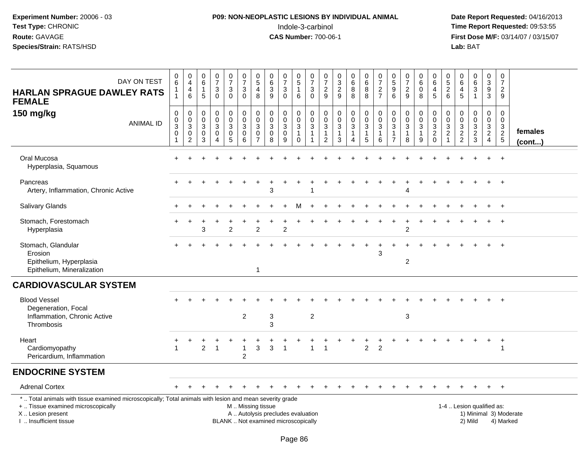# **P09: NON-NEOPLASTIC LESIONS BY INDIVIDUAL ANIMAL**Indole-3-carbinol **Time Report Requested:** 09:53:55

| DAY ON TEST<br><b>HARLAN SPRAGUE DAWLEY RATS</b><br><b>FEMALE</b>                                                                                                                             | 0<br>6<br>1<br>$\mathbf{1}$                             | $\pmb{0}$<br>$\overline{4}$<br>4<br>$\,6\,$                                                 | 0<br>6<br>-1<br>5                        | $\begin{array}{c} 0 \\ 7 \end{array}$<br>$\sqrt{3}$<br>$\mathbf 0$                    | $\pmb{0}$<br>$\overline{7}$<br>$\sqrt{3}$<br>$\mathbf 0$                               | $\pmb{0}$<br>$\overline{7}$<br>$\sqrt{3}$<br>$\mathbf 0$                     | $\begin{array}{c} 0 \\ 5 \end{array}$<br>4<br>8        | $\pmb{0}$<br>$\,6\,$<br>$\ensuremath{\mathsf{3}}$<br>9                    | $\frac{0}{7}$<br>3<br>$\mathbf 0$                    | 0<br>$5\,$<br>$\mathbf{1}$<br>$6\phantom{1}$                          | $\pmb{0}$<br>$\overline{7}$<br>$\mathbf{3}$<br>$\mathbf 0$ | $\mathbf 0$<br>$\overline{7}$<br>$\overline{2}$<br>9                     | $\mathbf 0$<br>$\sqrt{3}$<br>$\overline{2}$<br>9                                          | $\pmb{0}$<br>$\,6\,$<br>$\bf 8$<br>$\,8\,$                                            | 0<br>6<br>8<br>8                                                | $\pmb{0}$<br>$\overline{7}$<br>$\overline{c}$<br>$\overline{7}$ | 0<br>$\sqrt{5}$<br>9<br>$6\phantom{1}$                             | $\pmb{0}$<br>$\overline{7}$<br>$\overline{2}$<br>9               | 0<br>$6\phantom{1}$<br>0<br>8                       | $\mathbf 0$<br>6<br>4<br>$\overline{5}$                | 0<br>5<br>$\overline{2}$<br>6                                                    | $\Omega$<br>6<br>4<br>5                                                  | $\begin{array}{c} 0 \\ 6 \end{array}$<br>$\overline{3}$<br>$\mathbf{1}$ | $\pmb{0}$<br>$\sqrt{3}$<br>$\overline{9}$<br>3                      | $\pmb{0}$<br>$\overline{7}$<br>$\overline{2}$<br>9                       |                         |
|-----------------------------------------------------------------------------------------------------------------------------------------------------------------------------------------------|---------------------------------------------------------|---------------------------------------------------------------------------------------------|------------------------------------------|---------------------------------------------------------------------------------------|----------------------------------------------------------------------------------------|------------------------------------------------------------------------------|--------------------------------------------------------|---------------------------------------------------------------------------|------------------------------------------------------|-----------------------------------------------------------------------|------------------------------------------------------------|--------------------------------------------------------------------------|-------------------------------------------------------------------------------------------|---------------------------------------------------------------------------------------|-----------------------------------------------------------------|-----------------------------------------------------------------|--------------------------------------------------------------------|------------------------------------------------------------------|-----------------------------------------------------|--------------------------------------------------------|----------------------------------------------------------------------------------|--------------------------------------------------------------------------|-------------------------------------------------------------------------|---------------------------------------------------------------------|--------------------------------------------------------------------------|-------------------------|
| 150 mg/kg<br><b>ANIMAL ID</b>                                                                                                                                                                 | $\mathbf 0$<br>0<br>$\overline{3}$<br>$\mathbf 0$<br>-1 | $\mathsf{O}\xspace$<br>$\pmb{0}$<br>$\overline{3}$<br>$\mathsf{O}\xspace$<br>$\overline{2}$ | $\mathbf 0$<br>0<br>$\sqrt{3}$<br>0<br>3 | $\mathsf 0$<br>$\mathsf{O}\xspace$<br>$\overline{3}$<br>$\mathbf 0$<br>$\overline{A}$ | $\mathbf 0$<br>$\mathbf 0$<br>$\ensuremath{\mathsf{3}}$<br>$\pmb{0}$<br>$\overline{5}$ | $\pmb{0}$<br>$\mathbf 0$<br>$\overline{3}$<br>$\mathbf 0$<br>$6\phantom{1}6$ | $\mathbf 0$<br>$\mathbf 0$<br>3<br>0<br>$\overline{7}$ | $\pmb{0}$<br>$\mathbf 0$<br>$\overline{3}$<br>$\pmb{0}$<br>$\overline{8}$ | 0<br>$\mathbf 0$<br>$\mathbf{3}$<br>$\mathbf 0$<br>9 | $\,0\,$<br>$\pmb{0}$<br>$\overline{3}$<br>$\mathbf{1}$<br>$\mathbf 0$ | $\mathbf 0$<br>$\pmb{0}$<br>$\sqrt{3}$<br>$\overline{1}$   | $\mathbf 0$<br>$\pmb{0}$<br>$\sqrt{3}$<br>$\mathbf{1}$<br>$\overline{2}$ | $\mathbf 0$<br>$\mathbf 0$<br>$\ensuremath{\mathsf{3}}$<br>$\mathbf{1}$<br>$\overline{3}$ | $\pmb{0}$<br>$\mathbf 0$<br>$\overline{3}$<br>$\mathbf{1}$<br>$\overline{\mathbf{4}}$ | $\pmb{0}$<br>$\mathbf 0$<br>$\overline{3}$<br>$\mathbf{1}$<br>5 | $\mathbf 0$<br>$\pmb{0}$<br>$\overline{3}$<br>1<br>6            | 0<br>$\pmb{0}$<br>$\mathbf{3}$<br>$\overline{1}$<br>$\overline{7}$ | 0<br>$\pmb{0}$<br>$\ensuremath{\mathsf{3}}$<br>$\mathbf{1}$<br>8 | 0<br>$\mathbf 0$<br>$\sqrt{3}$<br>$\mathbf{1}$<br>9 | $\mathbf 0$<br>$\pmb{0}$<br>$\frac{3}{2}$ <sub>0</sub> | $\mathbf 0$<br>$\mathbf 0$<br>$\mathbf{3}$<br>$\boldsymbol{2}$<br>$\overline{ }$ | $\mathbf 0$<br>$\mathbf 0$<br>$\ensuremath{\mathsf{3}}$<br>$\frac{2}{2}$ | 0<br>$\mathbf 0$<br>$\sqrt{3}$<br>$\frac{2}{3}$                         | $\mathbf 0$<br>$\mathsf{O}\xspace$<br>$\mathbf{3}$<br>$\frac{2}{4}$ | $\mathbf 0$<br>$\mathbf 0$<br>$\ensuremath{\mathsf{3}}$<br>$\frac{2}{5}$ | females<br>$($ cont $)$ |
| Oral Mucosa<br>Hyperplasia, Squamous                                                                                                                                                          |                                                         |                                                                                             |                                          |                                                                                       |                                                                                        |                                                                              |                                                        |                                                                           |                                                      |                                                                       |                                                            |                                                                          |                                                                                           |                                                                                       |                                                                 |                                                                 |                                                                    |                                                                  |                                                     |                                                        |                                                                                  |                                                                          |                                                                         |                                                                     | $+$                                                                      |                         |
| Pancreas<br>Artery, Inflammation, Chronic Active                                                                                                                                              |                                                         |                                                                                             |                                          |                                                                                       |                                                                                        |                                                                              |                                                        | 3                                                                         |                                                      |                                                                       |                                                            |                                                                          |                                                                                           |                                                                                       |                                                                 |                                                                 |                                                                    |                                                                  |                                                     |                                                        |                                                                                  |                                                                          |                                                                         |                                                                     |                                                                          |                         |
| Salivary Glands                                                                                                                                                                               |                                                         |                                                                                             |                                          |                                                                                       |                                                                                        |                                                                              |                                                        |                                                                           |                                                      |                                                                       |                                                            |                                                                          |                                                                                           |                                                                                       |                                                                 |                                                                 |                                                                    |                                                                  |                                                     |                                                        |                                                                                  |                                                                          |                                                                         |                                                                     | $\overline{+}$                                                           |                         |
| Stomach, Forestomach<br>Hyperplasia                                                                                                                                                           |                                                         |                                                                                             | 3                                        |                                                                                       | $\overline{2}$                                                                         |                                                                              | $\mathfrak{p}$                                         |                                                                           | $\overline{2}$                                       |                                                                       |                                                            |                                                                          |                                                                                           |                                                                                       |                                                                 |                                                                 |                                                                    | $\overline{c}$                                                   |                                                     |                                                        |                                                                                  |                                                                          |                                                                         |                                                                     | $\ddot{}$                                                                |                         |
| Stomach, Glandular<br>Erosion<br>Epithelium, Hyperplasia<br>Epithelium, Mineralization                                                                                                        |                                                         |                                                                                             |                                          |                                                                                       |                                                                                        |                                                                              | $\mathbf{1}$                                           |                                                                           |                                                      |                                                                       |                                                            |                                                                          |                                                                                           |                                                                                       |                                                                 | 3                                                               |                                                                    | $\overline{c}$                                                   |                                                     |                                                        |                                                                                  |                                                                          |                                                                         |                                                                     | $\overline{+}$                                                           |                         |
| <b>CARDIOVASCULAR SYSTEM</b>                                                                                                                                                                  |                                                         |                                                                                             |                                          |                                                                                       |                                                                                        |                                                                              |                                                        |                                                                           |                                                      |                                                                       |                                                            |                                                                          |                                                                                           |                                                                                       |                                                                 |                                                                 |                                                                    |                                                                  |                                                     |                                                        |                                                                                  |                                                                          |                                                                         |                                                                     |                                                                          |                         |
| <b>Blood Vessel</b><br>Degeneration, Focal<br>Inflammation, Chronic Active<br>Thrombosis                                                                                                      |                                                         |                                                                                             |                                          |                                                                                       |                                                                                        | $\overline{c}$                                                               |                                                        | 3<br>3                                                                    |                                                      |                                                                       | $\sqrt{2}$                                                 |                                                                          |                                                                                           |                                                                                       |                                                                 |                                                                 |                                                                    | $\sqrt{3}$                                                       |                                                     |                                                        |                                                                                  |                                                                          |                                                                         |                                                                     | $\overline{+}$                                                           |                         |
| Heart<br>Cardiomyopathy<br>Pericardium, Inflammation                                                                                                                                          |                                                         |                                                                                             | $\overline{2}$                           | -1                                                                                    |                                                                                        | $\mathbf{1}$<br>$\overline{c}$                                               | $\mathsf 3$                                            | 3                                                                         | $\overline{1}$                                       |                                                                       |                                                            |                                                                          |                                                                                           |                                                                                       | $\overline{2}$                                                  | $\overline{2}$                                                  |                                                                    |                                                                  |                                                     |                                                        |                                                                                  |                                                                          |                                                                         |                                                                     | $\overline{1}$<br>$\mathbf 1$                                            |                         |
| <b>ENDOCRINE SYSTEM</b>                                                                                                                                                                       |                                                         |                                                                                             |                                          |                                                                                       |                                                                                        |                                                                              |                                                        |                                                                           |                                                      |                                                                       |                                                            |                                                                          |                                                                                           |                                                                                       |                                                                 |                                                                 |                                                                    |                                                                  |                                                     |                                                        |                                                                                  |                                                                          |                                                                         |                                                                     |                                                                          |                         |
| <b>Adrenal Cortex</b>                                                                                                                                                                         |                                                         |                                                                                             |                                          |                                                                                       |                                                                                        |                                                                              |                                                        |                                                                           |                                                      |                                                                       |                                                            |                                                                          |                                                                                           |                                                                                       |                                                                 |                                                                 |                                                                    |                                                                  |                                                     |                                                        |                                                                                  |                                                                          |                                                                         | $+$                                                                 | $+$                                                                      |                         |
| *  Total animals with tissue examined microscopically; Total animals with lesion and mean severity grade<br>+  Tissue examined microscopically<br>X  Lesion present<br>I  Insufficient tissue |                                                         |                                                                                             |                                          |                                                                                       |                                                                                        | M  Missing tissue                                                            |                                                        | A  Autolysis precludes evaluation<br>BLANK  Not examined microscopically  |                                                      |                                                                       |                                                            |                                                                          |                                                                                           |                                                                                       |                                                                 |                                                                 |                                                                    |                                                                  |                                                     |                                                        |                                                                                  | 1-4  Lesion qualified as:                                                | 2) Mild                                                                 |                                                                     | 4) Marked                                                                | 1) Minimal 3) Moderate  |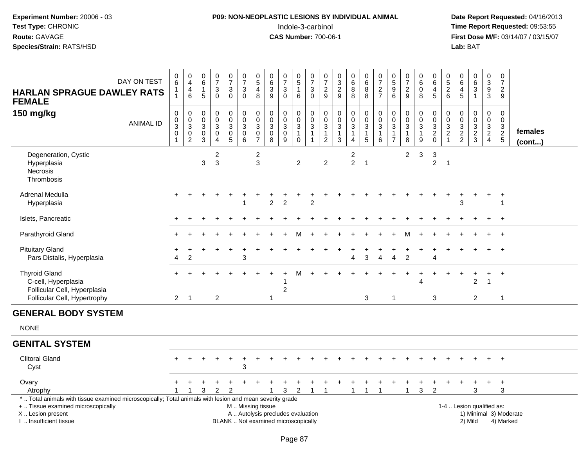# **P09: NON-NEOPLASTIC LESIONS BY INDIVIDUAL ANIMAL**Indole-3-carbinol **Time Report Requested:** 09:53:55

| DAY ON TEST<br><b>HARLAN SPRAGUE DAWLEY RATS</b><br><b>FEMALE</b>                                                                                                                             | 0<br>6<br>$\mathbf{1}$<br>$\mathbf{1}$       | $\begin{smallmatrix}0\\4\end{smallmatrix}$<br>$\overline{4}$<br>$6\phantom{1}6$ | $\pmb{0}$<br>$\,6\,$<br>$\mathbf{1}$<br>5          | $\pmb{0}$<br>$\overline{7}$<br>$\ensuremath{\mathsf{3}}$<br>$\Omega$  | $\frac{0}{7}$<br>$\ensuremath{\mathsf{3}}$<br>$\Omega$                          | $\begin{array}{c} 0 \\ 7 \end{array}$<br>$\ensuremath{\mathsf{3}}$<br>$\mathbf 0$             | $\begin{array}{c} 0 \\ 5 \end{array}$<br>4<br>8                               | 0<br>$\,6\,$<br>$\ensuremath{\mathsf{3}}$<br>9  | $\begin{array}{c} 0 \\ 7 \end{array}$<br>$\ensuremath{\mathsf{3}}$<br>$\mathbf{0}$ | $\begin{array}{c} 0 \\ 5 \end{array}$<br>$\mathbf{1}$<br>6                  | $\frac{0}{7}$<br>$\frac{3}{0}$                                                      | 0<br>$\overline{7}$<br>$\overline{c}$<br>9                        | $\mathbf 0$<br>$\sqrt{3}$<br>$\overline{c}$<br>9                       | $_{6}^{\rm 0}$<br>8<br>8                             | $\pmb{0}$<br>6<br>$_{8}^8$                                                      | $\frac{0}{7}$<br>$\frac{2}{7}$                      | $\pmb{0}$<br>$\,$ 5 $\,$<br>$\begin{array}{c} 9 \\ 6 \end{array}$          | $\frac{0}{7}$<br>$\frac{2}{9}$                  | $\begin{array}{c} 0 \\ 6 \end{array}$<br>$\pmb{0}$<br>8 | 0<br>$\,6\,$<br>$\overline{4}$<br>5                    | 0<br>$\sqrt{5}$<br>$\overline{c}$<br>6                                   | $\mathbf 0$<br>6<br>4<br>5                                               | $\begin{array}{c} 0 \\ 6 \end{array}$<br>$\overline{3}$<br>$\mathbf{1}$ | $\mathbf 0$<br>$\frac{3}{9}$                   | $\mathbf 0$<br>$\overline{7}$<br>$\overline{c}$<br>9 |                                     |
|-----------------------------------------------------------------------------------------------------------------------------------------------------------------------------------------------|----------------------------------------------|---------------------------------------------------------------------------------|----------------------------------------------------|-----------------------------------------------------------------------|---------------------------------------------------------------------------------|-----------------------------------------------------------------------------------------------|-------------------------------------------------------------------------------|-------------------------------------------------|------------------------------------------------------------------------------------|-----------------------------------------------------------------------------|-------------------------------------------------------------------------------------|-------------------------------------------------------------------|------------------------------------------------------------------------|------------------------------------------------------|---------------------------------------------------------------------------------|-----------------------------------------------------|----------------------------------------------------------------------------|-------------------------------------------------|---------------------------------------------------------|--------------------------------------------------------|--------------------------------------------------------------------------|--------------------------------------------------------------------------|-------------------------------------------------------------------------|------------------------------------------------|------------------------------------------------------|-------------------------------------|
| 150 mg/kg<br><b>ANIMAL ID</b>                                                                                                                                                                 | $\mathbf 0$<br>$_{3}^{\rm 0}$<br>$\mathbf 0$ | $\pmb{0}$<br>$\frac{0}{3}$<br>$\overline{2}$                                    | $\mathbf 0$<br>0<br>$\sqrt{3}$<br>$\mathsf 0$<br>3 | $\pmb{0}$<br>$\mathbf 0$<br>$\sqrt{3}$<br>$\pmb{0}$<br>$\overline{4}$ | $\pmb{0}$<br>$\mathbf 0$<br>$\sqrt{3}$<br>$\begin{array}{c} 0 \\ 5 \end{array}$ | $\begin{smallmatrix}0\0\0\3\end{smallmatrix}$<br>$\begin{matrix}0\\6\end{matrix}$             | $\mathbf 0$<br>$\mathbf 0$<br>$\overline{3}$<br>$\mathbf 0$<br>$\overline{7}$ | $\pmb{0}$<br>$_{3}^{\rm 0}$<br>$\mathbf 0$<br>8 | $\pmb{0}$<br>$\mathsf{O}\xspace$<br>$\overline{3}$<br>$\pmb{0}$<br>9               | $\mathbf 0$<br>$\mathbf 0$<br>$\overline{3}$<br>$\mathbf{1}$<br>$\mathbf 0$ | $\mathbf 0$<br>$\overline{0}$<br>$\overline{3}$<br>$\overline{1}$<br>$\overline{1}$ | $\mathbf 0$<br>$\mathbf 0$<br>3<br>$\mathbf{1}$<br>$\overline{c}$ | $\pmb{0}$<br>$\mathbf 0$<br>$\sqrt{3}$<br>$\mathbf{1}$<br>$\mathbf{3}$ | 0<br>$\mathbf 0$<br>$\mathbf{3}$<br>$\mathbf 1$<br>4 | $\begin{smallmatrix}0\\0\\3\end{smallmatrix}$<br>$\mathbf{1}$<br>$\overline{5}$ | $\mathsf{O}$<br>$_{3}^{\rm 0}$<br>$\mathbf{1}$<br>6 | $\pmb{0}$<br>$\pmb{0}$<br>$\overline{3}$<br>$\mathbf{1}$<br>$\overline{7}$ | $\pmb{0}$<br>$\frac{0}{3}$<br>$\mathbf{1}$<br>8 | $\pmb{0}$<br>$\frac{0}{3}$<br>$\mathbf{1}$<br>9         | $\mathbf 0$<br>$\pmb{0}$<br>$\frac{3}{2}$ <sub>0</sub> | $\mathbf 0$<br>$\mathbf 0$<br>$\mathbf{3}$<br>$\sqrt{2}$<br>$\mathbf{1}$ | $\mathbf 0$<br>$\mathbf 0$<br>$\ensuremath{\mathsf{3}}$<br>$\frac{2}{2}$ | 0<br>$\mathbf 0$<br>$\overline{3}$<br>$\frac{2}{3}$                     | $\mathbf 0$<br>$\frac{0}{3}$<br>$\overline{4}$ | $\mathbf 0$<br>$\mathbf 0$<br>$\frac{3}{2}$          | females<br>(cont)                   |
| Degeneration, Cystic<br>Hyperplasia<br>Necrosis<br>Thrombosis                                                                                                                                 |                                              |                                                                                 | 3                                                  | $\overline{c}$<br>3                                                   |                                                                                 |                                                                                               | $\overline{c}$<br>3                                                           |                                                 |                                                                                    | $\overline{c}$                                                              |                                                                                     | $\overline{c}$                                                    |                                                                        | 2<br>$\overline{2}$                                  | $\overline{1}$                                                                  |                                                     |                                                                            | $\overline{2}$                                  | $\mathbf{3}$                                            | $\mathbf{3}$<br>$\overline{c}$                         | $\overline{1}$                                                           |                                                                          |                                                                         |                                                |                                                      |                                     |
| Adrenal Medulla<br>Hyperplasia                                                                                                                                                                |                                              |                                                                                 |                                                    |                                                                       |                                                                                 |                                                                                               |                                                                               | $\overline{2}$                                  | $\overline{c}$                                                                     |                                                                             | $\overline{c}$                                                                      |                                                                   |                                                                        |                                                      |                                                                                 |                                                     |                                                                            |                                                 |                                                         |                                                        |                                                                          | 3                                                                        |                                                                         |                                                | $\ddot{}$<br>$\mathbf{1}$                            |                                     |
| Islets, Pancreatic                                                                                                                                                                            |                                              |                                                                                 |                                                    |                                                                       |                                                                                 |                                                                                               |                                                                               |                                                 |                                                                                    |                                                                             |                                                                                     |                                                                   |                                                                        |                                                      |                                                                                 |                                                     |                                                                            |                                                 |                                                         |                                                        |                                                                          |                                                                          |                                                                         |                                                | $\ddot{}$                                            |                                     |
| Parathyroid Gland                                                                                                                                                                             |                                              |                                                                                 |                                                    |                                                                       |                                                                                 |                                                                                               |                                                                               |                                                 |                                                                                    |                                                                             |                                                                                     |                                                                   |                                                                        |                                                      |                                                                                 |                                                     |                                                                            |                                                 |                                                         |                                                        |                                                                          |                                                                          |                                                                         |                                                | $\ddot{}$                                            |                                     |
| <b>Pituitary Gland</b><br>Pars Distalis, Hyperplasia                                                                                                                                          | 4                                            | 2                                                                               |                                                    |                                                                       |                                                                                 | 3                                                                                             |                                                                               |                                                 |                                                                                    |                                                                             |                                                                                     |                                                                   |                                                                        | 4                                                    | 3                                                                               | $\overline{4}$                                      | Δ                                                                          | $\overline{2}$                                  |                                                         | $\overline{4}$                                         |                                                                          |                                                                          |                                                                         |                                                | $\overline{+}$                                       |                                     |
| <b>Thyroid Gland</b><br>C-cell, Hyperplasia<br>Follicular Cell, Hyperplasia<br>Follicular Cell, Hypertrophy                                                                                   |                                              | $2 \quad 1$                                                                     |                                                    | $\overline{2}$                                                        |                                                                                 |                                                                                               |                                                                               | $\overline{1}$                                  | $\overline{c}$                                                                     |                                                                             |                                                                                     |                                                                   |                                                                        |                                                      | 3                                                                               |                                                     | $\overline{1}$                                                             |                                                 | Δ                                                       | 3                                                      |                                                                          |                                                                          | $\overline{2}$<br>2                                                     | $\ddot{}$<br>1                                 | $\ddot{}$<br>$\mathbf{1}$                            |                                     |
| <b>GENERAL BODY SYSTEM</b>                                                                                                                                                                    |                                              |                                                                                 |                                                    |                                                                       |                                                                                 |                                                                                               |                                                                               |                                                 |                                                                                    |                                                                             |                                                                                     |                                                                   |                                                                        |                                                      |                                                                                 |                                                     |                                                                            |                                                 |                                                         |                                                        |                                                                          |                                                                          |                                                                         |                                                |                                                      |                                     |
| <b>NONE</b>                                                                                                                                                                                   |                                              |                                                                                 |                                                    |                                                                       |                                                                                 |                                                                                               |                                                                               |                                                 |                                                                                    |                                                                             |                                                                                     |                                                                   |                                                                        |                                                      |                                                                                 |                                                     |                                                                            |                                                 |                                                         |                                                        |                                                                          |                                                                          |                                                                         |                                                |                                                      |                                     |
| <b>GENITAL SYSTEM</b>                                                                                                                                                                         |                                              |                                                                                 |                                                    |                                                                       |                                                                                 |                                                                                               |                                                                               |                                                 |                                                                                    |                                                                             |                                                                                     |                                                                   |                                                                        |                                                      |                                                                                 |                                                     |                                                                            |                                                 |                                                         |                                                        |                                                                          |                                                                          |                                                                         |                                                |                                                      |                                     |
| <b>Clitoral Gland</b><br>Cyst                                                                                                                                                                 |                                              |                                                                                 |                                                    |                                                                       |                                                                                 | 3                                                                                             |                                                                               |                                                 |                                                                                    |                                                                             |                                                                                     |                                                                   |                                                                        |                                                      |                                                                                 |                                                     |                                                                            |                                                 |                                                         |                                                        |                                                                          |                                                                          |                                                                         |                                                | $+$                                                  |                                     |
| Ovary<br>Atrophy                                                                                                                                                                              |                                              |                                                                                 | 3                                                  | 2                                                                     | $\overline{2}$                                                                  |                                                                                               |                                                                               | 1                                               | 3                                                                                  | $\overline{2}$                                                              | -1                                                                                  | 1                                                                 |                                                                        | $\mathbf{1}$                                         | $\mathbf{1}$                                                                    |                                                     |                                                                            | -1                                              | 3                                                       | 2                                                      |                                                                          |                                                                          | 3                                                                       |                                                | $\ddot{}$<br>3                                       |                                     |
| *  Total animals with tissue examined microscopically; Total animals with lesion and mean severity grade<br>+  Tissue examined microscopically<br>X  Lesion present<br>I. Insufficient tissue |                                              |                                                                                 |                                                    |                                                                       |                                                                                 | M  Missing tissue<br>A  Autolysis precludes evaluation<br>BLANK  Not examined microscopically |                                                                               |                                                 |                                                                                    |                                                                             |                                                                                     |                                                                   |                                                                        |                                                      |                                                                                 |                                                     |                                                                            |                                                 |                                                         |                                                        |                                                                          | 1-4  Lesion qualified as:                                                | 2) Mild                                                                 |                                                |                                                      | 1) Minimal 3) Moderate<br>4) Marked |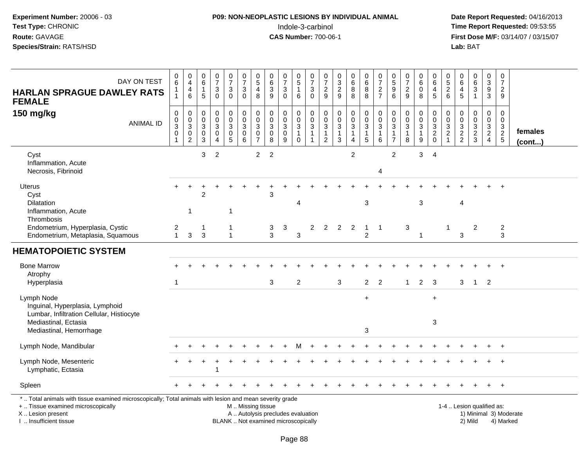# **P09: NON-NEOPLASTIC LESIONS BY INDIVIDUAL ANIMAL**Indole-3-carbinol **Time Report Requested:** 09:53:55

| DAY ON TEST<br><b>HARLAN SPRAGUE DAWLEY RATS</b><br><b>FEMALE</b>                                                                                                                             | 0<br>$\,6\,$<br>1<br>1                                         | $\pmb{0}$<br>$\overline{\mathbf{4}}$<br>$\overline{\mathbf{4}}$<br>$\,6$ | $\begin{array}{c} 0 \\ 6 \end{array}$<br>$\mathbf{1}$<br>5 | $\frac{0}{7}$<br>$\ensuremath{\mathsf{3}}$<br>$\mathbf 0$               | $\begin{smallmatrix}0\\7\end{smallmatrix}$<br>$\ensuremath{\mathsf{3}}$<br>$\mathbf 0$ | $\frac{0}{7}$<br>$\ensuremath{\mathsf{3}}$<br>$\mathbf 0$      | $\begin{array}{c} 0 \\ 5 \end{array}$<br>$\overline{4}$<br>8 | 0<br>$\,6\,$<br>$\ensuremath{\mathsf{3}}$<br>9                           | $\begin{array}{c} 0 \\ 7 \end{array}$<br>$\ensuremath{\mathsf{3}}$<br>$\mathbf 0$ | $\begin{array}{c} 0 \\ 5 \end{array}$<br>$\mathbf{1}$<br>$\,6\,$  | $\frac{0}{7}$<br>$\ensuremath{\mathsf{3}}$<br>$\mathbf 0$                  | 0<br>$\overline{7}$<br>$\overline{c}$<br>9                               | $\begin{array}{c} 0 \\ 3 \\ 2 \\ 9 \end{array}$                | $\begin{array}{c} 0 \\ 6 \end{array}$<br>$\bf 8$<br>8 | $\begin{array}{c} 0 \\ 6 \end{array}$<br>$\,8\,$<br>8                          | $\begin{array}{c} 0 \\ 7 \end{array}$<br>$\frac{2}{7}$ | $\begin{smallmatrix}0\0\5\end{smallmatrix}$<br>$\overline{9}$<br>6           | $\frac{0}{7}$<br>$\overline{c}$<br>9                  | $\pmb{0}$<br>6<br>$\pmb{0}$<br>8                                     | 0<br>$\overline{6}$<br>4<br>$\overline{5}$             | 0<br>$\sqrt{5}$<br>$\sqrt{2}$<br>6       | $\,0\,$<br>$\,6\,$<br>$\overline{4}$<br>5                                     | $\begin{array}{c} 0 \\ 6 \end{array}$<br>$\mathbf 3$<br>$\mathbf{1}$ | $\pmb{0}$<br>$\frac{3}{9}$                | 0<br>$\overline{7}$<br>$\overline{2}$<br>9       |                         |
|-----------------------------------------------------------------------------------------------------------------------------------------------------------------------------------------------|----------------------------------------------------------------|--------------------------------------------------------------------------|------------------------------------------------------------|-------------------------------------------------------------------------|----------------------------------------------------------------------------------------|----------------------------------------------------------------|--------------------------------------------------------------|--------------------------------------------------------------------------|-----------------------------------------------------------------------------------|-------------------------------------------------------------------|----------------------------------------------------------------------------|--------------------------------------------------------------------------|----------------------------------------------------------------|-------------------------------------------------------|--------------------------------------------------------------------------------|--------------------------------------------------------|------------------------------------------------------------------------------|-------------------------------------------------------|----------------------------------------------------------------------|--------------------------------------------------------|------------------------------------------|-------------------------------------------------------------------------------|----------------------------------------------------------------------|-------------------------------------------|--------------------------------------------------|-------------------------|
| 150 mg/kg<br><b>ANIMAL ID</b>                                                                                                                                                                 | $\mathbf 0$<br>$\pmb{0}$<br>$\overline{3}$<br>$\mathbf 0$<br>1 | 0<br>$\,0\,$<br>$\overline{3}$<br>$\mathbf 0$<br>$\overline{2}$          | 0<br>0<br>$\mathbf{3}$<br>0<br>$\mathbf{3}$                | $\pmb{0}$<br>$\pmb{0}$<br>$\overline{3}$<br>$\pmb{0}$<br>$\overline{4}$ | 0<br>$\mathbf 0$<br>$\overline{3}$<br>$\mathbf 0$<br>$\overline{5}$                    | $\mathbf 0$<br>$\pmb{0}$<br>$\overline{3}$<br>$\mathbf 0$<br>6 | 0<br>$\mathbf 0$<br>3<br>$\mathbf 0$<br>$\overline{7}$       | $\pmb{0}$<br>$\boldsymbol{0}$<br>$\mathbf{3}$<br>$\mathbf 0$<br>8        | 0<br>$\mathsf{O}\xspace$<br>$\sqrt{3}$<br>$\mathsf{O}\xspace$<br>9                | 0<br>$\mathbf 0$<br>$\overline{3}$<br>$\mathbf{1}$<br>$\mathsf 0$ | $\mathbf 0$<br>$\pmb{0}$<br>$\overline{3}$<br>$\mathbf{1}$<br>$\mathbf{1}$ | $\mathbf 0$<br>$\pmb{0}$<br>$\sqrt{3}$<br>$\mathbf{1}$<br>$\overline{2}$ | $\mathbf 0$<br>$\frac{0}{3}$<br>$\mathbf{1}$<br>$\overline{3}$ | 0<br>$\mathsf 0$<br>$\sqrt{3}$<br>$\mathbf{1}$<br>4   | $\mathbf 0$<br>$\mathbf 0$<br>$\overline{3}$<br>$\mathbf{1}$<br>$\overline{5}$ | $\mathbf 0$<br>$\pmb{0}$<br>$\mathfrak{S}$<br>1<br>6   | $\mathbf 0$<br>$\pmb{0}$<br>$\overline{3}$<br>$\mathbf{1}$<br>$\overline{7}$ | 0<br>$\pmb{0}$<br>$\overline{3}$<br>$\mathbf{1}$<br>8 | 0<br>$\pmb{0}$<br>$\overline{3}$<br>$\mathbf{1}$<br>$\boldsymbol{9}$ | $\mathbf 0$<br>$\pmb{0}$<br>$\frac{3}{2}$ <sub>0</sub> | 0<br>0<br>$\sqrt{3}$<br>$\boldsymbol{2}$ | $\mathbf 0$<br>$\boldsymbol{0}$<br>$\ensuremath{\mathsf{3}}$<br>$\frac{2}{2}$ | $\mathbf 0$<br>$\mathbf 0$<br>$\overline{3}$<br>$\frac{2}{3}$        | $\mathbf 0$<br>$\pmb{0}$<br>$\frac{3}{2}$ | $\mathbf 0$<br>$\mathbf 0$<br>3<br>$\frac{2}{5}$ | females<br>$($ cont $)$ |
| Cyst<br>Inflammation, Acute<br>Necrosis, Fibrinoid                                                                                                                                            |                                                                |                                                                          | 3                                                          | $\overline{2}$                                                          |                                                                                        |                                                                | $\overline{a}$                                               | $\overline{2}$                                                           |                                                                                   |                                                                   |                                                                            |                                                                          |                                                                | $\overline{2}$                                        |                                                                                | 4                                                      | $\overline{2}$                                                               |                                                       | 3                                                                    | $\overline{4}$                                         |                                          |                                                                               |                                                                      |                                           |                                                  |                         |
| <b>Uterus</b><br>Cyst<br><b>Dilatation</b><br>Inflammation, Acute<br>Thrombosis                                                                                                               |                                                                | $\mathbf{1}$                                                             | $\overline{2}$                                             |                                                                         | -1                                                                                     |                                                                |                                                              | 3                                                                        |                                                                                   | Δ                                                                 |                                                                            |                                                                          |                                                                |                                                       | 3                                                                              |                                                        |                                                                              |                                                       | 3                                                                    |                                                        |                                          | 4                                                                             |                                                                      |                                           |                                                  |                         |
| Endometrium, Hyperplasia, Cystic<br>Endometrium, Metaplasia, Squamous                                                                                                                         | $\overline{2}$<br>$\mathbf{1}$                                 | $\mathbf{3}$                                                             | 1<br>3                                                     |                                                                         | $\mathbf{1}$                                                                           |                                                                |                                                              | 3<br>3                                                                   | $\ensuremath{\mathsf{3}}$                                                         | 3                                                                 | $\overline{2}$                                                             |                                                                          | $2 \quad 2 \quad 2$                                            |                                                       | $\mathbf{1}$<br>$\overline{c}$                                                 | $\overline{1}$                                         |                                                                              | 3                                                     | $\mathbf{1}$                                                         |                                                        | 1                                        | 3                                                                             | 2                                                                    |                                           | $\overline{a}$<br>3                              |                         |
| <b>HEMATOPOIETIC SYSTEM</b>                                                                                                                                                                   |                                                                |                                                                          |                                                            |                                                                         |                                                                                        |                                                                |                                                              |                                                                          |                                                                                   |                                                                   |                                                                            |                                                                          |                                                                |                                                       |                                                                                |                                                        |                                                                              |                                                       |                                                                      |                                                        |                                          |                                                                               |                                                                      |                                           |                                                  |                         |
| <b>Bone Marrow</b><br>Atrophy<br>Hyperplasia                                                                                                                                                  | -1                                                             |                                                                          |                                                            |                                                                         |                                                                                        |                                                                |                                                              | 3                                                                        |                                                                                   | $\overline{2}$                                                    |                                                                            |                                                                          | 3                                                              |                                                       | $\overline{2}$                                                                 | $\overline{2}$                                         |                                                                              | $\mathbf{1}$                                          | $\overline{2}$                                                       | 3                                                      |                                          | 3                                                                             | $\overline{1}$                                                       | $\overline{2}$                            |                                                  |                         |
| Lymph Node<br>Inguinal, Hyperplasia, Lymphoid<br>Lumbar, Infiltration Cellular, Histiocyte<br>Mediastinal, Ectasia<br>Mediastinal, Hemorrhage                                                 |                                                                |                                                                          |                                                            |                                                                         |                                                                                        |                                                                |                                                              |                                                                          |                                                                                   |                                                                   |                                                                            |                                                                          |                                                                |                                                       | $+$<br>3                                                                       |                                                        |                                                                              |                                                       |                                                                      | $\ddot{}$<br>3                                         |                                          |                                                                               |                                                                      |                                           |                                                  |                         |
| Lymph Node, Mandibular                                                                                                                                                                        |                                                                |                                                                          |                                                            |                                                                         |                                                                                        |                                                                |                                                              |                                                                          |                                                                                   |                                                                   |                                                                            |                                                                          |                                                                |                                                       |                                                                                |                                                        |                                                                              |                                                       |                                                                      |                                                        |                                          |                                                                               |                                                                      |                                           | $\overline{+}$                                   |                         |
| Lymph Node, Mesenteric<br>Lymphatic, Ectasia                                                                                                                                                  |                                                                |                                                                          |                                                            |                                                                         |                                                                                        |                                                                |                                                              |                                                                          |                                                                                   |                                                                   |                                                                            |                                                                          |                                                                |                                                       |                                                                                |                                                        |                                                                              |                                                       |                                                                      |                                                        |                                          |                                                                               |                                                                      |                                           | $^{+}$                                           |                         |
| Spleen                                                                                                                                                                                        |                                                                |                                                                          |                                                            |                                                                         |                                                                                        |                                                                |                                                              |                                                                          |                                                                                   |                                                                   |                                                                            |                                                                          |                                                                |                                                       |                                                                                |                                                        |                                                                              |                                                       |                                                                      |                                                        |                                          |                                                                               |                                                                      |                                           | $+$                                              |                         |
| *  Total animals with tissue examined microscopically; Total animals with lesion and mean severity grade<br>+  Tissue examined microscopically<br>X  Lesion present<br>I  Insufficient tissue |                                                                |                                                                          |                                                            |                                                                         |                                                                                        | M  Missing tissue                                              |                                                              | A  Autolysis precludes evaluation<br>BLANK  Not examined microscopically |                                                                                   |                                                                   |                                                                            |                                                                          |                                                                |                                                       |                                                                                |                                                        |                                                                              |                                                       |                                                                      |                                                        |                                          | 1-4  Lesion qualified as:                                                     | 2) Mild                                                              |                                           | 1) Minimal 3) Moderate<br>4) Marked              |                         |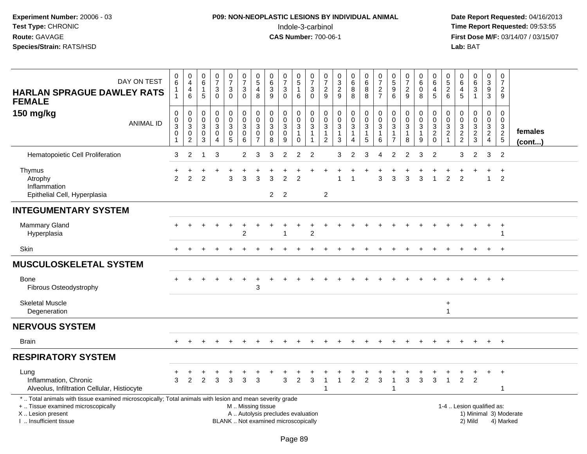# **P09: NON-NEOPLASTIC LESIONS BY INDIVIDUAL ANIMAL**Indole-3-carbinol **Time Report Requested:** 09:53:55

| DAY ON TEST<br><b>HARLAN SPRAGUE DAWLEY RATS</b><br><b>FEMALE</b>                                                                                                                             | $\mathbf 0$<br>6<br>1<br>$\mathbf{1}$                   | 0<br>$\overline{4}$<br>4<br>6              | $_{6}^{\rm 0}$<br>$\mathbf{1}$<br>5                                | $\frac{0}{7}$<br>$\mathbf{3}$<br>$\Omega$                                              | $\begin{array}{c} 0 \\ 7 \end{array}$<br>$\ensuremath{\mathsf{3}}$<br>$\mathbf 0$ | $\frac{0}{7}$<br>$\sqrt{3}$<br>$\mathbf 0$                                          | $\begin{array}{c} 0 \\ 5 \end{array}$<br>$\overline{4}$<br>8           | $\mathbf 0$<br>$\overline{6}$<br>$\sqrt{3}$<br>9                         | $\pmb{0}$<br>$\overline{7}$<br>$\frac{3}{0}$               | $\mathbf 0$<br>$\overline{5}$<br>$\mathbf{1}$<br>6                              | 0<br>$\overline{7}$<br>$\sqrt{3}$<br>$\mathbf 0$     | $\frac{0}{7}$<br>$\boldsymbol{2}$<br>9                                   | $_{3}^{\rm 0}$<br>$\frac{2}{9}$                                         | 0<br>$6\overline{6}$<br>$_{8}^8$ | $\pmb{0}$<br>$\overline{6}$<br>$\frac{8}{8}$    | 0<br>$\overline{7}$<br>$\overline{\mathbf{c}}$<br>$\overline{7}$ | $\begin{array}{c} 0 \\ 5 \end{array}$<br>$9\,$<br>6                        | $\frac{0}{7}$<br>$\frac{2}{9}$                     | $\begin{array}{c} 0 \\ 6 \end{array}$<br>$\pmb{0}$<br>8                            | 0<br>$\overline{6}$<br>4<br>5                       | $\pmb{0}$<br>$\overline{5}$<br>$\frac{2}{6}$                             | $\pmb{0}$<br>$\overline{6}$<br>$\overline{a}$<br>5 | $\mathbf 0$<br>$\overline{6}$<br>$\mathbf{3}$<br>$\mathbf{1}$ | $\mathbf 0$<br>$\overline{3}$<br>$9\,$<br>3                        | 0<br>$\overline{7}$<br>$\overline{2}$<br>9                   |                                     |
|-----------------------------------------------------------------------------------------------------------------------------------------------------------------------------------------------|---------------------------------------------------------|--------------------------------------------|--------------------------------------------------------------------|----------------------------------------------------------------------------------------|-----------------------------------------------------------------------------------|-------------------------------------------------------------------------------------|------------------------------------------------------------------------|--------------------------------------------------------------------------|------------------------------------------------------------|---------------------------------------------------------------------------------|------------------------------------------------------|--------------------------------------------------------------------------|-------------------------------------------------------------------------|----------------------------------|-------------------------------------------------|------------------------------------------------------------------|----------------------------------------------------------------------------|----------------------------------------------------|------------------------------------------------------------------------------------|-----------------------------------------------------|--------------------------------------------------------------------------|----------------------------------------------------|---------------------------------------------------------------|--------------------------------------------------------------------|--------------------------------------------------------------|-------------------------------------|
| 150 mg/kg<br><b>ANIMAL ID</b>                                                                                                                                                                 | $\boldsymbol{0}$<br>$\,0\,$<br>3<br>0<br>$\overline{1}$ | 0<br>$\pmb{0}$<br>3<br>0<br>$\overline{c}$ | $\mathsf{O}\xspace$<br>$\mathbf 0$<br>$\sqrt{3}$<br>$\pmb{0}$<br>3 | $\boldsymbol{0}$<br>$\mathbf 0$<br>$\mathbf{3}$<br>$\pmb{0}$<br>$\boldsymbol{\Lambda}$ | $\pmb{0}$<br>$\pmb{0}$<br>$\begin{array}{c} 3 \\ 0 \\ 5 \end{array}$              | $\mathsf 0$<br>$\ddot{\mathbf{0}}$<br>$\mathfrak{Z}$<br>$\pmb{0}$<br>$6\phantom{1}$ | $\pmb{0}$<br>$\pmb{0}$<br>$\mathbf 3$<br>$\mathbf 0$<br>$\overline{7}$ | $\pmb{0}$<br>$\mathbf 0$<br>$\mathbf{3}$<br>$\mathbf 0$<br>8             | $\mathbf 0$<br>$\pmb{0}$<br>$\sqrt{3}$<br>$\mathbf 0$<br>9 | $\pmb{0}$<br>$\mathsf{O}\xspace$<br>$\mathbf{3}$<br>$\mathbf{1}$<br>$\mathbf 0$ | 0<br>$\mathbf 0$<br>3<br>$\mathbf{1}$<br>$\mathbf 1$ | $\pmb{0}$<br>$\mathbf 0$<br>$\sqrt{3}$<br>$\mathbf{1}$<br>$\overline{2}$ | $\boldsymbol{0}$<br>$\overline{0}$<br>$\mathbf{3}$<br>$\mathbf{1}$<br>3 | 0<br>$\mathbf 0$<br>3<br>1<br>4  | $\pmb{0}$<br>$\frac{0}{3}$<br>$\mathbf{1}$<br>5 | 0<br>$\mathbf 0$<br>$\mathbf{3}$<br>$\mathbf{1}$<br>6            | $\mathbf 0$<br>$\pmb{0}$<br>$\mathbf{3}$<br>$\mathbf{1}$<br>$\overline{7}$ | 0<br>$\mathsf{O}\xspace$<br>3<br>$\mathbf{1}$<br>8 | $\pmb{0}$<br>$\ddot{\mathbf{0}}$<br>$\ensuremath{\mathsf{3}}$<br>$\mathbf{1}$<br>9 | 0<br>$\mathbf 0$<br>3<br>$\overline{2}$<br>$\Omega$ | $\pmb{0}$<br>$\mathbf 0$<br>$\sqrt{3}$<br>$\overline{c}$<br>$\mathbf{1}$ | 0<br>$\pmb{0}$<br>$\frac{3}{2}$                    | $\mathbf 0$<br>$\mathbf 0$<br>3<br>$\overline{2}$<br>3        | $\mathbf 0$<br>$\boldsymbol{0}$<br>$\frac{3}{2}$<br>$\overline{4}$ | $\mathbf 0$<br>$\Omega$<br>3<br>$\sqrt{2}$<br>$\overline{5}$ | females<br>$($ cont $)$             |
| Hematopoietic Cell Proliferation                                                                                                                                                              | 3                                                       | 2                                          | -1                                                                 | 3                                                                                      |                                                                                   | $\overline{2}$                                                                      | 3                                                                      | 3                                                                        | $\overline{2}$                                             | 2                                                                               | 2                                                    |                                                                          | 3                                                                       | 2                                | 3                                               | 4                                                                | 2                                                                          | 2                                                  | 3                                                                                  | $\overline{2}$                                      |                                                                          | 3                                                  | 2                                                             | 3                                                                  | $\overline{2}$                                               |                                     |
| Thymus<br>Atrophy<br>Inflammation<br>Epithelial Cell, Hyperplasia                                                                                                                             | $\mathcal{P}$                                           | $\mathfrak{p}$                             | 2                                                                  |                                                                                        | 3                                                                                 | 3                                                                                   | 3                                                                      | 3<br>$\overline{2}$                                                      | $\mathfrak{p}$<br>$\overline{2}$                           | $\mathfrak{p}$                                                                  |                                                      | $\overline{c}$                                                           |                                                                         |                                  |                                                 | 3                                                                | 3                                                                          | 3                                                  | 3                                                                                  |                                                     | $\overline{2}$                                                           | 2                                                  |                                                               | $\overline{1}$                                                     | $\ddot{}$<br>2                                               |                                     |
| <b>INTEGUMENTARY SYSTEM</b>                                                                                                                                                                   |                                                         |                                            |                                                                    |                                                                                        |                                                                                   |                                                                                     |                                                                        |                                                                          |                                                            |                                                                                 |                                                      |                                                                          |                                                                         |                                  |                                                 |                                                                  |                                                                            |                                                    |                                                                                    |                                                     |                                                                          |                                                    |                                                               |                                                                    |                                                              |                                     |
| Mammary Gland<br>Hyperplasia                                                                                                                                                                  |                                                         |                                            |                                                                    |                                                                                        |                                                                                   | $\overline{2}$                                                                      |                                                                        |                                                                          | -1                                                         |                                                                                 | $\overline{2}$                                       |                                                                          |                                                                         |                                  |                                                 |                                                                  |                                                                            |                                                    |                                                                                    |                                                     |                                                                          |                                                    |                                                               |                                                                    | $\overline{+}$<br>1                                          |                                     |
| Skin                                                                                                                                                                                          |                                                         |                                            |                                                                    |                                                                                        |                                                                                   |                                                                                     |                                                                        |                                                                          |                                                            |                                                                                 |                                                      |                                                                          |                                                                         |                                  |                                                 |                                                                  |                                                                            |                                                    |                                                                                    |                                                     |                                                                          |                                                    |                                                               |                                                                    | $+$                                                          |                                     |
| <b>MUSCULOSKELETAL SYSTEM</b>                                                                                                                                                                 |                                                         |                                            |                                                                    |                                                                                        |                                                                                   |                                                                                     |                                                                        |                                                                          |                                                            |                                                                                 |                                                      |                                                                          |                                                                         |                                  |                                                 |                                                                  |                                                                            |                                                    |                                                                                    |                                                     |                                                                          |                                                    |                                                               |                                                                    |                                                              |                                     |
| Bone<br>Fibrous Osteodystrophy                                                                                                                                                                |                                                         |                                            |                                                                    |                                                                                        |                                                                                   |                                                                                     | 3                                                                      |                                                                          |                                                            |                                                                                 |                                                      |                                                                          |                                                                         |                                  |                                                 |                                                                  |                                                                            |                                                    |                                                                                    |                                                     |                                                                          |                                                    |                                                               |                                                                    |                                                              |                                     |
| <b>Skeletal Muscle</b><br>Degeneration                                                                                                                                                        |                                                         |                                            |                                                                    |                                                                                        |                                                                                   |                                                                                     |                                                                        |                                                                          |                                                            |                                                                                 |                                                      |                                                                          |                                                                         |                                  |                                                 |                                                                  |                                                                            |                                                    |                                                                                    |                                                     | $\ddot{}$<br>$\mathbf{1}$                                                |                                                    |                                                               |                                                                    |                                                              |                                     |
| <b>NERVOUS SYSTEM</b>                                                                                                                                                                         |                                                         |                                            |                                                                    |                                                                                        |                                                                                   |                                                                                     |                                                                        |                                                                          |                                                            |                                                                                 |                                                      |                                                                          |                                                                         |                                  |                                                 |                                                                  |                                                                            |                                                    |                                                                                    |                                                     |                                                                          |                                                    |                                                               |                                                                    |                                                              |                                     |
| <b>Brain</b>                                                                                                                                                                                  |                                                         |                                            |                                                                    |                                                                                        |                                                                                   |                                                                                     |                                                                        |                                                                          |                                                            |                                                                                 |                                                      |                                                                          |                                                                         |                                  |                                                 |                                                                  |                                                                            |                                                    |                                                                                    |                                                     |                                                                          |                                                    |                                                               | $+$                                                                | $+$                                                          |                                     |
| <b>RESPIRATORY SYSTEM</b>                                                                                                                                                                     |                                                         |                                            |                                                                    |                                                                                        |                                                                                   |                                                                                     |                                                                        |                                                                          |                                                            |                                                                                 |                                                      |                                                                          |                                                                         |                                  |                                                 |                                                                  |                                                                            |                                                    |                                                                                    |                                                     |                                                                          |                                                    |                                                               |                                                                    |                                                              |                                     |
| Lung<br>Inflammation, Chronic<br>Alveolus, Infiltration Cellular, Histiocyte                                                                                                                  | 3                                                       | $\overline{2}$                             | $\overline{2}$                                                     | 3                                                                                      | 3                                                                                 | 3                                                                                   | 3                                                                      |                                                                          | 3                                                          | $\overline{2}$                                                                  | 3                                                    | -1                                                                       | $\mathbf{1}$                                                            | $\overline{2}$                   | $\overline{2}$                                  | +<br>3                                                           | $\mathbf{1}$<br>$\overline{1}$                                             | $\ddot{}$<br>3                                     | 3                                                                                  | 3                                                   | 1                                                                        | $\ddot{}$<br>$\overline{2}$                        | $\ddot{}$<br>$\overline{2}$                                   | $+$                                                                | $+$<br>1                                                     |                                     |
| *  Total animals with tissue examined microscopically; Total animals with lesion and mean severity grade<br>+  Tissue examined microscopically<br>X  Lesion present<br>I  Insufficient tissue |                                                         |                                            |                                                                    |                                                                                        |                                                                                   | M  Missing tissue                                                                   |                                                                        | A  Autolysis precludes evaluation<br>BLANK  Not examined microscopically |                                                            |                                                                                 |                                                      |                                                                          |                                                                         |                                  |                                                 |                                                                  |                                                                            |                                                    |                                                                                    |                                                     |                                                                          | 1-4  Lesion qualified as:                          | 2) Mild                                                       |                                                                    |                                                              | 1) Minimal 3) Moderate<br>4) Marked |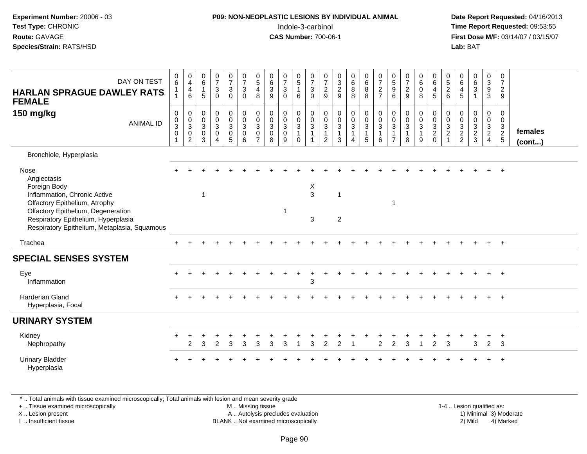| <b>P09: NON-NEOPLASTIC LESIONS BY INDIVIDUAL ANIMAL</b> | Date Rep         |
|---------------------------------------------------------|------------------|
| Indole-3-carbinol                                       | Time Rep         |
| <b>CAS Number: 700-06-1</b>                             | <b>First Dos</b> |
|                                                         | Lab: BAT         |
|                                                         |                  |

# **P09: NON-NEOPLASTIC LESIONS BY INDIVIDUAL ANIMAL**Indole-3-carbinol **Time Report Requested:** 09:53:55

 **Date Report Requested:** 04/16/2013 **First Dose M/F:** 03/14/07 / 03/15/07<br>**Lab: BAT** 

| DAY ON TEST<br><b>HARLAN SPRAGUE DAWLEY RATS</b><br><b>FEMALE</b>                                                         | $_{6}^{\rm 0}$<br>$\mathbf{1}$<br>$\mathbf{1}$            | $\pmb{0}$<br>$\overline{4}$<br>$\overline{\mathbf{4}}$<br>$\,6\,$ | $\begin{matrix} 0 \\ 6 \\ 1 \end{matrix}$<br>5   | $\frac{0}{7}$<br>$\sqrt{3}$<br>$\Omega$                                                   | $\frac{0}{7}$<br>3<br>$\Omega$                                           | $\begin{array}{c} 0 \\ 7 \\ 3 \end{array}$<br>$\mathbf 0$       | $\begin{array}{c} 0 \\ 5 \\ 4 \end{array}$<br>8             | $\begin{matrix} 0 \\ 6 \\ 3 \end{matrix}$<br>9                                 | $\frac{0}{7}$<br>$\sqrt{3}$<br>$\mathbf{0}$                     | $\begin{array}{c} 0 \\ 5 \\ 1 \end{array}$<br>6                          | $\begin{matrix} 0 \\ 7 \\ 3 \end{matrix}$<br>$\Omega$        | $\frac{0}{7}$<br>$\overline{c}$<br>9                 | $\begin{array}{c} 0 \\ 3 \\ 2 \end{array}$<br>9                        | $\begin{matrix}0\6\8\end{matrix}$<br>8                 | $\begin{matrix}0\6\8\end{matrix}$<br>8                                 | $\frac{0}{7}$<br>$\frac{2}{7}$                                       | $\begin{array}{c} 0 \\ 5 \\ 9 \end{array}$<br>6                              | $\frac{0}{7}$<br>$\overline{2}$<br>9                          | $\begin{matrix} 0 \\ 6 \\ 0 \end{matrix}$<br>8                  | $\begin{array}{c} 0 \\ 6 \\ 4 \end{array}$<br>$\overline{5}$ | $\begin{array}{c} 0 \\ 5 \\ 2 \end{array}$<br>6       | $\begin{matrix} 0 \\ 6 \\ 4 \end{matrix}$<br>5               | $\begin{matrix} 0 \\ 6 \\ 3 \end{matrix}$<br>$\overline{1}$ | $\begin{smallmatrix}0\3\9\end{smallmatrix}$<br>$\mathbf{3}$                    | $\begin{matrix} 0 \\ 7 \\ 2 \end{matrix}$<br>9 |                   |
|---------------------------------------------------------------------------------------------------------------------------|-----------------------------------------------------------|-------------------------------------------------------------------|--------------------------------------------------|-------------------------------------------------------------------------------------------|--------------------------------------------------------------------------|-----------------------------------------------------------------|-------------------------------------------------------------|--------------------------------------------------------------------------------|-----------------------------------------------------------------|--------------------------------------------------------------------------|--------------------------------------------------------------|------------------------------------------------------|------------------------------------------------------------------------|--------------------------------------------------------|------------------------------------------------------------------------|----------------------------------------------------------------------|------------------------------------------------------------------------------|---------------------------------------------------------------|-----------------------------------------------------------------|--------------------------------------------------------------|-------------------------------------------------------|--------------------------------------------------------------|-------------------------------------------------------------|--------------------------------------------------------------------------------|------------------------------------------------|-------------------|
| 150 mg/kg<br><b>ANIMAL ID</b>                                                                                             | $\pmb{0}$<br>$\frac{0}{3}$<br>$\pmb{0}$<br>$\overline{1}$ | $\pmb{0}$<br>$\frac{0}{3}$<br>$\mathbf 0$<br>2                    | $\mathbf 0$<br>$\frac{0}{3}$<br>$\mathbf 0$<br>3 | $\pmb{0}$<br>$\pmb{0}$<br>$\overline{3}$<br>$\mathsf{O}\xspace$<br>$\boldsymbol{\Lambda}$ | $\mathbf 0$<br>$\mathsf{O}\xspace$<br>$\overline{3}$<br>$\mathbf 0$<br>5 | $\begin{smallmatrix}0\\0\\3\end{smallmatrix}$<br>$\pmb{0}$<br>6 | $\mathsf 0$<br>$\frac{0}{3}$<br>$\pmb{0}$<br>$\overline{7}$ | $\pmb{0}$<br>$\mathsf{O}\xspace$<br>$\overline{3}$<br>$\mathsf{O}\xspace$<br>8 | $\begin{smallmatrix}0\\0\\3\end{smallmatrix}$<br>$\pmb{0}$<br>9 | 0<br>$\mathsf{O}\xspace$<br>$\overline{3}$<br>$\overline{1}$<br>$\Omega$ | $\,0\,$<br>$\frac{0}{3}$<br>$\overline{1}$<br>$\overline{1}$ | $\pmb{0}$<br>$\mathbf 0$<br>$\overline{3}$<br>1<br>2 | $\begin{smallmatrix} 0\\0\\3 \end{smallmatrix}$<br>$\overline{1}$<br>3 | $\pmb{0}$<br>$\frac{0}{3}$<br>$\mathbf{1}$<br>$\Delta$ | $\begin{smallmatrix} 0\\0\\3 \end{smallmatrix}$<br>$\overline{1}$<br>5 | $\begin{smallmatrix}0\\0\\3\end{smallmatrix}$<br>$\overline{1}$<br>6 | $\pmb{0}$<br>$\mathbf 0$<br>$\overline{3}$<br>$\mathbf{1}$<br>$\overline{7}$ | $\pmb{0}$<br>$\pmb{0}$<br>$\overline{3}$<br>$\mathbf{1}$<br>8 | 0<br>$\mathsf{O}\xspace$<br>$\overline{3}$<br>$\mathbf{1}$<br>9 | $\pmb{0}$<br>$\frac{0}{3}$<br>$\frac{2}{0}$                  | $\boldsymbol{0}$<br>$\frac{0}{3}$<br>$\boldsymbol{2}$ | $\pmb{0}$<br>$\begin{array}{c} 0 \\ 3 \\ 2 \\ 2 \end{array}$ | $\pmb{0}$<br>$\pmb{0}$<br>$\overline{3}$<br>$\frac{2}{3}$   | $\pmb{0}$<br>$\mathbf 0$<br>$\overline{3}$<br>$\overline{2}$<br>$\overline{4}$ | $\pmb{0}$<br>$\frac{0}{3}$<br>$\frac{2}{5}$    | females<br>(cont) |
| Bronchiole, Hyperplasia                                                                                                   |                                                           |                                                                   |                                                  |                                                                                           |                                                                          |                                                                 |                                                             |                                                                                |                                                                 |                                                                          |                                                              |                                                      |                                                                        |                                                        |                                                                        |                                                                      |                                                                              |                                                               |                                                                 |                                                              |                                                       |                                                              |                                                             |                                                                                |                                                |                   |
| Nose<br>Angiectasis<br>Foreign Body<br>Inflammation, Chronic Active<br>Olfactory Epithelium, Atrophy                      |                                                           |                                                                   | $\overline{ }$                                   |                                                                                           |                                                                          |                                                                 |                                                             |                                                                                |                                                                 |                                                                          | X<br>3                                                       |                                                      | -1                                                                     |                                                        |                                                                        |                                                                      | 1                                                                            |                                                               |                                                                 |                                                              |                                                       |                                                              |                                                             |                                                                                |                                                |                   |
| Olfactory Epithelium, Degeneration<br>Respiratory Epithelium, Hyperplasia<br>Respiratory Epithelium, Metaplasia, Squamous |                                                           |                                                                   |                                                  |                                                                                           |                                                                          |                                                                 |                                                             |                                                                                | 1                                                               |                                                                          | 3                                                            |                                                      | $\overline{2}$                                                         |                                                        |                                                                        |                                                                      |                                                                              |                                                               |                                                                 |                                                              |                                                       |                                                              |                                                             |                                                                                |                                                |                   |
| Trachea                                                                                                                   |                                                           |                                                                   |                                                  |                                                                                           |                                                                          |                                                                 |                                                             |                                                                                |                                                                 |                                                                          |                                                              |                                                      |                                                                        |                                                        |                                                                        |                                                                      |                                                                              |                                                               |                                                                 |                                                              |                                                       |                                                              |                                                             | $\pm$                                                                          | $+$                                            |                   |
| <b>SPECIAL SENSES SYSTEM</b>                                                                                              |                                                           |                                                                   |                                                  |                                                                                           |                                                                          |                                                                 |                                                             |                                                                                |                                                                 |                                                                          |                                                              |                                                      |                                                                        |                                                        |                                                                        |                                                                      |                                                                              |                                                               |                                                                 |                                                              |                                                       |                                                              |                                                             |                                                                                |                                                |                   |
| Eye<br>Inflammation                                                                                                       |                                                           |                                                                   |                                                  |                                                                                           |                                                                          |                                                                 |                                                             |                                                                                |                                                                 |                                                                          | 3                                                            |                                                      |                                                                        |                                                        |                                                                        |                                                                      |                                                                              |                                                               |                                                                 |                                                              |                                                       |                                                              |                                                             |                                                                                | $+$                                            |                   |
| Harderian Gland<br>Hyperplasia, Focal                                                                                     |                                                           |                                                                   |                                                  |                                                                                           |                                                                          |                                                                 |                                                             |                                                                                |                                                                 |                                                                          |                                                              |                                                      |                                                                        |                                                        |                                                                        |                                                                      |                                                                              |                                                               |                                                                 |                                                              |                                                       |                                                              |                                                             |                                                                                | $\overline{ }$                                 |                   |
| <b>URINARY SYSTEM</b>                                                                                                     |                                                           |                                                                   |                                                  |                                                                                           |                                                                          |                                                                 |                                                             |                                                                                |                                                                 |                                                                          |                                                              |                                                      |                                                                        |                                                        |                                                                        |                                                                      |                                                                              |                                                               |                                                                 |                                                              |                                                       |                                                              |                                                             |                                                                                |                                                |                   |
| Kidney<br>Nephropathy                                                                                                     |                                                           | $\overline{2}$                                                    | 3                                                | 2                                                                                         | 3                                                                        | 3                                                               | 3                                                           | 3                                                                              | 3                                                               |                                                                          | 3                                                            | 2                                                    | 2                                                                      |                                                        |                                                                        | $\overline{2}$                                                       | $\overline{2}$                                                               | 3                                                             |                                                                 | $\ddot{}$<br>$\overline{2}$                                  | $\ddot{}$<br>$\mathbf{3}$                             | $\ddot{}$                                                    | +<br>3                                                      | $\ddot{}$<br>$\overline{2}$                                                    | $^{+}$<br>3                                    |                   |
| <b>Urinary Bladder</b><br>Hyperplasia                                                                                     |                                                           |                                                                   |                                                  |                                                                                           |                                                                          |                                                                 |                                                             |                                                                                |                                                                 |                                                                          |                                                              |                                                      |                                                                        |                                                        |                                                                        |                                                                      |                                                                              |                                                               |                                                                 |                                                              |                                                       |                                                              |                                                             |                                                                                |                                                |                   |

\* .. Total animals with tissue examined microscopically; Total animals with lesion and mean severity grade

+ .. Tissue examined microscopically

X .. Lesion present

I .. Insufficient tissue

M .. Missing tissue

BLANK .. Not examined microscopically

 1-4 .. Lesion qualified as: A .. Autolysis precludes evaluation 19 and 10 minimal 3) Moderate 1 and 20 minimal 3) Moderate 19 minimal 3) Moderat<br>19 and 19 and 19 and 19 and 19 and 19 and 19 and 19 and 19 and 19 and 19 and 19 and 19 and 19 and 19 and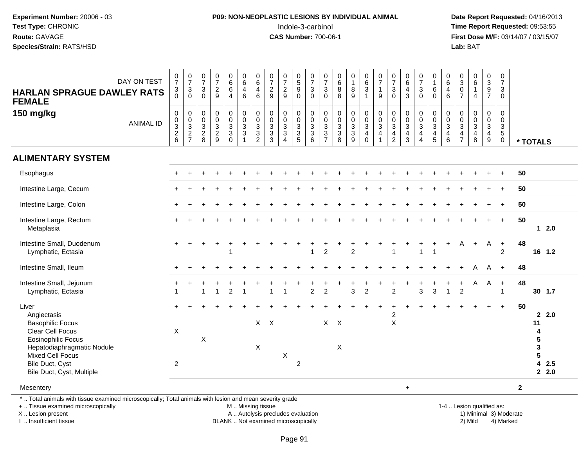# **P09: NON-NEOPLASTIC LESIONS BY INDIVIDUAL ANIMAL**Indole-3-carbinol **Time Report Requested:** 09:53:55

 **Date Report Requested:** 04/16/2013 **First Dose M/F:** 03/14/07 / 03/15/07<br>**Lab:** BAT **Lab:** BAT

|                                                                                                                                                |                  |                                       |                                                       |                                                         |                                                 |                                                    |                                                                               |                                                          |                                                                               |                                                                                                |                                                                              |                                                                    |                                                              |                                                     |                                                          |                                                                              |                                                                                                  |                                                                                 |                                                                |                                                                                                   |                                                                                    |                                                           |                                                                                     |                                                                   |                                                                                            | $\pmb{0}$                                                                   |              |                         |            |
|------------------------------------------------------------------------------------------------------------------------------------------------|------------------|---------------------------------------|-------------------------------------------------------|---------------------------------------------------------|-------------------------------------------------|----------------------------------------------------|-------------------------------------------------------------------------------|----------------------------------------------------------|-------------------------------------------------------------------------------|------------------------------------------------------------------------------------------------|------------------------------------------------------------------------------|--------------------------------------------------------------------|--------------------------------------------------------------|-----------------------------------------------------|----------------------------------------------------------|------------------------------------------------------------------------------|--------------------------------------------------------------------------------------------------|---------------------------------------------------------------------------------|----------------------------------------------------------------|---------------------------------------------------------------------------------------------------|------------------------------------------------------------------------------------|-----------------------------------------------------------|-------------------------------------------------------------------------------------|-------------------------------------------------------------------|--------------------------------------------------------------------------------------------|-----------------------------------------------------------------------------|--------------|-------------------------|------------|
| <b>HARLAN SPRAGUE DAWLEY RATS</b>                                                                                                              | DAY ON TEST      | $\frac{0}{7}$<br>$\sqrt{3}$           | $\begin{array}{c} 0 \\ 7 \end{array}$<br>$\mathbf{3}$ | $\frac{0}{7}$<br>$\ensuremath{\mathsf{3}}$              | $\frac{0}{7}$<br>$\frac{2}{9}$                  | $\begin{matrix}0\6\6\end{matrix}$                  | $\begin{array}{c} 0 \\ 6 \end{array}$<br>$\overline{4}$                       | $\begin{array}{c} 0 \\ 6 \end{array}$<br>$\overline{4}$  | $\begin{array}{c} 0 \\ 7 \end{array}$<br>$\frac{2}{9}$                        | $\begin{array}{c} 0 \\ 7 \end{array}$<br>$\overline{c}$                                        | $^{\rm 0}_{\rm 5}$<br>$\boldsymbol{9}$                                       | $\frac{0}{7}$<br>$\ensuremath{\mathsf{3}}$                         | $\frac{0}{7}$<br>3                                           | $\begin{array}{c} 0 \\ 6 \end{array}$<br>$\bf 8$    | $\begin{smallmatrix}0\\1\end{smallmatrix}$<br>$\bf 8$    | $\begin{array}{c} 0 \\ 6 \end{array}$<br>$\ensuremath{\mathsf{3}}$           | $\frac{0}{7}$<br>$\mathbf{1}$                                                                    | $\begin{array}{c} 0 \\ 7 \end{array}$<br>3                                      | $\begin{array}{c} 0 \\ 6 \end{array}$<br>$\overline{4}$        | $\frac{0}{7}$<br>3                                                                                | $\begin{smallmatrix}0\\1\end{smallmatrix}$<br>6                                    | $\begin{array}{c} 0 \\ 6 \end{array}$<br>$\overline{4}$   | $_{3}^{\rm 0}$<br>$\,0\,$                                                           | $\begin{array}{c} 0 \\ 6 \end{array}$<br>$\mathbf{1}$             | $_{3}^{\rm 0}$<br>$\boldsymbol{9}$                                                         | $\overline{7}$<br>3                                                         |              |                         |            |
| <b>FEMALE</b>                                                                                                                                  |                  | $\Omega$                              | $\mathbf 0$                                           | $\Omega$                                                |                                                 | $\overline{4}$                                     | $6\phantom{1}$                                                                | $6\phantom{1}$                                           |                                                                               | 9                                                                                              | $\mathbf 0$                                                                  | $\mathbf 0$                                                        | $\overline{0}$                                               | 8                                                   | 9                                                        | $\overline{1}$                                                               | 9                                                                                                | $\Omega$                                                                        | $\mathbf{3}$                                                   | $\mathbf 0$                                                                                       | $\mathbf 0$                                                                        | $6\phantom{1}$                                            | $\overline{7}$                                                                      | $\overline{4}$                                                    | $\overline{7}$                                                                             | $\mathbf 0$                                                                 |              |                         |            |
| 150 mg/kg                                                                                                                                      | <b>ANIMAL ID</b> | $\pmb{0}$<br>$0$<br>$3$<br>$2$<br>$6$ | $0003$<br>$27$                                        | 0<br>$\mathbf 0$<br>$\mathbf{3}$<br>$\overline{c}$<br>8 | $\begin{array}{c} 0 \\ 0 \\ 2 \\ 9 \end{array}$ | $_{\rm 0}^{\rm 0}$<br>$\frac{3}{3}$<br>$\mathbf 0$ | $\begin{smallmatrix} 0\\0\\3 \end{smallmatrix}$<br>$\sqrt{3}$<br>$\mathbf{1}$ | $\begin{matrix}0\\0\\3\\3\end{matrix}$<br>$\overline{2}$ | $\begin{smallmatrix} 0\\0 \end{smallmatrix}$<br>$\frac{3}{3}$<br>$\mathbf{3}$ | $\begin{smallmatrix}0\\0\end{smallmatrix}$<br>$\overline{3}$<br>$\mathbf{3}$<br>$\overline{4}$ | 0<br>$\ddot{\mathbf{0}}$<br>$\overline{3}$<br>$\ensuremath{\mathsf{3}}$<br>5 | $\begin{smallmatrix} 0\\0 \end{smallmatrix}$<br>$\frac{3}{3}$<br>6 | 0<br>$\overline{0}$<br>$\overline{3}$<br>3<br>$\overline{7}$ | $\begin{matrix} 0 \\ 0 \\ 3 \\ 3 \end{matrix}$<br>8 | $\begin{matrix}0\\0\\3\\3\end{matrix}$<br>$\overline{9}$ | $\begin{smallmatrix}0\\0\\3\end{smallmatrix}$<br>$\overline{4}$<br>$\pmb{0}$ | $\begin{smallmatrix} 0\\0 \end{smallmatrix}$<br>$\overline{3}$<br>$\overline{4}$<br>$\mathbf{1}$ | $\pmb{0}$<br>$\overline{0}$<br>$\ensuremath{\mathsf{3}}$<br>4<br>$\overline{c}$ | $\begin{matrix} 0 \\ 0 \\ 3 \\ 4 \end{matrix}$<br>$\mathbf{3}$ | $\begin{smallmatrix}0\0\0\end{smallmatrix}$<br>$\overline{3}$<br>$\overline{4}$<br>$\overline{4}$ | $\begin{smallmatrix}0\\0\\3\end{smallmatrix}$<br>$\overline{4}$<br>$5\phantom{.0}$ | $\begin{matrix} 0 \\ 0 \\ 3 \\ 4 \end{matrix}$<br>$\,6\,$ | $\boldsymbol{0}$<br>$\pmb{0}$<br>$\overline{3}$<br>$\overline{4}$<br>$\overline{7}$ | $\pmb{0}$<br>$\mathsf 0$<br>$\overline{3}$<br>$\overline{4}$<br>8 | $\mathbf 0$<br>$\ddot{\mathbf{0}}$<br>$\overline{3}$<br>$\overline{4}$<br>$\boldsymbol{9}$ | $\mathsf 0$<br>$\mathbf 0$<br>$\mathbf{3}$<br>$\overline{5}$<br>$\mathbf 0$ |              | * TOTALS                |            |
| <b>ALIMENTARY SYSTEM</b>                                                                                                                       |                  |                                       |                                                       |                                                         |                                                 |                                                    |                                                                               |                                                          |                                                                               |                                                                                                |                                                                              |                                                                    |                                                              |                                                     |                                                          |                                                                              |                                                                                                  |                                                                                 |                                                                |                                                                                                   |                                                                                    |                                                           |                                                                                     |                                                                   |                                                                                            |                                                                             |              |                         |            |
| Esophagus                                                                                                                                      |                  |                                       |                                                       |                                                         |                                                 |                                                    |                                                                               |                                                          |                                                                               |                                                                                                |                                                                              |                                                                    |                                                              |                                                     |                                                          |                                                                              |                                                                                                  |                                                                                 |                                                                |                                                                                                   |                                                                                    |                                                           |                                                                                     |                                                                   |                                                                                            |                                                                             | 50           |                         |            |
| Intestine Large, Cecum                                                                                                                         |                  |                                       |                                                       |                                                         |                                                 |                                                    |                                                                               |                                                          |                                                                               |                                                                                                |                                                                              |                                                                    |                                                              |                                                     |                                                          |                                                                              |                                                                                                  |                                                                                 |                                                                |                                                                                                   |                                                                                    |                                                           |                                                                                     |                                                                   |                                                                                            | $\ddot{}$                                                                   | 50           |                         |            |
| Intestine Large, Colon                                                                                                                         |                  |                                       |                                                       |                                                         |                                                 |                                                    |                                                                               |                                                          |                                                                               |                                                                                                |                                                                              |                                                                    |                                                              |                                                     |                                                          |                                                                              |                                                                                                  |                                                                                 |                                                                |                                                                                                   |                                                                                    |                                                           |                                                                                     |                                                                   |                                                                                            |                                                                             | 50           |                         |            |
| Intestine Large, Rectum<br>Metaplasia                                                                                                          |                  |                                       |                                                       |                                                         |                                                 |                                                    |                                                                               |                                                          |                                                                               |                                                                                                |                                                                              |                                                                    |                                                              |                                                     |                                                          |                                                                              |                                                                                                  |                                                                                 |                                                                |                                                                                                   |                                                                                    |                                                           |                                                                                     |                                                                   |                                                                                            | $\overline{1}$                                                              | 50           |                         | $12.0$     |
| Intestine Small, Duodenum<br>Lymphatic, Ectasia                                                                                                |                  |                                       |                                                       |                                                         |                                                 |                                                    |                                                                               |                                                          |                                                                               |                                                                                                |                                                                              | $\mathbf{1}$                                                       | $\overline{c}$                                               |                                                     | $\overline{2}$                                           |                                                                              |                                                                                                  | 1                                                                               |                                                                | $\overline{1}$                                                                                    |                                                                                    |                                                           | А                                                                                   | $\ddot{}$                                                         | A                                                                                          | $+$<br>$\overline{2}$                                                       | 48           | 16 1.2                  |            |
| Intestine Small, Ileum                                                                                                                         |                  |                                       |                                                       |                                                         |                                                 |                                                    |                                                                               |                                                          |                                                                               |                                                                                                |                                                                              |                                                                    |                                                              |                                                     |                                                          |                                                                              |                                                                                                  |                                                                                 |                                                                |                                                                                                   |                                                                                    |                                                           |                                                                                     | A                                                                 | A                                                                                          | $+$                                                                         | 48           |                         |            |
| Intestine Small, Jejunum<br>Lymphatic, Ectasia                                                                                                 |                  |                                       |                                                       |                                                         | $\overline{1}$                                  | $\overline{2}$                                     |                                                                               |                                                          | 1                                                                             | -1                                                                                             |                                                                              | $\overline{2}$                                                     | $\overline{2}$                                               |                                                     | $\mathbf{3}$                                             | $\overline{2}$                                                               |                                                                                                  | $\overline{2}$                                                                  |                                                                | 3                                                                                                 | $\mathbf{3}$                                                                       | $\overline{1}$                                            | $\overline{2}$                                                                      | A                                                                 | $\mathsf{A}$                                                                               | $+$<br>$\mathbf{1}$                                                         | 48           | 30 1.7                  |            |
| Liver<br>Angiectasis<br><b>Basophilic Focus</b><br>Clear Cell Focus                                                                            |                  | X                                     |                                                       |                                                         |                                                 |                                                    |                                                                               |                                                          | $X$ $X$                                                                       |                                                                                                |                                                                              |                                                                    |                                                              | $X$ $X$                                             |                                                          |                                                                              |                                                                                                  | $\overline{\mathbf{c}}$<br>$\mathsf X$                                          |                                                                |                                                                                                   |                                                                                    |                                                           |                                                                                     |                                                                   |                                                                                            | $\ddot{}$                                                                   | 50           | $\mathbf{2}$<br>11<br>4 | 2.0        |
| <b>Eosinophilic Focus</b><br>Hepatodiaphragmatic Nodule<br>Mixed Cell Focus                                                                    |                  |                                       |                                                       | X                                                       |                                                 |                                                    |                                                                               | X                                                        |                                                                               | X                                                                                              |                                                                              |                                                                    |                                                              | X                                                   |                                                          |                                                                              |                                                                                                  |                                                                                 |                                                                |                                                                                                   |                                                                                    |                                                           |                                                                                     |                                                                   |                                                                                            |                                                                             |              | 5<br>$\mathbf 3$<br>5   |            |
| Bile Duct, Cyst<br>Bile Duct, Cyst, Multiple                                                                                                   |                  | 2                                     |                                                       |                                                         |                                                 |                                                    |                                                                               |                                                          |                                                                               |                                                                                                | $\overline{2}$                                                               |                                                                    |                                                              |                                                     |                                                          |                                                                              |                                                                                                  |                                                                                 |                                                                |                                                                                                   |                                                                                    |                                                           |                                                                                     |                                                                   |                                                                                            |                                                                             |              | 4                       | 2.5<br>2.0 |
| Mesentery                                                                                                                                      |                  |                                       |                                                       |                                                         |                                                 |                                                    |                                                                               |                                                          |                                                                               |                                                                                                |                                                                              |                                                                    |                                                              |                                                     |                                                          |                                                                              |                                                                                                  |                                                                                 | $\ddot{}$                                                      |                                                                                                   |                                                                                    |                                                           |                                                                                     |                                                                   |                                                                                            |                                                                             | $\mathbf{2}$ |                         |            |
| *  Total animals with tissue examined microscopically; Total animals with lesion and mean severity grade<br>+  Tissue examined microscopically |                  |                                       |                                                       |                                                         |                                                 |                                                    | M  Missing tissue                                                             |                                                          |                                                                               |                                                                                                |                                                                              |                                                                    |                                                              |                                                     |                                                          |                                                                              |                                                                                                  |                                                                                 |                                                                |                                                                                                   |                                                                                    |                                                           |                                                                                     | 1-4  Lesion qualified as:                                         |                                                                                            |                                                                             |              |                         |            |

X .. Lesion present

I .. Insufficient tissue

BLANK .. Not examined microscopically

A .. Autolysis precludes evaluation and the series of the series of the series of the series of the series of the series of the series of the series of the series of the series of the series of the series of the series of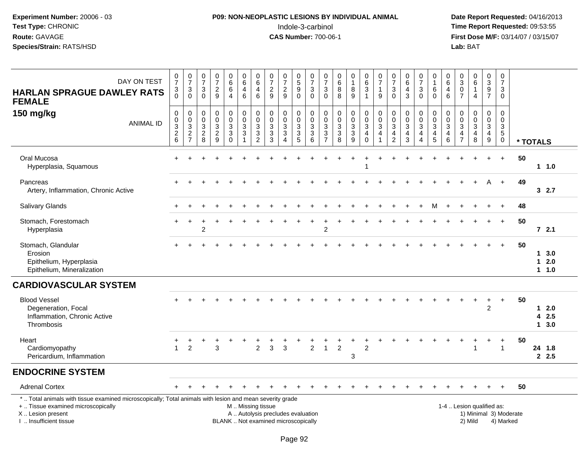# **P09: NON-NEOPLASTIC LESIONS BY INDIVIDUAL ANIMAL**Indole-3-carbinol **Time Report Requested:** 09:53:55

| DAY ON TEST<br><b>HARLAN SPRAGUE DAWLEY RATS</b><br><b>FEMALE</b>                                                                                                                             | $\begin{array}{c} 0 \\ 7 \end{array}$<br>3<br>$\Omega$            | $\begin{array}{c} 0 \\ 7 \end{array}$<br>$\mathbf{3}$<br>$\Omega$ | $\frac{0}{7}$<br>$\mathbf{3}$<br>$\Omega$                                    | $\frac{0}{7}$<br>$\overline{c}$<br>9              | $\begin{array}{c} 0 \\ 6 \end{array}$<br>$\,6\,$<br>$\overline{4}$                | $\begin{array}{c} 0 \\ 6 \end{array}$<br>$\overline{4}$<br>$6\phantom{1}6$ | $\begin{array}{c} 0 \\ 6 \end{array}$<br>$\overline{\mathbf{4}}$<br>$6\phantom{1}6$ | $\frac{0}{7}$<br>$\sqrt{2}$<br>9                                                        | $\frac{0}{7}$<br>$\overline{c}$<br>9                                     | $\begin{array}{c} 0 \\ 5 \end{array}$<br>$\boldsymbol{9}$<br>$\mathbf 0$      | 0<br>$\overline{7}$<br>3<br>$\Omega$                               | $\frac{0}{7}$<br>$\sqrt{3}$<br>$\Omega$              | $\begin{array}{c} 0 \\ 6 \\ 8 \end{array}$<br>8              | 0<br>$\mathbf{1}$<br>8<br>$\overline{9}$                           | $\begin{array}{c} 0 \\ 6 \end{array}$<br>$\sqrt{3}$<br>$\mathbf{1}$                             | $\frac{0}{7}$<br>$\overline{1}$<br>9             | $\frac{0}{7}$<br>$\sqrt{3}$<br>$\mathbf{0}$                                                 | $\begin{array}{c} 0 \\ 6 \end{array}$<br>$\overline{\mathbf{4}}$<br>$\mathbf{3}$ | $\frac{0}{7}$<br>3<br>$\mathbf{0}$                                                          | 0<br>$\mathbf{1}$<br>6<br>$\Omega$                                 | 0<br>$\,6\,$<br>$\overline{4}$<br>6                             | $_{3}^{\rm 0}$<br>$\overline{0}$<br>$\overline{7}$                                                | $\begin{array}{c} 0 \\ 6 \end{array}$<br>$\mathbf{1}$<br>4 | $_{3}^{\rm 0}$<br>$\overline{9}$<br>$\overline{7}$                            | 0<br>$\overline{7}$<br>3<br>$\Omega$                          |                        |                                      |
|-----------------------------------------------------------------------------------------------------------------------------------------------------------------------------------------------|-------------------------------------------------------------------|-------------------------------------------------------------------|------------------------------------------------------------------------------|---------------------------------------------------|-----------------------------------------------------------------------------------|----------------------------------------------------------------------------|-------------------------------------------------------------------------------------|-----------------------------------------------------------------------------------------|--------------------------------------------------------------------------|-------------------------------------------------------------------------------|--------------------------------------------------------------------|------------------------------------------------------|--------------------------------------------------------------|--------------------------------------------------------------------|-------------------------------------------------------------------------------------------------|--------------------------------------------------|---------------------------------------------------------------------------------------------|----------------------------------------------------------------------------------|---------------------------------------------------------------------------------------------|--------------------------------------------------------------------|-----------------------------------------------------------------|---------------------------------------------------------------------------------------------------|------------------------------------------------------------|-------------------------------------------------------------------------------|---------------------------------------------------------------|------------------------|--------------------------------------|
| 150 mg/kg<br><b>ANIMAL ID</b>                                                                                                                                                                 | $\mathbf 0$<br>$\pmb{0}$<br>$\overline{3}$<br>$\overline{c}$<br>6 | 0<br>$\pmb{0}$<br>$\overline{3}$<br>$\sqrt{2}$<br>$\overline{7}$  | 0<br>0<br>$\ensuremath{\mathsf{3}}$<br>$\begin{array}{c} 2 \\ 8 \end{array}$ | 0<br>$\mathsf 0$<br>$\mathbf{3}$<br>$\frac{2}{9}$ | 0<br>$\mathsf{O}\xspace$<br>$\ensuremath{\mathsf{3}}$<br>$\mathbf{3}$<br>$\Omega$ | $_{\rm 0}^{\rm 0}$<br>$\frac{3}{3}$<br>$\overline{1}$                      | $\boldsymbol{0}$<br>$\mathbf 0$<br>$\ensuremath{\mathsf{3}}$<br>$\frac{3}{2}$       | $\mathbf 0$<br>$\mathbf 0$<br>$\ensuremath{\mathsf{3}}$<br>$\sqrt{3}$<br>$\overline{3}$ | 0<br>$\mathsf{O}\xspace$<br>$\ensuremath{\mathsf{3}}$<br>$\sqrt{3}$<br>4 | $\mathbf 0$<br>$\mathsf{O}$<br>$\ensuremath{\mathsf{3}}$<br>$\mathbf{3}$<br>5 | 0<br>$\mathbf 0$<br>$\ensuremath{\mathsf{3}}$<br>$\mathbf{3}$<br>6 | 0<br>0<br>$\ensuremath{\mathsf{3}}$<br>$\frac{3}{7}$ | $\pmb{0}$<br>$\mathsf{O}$<br>$\sqrt{3}$<br>$\mathbf{3}$<br>8 | 0<br>$\mathbf 0$<br>$\overline{3}$<br>$\sqrt{3}$<br>$\overline{9}$ | $\begin{smallmatrix} 0\\0 \end{smallmatrix}$<br>$\overline{3}$<br>$\overline{a}$<br>$\mathbf 0$ | 0<br>$\mathbf 0$<br>$\sqrt{3}$<br>$\overline{4}$ | $\mathbf 0$<br>$\mathbf 0$<br>$\ensuremath{\mathsf{3}}$<br>$\overline{4}$<br>$\overline{2}$ | 0<br>$\mathsf{O}\xspace$<br>$\ensuremath{\mathsf{3}}$<br>4<br>3                  | $\mathbf 0$<br>$\mathbf 0$<br>$\ensuremath{\mathsf{3}}$<br>$\overline{4}$<br>$\overline{4}$ | 0<br>$\pmb{0}$<br>$\ensuremath{\mathsf{3}}$<br>$\overline{4}$<br>5 | $\mathbf 0$<br>$\mathbf 0$<br>$\sqrt{3}$<br>$\overline{4}$<br>6 | $\pmb{0}$<br>$\mathsf{O}\xspace$<br>$\ensuremath{\mathsf{3}}$<br>$\overline{4}$<br>$\overline{7}$ | 0<br>$\mathbf 0$<br>$\mathbf{3}$<br>4<br>8                 | $\mathbf 0$<br>$\mathsf{O}\xspace$<br>$\overline{3}$<br>4<br>$\boldsymbol{9}$ | 0<br>$\mathbf 0$<br>$\mathbf{3}$<br>$\sqrt{5}$<br>$\mathbf 0$ |                        | * TOTALS                             |
| Oral Mucosa<br>Hyperplasia, Squamous                                                                                                                                                          | $+$                                                               |                                                                   |                                                                              |                                                   |                                                                                   |                                                                            |                                                                                     |                                                                                         |                                                                          |                                                                               |                                                                    |                                                      |                                                              |                                                                    |                                                                                                 |                                                  |                                                                                             |                                                                                  |                                                                                             |                                                                    |                                                                 |                                                                                                   |                                                            | $+$                                                                           | $+$                                                           | 50                     | $1 1.0$                              |
| Pancreas<br>Artery, Inflammation, Chronic Active                                                                                                                                              |                                                                   |                                                                   |                                                                              |                                                   |                                                                                   |                                                                            |                                                                                     |                                                                                         |                                                                          |                                                                               |                                                                    |                                                      |                                                              |                                                                    |                                                                                                 |                                                  |                                                                                             |                                                                                  |                                                                                             |                                                                    |                                                                 |                                                                                                   |                                                            |                                                                               | $\ddot{}$                                                     | 49                     | 32.7                                 |
| Salivary Glands                                                                                                                                                                               |                                                                   |                                                                   |                                                                              |                                                   |                                                                                   |                                                                            |                                                                                     |                                                                                         |                                                                          |                                                                               |                                                                    |                                                      |                                                              |                                                                    |                                                                                                 |                                                  |                                                                                             |                                                                                  |                                                                                             | м                                                                  |                                                                 |                                                                                                   |                                                            |                                                                               |                                                               | 48                     |                                      |
| Stomach, Forestomach<br>Hyperplasia                                                                                                                                                           |                                                                   |                                                                   | $\overline{2}$                                                               |                                                   |                                                                                   |                                                                            |                                                                                     |                                                                                         |                                                                          |                                                                               |                                                                    | $\overline{c}$                                       |                                                              |                                                                    |                                                                                                 |                                                  |                                                                                             |                                                                                  |                                                                                             |                                                                    |                                                                 |                                                                                                   |                                                            |                                                                               | $+$                                                           | 50                     | $72.1$                               |
| Stomach, Glandular<br>Erosion<br>Epithelium, Hyperplasia<br>Epithelium, Mineralization                                                                                                        |                                                                   |                                                                   |                                                                              |                                                   |                                                                                   |                                                                            |                                                                                     |                                                                                         |                                                                          |                                                                               |                                                                    |                                                      |                                                              |                                                                    |                                                                                                 |                                                  |                                                                                             |                                                                                  |                                                                                             |                                                                    |                                                                 |                                                                                                   |                                                            |                                                                               | ÷                                                             | 50                     | 13.0<br>$12.0$<br>$1 1.0$            |
| <b>CARDIOVASCULAR SYSTEM</b>                                                                                                                                                                  |                                                                   |                                                                   |                                                                              |                                                   |                                                                                   |                                                                            |                                                                                     |                                                                                         |                                                                          |                                                                               |                                                                    |                                                      |                                                              |                                                                    |                                                                                                 |                                                  |                                                                                             |                                                                                  |                                                                                             |                                                                    |                                                                 |                                                                                                   |                                                            |                                                                               |                                                               |                        |                                      |
| <b>Blood Vessel</b><br>Degeneration, Focal<br>Inflammation, Chronic Active<br>Thrombosis                                                                                                      |                                                                   |                                                                   |                                                                              |                                                   |                                                                                   |                                                                            |                                                                                     |                                                                                         |                                                                          |                                                                               |                                                                    |                                                      |                                                              |                                                                    |                                                                                                 |                                                  |                                                                                             |                                                                                  |                                                                                             |                                                                    |                                                                 |                                                                                                   |                                                            | $\overline{c}$                                                                | $\ddot{}$                                                     | 50                     | $12.0$<br>42.5<br>$\mathbf 1$<br>3.0 |
| Heart<br>Cardiomyopathy<br>Pericardium, Inflammation                                                                                                                                          | $\mathbf{1}$                                                      | $\overline{2}$                                                    |                                                                              | 3                                                 |                                                                                   |                                                                            | $\overline{2}$                                                                      | 3                                                                                       | 3                                                                        |                                                                               | $\overline{2}$                                                     |                                                      | $\overline{2}$                                               | 3                                                                  | $\overline{2}$                                                                                  |                                                  |                                                                                             |                                                                                  |                                                                                             |                                                                    |                                                                 |                                                                                                   |                                                            | $\ddot{}$                                                                     | $\ddot{}$<br>$\overline{1}$                                   | 50                     | 24 1.8<br>2.5                        |
| <b>ENDOCRINE SYSTEM</b>                                                                                                                                                                       |                                                                   |                                                                   |                                                                              |                                                   |                                                                                   |                                                                            |                                                                                     |                                                                                         |                                                                          |                                                                               |                                                                    |                                                      |                                                              |                                                                    |                                                                                                 |                                                  |                                                                                             |                                                                                  |                                                                                             |                                                                    |                                                                 |                                                                                                   |                                                            |                                                                               |                                                               |                        |                                      |
| <b>Adrenal Cortex</b>                                                                                                                                                                         |                                                                   |                                                                   |                                                                              |                                                   |                                                                                   |                                                                            |                                                                                     |                                                                                         |                                                                          |                                                                               |                                                                    |                                                      |                                                              |                                                                    |                                                                                                 |                                                  |                                                                                             |                                                                                  |                                                                                             |                                                                    |                                                                 |                                                                                                   |                                                            |                                                                               |                                                               | 50                     |                                      |
| *  Total animals with tissue examined microscopically; Total animals with lesion and mean severity grade<br>+  Tissue examined microscopically<br>X  Lesion present<br>I  Insufficient tissue |                                                                   |                                                                   |                                                                              |                                                   |                                                                                   |                                                                            | M  Missing tissue                                                                   | A  Autolysis precludes evaluation<br>BLANK  Not examined microscopically                |                                                                          |                                                                               |                                                                    |                                                      |                                                              |                                                                    |                                                                                                 |                                                  |                                                                                             |                                                                                  |                                                                                             |                                                                    |                                                                 |                                                                                                   | 2) Mild                                                    | 1-4  Lesion qualified as:                                                     | 4) Marked                                                     | 1) Minimal 3) Moderate |                                      |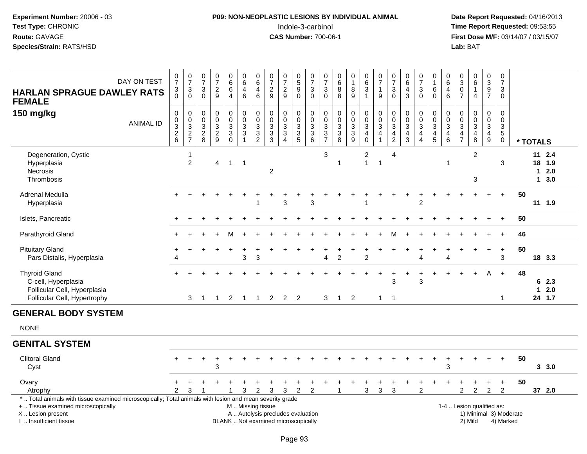# **P09: NON-NEOPLASTIC LESIONS BY INDIVIDUAL ANIMAL**Indole-3-carbinol **Time Report Requested:** 09:53:55

| DAY ON TEST<br><b>HARLAN SPRAGUE DAWLEY RATS</b><br><b>FEMALE</b>                                                                                                                             | $\frac{0}{7}$<br>$\frac{3}{0}$ | $\frac{0}{7}$<br>$_0^3$                                      | $\frac{0}{7}$<br>3<br>$\Omega$       | $\begin{array}{c} 0 \\ 7 \end{array}$<br>$\frac{2}{9}$ | $\begin{array}{c} 0 \\ 6 \end{array}$<br>$\,6\,$<br>$\overline{4}$ | $\begin{array}{c} 0 \\ 6 \end{array}$<br>$\overline{4}$<br>$\,6\,$    | $\pmb{0}$<br>6<br>$\overline{\mathbf{4}}$<br>$\,6\,$ | $\begin{matrix} 0 \\ 7 \end{matrix}$<br>$\frac{2}{9}$                                              | $\frac{0}{7}$<br>$\frac{2}{9}$                                    | $\begin{array}{c} 0 \\ 5 \end{array}$<br>$\boldsymbol{9}$<br>$\Omega$ | $\frac{0}{7}$<br>$\frac{3}{0}$       | $\frac{0}{7}$<br>$\mathbf{3}$<br>$\mathsf{O}\xspace$ | $\begin{array}{c} 0 \\ 6 \end{array}$<br>$\bf 8$<br>8 | $\begin{smallmatrix}0\\1\end{smallmatrix}$<br>$\frac{8}{9}$ | $\begin{array}{c} 0 \\ 6 \end{array}$<br>$\sqrt{3}$<br>$\overline{1}$                      | $\begin{array}{c} 0 \\ 7 \end{array}$<br>$\mathbf{1}$<br>$9\,$   | $\frac{0}{7}$<br>3<br>$\Omega$                                                | $_6^0$<br>$\frac{4}{3}$                             | $\frac{0}{7}$<br>3<br>$\mathbf{0}$                                          | $\begin{smallmatrix}0\\1\end{smallmatrix}$<br>$\,6\,$<br>$\mathbf 0$ | $_{6}^{\rm 0}$<br>$\overline{4}$<br>6     | $_{3}^{\rm 0}$<br>$\boldsymbol{0}$<br>$\overline{7}$                         | $\begin{array}{c} 0 \\ 6 \end{array}$<br>$\mathbf{1}$<br>$\overline{4}$ | $\pmb{0}$<br>$\overline{3}$<br>$\frac{9}{7}$                    | 0<br>$\overline{7}$<br>3<br>$\Omega$                        |                                     |          |                                      |             |
|-----------------------------------------------------------------------------------------------------------------------------------------------------------------------------------------------|--------------------------------|--------------------------------------------------------------|--------------------------------------|--------------------------------------------------------|--------------------------------------------------------------------|-----------------------------------------------------------------------|------------------------------------------------------|----------------------------------------------------------------------------------------------------|-------------------------------------------------------------------|-----------------------------------------------------------------------|--------------------------------------|------------------------------------------------------|-------------------------------------------------------|-------------------------------------------------------------|--------------------------------------------------------------------------------------------|------------------------------------------------------------------|-------------------------------------------------------------------------------|-----------------------------------------------------|-----------------------------------------------------------------------------|----------------------------------------------------------------------|-------------------------------------------|------------------------------------------------------------------------------|-------------------------------------------------------------------------|-----------------------------------------------------------------|-------------------------------------------------------------|-------------------------------------|----------|--------------------------------------|-------------|
| 150 mg/kg<br><b>ANIMAL ID</b>                                                                                                                                                                 | 0<br>0<br>$\frac{3}{2}$        | $\pmb{0}$<br>$\begin{array}{c} 0 \\ 3 \\ 2 \\ 7 \end{array}$ | 0<br>$\pmb{0}$<br>$\frac{3}{2}$<br>8 | $\pmb{0}$<br>$\pmb{0}$<br>$\frac{3}{2}$                | $\pmb{0}$<br>$\ddot{\mathbf{0}}$<br>$_3^3$<br>$\Omega$             | $\mathbf 0$<br>$\ddot{\mathbf{0}}$<br>$\frac{3}{3}$<br>$\overline{1}$ | $\pmb{0}$<br>$\overline{0}$<br>$\frac{3}{2}$         | $\pmb{0}$<br>$\mathbf 0$<br>$\ensuremath{\mathsf{3}}$<br>$\ensuremath{\mathsf{3}}$<br>$\mathbf{3}$ | $\pmb{0}$<br>$\pmb{0}$<br>$\frac{3}{3}$<br>$\boldsymbol{\Lambda}$ | $\pmb{0}$<br>$\ddot{\mathbf{0}}$<br>$\frac{3}{3}$                     | 0<br>$\frac{0}{3}$<br>$6\phantom{1}$ | $\pmb{0}$<br>$\overline{0}$<br>$\frac{3}{3}$         | 0<br>$\pmb{0}$<br>$\frac{3}{8}$                       | $0003$<br>$33$                                              | 0<br>$\overline{0}$<br>$\ensuremath{\mathsf{3}}$<br>$\overline{\mathbf{4}}$<br>$\mathbf 0$ | $\begin{matrix} 0 \\ 0 \\ 3 \\ 4 \end{matrix}$<br>$\overline{1}$ | 0<br>$\mathbf 0$<br>$\mathbf{3}$<br>$\overline{\mathbf{4}}$<br>$\overline{c}$ | $\mathbf 0$<br>$\frac{0}{3}$<br>$\overline{4}$<br>3 | $\mathbf 0$<br>$\ddot{\mathbf{0}}$<br>3<br>$\overline{4}$<br>$\overline{4}$ | $\begin{matrix} 0 \\ 0 \\ 3 \\ 4 \end{matrix}$<br>5                  | 0<br>$\overline{0}$<br>$\frac{3}{4}$<br>6 | $\mathbf 0$<br>$\pmb{0}$<br>$\mathbf{3}$<br>$\overline{4}$<br>$\overline{7}$ | $\mathbf 0$<br>$\overline{0}$<br>$\frac{3}{4}$<br>8                     | $\mathbf 0$<br>$\pmb{0}$<br>$\mathbf{3}$<br>$\overline{4}$<br>9 | 0<br>$\pmb{0}$<br>$\mathbf{3}$<br>$\sqrt{5}$<br>$\mathbf 0$ |                                     | * TOTALS |                                      |             |
| Degeneration, Cystic<br>Hyperplasia<br>Necrosis<br>Thrombosis                                                                                                                                 |                                | 1<br>$\overline{2}$                                          |                                      | $\overline{4}$                                         | $\overline{1}$                                                     | $\overline{\phantom{0}}$                                              |                                                      | $\sqrt{2}$                                                                                         |                                                                   |                                                                       |                                      | 3                                                    | $\mathbf 1$                                           |                                                             | 2<br>$\mathbf{1}$                                                                          | $\mathbf{1}$                                                     | $\overline{4}$                                                                |                                                     |                                                                             |                                                                      | $\overline{1}$                            |                                                                              | $\overline{c}$<br>3                                                     |                                                                 | 3                                                           |                                     |          | $11 \t2.4$<br>18 1.9<br>$\mathbf{1}$ | 2.0<br>13.0 |
| Adrenal Medulla<br>Hyperplasia                                                                                                                                                                |                                |                                                              |                                      |                                                        |                                                                    |                                                                       | -1                                                   |                                                                                                    | 3                                                                 |                                                                       | 3                                    |                                                      |                                                       |                                                             | 1                                                                                          |                                                                  |                                                                               |                                                     | $\overline{c}$                                                              |                                                                      |                                           |                                                                              |                                                                         | $+$                                                             | $+$                                                         |                                     | 50       | $11 \t1.9$                           |             |
| Islets, Pancreatic                                                                                                                                                                            |                                |                                                              |                                      |                                                        |                                                                    |                                                                       |                                                      |                                                                                                    |                                                                   |                                                                       |                                      |                                                      |                                                       |                                                             |                                                                                            |                                                                  |                                                                               |                                                     |                                                                             |                                                                      |                                           |                                                                              |                                                                         |                                                                 | $+$                                                         |                                     | 50       |                                      |             |
| Parathyroid Gland                                                                                                                                                                             |                                |                                                              |                                      |                                                        |                                                                    |                                                                       |                                                      |                                                                                                    |                                                                   |                                                                       |                                      |                                                      |                                                       |                                                             |                                                                                            |                                                                  | м                                                                             |                                                     |                                                                             |                                                                      |                                           |                                                                              |                                                                         |                                                                 |                                                             |                                     | 46       |                                      |             |
| <b>Pituitary Gland</b><br>Pars Distalis, Hyperplasia                                                                                                                                          | +<br>$\overline{4}$            |                                                              |                                      |                                                        |                                                                    | 3                                                                     | 3                                                    |                                                                                                    |                                                                   |                                                                       |                                      | $\overline{4}$                                       | $\overline{c}$                                        |                                                             | $\overline{2}$                                                                             |                                                                  |                                                                               |                                                     | $\boldsymbol{\varDelta}$                                                    | $\ddot{}$                                                            | $\Delta$                                  |                                                                              |                                                                         | $\ddot{}$                                                       | $\ddot{}$<br>3                                              |                                     | 50       | 18 3.3                               |             |
| <b>Thyroid Gland</b><br>C-cell, Hyperplasia<br>Follicular Cell, Hyperplasia<br>Follicular Cell, Hypertrophy                                                                                   |                                | 3                                                            | $\mathbf{1}$                         | $\overline{1}$                                         | $\overline{2}$                                                     | $\overline{1}$                                                        | $\overline{1}$                                       | $\overline{2}$                                                                                     | $\overline{2}$                                                    | $\overline{\phantom{0}}^2$                                            |                                      | 3                                                    | $\overline{1}$                                        | $\overline{2}$                                              |                                                                                            | $\mathbf{1}$                                                     | 3<br>$\overline{1}$                                                           |                                                     | 3                                                                           |                                                                      |                                           |                                                                              |                                                                         | A                                                               | $+$<br>$\mathbf{1}$                                         |                                     | 48       | $\mathbf{1}$<br>24 1.7               | 62.3<br>2.0 |
| <b>GENERAL BODY SYSTEM</b>                                                                                                                                                                    |                                |                                                              |                                      |                                                        |                                                                    |                                                                       |                                                      |                                                                                                    |                                                                   |                                                                       |                                      |                                                      |                                                       |                                                             |                                                                                            |                                                                  |                                                                               |                                                     |                                                                             |                                                                      |                                           |                                                                              |                                                                         |                                                                 |                                                             |                                     |          |                                      |             |
| <b>NONE</b>                                                                                                                                                                                   |                                |                                                              |                                      |                                                        |                                                                    |                                                                       |                                                      |                                                                                                    |                                                                   |                                                                       |                                      |                                                      |                                                       |                                                             |                                                                                            |                                                                  |                                                                               |                                                     |                                                                             |                                                                      |                                           |                                                                              |                                                                         |                                                                 |                                                             |                                     |          |                                      |             |
| <b>GENITAL SYSTEM</b>                                                                                                                                                                         |                                |                                                              |                                      |                                                        |                                                                    |                                                                       |                                                      |                                                                                                    |                                                                   |                                                                       |                                      |                                                      |                                                       |                                                             |                                                                                            |                                                                  |                                                                               |                                                     |                                                                             |                                                                      |                                           |                                                                              |                                                                         |                                                                 |                                                             |                                     |          |                                      |             |
| <b>Clitoral Gland</b><br>Cyst                                                                                                                                                                 |                                |                                                              |                                      | 3                                                      |                                                                    |                                                                       |                                                      |                                                                                                    |                                                                   |                                                                       |                                      |                                                      |                                                       |                                                             |                                                                                            |                                                                  |                                                                               |                                                     |                                                                             |                                                                      | +<br>$\mathbf{3}$                         |                                                                              |                                                                         |                                                                 |                                                             |                                     | 50       |                                      | 3, 3.0      |
| Ovary<br>Atrophy                                                                                                                                                                              | $\mathcal{P}$                  | 3                                                            |                                      |                                                        |                                                                    | 3                                                                     | $\overline{2}$                                       | 3                                                                                                  | 3                                                                 | $\boldsymbol{2}$                                                      | $\sqrt{2}$                           |                                                      |                                                       |                                                             | 3                                                                                          | $\mathbf{3}$                                                     | $\ensuremath{\mathsf{3}}$                                                     |                                                     | $\overline{c}$                                                              |                                                                      |                                           | $\overline{2}$                                                               | $\overline{c}$                                                          | +<br>$\overline{c}$                                             | $\ddot{}$<br>$\overline{2}$                                 |                                     | 50       | 37 2.0                               |             |
| *  Total animals with tissue examined microscopically; Total animals with lesion and mean severity grade<br>+  Tissue examined microscopically<br>X  Lesion present<br>I. Insufficient tissue |                                |                                                              |                                      |                                                        |                                                                    | M  Missing tissue                                                     |                                                      | A  Autolysis precludes evaluation<br>BLANK  Not examined microscopically                           |                                                                   |                                                                       |                                      |                                                      |                                                       |                                                             |                                                                                            |                                                                  |                                                                               |                                                     |                                                                             |                                                                      |                                           |                                                                              | 2) Mild                                                                 | 1-4  Lesion qualified as:                                       |                                                             | 1) Minimal 3) Moderate<br>4) Marked |          |                                      |             |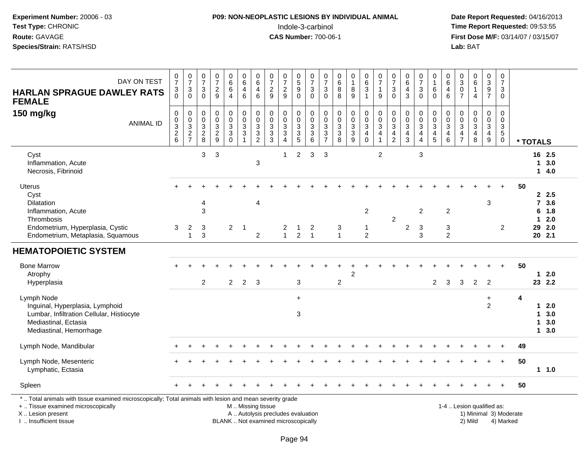# **P09: NON-NEOPLASTIC LESIONS BY INDIVIDUAL ANIMAL**Indole-3-carbinol **Time Report Requested:** 09:53:55

| DAY ON TEST<br><b>HARLAN SPRAGUE DAWLEY RATS</b><br><b>FEMALE</b>                                                                                                                             | $\frac{0}{7}$<br>3<br>$\Omega$                       | $\frac{0}{7}$<br>$\ensuremath{\mathsf{3}}$<br>$\mathbf 0$                               | $\frac{0}{7}$<br>$\ensuremath{\mathsf{3}}$<br>$\mathbf 0$ | $\begin{array}{c} 0 \\ 7 \end{array}$<br>$\frac{2}{9}$ | $\begin{array}{c} 0 \\ 6 \end{array}$<br>6<br>$\overline{4}$ | $\pmb{0}$<br>$\,6\,$<br>$\overline{4}$<br>$6\phantom{1}$               | 0<br>$\,6$<br>4<br>$6\phantom{1}$            | $\frac{0}{7}$<br>$\frac{2}{9}$                                           | $\frac{0}{7}$<br>$\frac{2}{9}$                                | $\begin{array}{c} 0 \\ 5 \end{array}$<br>9<br>$\overline{0}$ | $\mathbf 0$<br>$\overline{7}$<br>$_{0}^{3}$                | 0<br>$\overline{7}$<br>3<br>$\Omega$                                                         | 0<br>$\,6\,$<br>8<br>8                                    | 0<br>$\mathbf{1}$<br>8<br>$\overline{9}$              | $\pmb{0}$<br>6<br>$\mathbf{3}$<br>$\mathbf{1}$              | $\begin{array}{c} 0 \\ 7 \end{array}$<br>$\mathbf{1}$<br>9   | $\begin{array}{c} 0 \\ 7 \end{array}$<br>$\sqrt{3}$<br>$\mathbf{0}$                     | 0<br>$\,6\,$<br>$\overline{4}$<br>$\mathbf{3}$                                          | 0<br>$\overline{7}$<br>3<br>$\mathbf{0}$                             | 0<br>$\mathbf{1}$<br>$\,6$<br>$\mathbf 0$               | $\pmb{0}$<br>$\,6\,$<br>4<br>$6\phantom{a}$               | 0<br>$\sqrt{3}$<br>0<br>$\overline{7}$                                            | $\begin{array}{c} 0 \\ 6 \end{array}$<br>$\mathbf{1}$<br>$\overline{4}$ | 0<br>$\sqrt{3}$<br>9<br>$\overline{7}$                  | 0<br>$\overline{7}$<br>3<br>$\Omega$                                 |                        |                          |                                                |
|-----------------------------------------------------------------------------------------------------------------------------------------------------------------------------------------------|------------------------------------------------------|-----------------------------------------------------------------------------------------|-----------------------------------------------------------|--------------------------------------------------------|--------------------------------------------------------------|------------------------------------------------------------------------|----------------------------------------------|--------------------------------------------------------------------------|---------------------------------------------------------------|--------------------------------------------------------------|------------------------------------------------------------|----------------------------------------------------------------------------------------------|-----------------------------------------------------------|-------------------------------------------------------|-------------------------------------------------------------|--------------------------------------------------------------|-----------------------------------------------------------------------------------------|-----------------------------------------------------------------------------------------|----------------------------------------------------------------------|---------------------------------------------------------|-----------------------------------------------------------|-----------------------------------------------------------------------------------|-------------------------------------------------------------------------|---------------------------------------------------------|----------------------------------------------------------------------|------------------------|--------------------------|------------------------------------------------|
| 150 mg/kg<br><b>ANIMAL ID</b>                                                                                                                                                                 | $\mathbf 0$<br>$\pmb{0}$<br>3<br>$\overline{2}$<br>6 | $\pmb{0}$<br>$\pmb{0}$<br>$\ensuremath{\mathsf{3}}$<br>$\overline{2}$<br>$\overline{7}$ | 0<br>$\pmb{0}$<br>$\sqrt{3}$<br>$\sqrt{2}$<br>8           | $\pmb{0}$<br>$\pmb{0}$<br>$_2^3$<br>9                  | $\mathbf 0$<br>$\pmb{0}$<br>$\frac{3}{3}$<br>$\Omega$        | $\pmb{0}$<br>$\pmb{0}$<br>$\sqrt{3}$<br>$\overline{3}$<br>$\mathbf{1}$ | 0<br>$\mathbf 0$<br>3<br>3<br>$\overline{c}$ | $\pmb{0}$<br>$_{3}^{\rm 0}$<br>$\overline{3}$<br>3                       | $\mathbf 0$<br>$\mathbf 0$<br>$\frac{3}{3}$<br>$\overline{4}$ | 0<br>$\pmb{0}$<br>$\sqrt{3}$<br>$\overline{3}$<br>5          | $\boldsymbol{0}$<br>$\boldsymbol{0}$<br>$\frac{3}{3}$<br>6 | 0<br>$\mathbf 0$<br>$\ensuremath{\mathsf{3}}$<br>$\ensuremath{\mathsf{3}}$<br>$\overline{7}$ | $\mathbf 0$<br>$\pmb{0}$<br>$\sqrt{3}$<br>$\sqrt{3}$<br>8 | 0<br>$\mathbf 0$<br>$\sqrt{3}$<br>$\overline{3}$<br>9 | $\pmb{0}$<br>$\frac{0}{3}$<br>$\overline{4}$<br>$\mathbf 0$ | $\pmb{0}$<br>$\frac{0}{3}$<br>$\overline{4}$<br>$\mathbf{1}$ | $\pmb{0}$<br>$\pmb{0}$<br>$\ensuremath{\mathsf{3}}$<br>$\overline{4}$<br>$\overline{2}$ | $\mathbf 0$<br>$\mathbf 0$<br>$\ensuremath{\mathsf{3}}$<br>$\overline{\mathbf{4}}$<br>3 | 0<br>$\mathbf 0$<br>$\ensuremath{\mathsf{3}}$<br>$\overline{4}$<br>4 | 0<br>$\frac{0}{3}$<br>$\overline{4}$<br>$5\phantom{.0}$ | 0<br>$\pmb{0}$<br>$\mathbf{3}$<br>$\overline{4}$<br>$\,6$ | 0<br>$\mathbf 0$<br>$\ensuremath{\mathsf{3}}$<br>$\overline{4}$<br>$\overline{7}$ | $\mathbf 0$<br>$\pmb{0}$<br>$\overline{3}$<br>$\overline{4}$<br>8       | 0<br>$\mathbf 0$<br>$\mathbf{3}$<br>$\overline{4}$<br>9 | $\Omega$<br>$\pmb{0}$<br>$\sqrt{3}$<br>$\overline{5}$<br>$\mathbf 0$ |                        | * TOTALS                 |                                                |
| Cyst<br>Inflammation, Acute<br>Necrosis, Fibrinoid                                                                                                                                            |                                                      |                                                                                         | 3                                                         | 3                                                      |                                                              |                                                                        | 3                                            |                                                                          | $\mathbf{1}$                                                  | $\overline{2}$                                               | 3                                                          | 3                                                                                            |                                                           |                                                       |                                                             | $\overline{2}$                                               |                                                                                         |                                                                                         | $\sqrt{3}$                                                           |                                                         |                                                           |                                                                                   |                                                                         |                                                         |                                                                      |                        | 1                        | 16 2.5<br>3.0<br>14.0                          |
| <b>Uterus</b><br>Cyst<br>Dilatation<br>Inflammation, Acute<br>Thrombosis<br>Endometrium, Hyperplasia, Cystic<br>Endometrium, Metaplasia, Squamous                                             | 3                                                    | $\overline{c}$<br>$\mathbf{1}$                                                          | 4<br>3<br>3<br>3                                          |                                                        | $\overline{2}$                                               | -1                                                                     | 4<br>$\overline{c}$                          |                                                                          | 2<br>$\mathbf{1}$                                             | $\overline{c}$                                               | 2<br>$\overline{1}$                                        |                                                                                              | 3<br>$\mathbf{1}$                                         |                                                       | $\overline{2}$<br>$\mathbf{1}$<br>$\overline{2}$            |                                                              | $\overline{c}$                                                                          | $\overline{\mathbf{c}}$                                                                 | $\overline{c}$<br>$\ensuremath{\mathsf{3}}$<br>3                     |                                                         | $\overline{c}$<br>3<br>2                                  |                                                                                   |                                                                         | 3                                                       | $\overline{2}$                                                       | 50                     | $\overline{7}$<br>6<br>1 | 2.5<br>3.6<br>1.8<br>2.0<br>29 2.0<br>$20$ 2.1 |
| <b>HEMATOPOIETIC SYSTEM</b>                                                                                                                                                                   |                                                      |                                                                                         |                                                           |                                                        |                                                              |                                                                        |                                              |                                                                          |                                                               |                                                              |                                                            |                                                                                              |                                                           |                                                       |                                                             |                                                              |                                                                                         |                                                                                         |                                                                      |                                                         |                                                           |                                                                                   |                                                                         |                                                         |                                                                      |                        |                          |                                                |
| <b>Bone Marrow</b><br>Atrophy<br>Hyperplasia                                                                                                                                                  |                                                      |                                                                                         | $\overline{2}$                                            |                                                        | $\overline{2}$                                               | $\overline{2}$                                                         | -3                                           |                                                                          |                                                               | 3                                                            |                                                            |                                                                                              | $\overline{c}$                                            | $\overline{2}$                                        |                                                             |                                                              |                                                                                         |                                                                                         |                                                                      | $\overline{2}$                                          | 3                                                         | 3                                                                                 | $\overline{2}$                                                          | $\overline{2}$                                          |                                                                      | 50                     |                          | $12.0$<br>23 2.2                               |
| Lymph Node<br>Inguinal, Hyperplasia, Lymphoid<br>Lumbar, Infiltration Cellular, Histiocyte<br>Mediastinal, Ectasia<br>Mediastinal, Hemorrhage                                                 |                                                      |                                                                                         |                                                           |                                                        |                                                              |                                                                        |                                              |                                                                          |                                                               | $\ddot{}$<br>3                                               |                                                            |                                                                                              |                                                           |                                                       |                                                             |                                                              |                                                                                         |                                                                                         |                                                                      |                                                         |                                                           |                                                                                   |                                                                         | +<br>$\overline{2}$                                     |                                                                      | 4                      | 1.<br>1<br>1             | 2.0<br>3.0<br>3.0<br>13.0                      |
| Lymph Node, Mandibular                                                                                                                                                                        |                                                      |                                                                                         |                                                           |                                                        |                                                              |                                                                        |                                              |                                                                          |                                                               |                                                              |                                                            |                                                                                              |                                                           |                                                       |                                                             |                                                              |                                                                                         |                                                                                         |                                                                      |                                                         |                                                           |                                                                                   |                                                                         |                                                         |                                                                      | 49                     |                          |                                                |
| Lymph Node, Mesenteric<br>Lymphatic, Ectasia                                                                                                                                                  |                                                      |                                                                                         |                                                           |                                                        |                                                              |                                                                        |                                              |                                                                          |                                                               |                                                              |                                                            |                                                                                              |                                                           |                                                       |                                                             |                                                              |                                                                                         |                                                                                         |                                                                      |                                                         |                                                           |                                                                                   |                                                                         |                                                         | $\ddot{}$                                                            | 50                     |                          | 11.0                                           |
| Spleen                                                                                                                                                                                        |                                                      |                                                                                         |                                                           |                                                        |                                                              |                                                                        |                                              |                                                                          |                                                               |                                                              |                                                            |                                                                                              |                                                           |                                                       |                                                             |                                                              |                                                                                         |                                                                                         |                                                                      |                                                         |                                                           |                                                                                   |                                                                         |                                                         | $\ddot{}$                                                            | 50                     |                          |                                                |
| *  Total animals with tissue examined microscopically; Total animals with lesion and mean severity grade<br>+  Tissue examined microscopically<br>X  Lesion present<br>I  Insufficient tissue |                                                      |                                                                                         |                                                           |                                                        |                                                              | M  Missing tissue                                                      |                                              | A  Autolysis precludes evaluation<br>BLANK  Not examined microscopically |                                                               |                                                              |                                                            |                                                                                              |                                                           |                                                       |                                                             |                                                              |                                                                                         |                                                                                         |                                                                      |                                                         | 1-4  Lesion qualified as:                                 |                                                                                   | 2) Mild                                                                 |                                                         | 4) Marked                                                            | 1) Minimal 3) Moderate |                          |                                                |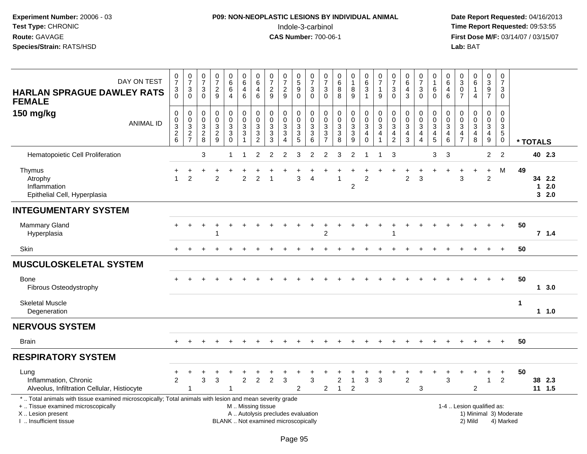# **P09: NON-NEOPLASTIC LESIONS BY INDIVIDUAL ANIMAL**Indole-3-carbinol **Time Report Requested:** 09:53:55

| DAY ON TEST<br><b>HARLAN SPRAGUE DAWLEY RATS</b><br><b>FEMALE</b>                                                                                                                             | $\begin{array}{c} 0 \\ 7 \end{array}$<br>$\frac{3}{0}$ | $\frac{0}{7}$<br>$_{0}^{3}$                                    | $\frac{0}{7}$<br>3<br>$\mathbf 0$                       | $\frac{0}{7}$<br>$\frac{2}{9}$                                  | $_{6}^{\rm 0}$<br>6<br>4                                                  | $_{6}^{\rm 0}$<br>$\overline{4}$<br>6              | $\begin{array}{c} 0 \\ 6 \end{array}$<br>$\overline{4}$<br>$6\phantom{a}$ | $\frac{0}{7}$<br>$\frac{2}{9}$                                           | $\begin{array}{c} 0 \\ 7 \end{array}$<br>$\frac{2}{9}$                | $\begin{array}{c} 0 \\ 5 \end{array}$<br>9<br>$\overline{0}$ | $\frac{0}{7}$<br>$\frac{3}{0}$  | $\frac{0}{7}$<br>$\mathbf{3}$<br>$\mathbf 0$                                    | 0<br>$6\phantom{a}$<br>$\bf 8$<br>$\overline{8}$                 | $\begin{smallmatrix}0\\1\end{smallmatrix}$<br>$^8_9$ | 0<br>$\overline{6}$<br>3<br>$\overline{1}$                    | $\begin{array}{c} 0 \\ 7 \end{array}$<br>$\mathbf{1}$<br>$\boldsymbol{9}$  | 0<br>$\overline{7}$<br>$\mathbf{3}$<br>$\Omega$                  | $_{6}^{\rm 0}$<br>$\overline{4}$<br>$\mathbf{3}$        | $\frac{0}{7}$<br>3<br>$\overline{0}$                              | 0<br>$\mathbf{1}$<br>6<br>$\overline{0}$                                | $\mathbf 0$<br>6<br>$\overline{4}$<br>$6\phantom{a}$                                      | 0<br>$\ensuremath{\mathsf{3}}$<br>0<br>$\overline{7}$                                   | $\pmb{0}$<br>$\overline{6}$<br>$\mathbf{1}$<br>$\overline{4}$              | 0<br>$\overline{3}$<br>9<br>$\overline{7}$                            | $\begin{array}{c} 0 \\ 7 \end{array}$<br>3<br>$\mathbf 0$      |                        |          |                          |  |
|-----------------------------------------------------------------------------------------------------------------------------------------------------------------------------------------------|--------------------------------------------------------|----------------------------------------------------------------|---------------------------------------------------------|-----------------------------------------------------------------|---------------------------------------------------------------------------|----------------------------------------------------|---------------------------------------------------------------------------|--------------------------------------------------------------------------|-----------------------------------------------------------------------|--------------------------------------------------------------|---------------------------------|---------------------------------------------------------------------------------|------------------------------------------------------------------|------------------------------------------------------|---------------------------------------------------------------|----------------------------------------------------------------------------|------------------------------------------------------------------|---------------------------------------------------------|-------------------------------------------------------------------|-------------------------------------------------------------------------|-------------------------------------------------------------------------------------------|-----------------------------------------------------------------------------------------|----------------------------------------------------------------------------|-----------------------------------------------------------------------|----------------------------------------------------------------|------------------------|----------|--------------------------|--|
| 150 mg/kg<br><b>ANIMAL ID</b>                                                                                                                                                                 | 0<br>0<br>$\sqrt{3}$<br>$\frac{2}{6}$                  | $\mathbf 0$<br>$\begin{array}{c} 0 \\ 3 \\ 2 \\ 7 \end{array}$ | 0<br>$\pmb{0}$<br>$\mathbf{3}$<br>$\boldsymbol{2}$<br>8 | $\mathbf 0$<br>$\mathbf 0$<br>$\sqrt{3}$<br>$\overline{2}$<br>9 | $\pmb{0}$<br>$\mathbf 0$<br>$\mathbf{3}$<br>$\overline{3}$<br>$\mathbf 0$ | 0<br>$\mathsf{O}\xspace$<br>3<br>$\mathbf{3}$<br>1 | $\pmb{0}$<br>$\frac{0}{3}$<br>$\frac{3}{2}$                               | $\mathbf 0$<br>$\pmb{0}$<br>$\mathbf{3}$<br>3<br>$\mathbf{3}$            | $\pmb{0}$<br>$\mathbf 0$<br>3<br>$\sqrt{3}$<br>$\boldsymbol{\Lambda}$ | 0<br>$\mathbf 0$<br>3<br>3<br>5                              | 0<br>$\mathbf 0$<br>$_3^3$<br>6 | 0<br>$\mathbf 0$<br>$\mathbf{3}$<br>$\ensuremath{\mathsf{3}}$<br>$\overline{7}$ | 0<br>$\pmb{0}$<br>$\mathbf{3}$<br>$\ensuremath{\mathsf{3}}$<br>8 | $\mathbf 0$<br>$\frac{0}{3}$<br>$\overline{3}$<br>9  | 0<br>$\pmb{0}$<br>3<br>$\overline{\mathbf{4}}$<br>$\mathbf 0$ | $\mathbf 0$<br>$\pmb{0}$<br>$\mathbf{3}$<br>$\overline{4}$<br>$\mathbf{1}$ | 0<br>$\pmb{0}$<br>3<br>$\overline{\mathbf{4}}$<br>$\overline{2}$ | 0<br>$\mathbf 0$<br>$\mathbf{3}$<br>$\overline{4}$<br>3 | 0<br>$\mathbf 0$<br>3<br>$\overline{4}$<br>$\boldsymbol{\Lambda}$ | 0<br>$\pmb{0}$<br>$\mathbf{3}$<br>$\begin{array}{c} 4 \\ 5 \end{array}$ | $\mathbf 0$<br>$\mathbf 0$<br>$\overline{3}$<br>$\overline{\mathbf{4}}$<br>$6\phantom{1}$ | $\mathbf 0$<br>$\mathbf 0$<br>$\mathbf{3}$<br>$\overline{\mathbf{4}}$<br>$\overline{7}$ | $\mathbf 0$<br>$\mathbf 0$<br>$\mathbf{3}$<br>$\overline{\mathbf{4}}$<br>8 | $\mathbf 0$<br>$\mathbf 0$<br>3<br>$\overline{4}$<br>$\boldsymbol{9}$ | $\mathbf 0$<br>$\mathbf 0$<br>3<br>$\overline{5}$<br>$\pmb{0}$ |                        | * TOTALS |                          |  |
| Hematopoietic Cell Proliferation                                                                                                                                                              |                                                        |                                                                | 3                                                       |                                                                 | $\mathbf{1}$                                                              |                                                    | $\overline{2}$                                                            | 2                                                                        | $\overline{2}$                                                        | 3                                                            | $\overline{2}$                  | $\overline{2}$                                                                  | 3                                                                | $\overline{2}$                                       | -1                                                            | -1                                                                         | 3                                                                |                                                         |                                                                   | 3                                                                       | $\mathbf{3}$                                                                              |                                                                                         |                                                                            | $\overline{2}$                                                        | $\overline{2}$                                                 |                        |          | 40 2.3                   |  |
| Thymus<br>Atrophy<br>Inflammation<br>Epithelial Cell, Hyperplasia                                                                                                                             | ÷<br>1                                                 | ÷<br>$\overline{2}$                                            | ÷                                                       | $\overline{2}$                                                  | $\ddot{}$                                                                 | ÷<br>$\overline{2}$                                | $\overline{2}$                                                            |                                                                          |                                                                       | 3                                                            | $\boldsymbol{\Lambda}$          |                                                                                 |                                                                  | 2                                                    | ÷<br>$\overline{c}$                                           |                                                                            |                                                                  | $\overline{2}$                                          | $\ddot{}$<br>3                                                    | $+$                                                                     | $\overline{ }$                                                                            | $\ddot{}$<br>3                                                                          | $+$                                                                        | $\begin{array}{c} + \end{array}$<br>$\overline{2}$                    | M                                                              | 49                     |          | 34 2.2<br>$12.0$<br>32.0 |  |
| <b>INTEGUMENTARY SYSTEM</b>                                                                                                                                                                   |                                                        |                                                                |                                                         |                                                                 |                                                                           |                                                    |                                                                           |                                                                          |                                                                       |                                                              |                                 |                                                                                 |                                                                  |                                                      |                                                               |                                                                            |                                                                  |                                                         |                                                                   |                                                                         |                                                                                           |                                                                                         |                                                                            |                                                                       |                                                                |                        |          |                          |  |
| <b>Mammary Gland</b><br>Hyperplasia                                                                                                                                                           |                                                        |                                                                |                                                         | -1                                                              |                                                                           |                                                    |                                                                           |                                                                          |                                                                       |                                                              |                                 | $\boldsymbol{2}$                                                                |                                                                  |                                                      |                                                               |                                                                            | 1                                                                |                                                         |                                                                   |                                                                         |                                                                                           |                                                                                         |                                                                            |                                                                       |                                                                | 50                     |          | 7.1.4                    |  |
| Skin                                                                                                                                                                                          |                                                        |                                                                |                                                         |                                                                 |                                                                           |                                                    |                                                                           |                                                                          |                                                                       |                                                              |                                 |                                                                                 |                                                                  |                                                      |                                                               |                                                                            |                                                                  |                                                         |                                                                   |                                                                         |                                                                                           |                                                                                         |                                                                            |                                                                       |                                                                | 50                     |          |                          |  |
| <b>MUSCULOSKELETAL SYSTEM</b>                                                                                                                                                                 |                                                        |                                                                |                                                         |                                                                 |                                                                           |                                                    |                                                                           |                                                                          |                                                                       |                                                              |                                 |                                                                                 |                                                                  |                                                      |                                                               |                                                                            |                                                                  |                                                         |                                                                   |                                                                         |                                                                                           |                                                                                         |                                                                            |                                                                       |                                                                |                        |          |                          |  |
| <b>Bone</b><br>Fibrous Osteodystrophy                                                                                                                                                         |                                                        |                                                                |                                                         |                                                                 |                                                                           |                                                    |                                                                           |                                                                          |                                                                       |                                                              |                                 |                                                                                 |                                                                  |                                                      |                                                               |                                                                            |                                                                  |                                                         |                                                                   |                                                                         |                                                                                           |                                                                                         |                                                                            |                                                                       |                                                                | 50                     |          | 13.0                     |  |
| <b>Skeletal Muscle</b><br>Degeneration                                                                                                                                                        |                                                        |                                                                |                                                         |                                                                 |                                                                           |                                                    |                                                                           |                                                                          |                                                                       |                                                              |                                 |                                                                                 |                                                                  |                                                      |                                                               |                                                                            |                                                                  |                                                         |                                                                   |                                                                         |                                                                                           |                                                                                         |                                                                            |                                                                       |                                                                | 1                      |          | $1 1.0$                  |  |
| <b>NERVOUS SYSTEM</b>                                                                                                                                                                         |                                                        |                                                                |                                                         |                                                                 |                                                                           |                                                    |                                                                           |                                                                          |                                                                       |                                                              |                                 |                                                                                 |                                                                  |                                                      |                                                               |                                                                            |                                                                  |                                                         |                                                                   |                                                                         |                                                                                           |                                                                                         |                                                                            |                                                                       |                                                                |                        |          |                          |  |
| <b>Brain</b>                                                                                                                                                                                  | $+$                                                    |                                                                |                                                         |                                                                 |                                                                           |                                                    |                                                                           |                                                                          |                                                                       |                                                              |                                 |                                                                                 |                                                                  |                                                      |                                                               |                                                                            |                                                                  |                                                         |                                                                   |                                                                         |                                                                                           |                                                                                         |                                                                            |                                                                       | $+$                                                            | 50                     |          |                          |  |
| <b>RESPIRATORY SYSTEM</b>                                                                                                                                                                     |                                                        |                                                                |                                                         |                                                                 |                                                                           |                                                    |                                                                           |                                                                          |                                                                       |                                                              |                                 |                                                                                 |                                                                  |                                                      |                                                               |                                                                            |                                                                  |                                                         |                                                                   |                                                                         |                                                                                           |                                                                                         |                                                                            |                                                                       |                                                                |                        |          |                          |  |
| Lung<br>Inflammation, Chronic<br>Alveolus, Infiltration Cellular, Histiocyte                                                                                                                  | ÷<br>$\overline{2}$                                    | 1                                                              | 3                                                       | 3                                                               | -1                                                                        | $\overline{2}$                                     | $\overline{2}$                                                            | 2                                                                        | 3                                                                     | 2                                                            | 3                               | $\overline{2}$                                                                  | 2<br>$\mathbf{1}$                                                | $\overline{1}$<br>$\overline{2}$                     | 3                                                             | 3                                                                          |                                                                  | $\overline{2}$                                          | 3                                                                 |                                                                         | 3                                                                                         |                                                                                         | 2                                                                          | ÷<br>$\mathbf 1$                                                      | $\ddot{}$<br>$\overline{2}$                                    | 50                     |          | 38 2.3<br>$11 \t1.5$     |  |
| *  Total animals with tissue examined microscopically; Total animals with lesion and mean severity grade<br>+  Tissue examined microscopically<br>X  Lesion present<br>I. Insufficient tissue |                                                        |                                                                |                                                         |                                                                 |                                                                           | M  Missing tissue                                  |                                                                           | A  Autolysis precludes evaluation<br>BLANK  Not examined microscopically |                                                                       |                                                              |                                 |                                                                                 |                                                                  |                                                      |                                                               |                                                                            |                                                                  |                                                         |                                                                   |                                                                         |                                                                                           |                                                                                         | 1-4  Lesion qualified as:<br>2) Mild                                       |                                                                       | 4) Marked                                                      | 1) Minimal 3) Moderate |          |                          |  |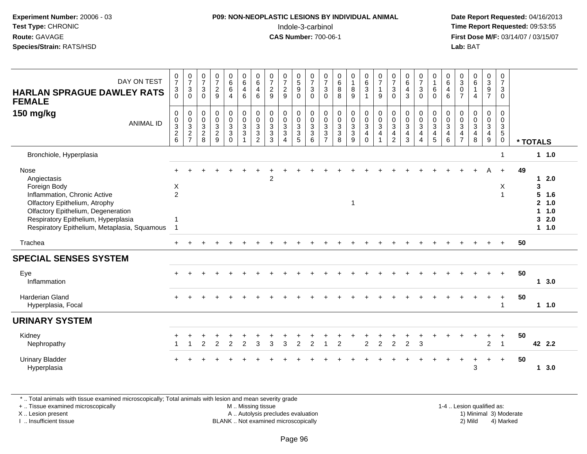| Experiment Number: 20006 - 03<br>Test Type: CHRONIC<br>Route: GAVAGE<br>Species/Strain: RATS/HSD                                                                                                                                  |                                                                                  |                                                 |                                                              |                                                         |                                                                            |                                                                           |                                                           |                                                             |                                                         |                                                             | P09: NON-NEOPLASTIC LESIONS BY INDIVIDUAL ANIMAL<br>Indole-3-carbinol<br><b>CAS Number: 700-06-1</b> |                                                   |                                                                   |                                                                                 |                                                                             |                                    |                                                                                |                                                                         |                                                           |                                                                   |                                                                |                                                          | Lab: BAT                                                                     |                                                                                     |                                                                        | Date Report Requested: 04/16/2013<br>Time Report Requested: 09:53:55<br>First Dose M/F: 03/14/07 / 03/15/07 |                                        |                                               |
|-----------------------------------------------------------------------------------------------------------------------------------------------------------------------------------------------------------------------------------|----------------------------------------------------------------------------------|-------------------------------------------------|--------------------------------------------------------------|---------------------------------------------------------|----------------------------------------------------------------------------|---------------------------------------------------------------------------|-----------------------------------------------------------|-------------------------------------------------------------|---------------------------------------------------------|-------------------------------------------------------------|------------------------------------------------------------------------------------------------------|---------------------------------------------------|-------------------------------------------------------------------|---------------------------------------------------------------------------------|-----------------------------------------------------------------------------|------------------------------------|--------------------------------------------------------------------------------|-------------------------------------------------------------------------|-----------------------------------------------------------|-------------------------------------------------------------------|----------------------------------------------------------------|----------------------------------------------------------|------------------------------------------------------------------------------|-------------------------------------------------------------------------------------|------------------------------------------------------------------------|-------------------------------------------------------------------------------------------------------------|----------------------------------------|-----------------------------------------------|
| DAY ON TEST<br><b>HARLAN SPRAGUE DAWLEY RATS</b><br><b>FEMALE</b>                                                                                                                                                                 | $\begin{smallmatrix}0\\7\end{smallmatrix}$<br>3<br>$\Omega$                      | $\frac{0}{7}$<br>$\sqrt{3}$<br>$\Omega$         | $\frac{0}{7}$<br>$\sqrt{3}$<br>$\overline{0}$                | $\frac{0}{7}$<br>$\frac{2}{9}$                          | $_{6}^{\rm 0}$<br>6<br>$\overline{4}$                                      | $\begin{array}{c} 0 \\ 6 \end{array}$<br>$\overline{4}$<br>$6\phantom{a}$ | $\begin{array}{c} 0 \\ 6 \end{array}$<br>$\frac{4}{6}$    | $\frac{0}{7}$<br>$\frac{2}{9}$                              | $\frac{0}{7}$<br>$\frac{2}{9}$                          | $\frac{0}{5}$<br>$\boldsymbol{9}$<br>$\overline{0}$         | $\frac{0}{7}$<br>$\ensuremath{\mathsf{3}}$<br>$\overline{0}$                                         | $\frac{0}{7}$<br>$\sqrt{3}$<br>$\Omega$           | $\begin{array}{c} 0 \\ 6 \end{array}$<br>$\, 8$<br>8              | $\begin{smallmatrix}0\\1\end{smallmatrix}$<br>$^8_9$                            | $\begin{matrix} 0 \\ 6 \end{matrix}$<br>$\mathbf{3}$<br>$\mathbf{1}$        | $\frac{0}{7}$<br>$\mathbf{1}$<br>9 | $\frac{0}{7}$<br>$\sqrt{3}$<br>$\Omega$                                        | $\begin{array}{c} 0 \\ 6 \end{array}$<br>$\overline{4}$<br>$\mathbf{3}$ | $\frac{0}{7}$<br>$\ensuremath{\mathsf{3}}$<br>$\Omega$    | 0<br>$\tilde{1}$<br>$\,6\,$<br>$\Omega$                           | 0<br>$6\phantom{1}$<br>$\overline{4}$<br>$6\phantom{a}$        | $_{3}^{\rm 0}$<br>$\mathsf 0$<br>$\overline{7}$          | $\begin{array}{c} 0 \\ 6 \end{array}$<br>$\mathbf{1}$<br>$\overline{4}$      | $\begin{array}{c} 0 \\ 3 \\ 9 \\ 7 \end{array}$                                     | $\begin{smallmatrix}0\\7\end{smallmatrix}$<br>$\mathsf 3$<br>$\Omega$  |                                                                                                             |                                        |                                               |
| 150 mg/kg<br><b>ANIMAL ID</b>                                                                                                                                                                                                     | $\mathsf 0$<br>$\pmb{0}$<br>$\overline{3}$<br>$\boldsymbol{2}$<br>$6\phantom{1}$ | 0<br>$\mathbf 0$<br>$\sqrt{3}$<br>$\frac{2}{7}$ | $\mathbf 0$<br>$\mathbf 0$<br>$\mathbf{3}$<br>$_{8}^{\rm 2}$ | 0<br>$\mathbf 0$<br>$\mathbf{3}$<br>$\overline{c}$<br>9 | $\mathbf 0$<br>$\mathbf 0$<br>$\sqrt{3}$<br>$\mathbf{3}$<br>$\overline{0}$ | $\mathbf 0$<br>$\pmb{0}$<br>$\mathfrak{Z}$<br>3                           | $\mathbf 0$<br>$\mathbf 0$<br>$\sqrt{3}$<br>$\frac{3}{2}$ | $\pmb{0}$<br>$\mathbf 0$<br>$\sqrt{3}$<br>$\mathbf{3}$<br>3 | 0<br>$\mathbf 0$<br>3<br>$\mathbf{3}$<br>$\overline{4}$ | $\mathbf 0$<br>$\pmb{0}$<br>$\overline{3}$<br>$\frac{3}{5}$ | $\mathbf 0$<br>$\pmb{0}$<br>$\mathsf 3$<br>$\mathbf{3}$<br>6                                         | $\mathbf 0$<br>0<br>$\mathbf{3}$<br>$\frac{3}{7}$ | $\mathbf 0$<br>$\mathsf{O}\xspace$<br>$\sqrt{3}$<br>$\frac{3}{8}$ | 0<br>$\mathbf 0$<br>$\ensuremath{\mathsf{3}}$<br>$\mathbf{3}$<br>$\overline{9}$ | $\pmb{0}$<br>$\mathbf 0$<br>$\overline{3}$<br>$\overline{4}$<br>$\mathbf 0$ | 0<br>0<br>3<br>4<br>$\mathbf{1}$   | $\mathbf 0$<br>$\mathbf 0$<br>$\mathbf{3}$<br>$\overline{4}$<br>$\overline{2}$ | $\mathbf 0$<br>$\pmb{0}$<br>$\overline{3}$<br>4<br>$\overline{3}$       | 0<br>$\mathbf 0$<br>$\mathfrak{S}$<br>4<br>$\overline{4}$ | $\mathbf 0$<br>$\mathbf 0$<br>$\mathbf{3}$<br>4<br>$\overline{5}$ | $\Omega$<br>$\mathbf 0$<br>$\mathbf{3}$<br>4<br>$6\phantom{a}$ | $\mathbf 0$<br>$\Omega$<br>$\mathbf{3}$<br>$\frac{4}{7}$ | $\mathbf 0$<br>$\mathbf 0$<br>$\mathfrak{Z}$<br>$\overline{\mathbf{4}}$<br>8 | 0<br>$\mathsf{O}\xspace$<br>$\overline{3}$<br>$\begin{array}{c} 4 \\ 9 \end{array}$ | $\mathbf 0$<br>$\mathbf 0$<br>$\mathsf 3$<br>$\sqrt{5}$<br>$\mathbf 0$ | * TOTALS                                                                                                    |                                        |                                               |
| Bronchiole, Hyperplasia                                                                                                                                                                                                           |                                                                                  |                                                 |                                                              |                                                         |                                                                            |                                                                           |                                                           |                                                             |                                                         |                                                             |                                                                                                      |                                                   |                                                                   |                                                                                 |                                                                             |                                    |                                                                                |                                                                         |                                                           |                                                                   |                                                                |                                                          |                                                                              |                                                                                     | $\mathbf{1}$                                                           |                                                                                                             |                                        | 1 1.0                                         |
| Nose<br>Angiectasis<br>Foreign Body<br>Inflammation, Chronic Active<br>Olfactory Epithelium, Atrophy<br>Olfactory Epithelium, Degeneration<br>Respiratory Epithelium, Hyperplasia<br>Respiratory Epithelium, Metaplasia, Squamous | X<br>2<br>$\overline{1}$<br>$\overline{1}$                                       |                                                 |                                                              |                                                         |                                                                            |                                                                           |                                                           | $\overline{c}$                                              |                                                         |                                                             |                                                                                                      |                                                   |                                                                   | $\mathbf{1}$                                                                    |                                                                             |                                    |                                                                                |                                                                         |                                                           |                                                                   |                                                                |                                                          |                                                                              | A                                                                                   | $+$<br>X<br>$\overline{1}$                                             | 49                                                                                                          | $\mathbf{1}$<br>3<br>$\mathbf{1}$<br>3 | 2.0<br>5 1.6<br>2, 1.0<br>1.0<br>2.0<br>1 1.0 |
| Trachea                                                                                                                                                                                                                           |                                                                                  |                                                 |                                                              |                                                         |                                                                            |                                                                           |                                                           |                                                             |                                                         |                                                             |                                                                                                      |                                                   |                                                                   |                                                                                 |                                                                             |                                    |                                                                                |                                                                         |                                                           |                                                                   |                                                                |                                                          |                                                                              |                                                                                     |                                                                        | 50                                                                                                          |                                        |                                               |
| <b>SPECIAL SENSES SYSTEM</b>                                                                                                                                                                                                      |                                                                                  |                                                 |                                                              |                                                         |                                                                            |                                                                           |                                                           |                                                             |                                                         |                                                             |                                                                                                      |                                                   |                                                                   |                                                                                 |                                                                             |                                    |                                                                                |                                                                         |                                                           |                                                                   |                                                                |                                                          |                                                                              |                                                                                     |                                                                        |                                                                                                             |                                        |                                               |
| Eye<br>Inflammation                                                                                                                                                                                                               |                                                                                  |                                                 |                                                              |                                                         |                                                                            |                                                                           |                                                           |                                                             |                                                         |                                                             |                                                                                                      |                                                   |                                                                   |                                                                                 |                                                                             |                                    |                                                                                |                                                                         |                                                           |                                                                   |                                                                |                                                          |                                                                              |                                                                                     | $+$                                                                    | 50                                                                                                          |                                        | 13.0                                          |
| Harderian Gland<br>Hyperplasia, Focal                                                                                                                                                                                             |                                                                                  |                                                 |                                                              |                                                         |                                                                            |                                                                           |                                                           |                                                             |                                                         |                                                             |                                                                                                      |                                                   |                                                                   |                                                                                 |                                                                             |                                    |                                                                                |                                                                         |                                                           |                                                                   |                                                                |                                                          |                                                                              |                                                                                     | $\ddot{}$<br>$\mathbf{1}$                                              | 50                                                                                                          |                                        | 1 1.0                                         |
| <b>URINARY SYSTEM</b>                                                                                                                                                                                                             |                                                                                  |                                                 |                                                              |                                                         |                                                                            |                                                                           |                                                           |                                                             |                                                         |                                                             |                                                                                                      |                                                   |                                                                   |                                                                                 |                                                                             |                                    |                                                                                |                                                                         |                                                           |                                                                   |                                                                |                                                          |                                                                              |                                                                                     |                                                                        |                                                                                                             |                                        |                                               |
| Kidney<br>Nephropathy                                                                                                                                                                                                             |                                                                                  |                                                 | $\overline{c}$                                               | $\overline{2}$                                          | $\boldsymbol{2}$                                                           | $\boldsymbol{2}$                                                          | 3                                                         | 3                                                           | $\ensuremath{\mathsf{3}}$                               | $\sqrt{2}$                                                  | $\boldsymbol{2}$                                                                                     | 1                                                 | $\overline{c}$                                                    |                                                                                 | $\overline{c}$                                                              | $\boldsymbol{2}$                   | $\overline{2}$                                                                 | $\sqrt{2}$                                                              | $\mathbf{3}$                                              |                                                                   |                                                                |                                                          |                                                                              | $\overline{c}$                                                                      | $\ddot{}$<br>$\overline{1}$                                            | 50                                                                                                          |                                        | 42 2.2                                        |
| <b>Urinary Bladder</b><br>Hyperplasia                                                                                                                                                                                             |                                                                                  |                                                 |                                                              |                                                         |                                                                            |                                                                           |                                                           |                                                             |                                                         |                                                             |                                                                                                      |                                                   |                                                                   |                                                                                 |                                                                             |                                    |                                                                                |                                                                         |                                                           |                                                                   |                                                                |                                                          | $\div$<br>3                                                                  | $\ddot{}$                                                                           | $+$                                                                    | 50                                                                                                          |                                        | 1, 3.0                                        |

\* .. Total animals with tissue examined microscopically; Total animals with lesion and mean severity grade

+ .. Tissue examined microscopically

X .. Lesion present

I .. Insufficient tissue

 M .. Missing tissueLesion present **A** .. Autolysis precludes evaluation 1996 and the server all the server all the server all the server and the server all the server all the server all the server all the server all the server all the server

 1-4 .. Lesion qualified as: BLANK .. Not examined microscopically 2) Mild 4) Marked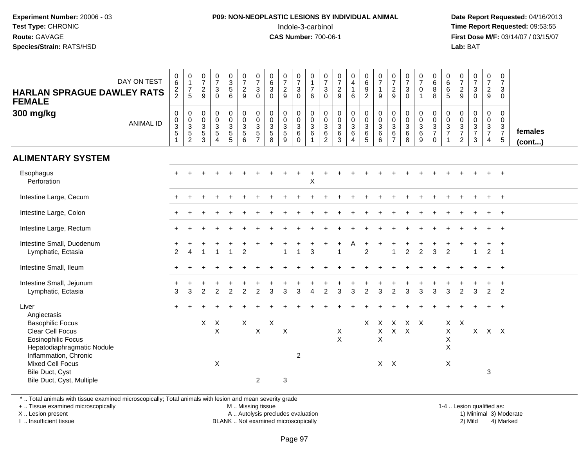## **P09: NON-NEOPLASTIC LESIONS BY INDIVIDUAL ANIMAL**Indole-3-carbinol **Time Report Requested:** 09:53:55

 **Date Report Requested:** 04/16/2013 **First Dose M/F:** 03/14/07 / 03/15/07<br>**Lab: BAT** 

| <b>HARLAN SPRAGUE DAWLEY RATS</b><br><b>FEMALE</b>                                                                              | DAY ON TEST      | 0<br>$6\overline{6}$<br>$\frac{2}{2}$                                     | $\begin{smallmatrix}0\\1\end{smallmatrix}$<br>$\frac{7}{5}$    | $\frac{0}{7}$<br>$\frac{2}{9}$            | $\begin{array}{c} 0 \\ 7 \end{array}$<br>$\mathbf 3$<br>$\Omega$       | $\begin{smallmatrix}0\3\5\end{smallmatrix}$<br>6 | $\begin{array}{c} 0 \\ 7 \end{array}$<br>$\frac{2}{9}$ | $\frac{0}{7}$<br>$\mathbf{3}$<br>$\Omega$ | $\begin{array}{c} 0 \\ 6 \end{array}$<br>$\mathbf{3}$<br>$\Omega$ | $\frac{0}{7}$<br>$\frac{2}{9}$       | $\mathbf 0$<br>$\overline{7}$<br>$\mathbf{3}$<br>$\Omega$  | $\pmb{0}$<br>$\mathbf{1}$<br>$\boldsymbol{7}$<br>6                  | $\frac{0}{7}$<br>$\mathbf{3}$<br>$\Omega$       | $\frac{0}{7}$<br>$\frac{2}{9}$                                      | $\begin{smallmatrix}0\0\4\end{smallmatrix}$<br>$\mathbf{1}$<br>6 | $_{6}^{\rm 0}$<br>$\frac{9}{2}$                                | $\frac{0}{7}$<br>$\mathbf{1}$<br>9                                        | $\begin{smallmatrix}0\\7\end{smallmatrix}$<br>$\frac{2}{9}$ | $\begin{array}{c} 0 \\ 7 \end{array}$<br>$\frac{3}{0}$ | $\begin{array}{c} 0 \\ 7 \end{array}$<br>$\mathbf 0$<br>$\overline{1}$ | $\pmb{0}$<br>$\,6\,$<br>8<br>8                             | $\mathbf 0$<br>$\,6\,$<br>6<br>5                            | $\frac{0}{7}$<br>$\frac{2}{9}$                    | $\frac{0}{7}$<br>$\mathbf{3}$<br>$\overline{0}$ | $\begin{smallmatrix}0\\7\end{smallmatrix}$<br>$\frac{2}{9}$           | $\pmb{0}$<br>$\overline{7}$<br>$\mathbf{3}$<br>0        |                         |
|---------------------------------------------------------------------------------------------------------------------------------|------------------|---------------------------------------------------------------------------|----------------------------------------------------------------|-------------------------------------------|------------------------------------------------------------------------|--------------------------------------------------|--------------------------------------------------------|-------------------------------------------|-------------------------------------------------------------------|--------------------------------------|------------------------------------------------------------|---------------------------------------------------------------------|-------------------------------------------------|---------------------------------------------------------------------|------------------------------------------------------------------|----------------------------------------------------------------|---------------------------------------------------------------------------|-------------------------------------------------------------|--------------------------------------------------------|------------------------------------------------------------------------|------------------------------------------------------------|-------------------------------------------------------------|---------------------------------------------------|-------------------------------------------------|-----------------------------------------------------------------------|---------------------------------------------------------|-------------------------|
| 300 mg/kg                                                                                                                       | <b>ANIMAL ID</b> | $\pmb{0}$<br>$\begin{array}{c} 0 \\ 3 \\ 5 \end{array}$<br>$\overline{1}$ | $\mathsf 0$<br>$\begin{array}{c} 0 \\ 3 \\ 5 \\ 2 \end{array}$ | $\mathbf 0$<br>$\mathbf 0$<br>$rac{3}{3}$ | $\pmb{0}$<br>$\mathbf 0$<br>$\sqrt{3}$<br>$\sqrt{5}$<br>$\overline{4}$ | 0<br>$\ddot{\mathbf{0}}$<br>$rac{3}{5}$          | $\pmb{0}$<br>$\pmb{0}$<br>$\overline{3}$<br>5<br>6     | $\pmb{0}$<br>$\pmb{0}$<br>$rac{3}{5}$     | $\mathbf 0$<br>$\mathbf 0$<br>$\mathbf{3}$<br>$\sqrt{5}$<br>8     | 0<br>$\pmb{0}$<br>$\frac{3}{5}$<br>9 | 0<br>$\mathsf{O}\xspace$<br>$\sqrt{3}$<br>6<br>$\mathbf 0$ | $\mathbf 0$<br>$\overline{0}$<br>$\overline{3}$ 6<br>$\overline{1}$ | 0<br>0<br>$\sqrt{3}$<br>$\,6$<br>$\overline{2}$ | $\pmb{0}$<br>$\pmb{0}$<br>$\overline{3}$<br>$\,6\,$<br>$\mathbf{3}$ | 0<br>$\pmb{0}$<br>$\mathfrak{S}$<br>6<br>$\overline{4}$          | $\mathsf 0$<br>$\begin{array}{c} 0 \\ 3 \\ 6 \\ 5 \end{array}$ | $\pmb{0}$<br>$\ddot{\mathbf{0}}$<br>$\overline{3}$<br>$\overline{6}$<br>6 | 0<br>$\pmb{0}$<br>$\sqrt{3}$<br>$\,6$<br>$\overline{7}$     | $\mathbf 0$<br>$\frac{0}{3}$<br>8                      | $\mathbf 0$<br>$\overline{0}$<br>$\frac{3}{6}$<br>$\boldsymbol{9}$     | $\mathbf 0$<br>$\mathbf 0$<br>$\frac{3}{7}$<br>$\mathsf 0$ | $\mathbf 0$<br>$\mathbf 0$<br>$\frac{3}{7}$<br>$\mathbf{1}$ | 0<br>$\pmb{0}$<br>$\frac{3}{7}$<br>$\overline{c}$ | 0<br>$\boldsymbol{0}$<br>$\frac{3}{7}$<br>3     | $\mathbf 0$<br>$\mathsf{O}\xspace$<br>$\frac{3}{7}$<br>$\overline{4}$ | 0<br>$\mathsf{O}\xspace$<br>$\frac{3}{7}$<br>$\sqrt{5}$ | females<br>$($ cont $)$ |
| <b>ALIMENTARY SYSTEM</b>                                                                                                        |                  |                                                                           |                                                                |                                           |                                                                        |                                                  |                                                        |                                           |                                                                   |                                      |                                                            |                                                                     |                                                 |                                                                     |                                                                  |                                                                |                                                                           |                                                             |                                                        |                                                                        |                                                            |                                                             |                                                   |                                                 |                                                                       |                                                         |                         |
| Esophagus<br>Perforation                                                                                                        |                  |                                                                           |                                                                |                                           |                                                                        |                                                  |                                                        |                                           |                                                                   |                                      |                                                            | $\boldsymbol{\mathsf{X}}$                                           |                                                 |                                                                     |                                                                  |                                                                |                                                                           |                                                             |                                                        |                                                                        |                                                            |                                                             |                                                   |                                                 |                                                                       |                                                         |                         |
| Intestine Large, Cecum                                                                                                          |                  |                                                                           |                                                                |                                           |                                                                        |                                                  |                                                        |                                           |                                                                   |                                      |                                                            |                                                                     |                                                 |                                                                     |                                                                  |                                                                |                                                                           |                                                             |                                                        |                                                                        |                                                            |                                                             |                                                   |                                                 |                                                                       | $\overline{+}$                                          |                         |
| Intestine Large, Colon                                                                                                          |                  |                                                                           |                                                                |                                           |                                                                        |                                                  |                                                        |                                           |                                                                   |                                      |                                                            |                                                                     |                                                 |                                                                     |                                                                  |                                                                |                                                                           |                                                             |                                                        |                                                                        |                                                            |                                                             |                                                   |                                                 |                                                                       | $^+$                                                    |                         |
| Intestine Large, Rectum                                                                                                         |                  |                                                                           |                                                                |                                           |                                                                        |                                                  |                                                        |                                           |                                                                   |                                      |                                                            |                                                                     |                                                 |                                                                     |                                                                  |                                                                |                                                                           |                                                             |                                                        |                                                                        |                                                            |                                                             |                                                   |                                                 |                                                                       | $\overline{+}$                                          |                         |
| Intestine Small, Duodenum<br>Lymphatic, Ectasia                                                                                 |                  | 2                                                                         | $\boldsymbol{\Lambda}$                                         | -1                                        | $\overline{\mathbf{1}}$                                                | $\mathbf 1$                                      | 2                                                      |                                           |                                                                   | $\overline{1}$                       | $\mathbf{1}$                                               | 3                                                                   |                                                 | $\overline{1}$                                                      | A                                                                | $\overline{2}$                                                 |                                                                           | $\overline{1}$                                              | $\overline{2}$                                         | $\overline{2}$                                                         | 3                                                          | 2                                                           |                                                   | $\mathbf{1}$                                    | $\overline{2}$                                                        | $\overline{1}$                                          |                         |
| Intestine Small, Ileum                                                                                                          |                  |                                                                           |                                                                |                                           |                                                                        |                                                  |                                                        |                                           |                                                                   |                                      |                                                            |                                                                     |                                                 |                                                                     |                                                                  |                                                                |                                                                           |                                                             |                                                        |                                                                        |                                                            |                                                             |                                                   |                                                 |                                                                       | $+$                                                     |                         |
| Intestine Small, Jejunum<br>Lymphatic, Ectasia                                                                                  |                  | 3                                                                         | 3                                                              | $\overline{c}$                            | $\overline{2}$                                                         | $\overline{c}$                                   | $\overline{c}$                                         | $\overline{c}$                            | 3                                                                 | 3                                    | 3                                                          | 4                                                                   | $\overline{c}$                                  | 3                                                                   | $\mathbf{3}$                                                     | $\overline{c}$                                                 | $\mathbf{3}$                                                              | $\overline{c}$                                              | 3                                                      | $\sqrt{3}$                                                             | 3                                                          | 3                                                           | $\overline{c}$                                    | 3                                               | $\overline{2}$                                                        | $+$<br>$\overline{2}$                                   |                         |
| Liver<br>Angiectasis                                                                                                            |                  |                                                                           |                                                                |                                           |                                                                        |                                                  |                                                        |                                           |                                                                   |                                      |                                                            |                                                                     |                                                 |                                                                     |                                                                  |                                                                |                                                                           |                                                             |                                                        |                                                                        |                                                            |                                                             |                                                   |                                                 |                                                                       | $\overline{1}$                                          |                         |
| <b>Basophilic Focus</b><br>Clear Cell Focus<br><b>Eosinophilic Focus</b><br>Hepatodiaphragmatic Nodule<br>Inflammation, Chronic |                  |                                                                           |                                                                | $\boldsymbol{\mathsf{X}}$                 | $\boldsymbol{\mathsf{X}}$<br>$\mathsf X$                               |                                                  | X                                                      | $\boldsymbol{\mathsf{X}}$                 | $\mathsf{X}$                                                      | $\sf X$                              | 2                                                          |                                                                     |                                                 | X<br>$\mathsf{X}$                                                   |                                                                  | X                                                              | X<br>Χ<br>X                                                               | $\sf X$<br>$X$ $X$                                          | $X$ $X$                                                |                                                                        |                                                            | X<br>$\mathsf X$<br>$\mathsf X$<br>X                        | $\boldsymbol{\mathsf{X}}$                         |                                                 | $X$ $X$ $X$                                                           |                                                         |                         |
| <b>Mixed Cell Focus</b><br>Bile Duct, Cyst<br>Bile Duct, Cyst, Multiple                                                         |                  |                                                                           |                                                                |                                           | X                                                                      |                                                  |                                                        | $\overline{2}$                            |                                                                   | $\sqrt{3}$                           |                                                            |                                                                     |                                                 |                                                                     |                                                                  |                                                                | $X$ $X$                                                                   |                                                             |                                                        |                                                                        |                                                            | $\times$                                                    |                                                   |                                                 | 3                                                                     |                                                         |                         |

\* .. Total animals with tissue examined microscopically; Total animals with lesion and mean severity grade

+ .. Tissue examined microscopically

X .. Lesion present

I .. Insufficient tissue

M .. Missing tissue

A .. Autolysis precludes evaluation

 1-4 .. Lesion qualified as: BLANK .. Not examined microscopically 2) Mild 4) Marked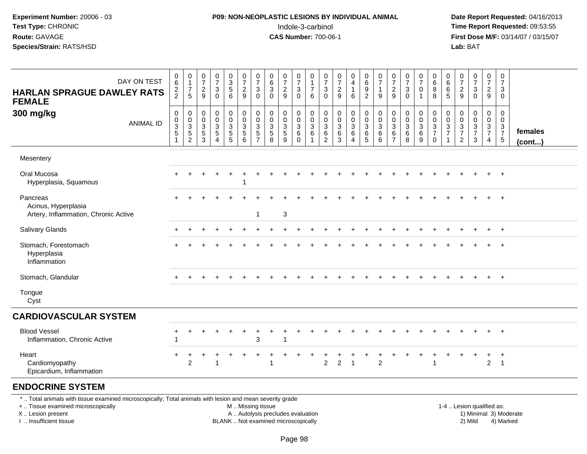# **P09: NON-NEOPLASTIC LESIONS BY INDIVIDUAL ANIMAL**Indole-3-carbinol **Time Report Requested:** 09:53:55

 **Date Report Requested:** 04/16/2013 **First Dose M/F:** 03/14/07 / 03/15/07<br>**Lab:** BAT

| DAY ON TEST<br><b>HARLAN SPRAGUE DAWLEY RATS</b><br><b>FEMALE</b>                                                                             | 0<br>6<br>$\frac{2}{2}$                          | 0<br>$\mathbf{1}$<br>$\boldsymbol{7}$<br>5                                | $\frac{0}{7}$<br>$\overline{c}$<br>9                                   | $\frac{0}{7}$<br>$\ensuremath{\mathsf{3}}$<br>$\mathbf 0$         | $\begin{array}{c} 0 \\ 3 \\ 5 \end{array}$<br>6             | $\frac{0}{7}$<br>$\overline{c}$<br>9                                                           | $\frac{0}{7}$<br>$\mathbf{3}$<br>$\Omega$                                | $\begin{array}{c} 0 \\ 6 \end{array}$<br>$\ensuremath{\mathsf{3}}$<br>$\mathbf 0$ | $\frac{0}{7}$<br>$\frac{2}{9}$                                 | $\frac{0}{7}$<br>$\sqrt{3}$<br>$\mathbf 0$                       | $\mathbf 0$<br>$\overline{1}$<br>$\boldsymbol{7}$<br>$6\phantom{1}6$ | $\frac{0}{7}$<br>$\mathbf{3}$<br>$\Omega$         | $\frac{0}{7}$<br>$\overline{c}$<br>9                         | 0<br>$\overline{4}$<br>$\mathbf{1}$<br>6                | $\begin{array}{c} 0 \\ 6 \\ 9 \end{array}$<br>$\overline{2}$                   | $\frac{0}{7}$<br>$\mathbf{1}$<br>$\overline{9}$                   | $\begin{array}{c} 0 \\ 7 \end{array}$<br>$\frac{2}{9}$                          | $\begin{array}{c} 0 \\ 7 \end{array}$<br>$\sqrt{3}$<br>$\mathbf 0$ | $\frac{0}{7}$<br>$\mathbf 0$<br>1                | 0<br>$6\overline{6}$<br>8<br>8                                 | $\begin{array}{c} 0 \\ 6 \end{array}$<br>$\,6\,$<br>5 | $\frac{0}{7}$<br>$\frac{2}{9}$                    | $\begin{array}{c} 0 \\ 7 \end{array}$<br>$\frac{3}{0}$ | $\begin{array}{c} 0 \\ 7 \end{array}$<br>$\overline{2}$<br>9 | $\pmb{0}$<br>$\overline{7}$<br>3<br>$\Omega$    |                         |
|-----------------------------------------------------------------------------------------------------------------------------------------------|--------------------------------------------------|---------------------------------------------------------------------------|------------------------------------------------------------------------|-------------------------------------------------------------------|-------------------------------------------------------------|------------------------------------------------------------------------------------------------|--------------------------------------------------------------------------|-----------------------------------------------------------------------------------|----------------------------------------------------------------|------------------------------------------------------------------|----------------------------------------------------------------------|---------------------------------------------------|--------------------------------------------------------------|---------------------------------------------------------|--------------------------------------------------------------------------------|-------------------------------------------------------------------|---------------------------------------------------------------------------------|--------------------------------------------------------------------|--------------------------------------------------|----------------------------------------------------------------|-------------------------------------------------------|---------------------------------------------------|--------------------------------------------------------|--------------------------------------------------------------|-------------------------------------------------|-------------------------|
| 300 mg/kg<br><b>ANIMAL ID</b>                                                                                                                 | $\pmb{0}$<br>$_{3}^{\rm 0}$<br>5<br>$\mathbf{1}$ | $\pmb{0}$<br>$\begin{array}{c} 0 \\ 3 \\ 5 \end{array}$<br>$\overline{2}$ | $\pmb{0}$<br>$\pmb{0}$<br>$\ensuremath{\mathsf{3}}$<br>$\sqrt{5}$<br>3 | $\pmb{0}$<br>$\pmb{0}$<br>$\frac{3}{5}$<br>$\boldsymbol{\Lambda}$ | $\begin{smallmatrix} 0\\0 \end{smallmatrix}$<br>$rac{3}{5}$ | $\begin{smallmatrix} 0\\0 \end{smallmatrix}$<br>$\overline{3}$<br>$\sqrt{5}$<br>$6\phantom{a}$ | $\mathbf 0$<br>$\mathbf 0$<br>$\sqrt{3}$<br>$\sqrt{5}$<br>$\overline{7}$ | $_{\rm 0}^{\rm 0}$<br>$\frac{3}{5}$<br>8                                          | $\mathbf 0$<br>$\begin{array}{c} 0 \\ 3 \\ 5 \end{array}$<br>9 | $\pmb{0}$<br>$\pmb{0}$<br>$\overline{3}$<br>$\,6$<br>$\mathbf 0$ | $\pmb{0}$<br>$\overline{0}$<br>$\overline{3}$ 6<br>$\overline{1}$    | 0<br>0<br>$\sqrt{3}$<br>$\,6\,$<br>$\overline{2}$ | $\mathbf 0$<br>$\mathbf 0$<br>$\overline{3}$<br>$\,6\,$<br>3 | 0<br>$\pmb{0}$<br>$\overline{3}$<br>6<br>$\overline{4}$ | $\begin{smallmatrix} 0\\0 \end{smallmatrix}$<br>$\overline{3}$<br>$\,6\,$<br>5 | $_{\rm 0}^{\rm 0}$<br>$\overline{3}$<br>$\,6\,$<br>$6\phantom{1}$ | $\begin{smallmatrix} 0\\0 \end{smallmatrix}$<br>$\frac{3}{6}$<br>$\overline{7}$ | $\mathbf 0$<br>$\mathbf 0$<br>$\overline{3}$<br>6<br>8             | 0<br>$\pmb{0}$<br>$\overline{3}$<br>$\,6\,$<br>9 | $\begin{array}{c} 0 \\ 0 \\ 3 \\ 7 \end{array}$<br>$\mathbf 0$ | $\pmb{0}$<br>$\frac{0}{3}$<br>$\mathbf{1}$            | 0<br>$\pmb{0}$<br>$\frac{3}{7}$<br>$\overline{c}$ | $_{\rm 0}^{\rm 0}$<br>$\frac{3}{7}$<br>$\mathbf{3}$    | 0<br>$\mathbf 0$<br>$\frac{3}{7}$<br>$\overline{4}$          | 0<br>$\mathbf 0$<br>$\frac{3}{7}$<br>$\sqrt{5}$ | females<br>$($ cont $)$ |
| Mesentery                                                                                                                                     |                                                  |                                                                           |                                                                        |                                                                   |                                                             |                                                                                                |                                                                          |                                                                                   |                                                                |                                                                  |                                                                      |                                                   |                                                              |                                                         |                                                                                |                                                                   |                                                                                 |                                                                    |                                                  |                                                                |                                                       |                                                   |                                                        |                                                              |                                                 |                         |
| Oral Mucosa<br>Hyperplasia, Squamous                                                                                                          |                                                  |                                                                           |                                                                        |                                                                   | $\ddot{}$                                                   |                                                                                                |                                                                          |                                                                                   |                                                                |                                                                  |                                                                      |                                                   |                                                              |                                                         |                                                                                |                                                                   |                                                                                 |                                                                    |                                                  |                                                                |                                                       |                                                   |                                                        |                                                              | $\ddot{}$                                       |                         |
| Pancreas<br>Acinus, Hyperplasia<br>Artery, Inflammation, Chronic Active                                                                       |                                                  |                                                                           |                                                                        |                                                                   |                                                             |                                                                                                | 1                                                                        |                                                                                   | 3                                                              |                                                                  |                                                                      |                                                   |                                                              |                                                         |                                                                                |                                                                   |                                                                                 |                                                                    |                                                  |                                                                |                                                       |                                                   |                                                        |                                                              | $+$                                             |                         |
| <b>Salivary Glands</b>                                                                                                                        |                                                  |                                                                           |                                                                        |                                                                   |                                                             |                                                                                                |                                                                          |                                                                                   |                                                                |                                                                  |                                                                      |                                                   |                                                              |                                                         |                                                                                |                                                                   |                                                                                 |                                                                    |                                                  |                                                                |                                                       |                                                   |                                                        |                                                              |                                                 |                         |
| Stomach, Forestomach<br>Hyperplasia<br>Inflammation                                                                                           |                                                  |                                                                           |                                                                        |                                                                   |                                                             |                                                                                                |                                                                          |                                                                                   |                                                                |                                                                  |                                                                      |                                                   |                                                              |                                                         |                                                                                |                                                                   |                                                                                 |                                                                    |                                                  |                                                                |                                                       |                                                   |                                                        |                                                              | $\pm$                                           |                         |
| Stomach, Glandular                                                                                                                            |                                                  | $\ddot{}$                                                                 |                                                                        | $\div$                                                            | ÷                                                           |                                                                                                |                                                                          |                                                                                   |                                                                |                                                                  |                                                                      |                                                   |                                                              |                                                         |                                                                                |                                                                   |                                                                                 |                                                                    |                                                  |                                                                | $\ddot{}$                                             |                                                   |                                                        | $+$                                                          | $+$                                             |                         |
| Tongue<br>Cyst                                                                                                                                |                                                  |                                                                           |                                                                        |                                                                   |                                                             |                                                                                                |                                                                          |                                                                                   |                                                                |                                                                  |                                                                      |                                                   |                                                              |                                                         |                                                                                |                                                                   |                                                                                 |                                                                    |                                                  |                                                                |                                                       |                                                   |                                                        |                                                              |                                                 |                         |
| <b>CARDIOVASCULAR SYSTEM</b>                                                                                                                  |                                                  |                                                                           |                                                                        |                                                                   |                                                             |                                                                                                |                                                                          |                                                                                   |                                                                |                                                                  |                                                                      |                                                   |                                                              |                                                         |                                                                                |                                                                   |                                                                                 |                                                                    |                                                  |                                                                |                                                       |                                                   |                                                        |                                                              |                                                 |                         |
| <b>Blood Vessel</b><br>Inflammation, Chronic Active                                                                                           | ٠                                                |                                                                           |                                                                        |                                                                   |                                                             |                                                                                                | 3                                                                        |                                                                                   |                                                                |                                                                  |                                                                      |                                                   |                                                              |                                                         |                                                                                |                                                                   |                                                                                 |                                                                    |                                                  |                                                                |                                                       |                                                   |                                                        |                                                              | $\ddot{}$                                       |                         |
| Heart<br>Cardiomyopathy<br>Epicardium, Inflammation                                                                                           |                                                  | 2                                                                         |                                                                        | $\overline{\mathbf{1}}$                                           |                                                             |                                                                                                |                                                                          | -1                                                                                |                                                                |                                                                  |                                                                      | $\overline{2}$                                    | $\overline{2}$                                               | $\overline{1}$                                          |                                                                                | $\overline{2}$                                                    |                                                                                 |                                                                    |                                                  |                                                                |                                                       |                                                   |                                                        | $\overline{2}$                                               | $\overline{1}$                                  |                         |
| <b>ENDOCRINE SYSTEM</b>                                                                                                                       |                                                  |                                                                           |                                                                        |                                                                   |                                                             |                                                                                                |                                                                          |                                                                                   |                                                                |                                                                  |                                                                      |                                                   |                                                              |                                                         |                                                                                |                                                                   |                                                                                 |                                                                    |                                                  |                                                                |                                                       |                                                   |                                                        |                                                              |                                                 |                         |
| * Total animals with tissue examined microscopically; Total animals with lesion and mean severity grade<br>+  Tissue examined microscopically |                                                  |                                                                           |                                                                        |                                                                   |                                                             | M  Missing tissue                                                                              |                                                                          |                                                                                   |                                                                |                                                                  |                                                                      |                                                   |                                                              |                                                         |                                                                                |                                                                   |                                                                                 |                                                                    |                                                  |                                                                |                                                       |                                                   | 1-4  Lesion qualified as:                              |                                                              |                                                 |                         |

X .. Lesion present

I .. Insufficient tissue

BLANK .. Not examined microscopically

A .. Autolysis precludes evaluation and the series of the series of the series of the series of the series of the series of the series of the series of the series of the series of the series of the series of the series of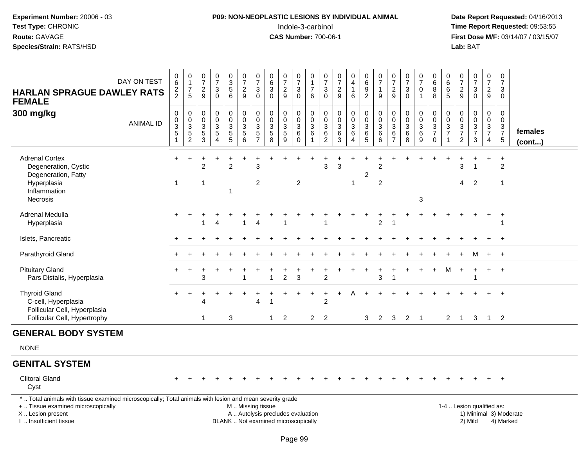# **P09: NON-NEOPLASTIC LESIONS BY INDIVIDUAL ANIMAL**Indole-3-carbinol **Time Report Requested:** 09:53:55

| DAY ON TEST<br><b>HARLAN SPRAGUE DAWLEY RATS</b><br><b>FEMALE</b><br>300 mg/kg<br><b>ANIMAL ID</b>                                                                                           | $_{6}^{\rm 0}$<br>$\frac{2}{2}$<br>$\pmb{0}$<br>$\pmb{0}$<br>$\ensuremath{\mathsf{3}}$<br>$\,$ 5 $\,$<br>$\mathbf{1}$ | $\begin{smallmatrix}0\\1\end{smallmatrix}$<br>$\boldsymbol{7}$<br>$\sqrt{5}$<br>$\pmb{0}$<br>$\begin{array}{c} 0 \\ 3 \\ 5 \\ 2 \end{array}$ | $\begin{array}{c} 0 \\ 7 \end{array}$<br>$\frac{2}{9}$<br>$\mathbf 0$<br>0<br>$\mathsf 3$<br>$\frac{5}{3}$ | $\frac{0}{7}$<br>$\ensuremath{\mathsf{3}}$<br>$\Omega$<br>$\mathbf 0$<br>$\mathbf 0$<br>$\sqrt{3}$<br>$\overline{5}$<br>$\overline{4}$ | $_{3}^{\rm 0}$<br>$\overline{5}$<br>$\,6\,$<br>$\pmb{0}$<br>$\mathbf 0$<br>$\ensuremath{\mathsf{3}}$<br>$\begin{array}{c} 5 \\ 5 \end{array}$ | $\begin{array}{c} 0 \\ 7 \end{array}$<br>$\sqrt{2}$<br>9<br>$\pmb{0}$<br>$\pmb{0}$<br>$\mathbf{3}$<br>$\sqrt{5}$<br>6 | $\frac{0}{7}$<br>$\ensuremath{\mathsf{3}}$<br>$\mathbf{0}$<br>$\mathbf 0$<br>$\pmb{0}$<br>$\mathbf{3}$<br>5<br>$\overline{7}$ | $\begin{array}{c} 0 \\ 6 \end{array}$<br>$\overline{3}$<br>$\mathbf{0}$<br>$\pmb{0}$<br>$\pmb{0}$<br>$\sqrt{3}$<br>$\sqrt{5}$<br>$\overline{8}$ | $\frac{0}{7}$<br>$\overline{c}$<br>9<br>$\mathbf 0$<br>$\pmb{0}$<br>$\frac{3}{5}$<br>$\overline{9}$ | $\frac{0}{7}$<br>$_0^3$<br>$\pmb{0}$<br>$\pmb{0}$<br>$\mathbf{3}$<br>6<br>$\ddot{\mathbf{0}}$ | 0<br>$\mathbf{1}$<br>$\overline{7}$<br>6<br>$\mathsf 0$<br>$\pmb{0}$<br>$\sqrt{3}$<br>$\,6$<br>$\overline{1}$ | $\frac{0}{7}$<br>$\ensuremath{\mathsf{3}}$<br>$\mathbf{0}$<br>$\mathbf 0$<br>$\boldsymbol{0}$<br>$\ensuremath{\mathsf{3}}$<br>6<br>$\overline{2}$ | $\begin{array}{c} 0 \\ 7 \end{array}$<br>$\sqrt{2}$<br>9<br>$\pmb{0}$<br>$\mathbf 0$<br>$\sqrt{3}$<br>$\,6\,$<br>$\overline{3}$ | $\begin{smallmatrix}0\\4\end{smallmatrix}$<br>$\mathbf{1}$<br>$\,6\,$<br>$\pmb{0}$<br>$\overline{0}$<br>$\frac{3}{6}$<br>$\overline{4}$ | $_{6}^{\rm 0}$<br>$\overline{9}$<br>$\overline{2}$<br>$\mathsf 0$<br>$\mathbf 0$<br>$\mathsf 3$<br>6<br>$\overline{5}$ | $\frac{0}{7}$<br>1<br>$\boldsymbol{9}$<br>$\boldsymbol{0}$<br>$\ddot{\mathbf{0}}$<br>3<br>6<br>$\overline{6}$ | $\frac{0}{7}$<br>$\sqrt{2}$<br>$\boldsymbol{9}$<br>$\mathbf 0$<br>$\mathbf 0$<br>3<br>$\,6\,$<br>$\overline{7}$ | $\begin{array}{c} 0 \\ 7 \end{array}$<br>$\ensuremath{\mathsf{3}}$<br>$\mathbf 0$<br>$\pmb{0}$<br>$\pmb{0}$<br>$\ensuremath{\mathsf{3}}$<br>$\,6$<br>$\overline{8}$ | $\begin{array}{c} 0 \\ 7 \end{array}$<br>$\pmb{0}$<br>$\mathbf{1}$<br>$\mathbf 0$<br>$\mathbf 0$<br>3<br>6<br>9 | $\begin{array}{c} 0 \\ 6 \end{array}$<br>$\overline{8}$<br>$\boldsymbol{0}$<br>$\pmb{0}$<br>$\frac{3}{7}$<br>$\pmb{0}$ | 0<br>$6\phantom{1}6$<br>$\,6\,$<br>$\sqrt{5}$<br>0<br>0<br>$\mathbf{3}$<br>$\overline{7}$ | $\frac{0}{7}$<br>$\sqrt{2}$<br>9<br>$\boldsymbol{0}$<br>$\pmb{0}$<br>$\frac{3}{7}$<br>$\overline{c}$ | $\frac{0}{7}$<br>$\mathbf{3}$<br>$\mathbf 0$<br>0<br>$\mathsf{O}\xspace$<br>$\frac{3}{7}$<br>3 | $\frac{0}{7}$<br>$\frac{2}{9}$<br>$\pmb{0}$<br>$\overline{0}$<br>$\frac{3}{7}$<br>$\overline{4}$ | $\begin{array}{c} 0 \\ 7 \end{array}$<br>3<br>0<br>$\mathsf 0$<br>0<br>3<br>$\overline{7}$<br>$5\,$ | females<br>(cont)      |
|----------------------------------------------------------------------------------------------------------------------------------------------------------------------------------------------|-----------------------------------------------------------------------------------------------------------------------|----------------------------------------------------------------------------------------------------------------------------------------------|------------------------------------------------------------------------------------------------------------|----------------------------------------------------------------------------------------------------------------------------------------|-----------------------------------------------------------------------------------------------------------------------------------------------|-----------------------------------------------------------------------------------------------------------------------|-------------------------------------------------------------------------------------------------------------------------------|-------------------------------------------------------------------------------------------------------------------------------------------------|-----------------------------------------------------------------------------------------------------|-----------------------------------------------------------------------------------------------|---------------------------------------------------------------------------------------------------------------|---------------------------------------------------------------------------------------------------------------------------------------------------|---------------------------------------------------------------------------------------------------------------------------------|-----------------------------------------------------------------------------------------------------------------------------------------|------------------------------------------------------------------------------------------------------------------------|---------------------------------------------------------------------------------------------------------------|-----------------------------------------------------------------------------------------------------------------|---------------------------------------------------------------------------------------------------------------------------------------------------------------------|-----------------------------------------------------------------------------------------------------------------|------------------------------------------------------------------------------------------------------------------------|-------------------------------------------------------------------------------------------|------------------------------------------------------------------------------------------------------|------------------------------------------------------------------------------------------------|--------------------------------------------------------------------------------------------------|-----------------------------------------------------------------------------------------------------|------------------------|
| <b>Adrenal Cortex</b><br>Degeneration, Cystic<br>Degeneration, Fatty<br>Hyperplasia<br>Inflammation<br>Necrosis                                                                              | $+$<br>$\mathbf{1}$                                                                                                   |                                                                                                                                              | 2<br>$\overline{1}$                                                                                        |                                                                                                                                        | $\overline{c}$<br>1                                                                                                                           |                                                                                                                       | 3<br>$\overline{c}$                                                                                                           |                                                                                                                                                 |                                                                                                     | $\overline{2}$                                                                                |                                                                                                               | 3                                                                                                                                                 | 3                                                                                                                               | $\mathbf{1}$                                                                                                                            | 2                                                                                                                      | $\overline{c}$<br>$\overline{c}$                                                                              |                                                                                                                 |                                                                                                                                                                     | 3                                                                                                               |                                                                                                                        |                                                                                           | 3<br>$\overline{4}$                                                                                  | 1<br>$\overline{2}$                                                                            |                                                                                                  | $\ddot{}$<br>$\overline{2}$<br>$\mathbf{1}$                                                         |                        |
| Adrenal Medulla<br>Hyperplasia                                                                                                                                                               |                                                                                                                       |                                                                                                                                              | 1                                                                                                          | Δ                                                                                                                                      |                                                                                                                                               | 1                                                                                                                     | 4                                                                                                                             |                                                                                                                                                 | $\mathbf 1$                                                                                         |                                                                                               |                                                                                                               |                                                                                                                                                   |                                                                                                                                 |                                                                                                                                         |                                                                                                                        | $\overline{2}$                                                                                                | -1                                                                                                              |                                                                                                                                                                     |                                                                                                                 |                                                                                                                        |                                                                                           |                                                                                                      |                                                                                                |                                                                                                  | $\ddot{}$<br>-1                                                                                     |                        |
| Islets, Pancreatic                                                                                                                                                                           |                                                                                                                       |                                                                                                                                              |                                                                                                            |                                                                                                                                        |                                                                                                                                               |                                                                                                                       |                                                                                                                               |                                                                                                                                                 |                                                                                                     |                                                                                               |                                                                                                               |                                                                                                                                                   |                                                                                                                                 |                                                                                                                                         |                                                                                                                        |                                                                                                               |                                                                                                                 |                                                                                                                                                                     |                                                                                                                 |                                                                                                                        |                                                                                           |                                                                                                      |                                                                                                |                                                                                                  | $\ddot{}$                                                                                           |                        |
| Parathyroid Gland                                                                                                                                                                            |                                                                                                                       |                                                                                                                                              |                                                                                                            |                                                                                                                                        |                                                                                                                                               |                                                                                                                       |                                                                                                                               |                                                                                                                                                 |                                                                                                     |                                                                                               |                                                                                                               |                                                                                                                                                   |                                                                                                                                 |                                                                                                                                         |                                                                                                                        |                                                                                                               |                                                                                                                 |                                                                                                                                                                     |                                                                                                                 |                                                                                                                        |                                                                                           |                                                                                                      | М                                                                                              | $+$                                                                                              | $+$                                                                                                 |                        |
| <b>Pituitary Gland</b><br>Pars Distalis, Hyperplasia                                                                                                                                         |                                                                                                                       |                                                                                                                                              | 3                                                                                                          |                                                                                                                                        |                                                                                                                                               |                                                                                                                       |                                                                                                                               |                                                                                                                                                 | $\overline{c}$                                                                                      | 3                                                                                             |                                                                                                               | $\overline{c}$                                                                                                                                    |                                                                                                                                 |                                                                                                                                         |                                                                                                                        | 3                                                                                                             |                                                                                                                 |                                                                                                                                                                     |                                                                                                                 | $\ddot{}$                                                                                                              | M                                                                                         | $\ddot{}$                                                                                            | $\ddot{}$<br>1                                                                                 | $+$                                                                                              | $+$                                                                                                 |                        |
| <b>Thyroid Gland</b><br>C-cell, Hyperplasia<br>Follicular Cell, Hyperplasia<br>Follicular Cell, Hypertrophy                                                                                  | $+$                                                                                                                   | $\ddot{}$                                                                                                                                    | 4<br>$\overline{1}$                                                                                        |                                                                                                                                        | +<br>3                                                                                                                                        |                                                                                                                       | 4                                                                                                                             | $\mathbf{1}$                                                                                                                                    | 2                                                                                                   |                                                                                               | $\overline{1}$<br>$\overline{2}$                                                                              | +<br>$\overline{c}$<br>$\overline{2}$                                                                                                             | $\ddot{}$                                                                                                                       | A                                                                                                                                       | 3 <sup>1</sup>                                                                                                         | 2                                                                                                             | 3                                                                                                               | $\overline{2}$                                                                                                                                                      | $\overline{1}$                                                                                                  |                                                                                                                        | $\overline{2}$                                                                            | $\overline{1}$                                                                                       | 3                                                                                              |                                                                                                  | $^{+}$<br>$1\quad 2$                                                                                |                        |
| <b>GENERAL BODY SYSTEM</b>                                                                                                                                                                   |                                                                                                                       |                                                                                                                                              |                                                                                                            |                                                                                                                                        |                                                                                                                                               |                                                                                                                       |                                                                                                                               |                                                                                                                                                 |                                                                                                     |                                                                                               |                                                                                                               |                                                                                                                                                   |                                                                                                                                 |                                                                                                                                         |                                                                                                                        |                                                                                                               |                                                                                                                 |                                                                                                                                                                     |                                                                                                                 |                                                                                                                        |                                                                                           |                                                                                                      |                                                                                                |                                                                                                  |                                                                                                     |                        |
| <b>NONE</b>                                                                                                                                                                                  |                                                                                                                       |                                                                                                                                              |                                                                                                            |                                                                                                                                        |                                                                                                                                               |                                                                                                                       |                                                                                                                               |                                                                                                                                                 |                                                                                                     |                                                                                               |                                                                                                               |                                                                                                                                                   |                                                                                                                                 |                                                                                                                                         |                                                                                                                        |                                                                                                               |                                                                                                                 |                                                                                                                                                                     |                                                                                                                 |                                                                                                                        |                                                                                           |                                                                                                      |                                                                                                |                                                                                                  |                                                                                                     |                        |
| <b>GENITAL SYSTEM</b>                                                                                                                                                                        |                                                                                                                       |                                                                                                                                              |                                                                                                            |                                                                                                                                        |                                                                                                                                               |                                                                                                                       |                                                                                                                               |                                                                                                                                                 |                                                                                                     |                                                                                               |                                                                                                               |                                                                                                                                                   |                                                                                                                                 |                                                                                                                                         |                                                                                                                        |                                                                                                               |                                                                                                                 |                                                                                                                                                                     |                                                                                                                 |                                                                                                                        |                                                                                           |                                                                                                      |                                                                                                |                                                                                                  |                                                                                                     |                        |
| <b>Clitoral Gland</b><br>Cyst                                                                                                                                                                |                                                                                                                       |                                                                                                                                              |                                                                                                            |                                                                                                                                        |                                                                                                                                               |                                                                                                                       |                                                                                                                               |                                                                                                                                                 |                                                                                                     |                                                                                               |                                                                                                               |                                                                                                                                                   |                                                                                                                                 |                                                                                                                                         |                                                                                                                        |                                                                                                               |                                                                                                                 |                                                                                                                                                                     |                                                                                                                 |                                                                                                                        |                                                                                           |                                                                                                      |                                                                                                |                                                                                                  | $+$                                                                                                 |                        |
| *  Total animals with tissue examined microscopically; Total animals with lesion and mean severity grade<br>+  Tissue examined microscopically<br>X Lesion present<br>I. Insufficient tissue |                                                                                                                       |                                                                                                                                              |                                                                                                            |                                                                                                                                        |                                                                                                                                               | M. Missing tissue                                                                                                     |                                                                                                                               | A  Autolysis precludes evaluation<br>BLANK  Not examined microscopically                                                                        |                                                                                                     |                                                                                               |                                                                                                               |                                                                                                                                                   |                                                                                                                                 |                                                                                                                                         |                                                                                                                        |                                                                                                               |                                                                                                                 |                                                                                                                                                                     |                                                                                                                 |                                                                                                                        |                                                                                           | 1-4  Lesion qualified as:                                                                            | 2) Mild                                                                                        |                                                                                                  | 4) Marked                                                                                           | 1) Minimal 3) Moderate |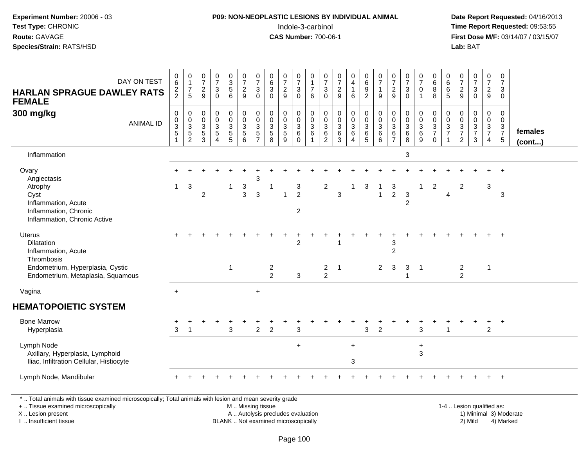# **P09: NON-NEOPLASTIC LESIONS BY INDIVIDUAL ANIMAL**Indole-3-carbinol **Time Report Requested:** 09:53:55

 **Date Report Requested:** 04/16/2013 **First Dose M/F:** 03/14/07 / 03/15/07<br>**Lab:** BAT

| DAY ON TEST<br><b>HARLAN SPRAGUE DAWLEY RATS</b><br><b>FEMALE</b>                                                                              | $\begin{array}{c} 0 \\ 6 \end{array}$<br>$\frac{2}{2}$ | $\begin{smallmatrix}0\\1\end{smallmatrix}$<br>$\overline{7}$<br>5 | $\frac{0}{7}$<br>$\overline{c}$<br>9 | $\begin{array}{c} 0 \\ 7 \end{array}$<br>$\frac{3}{0}$ | $\begin{array}{c} 0 \\ 3 \\ 5 \end{array}$<br>6 | $\frac{0}{7}$<br>$\frac{2}{9}$                 | $\frac{0}{7}$<br>3<br>$\Omega$                                               | $\begin{array}{c} 0 \\ 6 \end{array}$<br>$\overline{3}$<br>$\overline{0}$ | $\frac{0}{7}$<br>$\frac{2}{9}$         | $\frac{0}{7}$<br>$\mathbf 3$<br>$\mathbf 0$ | $\,0\,$<br>$\mathbf{1}$<br>$\overline{7}$<br>6 | $\begin{smallmatrix}0\\7\end{smallmatrix}$<br>3<br>$\Omega$ | $\begin{array}{c} 0 \\ 7 \end{array}$<br>$\frac{2}{9}$ | $\begin{smallmatrix}0\0\4\end{smallmatrix}$<br>$\mathbf{1}$<br>$\,6\,$ | $\begin{array}{c} 0 \\ 6 \end{array}$<br>$\frac{9}{2}$ | $\begin{array}{c} 0 \\ 7 \end{array}$<br>1<br>$\boldsymbol{9}$ | $\begin{array}{c} 0 \\ 7 \end{array}$<br>$\frac{2}{9}$                              | $\frac{0}{7}$<br>$\mathbf{3}$<br>$\overline{0}$     | $\frac{0}{7}$<br>$\pmb{0}$<br>$\mathbf{1}$ | $\begin{array}{c} 0 \\ 6 \end{array}$<br>$\overline{8}$<br>$\overline{8}$ | $\begin{smallmatrix}0\0\0\end{smallmatrix}$<br>6<br>$\overline{5}$ | $\begin{array}{c} 0 \\ 7 \end{array}$<br>$\frac{2}{9}$ | $\begin{smallmatrix}0\\7\end{smallmatrix}$<br>3<br>$\mathbf 0$ | $\frac{0}{7}$<br>$\overline{2}$<br>$\boldsymbol{9}$         | 0<br>$\overline{7}$<br>3<br>$\mathbf 0$ |                         |
|------------------------------------------------------------------------------------------------------------------------------------------------|--------------------------------------------------------|-------------------------------------------------------------------|--------------------------------------|--------------------------------------------------------|-------------------------------------------------|------------------------------------------------|------------------------------------------------------------------------------|---------------------------------------------------------------------------|----------------------------------------|---------------------------------------------|------------------------------------------------|-------------------------------------------------------------|--------------------------------------------------------|------------------------------------------------------------------------|--------------------------------------------------------|----------------------------------------------------------------|-------------------------------------------------------------------------------------|-----------------------------------------------------|--------------------------------------------|---------------------------------------------------------------------------|--------------------------------------------------------------------|--------------------------------------------------------|----------------------------------------------------------------|-------------------------------------------------------------|-----------------------------------------|-------------------------|
| 300 mg/kg<br><b>ANIMAL ID</b>                                                                                                                  | $\pmb{0}$<br>$\mathbf 0$<br>$\frac{3}{5}$              | $\pmb{0}$<br>$\frac{0}{3}$<br>$\overline{2}$                      | 0<br>0<br>$\frac{3}{5}$<br>3         | $_{\rm 0}^{\rm 0}$<br>$\frac{3}{5}$<br>$\Delta$        | 0<br>$\pmb{0}$<br>$\frac{3}{5}$                 | $\pmb{0}$<br>$\mathbf 0$<br>$\frac{3}{5}$<br>6 | $\pmb{0}$<br>$\mathbf 0$<br>$\mathbf{3}$<br>$\overline{5}$<br>$\overline{7}$ | $\mathbf 0$<br>$\mathbf 0$<br>$\frac{3}{5}$<br>8                          | 0<br>$\mathbf 0$<br>$\frac{3}{5}$<br>9 | 0<br>0<br>$^3$ 6<br>$\Omega$                | $\pmb{0}$<br>$\pmb{0}$<br>$\frac{3}{6}$        | 0<br>0<br>$^3$ 6<br>2                                       | 0<br>0<br>3<br>6<br>3                                  | 0<br>$\boldsymbol{0}$<br>$\frac{3}{6}$<br>4                            | $\pmb{0}$<br>$\frac{0}{3}$<br>$\overline{5}$           | $\mathbf 0$<br>$\mathbf 0$<br>3<br>$\,6\,$<br>6                | $\pmb{0}$<br>$\mathbf 0$<br>$\begin{array}{c} 3 \\ 6 \end{array}$<br>$\overline{7}$ | 0<br>$\mathbf 0$<br>$\frac{3}{6}$<br>$\overline{8}$ | 0<br>$\pmb{0}$<br>$\frac{3}{6}$            | $\pmb{0}$<br>$\pmb{0}$<br>$\frac{3}{7}$<br>$\Omega$                       | $\mathbf 0$<br>$\mathbf 0$<br>$\frac{3}{7}$                        | $\pmb{0}$<br>$\frac{0}{3}$<br>2                        | 0<br>0<br>$\frac{3}{7}$<br>3                                   | $\pmb{0}$<br>$\mathsf 0$<br>$\frac{3}{7}$<br>$\overline{4}$ | 0<br>$\mathbf 0$<br>$\frac{3}{7}$<br>5  | females<br>$($ cont $)$ |
| Inflammation                                                                                                                                   |                                                        |                                                                   |                                      |                                                        |                                                 |                                                |                                                                              |                                                                           |                                        |                                             |                                                |                                                             |                                                        |                                                                        |                                                        |                                                                |                                                                                     | $\mathbf 3$                                         |                                            |                                                                           |                                                                    |                                                        |                                                                |                                                             |                                         |                         |
| Ovary<br>Angiectasis<br>Atrophy<br>Cyst<br>Inflammation, Acute<br>Inflammation, Chronic<br>Inflammation, Chronic Active                        | $\mathbf{1}$                                           | 3                                                                 | $\overline{2}$                       |                                                        | $\mathbf{1}$                                    | $\mathbf{3}$<br>3                              | 3<br>$\mathbf{3}$                                                            | 1                                                                         | $\overline{1}$                         | 3<br>$\overline{2}$<br>$\overline{2}$       |                                                | $\overline{2}$                                              | $\mathbf{3}$                                           | 1                                                                      | 3                                                      | -1<br>$\mathbf{1}$                                             | 3<br>$\overline{2}$                                                                 | $\mathbf{3}$<br>$\overline{2}$                      | $\mathbf{1}$                               | $\overline{2}$                                                            | $\overline{4}$                                                     | $\overline{2}$                                         |                                                                | 3                                                           | $\mathbf{3}$                            |                         |
| Uterus<br>Dilatation<br>Inflammation, Acute<br>Thrombosis<br>Endometrium, Hyperplasia, Cystic<br>Endometrium, Metaplasia, Squamous             |                                                        |                                                                   |                                      |                                                        | $\overline{1}$                                  |                                                |                                                                              | $\overline{\mathbf{c}}$<br>$\overline{2}$                                 |                                        | $\overline{2}$<br>3                         |                                                | $\overline{c}$<br>2                                         | $\overline{1}$                                         |                                                                        |                                                        | 2                                                              | 3<br>$\overline{2}$<br>$\mathbf{3}$                                                 | $\ensuremath{\mathsf{3}}$<br>$\overline{1}$         | $\overline{1}$                             |                                                                           |                                                                    | $\overline{c}$<br>$\mathfrak{p}$                       |                                                                | $\overline{1}$                                              |                                         |                         |
| Vagina                                                                                                                                         | $+$                                                    |                                                                   |                                      |                                                        |                                                 |                                                | $\ddot{}$                                                                    |                                                                           |                                        |                                             |                                                |                                                             |                                                        |                                                                        |                                                        |                                                                |                                                                                     |                                                     |                                            |                                                                           |                                                                    |                                                        |                                                                |                                                             |                                         |                         |
| <b>HEMATOPOIETIC SYSTEM</b>                                                                                                                    |                                                        |                                                                   |                                      |                                                        |                                                 |                                                |                                                                              |                                                                           |                                        |                                             |                                                |                                                             |                                                        |                                                                        |                                                        |                                                                |                                                                                     |                                                     |                                            |                                                                           |                                                                    |                                                        |                                                                |                                                             |                                         |                         |
| <b>Bone Marrow</b><br>Hyperplasia                                                                                                              | 3                                                      |                                                                   |                                      |                                                        | 3                                               |                                                | $\overline{2}$                                                               | $\overline{2}$                                                            |                                        | 3                                           |                                                |                                                             |                                                        |                                                                        | 3                                                      | $\overline{2}$                                                 |                                                                                     |                                                     | $\ddot{}$<br>3                             |                                                                           |                                                                    |                                                        | $\ddot{}$                                                      | $\ddot{}$<br>2                                              | $+$                                     |                         |
| Lymph Node<br>Axillary, Hyperplasia, Lymphoid<br>Iliac, Infiltration Cellular, Histiocyte                                                      |                                                        |                                                                   |                                      |                                                        |                                                 |                                                |                                                                              |                                                                           |                                        | $+$                                         |                                                |                                                             |                                                        | $\ddot{}$<br>3                                                         |                                                        |                                                                |                                                                                     |                                                     | $\ddot{}$<br>3                             |                                                                           |                                                                    |                                                        |                                                                |                                                             |                                         |                         |
| Lymph Node, Mandibular                                                                                                                         |                                                        |                                                                   |                                      |                                                        |                                                 |                                                |                                                                              |                                                                           |                                        |                                             |                                                |                                                             |                                                        |                                                                        |                                                        |                                                                |                                                                                     |                                                     |                                            |                                                                           |                                                                    |                                                        |                                                                | $+$                                                         | $^{+}$                                  |                         |
| *  Total animals with tissue examined microscopically; Total animals with lesion and mean severity grade<br>+  Tissue examined microscopically |                                                        |                                                                   |                                      |                                                        |                                                 | M  Missing tissue                              |                                                                              |                                                                           |                                        |                                             |                                                |                                                             |                                                        |                                                                        |                                                        |                                                                |                                                                                     |                                                     |                                            |                                                                           |                                                                    | 1-4  Lesion qualified as:                              |                                                                |                                                             |                                         |                         |

X .. Lesion present

I .. Insufficient tissue

A .. Autolysis precludes evaluation and the series of the series of the series of the series of the series of the series of the series of the series of the series of the series of the series of the series of the series of BLANK .. Not examined microscopically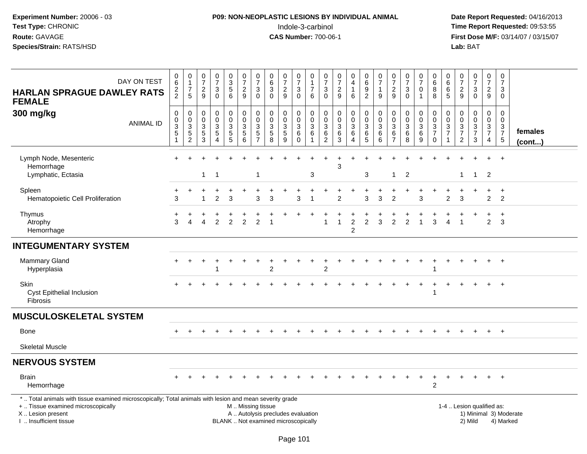# **P09: NON-NEOPLASTIC LESIONS BY INDIVIDUAL ANIMAL**Indole-3-carbinol **Time Report Requested:** 09:53:55

| DAY ON TEST<br><b>HARLAN SPRAGUE DAWLEY RATS</b><br><b>FEMALE</b>                                                                                                                             | $\pmb{0}$<br>$\,6\,$<br>$\frac{2}{2}$                         | 0<br>$\mathbf{1}$<br>$\overline{7}$<br>5                          | $\frac{0}{7}$<br>$\frac{2}{9}$                                      | $\frac{0}{7}$<br>$\mathbf{3}$<br>$\overline{0}$      | $\mathbf 0$<br>$\frac{3}{5}$                  | $\frac{0}{7}$<br>$\frac{2}{9}$                                               | $\begin{array}{c} 0 \\ 7 \end{array}$<br>$\ensuremath{\mathsf{3}}$<br>$\overline{0}$ | $\pmb{0}$<br>$6\phantom{a}$<br>$\sqrt{3}$<br>$\overline{0}$              | $\frac{0}{7}$<br>$\frac{2}{9}$                               | $\frac{0}{7}$<br>$_{0}^{3}$                                     | 0<br>$\mathbf{1}$<br>$\overline{7}$<br>6     | $\,0\,$<br>$\overline{7}$<br>$\mathbf{3}$<br>$\overline{0}$ | $\frac{0}{7}$<br>$\frac{2}{9}$                            | $\mathbf 0$<br>$\overline{4}$<br>$\mathbf{1}$<br>6                    | 0<br>6<br>9<br>$\overline{2}$                               | $\begin{array}{c} 0 \\ 7 \end{array}$<br>$\mathbf{1}$<br>9           | $\frac{0}{7}$<br>$\overline{c}$<br>$\overline{9}$                 | $\frac{0}{7}$<br>3<br>$\overline{0}$                    | $\frac{0}{7}$<br>0<br>$\overline{1}$                         | $\begin{array}{c} 0 \\ 6 \end{array}$<br>$\bf 8$<br>$\overline{8}$ | 0<br>$\,6\,$<br>6<br>$\overline{5}$                      | $\frac{0}{7}$<br>$\frac{2}{9}$                                     | $\begin{array}{c} 0 \\ 7 \end{array}$<br>3<br>$\overline{0}$                    | $\pmb{0}$<br>$\overline{7}$<br>$\sqrt{2}$<br>9 | $\pmb{0}$<br>$\overline{7}$<br>3<br>$\Omega$           |                        |
|-----------------------------------------------------------------------------------------------------------------------------------------------------------------------------------------------|---------------------------------------------------------------|-------------------------------------------------------------------|---------------------------------------------------------------------|------------------------------------------------------|-----------------------------------------------|------------------------------------------------------------------------------|--------------------------------------------------------------------------------------|--------------------------------------------------------------------------|--------------------------------------------------------------|-----------------------------------------------------------------|----------------------------------------------|-------------------------------------------------------------|-----------------------------------------------------------|-----------------------------------------------------------------------|-------------------------------------------------------------|----------------------------------------------------------------------|-------------------------------------------------------------------|---------------------------------------------------------|--------------------------------------------------------------|--------------------------------------------------------------------|----------------------------------------------------------|--------------------------------------------------------------------|---------------------------------------------------------------------------------|------------------------------------------------|--------------------------------------------------------|------------------------|
| 300 mg/kg<br><b>ANIMAL ID</b>                                                                                                                                                                 | $\pmb{0}$<br>$\pmb{0}$<br>$\overline{3}$<br>5<br>$\mathbf{1}$ | 0<br>$\pmb{0}$<br>$\overline{3}$<br>$\,$ 5 $\,$<br>$\overline{c}$ | $\mathsf{O}\xspace$<br>$\pmb{0}$<br>$\overline{3}$<br>$\frac{5}{3}$ | $\pmb{0}$<br>$\pmb{0}$<br>$\frac{3}{5}$<br>$\lambda$ | $\pmb{0}$<br>$_{3}^{\rm 0}$<br>$\overline{5}$ | $\pmb{0}$<br>$\pmb{0}$<br>$\overline{3}$<br>$\overline{5}$<br>$\overline{6}$ | $\pmb{0}$<br>$\mathbf 0$<br>$\sqrt{3}$<br>$\frac{5}{7}$                              | $\mathbf 0$<br>$\mathbf 0$<br>$\sqrt{3}$<br>$\overline{5}$<br>8          | 0<br>$\pmb{0}$<br>$\ensuremath{\mathsf{3}}$<br>$\frac{5}{9}$ | $\pmb{0}$<br>$\mathbf 0$<br>$\overline{3}$<br>$\,6$<br>$\Omega$ | $\mathbf 0$<br>0<br>$\overline{3}$<br>6<br>1 | $\pmb{0}$<br>$\pmb{0}$<br>$\sqrt{3}$<br>$\frac{6}{2}$       | $\pmb{0}$<br>$\pmb{0}$<br>$\overline{3}$<br>$\frac{6}{3}$ | $\pmb{0}$<br>$\pmb{0}$<br>$\overline{3}$<br>$\,6\,$<br>$\overline{4}$ | $\pmb{0}$<br>$\mathbf 0$<br>$\overline{3}$<br>$\frac{6}{5}$ | $\pmb{0}$<br>$\mathbf 0$<br>$\sqrt{3}$<br>$\,6\,$<br>$6\phantom{1}6$ | $\pmb{0}$<br>$\mathbf 0$<br>$\mathfrak{Z}$<br>6<br>$\overline{7}$ | 0<br>$\pmb{0}$<br>$\overline{3}$<br>$\overline{6}$<br>8 | $\mathbf 0$<br>$\mathbf 0$<br>$\overline{3}$<br>$\,6\,$<br>9 | $\pmb{0}$<br>$\frac{0}{3}$<br>$\mathbf 0$                          | $\mathbf 0$<br>$\pmb{0}$<br>$\sqrt{3}$<br>$\overline{7}$ | $\boldsymbol{0}$<br>$\mathbf 0$<br>$\frac{3}{7}$<br>$\overline{2}$ | 0<br>$\mathsf 0$<br>$\ensuremath{\mathsf{3}}$<br>$\overline{7}$<br>$\mathbf{3}$ | $\pmb{0}$<br>$\mathbf 0$<br>$\frac{3}{7}$<br>4 | $\mathbf 0$<br>$\mathbf 0$<br>3<br>$\overline{7}$<br>5 | females<br>(cont)      |
| Lymph Node, Mesenteric<br>Hemorrhage<br>Lymphatic, Ectasia                                                                                                                                    |                                                               |                                                                   | $\mathbf{1}$                                                        | $\overline{1}$                                       |                                               |                                                                              | -1                                                                                   |                                                                          |                                                              |                                                                 | 3                                            |                                                             | 3                                                         |                                                                       | 3                                                           |                                                                      | 1                                                                 | $\overline{2}$                                          |                                                              |                                                                    |                                                          | $\mathbf 1$                                                        | $\overline{1}$                                                                  | $\overline{2}$                                 | $+$                                                    |                        |
| Spleen<br>Hematopoietic Cell Proliferation                                                                                                                                                    | 3                                                             |                                                                   |                                                                     | $\ddot{}$<br>$\overline{2}$                          | 3                                             |                                                                              | 3                                                                                    | 3                                                                        |                                                              | 3                                                               |                                              |                                                             | $\mathcal{P}$                                             |                                                                       | 3                                                           | 3                                                                    | 2                                                                 |                                                         | 3                                                            |                                                                    | $\overline{c}$                                           | 3                                                                  |                                                                                 | $\pm$<br>$\overline{2}$                        | $\ddot{}$<br>$\overline{2}$                            |                        |
| Thymus<br>Atrophy<br>Hemorrhage                                                                                                                                                               | 3                                                             |                                                                   |                                                                     | $\overline{2}$                                       | $\overline{2}$                                | 2                                                                            | $\overline{2}$                                                                       |                                                                          |                                                              |                                                                 |                                              | 1                                                           | $\overline{1}$                                            | $\overline{c}$<br>$\overline{c}$                                      | $\overline{2}$                                              | 3                                                                    | $\overline{2}$                                                    | $\overline{2}$                                          |                                                              | 3                                                                  | Δ                                                        | $\overline{\phantom{a}}$                                           |                                                                                 | $\overline{2}$                                 | $\ddot{}$<br>3                                         |                        |
| <b>INTEGUMENTARY SYSTEM</b>                                                                                                                                                                   |                                                               |                                                                   |                                                                     |                                                      |                                               |                                                                              |                                                                                      |                                                                          |                                                              |                                                                 |                                              |                                                             |                                                           |                                                                       |                                                             |                                                                      |                                                                   |                                                         |                                                              |                                                                    |                                                          |                                                                    |                                                                                 |                                                |                                                        |                        |
| <b>Mammary Gland</b><br>Hyperplasia                                                                                                                                                           |                                                               |                                                                   |                                                                     |                                                      |                                               |                                                                              |                                                                                      | $\overline{2}$                                                           |                                                              |                                                                 |                                              | $\overline{c}$                                              |                                                           |                                                                       |                                                             |                                                                      |                                                                   |                                                         |                                                              | 1                                                                  |                                                          |                                                                    |                                                                                 |                                                | $\overline{1}$                                         |                        |
| Skin<br><b>Cyst Epithelial Inclusion</b><br><b>Fibrosis</b>                                                                                                                                   |                                                               |                                                                   |                                                                     |                                                      |                                               |                                                                              |                                                                                      |                                                                          |                                                              |                                                                 |                                              |                                                             |                                                           |                                                                       |                                                             |                                                                      |                                                                   |                                                         |                                                              | -1                                                                 |                                                          |                                                                    |                                                                                 |                                                | $\overline{+}$                                         |                        |
| <b>MUSCULOSKELETAL SYSTEM</b>                                                                                                                                                                 |                                                               |                                                                   |                                                                     |                                                      |                                               |                                                                              |                                                                                      |                                                                          |                                                              |                                                                 |                                              |                                                             |                                                           |                                                                       |                                                             |                                                                      |                                                                   |                                                         |                                                              |                                                                    |                                                          |                                                                    |                                                                                 |                                                |                                                        |                        |
| <b>Bone</b>                                                                                                                                                                                   |                                                               |                                                                   |                                                                     |                                                      |                                               |                                                                              |                                                                                      |                                                                          |                                                              |                                                                 |                                              |                                                             |                                                           |                                                                       |                                                             |                                                                      |                                                                   |                                                         |                                                              |                                                                    |                                                          |                                                                    |                                                                                 |                                                | $+$                                                    |                        |
| <b>Skeletal Muscle</b>                                                                                                                                                                        |                                                               |                                                                   |                                                                     |                                                      |                                               |                                                                              |                                                                                      |                                                                          |                                                              |                                                                 |                                              |                                                             |                                                           |                                                                       |                                                             |                                                                      |                                                                   |                                                         |                                                              |                                                                    |                                                          |                                                                    |                                                                                 |                                                |                                                        |                        |
| <b>NERVOUS SYSTEM</b>                                                                                                                                                                         |                                                               |                                                                   |                                                                     |                                                      |                                               |                                                                              |                                                                                      |                                                                          |                                                              |                                                                 |                                              |                                                             |                                                           |                                                                       |                                                             |                                                                      |                                                                   |                                                         |                                                              |                                                                    |                                                          |                                                                    |                                                                                 |                                                |                                                        |                        |
| <b>Brain</b><br>Hemorrhage                                                                                                                                                                    |                                                               |                                                                   |                                                                     |                                                      |                                               |                                                                              |                                                                                      |                                                                          |                                                              |                                                                 |                                              |                                                             |                                                           |                                                                       |                                                             |                                                                      |                                                                   |                                                         |                                                              | $\overline{c}$                                                     |                                                          |                                                                    |                                                                                 |                                                |                                                        |                        |
| *  Total animals with tissue examined microscopically; Total animals with lesion and mean severity grade<br>+  Tissue examined microscopically<br>X  Lesion present<br>I  Insufficient tissue |                                                               |                                                                   |                                                                     |                                                      |                                               | M  Missing tissue                                                            |                                                                                      | A  Autolysis precludes evaluation<br>BLANK  Not examined microscopically |                                                              |                                                                 |                                              |                                                             |                                                           |                                                                       |                                                             |                                                                      |                                                                   |                                                         |                                                              |                                                                    |                                                          |                                                                    | 1-4  Lesion qualified as:<br>2) Mild                                            |                                                | 4) Marked                                              | 1) Minimal 3) Moderate |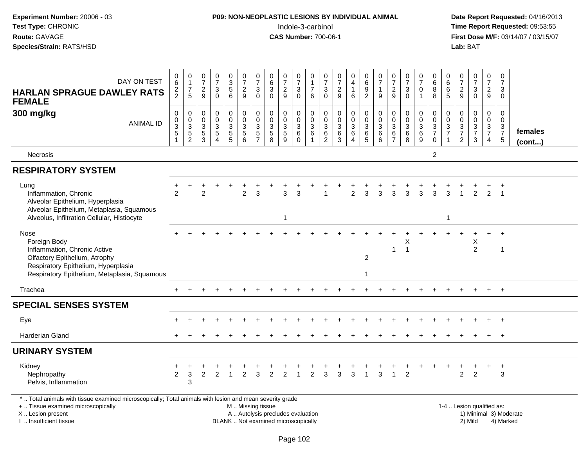| Test Type: CHRONIC<br>Route: GAVAGE<br>Species/Strain: RATS/HSD                                                                                                              |                                                            |                                                 |                                                                 |                                                      |                                       |                                                                 |                                               |                                                                           |                                                     | Indole-3-carbinol<br><b>CAS Number: 700-06-1</b>                     |                                                |                                                                        |                                                             |                                                                       |                                                                           |                                            |                                                           |                                                         |                                                                      |                                                            |                                                                                |                                   | Lab: BAT                                                 |                                                             |                                                                | Time Report Requested: 09:53:55<br>First Dose M/F: 03/14/07 / 03/15/07 |
|------------------------------------------------------------------------------------------------------------------------------------------------------------------------------|------------------------------------------------------------|-------------------------------------------------|-----------------------------------------------------------------|------------------------------------------------------|---------------------------------------|-----------------------------------------------------------------|-----------------------------------------------|---------------------------------------------------------------------------|-----------------------------------------------------|----------------------------------------------------------------------|------------------------------------------------|------------------------------------------------------------------------|-------------------------------------------------------------|-----------------------------------------------------------------------|---------------------------------------------------------------------------|--------------------------------------------|-----------------------------------------------------------|---------------------------------------------------------|----------------------------------------------------------------------|------------------------------------------------------------|--------------------------------------------------------------------------------|-----------------------------------|----------------------------------------------------------|-------------------------------------------------------------|----------------------------------------------------------------|------------------------------------------------------------------------|
| DAY ON TEST<br><b>HARLAN SPRAGUE DAWLEY RATS</b><br><b>FEMALE</b>                                                                                                            | $\begin{array}{c} 0 \\ 6 \end{array}$<br>$\frac{2}{2}$     | $\begin{array}{c} 0 \\ 1 \\ 7 \\ 5 \end{array}$ | $\frac{0}{7}$<br>$\frac{2}{9}$                                  | $\frac{0}{7}$<br>$_{0}^{3}$                          | 0<br>3<br>5<br>6                      | $\begin{smallmatrix}0\\7\end{smallmatrix}$<br>$\frac{2}{9}$     | $\frac{0}{7}$<br>$\sqrt{3}$<br>$\overline{0}$ | $\begin{array}{c} 0 \\ 6 \end{array}$<br>$\overline{3}$<br>$\overline{0}$ | $\frac{0}{7}$<br>$\frac{2}{9}$                      | $\frac{0}{7}$<br>$\ensuremath{\mathsf{3}}$<br>$\overline{0}$         | 0<br>$\mathbf{1}$<br>$\overline{7}$<br>$\,6\,$ | $\frac{0}{7}$<br>$_{0}^{3}$                                            | $\begin{smallmatrix}0\\7\end{smallmatrix}$<br>$\frac{2}{9}$ | $\begin{smallmatrix}0\\4\end{smallmatrix}$<br>$\mathbf{1}$<br>$\,6\,$ | $\begin{array}{c} 0 \\ 6 \end{array}$<br>$\overline{9}$<br>$\overline{2}$ | $\frac{0}{7}$<br>1<br>9                    | $\frac{0}{7}$<br>$\frac{2}{9}$                            | $\frac{0}{7}$<br>$_{0}^{3}$                             | $\frac{0}{7}$<br>$\mathsf{O}\xspace$<br>$\overline{1}$               | $\begin{array}{c} 0 \\ 6 \\ 8 \end{array}$                 | $\begin{array}{c} 0 \\ 6 \end{array}$<br>$\begin{array}{c} 6 \\ 5 \end{array}$ | $\frac{0}{7}$<br>$\frac{2}{9}$    | $\frac{0}{7}$<br>$\frac{3}{0}$                           | $\begin{smallmatrix}0\\7\end{smallmatrix}$<br>$\frac{2}{9}$ | $\begin{smallmatrix}0\\7\end{smallmatrix}$<br>3<br>$\mathbf 0$ |                                                                        |
| 300 mg/kg<br><b>ANIMAL ID</b>                                                                                                                                                | $\pmb{0}$<br>$\pmb{0}$<br>$\overline{3}$<br>$\overline{5}$ | 0<br>0<br>0<br>5<br>2                           | $\pmb{0}$<br>$\mathsf{O}\xspace$<br>$\sqrt{3}$<br>$\frac{5}{3}$ | 0<br>$\mathsf{O}\xspace$<br>3<br>$\overline{5}$<br>4 | $\pmb{0}$<br>$\pmb{0}$<br>$rac{3}{5}$ | $\mathbf 0$<br>$\pmb{0}$<br>$\mathbf{3}$<br>$\overline{5}$<br>6 | $\mathbf 0$<br>$\pmb{0}$<br>$\mathbf{3}$<br>5 | $\mathbf 0$<br>$\pmb{0}$<br>$\frac{3}{5}$<br>8                            | 0<br>$\pmb{0}$<br>$\sqrt{3}$<br>$\overline{5}$<br>9 | 0<br>$\mathbf 0$<br>$\ensuremath{\mathsf{3}}$<br>$\,6\,$<br>$\Omega$ | 0<br>$\mathsf{O}\xspace$<br>$\mathbf{3}$<br>6  | $\mathbf 0$<br>$\pmb{0}$<br>$\ensuremath{\mathsf{3}}$<br>$\frac{6}{2}$ | $\pmb{0}$<br>$\pmb{0}$<br>$\frac{3}{6}$<br>$\overline{3}$   | $\pmb{0}$<br>$\pmb{0}$<br>$\frac{3}{6}$<br>$\overline{4}$             | $\pmb{0}$<br>$\mathbf 0$<br>$\overline{3}$<br>6<br>5                      | 0<br>$\mathbf 0$<br>$\mathbf{3}$<br>6<br>6 | 0<br>$\mathbf 0$<br>$\sqrt{3}$<br>$\,6$<br>$\overline{7}$ | 0<br>$_{3}^{\rm 0}$<br>$6\phantom{a}$<br>$\overline{8}$ | 0<br>$\mathbf 0$<br>$\ensuremath{\mathsf{3}}$<br>$6\phantom{a}$<br>9 | $\mathbf 0$<br>$\mathbf 0$<br>$\frac{3}{7}$<br>$\mathbf 0$ | 0<br>$\mathbf 0$<br>$\sqrt{3}$<br>$\overline{7}$<br>$\blacktriangleleft$       | 0<br>$\mathbf 0$<br>$\frac{3}{7}$ | 0<br>$\boldsymbol{0}$<br>$\frac{3}{7}$<br>$\overline{3}$ | 0<br>$\mathbf 0$<br>$\frac{3}{7}$<br>$\overline{4}$         | $\mathbf 0$<br>$\mathbf 0$<br>$\frac{3}{7}$<br>$\overline{5}$  | females<br>(cont)                                                      |
| <b>Necrosis</b>                                                                                                                                                              |                                                            |                                                 |                                                                 |                                                      |                                       |                                                                 |                                               |                                                                           |                                                     |                                                                      |                                                |                                                                        |                                                             |                                                                       |                                                                           |                                            |                                                           |                                                         |                                                                      | $\overline{c}$                                             |                                                                                |                                   |                                                          |                                                             |                                                                |                                                                        |
| <b>RESPIRATORY SYSTEM</b>                                                                                                                                                    |                                                            |                                                 |                                                                 |                                                      |                                       |                                                                 |                                               |                                                                           |                                                     |                                                                      |                                                |                                                                        |                                                             |                                                                       |                                                                           |                                            |                                                           |                                                         |                                                                      |                                                            |                                                                                |                                   |                                                          |                                                             |                                                                |                                                                        |
| Lung<br>Inflammation, Chronic<br>Alveolar Epithelium, Hyperplasia<br>Alveolar Epithelium, Metaplasia, Squamous<br>Alveolus, Infiltration Cellular, Histiocyte                | $\mathcal{P}$                                              |                                                 | 2                                                               |                                                      |                                       | $\overline{2}$                                                  | 3                                             |                                                                           | 3<br>$\mathbf{1}$                                   |                                                                      |                                                |                                                                        |                                                             | $\overline{c}$                                                        | 3                                                                         | 3                                          | 3                                                         | 3                                                       | 3                                                                    | 3                                                          | 3<br>1                                                                         |                                   | $\overline{2}$                                           | 2                                                           | $\overline{1}$                                                 |                                                                        |
| Nose<br>Foreign Body<br>Inflammation, Chronic Active<br>Olfactory Epithelium, Atrophy<br>Respiratory Epithelium, Hyperplasia<br>Respiratory Epithelium, Metaplasia, Squamous |                                                            |                                                 |                                                                 |                                                      |                                       |                                                                 |                                               |                                                                           |                                                     |                                                                      |                                                |                                                                        |                                                             |                                                                       | $\overline{c}$<br>1                                                       |                                            | $\mathbf{1}$                                              | X<br>$\overline{1}$                                     |                                                                      |                                                            |                                                                                |                                   | Χ<br>$\overline{2}$                                      |                                                             | $+$<br>$\overline{1}$                                          |                                                                        |
| Trachea                                                                                                                                                                      |                                                            |                                                 |                                                                 |                                                      |                                       |                                                                 |                                               |                                                                           |                                                     |                                                                      |                                                |                                                                        |                                                             |                                                                       |                                                                           |                                            |                                                           |                                                         |                                                                      |                                                            |                                                                                |                                   |                                                          | $+$                                                         | $+$                                                            |                                                                        |
| <b>SPECIAL SENSES SYSTEM</b>                                                                                                                                                 |                                                            |                                                 |                                                                 |                                                      |                                       |                                                                 |                                               |                                                                           |                                                     |                                                                      |                                                |                                                                        |                                                             |                                                                       |                                                                           |                                            |                                                           |                                                         |                                                                      |                                                            |                                                                                |                                   |                                                          |                                                             |                                                                |                                                                        |
| Eye                                                                                                                                                                          |                                                            |                                                 |                                                                 |                                                      |                                       |                                                                 |                                               |                                                                           |                                                     |                                                                      |                                                |                                                                        |                                                             |                                                                       |                                                                           |                                            |                                                           |                                                         |                                                                      |                                                            |                                                                                |                                   |                                                          |                                                             | $+$                                                            |                                                                        |
| Harderian Gland                                                                                                                                                              |                                                            |                                                 |                                                                 |                                                      |                                       |                                                                 |                                               |                                                                           |                                                     |                                                                      |                                                |                                                                        |                                                             |                                                                       |                                                                           |                                            |                                                           |                                                         |                                                                      |                                                            |                                                                                |                                   |                                                          |                                                             | $+$                                                            |                                                                        |
| <b>URINARY SYSTEM</b>                                                                                                                                                        |                                                            |                                                 |                                                                 |                                                      |                                       |                                                                 |                                               |                                                                           |                                                     |                                                                      |                                                |                                                                        |                                                             |                                                                       |                                                                           |                                            |                                                           |                                                         |                                                                      |                                                            |                                                                                |                                   |                                                          |                                                             |                                                                |                                                                        |
| Kidney<br>Nephropathy<br>Pelvis, Inflammation                                                                                                                                | $\overline{2}$                                             | 3<br>3                                          | $\overline{2}$                                                  | $\overline{2}$                                       | $\mathbf{1}$                          | $\overline{2}$                                                  | 3                                             | $\overline{c}$                                                            | $\overline{c}$                                      |                                                                      | 2                                              | 3                                                                      | 3                                                           | $\mathbf{3}$                                                          | $\mathbf{1}$                                                              | $\mathbf{3}$                               | -1                                                        | $\overline{2}$                                          |                                                                      |                                                            |                                                                                | $\overline{2}$                    | $\overline{2}$                                           | $\ddot{}$                                                   | $\ddot{}$<br>3                                                 |                                                                        |
| *  Total animals with tissue examined microscopically; Total animals with lesion and mean severity grade                                                                     |                                                            |                                                 |                                                                 |                                                      |                                       |                                                                 |                                               |                                                                           |                                                     |                                                                      |                                                |                                                                        |                                                             |                                                                       |                                                                           |                                            |                                                           |                                                         |                                                                      |                                                            |                                                                                |                                   |                                                          |                                                             |                                                                |                                                                        |

**P09: NON-NEOPLASTIC LESIONS BY INDIVIDUAL ANIMAL**

+ .. Tissue examined microscopically

**Experiment Number:** 20006 - 03

X .. Lesion present

I .. Insufficient tissue

M .. Missing tissue

BLANK .. Not examined microscopically 2) Mild 4) Marked

 1-4 .. Lesion qualified as: Lesion present **A** .. Autolysis precludes evaluation 1996 and the server all the server all the server all the server and the server all the server all the server all the server all the server all the server all the server 1) Minimal 3) Moderate<br>2) Mild 4) Marked

**Date Report Requested:** 04/16/2013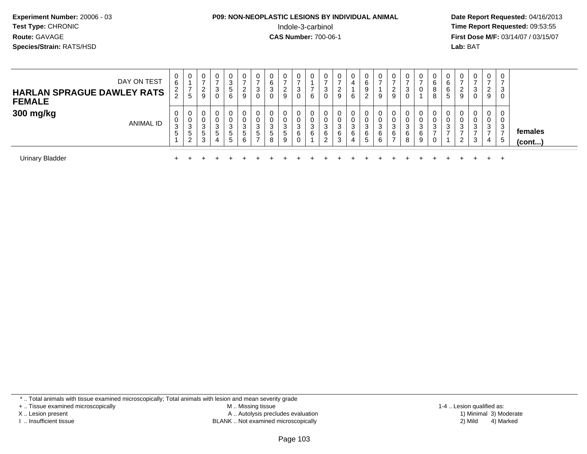## **P09: NON-NEOPLASTIC LESIONS BY INDIVIDUAL ANIMAL**Indole-3-carbinol **Time Report Requested:** 09:53:55

 **Date Report Requested:** 04/16/2013 **First Dose M/F:** 03/14/07 / 03/15/07<br>**Lab: BAT** 

| DAY ON TEST<br><b>HARLAN SPRAGUE DAWLEY RATS</b><br><b>FEMALE</b> | $\overline{0}$<br>6<br>$\frac{2}{2}$<br><u>_</u> | 0<br>$\overline{ }$<br><sub>5</sub>   | У | 3<br>0            | 3<br>5<br>6           | 0<br>$\rightarrow$<br>2<br>9 | 0<br>3<br>0                           | 6<br>$\sim$<br>J.<br>U | ∠           | 0<br>◠<br>J.<br>0          | 6           | 3<br>0       | U<br>ົ<br>$\sim$<br>9           | 4<br>6                | 6<br>ົ<br>$\epsilon$   | 9                | U<br><u>_</u><br>9 | 3<br>0           | 0<br>0                | 6<br>8<br>8 | 6<br>6<br>$\mathbf{p}$ | 0<br>ົ<br><u>_</u><br>9 | ◠<br>U      | 0<br>⇁<br>2<br>9      | 0<br>$\rightarrow$<br>3<br>0 |                         |
|-------------------------------------------------------------------|--------------------------------------------------|---------------------------------------|---|-------------------|-----------------------|------------------------------|---------------------------------------|------------------------|-------------|----------------------------|-------------|--------------|---------------------------------|-----------------------|------------------------|------------------|--------------------|------------------|-----------------------|-------------|------------------------|-------------------------|-------------|-----------------------|------------------------------|-------------------------|
| 300 mg/kg<br>ANIMAL ID                                            | 0<br>0<br>3<br>5                                 | U<br>U<br>$\sim$<br>ు<br>$\circ$<br>2 |   | ు<br><sub>5</sub> | 0<br>0<br>3<br>5<br>5 | 0<br>0<br>3<br>5<br>6        | 0<br>$\mathbf{0}$<br>3<br>$\mathbf b$ | υ<br>J<br>5<br>8       | ు<br>5<br>9 | 0<br>$\sim$<br>ა<br>6<br>0 | 0<br>3<br>6 | -3<br>6<br>ົ | 0<br>U<br>$\sim$<br>Ĵ<br>6<br>3 | $\sim$<br>ۍ<br>6<br>4 | $\sim$<br>J.<br>6<br>5 | 0<br>3<br>6<br>6 | U<br>0<br>3<br>6   | 0<br>3<br>6<br>8 | 0<br>0<br>3<br>6<br>9 | ີ<br>۰J     | ر-                     | 0<br>υ<br>3<br>ົ<br>∼   | U<br>ు<br>3 | 0<br>0<br>3<br>⇁<br>4 | 0<br>0<br>3<br>5             | females<br>$($ cont $)$ |
| <b>Urinary Bladder</b>                                            |                                                  |                                       |   |                   |                       |                              |                                       |                        |             |                            |             |              |                                 |                       |                        |                  |                    |                  |                       |             |                        |                         |             |                       | $\div$                       |                         |

\* .. Total animals with tissue examined microscopically; Total animals with lesion and mean severity grade

+ .. Tissue examined microscopically

X .. Lesion present

I .. Insufficient tissue

 M .. Missing tissueA .. Autolysis precludes evaluation

BLANK .. Not examined microscopically 2) Mild 4) Marked

1-4 .. Lesion qualified as: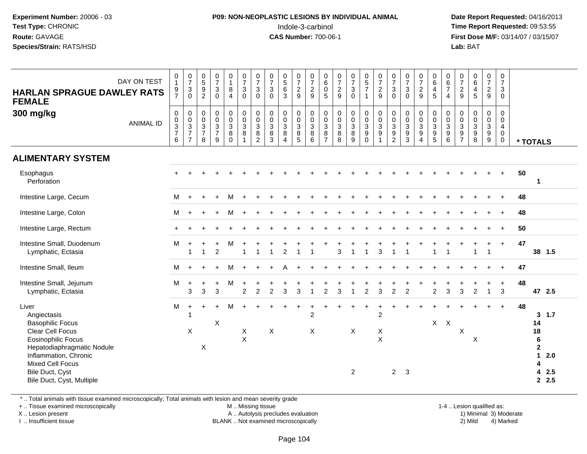## **P09: NON-NEOPLASTIC LESIONS BY INDIVIDUAL ANIMAL**Indole-3-carbinol **Time Report Requested:** 09:53:55

 **Date Report Requested:** 04/16/2013 **First Dose M/F:** 03/14/07 / 03/15/07<br>**Lab: BAT Lab:** BAT

| DAY ON TEST<br><b>HARLAN SPRAGUE DAWLEY RATS</b><br><b>FEMALE</b>                                                                                                                                                                  | 0<br>$\overline{1}$<br>$\frac{9}{7}$               | $\begin{matrix} 0 \\ 7 \\ 3 \\ 0 \end{matrix}$                    | $\begin{array}{c} 0 \\ 5 \end{array}$<br>9<br>$\overline{2}$ | $\frac{0}{7}$<br>$\mathbf{3}$<br>$\Omega$                         | 0<br>$\mathbf{1}$<br>8<br>$\overline{4}$          | $\begin{array}{c} 0 \\ 7 \end{array}$<br>$\mathbf{3}$<br>$\Omega$   | $\frac{0}{7}$<br>$\mathbf{3}$<br>$\mathbf 0$                               | $\frac{0}{7}$<br>3<br>$\mathbf{0}$                                   | $\begin{array}{c} 0 \\ 5 \\ 6 \end{array}$<br>3                   | $\frac{0}{7}$<br>$\overline{c}$<br>9          | $\frac{0}{7}$<br>$\overline{2}$<br>9                           | $\begin{array}{c} 0 \\ 6 \end{array}$<br>$\pmb{0}$<br>5 | $\begin{array}{c} 0 \\ 7 \\ 2 \end{array}$<br>9 | $\begin{array}{c} 0 \\ 7 \\ 3 \end{array}$<br>$\mathbf 0$         | $\begin{array}{c} 0 \\ 5 \\ 7 \end{array}$<br>$\overline{1}$                | $\begin{array}{c} 0 \\ 7 \\ 2 \end{array}$<br>9                                | $\frac{0}{7}$<br>$\mathbf{3}$<br>$\mathbf 0$                                   | $\frac{0}{7}$<br>$\mathbf{3}$<br>$\Omega$                                  | $\frac{0}{7}$<br>$\overline{c}$<br>9           | $\begin{matrix} 0 \\ 6 \\ 4 \end{matrix}$<br>5                      | $\begin{array}{c} 0 \\ 6 \\ 7 \end{array}$<br>$\overline{4}$ | $\begin{array}{c} 0 \\ 7 \\ 2 \end{array}$<br>9  | $064$<br>$45$                                                   | $\begin{array}{c} 0 \\ 7 \\ 2 \end{array}$<br>9        | 0<br>$\overline{7}$<br>$\mathbf{3}$<br>$\boldsymbol{0}$          |          |                                                                                                  |
|------------------------------------------------------------------------------------------------------------------------------------------------------------------------------------------------------------------------------------|----------------------------------------------------|-------------------------------------------------------------------|--------------------------------------------------------------|-------------------------------------------------------------------|---------------------------------------------------|---------------------------------------------------------------------|----------------------------------------------------------------------------|----------------------------------------------------------------------|-------------------------------------------------------------------|-----------------------------------------------|----------------------------------------------------------------|---------------------------------------------------------|-------------------------------------------------|-------------------------------------------------------------------|-----------------------------------------------------------------------------|--------------------------------------------------------------------------------|--------------------------------------------------------------------------------|----------------------------------------------------------------------------|------------------------------------------------|---------------------------------------------------------------------|--------------------------------------------------------------|--------------------------------------------------|-----------------------------------------------------------------|--------------------------------------------------------|------------------------------------------------------------------|----------|--------------------------------------------------------------------------------------------------|
| 300 mg/kg<br><b>ANIMAL ID</b>                                                                                                                                                                                                      | $\pmb{0}$<br>$_{3}^{\rm 0}$<br>$\overline{7}$<br>6 | $\begin{array}{c} 0 \\ 0 \\ 3 \\ 7 \end{array}$<br>$\overline{7}$ | 0<br>0<br>$\sqrt{3}$<br>$\overline{7}$<br>8                  | $\mathbf 0$<br>$\mathbf 0$<br>$\sqrt{3}$<br>$\boldsymbol{7}$<br>9 | 0<br>$\mathbf 0$<br>$\mathbf{3}$<br>8<br>$\Omega$ | 0<br>$\ddot{\mathbf{0}}$<br>$\sqrt{3}$<br>$\bf 8$<br>$\overline{1}$ | $\pmb{0}$<br>$\pmb{0}$<br>$\ensuremath{\mathsf{3}}$<br>8<br>$\overline{2}$ | $\mathbf 0$<br>$\mathbf 0$<br>$\mathbf{3}$<br>$\bf8$<br>$\mathbf{3}$ | $\mathbf 0$<br>$\mathbf 0$<br>$\mathbf{3}$<br>8<br>$\overline{4}$ | 0<br>0<br>$\sqrt{3}$<br>$\bf 8$<br>$\sqrt{5}$ | $\mathbf 0$<br>$\mathbf 0$<br>$\sqrt{3}$<br>$\bf 8$<br>$\,6\,$ | 0<br>$\pmb{0}$<br>$\sqrt{3}$<br>8<br>$\overline{7}$     | 0<br>0<br>$\sqrt{3}$<br>$\bf 8$<br>8            | $\pmb{0}$<br>$\pmb{0}$<br>$\sqrt{3}$<br>$\bf 8$<br>$\overline{9}$ | $\pmb{0}$<br>$\mathbf 0$<br>$\mathbf{3}$<br>$\boldsymbol{9}$<br>$\mathbf 0$ | $\pmb{0}$<br>$\mathbf 0$<br>$\mathbf{3}$<br>$\boldsymbol{9}$<br>$\overline{1}$ | $\pmb{0}$<br>$\mathbf 0$<br>$\mathbf{3}$<br>$\boldsymbol{9}$<br>$\overline{c}$ | $\pmb{0}$<br>$\mathbf 0$<br>$\sqrt{3}$<br>$\boldsymbol{9}$<br>$\mathbf{3}$ | 0<br>$\mathbf 0$<br>3<br>$\boldsymbol{9}$<br>4 | $\pmb{0}$<br>$\mathsf{O}\xspace$<br>$\overline{3}$<br>$\frac{9}{5}$ | $\mathbf 0$<br>$\pmb{0}$<br>$\sqrt{3}$<br>$\frac{9}{6}$      | $\mathbf 0$<br>0<br>$\mathsf 3$<br>$\frac{9}{7}$ | $\pmb{0}$<br>$\mathbf 0$<br>$\sqrt{3}$<br>$\boldsymbol{9}$<br>8 | 0<br>$\mathsf{O}\xspace$<br>3<br>$\boldsymbol{9}$<br>9 | 0<br>$\mathbf 0$<br>$\overline{4}$<br>$\mathbf 0$<br>$\mathbf 0$ | * TOTALS |                                                                                                  |
| <b>ALIMENTARY SYSTEM</b>                                                                                                                                                                                                           |                                                    |                                                                   |                                                              |                                                                   |                                                   |                                                                     |                                                                            |                                                                      |                                                                   |                                               |                                                                |                                                         |                                                 |                                                                   |                                                                             |                                                                                |                                                                                |                                                                            |                                                |                                                                     |                                                              |                                                  |                                                                 |                                                        |                                                                  |          |                                                                                                  |
| Esophagus<br>Perforation                                                                                                                                                                                                           |                                                    |                                                                   |                                                              |                                                                   |                                                   |                                                                     |                                                                            |                                                                      |                                                                   |                                               |                                                                |                                                         |                                                 |                                                                   |                                                                             |                                                                                |                                                                                |                                                                            |                                                |                                                                     |                                                              |                                                  |                                                                 |                                                        | $\ddot{}$                                                        | 50       | $\mathbf{1}$                                                                                     |
| Intestine Large, Cecum                                                                                                                                                                                                             | м                                                  | $+$                                                               | $\ddot{}$                                                    | $\ddot{}$                                                         | M                                                 | $\ddot{}$                                                           |                                                                            |                                                                      |                                                                   |                                               |                                                                |                                                         |                                                 |                                                                   |                                                                             |                                                                                |                                                                                |                                                                            |                                                |                                                                     |                                                              |                                                  |                                                                 |                                                        | $\ddot{}$                                                        | 48       |                                                                                                  |
| Intestine Large, Colon                                                                                                                                                                                                             | м                                                  | $\ddot{}$                                                         |                                                              |                                                                   | M                                                 |                                                                     |                                                                            |                                                                      |                                                                   |                                               |                                                                |                                                         |                                                 |                                                                   |                                                                             |                                                                                |                                                                                |                                                                            |                                                |                                                                     |                                                              |                                                  |                                                                 |                                                        |                                                                  | 48       |                                                                                                  |
| Intestine Large, Rectum                                                                                                                                                                                                            |                                                    |                                                                   |                                                              |                                                                   |                                                   |                                                                     |                                                                            |                                                                      |                                                                   |                                               |                                                                |                                                         |                                                 |                                                                   |                                                                             |                                                                                |                                                                                |                                                                            |                                                |                                                                     |                                                              |                                                  |                                                                 |                                                        |                                                                  | 50       |                                                                                                  |
| Intestine Small, Duodenum<br>Lymphatic, Ectasia                                                                                                                                                                                    | М                                                  | $\overline{\mathbf{1}}$                                           | -1                                                           | 2                                                                 | M                                                 |                                                                     | $\overline{1}$                                                             |                                                                      | 2                                                                 | $\overline{1}$                                | -1                                                             |                                                         | 3                                               | $\overline{1}$                                                    | $\overline{1}$                                                              | 3                                                                              | 1                                                                              |                                                                            |                                                | $\overline{1}$                                                      |                                                              |                                                  | -1                                                              | 1                                                      | $+$                                                              | 47       | 38 1.5                                                                                           |
| Intestine Small, Ileum                                                                                                                                                                                                             | M                                                  |                                                                   |                                                              |                                                                   | M                                                 |                                                                     |                                                                            |                                                                      |                                                                   |                                               |                                                                |                                                         |                                                 |                                                                   |                                                                             |                                                                                |                                                                                |                                                                            |                                                |                                                                     |                                                              |                                                  |                                                                 |                                                        | $\ddot{}$                                                        | 47       |                                                                                                  |
| Intestine Small, Jejunum<br>Lymphatic, Ectasia                                                                                                                                                                                     | м                                                  | $\ddot{}$<br>3                                                    | 3                                                            | 3                                                                 | M                                                 | $\overline{2}$                                                      | $\overline{2}$                                                             | 2                                                                    | 3                                                                 | 3                                             |                                                                | $\overline{c}$                                          | 3                                               |                                                                   | $\overline{c}$                                                              | 3                                                                              | $\overline{c}$                                                                 | $\overline{2}$                                                             |                                                | $\overline{2}$                                                      | 3                                                            | 3                                                | $\overline{2}$                                                  | $\mathbf{1}$                                           | $\mathbf{3}$                                                     | 48       | 47 2.5                                                                                           |
| Liver<br>Angiectasis<br><b>Basophilic Focus</b><br><b>Clear Cell Focus</b><br>Eosinophilic Focus<br>Hepatodiaphragmatic Nodule<br>Inflammation, Chronic<br><b>Mixed Cell Focus</b><br>Bile Duct, Cyst<br>Bile Duct, Cyst, Multiple | M                                                  | $\ddot{}$<br>X                                                    | $\ddot{}$<br>X                                               | $\ddot{}$<br>$\times$                                             | м                                                 | $+$<br>X<br>X                                                       | $\pm$                                                                      | X                                                                    |                                                                   | $\ddot{}$                                     | +<br>$\overline{2}$<br>X                                       |                                                         |                                                 | $\ddot{}$<br>X<br>2                                               | $\ddot{}$                                                                   | $\ddot{}$<br>$\overline{2}$<br>X<br>$\times$                                   | $2^{\circ}$                                                                    | -3                                                                         |                                                | $X$ $X$                                                             |                                                              | $\mathsf X$                                      | $\boldsymbol{\mathsf{X}}$                                       | ٠                                                      | $+$                                                              | 48       | $3 \t1.7$<br>14<br>18<br>6<br>$\mathbf{2}$<br>1<br>2.0<br>4<br>2.5<br>4<br>2.5<br>$\overline{2}$ |

\* .. Total animals with tissue examined microscopically; Total animals with lesion and mean severity grade

+ .. Tissue examined microscopically

X .. Lesion present

I .. Insufficient tissue

M .. Missing tissue

A .. Autolysis precludes evaluation

BLANK .. Not examined microscopically 2) Mild 4) Marked

1-4 .. Lesion qualified as: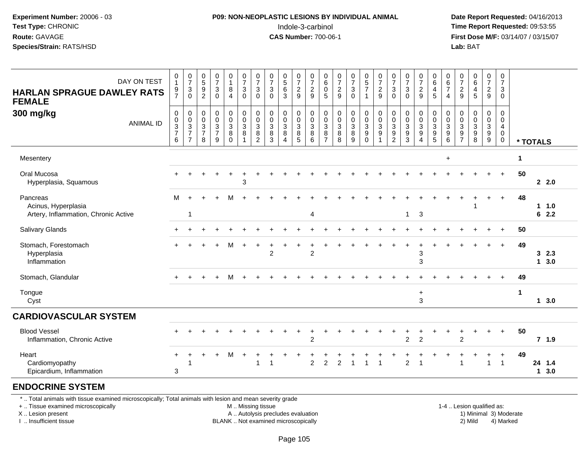## **P09: NON-NEOPLASTIC LESIONS BY INDIVIDUAL ANIMAL**Indole-3-carbinol **Time Report Requested:** 09:53:55

 **Date Report Requested:** 04/16/2013 **First Dose M/F:** 03/14/07 / 03/15/07<br>**Lab: BAT Lab:** BAT

| DAY ON TEST<br><b>HARLAN SPRAGUE DAWLEY RATS</b><br><b>FEMALE</b>       | $\mathbf 0$<br>$\mathbf{1}$<br>$\frac{9}{7}$ | $\begin{smallmatrix}0\\7\end{smallmatrix}$<br>$\sqrt{3}$<br>0                   | $\begin{array}{c} 0 \\ 5 \end{array}$<br>$\frac{9}{2}$               | $\frac{0}{7}$<br>$\mathbf 3$<br>$\mathbf 0$            | $\pmb{0}$<br>$\mathbf{1}$<br>8<br>$\overline{4}$                     | $\frac{0}{7}$<br>$\sqrt{3}$<br>$\mathbf 0$                                      | $\frac{0}{7}$<br>$\mathbf{3}$<br>$\mathbf 0$                | $\frac{0}{7}$<br>$\mathbf 3$<br>$\mathbf 0$ | $0$<br>5<br>6<br>3                         | $\begin{array}{c} 0 \\ 7 \\ 2 \end{array}$<br>$\mathsf g$               | $\frac{0}{7}$<br>$\overline{2}$<br>$\boldsymbol{9}$              | $_{6}^{\rm 0}$<br>$\ddot{\mathbf{0}}$<br>$\sqrt{5}$           | $\begin{array}{c} 0 \\ 7 \end{array}$<br>$\frac{2}{9}$                         | $\begin{smallmatrix}0\\7\end{smallmatrix}$<br>$\mathfrak{S}$<br>$\mathbf 0$ | $\begin{array}{c} 0 \\ 5 \\ 7 \end{array}$<br>$\mathbf{1}$                       | $\frac{0}{7}$<br>$\overline{c}$<br>9                                              | $\frac{0}{7}$<br>$\mathfrak{B}$<br>$\Omega$                                         | $\frac{0}{7}$<br>$\sqrt{3}$<br>$\mathbf 0$                           | $\frac{0}{7}$<br>$\boldsymbol{2}$<br>9                               | $\begin{array}{c} 0 \\ 6 \end{array}$<br>$\overline{4}$<br>$\overline{5}$ | 0<br>$\,6\,$<br>$\overline{7}$<br>$\overline{4}$          | $\frac{0}{7}$<br>$\sqrt{2}$<br>9                                    | $\begin{array}{c} 0 \\ 6 \\ 4 \end{array}$<br>5 | $\begin{array}{c} 0 \\ 7 \end{array}$<br>$\overline{2}$<br>$9\,$  | 0<br>$\overline{7}$<br>$\sqrt{3}$<br>0            |             |                       |  |
|-------------------------------------------------------------------------|----------------------------------------------|---------------------------------------------------------------------------------|----------------------------------------------------------------------|--------------------------------------------------------|----------------------------------------------------------------------|---------------------------------------------------------------------------------|-------------------------------------------------------------|---------------------------------------------|--------------------------------------------|-------------------------------------------------------------------------|------------------------------------------------------------------|---------------------------------------------------------------|--------------------------------------------------------------------------------|-----------------------------------------------------------------------------|----------------------------------------------------------------------------------|-----------------------------------------------------------------------------------|-------------------------------------------------------------------------------------|----------------------------------------------------------------------|----------------------------------------------------------------------|---------------------------------------------------------------------------|-----------------------------------------------------------|---------------------------------------------------------------------|-------------------------------------------------|-------------------------------------------------------------------|---------------------------------------------------|-------------|-----------------------|--|
| 300 mg/kg<br><b>ANIMAL ID</b>                                           | $\pmb{0}$<br>$\,0\,$<br>$\frac{3}{7}$<br>6   | 0<br>$\pmb{0}$<br>$\ensuremath{\mathsf{3}}$<br>$\overline{7}$<br>$\overline{7}$ | 0<br>$\mathbf 0$<br>$\ensuremath{\mathsf{3}}$<br>$\overline{7}$<br>8 | $\pmb{0}$<br>$\ddot{\mathbf{0}}$<br>$\frac{3}{7}$<br>9 | 0<br>$\overline{0}$<br>$\ensuremath{\mathsf{3}}$<br>8<br>$\mathbf 0$ | $\pmb{0}$<br>$\ddot{\mathbf{0}}$<br>$\overline{3}$<br>$\bf 8$<br>$\overline{1}$ | 0<br>$\mathbf 0$<br>$\sqrt{3}$<br>$\bf 8$<br>$\overline{c}$ | $\pmb{0}$<br>$\mathbf 0$<br>3<br>8<br>3     | 0<br>$\pmb{0}$<br>3<br>8<br>$\overline{4}$ | 0<br>$\ddot{\mathbf{0}}$<br>$\overline{3}$<br>$\bf 8$<br>$\overline{5}$ | $\,0\,$<br>$\ddot{\mathbf{0}}$<br>$\overline{3}$<br>$\,8\,$<br>6 | 0<br>$\mathbf 0$<br>$\mathbf{3}$<br>$\bf 8$<br>$\overline{7}$ | $\begin{smallmatrix} 0\\0 \end{smallmatrix}$<br>$\overline{3}$<br>$\bf 8$<br>8 | 0<br>$\mathbf 0$<br>$\ensuremath{\mathsf{3}}$<br>$\,8\,$<br>9               | $\pmb{0}$<br>$\overline{0}$<br>$\ensuremath{\mathsf{3}}$<br>$9\,$<br>$\mathbf 0$ | 0<br>$\mathbf 0$<br>$\ensuremath{\mathsf{3}}$<br>$\boldsymbol{9}$<br>$\mathbf{1}$ | 0<br>$\mathbf 0$<br>$\ensuremath{\mathsf{3}}$<br>$\boldsymbol{9}$<br>$\overline{2}$ | 0<br>$\pmb{0}$<br>$\ensuremath{\mathsf{3}}$<br>$\boldsymbol{9}$<br>3 | 0<br>$\mathbf 0$<br>$\ensuremath{\mathsf{3}}$<br>9<br>$\overline{4}$ | 0<br>$\frac{0}{3}$<br>$\overline{5}$                                      | 0<br>$\mathbf 0$<br>$\mathbf{3}$<br>$\boldsymbol{9}$<br>6 | $\pmb{0}$<br>$\mathbf 0$<br>3<br>$\boldsymbol{9}$<br>$\overline{7}$ | 0<br>$\mathbf 0$<br>$_9^3$<br>8                 | 0<br>$\mathsf{O}\xspace$<br>$\mathbf{3}$<br>$\boldsymbol{9}$<br>9 | 0<br>$\mathbf 0$<br>4<br>$\pmb{0}$<br>$\mathbf 0$ |             | * TOTALS              |  |
| Mesentery                                                               |                                              |                                                                                 |                                                                      |                                                        |                                                                      |                                                                                 |                                                             |                                             |                                            |                                                                         |                                                                  |                                                               |                                                                                |                                                                             |                                                                                  |                                                                                   |                                                                                     |                                                                      |                                                                      |                                                                           | $\ddot{}$                                                 |                                                                     |                                                 |                                                                   |                                                   | $\mathbf 1$ |                       |  |
| Oral Mucosa<br>Hyperplasia, Squamous                                    |                                              |                                                                                 |                                                                      |                                                        |                                                                      | 3                                                                               |                                                             |                                             |                                            |                                                                         |                                                                  |                                                               |                                                                                |                                                                             |                                                                                  |                                                                                   |                                                                                     |                                                                      |                                                                      |                                                                           |                                                           |                                                                     |                                                 |                                                                   | $\ddot{}$                                         | 50          | 2.0                   |  |
| Pancreas<br>Acinus, Hyperplasia<br>Artery, Inflammation, Chronic Active | M                                            | $\mathbf{1}$                                                                    |                                                                      |                                                        |                                                                      |                                                                                 |                                                             |                                             |                                            |                                                                         | $\overline{4}$                                                   |                                                               |                                                                                |                                                                             |                                                                                  |                                                                                   |                                                                                     | $\mathbf{1}$                                                         | $\mathbf{3}$                                                         |                                                                           |                                                           |                                                                     |                                                 |                                                                   | $\ddot{}$                                         | 48          | $1 1.0$<br>62.2       |  |
| <b>Salivary Glands</b>                                                  |                                              |                                                                                 |                                                                      |                                                        |                                                                      |                                                                                 |                                                             |                                             |                                            |                                                                         |                                                                  |                                                               |                                                                                |                                                                             |                                                                                  |                                                                                   |                                                                                     |                                                                      |                                                                      |                                                                           |                                                           |                                                                     |                                                 |                                                                   | $\div$                                            | 50          |                       |  |
| Stomach, Forestomach<br>Hyperplasia<br>Inflammation                     |                                              |                                                                                 |                                                                      |                                                        | м                                                                    |                                                                                 |                                                             | $\overline{2}$                              |                                            |                                                                         | $\overline{2}$                                                   |                                                               |                                                                                |                                                                             |                                                                                  |                                                                                   |                                                                                     |                                                                      | 3<br>$\mathfrak{S}$                                                  |                                                                           |                                                           |                                                                     |                                                 |                                                                   | $\ddot{}$                                         | 49          | 32.3<br>$1 \quad 3.0$ |  |
| Stomach, Glandular                                                      |                                              |                                                                                 |                                                                      | $\ddot{}$                                              | м                                                                    |                                                                                 |                                                             |                                             |                                            |                                                                         |                                                                  |                                                               |                                                                                |                                                                             |                                                                                  |                                                                                   |                                                                                     |                                                                      |                                                                      |                                                                           |                                                           |                                                                     |                                                 |                                                                   |                                                   | 49          |                       |  |
| Tongue<br>Cyst                                                          |                                              |                                                                                 |                                                                      |                                                        |                                                                      |                                                                                 |                                                             |                                             |                                            |                                                                         |                                                                  |                                                               |                                                                                |                                                                             |                                                                                  |                                                                                   |                                                                                     |                                                                      | $\ddot{}$<br>3                                                       |                                                                           |                                                           |                                                                     |                                                 |                                                                   |                                                   | $\mathbf 1$ | 13.0                  |  |
| <b>CARDIOVASCULAR SYSTEM</b>                                            |                                              |                                                                                 |                                                                      |                                                        |                                                                      |                                                                                 |                                                             |                                             |                                            |                                                                         |                                                                  |                                                               |                                                                                |                                                                             |                                                                                  |                                                                                   |                                                                                     |                                                                      |                                                                      |                                                                           |                                                           |                                                                     |                                                 |                                                                   |                                                   |             |                       |  |
| <b>Blood Vessel</b><br>Inflammation, Chronic Active                     |                                              |                                                                                 |                                                                      |                                                        |                                                                      |                                                                                 |                                                             |                                             |                                            |                                                                         | $\overline{2}$                                                   |                                                               |                                                                                |                                                                             |                                                                                  |                                                                                   |                                                                                     | $\overline{2}$                                                       | $\overline{2}$                                                       |                                                                           |                                                           | $\overline{2}$                                                      | ÷                                               | +                                                                 | $\ddot{}$                                         | 50          | 7, 1.9                |  |
| Heart<br>Cardiomyopathy<br>Epicardium, Inflammation                     | 3                                            | -1                                                                              |                                                                      |                                                        | м                                                                    |                                                                                 |                                                             |                                             |                                            |                                                                         | $\overline{2}$                                                   | 2                                                             | $\overline{2}$                                                                 | -1                                                                          |                                                                                  | -1                                                                                |                                                                                     | $\overline{2}$                                                       |                                                                      |                                                                           |                                                           |                                                                     |                                                 | $\overline{1}$                                                    | $\ddot{}$<br>$\overline{1}$                       | 49          | 24 1.4<br>1, 3.0      |  |
| <b>ENDOCRINE SYSTEM</b>                                                 |                                              |                                                                                 |                                                                      |                                                        |                                                                      |                                                                                 |                                                             |                                             |                                            |                                                                         |                                                                  |                                                               |                                                                                |                                                                             |                                                                                  |                                                                                   |                                                                                     |                                                                      |                                                                      |                                                                           |                                                           |                                                                     |                                                 |                                                                   |                                                   |             |                       |  |

\* .. Total animals with tissue examined microscopically; Total animals with lesion and mean severity grade

+ .. Tissue examined microscopically

X .. Lesion present

I .. Insufficient tissue

M .. Missing tissue

A .. Autolysis precludes evaluation

BLANK .. Not examined microscopically 2) Mild 4) Marked

1-4 .. Lesion qualified as:<br>1) Minimal 3) Moderate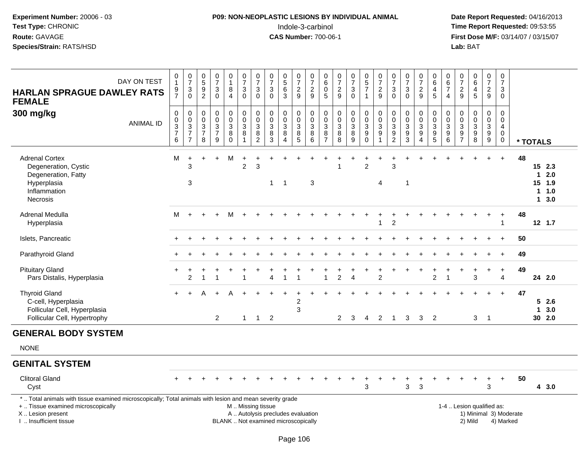# **P09: NON-NEOPLASTIC LESIONS BY INDIVIDUAL ANIMAL**Indole-3-carbinol **Time Report Requested:** 09:53:55

| DAY ON TEST<br><b>HARLAN SPRAGUE DAWLEY RATS</b><br><b>FEMALE</b>                                                                                                                             | $\begin{smallmatrix}0\\1\end{smallmatrix}$<br>$\frac{9}{7}$  | $\begin{array}{c} 0 \\ 7 \end{array}$<br>$\ensuremath{\mathsf{3}}$<br>$\mathbf 0$ | $\begin{array}{c} 0 \\ 5 \\ 9 \end{array}$<br>$\overline{2}$    | $\begin{array}{c} 0 \\ 7 \end{array}$<br>$\mathbf{3}$<br>$\mathbf 0$ | 0<br>$\mathbf{1}$<br>8<br>$\overline{4}$                               | $\begin{array}{c} 0 \\ 7 \end{array}$<br>$\sqrt{3}$<br>$\mathbf 0$ | $\frac{0}{7}$<br>3<br>$\Omega$                                     | $\frac{0}{7}$<br>$\sqrt{3}$<br>$\mathbf{0}$                                                   | $0$<br>5<br>6<br>3                         | $\frac{0}{7}$<br>$\frac{2}{9}$                            | $\begin{array}{c} 0 \\ 7 \end{array}$<br>$\frac{2}{9}$ | $\begin{array}{c} 0 \\ 6 \end{array}$<br>$\begin{array}{c} 0 \\ 5 \end{array}$ | $\begin{array}{c} 0 \\ 7 \end{array}$<br>$\frac{2}{9}$            | $\frac{0}{7}$<br>$\ensuremath{\mathsf{3}}$<br>$\mathbf 0$  | $\begin{array}{c} 0 \\ 5 \end{array}$<br>$\overline{7}$<br>$\mathbf{1}$              | $\frac{0}{7}$<br>$\frac{2}{9}$                                                 | $\frac{0}{7}$<br>$\sqrt{3}$<br>$\mathbf{0}$                          | $\begin{array}{c} 0 \\ 7 \end{array}$<br>$\ensuremath{\mathsf{3}}$<br>$\mathbf{0}$ | $\frac{0}{7}$<br>$\sqrt{2}$<br>9                        | $\begin{array}{c} 0 \\ 6 \end{array}$<br>$\overline{4}$<br>5           | 0<br>$\,6\,$<br>$\overline{7}$<br>$\overline{4}$     | $\frac{0}{7}$<br>$\sqrt{2}$<br>$\overline{9}$                                                 | $\begin{matrix} 0 \\ 6 \end{matrix}$<br>4<br>5 | $\begin{smallmatrix}0\\7\end{smallmatrix}$<br>$\overline{2}$<br>9 | 0<br>$\overline{7}$<br>3<br>0   |                                     |              |                                              |
|-----------------------------------------------------------------------------------------------------------------------------------------------------------------------------------------------|--------------------------------------------------------------|-----------------------------------------------------------------------------------|-----------------------------------------------------------------|----------------------------------------------------------------------|------------------------------------------------------------------------|--------------------------------------------------------------------|--------------------------------------------------------------------|-----------------------------------------------------------------------------------------------|--------------------------------------------|-----------------------------------------------------------|--------------------------------------------------------|--------------------------------------------------------------------------------|-------------------------------------------------------------------|------------------------------------------------------------|--------------------------------------------------------------------------------------|--------------------------------------------------------------------------------|----------------------------------------------------------------------|------------------------------------------------------------------------------------|---------------------------------------------------------|------------------------------------------------------------------------|------------------------------------------------------|-----------------------------------------------------------------------------------------------|------------------------------------------------|-------------------------------------------------------------------|---------------------------------|-------------------------------------|--------------|----------------------------------------------|
| 300 mg/kg<br><b>ANIMAL ID</b>                                                                                                                                                                 | $\mathsf{O}\xspace$<br>$_{3}^{\rm 0}$<br>$\overline{7}$<br>6 | $\pmb{0}$<br>$\mathbf 0$<br>$\overline{3}$<br>$\overline{7}$<br>$\overline{7}$    | $\mathbf 0$<br>$\mathbf 0$<br>$\sqrt{3}$<br>$\overline{7}$<br>8 | $\mathbf 0$<br>$\mathbf 0$<br>$\mathbf{3}$<br>$\overline{7}$<br>9    | 0<br>$\mathbf 0$<br>$\ensuremath{\mathsf{3}}$<br>$\bf8$<br>$\mathbf 0$ | $\mathbf 0$<br>$\mathbf 0$<br>$\ensuremath{\mathsf{3}}$<br>8<br>1  | 0<br>$\pmb{0}$<br>$\ensuremath{\mathsf{3}}$<br>8<br>$\overline{c}$ | $\mathbf 0$<br>$\mathsf{O}\xspace$<br>$\overline{3}$<br>8<br>$\overline{3}$                   | 0<br>$\pmb{0}$<br>$\overline{3}$<br>8<br>4 | 0<br>$\mathsf 0$<br>$\overline{3}$<br>8<br>$\overline{5}$ | 0<br>$\mathbf 0$<br>$\overline{3}$<br>8<br>6           | 0<br>$\mathbf 0$<br>$\ensuremath{\mathsf{3}}$<br>8<br>$\overline{7}$           | $\mathbf 0$<br>$\mathbf 0$<br>$\ensuremath{\mathsf{3}}$<br>8<br>8 | $\pmb{0}$<br>$\mathbf 0$<br>$\overline{3}$<br>$\,8\,$<br>9 | $\begin{smallmatrix}0\\0\end{smallmatrix}$<br>$\overline{3}$<br>$9\,$<br>$\mathbf 0$ | $\mathbf 0$<br>$\pmb{0}$<br>$\overline{3}$<br>$\boldsymbol{9}$<br>$\mathbf{1}$ | 0<br>$\mathbf 0$<br>$\ensuremath{\mathsf{3}}$<br>9<br>$\overline{2}$ | 0<br>$\pmb{0}$<br>$\overline{3}$<br>$\boldsymbol{9}$<br>3                          | 0<br>$\mathbf 0$<br>$\sqrt{3}$<br>$\boldsymbol{9}$<br>4 | $\mathbf 0$<br>$\overline{0}$<br>$\overline{3}$<br>9<br>$\overline{5}$ | 0<br>$\Omega$<br>$\sqrt{3}$<br>$\boldsymbol{9}$<br>6 | $\mathbf 0$<br>$\mathbf 0$<br>$\ensuremath{\mathsf{3}}$<br>$\boldsymbol{9}$<br>$\overline{7}$ | 0<br>$\mathbf 0$<br>3<br>$\boldsymbol{9}$<br>8 | 0<br>$\mathsf{O}\xspace$<br>$\frac{3}{9}$                         | $\mathbf 0$<br>0<br>4<br>0<br>0 |                                     | * TOTALS     |                                              |
| <b>Adrenal Cortex</b><br>Degeneration, Cystic<br>Degeneration, Fatty<br>Hyperplasia<br>Inflammation<br>Necrosis                                                                               | M                                                            | $\ddot{}$<br>3<br>3                                                               | $\ddot{}$                                                       | $\div$                                                               | M                                                                      | $\ddot{}$<br>$\overline{c}$                                        | 3                                                                  | $\mathbf 1$                                                                                   | $\overline{1}$                             |                                                           | 3                                                      |                                                                                |                                                                   |                                                            | $\overline{2}$                                                                       | $\overline{4}$                                                                 | 3                                                                    | -1                                                                                 |                                                         |                                                                        |                                                      |                                                                                               |                                                |                                                                   | $\ddot{}$                       | 48                                  | $\mathbf{1}$ | 15 2.3<br>2.0<br>15 1.9<br>$1 \t1.0$<br>13.0 |
| Adrenal Medulla<br>Hyperplasia                                                                                                                                                                | M                                                            | $+$                                                                               |                                                                 |                                                                      | м                                                                      |                                                                    |                                                                    |                                                                                               |                                            |                                                           |                                                        |                                                                                |                                                                   |                                                            |                                                                                      | $\mathbf{1}$                                                                   | $\overline{2}$                                                       |                                                                                    |                                                         |                                                                        |                                                      |                                                                                               |                                                |                                                                   | $\ddot{}$<br>$\overline{1}$     | 48                                  |              | $12$ 1.7                                     |
| Islets, Pancreatic                                                                                                                                                                            |                                                              |                                                                                   |                                                                 |                                                                      |                                                                        |                                                                    |                                                                    |                                                                                               |                                            |                                                           |                                                        |                                                                                |                                                                   |                                                            |                                                                                      |                                                                                |                                                                      |                                                                                    |                                                         |                                                                        |                                                      |                                                                                               |                                                |                                                                   |                                 | 50                                  |              |                                              |
| Parathyroid Gland                                                                                                                                                                             |                                                              |                                                                                   |                                                                 |                                                                      |                                                                        |                                                                    |                                                                    |                                                                                               |                                            |                                                           |                                                        |                                                                                |                                                                   |                                                            |                                                                                      |                                                                                |                                                                      |                                                                                    |                                                         |                                                                        |                                                      |                                                                                               |                                                |                                                                   |                                 | 49                                  |              |                                              |
| <b>Pituitary Gland</b><br>Pars Distalis, Hyperplasia                                                                                                                                          | $\ddot{}$                                                    | $\overline{c}$                                                                    | 1                                                               | -1                                                                   |                                                                        | 1                                                                  |                                                                    | 4                                                                                             | $\mathbf 1$                                |                                                           |                                                        | 1                                                                              | $\overline{c}$                                                    | 4                                                          |                                                                                      | $\overline{c}$                                                                 |                                                                      |                                                                                    |                                                         | $\overline{c}$                                                         | 1                                                    |                                                                                               | 3                                              |                                                                   | $\ddot{}$<br>$\overline{4}$     | 49                                  |              | 24 2.0                                       |
| <b>Thyroid Gland</b><br>C-cell, Hyperplasia<br>Follicular Cell, Hyperplasia<br>Follicular Cell, Hypertrophy                                                                                   | $+$                                                          |                                                                                   |                                                                 | $\overline{2}$                                                       |                                                                        | $\mathbf{1}$                                                       |                                                                    | $1 \quad 2$                                                                                   |                                            | 2<br>3                                                    |                                                        |                                                                                | $\overline{2}$                                                    | 3                                                          | $\overline{4}$                                                                       | $\overline{2}$                                                                 | $\overline{1}$                                                       | 3                                                                                  | 3                                                       | $\overline{2}$                                                         |                                                      |                                                                                               | 3                                              | $\overline{1}$                                                    | $\ddot{}$                       | 47                                  | $\mathbf{1}$ | 52.6<br>3.0<br>30 2.0                        |
| <b>GENERAL BODY SYSTEM</b>                                                                                                                                                                    |                                                              |                                                                                   |                                                                 |                                                                      |                                                                        |                                                                    |                                                                    |                                                                                               |                                            |                                                           |                                                        |                                                                                |                                                                   |                                                            |                                                                                      |                                                                                |                                                                      |                                                                                    |                                                         |                                                                        |                                                      |                                                                                               |                                                |                                                                   |                                 |                                     |              |                                              |
| <b>NONE</b>                                                                                                                                                                                   |                                                              |                                                                                   |                                                                 |                                                                      |                                                                        |                                                                    |                                                                    |                                                                                               |                                            |                                                           |                                                        |                                                                                |                                                                   |                                                            |                                                                                      |                                                                                |                                                                      |                                                                                    |                                                         |                                                                        |                                                      |                                                                                               |                                                |                                                                   |                                 |                                     |              |                                              |
| <b>GENITAL SYSTEM</b>                                                                                                                                                                         |                                                              |                                                                                   |                                                                 |                                                                      |                                                                        |                                                                    |                                                                    |                                                                                               |                                            |                                                           |                                                        |                                                                                |                                                                   |                                                            |                                                                                      |                                                                                |                                                                      |                                                                                    |                                                         |                                                                        |                                                      |                                                                                               |                                                |                                                                   |                                 |                                     |              |                                              |
| <b>Clitoral Gland</b><br>Cyst                                                                                                                                                                 |                                                              |                                                                                   |                                                                 |                                                                      |                                                                        |                                                                    |                                                                    |                                                                                               |                                            |                                                           |                                                        |                                                                                |                                                                   |                                                            | 3                                                                                    |                                                                                |                                                                      | ÷<br>3                                                                             | +<br>3                                                  |                                                                        |                                                      |                                                                                               |                                                | 3                                                                 | $\ddot{}$                       | 50                                  |              | 4 3.0                                        |
| *  Total animals with tissue examined microscopically; Total animals with lesion and mean severity grade<br>+  Tissue examined microscopically<br>X  Lesion present<br>I. Insufficient tissue |                                                              |                                                                                   |                                                                 |                                                                      |                                                                        |                                                                    |                                                                    | M. Missing tissue<br>A  Autolysis precludes evaluation<br>BLANK  Not examined microscopically |                                            |                                                           |                                                        |                                                                                |                                                                   |                                                            |                                                                                      |                                                                                |                                                                      |                                                                                    |                                                         |                                                                        |                                                      |                                                                                               | 1-4  Lesion qualified as:<br>2) Mild           |                                                                   |                                 | 1) Minimal 3) Moderate<br>4) Marked |              |                                              |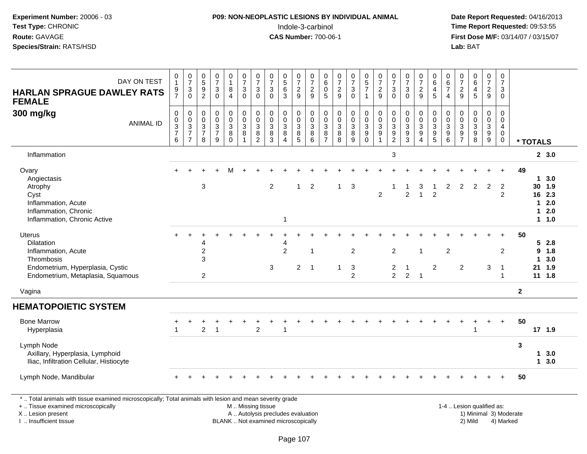# **P09: NON-NEOPLASTIC LESIONS BY INDIVIDUAL ANIMAL**Indole-3-carbinol **Time Report Requested:** 09:53:55

 **Date Report Requested:** 04/16/2013 **First Dose M/F:** 03/14/07 / 03/15/07<br>**Lab:** BAT

| DAY ON TEST<br><b>HARLAN SPRAGUE DAWLEY RATS</b><br><b>FEMALE</b>                                                                                                   | 0<br>$\mathbf{1}$<br>$\frac{9}{7}$                      | $\frac{0}{7}$<br>$\frac{3}{0}$               | $\begin{array}{c} 0 \\ 5 \end{array}$<br>$9\,$<br>$\overline{2}$               | $\frac{0}{7}$<br>$\sqrt{3}$<br>$\Omega$                         | 0<br>$\mathbf{1}$<br>8<br>4                         | $\frac{0}{7}$<br>$\overline{3}$<br>$\mathbf 0$                                | $\frac{0}{7}$<br>$\sqrt{3}$<br>$\mathbf{0}$                                     | $\frac{0}{7}$<br>$\mathbf{3}$<br>$\Omega$                                  | $\begin{array}{c} 0 \\ 5 \\ 6 \end{array}$<br>3    | $\frac{0}{7}$<br>$\overline{c}$<br>9                               | 0<br>$\overline{7}$<br>$\overline{2}$<br>9 | 0<br>6<br>$\pmb{0}$<br>5                              | $\frac{0}{7}$<br>$\frac{2}{9}$                                                       | $\frac{0}{7}$<br>$\mathbf{3}$<br>$\overline{0}$                 | $\begin{array}{c} 0 \\ 5 \\ 7 \end{array}$<br>$\overline{1}$ | $\frac{0}{7}$<br>$\overline{2}$<br>9                          | $\frac{0}{7}$<br>3<br>$\Omega$                                       | $\frac{0}{7}$<br>$\frac{3}{0}$                                             | $\frac{0}{7}$<br>$\overline{c}$<br>9                    | $\begin{array}{c} 0 \\ 6 \\ 4 \end{array}$<br>5 | $\begin{array}{c} 0 \\ 6 \\ 7 \end{array}$<br>$\overline{4}$          | $\frac{0}{7}$<br>$\frac{2}{9}$                           | $\begin{matrix} 0 \\ 6 \\ 4 \end{matrix}$<br>5                                                | $\frac{0}{7}$<br>$\overline{2}$<br>9            | 0<br>$\overline{7}$<br>$\mathbf{3}$<br>$\mathbf 0$               |              |                                  |                                                |
|---------------------------------------------------------------------------------------------------------------------------------------------------------------------|---------------------------------------------------------|----------------------------------------------|--------------------------------------------------------------------------------|-----------------------------------------------------------------|-----------------------------------------------------|-------------------------------------------------------------------------------|---------------------------------------------------------------------------------|----------------------------------------------------------------------------|----------------------------------------------------|--------------------------------------------------------------------|--------------------------------------------|-------------------------------------------------------|--------------------------------------------------------------------------------------|-----------------------------------------------------------------|--------------------------------------------------------------|---------------------------------------------------------------|----------------------------------------------------------------------|----------------------------------------------------------------------------|---------------------------------------------------------|-------------------------------------------------|-----------------------------------------------------------------------|----------------------------------------------------------|-----------------------------------------------------------------------------------------------|-------------------------------------------------|------------------------------------------------------------------|--------------|----------------------------------|------------------------------------------------|
| 300 mg/kg<br><b>ANIMAL ID</b>                                                                                                                                       | 0<br>$\mathbf 0$<br>$\mathbf{3}$<br>$\overline{7}$<br>6 | $\pmb{0}$<br>$\frac{0}{3}$<br>$\overline{7}$ | $\mathbf 0$<br>$\mathbf 0$<br>$\ensuremath{\mathsf{3}}$<br>$\overline{7}$<br>8 | $\mathbf 0$<br>$\mathbf 0$<br>$\sqrt{3}$<br>$\overline{7}$<br>9 | 0<br>$\pmb{0}$<br>$\mathbf{3}$<br>8<br>$\mathbf{0}$ | $\boldsymbol{0}$<br>$\mathsf{O}\xspace$<br>$\mathsf 3$<br>8<br>$\overline{1}$ | $\pmb{0}$<br>$\overline{0}$<br>$\ensuremath{\mathsf{3}}$<br>8<br>$\overline{2}$ | $\pmb{0}$<br>$\pmb{0}$<br>$\ensuremath{\mathsf{3}}$<br>8<br>$\overline{3}$ | $\mathbf 0$<br>$\mathbf 0$<br>$\sqrt{3}$<br>8<br>Δ | 0<br>$\pmb{0}$<br>$\ensuremath{\mathsf{3}}$<br>8<br>$\overline{5}$ | 0<br>$\mathbf 0$<br>$\sqrt{3}$<br>8<br>6   | 0<br>$\pmb{0}$<br>$\mathbf{3}$<br>8<br>$\overline{7}$ | $\mathbf 0$<br>$\mathbf 0$<br>$\ensuremath{\mathsf{3}}$<br>$\bf 8$<br>$\overline{8}$ | $\pmb{0}$<br>$\pmb{0}$<br>$\overline{3}$<br>8<br>$\overline{9}$ | $\mathbf 0$<br>$\pmb{0}$<br>$\frac{3}{9}$                    | $\pmb{0}$<br>$\pmb{0}$<br>$\sqrt{3}$<br>$9\,$<br>$\mathbf{1}$ | 0<br>$\mathbf 0$<br>$\ensuremath{\mathsf{3}}$<br>$9\,$<br>$\sqrt{2}$ | $\pmb{0}$<br>$\pmb{0}$<br>$\ensuremath{\mathsf{3}}$<br>9<br>$\overline{3}$ | 0<br>$\mathbf 0$<br>$\mathbf{3}$<br>9<br>$\overline{A}$ | $\pmb{0}$<br>$\mathbf 0$<br>$\frac{3}{9}$       | $\pmb{0}$<br>$\mathbf 0$<br>$\ensuremath{\mathsf{3}}$<br>9<br>$\,6\,$ | 0<br>$\boldsymbol{0}$<br>$\frac{3}{9}$<br>$\overline{7}$ | $\mathbf 0$<br>$\mathbf 0$<br>$\ensuremath{\mathsf{3}}$<br>$\boldsymbol{9}$<br>$\overline{8}$ | 0<br>$\pmb{0}$<br>$\mathbf{3}$<br>$\frac{9}{9}$ | 0<br>$\mathbf 0$<br>$\overline{4}$<br>$\mathbf 0$<br>$\mathbf 0$ |              | * TOTALS                         |                                                |
| Inflammation                                                                                                                                                        |                                                         |                                              |                                                                                |                                                                 |                                                     |                                                                               |                                                                                 |                                                                            |                                                    |                                                                    |                                            |                                                       |                                                                                      |                                                                 |                                                              |                                                               | 3                                                                    |                                                                            |                                                         |                                                 |                                                                       |                                                          |                                                                                               |                                                 |                                                                  |              |                                  | 2, 3.0                                         |
| Ovary<br>Angiectasis<br>Atrophy<br>Cyst<br>Inflammation, Acute<br>Inflammation, Chronic<br>Inflammation, Chronic Active                                             |                                                         |                                              | 3                                                                              |                                                                 |                                                     |                                                                               |                                                                                 | $\overline{2}$                                                             | $\overline{\mathbf{1}}$                            | $\mathbf{1}$                                                       | $\overline{2}$                             |                                                       | $\mathbf{1}$                                                                         | 3                                                               |                                                              | $\overline{2}$                                                |                                                                      | $\overline{2}$                                                             | 3<br>$\overline{1}$                                     | $\overline{2}$                                  | 2                                                                     | 2                                                        | 2                                                                                             | 2                                               | $\overline{2}$<br>$\overline{2}$                                 | 49           | $\mathbf 1$<br>$\mathbf 1$<br>1. | 3.0<br>30 1.9<br>16 2.3<br>2.0<br>2.0<br>1 1.0 |
| <b>Uterus</b><br>Dilatation<br>Inflammation, Acute<br>Thrombosis<br>Endometrium, Hyperplasia, Cystic<br>Endometrium, Metaplasia, Squamous                           |                                                         |                                              | 4<br>$\overline{c}$<br>3<br>$\overline{2}$                                     |                                                                 |                                                     |                                                                               |                                                                                 | $\mathbf{3}$                                                               | 4<br>$\overline{2}$                                | $\overline{2}$                                                     | -1<br>$\overline{1}$                       |                                                       | $\mathbf{1}$                                                                         | $\overline{2}$<br>$\sqrt{3}$<br>$\overline{2}$                  |                                                              |                                                               | 2<br>$\overline{\mathbf{c}}$<br>$\overline{2}$                       | $\mathbf 1$<br>$\overline{2}$                                              | $\mathbf{1}$<br>$\overline{1}$                          | $\overline{2}$                                  | 2                                                                     | $\overline{2}$                                           |                                                                                               | 3                                               | $\overline{2}$<br>$\overline{1}$<br>$\mathbf 1$                  | 50           | 5<br>9<br>1                      | 2.8<br>1.8<br>3.0<br>21 1.9<br>$11 \t1.8$      |
| Vagina                                                                                                                                                              |                                                         |                                              |                                                                                |                                                                 |                                                     |                                                                               |                                                                                 |                                                                            |                                                    |                                                                    |                                            |                                                       |                                                                                      |                                                                 |                                                              |                                                               |                                                                      |                                                                            |                                                         |                                                 |                                                                       |                                                          |                                                                                               |                                                 |                                                                  | $\mathbf{2}$ |                                  |                                                |
| <b>HEMATOPOIETIC SYSTEM</b><br><b>Bone Marrow</b><br>Hyperplasia                                                                                                    | -1                                                      |                                              | $\overline{c}$                                                                 |                                                                 |                                                     |                                                                               | $\overline{c}$                                                                  |                                                                            | -1                                                 |                                                                    |                                            |                                                       |                                                                                      |                                                                 |                                                              |                                                               |                                                                      |                                                                            |                                                         |                                                 |                                                                       |                                                          | 1                                                                                             |                                                 | $\ddot{}$                                                        | 50           |                                  | 17 1.9                                         |
| Lymph Node<br>Axillary, Hyperplasia, Lymphoid<br>Iliac, Infiltration Cellular, Histiocyte                                                                           |                                                         |                                              |                                                                                |                                                                 |                                                     |                                                                               |                                                                                 |                                                                            |                                                    |                                                                    |                                            |                                                       |                                                                                      |                                                                 |                                                              |                                                               |                                                                      |                                                                            |                                                         |                                                 |                                                                       |                                                          |                                                                                               |                                                 |                                                                  | 3            |                                  | 13.0<br>13.0                                   |
| Lymph Node, Mandibular                                                                                                                                              |                                                         |                                              |                                                                                |                                                                 |                                                     |                                                                               |                                                                                 |                                                                            |                                                    |                                                                    |                                            |                                                       |                                                                                      |                                                                 |                                                              |                                                               |                                                                      |                                                                            |                                                         |                                                 |                                                                       |                                                          |                                                                                               |                                                 |                                                                  | 50           |                                  |                                                |
| *  Total animals with tissue examined microscopically; Total animals with lesion and mean severity grade<br>+  Tissue examined microscopically<br>X  Lesion present | M  Missing tissue<br>A  Autolysis precludes evaluation  |                                              |                                                                                |                                                                 |                                                     |                                                                               |                                                                                 |                                                                            |                                                    |                                                                    |                                            |                                                       |                                                                                      |                                                                 |                                                              |                                                               |                                                                      | 1-4  Lesion qualified as:                                                  |                                                         |                                                 | 1) Minimal 3) Moderate                                                |                                                          |                                                                                               |                                                 |                                                                  |              |                                  |                                                |

X .. Lesion present

I .. Insufficient tissue

BLANK .. Not examined microscopically 2) Mild 4) Marked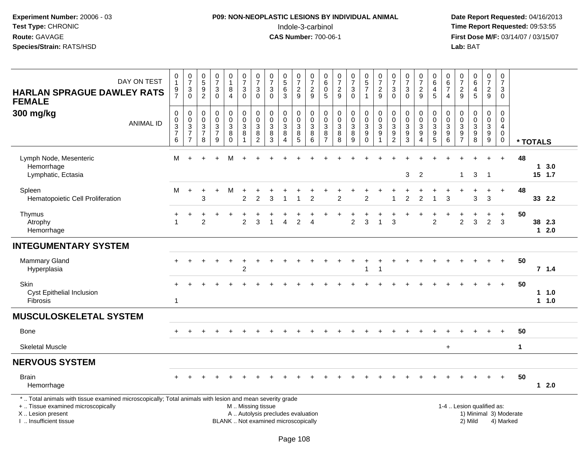# **P09: NON-NEOPLASTIC LESIONS BY INDIVIDUAL ANIMAL**Indole-3-carbinol **Time Report Requested:** 09:53:55

| DAY ON TEST<br><b>HARLAN SPRAGUE DAWLEY RATS</b><br><b>FEMALE</b>                | 0<br>$\mathbf{1}$<br>$\frac{9}{7}$                                                                                                                                                                        | $\frac{0}{7}$<br>$\frac{3}{0}$                                            | $\begin{array}{c} 0 \\ 5 \\ 9 \\ 2 \end{array}$                 | $\begin{array}{c} 0 \\ 7 \end{array}$<br>$\frac{3}{0}$                          | $\begin{smallmatrix}0\\1\end{smallmatrix}$<br>$_{4}^{8}$                     | $\frac{0}{7}$<br>$\overline{3}$<br>$\mathbf 0$                          | $\frac{0}{7}$<br>$\sqrt{3}$<br>$\mathbf 0$                | $\frac{0}{7}$<br>$\ensuremath{\mathsf{3}}$<br>$\mathbf 0$            | $\begin{array}{c} 0 \\ 5 \\ 6 \end{array}$<br>$\overline{3}$        | $\begin{array}{c} 0 \\ 7 \end{array}$<br>$\frac{2}{9}$         | $\frac{0}{7}$<br>$\frac{2}{9}$                         | $\begin{array}{c} 0 \\ 6 \end{array}$<br>$\mathbf 0$<br>$\sqrt{5}$ | $\begin{array}{c} 0 \\ 7 \end{array}$<br>$\frac{2}{9}$ | $\frac{0}{7}$<br>$\frac{3}{0}$              | $\begin{array}{c} 0 \\ 5 \\ 7 \end{array}$<br>$\overline{1}$                | $\frac{0}{7}$<br>$\frac{2}{9}$                                    | $\begin{matrix} 0 \\ 7 \end{matrix}$<br>$\mathbf{3}$<br>$\mathbf 0$                         | $\pmb{0}$<br>$\overline{7}$<br>$\ensuremath{\mathsf{3}}$<br>$\mathbf 0$ | $\frac{0}{7}$<br>$\frac{2}{9}$                                        | $\pmb{0}$<br>$\begin{array}{c} 6 \\ 4 \\ 5 \end{array}$ | $\begin{array}{c} 0 \\ 6 \end{array}$<br>$\overline{7}$<br>$\overline{4}$ | $\pmb{0}$<br>$\overline{7}$<br>$\frac{2}{9}$         | $\begin{array}{c} 0 \\ 6 \end{array}$<br>$\overline{\mathbf{4}}$<br>$\overline{5}$ | $\frac{0}{7}$<br>$\frac{2}{9}$                                      | $\mathsf{O}\xspace$<br>$\overline{7}$<br>$\sqrt{3}$<br>$\mathbf 0$ |             |          |                    |  |
|----------------------------------------------------------------------------------|-----------------------------------------------------------------------------------------------------------------------------------------------------------------------------------------------------------|---------------------------------------------------------------------------|-----------------------------------------------------------------|---------------------------------------------------------------------------------|------------------------------------------------------------------------------|-------------------------------------------------------------------------|-----------------------------------------------------------|----------------------------------------------------------------------|---------------------------------------------------------------------|----------------------------------------------------------------|--------------------------------------------------------|--------------------------------------------------------------------|--------------------------------------------------------|---------------------------------------------|-----------------------------------------------------------------------------|-------------------------------------------------------------------|---------------------------------------------------------------------------------------------|-------------------------------------------------------------------------|-----------------------------------------------------------------------|---------------------------------------------------------|---------------------------------------------------------------------------|------------------------------------------------------|------------------------------------------------------------------------------------|---------------------------------------------------------------------|--------------------------------------------------------------------|-------------|----------|--------------------|--|
| 300 mg/kg<br><b>ANIMAL ID</b>                                                    | $\boldsymbol{0}$<br>0<br>$\overline{3}$<br>$\overline{7}$<br>6                                                                                                                                            | $\pmb{0}$<br>$\begin{array}{c} 0 \\ 3 \\ 7 \end{array}$<br>$\overline{7}$ | $\pmb{0}$<br>$\pmb{0}$<br>$\overline{3}$<br>$\overline{7}$<br>8 | $\begin{matrix} 0 \\ 0 \\ 3 \end{matrix}$<br>$\overline{7}$<br>$\boldsymbol{9}$ | $\pmb{0}$<br>$\mathsf{O}\xspace$<br>$\overline{3}$<br>$\bf 8$<br>$\mathbf 0$ | $\pmb{0}$<br>$\mathbf 0$<br>$\overline{3}$<br>$\,8\,$<br>$\overline{1}$ | 0<br>$\mathbf 0$<br>$\overline{3}$<br>8<br>$\overline{c}$ | $\pmb{0}$<br>$\pmb{0}$<br>$\overline{3}$<br>$\bf8$<br>$\overline{3}$ | $\mathsf{O}\xspace$<br>$\pmb{0}$<br>$\overline{3}$<br>8<br>$\Delta$ | $\mathbf 0$<br>$\mathsf{O}\xspace$<br>$\overline{3}$<br>$^8$ 5 | $\mathsf 0$<br>$\mathsf 0$<br>$\overline{3}$<br>8<br>6 | 0<br>$\pmb{0}$<br>$\sqrt{3}$<br>$\, 8$<br>$\overline{7}$           | $\mathbf 0$<br>$\pmb{0}$<br>$\overline{3}$<br>$_{8}^8$ | $\pmb{0}$<br>$\frac{0}{3}$<br>$\frac{8}{9}$ | 0<br>$\frac{0}{3}$<br>$9\,$<br>$\overline{0}$                               | $\begin{array}{c} 0 \\ 0 \\ 3 \\ 9 \end{array}$<br>$\overline{1}$ | $\pmb{0}$<br>$\mathbf 0$<br>$\ensuremath{\mathsf{3}}$<br>$\boldsymbol{9}$<br>$\overline{2}$ | $\pmb{0}$<br>$\mathbf 0$<br>$\overline{3}$<br>$\frac{9}{3}$             | 0<br>$\mathbf 0$<br>$\overline{3}$<br>$9\,$<br>$\boldsymbol{\Lambda}$ | $\pmb{0}$<br>$\frac{0}{3}$<br>$\frac{9}{5}$             | 0<br>$\mathbf 0$<br>$\overline{3}$<br>$\boldsymbol{9}$<br>$\overline{6}$  | 0<br>0<br>$\ensuremath{\mathsf{3}}$<br>$\frac{9}{7}$ | $\pmb{0}$<br>$\pmb{0}$<br>$\overline{3}$<br>$_{\rm 8}^{\rm 9}$                     | $\mathbf 0$<br>$\mathsf 0$<br>$\overline{3}$<br>9<br>$\overline{9}$ | $\mathbf 0$<br>$\pmb{0}$<br>$\overline{4}$<br>$\mathbf 0$<br>0     |             | * TOTALS |                    |  |
| Lymph Node, Mesenteric<br>Hemorrhage<br>Lymphatic, Ectasia                       | M                                                                                                                                                                                                         |                                                                           |                                                                 |                                                                                 | м                                                                            |                                                                         |                                                           |                                                                      |                                                                     |                                                                |                                                        |                                                                    |                                                        |                                             |                                                                             |                                                                   |                                                                                             | 3                                                                       | $\overline{2}$                                                        |                                                         |                                                                           | 1                                                    | 3                                                                                  | $\overline{1}$                                                      | $\ddot{}$                                                          | 48          |          | 13.0<br>$15$ 1.7   |  |
| Spleen<br>Hematopoietic Cell Proliferation                                       | M                                                                                                                                                                                                         | $\ddot{}$                                                                 | $\ddot{}$<br>3                                                  | $\ddot{}$                                                                       | M                                                                            | $\ddot{}$<br>$\overline{2}$                                             | $\overline{2}$                                            | 3                                                                    | $\overline{\mathbf{1}}$                                             | $\overline{1}$                                                 | $\overline{2}$                                         |                                                                    | $\overline{2}$                                         | ÷                                           | $\overline{2}$                                                              |                                                                   |                                                                                             | $\overline{c}$                                                          | $\overline{2}$                                                        | 1                                                       | 3                                                                         |                                                      | 3                                                                                  | $\ddot{}$<br>3                                                      | $\ddot{}$                                                          | 48          |          | 33 2.2             |  |
| Thymus<br>Atrophy<br>Hemorrhage                                                  | ÷<br>$\overline{1}$                                                                                                                                                                                       | $\ddot{}$                                                                 | $\overline{2}$                                                  |                                                                                 |                                                                              | $\overline{c}$                                                          | 3                                                         |                                                                      | $\overline{4}$                                                      | $\overline{2}$                                                 | 4                                                      |                                                                    |                                                        | $\overline{2}$                              | 3                                                                           | $\overline{1}$                                                    | 3                                                                                           |                                                                         |                                                                       | $\overline{2}$                                          |                                                                           | $\overline{2}$                                       | 3                                                                                  | $\ddot{}$<br>$\overline{2}$                                         | $\ddot{}$<br>3                                                     | 50          |          | 38 2.3<br>$12.0$   |  |
| <b>INTEGUMENTARY SYSTEM</b>                                                      |                                                                                                                                                                                                           |                                                                           |                                                                 |                                                                                 |                                                                              |                                                                         |                                                           |                                                                      |                                                                     |                                                                |                                                        |                                                                    |                                                        |                                             |                                                                             |                                                                   |                                                                                             |                                                                         |                                                                       |                                                         |                                                                           |                                                      |                                                                                    |                                                                     |                                                                    |             |          |                    |  |
| <b>Mammary Gland</b><br>Hyperplasia                                              |                                                                                                                                                                                                           |                                                                           |                                                                 |                                                                                 |                                                                              | $\overline{2}$                                                          |                                                           |                                                                      |                                                                     |                                                                |                                                        |                                                                    |                                                        |                                             | 1                                                                           | $\overline{1}$                                                    |                                                                                             |                                                                         |                                                                       |                                                         |                                                                           |                                                      |                                                                                    |                                                                     | $\ddot{}$                                                          | 50          |          | 7.1.4              |  |
| Skin<br>Cyst Epithelial Inclusion<br>Fibrosis                                    | $\mathbf{1}$                                                                                                                                                                                              |                                                                           |                                                                 |                                                                                 |                                                                              |                                                                         |                                                           |                                                                      |                                                                     |                                                                |                                                        |                                                                    |                                                        |                                             |                                                                             |                                                                   |                                                                                             |                                                                         |                                                                       |                                                         |                                                                           |                                                      |                                                                                    |                                                                     | $+$                                                                | 50          |          | $1 1.0$<br>$1 1.0$ |  |
| <b>MUSCULOSKELETAL SYSTEM</b>                                                    |                                                                                                                                                                                                           |                                                                           |                                                                 |                                                                                 |                                                                              |                                                                         |                                                           |                                                                      |                                                                     |                                                                |                                                        |                                                                    |                                                        |                                             |                                                                             |                                                                   |                                                                                             |                                                                         |                                                                       |                                                         |                                                                           |                                                      |                                                                                    |                                                                     |                                                                    |             |          |                    |  |
| Bone                                                                             |                                                                                                                                                                                                           |                                                                           |                                                                 |                                                                                 |                                                                              |                                                                         |                                                           |                                                                      |                                                                     |                                                                |                                                        |                                                                    |                                                        |                                             |                                                                             |                                                                   |                                                                                             |                                                                         |                                                                       |                                                         |                                                                           |                                                      |                                                                                    |                                                                     |                                                                    | 50          |          |                    |  |
| <b>Skeletal Muscle</b>                                                           |                                                                                                                                                                                                           |                                                                           |                                                                 |                                                                                 |                                                                              |                                                                         |                                                           |                                                                      |                                                                     |                                                                |                                                        |                                                                    |                                                        |                                             |                                                                             |                                                                   |                                                                                             |                                                                         |                                                                       |                                                         | $\ddot{}$                                                                 |                                                      |                                                                                    |                                                                     |                                                                    | $\mathbf 1$ |          |                    |  |
| <b>NERVOUS SYSTEM</b>                                                            |                                                                                                                                                                                                           |                                                                           |                                                                 |                                                                                 |                                                                              |                                                                         |                                                           |                                                                      |                                                                     |                                                                |                                                        |                                                                    |                                                        |                                             |                                                                             |                                                                   |                                                                                             |                                                                         |                                                                       |                                                         |                                                                           |                                                      |                                                                                    |                                                                     |                                                                    |             |          |                    |  |
| <b>Brain</b><br>Hemorrhage                                                       |                                                                                                                                                                                                           |                                                                           |                                                                 |                                                                                 |                                                                              |                                                                         |                                                           |                                                                      |                                                                     |                                                                |                                                        |                                                                    |                                                        |                                             |                                                                             |                                                                   |                                                                                             |                                                                         |                                                                       |                                                         |                                                                           |                                                      |                                                                                    |                                                                     | $+$                                                                | 50          |          | 12.0               |  |
| +  Tissue examined microscopically<br>X Lesion present<br>I. Insufficient tissue | *  Total animals with tissue examined microscopically; Total animals with lesion and mean severity grade<br>M  Missing tissue<br>A  Autolysis precludes evaluation<br>BLANK  Not examined microscopically |                                                                           |                                                                 |                                                                                 |                                                                              |                                                                         |                                                           |                                                                      |                                                                     |                                                                |                                                        |                                                                    |                                                        |                                             | 1-4  Lesion qualified as:<br>1) Minimal 3) Moderate<br>2) Mild<br>4) Marked |                                                                   |                                                                                             |                                                                         |                                                                       |                                                         |                                                                           |                                                      |                                                                                    |                                                                     |                                                                    |             |          |                    |  |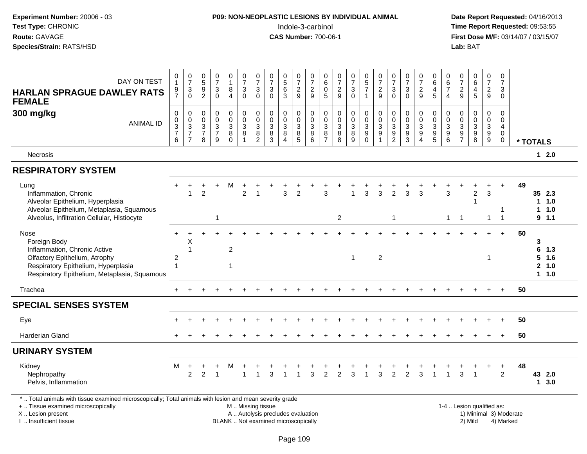| Experiment Number: 20006 - 03<br>Test Type: CHRONIC<br>Route: GAVAGE<br>Species/Strain: RATS/HSD                                                                             |                                          |                                                           |                                                                             |                                         |                                                                       |                                                             |                                              |                                           |                                              |                                                                                           | P09: NON-NEOPLASTIC LESIONS BY INDIVIDUAL ANIMAL<br>Indole-3-carbinol<br><b>CAS Number: 700-06-1</b> |                                                                            |                                                                            |                                                                 |                                                            |                                                                         |                                                           |                                                         |                                              |                                                             |                                                           |                                        | Lab: BAT                                                                 |                                                            |                                                     |    | Date Report Requested: 04/16/2013<br>Time Report Requested: 09:53:55<br>First Dose M/F: 03/14/07 / 03/15/07 |  |
|------------------------------------------------------------------------------------------------------------------------------------------------------------------------------|------------------------------------------|-----------------------------------------------------------|-----------------------------------------------------------------------------|-----------------------------------------|-----------------------------------------------------------------------|-------------------------------------------------------------|----------------------------------------------|-------------------------------------------|----------------------------------------------|-------------------------------------------------------------------------------------------|------------------------------------------------------------------------------------------------------|----------------------------------------------------------------------------|----------------------------------------------------------------------------|-----------------------------------------------------------------|------------------------------------------------------------|-------------------------------------------------------------------------|-----------------------------------------------------------|---------------------------------------------------------|----------------------------------------------|-------------------------------------------------------------|-----------------------------------------------------------|----------------------------------------|--------------------------------------------------------------------------|------------------------------------------------------------|-----------------------------------------------------|----|-------------------------------------------------------------------------------------------------------------|--|
| DAY ON TEST<br><b>HARLAN SPRAGUE DAWLEY RATS</b><br><b>FEMALE</b>                                                                                                            | 0<br>$\mathbf{1}$<br>9<br>$\overline{7}$ | $\frac{0}{7}$<br>$\ensuremath{\mathsf{3}}$<br>$\mathbf 0$ | $\begin{array}{c} 0 \\ 5 \end{array}$<br>$\boldsymbol{9}$<br>$\overline{2}$ | $\frac{0}{7}$<br>3<br>$\mathbf 0$       | 0<br>$\mathbf{1}$<br>8<br>$\overline{4}$                              | $\frac{0}{7}$<br>$\sqrt{3}$<br>$\pmb{0}$                    | $\frac{0}{7}$<br>3<br>$\Omega$               | $\frac{0}{7}$<br>$\sqrt{3}$<br>$\Omega$   | $\begin{matrix}0\5\6\end{matrix}$<br>3       | $\frac{0}{7}$<br>$\frac{2}{9}$                                                            | $\frac{0}{7}$<br>$\boldsymbol{2}$<br>$9\,$                                                           | $\begin{smallmatrix}0\0\0\end{smallmatrix}$<br>5                           | $\frac{0}{7}$<br>$\frac{2}{9}$                                             | $\frac{0}{7}$<br>$\sqrt{3}$<br>$\mathbf 0$                      | $\begin{array}{c} 0 \\ 5 \\ 7 \end{array}$<br>$\mathbf{1}$ | $\frac{0}{7}$<br>$\frac{2}{9}$                                          | $\frac{0}{7}$<br>$\ensuremath{\mathsf{3}}$<br>$\mathbf 0$ | $\frac{0}{7}$<br>$\sqrt{3}$<br>$\mathbf{0}$             | $\frac{0}{7}$<br>$\overline{c}$<br>9         | 0<br>$\,6\,$<br>$\overline{\mathbf{4}}$<br>5                | 0<br>$\,6\,$<br>$\overline{7}$<br>$\overline{4}$          | $\frac{0}{7}$<br>$\frac{2}{9}$         | $\begin{array}{c} 0 \\ 6 \end{array}$<br>$\overline{\mathbf{4}}$<br>5    | $\frac{0}{7}$<br>$\frac{2}{9}$                             | 0<br>$\overline{7}$<br>$\mathbf{3}$<br>$\mathbf{0}$ |    |                                                                                                             |  |
| 300 mg/kg<br><b>ANIMAL ID</b>                                                                                                                                                | 0<br>$\pmb{0}$<br>$\frac{3}{7}$<br>6     | 0<br>$\,0\,$<br>$\frac{3}{7}$<br>$\overline{7}$           | 0<br>$\mathbf 0$<br>$\ensuremath{\mathsf{3}}$<br>$\overline{7}$<br>8        | 0<br>$\mathsf{O}$<br>$\frac{3}{7}$<br>9 | $\pmb{0}$<br>$\bar{0}$<br>$\mathbf{3}$<br>$\overline{8}$ <sup>8</sup> | $\pmb{0}$<br>$\overline{0}$<br>$\sqrt{3}$<br>$\overline{8}$ | 0<br>$\mathbf 0$<br>3<br>8<br>$\overline{2}$ | $\mathbf 0$<br>$\mathbf 0$<br>3<br>8<br>3 | 0<br>$\mathbf 0$<br>3<br>$\overline{8}$<br>4 | 0<br>$\mathsf{O}\xspace$<br>$\ensuremath{\mathsf{3}}$<br>$\overline{8}$<br>$\overline{5}$ | 0<br>$\pmb{0}$<br>$\sqrt{3}$<br>$\,8\,$<br>6                                                         | 0<br>$\mathsf{O}\xspace$<br>$\sqrt{3}$<br>$\overline{8}$<br>$\overline{7}$ | $\pmb{0}$<br>$\mathbf 0$<br>$\sqrt{3}$<br>$\overline{8}$<br>$\overline{8}$ | 0<br>$\ddot{\mathbf{0}}$<br>$\mathbf{3}$<br>$\overline{8}$<br>9 | 0<br>$\ddot{\mathbf{0}}$<br>$\frac{3}{9}$<br>$\Omega$      | 0<br>$\ddot{\mathbf{0}}$<br>$\ensuremath{\mathsf{3}}$<br>$\overline{9}$ | 0<br>$\pmb{0}$<br>$\frac{3}{9}$<br>$\overline{2}$         | 0<br>$\mathbf 0$<br>$\sqrt{3}$<br>$\boldsymbol{9}$<br>3 | 0<br>$\mathbf 0$<br>3<br>$\overline{9}$<br>4 | 0<br>$\ddot{\mathbf{0}}$<br>$\frac{3}{9}$<br>$\overline{5}$ | 0<br>$\mathbf 0$<br>$\mathbf{3}$<br>$\boldsymbol{9}$<br>6 | 0<br>0<br>3<br>$9\,$<br>$\overline{7}$ | $\mathbf 0$<br>$\mathbf 0$<br>$\begin{array}{c} 3 \\ 9 \\ 8 \end{array}$ | 0<br>$\mathsf{O}\xspace$<br>$\mathbf{3}$<br>$\overline{9}$ | 0<br>0<br>$\overline{4}$<br>$\mathbf 0$<br>0        |    | * TOTALS                                                                                                    |  |
| <b>Necrosis</b>                                                                                                                                                              |                                          |                                                           |                                                                             |                                         |                                                                       |                                                             |                                              |                                           |                                              |                                                                                           |                                                                                                      |                                                                            |                                                                            |                                                                 |                                                            |                                                                         |                                                           |                                                         |                                              |                                                             |                                                           |                                        |                                                                          |                                                            |                                                     |    | $12.0$                                                                                                      |  |
| <b>RESPIRATORY SYSTEM</b>                                                                                                                                                    |                                          |                                                           |                                                                             |                                         |                                                                       |                                                             |                                              |                                           |                                              |                                                                                           |                                                                                                      |                                                                            |                                                                            |                                                                 |                                                            |                                                                         |                                                           |                                                         |                                              |                                                             |                                                           |                                        |                                                                          |                                                            |                                                     |    |                                                                                                             |  |
| Lung<br>Inflammation, Chronic<br>Alveolar Epithelium, Hyperplasia<br>Alveolar Epithelium, Metaplasia, Squamous                                                               |                                          | $\mathbf{1}$                                              | $\overline{2}$                                                              |                                         | м                                                                     | 2                                                           | -1                                           |                                           | 3                                            | $\overline{2}$                                                                            |                                                                                                      | 3                                                                          |                                                                            | 1                                                               | 3                                                          | $\mathbf{3}$                                                            | $\overline{2}$                                            | 3                                                       | 3                                            |                                                             | 3                                                         |                                        | $\overline{c}$<br>$\overline{\phantom{a}}$                               | $\mathbf{3}$                                               | $\ddot{}$                                           | 49 | 35 2.3<br>11.0<br>1.0<br>1.                                                                                 |  |
| Alveolus, Infiltration Cellular, Histiocyte                                                                                                                                  |                                          |                                                           |                                                                             | 1                                       |                                                                       |                                                             |                                              |                                           |                                              |                                                                                           |                                                                                                      |                                                                            | $\overline{2}$                                                             |                                                                 |                                                            |                                                                         | $\overline{1}$                                            |                                                         |                                              |                                                             | $\mathbf{1}$                                              | $\overline{1}$                         |                                                                          | $\mathbf{1}$                                               | $\overline{1}$                                      |    | 9 1.1                                                                                                       |  |
| Nose<br>Foreign Body<br>Inflammation, Chronic Active<br>Olfactory Epithelium, Atrophy<br>Respiratory Epithelium, Hyperplasia<br>Respiratory Epithelium, Metaplasia, Squamous | 2<br>$\overline{1}$                      | Χ<br>1                                                    |                                                                             |                                         | $\overline{c}$<br>1                                                   |                                                             |                                              |                                           |                                              |                                                                                           |                                                                                                      |                                                                            |                                                                            | $\mathbf 1$                                                     |                                                            | $\overline{2}$                                                          |                                                           |                                                         |                                              |                                                             |                                                           |                                        |                                                                          | 1                                                          |                                                     | 50 | 3<br>6<br>1.3<br>5<br>1.6<br>2 1.0<br>11.0                                                                  |  |
| Trachea                                                                                                                                                                      |                                          |                                                           |                                                                             |                                         |                                                                       |                                                             |                                              |                                           |                                              |                                                                                           |                                                                                                      |                                                                            |                                                                            |                                                                 |                                                            |                                                                         |                                                           |                                                         |                                              |                                                             |                                                           |                                        |                                                                          |                                                            |                                                     | 50 |                                                                                                             |  |
| <b>SPECIAL SENSES SYSTEM</b>                                                                                                                                                 |                                          |                                                           |                                                                             |                                         |                                                                       |                                                             |                                              |                                           |                                              |                                                                                           |                                                                                                      |                                                                            |                                                                            |                                                                 |                                                            |                                                                         |                                                           |                                                         |                                              |                                                             |                                                           |                                        |                                                                          |                                                            |                                                     |    |                                                                                                             |  |
| Eye                                                                                                                                                                          |                                          |                                                           |                                                                             |                                         |                                                                       |                                                             |                                              |                                           |                                              |                                                                                           |                                                                                                      |                                                                            |                                                                            |                                                                 |                                                            |                                                                         |                                                           |                                                         |                                              |                                                             |                                                           |                                        |                                                                          |                                                            |                                                     | 50 |                                                                                                             |  |
| <b>Harderian Gland</b>                                                                                                                                                       |                                          |                                                           |                                                                             |                                         |                                                                       |                                                             |                                              |                                           |                                              |                                                                                           |                                                                                                      |                                                                            |                                                                            |                                                                 |                                                            |                                                                         |                                                           |                                                         |                                              |                                                             |                                                           |                                        |                                                                          |                                                            |                                                     | 50 |                                                                                                             |  |
| <b>URINARY SYSTEM</b>                                                                                                                                                        |                                          |                                                           |                                                                             |                                         |                                                                       |                                                             |                                              |                                           |                                              |                                                                                           |                                                                                                      |                                                                            |                                                                            |                                                                 |                                                            |                                                                         |                                                           |                                                         |                                              |                                                             |                                                           |                                        |                                                                          |                                                            |                                                     |    |                                                                                                             |  |
| Kidney<br>Nephropathy<br>Pelvis, Inflammation                                                                                                                                | M                                        | $\ddot{}$<br>$\mathcal{P}$                                | $\overline{2}$                                                              | $+$                                     | M <sub>1</sub>                                                        | $\overline{1}$                                              |                                              |                                           |                                              |                                                                                           | + + + + + + + + + + + + + + + + +<br>1 3 1 1 3 2 2 3 1 3 2 2 3 1 1 3 1                               |                                                                            |                                                                            |                                                                 |                                                            |                                                                         |                                                           |                                                         |                                              |                                                             |                                                           |                                        |                                                                          |                                                            | $\overline{2}$                                      | 48 | 43 2.0<br>$1 \t3.0$                                                                                         |  |

+ .. Tissue examined microscopically

X .. Lesion present

I .. Insufficient tissue

 M .. Missing tissueBLANK .. Not examined microscopically

 1-4 .. Lesion qualified as: A .. Autolysis precludes evaluation and the series of the series of the series of the series of the series of the series of the series of the series of the series of the series of the series of the series of the series of